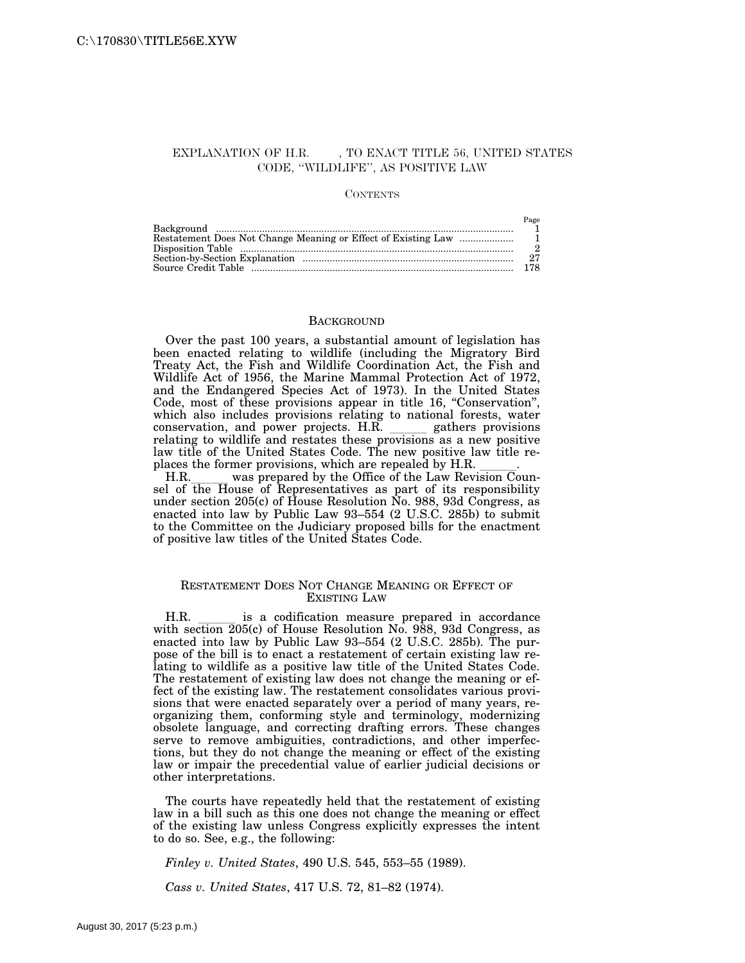### EXPLANATION OF H.R. , TO ENACT TITLE 56, UNITED STATES CODE, ''WILDLIFE'', AS POSITIVE LAW

#### **CONTENTS**

| Page  |
|-------|
|       |
|       |
|       |
| $2^7$ |
|       |

#### **BACKGROUND**

Over the past 100 years, a substantial amount of legislation has been enacted relating to wildlife (including the Migratory Bird Treaty Act, the Fish and Wildlife Coordination Act, the Fish and Wildlife Act of 1956, the Marine Mammal Protection Act of 1972, and the Endangered Species Act of 1973). In the United States Code, most of these provisions appear in title 16, "Conservation", which also includes provisions relating to national forests, water conservation, and power projects. H.R. gathers provisions conservation, and power projects. H.R. gathers provisions relating to wildlife and restates these provisions as a new positive law title of the United States Code. The new positive law title re-

places the former provisions, which are repealed by H.R. \_\_\_\_\_.<br>H.R. was prepared by the Office of the Law Revision Coun-H.R. was prepared by the Office of the Law Revision Counsel of the House of Representatives as part of its responsibility under section 205(c) of House Resolution No. 988, 93d Congress, as enacted into law by Public Law 93–554 (2 U.S.C. 285b) to submit to the Committee on the Judiciary proposed bills for the enactment of positive law titles of the United States Code.

#### RESTATEMENT DOES NOT CHANGE MEANING OR EFFECT OF EXISTING LAW

H.R. is a codification measure prepared in accordance with section 205(c) of House Resolution No. 988, 93d Congress, as enacted into law by Public Law 93–554 (2 U.S.C. 285b). The purpose of the bill is to enact a restatement of certain existing law relating to wildlife as a positive law title of the United States Code. The restatement of existing law does not change the meaning or effect of the existing law. The restatement consolidates various provisions that were enacted separately over a period of many years, reorganizing them, conforming style and terminology, modernizing obsolete language, and correcting drafting errors. These changes serve to remove ambiguities, contradictions, and other imperfections, but they do not change the meaning or effect of the existing law or impair the precedential value of earlier judicial decisions or other interpretations.

The courts have repeatedly held that the restatement of existing law in a bill such as this one does not change the meaning or effect of the existing law unless Congress explicitly expresses the intent to do so. See, e.g., the following:

*Finley v. United States*, 490 U.S. 545, 553–55 (1989).

*Cass v. United States*, 417 U.S. 72, 81–82 (1974).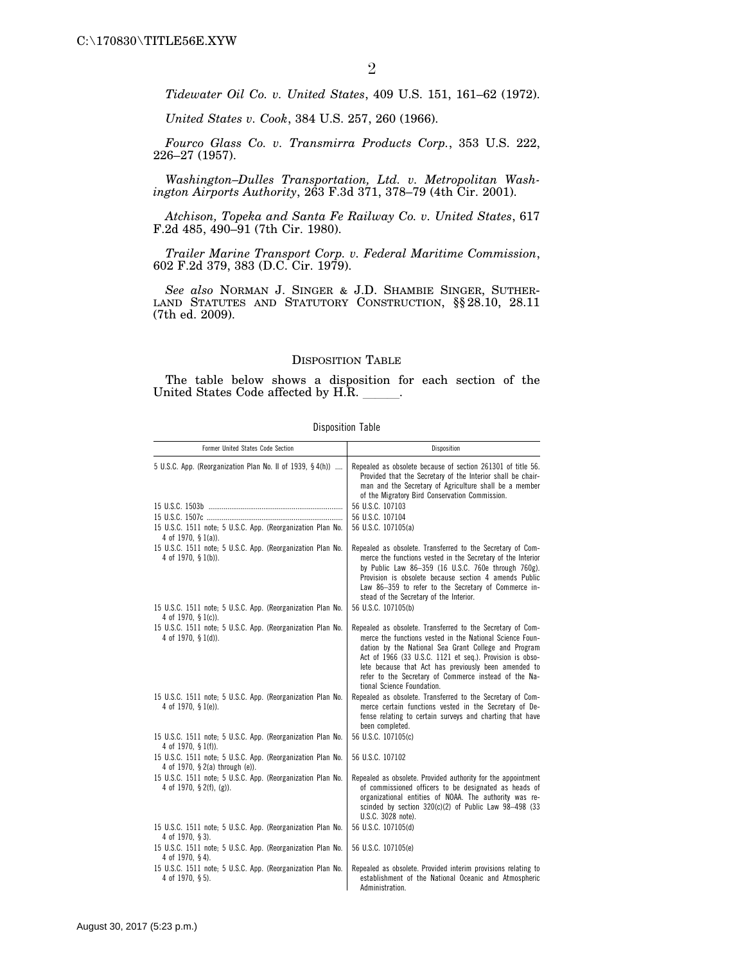*Tidewater Oil Co. v. United States*, 409 U.S. 151, 161–62 (1972).

*United States v. Cook*, 384 U.S. 257, 260 (1966).

*Fourco Glass Co. v. Transmirra Products Corp.*, 353 U.S. 222, 226–27 (1957).

*Washington–Dulles Transportation, Ltd. v. Metropolitan Washington Airports Authority*, 263 F.3d 371, 378–79 (4th Cir. 2001).

*Atchison, Topeka and Santa Fe Railway Co. v. United States*, 617 F.2d 485, 490–91 (7th Cir. 1980).

*Trailer Marine Transport Corp. v. Federal Maritime Commission*, 602 F.2d 379, 383 (D.C. Cir. 1979).

*See also* NORMAN J. SINGER & J.D. SHAMBIE SINGER, SUTHER-LAND STATUTES AND STATUTORY CONSTRUCTION, §§ 28.10, 28.11 (7th ed. 2009).

### DISPOSITION TABLE

The table below shows a disposition for each section of the United States Code affected by H.R. \_\_\_\_\_.

| <b>Disposition Table</b> |  |
|--------------------------|--|
|                          |  |

| Former United States Code Section                                                              | Disposition                                                                                                                                                                                                                                                                                                                                                                               |
|------------------------------------------------------------------------------------------------|-------------------------------------------------------------------------------------------------------------------------------------------------------------------------------------------------------------------------------------------------------------------------------------------------------------------------------------------------------------------------------------------|
| 5 U.S.C. App. (Reorganization Plan No. II of 1939, § 4(h))                                     | Repealed as obsolete because of section 261301 of title 56.<br>Provided that the Secretary of the Interior shall be chair-<br>man and the Secretary of Agriculture shall be a member<br>of the Migratory Bird Conservation Commission.                                                                                                                                                    |
|                                                                                                | 56 U.S.C. 107103                                                                                                                                                                                                                                                                                                                                                                          |
|                                                                                                | 56 U.S.C. 107104                                                                                                                                                                                                                                                                                                                                                                          |
| 15 U.S.C. 1511 note; 5 U.S.C. App. (Reorganization Plan No.                                    | 56 U.S.C. 107105(a)                                                                                                                                                                                                                                                                                                                                                                       |
| 4 of 1970, § 1(a)).                                                                            |                                                                                                                                                                                                                                                                                                                                                                                           |
| 15 U.S.C. 1511 note; 5 U.S.C. App. (Reorganization Plan No.<br>4 of 1970, $\S$ 1(b)).          | Repealed as obsolete. Transferred to the Secretary of Com-<br>merce the functions vested in the Secretary of the Interior<br>by Public Law 86-359 (16 U.S.C. 760e through 760g).<br>Provision is obsolete because section 4 amends Public<br>Law 86-359 to refer to the Secretary of Commerce in-<br>stead of the Secretary of the Interior.                                              |
| 15 U.S.C. 1511 note; 5 U.S.C. App. (Reorganization Plan No.                                    | 56 U.S.C. 107105(b)                                                                                                                                                                                                                                                                                                                                                                       |
| 4 of 1970, § 1(c)).                                                                            |                                                                                                                                                                                                                                                                                                                                                                                           |
| 15 U.S.C. 1511 note; 5 U.S.C. App. (Reorganization Plan No.<br>4 of 1970, § 1(d)).             | Repealed as obsolete. Transferred to the Secretary of Com-<br>merce the functions vested in the National Science Foun-<br>dation by the National Sea Grant College and Program<br>Act of 1966 (33 U.S.C. 1121 et seq.). Provision is obso-<br>lete because that Act has previously been amended to<br>refer to the Secretary of Commerce instead of the Na-<br>tional Science Foundation. |
| 15 U.S.C. 1511 note; 5 U.S.C. App. (Reorganization Plan No.<br>4 of 1970, § 1(e)).             | Repealed as obsolete. Transferred to the Secretary of Com-<br>merce certain functions vested in the Secretary of De-<br>fense relating to certain surveys and charting that have<br>been completed.                                                                                                                                                                                       |
| 15 U.S.C. 1511 note; 5 U.S.C. App. (Reorganization Plan No.<br>4 of 1970, § 1(f)).             | 56 U.S.C. 107105(c)                                                                                                                                                                                                                                                                                                                                                                       |
| 15 U.S.C. 1511 note; 5 U.S.C. App. (Reorganization Plan No.<br>4 of 1970, § 2(a) through (e)). | 56 U.S.C. 107102                                                                                                                                                                                                                                                                                                                                                                          |
| 15 U.S.C. 1511 note; 5 U.S.C. App. (Reorganization Plan No.<br>4 of 1970, § 2(f), (g)).        | Repealed as obsolete. Provided authority for the appointment<br>of commissioned officers to be designated as heads of<br>organizational entities of NOAA. The authority was re-<br>scinded by section $320(c)(2)$ of Public Law $98-498$ (33<br>U.S.C. 3028 note).                                                                                                                        |
| 15 U.S.C. 1511 note; 5 U.S.C. App. (Reorganization Plan No.                                    | 56 U.S.C. 107105(d)                                                                                                                                                                                                                                                                                                                                                                       |
| 4 of 1970, § 3).                                                                               |                                                                                                                                                                                                                                                                                                                                                                                           |
| 15 U.S.C. 1511 note; 5 U.S.C. App. (Reorganization Plan No.<br>4 of 1970, §4).                 | 56 U.S.C. 107105(e)                                                                                                                                                                                                                                                                                                                                                                       |
| 15 U.S.C. 1511 note; 5 U.S.C. App. (Reorganization Plan No.<br>4 of 1970, § 5).                | Repealed as obsolete. Provided interim provisions relating to<br>establishment of the National Oceanic and Atmospheric<br>Administration.                                                                                                                                                                                                                                                 |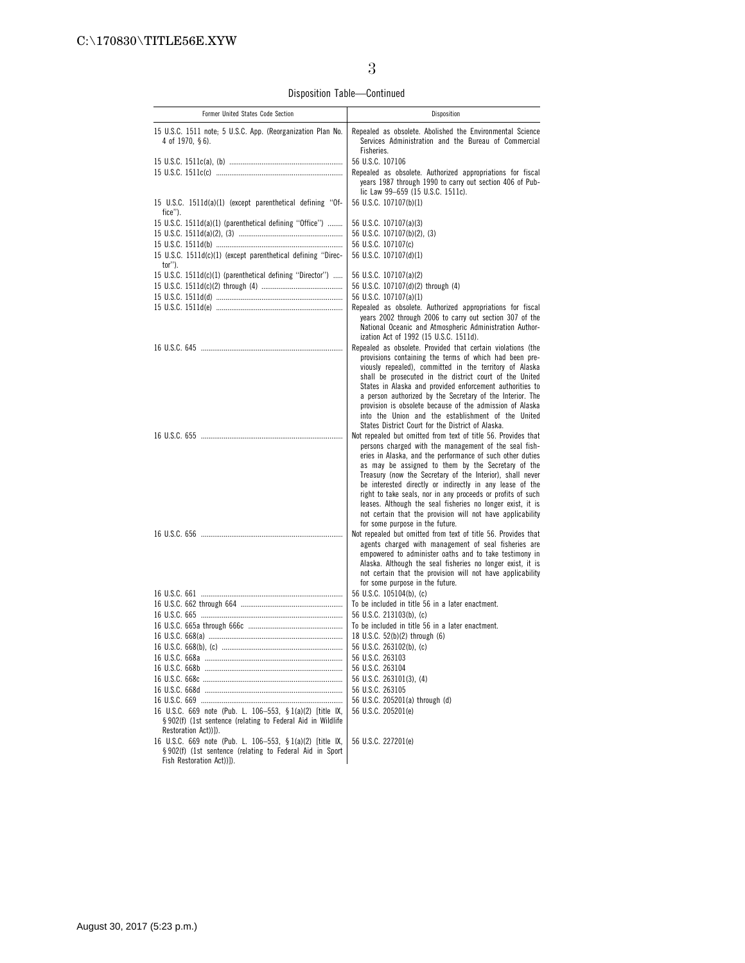Disposition Table—Continued

| Former United States Code Section                                                     | Disposition                                                                                                                                                  |
|---------------------------------------------------------------------------------------|--------------------------------------------------------------------------------------------------------------------------------------------------------------|
|                                                                                       |                                                                                                                                                              |
| 15 U.S.C. 1511 note; 5 U.S.C. App. (Reorganization Plan No.<br>4 of 1970, $§$ 6).     | Repealed as obsolete. Abolished the Environmental Science<br>Services Administration and the Bureau of Commercial<br>Fisheries.                              |
|                                                                                       | 56 U.S.C. 107106                                                                                                                                             |
|                                                                                       | Repealed as obsolete. Authorized appropriations for fiscal<br>years 1987 through 1990 to carry out section 406 of Pub-                                       |
|                                                                                       | lic Law 99-659 (15 U.S.C. 1511c).                                                                                                                            |
| 15 U.S.C. 1511d(a)(1) (except parenthetical defining "Of-<br>fice").                  | 56 U.S.C. 107107(b)(1)                                                                                                                                       |
| 15 U.S.C. 1511d(a)(1) (parenthetical defining "Office")                               | 56 U.S.C. 107107(a)(3)                                                                                                                                       |
|                                                                                       | 56 U.S.C. 107107(b)(2), (3)                                                                                                                                  |
|                                                                                       | 56 U.S.C. 107107(c)                                                                                                                                          |
| 15 U.S.C. 1511d(c)(1) (except parenthetical defining "Direc-<br>tor").                | 56 U.S.C. 107107(d)(1)                                                                                                                                       |
| 15 U.S.C. 1511d(c)(1) (parenthetical defining "Director")                             | 56 U.S.C. 107107(a)(2)                                                                                                                                       |
|                                                                                       | 56 U.S.C. 107107(d)(2) through (4)                                                                                                                           |
|                                                                                       | 56 U.S.C. 107107(a)(1)                                                                                                                                       |
|                                                                                       | Repealed as obsolete. Authorized appropriations for fiscal                                                                                                   |
|                                                                                       | years 2002 through 2006 to carry out section 307 of the<br>National Oceanic and Atmospheric Administration Author-<br>ization Act of 1992 (15 U.S.C. 1511d). |
|                                                                                       | Repealed as obsolete. Provided that certain violations (the                                                                                                  |
|                                                                                       | provisions containing the terms of which had been pre-<br>viously repealed), committed in the territory of Alaska                                            |
|                                                                                       | shall be prosecuted in the district court of the United<br>States in Alaska and provided enforcement authorities to                                          |
|                                                                                       | a person authorized by the Secretary of the Interior. The                                                                                                    |
|                                                                                       | provision is obsolete because of the admission of Alaska                                                                                                     |
|                                                                                       | into the Union and the establishment of the United<br>States District Court for the District of Alaska.                                                      |
|                                                                                       | Not repealed but omitted from text of title 56. Provides that                                                                                                |
|                                                                                       | persons charged with the management of the seal fish-                                                                                                        |
|                                                                                       | eries in Alaska, and the performance of such other duties                                                                                                    |
|                                                                                       | as may be assigned to them by the Secretary of the                                                                                                           |
|                                                                                       | Treasury (now the Secretary of the Interior), shall never<br>be interested directly or indirectly in any lease of the                                        |
|                                                                                       | right to take seals, nor in any proceeds or profits of such                                                                                                  |
|                                                                                       | leases. Although the seal fisheries no longer exist, it is                                                                                                   |
|                                                                                       | not certain that the provision will not have applicability<br>for some purpose in the future.                                                                |
|                                                                                       | Not repealed but omitted from text of title 56. Provides that                                                                                                |
|                                                                                       | agents charged with management of seal fisheries are                                                                                                         |
|                                                                                       | empowered to administer oaths and to take testimony in                                                                                                       |
|                                                                                       | Alaska. Although the seal fisheries no longer exist, it is<br>not certain that the provision will not have applicability                                     |
|                                                                                       | for some purpose in the future.                                                                                                                              |
|                                                                                       | 56 U.S.C. 105104(b). (c)                                                                                                                                     |
|                                                                                       | To be included in title 56 in a later enactment.                                                                                                             |
|                                                                                       | 56 U.S.C. 213103(b), (c)<br>To be included in title 56 in a later enactment.                                                                                 |
|                                                                                       | 18 U.S.C. 52(b)(2) through (6)                                                                                                                               |
|                                                                                       | 56 U.S.C. 263102(b), (c)                                                                                                                                     |
|                                                                                       | 56 U.S.C. 263103                                                                                                                                             |
|                                                                                       | 56 U.S.C. 263104                                                                                                                                             |
|                                                                                       | 56 U.S.C. 263101(3), (4)                                                                                                                                     |
|                                                                                       | 56 U.S.C. 263105<br>56 U.S.C. 205201(a) through (d)                                                                                                          |
| 16 U.S.C. 669 note (Pub. L. 106-553, § 1(a)(2) [title IX,                             | 56 U.S.C. 205201(e)                                                                                                                                          |
| § 902(f) (1st sentence (relating to Federal Aid in Wildlife                           |                                                                                                                                                              |
| Restoration Act))]).                                                                  |                                                                                                                                                              |
| 16 U.S.C. 669 note (Pub. L. 106-553, § 1(a)(2) [title IX,                             | 56 U.S.C. 227201(e)                                                                                                                                          |
| § 902(f) (1st sentence (relating to Federal Aid in Sport<br>Fish Restoration Act))]). |                                                                                                                                                              |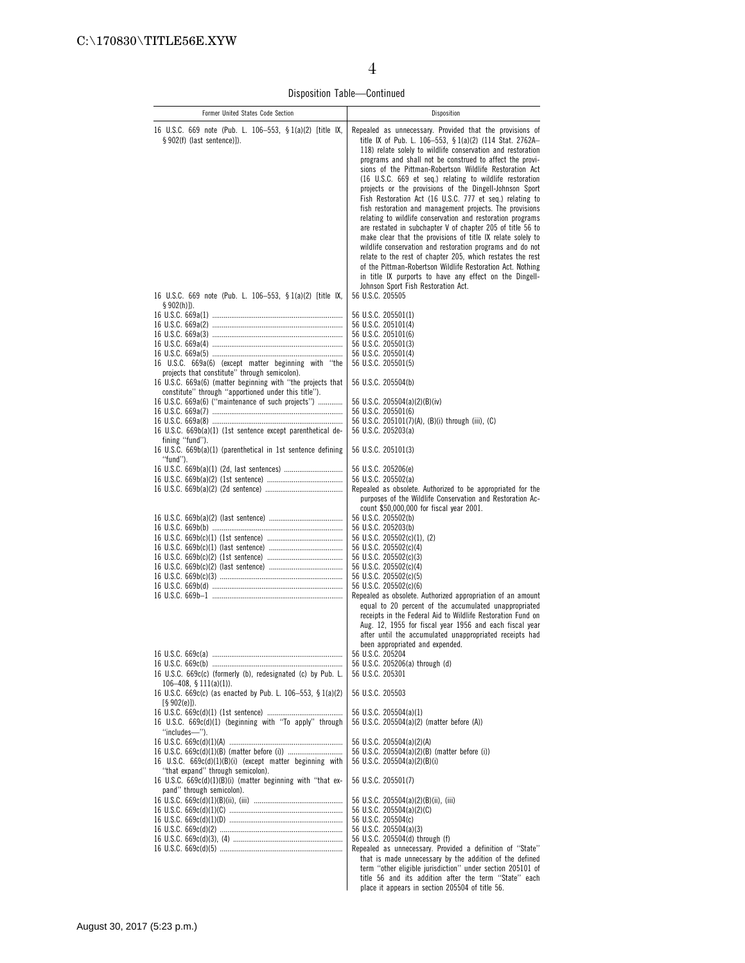Disposition Table—Continued

| Former United States Code Section                                                                                                                                                            | Disposition                                                                                                                                                                                                                                                                                                                                                                                                                                                                                                                                                                                                                                                                                                                                                                                                                                                                                                                                                                                                                                     |
|----------------------------------------------------------------------------------------------------------------------------------------------------------------------------------------------|-------------------------------------------------------------------------------------------------------------------------------------------------------------------------------------------------------------------------------------------------------------------------------------------------------------------------------------------------------------------------------------------------------------------------------------------------------------------------------------------------------------------------------------------------------------------------------------------------------------------------------------------------------------------------------------------------------------------------------------------------------------------------------------------------------------------------------------------------------------------------------------------------------------------------------------------------------------------------------------------------------------------------------------------------|
| 16 U.S.C. 669 note (Pub. L. 106–553, §1(a)(2) [title IX,<br>$§ 902(f)$ (last sentence)]).                                                                                                    | Repealed as unnecessary. Provided that the provisions of<br>title IX of Pub. L. 106-553, § 1(a)(2) (114 Stat. 2762A-<br>118) relate solely to wildlife conservation and restoration<br>programs and shall not be construed to affect the provi-<br>sions of the Pittman-Robertson Wildlife Restoration Act<br>(16 U.S.C. 669 et seq.) relating to wildlife restoration<br>projects or the provisions of the Dingell-Johnson Sport<br>Fish Restoration Act (16 U.S.C. 777 et seq.) relating to<br>fish restoration and management projects. The provisions<br>relating to wildlife conservation and restoration programs<br>are restated in subchapter V of chapter 205 of title 56 to<br>make clear that the provisions of title IX relate solely to<br>wildlife conservation and restoration programs and do not<br>relate to the rest of chapter 205, which restates the rest<br>of the Pittman-Robertson Wildlife Restoration Act. Nothing<br>in title IX purports to have any effect on the Dingell-<br>Johnson Sport Fish Restoration Act. |
| 16 U.S.C. 669 note (Pub. L. 106–553, § 1(a)(2) [title IX,                                                                                                                                    | 56 U.S.C. 205505                                                                                                                                                                                                                                                                                                                                                                                                                                                                                                                                                                                                                                                                                                                                                                                                                                                                                                                                                                                                                                |
| $$902(h)]$ ).<br>16 U.S.C. 669a(6) (except matter beginning with "the<br>projects that constitute" through semicolon).                                                                       | 56 U.S.C. 205501(1)<br>56 U.S.C. 205101(4)<br>56 U.S.C. 205101(6)<br>56 U.S.C. 205501(3)<br>56 U.S.C. 205501(4)<br>56 U.S.C. 205501(5)                                                                                                                                                                                                                                                                                                                                                                                                                                                                                                                                                                                                                                                                                                                                                                                                                                                                                                          |
| 16 U.S.C. 669a(6) (matter beginning with "the projects that                                                                                                                                  | 56 U.S.C. 205504(b)                                                                                                                                                                                                                                                                                                                                                                                                                                                                                                                                                                                                                                                                                                                                                                                                                                                                                                                                                                                                                             |
| constitute" through "apportioned under this title").<br>16 U.S.C. 669a(6) ("maintenance of such projects")<br>16 U.S.C. 669b(a)(1) (1st sentence except parenthetical de-<br>fining "fund"). | 56 U.S.C. 205504(a)(2)(B)(iv)<br>56 U.S.C. 205501(6)<br>56 U.S.C. 205101(7)(A), (B)(i) through (iii), (C)<br>56 U.S.C. 205203(a)                                                                                                                                                                                                                                                                                                                                                                                                                                                                                                                                                                                                                                                                                                                                                                                                                                                                                                                |
| 16 U.S.C. 669b(a)(1) (parenthetical in 1st sentence defining<br>"fund").                                                                                                                     | 56 U.S.C. 205101(3)                                                                                                                                                                                                                                                                                                                                                                                                                                                                                                                                                                                                                                                                                                                                                                                                                                                                                                                                                                                                                             |
| 16 U.S.C. 669b(a)(1) (2d, last sentences)                                                                                                                                                    | 56 U.S.C. 205206(e)<br>56 U.S.C. 205502(a)<br>Repealed as obsolete. Authorized to be appropriated for the<br>purposes of the Wildlife Conservation and Restoration Ac-<br>count \$50,000,000 for fiscal year 2001.                                                                                                                                                                                                                                                                                                                                                                                                                                                                                                                                                                                                                                                                                                                                                                                                                              |
|                                                                                                                                                                                              | 56 U.S.C. 205502(b)                                                                                                                                                                                                                                                                                                                                                                                                                                                                                                                                                                                                                                                                                                                                                                                                                                                                                                                                                                                                                             |
|                                                                                                                                                                                              | 56 U.S.C. 205203(b)<br>56 U.S.C. 205502(c)(1), (2)<br>56 U.S.C. 205502(c)(4)<br>56 U.S.C. 205502(c)(3)<br>56 U.S.C. 205502(c)(4)<br>56 U.S.C. 205502(c)(5)                                                                                                                                                                                                                                                                                                                                                                                                                                                                                                                                                                                                                                                                                                                                                                                                                                                                                      |
|                                                                                                                                                                                              | 56 U.S.C. 205502(c)(6)                                                                                                                                                                                                                                                                                                                                                                                                                                                                                                                                                                                                                                                                                                                                                                                                                                                                                                                                                                                                                          |
|                                                                                                                                                                                              | Repealed as obsolete. Authorized appropriation of an amount<br>equal to 20 percent of the accumulated unappropriated<br>receipts in the Federal Aid to Wildlife Restoration Fund on<br>Aug. 12, 1955 for fiscal year 1956 and each fiscal year<br>after until the accumulated unappropriated receipts had<br>been appropriated and expended.                                                                                                                                                                                                                                                                                                                                                                                                                                                                                                                                                                                                                                                                                                    |
|                                                                                                                                                                                              | 56 U.S.C. 205204                                                                                                                                                                                                                                                                                                                                                                                                                                                                                                                                                                                                                                                                                                                                                                                                                                                                                                                                                                                                                                |
| 16 U.S.C. 669c(c) (formerly (b), redesignated (c) by Pub. L.<br>106-408, $$111(a)(1)$ ).<br>16 U.S.C. 669c(c) (as enacted by Pub. L. 106-553, § 1(a)(2)                                      | 56 U.S.C. 205206(a) through (d)<br>56 U.S.C. 205301<br>56 U.S.C. 205503                                                                                                                                                                                                                                                                                                                                                                                                                                                                                                                                                                                                                                                                                                                                                                                                                                                                                                                                                                         |
| $[\S 902(e)]$ .                                                                                                                                                                              |                                                                                                                                                                                                                                                                                                                                                                                                                                                                                                                                                                                                                                                                                                                                                                                                                                                                                                                                                                                                                                                 |
| 16 U.S.C. 669c(d)(1) (beginning with "To apply" through<br>"includes-").                                                                                                                     | 56 U.S.C. 205504(a)(1)<br>56 U.S.C. 205504(a)(2) (matter before (A))                                                                                                                                                                                                                                                                                                                                                                                                                                                                                                                                                                                                                                                                                                                                                                                                                                                                                                                                                                            |
| 16 U.S.C. 669c(d)(1)(B)(i) (except matter beginning with<br>"that expand" through semicolon).                                                                                                | 56 U.S.C. 205504(a)(2)(A)<br>56 U.S.C. 205504(a)(2)(B) (matter before (i))<br>56 U.S.C. 205504(a)(2)(B)(i)                                                                                                                                                                                                                                                                                                                                                                                                                                                                                                                                                                                                                                                                                                                                                                                                                                                                                                                                      |
| 16 U.S.C. 669c(d)(1)(B)(i) (matter beginning with "that ex-                                                                                                                                  | 56 U.S.C. 205501(7)                                                                                                                                                                                                                                                                                                                                                                                                                                                                                                                                                                                                                                                                                                                                                                                                                                                                                                                                                                                                                             |
| pand" through semicolon).                                                                                                                                                                    | 56 U.S.C. 205504(a)(2)(B)(ii), (iii)<br>56 U.S.C. 205504(a)(2)(C)<br>56 U.S.C. 205504(c)<br>56 U.S.C. 205504(a)(3)<br>56 U.S.C. 205504(d) through (f)<br>Repealed as unnecessary. Provided a definition of "State"<br>that is made unnecessary by the addition of the defined<br>term "other eligible jurisdiction" under section 205101 of                                                                                                                                                                                                                                                                                                                                                                                                                                                                                                                                                                                                                                                                                                     |
|                                                                                                                                                                                              | title 56 and its addition after the term "State" each<br>place it appears in section 205504 of title 56.                                                                                                                                                                                                                                                                                                                                                                                                                                                                                                                                                                                                                                                                                                                                                                                                                                                                                                                                        |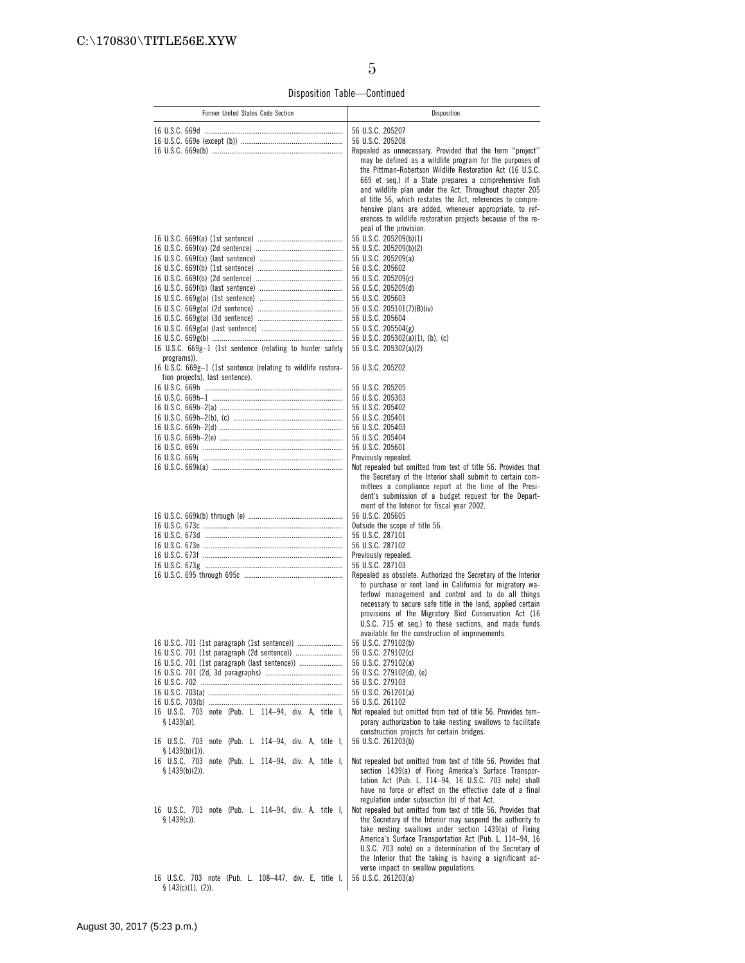Disposition Table—Continued

| Former United States Code Section                                            | Disposition                                                                                                                 |
|------------------------------------------------------------------------------|-----------------------------------------------------------------------------------------------------------------------------|
|                                                                              | 56 U.S.C. 205207                                                                                                            |
|                                                                              | 56 U.S.C. 205208                                                                                                            |
|                                                                              | Repealed as unnecessary. Provided that the term "project"                                                                   |
|                                                                              | may be defined as a wildlife program for the purposes of                                                                    |
|                                                                              | the Pittman-Robertson Wildlife Restoration Act (16 U.S.C.<br>669 et seq.) if a State prepares a comprehensive fish          |
|                                                                              | and wildlife plan under the Act. Throughout chapter 205                                                                     |
|                                                                              | of title 56, which restates the Act, references to compre-                                                                  |
|                                                                              | hensive plans are added, whenever appropriate, to ref-                                                                      |
|                                                                              | erences to wildlife restoration projects because of the re-                                                                 |
|                                                                              | peal of the provision.                                                                                                      |
|                                                                              | 56 U.S.C. 205209(b)(1)<br>56 U.S.C. 205209(b)(2)                                                                            |
|                                                                              | 56 U.S.C. 205209(a)                                                                                                         |
|                                                                              | 56 U.S.C. 205602                                                                                                            |
|                                                                              | 56 U.S.C. 205209(c)                                                                                                         |
|                                                                              | 56 U.S.C. 205209(d)                                                                                                         |
|                                                                              | 56 U.S.C. 205603<br>56 U.S.C. 205101(7)(B)(iv)                                                                              |
|                                                                              | 56 U.S.C. 205604                                                                                                            |
|                                                                              | 56 U.S.C. 205504(g)                                                                                                         |
|                                                                              | 56 U.S.C. 205302(a)(1), (b), (c)                                                                                            |
| 16 U.S.C. 669g-1 (1st sentence (relating to hunter safety                    | 56 U.S.C. 205302(a)(2)                                                                                                      |
| programs)).<br>16 U.S.C. 669g-1 (1st sentence (relating to wildlife restora- | 56 U.S.C. 205202                                                                                                            |
| tion projects), last sentence).                                              |                                                                                                                             |
|                                                                              | 56 U.S.C. 205205                                                                                                            |
|                                                                              | 56 U.S.C. 205303                                                                                                            |
|                                                                              | 56 U.S.C. 205402                                                                                                            |
|                                                                              | 56 U.S.C. 205401<br>56 U.S.C. 205403                                                                                        |
|                                                                              | 56 U.S.C. 205404                                                                                                            |
|                                                                              | 56 U.S.C. 205601                                                                                                            |
|                                                                              | Previously repealed.                                                                                                        |
|                                                                              | Not repealed but omitted from text of title 56. Provides that                                                               |
|                                                                              | the Secretary of the Interior shall submit to certain com-<br>mittees a compliance report at the time of the Presi-         |
|                                                                              | dent's submission of a budget request for the Depart-                                                                       |
|                                                                              | ment of the Interior for fiscal year 2002.                                                                                  |
|                                                                              | 56 U.S.C. 205605                                                                                                            |
|                                                                              | Outside the scope of title 56.                                                                                              |
|                                                                              | 56 U.S.C. 287101<br>56 U.S.C. 287102                                                                                        |
|                                                                              | Previously repealed.                                                                                                        |
|                                                                              | 56 U.S.C. 287103                                                                                                            |
|                                                                              | Repealed as obsolete. Authorized the Secretary of the Interior                                                              |
|                                                                              | to purchase or rent land in California for migratory wa-<br>terfowl management and control and to do all things             |
|                                                                              | necessary to secure safe title in the land, applied certain                                                                 |
|                                                                              | provisions of the Migratory Bird Conservation Act (16                                                                       |
|                                                                              | U.S.C. 715 et seq.) to these sections, and made funds                                                                       |
|                                                                              | available for the construction of improvements.                                                                             |
|                                                                              | 56 U.S.C. 279102(b)<br>56 U.S.C. 279102(c)                                                                                  |
|                                                                              | 56 U.S.C. 279102(a)                                                                                                         |
|                                                                              | 56 U.S.C. 279102(d), (e)                                                                                                    |
|                                                                              | 56 U.S.C. 279103                                                                                                            |
|                                                                              | 56 U.S.C. 261201(a)                                                                                                         |
| 16 U.S.C. 703 note (Pub. L. 114-94, div. A, title I,                         | 56 U.S.C. 261102<br>Not repealed but omitted from text of title 56. Provides tem-                                           |
| $$1439(a)$ ).                                                                | porary authorization to take nesting swallows to facilitate                                                                 |
|                                                                              | construction projects for certain bridges.                                                                                  |
| 16 U.S.C. 703 note (Pub. L. 114-94, div. A, title I,                         | 56 U.S.C. 261203(b)                                                                                                         |
| $$1439(b)(1)$ .<br>16 U.S.C. 703 note (Pub. L. 114-94, div. A, title I,      | Not repealed but omitted from text of title 56. Provides that                                                               |
| $$1439(b)(2)$ ).                                                             | section 1439(a) of Fixing America's Surface Transpor-                                                                       |
|                                                                              | tation Act (Pub. L. 114-94, 16 U.S.C. 703 note) shall                                                                       |
|                                                                              | have no force or effect on the effective date of a final                                                                    |
|                                                                              | regulation under subsection (b) of that Act.                                                                                |
| 16 U.S.C. 703 note (Pub. L. 114-94, div. A, title I,<br>$$1439(c)$ ).        | Not repealed but omitted from text of title 56. Provides that<br>the Secretary of the Interior may suspend the authority to |
|                                                                              | take nesting swallows under section 1439(a) of Fixing                                                                       |
|                                                                              | America's Surface Transportation Act (Pub. L. 114-94, 16                                                                    |
|                                                                              | U.S.C. 703 note) on a determination of the Secretary of                                                                     |
|                                                                              | the Interior that the taking is having a significant ad-                                                                    |
| 16 U.S.C. 703 note (Pub. L. 108-447, div. E, title I,                        | verse impact on swallow populations.<br>56 U.S.C. 261203(a)                                                                 |
| $$143(c)(1), (2)$ .                                                          |                                                                                                                             |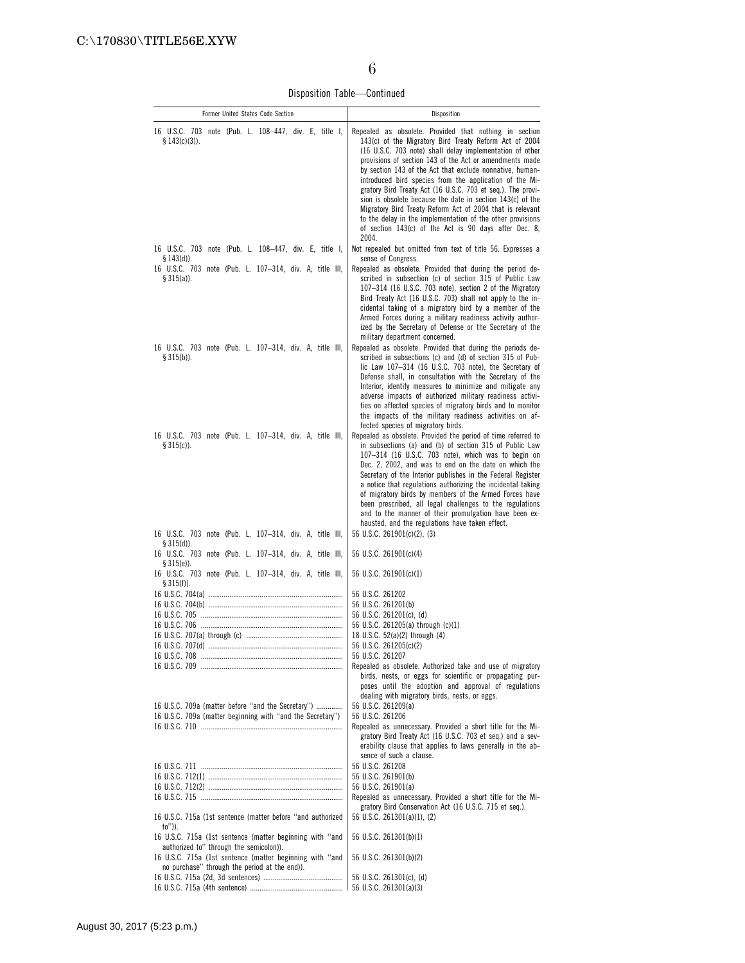Disposition Table—Continued

| Former United States Code Section                                                                                                                               | Disposition                                                                                                                                                                                                                                                                                                                                                                                                                                                                                                                                                                                                                                                                              |
|-----------------------------------------------------------------------------------------------------------------------------------------------------------------|------------------------------------------------------------------------------------------------------------------------------------------------------------------------------------------------------------------------------------------------------------------------------------------------------------------------------------------------------------------------------------------------------------------------------------------------------------------------------------------------------------------------------------------------------------------------------------------------------------------------------------------------------------------------------------------|
| 16 U.S.C. 703 note (Pub. L. 108–447, div. E, title I,<br>$$143(c)(3)$ ).                                                                                        | Repealed as obsolete. Provided that nothing in section<br>143(c) of the Migratory Bird Treaty Reform Act of 2004<br>(16 U.S.C. 703 note) shall delay implementation of other<br>provisions of section 143 of the Act or amendments made<br>by section 143 of the Act that exclude nonnative, human-<br>introduced bird species from the application of the Mi-<br>gratory Bird Treaty Act (16 U.S.C. 703 et seg.). The provi-<br>sion is obsolete because the date in section 143(c) of the<br>Migratory Bird Treaty Reform Act of 2004 that is relevant<br>to the delay in the implementation of the other provisions<br>of section 143(c) of the Act is 90 days after Dec. 8,<br>2004. |
| 16 U.S.C. 703 note (Pub. L. 108-447, div. E, title I,                                                                                                           | Not repealed but omitted from text of title 56. Expresses a                                                                                                                                                                                                                                                                                                                                                                                                                                                                                                                                                                                                                              |
| $$143(d)$ ).<br>16 U.S.C. 703 note (Pub. L. 107-314, div. A, title III,<br>§ 315(a)).                                                                           | sense of Congress.<br>Repealed as obsolete. Provided that during the period de-<br>scribed in subsection (c) of section 315 of Public Law<br>107-314 (16 U.S.C. 703 note), section 2 of the Migratory<br>Bird Treaty Act (16 U.S.C. 703) shall not apply to the in-<br>cidental taking of a migratory bird by a member of the<br>Armed Forces during a military readiness activity author-<br>ized by the Secretary of Defense or the Secretary of the<br>military department concerned.                                                                                                                                                                                                 |
| 16 U.S.C. 703 note (Pub. L. 107-314, div. A, title III,<br>$$315(b)$ ).                                                                                         | Repealed as obsolete. Provided that during the periods de-<br>scribed in subsections (c) and (d) of section 315 of Pub-<br>lic Law 107-314 (16 U.S.C. 703 note), the Secretary of<br>Defense shall, in consultation with the Secretary of the<br>Interior, identify measures to minimize and mitigate any<br>adverse impacts of authorized military readiness activi-<br>ties on affected species of migratory birds and to monitor<br>the impacts of the military readiness activities on af-<br>fected species of migratory birds.                                                                                                                                                     |
| 16 U.S.C. 703 note (Pub. L. 107-314, div. A, title III,<br>$$315(c)$ ).<br>16 U.S.C. 703 note (Pub. L. 107-314, div. A, title III,                              | Repealed as obsolete. Provided the period of time referred to<br>in subsections (a) and (b) of section 315 of Public Law<br>107-314 (16 U.S.C. 703 note), which was to begin on<br>Dec. 2, 2002, and was to end on the date on which the<br>Secretary of the Interior publishes in the Federal Register<br>a notice that regulations authorizing the incidental taking<br>of migratory birds by members of the Armed Forces have<br>been prescribed, all legal challenges to the regulations<br>and to the manner of their promulgation have been ex-<br>hausted, and the regulations have taken effect.<br>56 U.S.C. 261901(c)(2), (3)                                                  |
| § 315(d)).<br>16 U.S.C. 703 note (Pub. L. 107-314, div. A, title III,                                                                                           | 56 U.S.C. 261901(c)(4)                                                                                                                                                                                                                                                                                                                                                                                                                                                                                                                                                                                                                                                                   |
| $§ 315(e)$ ).<br>16 U.S.C. 703 note (Pub. L. 107–314, div. A, title III,<br>$$315(f)$ ).                                                                        | 56 U.S.C. 261901(c)(1)                                                                                                                                                                                                                                                                                                                                                                                                                                                                                                                                                                                                                                                                   |
|                                                                                                                                                                 | 56 U.S.C. 261202<br>56 U.S.C. 261201(b)<br>56 U.S.C. 261201(c), (d)<br>56 U.S.C. 261205(a) through (c)(1)<br>18 U.S.C. 52(a)(2) through (4)<br>56 U.S.C. 261205(c)(2)<br>56 U.S.C. 261207<br>Repealed as obsolete. Authorized take and use of migratory<br>birds, nests, or eggs for scientific or propagating pur-<br>poses until the adoption and approval of regulations                                                                                                                                                                                                                                                                                                              |
| 16 U.S.C. 709a (matter before "and the Secretary")<br>16 U.S.C. 709a (matter beginning with "and the Secretary")                                                | dealing with migratory birds, nests, or eggs.<br>56 U.S.C. 261209(a)<br>56 U.S.C. 261206<br>Repealed as unnecessary. Provided a short title for the Mi-<br>gratory Bird Treaty Act (16 U.S.C. 703 et seq.) and a sev-<br>erability clause that applies to laws generally in the ab-                                                                                                                                                                                                                                                                                                                                                                                                      |
|                                                                                                                                                                 | sence of such a clause.                                                                                                                                                                                                                                                                                                                                                                                                                                                                                                                                                                                                                                                                  |
|                                                                                                                                                                 | 56 U.S.C. 261208<br>56 U.S.C. 261901(b)                                                                                                                                                                                                                                                                                                                                                                                                                                                                                                                                                                                                                                                  |
|                                                                                                                                                                 | 56 U.S.C. 261901(a)                                                                                                                                                                                                                                                                                                                                                                                                                                                                                                                                                                                                                                                                      |
|                                                                                                                                                                 | Repealed as unnecessary. Provided a short title for the Mi-<br>gratory Bird Conservation Act (16 U.S.C. 715 et seq.).                                                                                                                                                                                                                                                                                                                                                                                                                                                                                                                                                                    |
| 16 U.S.C. 715a (1st sentence (matter before "and authorized<br>to")).                                                                                           | 56 U.S.C. 261301(a)(1), (2)                                                                                                                                                                                                                                                                                                                                                                                                                                                                                                                                                                                                                                                              |
| 16 U.S.C. 715a (1st sentence (matter beginning with "and<br>authorized to" through the semicolon)).<br>16 U.S.C. 715a (1st sentence (matter beginning with "and | 56 U.S.C. 261301(b)(1)<br>56 U.S.C. 261301(b)(2)                                                                                                                                                                                                                                                                                                                                                                                                                                                                                                                                                                                                                                         |
| no purchase" through the period at the end)).                                                                                                                   |                                                                                                                                                                                                                                                                                                                                                                                                                                                                                                                                                                                                                                                                                          |
|                                                                                                                                                                 | 56 U.S.C. 261301(c), (d)                                                                                                                                                                                                                                                                                                                                                                                                                                                                                                                                                                                                                                                                 |
|                                                                                                                                                                 | 56 U.S.C. 261301(a)(3)                                                                                                                                                                                                                                                                                                                                                                                                                                                                                                                                                                                                                                                                   |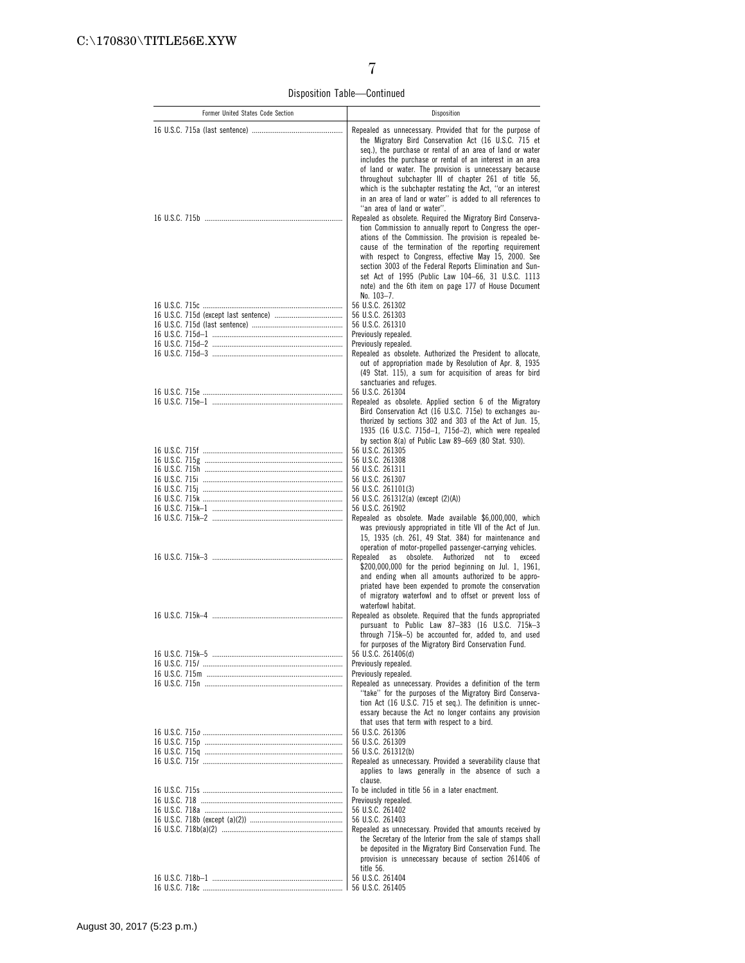Disposition Table—Continued

| Former United States Code Section | Disposition                                                                                                                                                                                                                                                                                                                                                                                                                                                                                                                |
|-----------------------------------|----------------------------------------------------------------------------------------------------------------------------------------------------------------------------------------------------------------------------------------------------------------------------------------------------------------------------------------------------------------------------------------------------------------------------------------------------------------------------------------------------------------------------|
|                                   | Repealed as unnecessary. Provided that for the purpose of<br>the Migratory Bird Conservation Act (16 U.S.C. 715 et<br>seq.), the purchase or rental of an area of land or water<br>includes the purchase or rental of an interest in an area<br>of land or water. The provision is unnecessary because<br>throughout subchapter III of chapter 261 of title 56,<br>which is the subchapter restating the Act, "or an interest<br>in an area of land or water" is added to all references to<br>"an area of land or water". |
|                                   | Repealed as obsolete. Required the Migratory Bird Conserva-<br>tion Commission to annually report to Congress the oper-<br>ations of the Commission. The provision is repealed be-<br>cause of the termination of the reporting requirement<br>with respect to Congress, effective May 15, 2000. See<br>section 3003 of the Federal Reports Elimination and Sun-<br>set Act of 1995 (Public Law 104-66, 31 U.S.C. 1113<br>note) and the 6th item on page 177 of House Document<br>No. 103-7.                               |
|                                   | 56 U.S.C. 261302                                                                                                                                                                                                                                                                                                                                                                                                                                                                                                           |
|                                   | 56 U.S.C. 261303<br>56 U.S.C. 261310                                                                                                                                                                                                                                                                                                                                                                                                                                                                                       |
|                                   | Previously repealed.                                                                                                                                                                                                                                                                                                                                                                                                                                                                                                       |
|                                   | Previously repealed.                                                                                                                                                                                                                                                                                                                                                                                                                                                                                                       |
|                                   | Repealed as obsolete. Authorized the President to allocate,<br>out of appropriation made by Resolution of Apr. 8, 1935<br>(49 Stat. 115), a sum for acquisition of areas for bird<br>sanctuaries and refuges.                                                                                                                                                                                                                                                                                                              |
|                                   | 56 U.S.C. 261304                                                                                                                                                                                                                                                                                                                                                                                                                                                                                                           |
|                                   | Repealed as obsolete. Applied section 6 of the Migratory<br>Bird Conservation Act (16 U.S.C. 715e) to exchanges au-<br>thorized by sections 302 and 303 of the Act of Jun. 15,<br>1935 (16 U.S.C. 715d-1, 715d-2), which were repealed<br>by section 8(a) of Public Law 89-669 (80 Stat. 930).                                                                                                                                                                                                                             |
|                                   | 56 U.S.C. 261305                                                                                                                                                                                                                                                                                                                                                                                                                                                                                                           |
|                                   | 56 U.S.C. 261308                                                                                                                                                                                                                                                                                                                                                                                                                                                                                                           |
|                                   | 56 U.S.C. 261311                                                                                                                                                                                                                                                                                                                                                                                                                                                                                                           |
|                                   | 56 U.S.C. 261307<br>56 U.S.C. 261101(3)                                                                                                                                                                                                                                                                                                                                                                                                                                                                                    |
|                                   | 56 U.S.C. 261312(a) (except (2)(A))                                                                                                                                                                                                                                                                                                                                                                                                                                                                                        |
|                                   | 56 U.S.C. 261902                                                                                                                                                                                                                                                                                                                                                                                                                                                                                                           |
|                                   | Repealed as obsolete. Made available \$6,000,000, which<br>was previously appropriated in title VII of the Act of Jun.<br>15, 1935 (ch. 261, 49 Stat. 384) for maintenance and                                                                                                                                                                                                                                                                                                                                             |
|                                   | operation of motor-propelled passenger-carrying vehicles.<br>obsolete.<br>Authorized<br>Repealed<br>as<br>not to<br>exceed<br>\$200,000,000 for the period beginning on Jul. 1, 1961,<br>and ending when all amounts authorized to be appro-<br>priated have been expended to promote the conservation<br>of migratory waterfowl and to offset or prevent loss of                                                                                                                                                          |
|                                   | waterfowl habitat.<br>Repealed as obsolete. Required that the funds appropriated                                                                                                                                                                                                                                                                                                                                                                                                                                           |
|                                   | pursuant to Public Law 87-383 (16 U.S.C. 715k-3                                                                                                                                                                                                                                                                                                                                                                                                                                                                            |
|                                   | through 715k-5) be accounted for, added to, and used                                                                                                                                                                                                                                                                                                                                                                                                                                                                       |
|                                   | for purposes of the Migratory Bird Conservation Fund.<br>56 U.S.C. 261406(d)                                                                                                                                                                                                                                                                                                                                                                                                                                               |
|                                   | Previously repealed.                                                                                                                                                                                                                                                                                                                                                                                                                                                                                                       |
|                                   | Previously repealed.                                                                                                                                                                                                                                                                                                                                                                                                                                                                                                       |
|                                   | Repealed as unnecessary. Provides a definition of the term<br>"take" for the purposes of the Migratory Bird Conserva-<br>tion Act (16 U.S.C. 715 et seq.). The definition is unnec-<br>essary because the Act no longer contains any provision                                                                                                                                                                                                                                                                             |
|                                   | that uses that term with respect to a bird.                                                                                                                                                                                                                                                                                                                                                                                                                                                                                |
|                                   | 56 U.S.C. 261306<br>56 U.S.C. 261309                                                                                                                                                                                                                                                                                                                                                                                                                                                                                       |
|                                   | 56 U.S.C. 261312(b)                                                                                                                                                                                                                                                                                                                                                                                                                                                                                                        |
|                                   | Repealed as unnecessary. Provided a severability clause that                                                                                                                                                                                                                                                                                                                                                                                                                                                               |
|                                   | applies to laws generally in the absence of such a<br>clause.<br>To be included in title 56 in a later enactment.                                                                                                                                                                                                                                                                                                                                                                                                          |
|                                   | Previously repealed.                                                                                                                                                                                                                                                                                                                                                                                                                                                                                                       |
|                                   | 56 U.S.C. 261402                                                                                                                                                                                                                                                                                                                                                                                                                                                                                                           |
|                                   | 56 U.S.C. 261403                                                                                                                                                                                                                                                                                                                                                                                                                                                                                                           |
|                                   | Repealed as unnecessary. Provided that amounts received by<br>the Secretary of the Interior from the sale of stamps shall<br>be deposited in the Migratory Bird Conservation Fund. The<br>provision is unnecessary because of section 261406 of<br>title 56.                                                                                                                                                                                                                                                               |
|                                   | 56 U.S.C. 261404                                                                                                                                                                                                                                                                                                                                                                                                                                                                                                           |
|                                   |                                                                                                                                                                                                                                                                                                                                                                                                                                                                                                                            |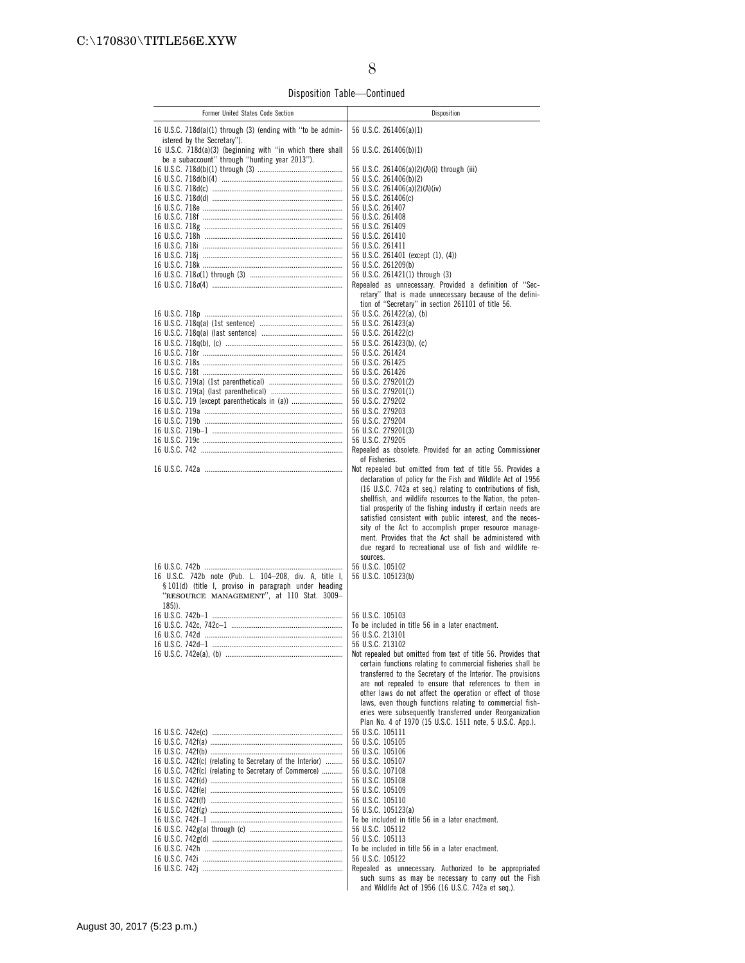Disposition Table—Continued

| Former United States Code Section                                                                                                                                         | Disposition                                                                                                                                                                                                                                                                                                                                                                                                                                                                                                                                                                    |
|---------------------------------------------------------------------------------------------------------------------------------------------------------------------------|--------------------------------------------------------------------------------------------------------------------------------------------------------------------------------------------------------------------------------------------------------------------------------------------------------------------------------------------------------------------------------------------------------------------------------------------------------------------------------------------------------------------------------------------------------------------------------|
| 16 U.S.C. $718d(a)(1)$ through (3) (ending with "to be admin-                                                                                                             | 56 U.S.C. 261406(a)(1)                                                                                                                                                                                                                                                                                                                                                                                                                                                                                                                                                         |
| istered by the Secretary").<br>16 U.S.C. 718d(a)(3) (beginning with "in which there shall<br>be a subaccount" through "hunting year 2013").                               | 56 U.S.C. 261406(b)(1)                                                                                                                                                                                                                                                                                                                                                                                                                                                                                                                                                         |
|                                                                                                                                                                           | 56 U.S.C. 261406(a)(2)(A)(i) through (iii)                                                                                                                                                                                                                                                                                                                                                                                                                                                                                                                                     |
|                                                                                                                                                                           | 56 U.S.C. 261406(b)(2)                                                                                                                                                                                                                                                                                                                                                                                                                                                                                                                                                         |
|                                                                                                                                                                           | 56 U.S.C. 261406(a)(2)(A)(iv)<br>56 U.S.C. 261406(c)                                                                                                                                                                                                                                                                                                                                                                                                                                                                                                                           |
|                                                                                                                                                                           | 56 U.S.C. 261407                                                                                                                                                                                                                                                                                                                                                                                                                                                                                                                                                               |
|                                                                                                                                                                           | 56 U.S.C. 261408                                                                                                                                                                                                                                                                                                                                                                                                                                                                                                                                                               |
|                                                                                                                                                                           | 56 U.S.C. 261409<br>56 U.S.C. 261410                                                                                                                                                                                                                                                                                                                                                                                                                                                                                                                                           |
|                                                                                                                                                                           | 56 U.S.C. 261411                                                                                                                                                                                                                                                                                                                                                                                                                                                                                                                                                               |
|                                                                                                                                                                           | 56 U.S.C. 261401 (except (1), (4))                                                                                                                                                                                                                                                                                                                                                                                                                                                                                                                                             |
|                                                                                                                                                                           | 56 U.S.C. 261209(b)                                                                                                                                                                                                                                                                                                                                                                                                                                                                                                                                                            |
|                                                                                                                                                                           | 56 U.S.C. 261421(1) through (3)<br>Repealed as unnecessary. Provided a definition of "Sec-                                                                                                                                                                                                                                                                                                                                                                                                                                                                                     |
|                                                                                                                                                                           | retary" that is made unnecessary because of the defini-                                                                                                                                                                                                                                                                                                                                                                                                                                                                                                                        |
|                                                                                                                                                                           | tion of "Secretary" in section 261101 of title 56.                                                                                                                                                                                                                                                                                                                                                                                                                                                                                                                             |
|                                                                                                                                                                           | 56 U.S.C. 261422(a), (b)<br>56 U.S.C. 261423(a)                                                                                                                                                                                                                                                                                                                                                                                                                                                                                                                                |
|                                                                                                                                                                           | 56 U.S.C. 261422(c)                                                                                                                                                                                                                                                                                                                                                                                                                                                                                                                                                            |
|                                                                                                                                                                           | 56 U.S.C. 261423(b), (c)                                                                                                                                                                                                                                                                                                                                                                                                                                                                                                                                                       |
|                                                                                                                                                                           | 56 U.S.C. 261424<br>56 U.S.C. 261425                                                                                                                                                                                                                                                                                                                                                                                                                                                                                                                                           |
|                                                                                                                                                                           | 56 U.S.C. 261426                                                                                                                                                                                                                                                                                                                                                                                                                                                                                                                                                               |
|                                                                                                                                                                           | 56 U.S.C. 279201(2)                                                                                                                                                                                                                                                                                                                                                                                                                                                                                                                                                            |
|                                                                                                                                                                           | 56 U.S.C. 279201(1)                                                                                                                                                                                                                                                                                                                                                                                                                                                                                                                                                            |
|                                                                                                                                                                           | 56 U.S.C. 279202<br>56 U.S.C. 279203                                                                                                                                                                                                                                                                                                                                                                                                                                                                                                                                           |
|                                                                                                                                                                           | 56 U.S.C. 279204                                                                                                                                                                                                                                                                                                                                                                                                                                                                                                                                                               |
|                                                                                                                                                                           | 56 U.S.C. 279201(3)                                                                                                                                                                                                                                                                                                                                                                                                                                                                                                                                                            |
|                                                                                                                                                                           | 56 U.S.C. 279205<br>Repealed as obsolete. Provided for an acting Commissioner                                                                                                                                                                                                                                                                                                                                                                                                                                                                                                  |
|                                                                                                                                                                           | of Fisheries.                                                                                                                                                                                                                                                                                                                                                                                                                                                                                                                                                                  |
|                                                                                                                                                                           | Not repealed but omitted from text of title 56. Provides a<br>declaration of policy for the Fish and Wildlife Act of 1956<br>(16 U.S.C. 742a et seq.) relating to contributions of fish,<br>shellfish, and wildlife resources to the Nation, the poten-<br>tial prosperity of the fishing industry if certain needs are<br>satisfied consistent with public interest, and the neces-<br>sity of the Act to accomplish proper resource manage-<br>ment. Provides that the Act shall be administered with<br>due regard to recreational use of fish and wildlife re-<br>sources. |
| 16 U.S.C. 742b note (Pub. L. 104-208, div. A, title I,<br>§ 101(d) (title I, proviso in paragraph under heading<br>"RESOURCE MANAGEMENT", at 110 Stat. 3009-<br>$185$ )). | 56 U.S.C. 105102<br>56 U.S.C. 105123(b)                                                                                                                                                                                                                                                                                                                                                                                                                                                                                                                                        |
|                                                                                                                                                                           | 56 U.S.C. 105103                                                                                                                                                                                                                                                                                                                                                                                                                                                                                                                                                               |
|                                                                                                                                                                           | To be included in title 56 in a later enactment.                                                                                                                                                                                                                                                                                                                                                                                                                                                                                                                               |
|                                                                                                                                                                           | 56 U.S.C. 213101<br>56 U.S.C. 213102                                                                                                                                                                                                                                                                                                                                                                                                                                                                                                                                           |
|                                                                                                                                                                           | Not repealed but omitted from text of title 56. Provides that<br>certain functions relating to commercial fisheries shall be<br>transferred to the Secretary of the Interior. The provisions<br>are not repealed to ensure that references to them in<br>other laws do not affect the operation or effect of those<br>laws, even though functions relating to commercial fish-<br>eries were subsequently transferred under Reorganization                                                                                                                                     |
|                                                                                                                                                                           | Plan No. 4 of 1970 (15 U.S.C. 1511 note, 5 U.S.C. App.).                                                                                                                                                                                                                                                                                                                                                                                                                                                                                                                       |
|                                                                                                                                                                           | 56 U.S.C. 105111                                                                                                                                                                                                                                                                                                                                                                                                                                                                                                                                                               |
|                                                                                                                                                                           | 56 U.S.C. 105105<br>56 U.S.C. 105106                                                                                                                                                                                                                                                                                                                                                                                                                                                                                                                                           |
| 16 U.S.C. 742f(c) (relating to Secretary of the Interior)                                                                                                                 | 56 U.S.C. 105107                                                                                                                                                                                                                                                                                                                                                                                                                                                                                                                                                               |
| 16 U.S.C. 742f(c) (relating to Secretary of Commerce)                                                                                                                     | 56 U.S.C. 107108                                                                                                                                                                                                                                                                                                                                                                                                                                                                                                                                                               |
|                                                                                                                                                                           | 56 U.S.C. 105108<br>56 U.S.C. 105109                                                                                                                                                                                                                                                                                                                                                                                                                                                                                                                                           |
|                                                                                                                                                                           | 56 U.S.C. 105110                                                                                                                                                                                                                                                                                                                                                                                                                                                                                                                                                               |
|                                                                                                                                                                           | 56 U.S.C. 105123(a)                                                                                                                                                                                                                                                                                                                                                                                                                                                                                                                                                            |
|                                                                                                                                                                           | To be included in title 56 in a later enactment.                                                                                                                                                                                                                                                                                                                                                                                                                                                                                                                               |
|                                                                                                                                                                           | 56 U.S.C. 105112<br>56 U.S.C. 105113                                                                                                                                                                                                                                                                                                                                                                                                                                                                                                                                           |
|                                                                                                                                                                           | To be included in title 56 in a later enactment.                                                                                                                                                                                                                                                                                                                                                                                                                                                                                                                               |
|                                                                                                                                                                           | 56 U.S.C. 105122                                                                                                                                                                                                                                                                                                                                                                                                                                                                                                                                                               |
|                                                                                                                                                                           | Repealed as unnecessary. Authorized to be appropriated<br>such sums as may be necessary to carry out the Fish<br>and Wildlife Act of 1956 (16 U.S.C. 742a et seq.).                                                                                                                                                                                                                                                                                                                                                                                                            |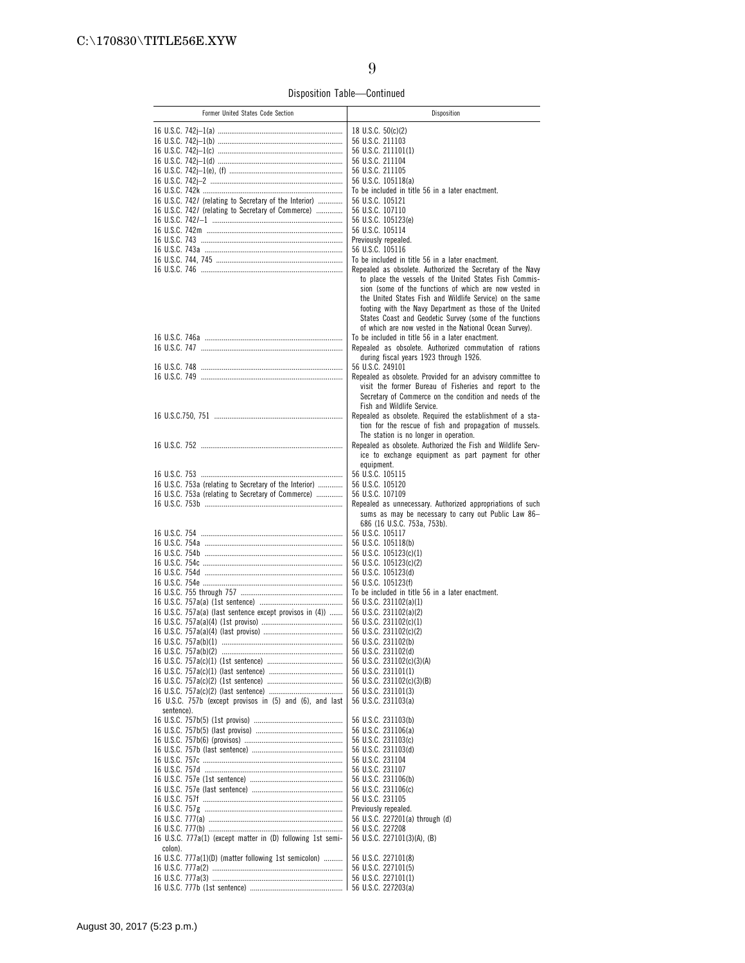Disposition Table—Continued

| Former United States Code Section                           | Disposition                                                                                                                                                                                                                                                                                                                                                  |
|-------------------------------------------------------------|--------------------------------------------------------------------------------------------------------------------------------------------------------------------------------------------------------------------------------------------------------------------------------------------------------------------------------------------------------------|
|                                                             | 18 U.S.C. 50(c)(2)                                                                                                                                                                                                                                                                                                                                           |
|                                                             | 56 U.S.C. 211103                                                                                                                                                                                                                                                                                                                                             |
|                                                             |                                                                                                                                                                                                                                                                                                                                                              |
|                                                             | 56 U.S.C. 211101(1)                                                                                                                                                                                                                                                                                                                                          |
|                                                             | 56 U.S.C. 211104                                                                                                                                                                                                                                                                                                                                             |
|                                                             | 56 U.S.C. 211105                                                                                                                                                                                                                                                                                                                                             |
|                                                             | 56 U.S.C. 105118(a)                                                                                                                                                                                                                                                                                                                                          |
|                                                             | To be included in title 56 in a later enactment.                                                                                                                                                                                                                                                                                                             |
| 16 U.S.C. 742/ (relating to Secretary of the Interior)      | 56 U.S.C. 105121                                                                                                                                                                                                                                                                                                                                             |
| 16 U.S.C. 742/ (relating to Secretary of Commerce)          | 56 U.S.C. 107110                                                                                                                                                                                                                                                                                                                                             |
|                                                             | 56 U.S.C. 105123(e)<br>56 U.S.C. 105114                                                                                                                                                                                                                                                                                                                      |
|                                                             | Previously repealed.                                                                                                                                                                                                                                                                                                                                         |
|                                                             | 56 U.S.C. 105116                                                                                                                                                                                                                                                                                                                                             |
|                                                             | To be included in title 56 in a later enactment.                                                                                                                                                                                                                                                                                                             |
|                                                             | Repealed as obsolete. Authorized the Secretary of the Navy                                                                                                                                                                                                                                                                                                   |
|                                                             | to place the vessels of the United States Fish Commis-<br>sion (some of the functions of which are now vested in<br>the United States Fish and Wildlife Service) on the same<br>footing with the Navy Department as those of the United<br>States Coast and Geodetic Survey (some of the functions<br>of which are now vested in the National Ocean Survey). |
|                                                             | To be included in title 56 in a later enactment.                                                                                                                                                                                                                                                                                                             |
|                                                             | Repealed as obsolete. Authorized commutation of rations                                                                                                                                                                                                                                                                                                      |
|                                                             | during fiscal years 1923 through 1926.                                                                                                                                                                                                                                                                                                                       |
|                                                             | 56 U.S.C. 249101                                                                                                                                                                                                                                                                                                                                             |
|                                                             | Repealed as obsolete. Provided for an advisory committee to                                                                                                                                                                                                                                                                                                  |
|                                                             | visit the former Bureau of Fisheries and report to the<br>Secretary of Commerce on the condition and needs of the<br>Fish and Wildlife Service.                                                                                                                                                                                                              |
|                                                             | Repealed as obsolete. Required the establishment of a sta-<br>tion for the rescue of fish and propagation of mussels.<br>The station is no longer in operation.                                                                                                                                                                                              |
|                                                             | Repealed as obsolete. Authorized the Fish and Wildlife Serv-<br>ice to exchange equipment as part payment for other                                                                                                                                                                                                                                          |
|                                                             | equipment.                                                                                                                                                                                                                                                                                                                                                   |
|                                                             | 56 U.S.C. 105115                                                                                                                                                                                                                                                                                                                                             |
| 16 U.S.C. 753a (relating to Secretary of the Interior)      | 56 U.S.C. 105120                                                                                                                                                                                                                                                                                                                                             |
| 16 U.S.C. 753a (relating to Secretary of Commerce)          | 56 U.S.C. 107109                                                                                                                                                                                                                                                                                                                                             |
|                                                             | Repealed as unnecessary. Authorized appropriations of such<br>sums as may be necessary to carry out Public Law 86-<br>686 (16 U.S.C. 753a, 753b).                                                                                                                                                                                                            |
|                                                             | 56 U.S.C. 105117                                                                                                                                                                                                                                                                                                                                             |
|                                                             | 56 U.S.C. 105118(b)                                                                                                                                                                                                                                                                                                                                          |
|                                                             | 56 U.S.C. 105123(c)(1)                                                                                                                                                                                                                                                                                                                                       |
|                                                             | 56 U.S.C. 105123(c)(2)                                                                                                                                                                                                                                                                                                                                       |
|                                                             | 56 U.S.C. 105123(d)                                                                                                                                                                                                                                                                                                                                          |
|                                                             | 56 U.S.C. 105123(f)                                                                                                                                                                                                                                                                                                                                          |
|                                                             | To be included in title 56 in a later enactment.                                                                                                                                                                                                                                                                                                             |
|                                                             | 56 U.S.C. 231102(a)(1)                                                                                                                                                                                                                                                                                                                                       |
| 16 U.S.C. 757a(a) (last sentence except provisos in (4))    | 56 U.S.C. 231102(a)(2)                                                                                                                                                                                                                                                                                                                                       |
|                                                             | 56 U.S.C. 231102(c)(1)                                                                                                                                                                                                                                                                                                                                       |
|                                                             | 56 U.S.C. 231102(c)(2)                                                                                                                                                                                                                                                                                                                                       |
|                                                             | 56 U.S.C. 231102(b)                                                                                                                                                                                                                                                                                                                                          |
|                                                             | 56 U.S.C. 231102(d)                                                                                                                                                                                                                                                                                                                                          |
|                                                             | 56 U.S.C. 231102(c)(3)(A)                                                                                                                                                                                                                                                                                                                                    |
|                                                             | 56 U.S.C. 231101(1)                                                                                                                                                                                                                                                                                                                                          |
|                                                             | 56 U.S.C. 231102(c)(3)(B)                                                                                                                                                                                                                                                                                                                                    |
|                                                             | 56 U.S.C. 231101(3)                                                                                                                                                                                                                                                                                                                                          |
| 16 U.S.C. 757b (except provisos in (5) and (6), and last    | 56 U.S.C. 231103(a)                                                                                                                                                                                                                                                                                                                                          |
| sentence).                                                  | 56 U.S.C. 231103(b)                                                                                                                                                                                                                                                                                                                                          |
|                                                             | 56 U.S.C. 231106(a)                                                                                                                                                                                                                                                                                                                                          |
|                                                             | 56 U.S.C. 231103(c)                                                                                                                                                                                                                                                                                                                                          |
|                                                             | 56 U.S.C. 231103(d)                                                                                                                                                                                                                                                                                                                                          |
|                                                             | 56 U.S.C. 231104                                                                                                                                                                                                                                                                                                                                             |
|                                                             | 56 U.S.C. 231107                                                                                                                                                                                                                                                                                                                                             |
|                                                             | 56 U.S.C. 231106(b)                                                                                                                                                                                                                                                                                                                                          |
|                                                             | 56 U.S.C. 231106(c)                                                                                                                                                                                                                                                                                                                                          |
|                                                             | 56 U.S.C. 231105                                                                                                                                                                                                                                                                                                                                             |
|                                                             | Previously repealed.                                                                                                                                                                                                                                                                                                                                         |
|                                                             | 56 U.S.C. 227201(a) through (d)                                                                                                                                                                                                                                                                                                                              |
|                                                             | 56 U.S.C. 227208                                                                                                                                                                                                                                                                                                                                             |
| 16 U.S.C. 777a(1) (except matter in (D) following 1st semi- | 56 U.S.C. 227101(3)(A), (B)                                                                                                                                                                                                                                                                                                                                  |
| colon).                                                     |                                                                                                                                                                                                                                                                                                                                                              |
| 16 U.S.C. 777a(1)(D) (matter following 1st semicolon)       | 56 U.S.C. 227101(8)                                                                                                                                                                                                                                                                                                                                          |
|                                                             | 56 U.S.C. 227101(5)                                                                                                                                                                                                                                                                                                                                          |
|                                                             | 56 U.S.C. 227101(1)                                                                                                                                                                                                                                                                                                                                          |
|                                                             | 56 U.S.C. 227203(a)                                                                                                                                                                                                                                                                                                                                          |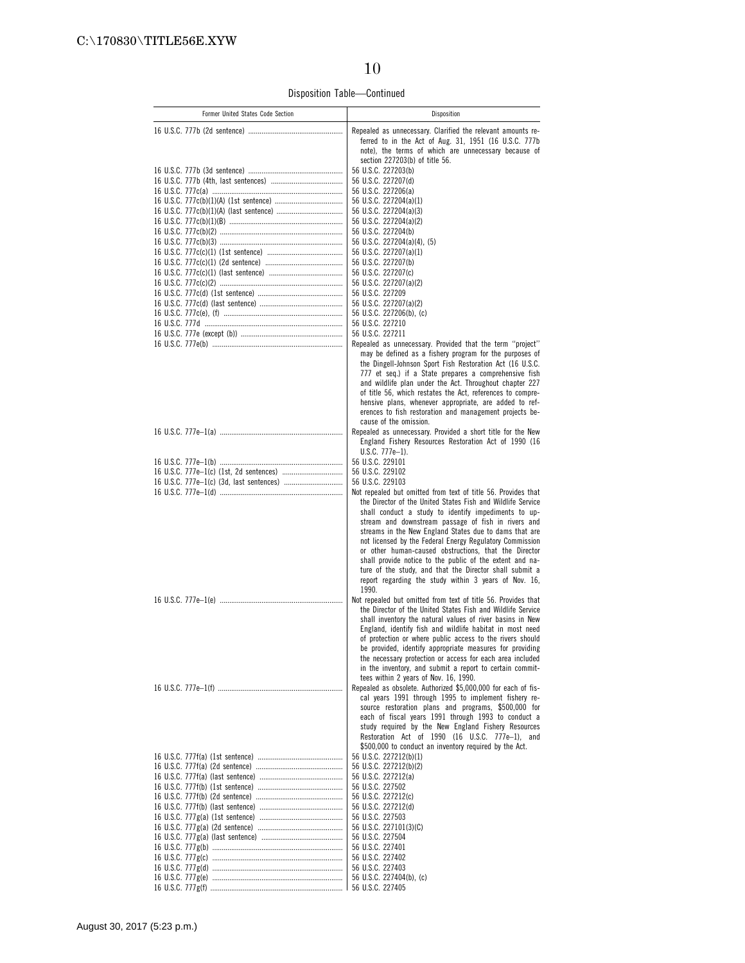Disposition Table—Continued

| Former United States Code Section | Disposition                                                                                                              |
|-----------------------------------|--------------------------------------------------------------------------------------------------------------------------|
|                                   | Repealed as unnecessary. Clarified the relevant amounts re-                                                              |
|                                   | ferred to in the Act of Aug. 31, 1951 (16 U.S.C. 777b<br>note), the terms of which are unnecessary because of            |
|                                   | section 227203(b) of title 56.                                                                                           |
|                                   | 56 U.S.C. 227203(b)                                                                                                      |
|                                   | 56 U.S.C. 227207(d)<br>56 U.S.C. 227206(a)                                                                               |
|                                   | 56 U.S.C. 227204(a)(1)                                                                                                   |
|                                   | 56 U.S.C. 227204(a)(3)                                                                                                   |
|                                   | 56 U.S.C. 227204(a)(2)<br>56 U.S.C. 227204(b)                                                                            |
|                                   | 56 U.S.C. 227204(a)(4), (5)                                                                                              |
|                                   | 56 U.S.C. 227207(a)(1)                                                                                                   |
|                                   | 56 U.S.C. 227207(b)<br>56 U.S.C. 227207(c)                                                                               |
|                                   | 56 U.S.C. 227207(a)(2)                                                                                                   |
|                                   | 56 U.S.C. 227209                                                                                                         |
|                                   | 56 U.S.C. 227207(a)(2)<br>56 U.S.C. 227206(b), (c)                                                                       |
|                                   | 56 U.S.C. 227210                                                                                                         |
|                                   | 56 U.S.C. 227211                                                                                                         |
|                                   | Repealed as unnecessary. Provided that the term "project"<br>may be defined as a fishery program for the purposes of     |
|                                   | the Dingell-Johnson Sport Fish Restoration Act (16 U.S.C.                                                                |
|                                   | 777 et seq.) if a State prepares a comprehensive fish<br>and wildlife plan under the Act. Throughout chapter 227         |
|                                   | of title 56, which restates the Act, references to compre-                                                               |
|                                   | hensive plans, whenever appropriate, are added to ref-                                                                   |
|                                   | erences to fish restoration and management projects be-<br>cause of the omission.                                        |
|                                   | Repealed as unnecessary. Provided a short title for the New                                                              |
|                                   | England Fishery Resources Restoration Act of 1990 (16<br>$U.S.C. 777e-1$ ).                                              |
|                                   | 56 U.S.C. 229101                                                                                                         |
|                                   | 56 U.S.C. 229102<br>56 U.S.C. 229103                                                                                     |
|                                   | Not repealed but omitted from text of title 56. Provides that                                                            |
|                                   | the Director of the United States Fish and Wildlife Service                                                              |
|                                   | shall conduct a study to identify impediments to up-<br>stream and downstream passage of fish in rivers and              |
|                                   | streams in the New England States due to dams that are                                                                   |
|                                   | not licensed by the Federal Energy Regulatory Commission<br>or other human-caused obstructions, that the Director        |
|                                   | shall provide notice to the public of the extent and na-                                                                 |
|                                   | ture of the study, and that the Director shall submit a                                                                  |
|                                   | report regarding the study within 3 years of Nov. 16,<br>1990.                                                           |
|                                   | Not repealed but omitted from text of title 56. Provides that                                                            |
|                                   | the Director of the United States Fish and Wildlife Service<br>shall inventory the natural values of river basins in New |
|                                   | England, identify fish and wildlife habitat in most need                                                                 |
|                                   | of protection or where public access to the rivers should<br>be provided, identify appropriate measures for providing    |
|                                   | the necessary protection or access for each area included                                                                |
|                                   | in the inventory, and submit a report to certain commit-                                                                 |
|                                   | tees within 2 years of Nov. 16, 1990.<br>Repealed as obsolete. Authorized \$5,000,000 for each of fis-                   |
|                                   | cal years 1991 through 1995 to implement fishery re-                                                                     |
|                                   | source restoration plans and programs, \$500,000 for<br>each of fiscal years 1991 through 1993 to conduct a              |
|                                   | study required by the New England Fishery Resources                                                                      |
|                                   | Restoration Act of 1990 (16 U.S.C. 777e-1), and<br>\$500,000 to conduct an inventory required by the Act.                |
|                                   | 56 U.S.C. 227212(b)(1)                                                                                                   |
|                                   | 56 U.S.C. 227212(b)(2)                                                                                                   |
|                                   | 56 U.S.C. 227212(a)<br>56 U.S.C. 227502                                                                                  |
|                                   | 56 U.S.C. 227212(c)                                                                                                      |
|                                   | 56 U.S.C. 227212(d)                                                                                                      |
|                                   | 56 U.S.C. 227503<br>56 U.S.C. 227101(3)(C)                                                                               |
|                                   | 56 U.S.C. 227504                                                                                                         |
|                                   | 56 U.S.C. 227401                                                                                                         |
|                                   | 56 U.S.C. 227402<br>56 U.S.C. 227403                                                                                     |
|                                   | 56 U.S.C. 227404(b), (c)                                                                                                 |
|                                   | 56 U.S.C. 227405                                                                                                         |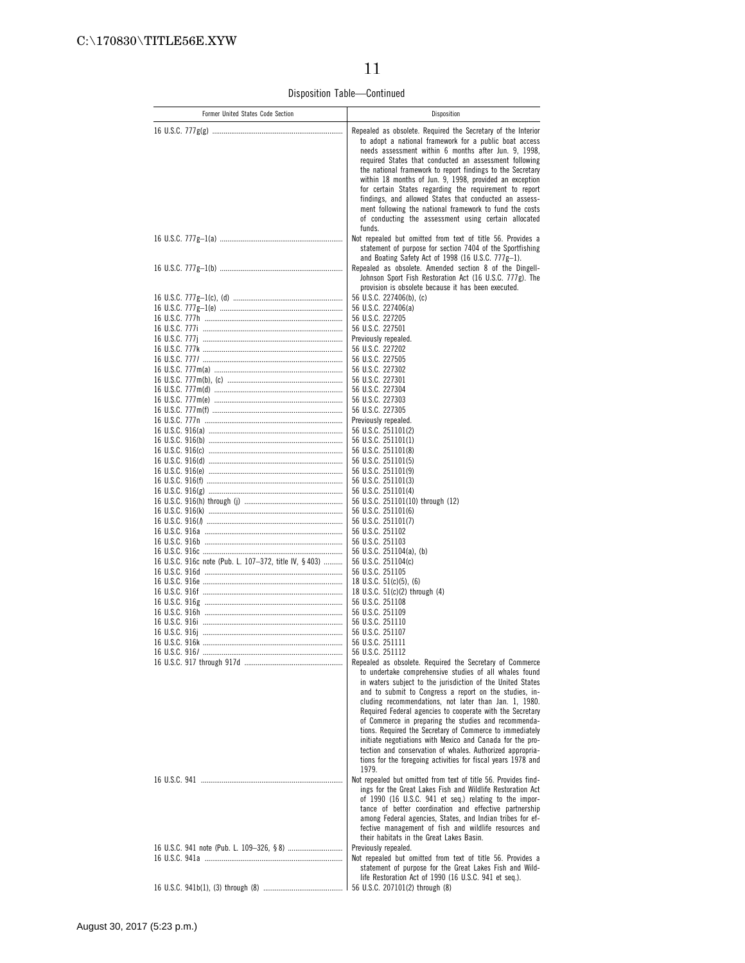Disposition Table—Continued

| Former United States Code Section                     | Disposition                                                                                                                                                                                                                                                                                                                                                                                                                                                                                                                                                                                                                 |
|-------------------------------------------------------|-----------------------------------------------------------------------------------------------------------------------------------------------------------------------------------------------------------------------------------------------------------------------------------------------------------------------------------------------------------------------------------------------------------------------------------------------------------------------------------------------------------------------------------------------------------------------------------------------------------------------------|
|                                                       | Repealed as obsolete. Required the Secretary of the Interior<br>to adopt a national framework for a public boat access<br>needs assessment within 6 months after Jun. 9, 1998,<br>required States that conducted an assessment following<br>the national framework to report findings to the Secretary<br>within 18 months of Jun. 9, 1998, provided an exception<br>for certain States regarding the requirement to report<br>findings, and allowed States that conducted an assess-<br>ment following the national framework to fund the costs<br>of conducting the assessment using certain allocated<br>funds.          |
|                                                       | Not repealed but omitted from text of title 56. Provides a<br>statement of purpose for section 7404 of the Sportfishing<br>and Boating Safety Act of 1998 (16 U.S.C. $777g-1$ ).<br>Repealed as obsolete. Amended section 8 of the Dingell-                                                                                                                                                                                                                                                                                                                                                                                 |
|                                                       | Johnson Sport Fish Restoration Act (16 U.S.C. 777g). The<br>provision is obsolete because it has been executed.                                                                                                                                                                                                                                                                                                                                                                                                                                                                                                             |
|                                                       | 56 U.S.C. 227406(b), (c)<br>56 U.S.C. 227406(a)                                                                                                                                                                                                                                                                                                                                                                                                                                                                                                                                                                             |
|                                                       | 56 U.S.C. 227205                                                                                                                                                                                                                                                                                                                                                                                                                                                                                                                                                                                                            |
|                                                       | 56 U.S.C. 227501                                                                                                                                                                                                                                                                                                                                                                                                                                                                                                                                                                                                            |
|                                                       | Previously repealed.                                                                                                                                                                                                                                                                                                                                                                                                                                                                                                                                                                                                        |
|                                                       | 56 U.S.C. 227202                                                                                                                                                                                                                                                                                                                                                                                                                                                                                                                                                                                                            |
|                                                       | 56 U.S.C. 227505<br>56 U.S.C. 227302                                                                                                                                                                                                                                                                                                                                                                                                                                                                                                                                                                                        |
|                                                       | 56 U.S.C. 227301                                                                                                                                                                                                                                                                                                                                                                                                                                                                                                                                                                                                            |
|                                                       | 56 U.S.C. 227304                                                                                                                                                                                                                                                                                                                                                                                                                                                                                                                                                                                                            |
|                                                       | 56 U.S.C. 227303                                                                                                                                                                                                                                                                                                                                                                                                                                                                                                                                                                                                            |
|                                                       | 56 U.S.C. 227305                                                                                                                                                                                                                                                                                                                                                                                                                                                                                                                                                                                                            |
|                                                       | Previously repealed.<br>56 U.S.C. 251101(2)                                                                                                                                                                                                                                                                                                                                                                                                                                                                                                                                                                                 |
|                                                       | 56 U.S.C. 251101(1)                                                                                                                                                                                                                                                                                                                                                                                                                                                                                                                                                                                                         |
|                                                       | 56 U.S.C. 251101(8)                                                                                                                                                                                                                                                                                                                                                                                                                                                                                                                                                                                                         |
|                                                       | 56 U.S.C. 251101(5)<br>56 U.S.C. 251101(9)                                                                                                                                                                                                                                                                                                                                                                                                                                                                                                                                                                                  |
|                                                       | 56 U.S.C. 251101(3)                                                                                                                                                                                                                                                                                                                                                                                                                                                                                                                                                                                                         |
|                                                       | 56 U.S.C. 251101(4)                                                                                                                                                                                                                                                                                                                                                                                                                                                                                                                                                                                                         |
|                                                       | 56 U.S.C. 251101(10) through (12)<br>56 U.S.C. 251101(6)                                                                                                                                                                                                                                                                                                                                                                                                                                                                                                                                                                    |
|                                                       | 56 U.S.C. 251101(7)                                                                                                                                                                                                                                                                                                                                                                                                                                                                                                                                                                                                         |
|                                                       | 56 U.S.C. 251102                                                                                                                                                                                                                                                                                                                                                                                                                                                                                                                                                                                                            |
|                                                       | 56 U.S.C. 251103                                                                                                                                                                                                                                                                                                                                                                                                                                                                                                                                                                                                            |
| 16 U.S.C. 916c note (Pub. L. 107-372, title IV, §403) | 56 U.S.C. 251104(a), (b)<br>56 U.S.C. 251104(c)                                                                                                                                                                                                                                                                                                                                                                                                                                                                                                                                                                             |
|                                                       | 56 U.S.C. 251105                                                                                                                                                                                                                                                                                                                                                                                                                                                                                                                                                                                                            |
|                                                       | 18 U.S.C. $51(c)(5)$ , (6)                                                                                                                                                                                                                                                                                                                                                                                                                                                                                                                                                                                                  |
|                                                       | 18 U.S.C. 51(c)(2) through (4)<br>56 U.S.C. 251108                                                                                                                                                                                                                                                                                                                                                                                                                                                                                                                                                                          |
|                                                       | 56 U.S.C. 251109                                                                                                                                                                                                                                                                                                                                                                                                                                                                                                                                                                                                            |
|                                                       | 56 U.S.C. 251110                                                                                                                                                                                                                                                                                                                                                                                                                                                                                                                                                                                                            |
|                                                       | 56 U.S.C. 251107<br>56 U.S.C. 251111                                                                                                                                                                                                                                                                                                                                                                                                                                                                                                                                                                                        |
|                                                       | 56 U.S.C. 251112                                                                                                                                                                                                                                                                                                                                                                                                                                                                                                                                                                                                            |
|                                                       | Repealed as obsolete. Required the Secretary of Commerce                                                                                                                                                                                                                                                                                                                                                                                                                                                                                                                                                                    |
|                                                       | to undertake comprehensive studies of all whales found<br>in waters subject to the jurisdiction of the United States<br>and to submit to Congress a report on the studies, in-<br>cluding recommendations, not later than Jan. 1, 1980.<br>Required Federal agencies to cooperate with the Secretary<br>of Commerce in preparing the studies and recommenda-<br>tions. Required the Secretary of Commerce to immediately<br>initiate negotiations with Mexico and Canada for the pro-<br>tection and conservation of whales. Authorized appropria-<br>tions for the foregoing activities for fiscal years 1978 and<br>1979. |
|                                                       | Not repealed but omitted from text of title 56. Provides find-<br>ings for the Great Lakes Fish and Wildlife Restoration Act                                                                                                                                                                                                                                                                                                                                                                                                                                                                                                |
|                                                       | of 1990 (16 U.S.C. 941 et seq.) relating to the impor-<br>tance of better coordination and effective partnership<br>among Federal agencies, States, and Indian tribes for ef-<br>fective management of fish and wildlife resources and<br>their habitats in the Great Lakes Basin.                                                                                                                                                                                                                                                                                                                                          |
|                                                       | Previously repealed.                                                                                                                                                                                                                                                                                                                                                                                                                                                                                                                                                                                                        |
|                                                       | Not repealed but omitted from text of title 56. Provides a<br>statement of purpose for the Great Lakes Fish and Wild-                                                                                                                                                                                                                                                                                                                                                                                                                                                                                                       |
|                                                       | life Restoration Act of 1990 (16 U.S.C. 941 et seq.).                                                                                                                                                                                                                                                                                                                                                                                                                                                                                                                                                                       |
|                                                       | 56 U.S.C. 207101(2) through (8)                                                                                                                                                                                                                                                                                                                                                                                                                                                                                                                                                                                             |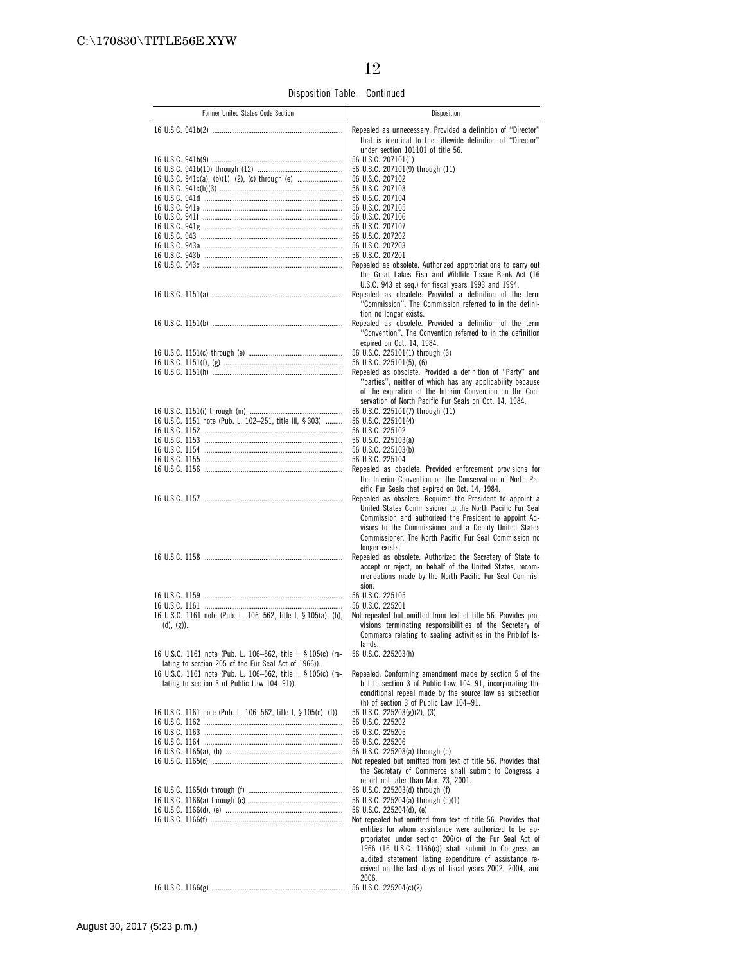Disposition Table—Continued

| Former United States Code Section                             | Disposition                                                                                                                                                      |
|---------------------------------------------------------------|------------------------------------------------------------------------------------------------------------------------------------------------------------------|
|                                                               | Repealed as unnecessary. Provided a definition of "Director"<br>that is identical to the titlewide definition of "Director"<br>under section 101101 of title 56. |
|                                                               | 56 U.S.C. 207101(1)                                                                                                                                              |
|                                                               | 56 U.S.C. 207101(9) through (11)                                                                                                                                 |
| 16 U.S.C. 941c(a), (b)(1), (2), (c) through (e)               | 56 U.S.C. 207102                                                                                                                                                 |
|                                                               | 56 U.S.C. 207103                                                                                                                                                 |
|                                                               | 56 U.S.C. 207104                                                                                                                                                 |
|                                                               | 56 U.S.C. 207105                                                                                                                                                 |
|                                                               | 56 U.S.C. 207106<br>56 U.S.C. 207107                                                                                                                             |
|                                                               | 56 U.S.C. 207202                                                                                                                                                 |
|                                                               | 56 U.S.C. 207203                                                                                                                                                 |
|                                                               | 56 U.S.C. 207201                                                                                                                                                 |
|                                                               | Repealed as obsolete. Authorized appropriations to carry out                                                                                                     |
|                                                               | the Great Lakes Fish and Wildlife Tissue Bank Act (16<br>U.S.C. 943 et seg.) for fiscal years 1993 and 1994.                                                     |
|                                                               | Repealed as obsolete. Provided a definition of the term                                                                                                          |
|                                                               | "Commission". The Commission referred to in the defini-                                                                                                          |
|                                                               | tion no longer exists.                                                                                                                                           |
|                                                               | Repealed as obsolete. Provided a definition of the term                                                                                                          |
|                                                               | "Convention". The Convention referred to in the definition                                                                                                       |
|                                                               | expired on Oct. 14, 1984.                                                                                                                                        |
|                                                               | 56 U.S.C. 225101(1) through (3)<br>56 U.S.C. 225101(5), (6)                                                                                                      |
|                                                               | Repealed as obsolete. Provided a definition of "Party" and                                                                                                       |
|                                                               | "parties", neither of which has any applicability because                                                                                                        |
|                                                               | of the expiration of the Interim Convention on the Con-                                                                                                          |
|                                                               | servation of North Pacific Fur Seals on Oct. 14, 1984.                                                                                                           |
|                                                               | 56 U.S.C. 225101(7) through (11)                                                                                                                                 |
| 16 U.S.C. 1151 note (Pub. L. 102-251, title III, § 303)       | 56 U.S.C. 225101(4)<br>56 U.S.C. 225102                                                                                                                          |
|                                                               | 56 U.S.C. 225103(a)                                                                                                                                              |
|                                                               | 56 U.S.C. 225103(b)                                                                                                                                              |
|                                                               | 56 U.S.C. 225104                                                                                                                                                 |
|                                                               | Repealed as obsolete. Provided enforcement provisions for                                                                                                        |
|                                                               | the Interim Convention on the Conservation of North Pa-                                                                                                          |
|                                                               | cific Fur Seals that expired on Oct. 14, 1984.<br>Repealed as obsolete. Required the President to appoint a                                                      |
|                                                               | United States Commissioner to the North Pacific Fur Seal                                                                                                         |
|                                                               | Commission and authorized the President to appoint Ad-                                                                                                           |
|                                                               | visors to the Commissioner and a Deputy United States                                                                                                            |
|                                                               | Commissioner. The North Pacific Fur Seal Commission no                                                                                                           |
|                                                               | longer exists.<br>Repealed as obsolete. Authorized the Secretary of State to                                                                                     |
|                                                               | accept or reject, on behalf of the United States, recom-                                                                                                         |
|                                                               | mendations made by the North Pacific Fur Seal Commis-                                                                                                            |
|                                                               | sion.                                                                                                                                                            |
|                                                               | 56 U.S.C. 225105                                                                                                                                                 |
|                                                               | 56 U.S.C. 225201                                                                                                                                                 |
| 16 U.S.C. 1161 note (Pub. L. 106-562, title I, § 105(a), (b). | Not repealed but omitted from text of title 56. Provides pro-                                                                                                    |
| $(d), (g)$ ).                                                 | visions terminating responsibilities of the Secretary of<br>Commerce relating to sealing activities in the Pribilof Is-                                          |
|                                                               | lands.                                                                                                                                                           |
| 16 U.S.C. 1161 note (Pub. L. 106-562, title I, § 105(c) (re-  | 56 U.S.C. 225203(h)                                                                                                                                              |
| lating to section 205 of the Fur Seal Act of 1966)).          |                                                                                                                                                                  |
| 16 U.S.C. 1161 note (Pub. L. 106-562, title I, § 105(c) (re-  | Repealed. Conforming amendment made by section 5 of the                                                                                                          |
| lating to section 3 of Public Law 104-91)).                   | bill to section 3 of Public Law 104-91, incorporating the<br>conditional repeal made by the source law as subsection                                             |
|                                                               | (h) of section 3 of Public Law 104-91.                                                                                                                           |
| 16 U.S.C. 1161 note (Pub. L. 106-562, title I, § 105(e), (f)) | 56 U.S.C. 225203(g)(2), (3)                                                                                                                                      |
|                                                               | 56 U.S.C. 225202                                                                                                                                                 |
|                                                               | 56 U.S.C. 225205                                                                                                                                                 |
|                                                               | 56 U.S.C. 225206                                                                                                                                                 |
|                                                               | 56 U.S.C. 225203(a) through (c)<br>Not repealed but omitted from text of title 56. Provides that                                                                 |
|                                                               | the Secretary of Commerce shall submit to Congress a                                                                                                             |
|                                                               | report not later than Mar. 23, 2001.                                                                                                                             |
|                                                               | 56 U.S.C. 225203(d) through (f)                                                                                                                                  |
|                                                               | 56 U.S.C. 225204(a) through (c)(1)                                                                                                                               |
|                                                               | 56 U.S.C. 225204(d), (e)                                                                                                                                         |
|                                                               | Not repealed but omitted from text of title 56. Provides that<br>entities for whom assistance were authorized to be ap-                                          |
|                                                               | propriated under section 206(c) of the Fur Seal Act of                                                                                                           |
|                                                               | 1966 (16 U.S.C. 1166(c)) shall submit to Congress an                                                                                                             |
|                                                               | audited statement listing expenditure of assistance re-                                                                                                          |
|                                                               | ceived on the last days of fiscal years 2002, 2004, and                                                                                                          |
|                                                               | 2006.                                                                                                                                                            |
|                                                               | 56 U.S.C. 225204(c)(2)                                                                                                                                           |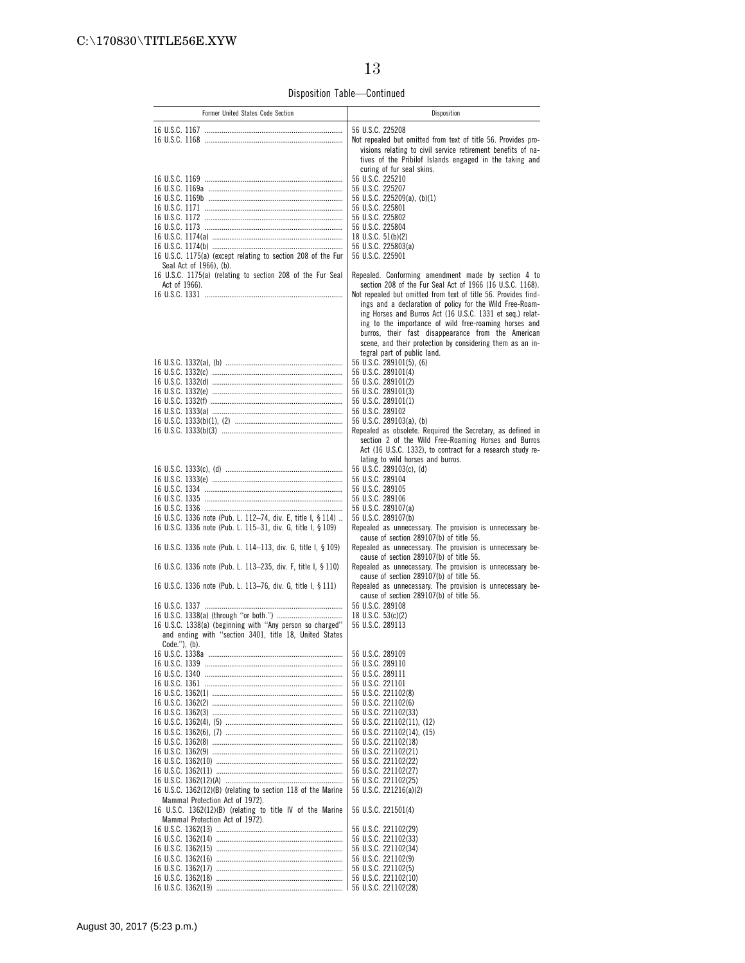Disposition Table—Continued

| Former United States Code Section                                                                                            | Disposition                                                                                                                 |
|------------------------------------------------------------------------------------------------------------------------------|-----------------------------------------------------------------------------------------------------------------------------|
|                                                                                                                              | 56 U.S.C. 225208                                                                                                            |
|                                                                                                                              | Not repealed but omitted from text of title 56. Provides pro-                                                               |
|                                                                                                                              | visions relating to civil service retirement benefits of na-                                                                |
|                                                                                                                              | tives of the Pribilof Islands engaged in the taking and<br>curing of fur seal skins.                                        |
|                                                                                                                              | 56 U.S.C. 225210                                                                                                            |
|                                                                                                                              | 56 U.S.C. 225207                                                                                                            |
|                                                                                                                              | 56 U.S.C. 225209(a), (b)(1)                                                                                                 |
|                                                                                                                              | 56 U.S.C. 225801<br>56 U.S.C. 225802                                                                                        |
|                                                                                                                              | 56 U.S.C. 225804                                                                                                            |
|                                                                                                                              | 18 U.S.C. 51(b)(2)                                                                                                          |
| 16 U.S.C. 1175(a) (except relating to section 208 of the Fur                                                                 | 56 U.S.C. 225803(a)<br>56 U.S.C. 225901                                                                                     |
| Seal Act of 1966), (b).                                                                                                      |                                                                                                                             |
| 16 U.S.C. 1175(a) (relating to section 208 of the Fur Seal                                                                   | Repealed. Conforming amendment made by section 4 to                                                                         |
| Act of 1966).                                                                                                                | section 208 of the Fur Seal Act of 1966 (16 U.S.C. 1168).<br>Not repealed but omitted from text of title 56. Provides find- |
|                                                                                                                              | ings and a declaration of policy for the Wild Free-Roam-                                                                    |
|                                                                                                                              | ing Horses and Burros Act (16 U.S.C. 1331 et seq.) relat-                                                                   |
|                                                                                                                              | ing to the importance of wild free-roaming horses and                                                                       |
|                                                                                                                              | burros, their fast disappearance from the American<br>scene, and their protection by considering them as an in-             |
|                                                                                                                              | tegral part of public land.                                                                                                 |
|                                                                                                                              | 56 U.S.C. 289101(5). (6)                                                                                                    |
|                                                                                                                              | 56 U.S.C. 289101(4)                                                                                                         |
|                                                                                                                              | 56 U.S.C. 289101(2)<br>56 U.S.C. 289101(3)                                                                                  |
|                                                                                                                              | 56 U.S.C. 289101(1)                                                                                                         |
|                                                                                                                              | 56 U.S.C. 289102                                                                                                            |
|                                                                                                                              | 56 U.S.C. 289103(a), (b)                                                                                                    |
|                                                                                                                              | Repealed as obsolete. Required the Secretary, as defined in<br>section 2 of the Wild Free-Roaming Horses and Burros         |
|                                                                                                                              | Act (16 U.S.C. 1332), to contract for a research study re-                                                                  |
|                                                                                                                              | lating to wild horses and burros.                                                                                           |
|                                                                                                                              | 56 U.S.C. 289103(c), (d)<br>56 U.S.C. 289104                                                                                |
|                                                                                                                              | 56 U.S.C. 289105                                                                                                            |
|                                                                                                                              | 56 U.S.C. 289106                                                                                                            |
|                                                                                                                              | 56 U.S.C. 289107(a)                                                                                                         |
| 16 U.S.C. 1336 note (Pub. L. 112-74, div. E, title I, § 114)<br>16 U.S.C. 1336 note (Pub. L. 115-31, div. G, title I, § 109) | 56 U.S.C. 289107(b)<br>Repealed as unnecessary. The provision is unnecessary be-                                            |
|                                                                                                                              | cause of section 289107(b) of title 56.                                                                                     |
| 16 U.S.C. 1336 note (Pub. L. 114-113, div. G, title I, § 109)                                                                | Repealed as unnecessary. The provision is unnecessary be-                                                                   |
| 16 U.S.C. 1336 note (Pub. L. 113-235, div. F, title I, § 110)                                                                | cause of section 289107(b) of title 56.<br>Repealed as unnecessary. The provision is unnecessary be-                        |
|                                                                                                                              | cause of section 289107(b) of title 56.                                                                                     |
| 16 U.S.C. 1336 note (Pub. L. 113-76, div. G, title I, § 111)                                                                 | Repealed as unnecessary. The provision is unnecessary be-                                                                   |
|                                                                                                                              | cause of section 289107(b) of title 56.<br>56 U.S.C. 289108                                                                 |
|                                                                                                                              | 18 U.S.C. 53(c)(2)                                                                                                          |
| 16 U.S.C. 1338(a) (beginning with "Any person so charged"                                                                    | 56 U.S.C. 289113                                                                                                            |
| and ending with "section 3401, title 18, United States                                                                       |                                                                                                                             |
| Code.''), (b).                                                                                                               | 56 U.S.C. 289109                                                                                                            |
|                                                                                                                              | 56 U.S.C. 289110                                                                                                            |
|                                                                                                                              | 56 U.S.C. 289111                                                                                                            |
|                                                                                                                              | 56 U.S.C. 221101                                                                                                            |
|                                                                                                                              | 56 U.S.C. 221102(8)<br>56 U.S.C. 221102(6)                                                                                  |
|                                                                                                                              | 56 U.S.C. 221102(33)                                                                                                        |
|                                                                                                                              | 56 U.S.C. 221102(11), (12)                                                                                                  |
|                                                                                                                              | 56 U.S.C. 221102(14), (15)<br>56 U.S.C. 221102(18)                                                                          |
|                                                                                                                              | 56 U.S.C. 221102(21)                                                                                                        |
|                                                                                                                              | 56 U.S.C. 221102(22)                                                                                                        |
|                                                                                                                              | 56 U.S.C. 221102(27)                                                                                                        |
| 16 U.S.C. 1362(12)(B) (relating to section 118 of the Marine                                                                 | 56 U.S.C. 221102(25)                                                                                                        |
| Mammal Protection Act of 1972).                                                                                              | 56 U.S.C. 221216(a)(2)                                                                                                      |
| 16 U.S.C. 1362(12)(B) (relating to title IV of the Marine                                                                    | 56 U.S.C. 221501(4)                                                                                                         |
| Mammal Protection Act of 1972).                                                                                              |                                                                                                                             |
|                                                                                                                              | 56 U.S.C. 221102(29)<br>56 U.S.C. 221102(33)                                                                                |
|                                                                                                                              | 56 U.S.C. 221102(34)                                                                                                        |
|                                                                                                                              | 56 U.S.C. 221102(9)                                                                                                         |
|                                                                                                                              | 56 U.S.C. 221102(5)                                                                                                         |
|                                                                                                                              | 56 U.S.C. 221102(10)<br>56 U.S.C. 221102(28)                                                                                |
|                                                                                                                              |                                                                                                                             |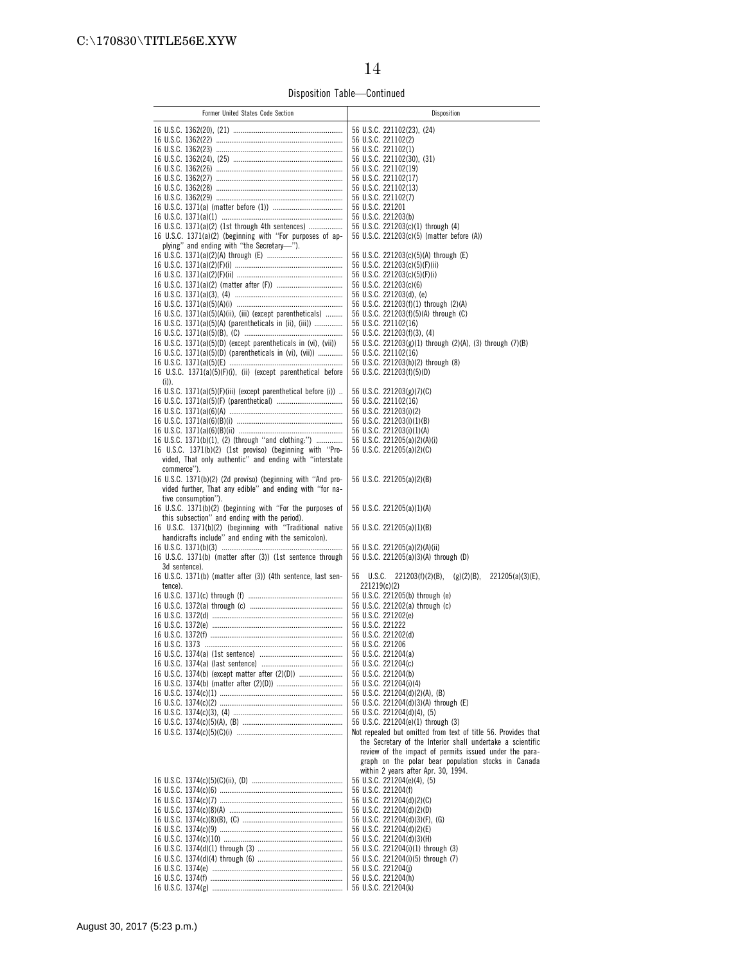Disposition Table—Continued

| Former United States Code Section                                                                                   | Disposition                                                                                                   |
|---------------------------------------------------------------------------------------------------------------------|---------------------------------------------------------------------------------------------------------------|
|                                                                                                                     | 56 U.S.C. 221102(23), (24)                                                                                    |
|                                                                                                                     | 56 U.S.C. 221102(2)                                                                                           |
|                                                                                                                     | 56 U.S.C. 221102(1)                                                                                           |
|                                                                                                                     | 56 U.S.C. 221102(30), (31)                                                                                    |
|                                                                                                                     | 56 U.S.C. 221102(19)<br>56 U.S.C. 221102(17)                                                                  |
|                                                                                                                     | 56 U.S.C. 221102(13)                                                                                          |
|                                                                                                                     | 56 U.S.C. 221102(7)                                                                                           |
|                                                                                                                     | 56 U.S.C. 221201                                                                                              |
|                                                                                                                     | 56 U.S.C. 221203(b)                                                                                           |
| 16 U.S.C. 1371(a)(2) (1st through 4th sentences)<br>16 U.S.C. 1371(a)(2) (beginning with "For purposes of ap-       | 56 U.S.C. 221203(c)(1) through (4)<br>56 U.S.C. 221203(c)(5) (matter before (A))                              |
| plying" and ending with "the Secretary-").                                                                          |                                                                                                               |
|                                                                                                                     | 56 U.S.C. 221203(c)(5)(A) through (E)                                                                         |
|                                                                                                                     | 56 U.S.C. 221203(c)(5)(F)(ii)                                                                                 |
|                                                                                                                     | 56 U.S.C. 221203(c)(5)(F)(i)                                                                                  |
|                                                                                                                     | 56 U.S.C. 221203(c)(6)<br>56 U.S.C. 221203(d), (e)                                                            |
|                                                                                                                     | 56 U.S.C. 221203(f)(1) through (2)(A)                                                                         |
| 16 U.S.C. $1371(a)(5)(A)(ii)$ , (iii) (except parentheticals)                                                       | 56 U.S.C. 221203(f)(5)(A) through (C)                                                                         |
| 16 U.S.C. 1371(a)(5)(A) (parentheticals in (ii), (iii))                                                             | 56 U.S.C. 221102(16)                                                                                          |
|                                                                                                                     | 56 U.S.C. 221203(f)(3), (4)                                                                                   |
| 16 U.S.C. 1371(a)(5)(D) (except parentheticals in (vi), (vii))                                                      | 56 U.S.C. 221203(g)(1) through (2)(A), (3) through (7)(B)<br>56 U.S.C. 221102(16)                             |
| 16 U.S.C. 1371(a)(5)(D) (parentheticals in (vi), (vii))                                                             | 56 U.S.C. 221203(h)(2) through (8)                                                                            |
| 16 U.S.C. 1371(a)(5)(F)(i), (ii) (except parenthetical before                                                       | 56 U.S.C. 221203(f)(5)(D)                                                                                     |
| $(i)$ ).                                                                                                            |                                                                                                               |
| 16 U.S.C. 1371(a)(5)(F)(iii) (except parenthetical before (i))                                                      | 56 U.S.C. 221203(g)(7)(C)                                                                                     |
|                                                                                                                     | 56 U.S.C. 221102(16)<br>56 U.S.C. 221203(i)(2)                                                                |
|                                                                                                                     | 56 U.S.C. 221203(i)(1)(B)                                                                                     |
|                                                                                                                     | 56 U.S.C. 221203(i)(1)(A)                                                                                     |
| 16 U.S.C. 1371(b)(1), (2) (through "and clothing:")                                                                 | 56 U.S.C. 221205(a)(2)(A)(i)                                                                                  |
| 16 U.S.C. 1371(b)(2) (1st proviso) (beginning with "Pro-<br>vided, That only authentic" and ending with "interstate | 56 U.S.C. 221205(a)(2)(C)                                                                                     |
| commerce").                                                                                                         |                                                                                                               |
| 16 U.S.C. 1371(b)(2) (2d proviso) (beginning with "And pro-                                                         | 56 U.S.C. 221205(a)(2)(B)                                                                                     |
| vided further, That any edible" and ending with "for na-                                                            |                                                                                                               |
| tive consumption").<br>16 U.S.C. 1371(b)(2) (beginning with "For the purposes of                                    | 56 U.S.C. 221205(a)(1)(A)                                                                                     |
| this subsection" and ending with the period).                                                                       |                                                                                                               |
| 16 U.S.C. 1371(b)(2) (beginning with "Traditional native                                                            | 56 U.S.C. 221205(a)(1)(B)                                                                                     |
| handicrafts include" and ending with the semicolon).                                                                | 56 U.S.C. 221205(a)(2)(A)(ii)                                                                                 |
| 16 U.S.C. 1371(b) (matter after (3)) (1st sentence through                                                          | 56 U.S.C. 221205(a)(3)(A) through (D)                                                                         |
| 3d sentence).                                                                                                       |                                                                                                               |
| 16 U.S.C. 1371(b) (matter after (3)) (4th sentence, last sen-                                                       | 56 U.S.C. 221203(f)(2)(B), (g)(2)(B),<br>$221205(a)(3)(E)$ ,                                                  |
| tence).                                                                                                             | 221219(c)(2)<br>56 U.S.C. 221205(b) through (e)                                                               |
|                                                                                                                     | 56 U.S.C. 221202(a) through (c)                                                                               |
|                                                                                                                     | 56 U.S.C. 221202(e)                                                                                           |
|                                                                                                                     | 56 U.S.C. 221222                                                                                              |
|                                                                                                                     | 56 U.S.C. 221202(d)                                                                                           |
|                                                                                                                     | 56 U.S.C. 221206<br>56 U.S.C. 221204(a)                                                                       |
|                                                                                                                     | 56 U.S.C. 221204(c)                                                                                           |
|                                                                                                                     | 56 U.S.C. 221204(b)                                                                                           |
|                                                                                                                     | 56 U.S.C. 221204(i)(4)                                                                                        |
|                                                                                                                     | 56 U.S.C. 221204(d)(2)(A), (B)<br>56 U.S.C. 221204(d)(3)(A) through (E)                                       |
|                                                                                                                     | 56 U.S.C. 221204(d)(4), (5)                                                                                   |
|                                                                                                                     | 56 U.S.C. 221204(e)(1) through (3)                                                                            |
|                                                                                                                     | Not repealed but omitted from text of title 56. Provides that                                                 |
|                                                                                                                     | the Secretary of the Interior shall undertake a scientific                                                    |
|                                                                                                                     | review of the impact of permits issued under the para-<br>graph on the polar bear population stocks in Canada |
|                                                                                                                     | within 2 years after Apr. 30, 1994.                                                                           |
|                                                                                                                     | 56 U.S.C. 221204(e)(4), (5)                                                                                   |
|                                                                                                                     | 56 U.S.C. 221204(f)                                                                                           |
|                                                                                                                     | 56 U.S.C. 221204(d)(2)(C)<br>56 U.S.C. 221204(d)(2)(D)                                                        |
|                                                                                                                     | 56 U.S.C. 221204(d)(3)(F), (G)                                                                                |
|                                                                                                                     | 56 U.S.C. 221204(d)(2)(E)                                                                                     |
|                                                                                                                     | 56 U.S.C. 221204(d)(3)(H)                                                                                     |
|                                                                                                                     | 56 U.S.C. 221204(i)(1) through (3)                                                                            |
|                                                                                                                     | 56 U.S.C. 221204(i)(5) through (7)<br>56 U.S.C. 221204(j)                                                     |
|                                                                                                                     | 56 U.S.C. 221204(h)                                                                                           |
|                                                                                                                     | 56 U.S.C. 221204(k)                                                                                           |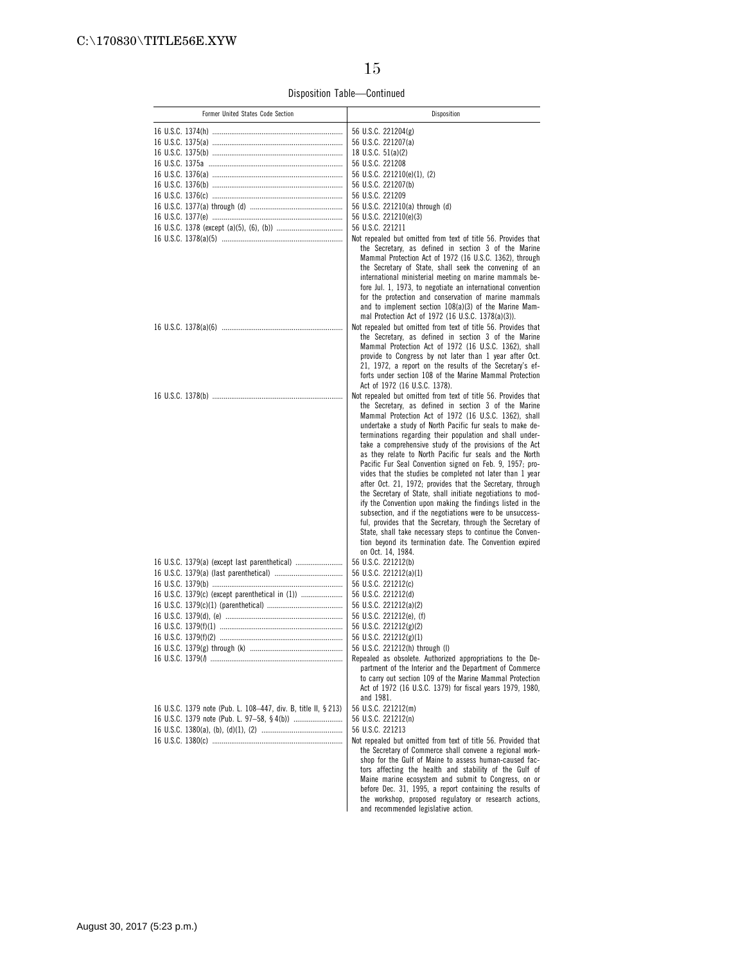Disposition Table—Continued

| Former United States Code Section                              | Disposition                                                                                                                                                                                                                                                                                                                                                                                                                                                                                                                                                                                                                                                                                                                                                                                                                                                                                                                                                                   |
|----------------------------------------------------------------|-------------------------------------------------------------------------------------------------------------------------------------------------------------------------------------------------------------------------------------------------------------------------------------------------------------------------------------------------------------------------------------------------------------------------------------------------------------------------------------------------------------------------------------------------------------------------------------------------------------------------------------------------------------------------------------------------------------------------------------------------------------------------------------------------------------------------------------------------------------------------------------------------------------------------------------------------------------------------------|
|                                                                |                                                                                                                                                                                                                                                                                                                                                                                                                                                                                                                                                                                                                                                                                                                                                                                                                                                                                                                                                                               |
|                                                                | 56 U.S.C. 221204(g)                                                                                                                                                                                                                                                                                                                                                                                                                                                                                                                                                                                                                                                                                                                                                                                                                                                                                                                                                           |
|                                                                | 56 U.S.C. 221207(a)<br>18 U.S.C. $51(a)(2)$                                                                                                                                                                                                                                                                                                                                                                                                                                                                                                                                                                                                                                                                                                                                                                                                                                                                                                                                   |
|                                                                | 56 U.S.C. 221208                                                                                                                                                                                                                                                                                                                                                                                                                                                                                                                                                                                                                                                                                                                                                                                                                                                                                                                                                              |
|                                                                | 56 U.S.C. 221210(e)(1), (2)                                                                                                                                                                                                                                                                                                                                                                                                                                                                                                                                                                                                                                                                                                                                                                                                                                                                                                                                                   |
|                                                                | 56 U.S.C. 221207(b)                                                                                                                                                                                                                                                                                                                                                                                                                                                                                                                                                                                                                                                                                                                                                                                                                                                                                                                                                           |
|                                                                | 56 U.S.C. 221209                                                                                                                                                                                                                                                                                                                                                                                                                                                                                                                                                                                                                                                                                                                                                                                                                                                                                                                                                              |
|                                                                | 56 U.S.C. 221210(a) through (d)                                                                                                                                                                                                                                                                                                                                                                                                                                                                                                                                                                                                                                                                                                                                                                                                                                                                                                                                               |
|                                                                | 56 U.S.C. 221210(e)(3)                                                                                                                                                                                                                                                                                                                                                                                                                                                                                                                                                                                                                                                                                                                                                                                                                                                                                                                                                        |
|                                                                | 56 U.S.C. 221211                                                                                                                                                                                                                                                                                                                                                                                                                                                                                                                                                                                                                                                                                                                                                                                                                                                                                                                                                              |
|                                                                | Not repealed but omitted from text of title 56. Provides that<br>the Secretary, as defined in section 3 of the Marine<br>Mammal Protection Act of 1972 (16 U.S.C. 1362), through<br>the Secretary of State, shall seek the convening of an<br>international ministerial meeting on marine mammals be-<br>fore Jul. 1, 1973, to negotiate an international convention<br>for the protection and conservation of marine mammals<br>and to implement section 108(a)(3) of the Marine Mam-                                                                                                                                                                                                                                                                                                                                                                                                                                                                                        |
|                                                                | mal Protection Act of 1972 (16 U.S.C. 1378(a)(3)).<br>Not repealed but omitted from text of title 56. Provides that                                                                                                                                                                                                                                                                                                                                                                                                                                                                                                                                                                                                                                                                                                                                                                                                                                                           |
|                                                                | the Secretary, as defined in section 3 of the Marine<br>Mammal Protection Act of 1972 (16 U.S.C. 1362), shall<br>provide to Congress by not later than 1 year after Oct.<br>21, 1972, a report on the results of the Secretary's ef-<br>forts under section 108 of the Marine Mammal Protection<br>Act of 1972 (16 U.S.C. 1378).                                                                                                                                                                                                                                                                                                                                                                                                                                                                                                                                                                                                                                              |
|                                                                | Not repealed but omitted from text of title 56. Provides that                                                                                                                                                                                                                                                                                                                                                                                                                                                                                                                                                                                                                                                                                                                                                                                                                                                                                                                 |
| 16 U.S.C. 1379(a) (except last parenthetical)                  | the Secretary, as defined in section 3 of the Marine<br>Mammal Protection Act of 1972 (16 U.S.C. 1362), shall<br>undertake a study of North Pacific fur seals to make de-<br>terminations regarding their population and shall under-<br>take a comprehensive study of the provisions of the Act<br>as they relate to North Pacific fur seals and the North<br>Pacific Fur Seal Convention signed on Feb. 9, 1957; pro-<br>vides that the studies be completed not later than 1 year<br>after Oct. 21, 1972; provides that the Secretary, through<br>the Secretary of State, shall initiate negotiations to mod-<br>ify the Convention upon making the findings listed in the<br>subsection, and if the negotiations were to be unsuccess-<br>ful, provides that the Secretary, through the Secretary of<br>State, shall take necessary steps to continue the Conven-<br>tion beyond its termination date. The Convention expired<br>on Oct. 14, 1984.<br>56 U.S.C. 221212(b) |
|                                                                | 56 U.S.C. 221212(a)(1)                                                                                                                                                                                                                                                                                                                                                                                                                                                                                                                                                                                                                                                                                                                                                                                                                                                                                                                                                        |
|                                                                | 56 U.S.C. 221212(c)                                                                                                                                                                                                                                                                                                                                                                                                                                                                                                                                                                                                                                                                                                                                                                                                                                                                                                                                                           |
| 16 U.S.C. 1379(c) (except parenthetical in (1))                | 56 U.S.C. 221212(d)                                                                                                                                                                                                                                                                                                                                                                                                                                                                                                                                                                                                                                                                                                                                                                                                                                                                                                                                                           |
|                                                                | 56 U.S.C. 221212(a)(2)                                                                                                                                                                                                                                                                                                                                                                                                                                                                                                                                                                                                                                                                                                                                                                                                                                                                                                                                                        |
|                                                                | 56 U.S.C. 221212(e), (f)                                                                                                                                                                                                                                                                                                                                                                                                                                                                                                                                                                                                                                                                                                                                                                                                                                                                                                                                                      |
|                                                                | 56 U.S.C. 221212(g)(2)                                                                                                                                                                                                                                                                                                                                                                                                                                                                                                                                                                                                                                                                                                                                                                                                                                                                                                                                                        |
|                                                                | 56 U.S.C. 221212(g)(1)                                                                                                                                                                                                                                                                                                                                                                                                                                                                                                                                                                                                                                                                                                                                                                                                                                                                                                                                                        |
|                                                                | 56 U.S.C. 221212(h) through (l)                                                                                                                                                                                                                                                                                                                                                                                                                                                                                                                                                                                                                                                                                                                                                                                                                                                                                                                                               |
|                                                                | Repealed as obsolete. Authorized appropriations to the De-<br>partment of the Interior and the Department of Commerce<br>to carry out section 109 of the Marine Mammal Protection<br>Act of 1972 (16 U.S.C. 1379) for fiscal years 1979, 1980,<br>and 1981.                                                                                                                                                                                                                                                                                                                                                                                                                                                                                                                                                                                                                                                                                                                   |
| 16 U.S.C. 1379 note (Pub. L. 108-447, div. B, title II, § 213) | 56 U.S.C. 221212(m)                                                                                                                                                                                                                                                                                                                                                                                                                                                                                                                                                                                                                                                                                                                                                                                                                                                                                                                                                           |
|                                                                | 56 U.S.C. 221212(n)                                                                                                                                                                                                                                                                                                                                                                                                                                                                                                                                                                                                                                                                                                                                                                                                                                                                                                                                                           |
|                                                                | 56 U.S.C. 221213                                                                                                                                                                                                                                                                                                                                                                                                                                                                                                                                                                                                                                                                                                                                                                                                                                                                                                                                                              |
|                                                                | Not repealed but omitted from text of title 56. Provided that<br>the Secretary of Commerce shall convene a regional work-<br>shop for the Gulf of Maine to assess human-caused fac-<br>tors affecting the health and stability of the Gulf of<br>Maine marine ecosystem and submit to Congress, on or<br>before Dec. 31, 1995, a report containing the results of                                                                                                                                                                                                                                                                                                                                                                                                                                                                                                                                                                                                             |
|                                                                | the workshop, proposed regulatory or research actions,<br>and recommended legislative action.                                                                                                                                                                                                                                                                                                                                                                                                                                                                                                                                                                                                                                                                                                                                                                                                                                                                                 |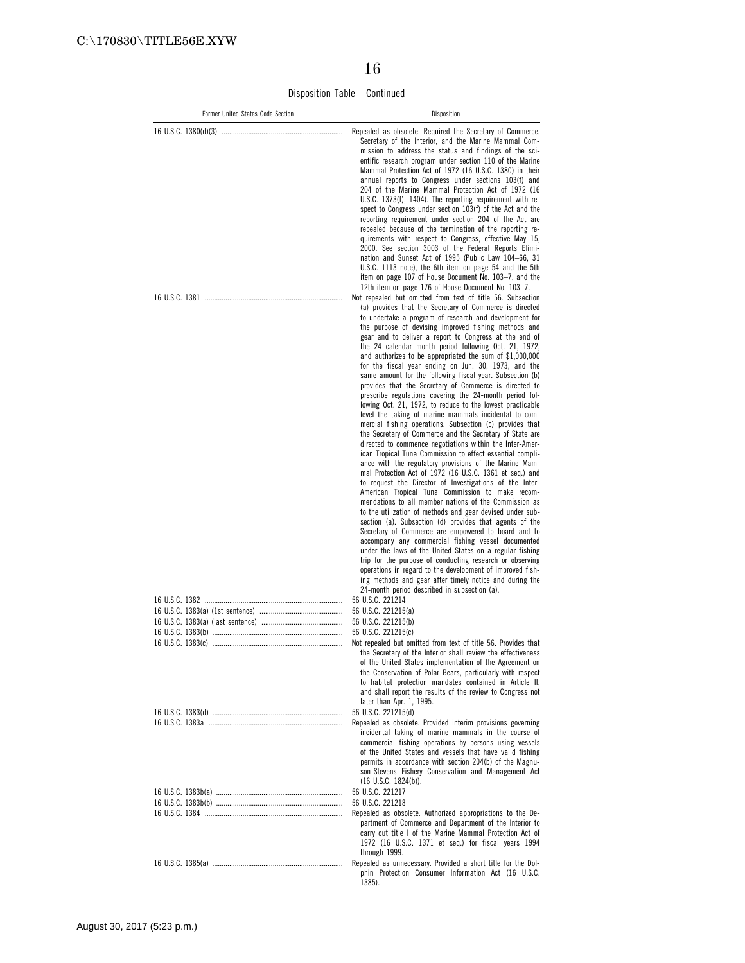Disposition Table—Continued

| Former United States Code Section | Disposition                                                                                                                                                                                                                                                                                                                                                                                                                                                                                                                                                                                                                                                                                                                                                                                                                                                                                                                                                                                                                                                                                                                                                                                                                                                                                                                                                                                                                                                                                                                                                           |
|-----------------------------------|-----------------------------------------------------------------------------------------------------------------------------------------------------------------------------------------------------------------------------------------------------------------------------------------------------------------------------------------------------------------------------------------------------------------------------------------------------------------------------------------------------------------------------------------------------------------------------------------------------------------------------------------------------------------------------------------------------------------------------------------------------------------------------------------------------------------------------------------------------------------------------------------------------------------------------------------------------------------------------------------------------------------------------------------------------------------------------------------------------------------------------------------------------------------------------------------------------------------------------------------------------------------------------------------------------------------------------------------------------------------------------------------------------------------------------------------------------------------------------------------------------------------------------------------------------------------------|
|                                   | Repealed as obsolete. Required the Secretary of Commerce,<br>Secretary of the Interior, and the Marine Mammal Com-<br>mission to address the status and findings of the sci-<br>entific research program under section 110 of the Marine<br>Mammal Protection Act of 1972 (16 U.S.C. 1380) in their<br>annual reports to Congress under sections 103(f) and<br>204 of the Marine Mammal Protection Act of 1972 (16<br>U.S.C. 1373(f), 1404). The reporting requirement with re-<br>spect to Congress under section 103(f) of the Act and the<br>reporting requirement under section 204 of the Act are<br>repealed because of the termination of the reporting re-<br>quirements with respect to Congress, effective May 15,<br>2000. See section 3003 of the Federal Reports Elimi-<br>nation and Sunset Act of 1995 (Public Law 104-66, 31<br>U.S.C. 1113 note), the 6th item on page 54 and the 5th<br>item on page 107 of House Document No. 103-7, and the<br>12th item on page 176 of House Document No. 103-7.<br>Not repealed but omitted from text of title 56. Subsection<br>(a) provides that the Secretary of Commerce is directed<br>to undertake a program of research and development for<br>the purpose of devising improved fishing methods and<br>gear and to deliver a report to Congress at the end of                                                                                                                                                                                                                                            |
|                                   | the 24 calendar month period following Oct. 21, 1972,<br>and authorizes to be appropriated the sum of $$1,000,000$<br>for the fiscal year ending on Jun. 30, 1973, and the<br>same amount for the following fiscal year. Subsection (b)<br>provides that the Secretary of Commerce is directed to<br>prescribe regulations covering the 24-month period fol-<br>lowing Oct. 21, 1972, to reduce to the lowest practicable<br>level the taking of marine mammals incidental to com-<br>mercial fishing operations. Subsection (c) provides that<br>the Secretary of Commerce and the Secretary of State are<br>directed to commence negotiations within the Inter-Amer-<br>ican Tropical Tuna Commission to effect essential compli-<br>ance with the regulatory provisions of the Marine Mam-<br>mal Protection Act of 1972 (16 U.S.C. 1361 et seq.) and<br>to request the Director of Investigations of the Inter-<br>American Tropical Tuna Commission to make recom-<br>mendations to all member nations of the Commission as<br>to the utilization of methods and gear devised under sub-<br>section (a). Subsection (d) provides that agents of the<br>Secretary of Commerce are empowered to board and to<br>accompany any commercial fishing vessel documented<br>under the laws of the United States on a regular fishing<br>trip for the purpose of conducting research or observing<br>operations in regard to the development of improved fish-<br>ing methods and gear after timely notice and during the<br>24-month period described in subsection (a). |
|                                   | 56 U.S.C. 221214<br>56 U.S.C. 221215(a)                                                                                                                                                                                                                                                                                                                                                                                                                                                                                                                                                                                                                                                                                                                                                                                                                                                                                                                                                                                                                                                                                                                                                                                                                                                                                                                                                                                                                                                                                                                               |
|                                   | 56 U.S.C. 221215(b)                                                                                                                                                                                                                                                                                                                                                                                                                                                                                                                                                                                                                                                                                                                                                                                                                                                                                                                                                                                                                                                                                                                                                                                                                                                                                                                                                                                                                                                                                                                                                   |
|                                   | 56 U.S.C. 221215(c)<br>Not repealed but omitted from text of title 56. Provides that<br>the Secretary of the Interior shall review the effectiveness<br>of the United States implementation of the Agreement on<br>the Conservation of Polar Bears, particularly with respect<br>to habitat protection mandates contained in Article II,<br>and shall report the results of the review to Congress not<br>later than Apr. 1, 1995.                                                                                                                                                                                                                                                                                                                                                                                                                                                                                                                                                                                                                                                                                                                                                                                                                                                                                                                                                                                                                                                                                                                                    |
|                                   | 56 U.S.C. 221215(d)<br>Repealed as obsolete. Provided interim provisions governing<br>incidental taking of marine mammals in the course of<br>commercial fishing operations by persons using vessels<br>of the United States and vessels that have valid fishing<br>permits in accordance with section 204(b) of the Magnu-<br>son-Stevens Fishery Conservation and Management Act<br>$(16 \text{ U.S.C. } 1824(b)).$                                                                                                                                                                                                                                                                                                                                                                                                                                                                                                                                                                                                                                                                                                                                                                                                                                                                                                                                                                                                                                                                                                                                                 |
|                                   | 56 U.S.C. 221217<br>56 U.S.C. 221218                                                                                                                                                                                                                                                                                                                                                                                                                                                                                                                                                                                                                                                                                                                                                                                                                                                                                                                                                                                                                                                                                                                                                                                                                                                                                                                                                                                                                                                                                                                                  |
|                                   | Repealed as obsolete. Authorized appropriations to the De-<br>partment of Commerce and Department of the Interior to<br>carry out title I of the Marine Mammal Protection Act of<br>1972 (16 U.S.C. 1371 et seq.) for fiscal years 1994<br>through 1999.                                                                                                                                                                                                                                                                                                                                                                                                                                                                                                                                                                                                                                                                                                                                                                                                                                                                                                                                                                                                                                                                                                                                                                                                                                                                                                              |
|                                   | Repealed as unnecessary. Provided a short title for the Dol-<br>phin Protection Consumer Information Act (16 U.S.C.<br>1385).                                                                                                                                                                                                                                                                                                                                                                                                                                                                                                                                                                                                                                                                                                                                                                                                                                                                                                                                                                                                                                                                                                                                                                                                                                                                                                                                                                                                                                         |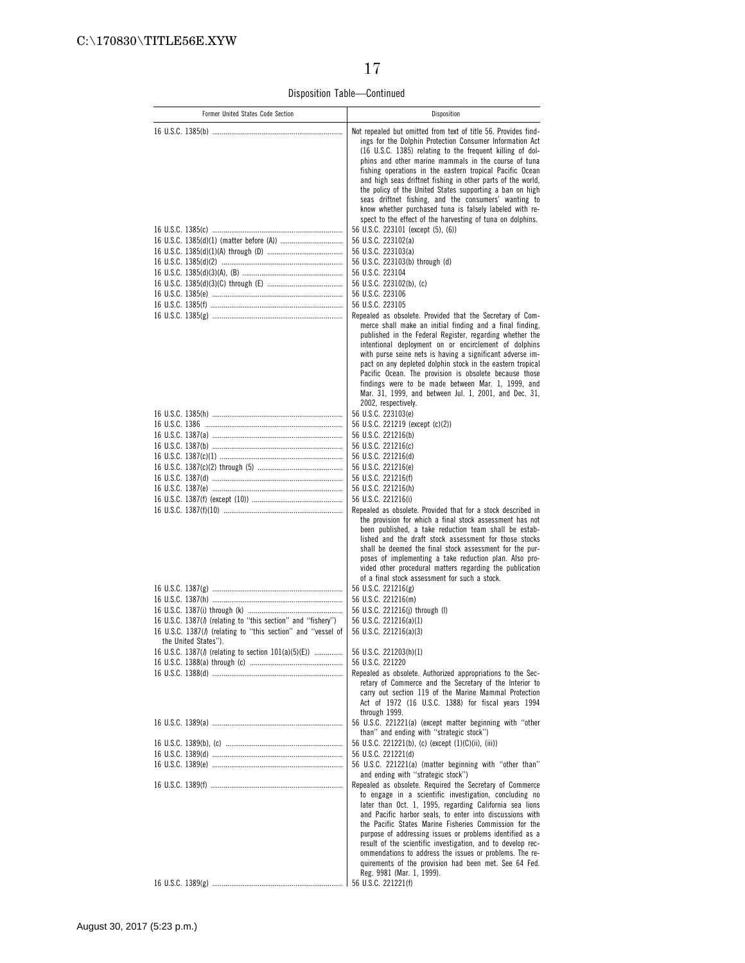Disposition Table—Continued

| Former United States Code Section                                                      | Disposition                                                                                                                                                                                                                                                                                                                                                                                                                                                                                                                                                                                                             |
|----------------------------------------------------------------------------------------|-------------------------------------------------------------------------------------------------------------------------------------------------------------------------------------------------------------------------------------------------------------------------------------------------------------------------------------------------------------------------------------------------------------------------------------------------------------------------------------------------------------------------------------------------------------------------------------------------------------------------|
|                                                                                        | Not repealed but omitted from text of title 56. Provides find-<br>ings for the Dolphin Protection Consumer Information Act<br>(16 U.S.C. 1385) relating to the frequent killing of dol-<br>phins and other marine mammals in the course of tuna<br>fishing operations in the eastern tropical Pacific Ocean<br>and high seas driftnet fishing in other parts of the world,<br>the policy of the United States supporting a ban on high<br>seas driftnet fishing, and the consumers' wanting to<br>know whether purchased tuna is falsely labeled with re-<br>spect to the effect of the harvesting of tuna on dolphins. |
|                                                                                        | 56 U.S.C. 223101 (except (5), (6))                                                                                                                                                                                                                                                                                                                                                                                                                                                                                                                                                                                      |
|                                                                                        | 56 U.S.C. 223102(a)                                                                                                                                                                                                                                                                                                                                                                                                                                                                                                                                                                                                     |
|                                                                                        | 56 U.S.C. 223103(a)<br>56 U.S.C. 223103(b) through (d)                                                                                                                                                                                                                                                                                                                                                                                                                                                                                                                                                                  |
|                                                                                        | 56 U.S.C. 223104                                                                                                                                                                                                                                                                                                                                                                                                                                                                                                                                                                                                        |
|                                                                                        | 56 U.S.C. 223102(b), (c)                                                                                                                                                                                                                                                                                                                                                                                                                                                                                                                                                                                                |
|                                                                                        | 56 U.S.C. 223106                                                                                                                                                                                                                                                                                                                                                                                                                                                                                                                                                                                                        |
|                                                                                        | 56 U.S.C. 223105                                                                                                                                                                                                                                                                                                                                                                                                                                                                                                                                                                                                        |
|                                                                                        | Repealed as obsolete. Provided that the Secretary of Com-<br>merce shall make an initial finding and a final finding,<br>published in the Federal Register, regarding whether the<br>intentional deployment on or encirclement of dolphins<br>with purse seine nets is having a significant adverse im-<br>pact on any depleted dolphin stock in the eastern tropical<br>Pacific Ocean. The provision is obsolete because those<br>findings were to be made between Mar. 1, 1999, and<br>Mar. 31, 1999, and between Jul. 1, 2001, and Dec. 31,<br>2002, respectively.                                                   |
|                                                                                        | 56 U.S.C. 223103(e)                                                                                                                                                                                                                                                                                                                                                                                                                                                                                                                                                                                                     |
|                                                                                        | 56 U.S.C. 221219 (except (c)(2))                                                                                                                                                                                                                                                                                                                                                                                                                                                                                                                                                                                        |
|                                                                                        | 56 U.S.C. 221216(b)<br>56 U.S.C. 221216(c)                                                                                                                                                                                                                                                                                                                                                                                                                                                                                                                                                                              |
|                                                                                        | 56 U.S.C. 221216(d)                                                                                                                                                                                                                                                                                                                                                                                                                                                                                                                                                                                                     |
|                                                                                        | 56 U.S.C. 221216(e)                                                                                                                                                                                                                                                                                                                                                                                                                                                                                                                                                                                                     |
|                                                                                        | 56 U.S.C. 221216(f)                                                                                                                                                                                                                                                                                                                                                                                                                                                                                                                                                                                                     |
|                                                                                        | 56 U.S.C. 221216(h)<br>56 U.S.C. 221216(i)                                                                                                                                                                                                                                                                                                                                                                                                                                                                                                                                                                              |
|                                                                                        | Repealed as obsolete. Provided that for a stock described in<br>the provision for which a final stock assessment has not<br>been published, a take reduction team shall be estab-<br>lished and the draft stock assessment for those stocks<br>shall be deemed the final stock assessment for the pur-<br>poses of implementing a take reduction plan. Also pro-<br>vided other procedural matters regarding the publication<br>of a final stock assessment for such a stock.                                                                                                                                           |
|                                                                                        | 56 U.S.C. 221216(g)<br>56 U.S.C. 221216(m)                                                                                                                                                                                                                                                                                                                                                                                                                                                                                                                                                                              |
|                                                                                        | 56 U.S.C. 221216(j) through (I)                                                                                                                                                                                                                                                                                                                                                                                                                                                                                                                                                                                         |
| 16 U.S.C. 1387() (relating to "this section" and "fishery")                            | 56 U.S.C. 221216(a)(1)                                                                                                                                                                                                                                                                                                                                                                                                                                                                                                                                                                                                  |
| 16 U.S.C. 1387(/) (relating to "this section" and "vessel of                           | 56 U.S.C. 221216(a)(3)                                                                                                                                                                                                                                                                                                                                                                                                                                                                                                                                                                                                  |
| the United States").<br>16 U.S.C. 1387( $\Lambda$ ) (relating to section 101(a)(5)(E)) | 56 U.S.C. 221203(h)(1)                                                                                                                                                                                                                                                                                                                                                                                                                                                                                                                                                                                                  |
|                                                                                        | 56 U.S.C. 221220                                                                                                                                                                                                                                                                                                                                                                                                                                                                                                                                                                                                        |
|                                                                                        | Repealed as obsolete. Authorized appropriations to the Sec-<br>retary of Commerce and the Secretary of the Interior to<br>carry out section 119 of the Marine Mammal Protection<br>Act of 1972 (16 U.S.C. 1388) for fiscal years 1994<br>through 1999.                                                                                                                                                                                                                                                                                                                                                                  |
|                                                                                        | 56 U.S.C. 221221(a) (except matter beginning with "other                                                                                                                                                                                                                                                                                                                                                                                                                                                                                                                                                                |
|                                                                                        | than" and ending with "strategic stock")<br>56 U.S.C. 221221(b), (c) (except (1)(C)(ii), (iii))                                                                                                                                                                                                                                                                                                                                                                                                                                                                                                                         |
|                                                                                        | 56 U.S.C. 221221(d)                                                                                                                                                                                                                                                                                                                                                                                                                                                                                                                                                                                                     |
|                                                                                        | 56 U.S.C. 221221(a) (matter beginning with "other than"<br>and ending with "strategic stock")                                                                                                                                                                                                                                                                                                                                                                                                                                                                                                                           |
|                                                                                        | Repealed as obsolete. Required the Secretary of Commerce<br>to engage in a scientific investigation, concluding no<br>later than Oct. 1, 1995, regarding California sea lions<br>and Pacific harbor seals, to enter into discussions with<br>the Pacific States Marine Fisheries Commission for the<br>purpose of addressing issues or problems identified as a<br>result of the scientific investigation, and to develop rec-<br>ommendations to address the issues or problems. The re-<br>quirements of the provision had been met. See 64 Fed.<br>Reg. 9981 (Mar. 1, 1999).<br>56 U.S.C. 221221(f)                  |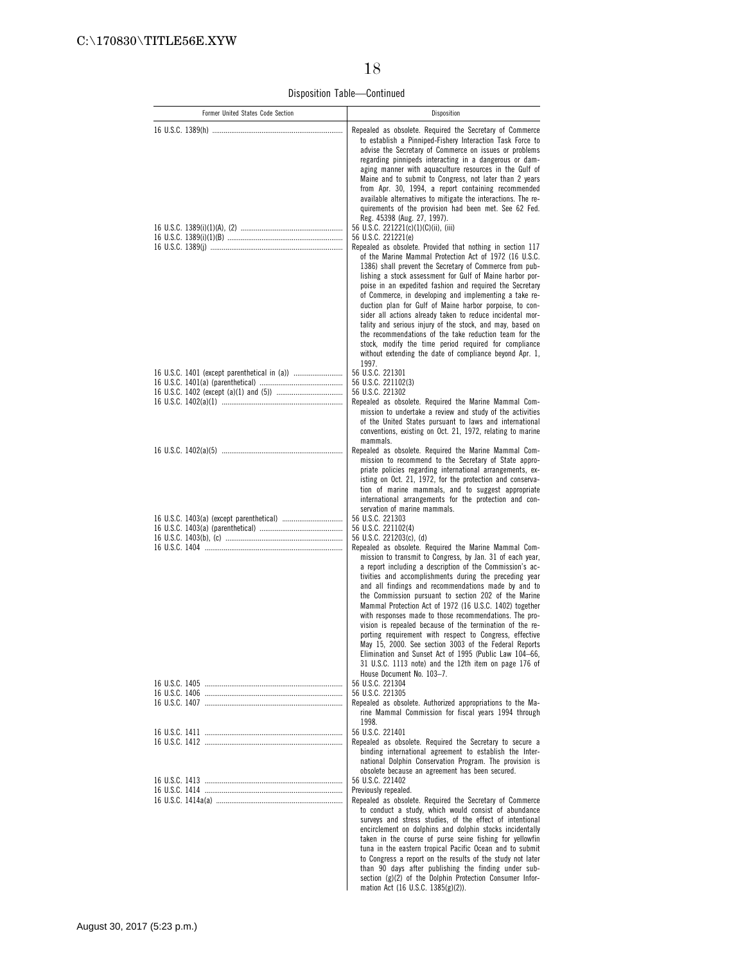Disposition Table—Continued

| Former United States Code Section | Disposition                                                                                                                                                                                                                                                                                                                                                                                                                                                                                                                                                                                                                                                                                                                                                                                                                                                                         |
|-----------------------------------|-------------------------------------------------------------------------------------------------------------------------------------------------------------------------------------------------------------------------------------------------------------------------------------------------------------------------------------------------------------------------------------------------------------------------------------------------------------------------------------------------------------------------------------------------------------------------------------------------------------------------------------------------------------------------------------------------------------------------------------------------------------------------------------------------------------------------------------------------------------------------------------|
|                                   | Repealed as obsolete. Required the Secretary of Commerce<br>to establish a Pinniped-Fishery Interaction Task Force to<br>advise the Secretary of Commerce on issues or problems<br>regarding pinnipeds interacting in a dangerous or dam-<br>aging manner with aquaculture resources in the Gulf of<br>Maine and to submit to Congress, not later than 2 years<br>from Apr. 30, 1994, a report containing recommended<br>available alternatives to mitigate the interactions. The re-<br>quirements of the provision had been met. See 62 Fed.<br>Reg. 45398 (Aug. 27, 1997).<br>56 U.S.C. 221221(c)(1)(C)(ii), (iii)<br>56 U.S.C. 221221(e)                                                                                                                                                                                                                                        |
|                                   | Repealed as obsolete. Provided that nothing in section 117<br>of the Marine Mammal Protection Act of 1972 (16 U.S.C.<br>1386) shall prevent the Secretary of Commerce from pub-<br>lishing a stock assessment for Gulf of Maine harbor por-<br>poise in an expedited fashion and required the Secretary<br>of Commerce, in developing and implementing a take re-<br>duction plan for Gulf of Maine harbor porpoise, to con-<br>sider all actions already taken to reduce incidental mor-<br>tality and serious injury of the stock, and may, based on<br>the recommendations of the take reduction team for the<br>stock, modify the time period required for compliance<br>without extending the date of compliance beyond Apr. 1,<br>1997.                                                                                                                                       |
|                                   | 56 U.S.C. 221301<br>56 U.S.C. 221102(3)<br>56 U.S.C. 221302<br>Repealed as obsolete. Required the Marine Mammal Com-<br>mission to undertake a review and study of the activities<br>of the United States pursuant to laws and international<br>conventions, existing on Oct. 21, 1972, relating to marine                                                                                                                                                                                                                                                                                                                                                                                                                                                                                                                                                                          |
|                                   | mammals.<br>Repealed as obsolete. Required the Marine Mammal Com-<br>mission to recommend to the Secretary of State appro-<br>priate policies regarding international arrangements, ex-<br>isting on Oct. 21, 1972, for the protection and conserva-<br>tion of marine mammals, and to suggest appropriate<br>international arrangements for the protection and con-<br>servation of marine mammals.                                                                                                                                                                                                                                                                                                                                                                                                                                                                                |
|                                   | 56 U.S.C. 221303<br>56 U.S.C. 221102(4)<br>56 U.S.C. 221203(c), (d)<br>Repealed as obsolete. Required the Marine Mammal Com-<br>mission to transmit to Congress, by Jan. 31 of each year,<br>a report including a description of the Commission's ac-<br>tivities and accomplishments during the preceding year<br>and all findings and recommendations made by and to<br>the Commission pursuant to section 202 of the Marine<br>Mammal Protection Act of 1972 (16 U.S.C. 1402) together<br>with responses made to those recommendations. The pro-<br>vision is repealed because of the termination of the re-<br>porting requirement with respect to Congress, effective<br>May 15, 2000. See section 3003 of the Federal Reports<br>Elimination and Sunset Act of 1995 (Public Law 104-66,<br>31 U.S.C. 1113 note) and the 12th item on page 176 of<br>House Document No. 103-7. |
|                                   | 56 U.S.C. 221304                                                                                                                                                                                                                                                                                                                                                                                                                                                                                                                                                                                                                                                                                                                                                                                                                                                                    |
|                                   | 56 U.S.C. 221305<br>Repealed as obsolete. Authorized appropriations to the Ma-<br>rine Mammal Commission for fiscal years 1994 through<br>1998.                                                                                                                                                                                                                                                                                                                                                                                                                                                                                                                                                                                                                                                                                                                                     |
|                                   | 56 U.S.C. 221401<br>Repealed as obsolete. Required the Secretary to secure a<br>binding international agreement to establish the Inter-<br>national Dolphin Conservation Program. The provision is<br>obsolete because an agreement has been secured.                                                                                                                                                                                                                                                                                                                                                                                                                                                                                                                                                                                                                               |
|                                   | 56 U.S.C. 221402                                                                                                                                                                                                                                                                                                                                                                                                                                                                                                                                                                                                                                                                                                                                                                                                                                                                    |
|                                   | Previously repealed.<br>Repealed as obsolete. Required the Secretary of Commerce<br>to conduct a study, which would consist of abundance<br>surveys and stress studies, of the effect of intentional<br>encirclement on dolphins and dolphin stocks incidentally<br>taken in the course of purse seine fishing for yellowfin<br>tuna in the eastern tropical Pacific Ocean and to submit<br>to Congress a report on the results of the study not later<br>than 90 days after publishing the finding under sub-<br>section (g)(2) of the Dolphin Protection Consumer Infor-<br>mation Act (16 U.S.C. 1385(g)(2)).                                                                                                                                                                                                                                                                    |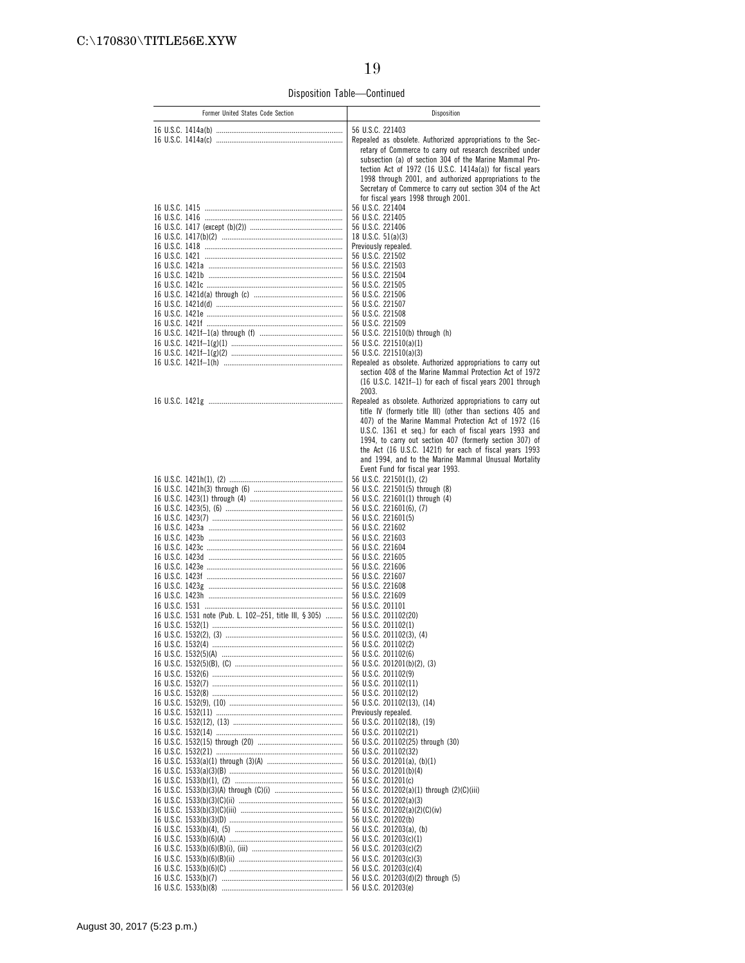Disposition Table—Continued

| Former United States Code Section                       | Disposition                                                                                                                                                                                                                                                                                                                                                                                                    |
|---------------------------------------------------------|----------------------------------------------------------------------------------------------------------------------------------------------------------------------------------------------------------------------------------------------------------------------------------------------------------------------------------------------------------------------------------------------------------------|
|                                                         | 56 U.S.C. 221403                                                                                                                                                                                                                                                                                                                                                                                               |
|                                                         | Repealed as obsolete. Authorized appropriations to the Sec-<br>retary of Commerce to carry out research described under<br>subsection (a) of section 304 of the Marine Mammal Pro-<br>tection Act of 1972 (16 U.S.C. 1414a(a)) for fiscal years<br>1998 through 2001, and authorized appropriations to the<br>Secretary of Commerce to carry out section 304 of the Act<br>for fiscal years 1998 through 2001. |
|                                                         | 56 U.S.C. 221404                                                                                                                                                                                                                                                                                                                                                                                               |
|                                                         | 56 U.S.C. 221405<br>56 U.S.C. 221406                                                                                                                                                                                                                                                                                                                                                                           |
|                                                         | 18 U.S.C. $51(a)(3)$                                                                                                                                                                                                                                                                                                                                                                                           |
|                                                         | Previously repealed.                                                                                                                                                                                                                                                                                                                                                                                           |
|                                                         | 56 U.S.C. 221502<br>56 U.S.C. 221503                                                                                                                                                                                                                                                                                                                                                                           |
|                                                         | 56 U.S.C. 221504                                                                                                                                                                                                                                                                                                                                                                                               |
|                                                         | 56 U.S.C. 221505<br>56 U.S.C. 221506                                                                                                                                                                                                                                                                                                                                                                           |
|                                                         | 56 U.S.C. 221507                                                                                                                                                                                                                                                                                                                                                                                               |
|                                                         | 56 U.S.C. 221508<br>56 U.S.C. 221509                                                                                                                                                                                                                                                                                                                                                                           |
|                                                         | 56 U.S.C. 221510(b) through (h)                                                                                                                                                                                                                                                                                                                                                                                |
|                                                         | 56 U.S.C. 221510(a)(1)<br>56 U.S.C. 221510(a)(3)                                                                                                                                                                                                                                                                                                                                                               |
|                                                         | Repealed as obsolete. Authorized appropriations to carry out                                                                                                                                                                                                                                                                                                                                                   |
|                                                         | section 408 of the Marine Mammal Protection Act of 1972<br>(16 U.S.C. 1421f-1) for each of fiscal years 2001 through<br>2003.                                                                                                                                                                                                                                                                                  |
|                                                         | Repealed as obsolete. Authorized appropriations to carry out                                                                                                                                                                                                                                                                                                                                                   |
|                                                         | title IV (formerly title III) (other than sections 405 and<br>407) of the Marine Mammal Protection Act of 1972 (16                                                                                                                                                                                                                                                                                             |
|                                                         | U.S.C. 1361 et seq.) for each of fiscal years 1993 and                                                                                                                                                                                                                                                                                                                                                         |
|                                                         | 1994, to carry out section 407 (formerly section 307) of<br>the Act (16 U.S.C. 1421f) for each of fiscal years 1993                                                                                                                                                                                                                                                                                            |
|                                                         | and 1994, and to the Marine Mammal Unusual Mortality                                                                                                                                                                                                                                                                                                                                                           |
|                                                         | Event Fund for fiscal year 1993.<br>56 U.S.C. 221501(1), (2)                                                                                                                                                                                                                                                                                                                                                   |
|                                                         | 56 U.S.C. 221501(5) through (8)                                                                                                                                                                                                                                                                                                                                                                                |
|                                                         | 56 U.S.C. 221601(1) through (4)<br>56 U.S.C. 221601(6), (7)                                                                                                                                                                                                                                                                                                                                                    |
|                                                         | 56 U.S.C. 221601(5)                                                                                                                                                                                                                                                                                                                                                                                            |
|                                                         | 56 U.S.C. 221602<br>56 U.S.C. 221603                                                                                                                                                                                                                                                                                                                                                                           |
|                                                         | 56 U.S.C. 221604                                                                                                                                                                                                                                                                                                                                                                                               |
|                                                         | 56 U.S.C. 221605<br>56 U.S.C. 221606                                                                                                                                                                                                                                                                                                                                                                           |
|                                                         | 56 U.S.C. 221607                                                                                                                                                                                                                                                                                                                                                                                               |
|                                                         | 56 U.S.C. 221608<br>56 U.S.C. 221609                                                                                                                                                                                                                                                                                                                                                                           |
|                                                         | 56 U.S.C. 201101                                                                                                                                                                                                                                                                                                                                                                                               |
| 16 U.S.C. 1531 note (Pub. L. 102-251, title III, § 305) | 56 U.S.C. 201102(20)<br>56 U.S.C. 201102(1)                                                                                                                                                                                                                                                                                                                                                                    |
|                                                         | 56 U.S.C. 201102(3), (4)                                                                                                                                                                                                                                                                                                                                                                                       |
|                                                         | 56 U.S.C. 201102(2)<br>56 U.S.C. 201102(6)                                                                                                                                                                                                                                                                                                                                                                     |
|                                                         | 56 U.S.C. 201201(b)(2), (3)                                                                                                                                                                                                                                                                                                                                                                                    |
|                                                         | 56 U.S.C. 201102(9)                                                                                                                                                                                                                                                                                                                                                                                            |
|                                                         | 56 U.S.C. 201102(11)<br>56 U.S.C. 201102(12)                                                                                                                                                                                                                                                                                                                                                                   |
|                                                         | 56 U.S.C. 201102(13), (14)                                                                                                                                                                                                                                                                                                                                                                                     |
|                                                         | Previously repealed.<br>56 U.S.C. 201102(18), (19)                                                                                                                                                                                                                                                                                                                                                             |
|                                                         | 56 U.S.C. 201102(21)                                                                                                                                                                                                                                                                                                                                                                                           |
|                                                         | 56 U.S.C. 201102(25) through (30)<br>56 U.S.C. 201102(32)                                                                                                                                                                                                                                                                                                                                                      |
|                                                         | 56 U.S.C. 201201(a), (b)(1)                                                                                                                                                                                                                                                                                                                                                                                    |
|                                                         | 56 U.S.C. 201201(b)(4)<br>56 U.S.C. 201201(c)                                                                                                                                                                                                                                                                                                                                                                  |
|                                                         | 56 U.S.C. 201202(a)(1) through (2)(C)(iii)                                                                                                                                                                                                                                                                                                                                                                     |
|                                                         | 56 U.S.C. 201202(a)(3)<br>56 U.S.C. 201202(a)(2)(C)(iv)                                                                                                                                                                                                                                                                                                                                                        |
|                                                         | 56 U.S.C. 201202(b)                                                                                                                                                                                                                                                                                                                                                                                            |
|                                                         | 56 U.S.C. 201203(a), (b)<br>56 U.S.C. 201203(c)(1)                                                                                                                                                                                                                                                                                                                                                             |
|                                                         | 56 U.S.C. 201203(c)(2)                                                                                                                                                                                                                                                                                                                                                                                         |
|                                                         | 56 U.S.C. 201203(c)(3)<br>56 U.S.C. 201203(c)(4)                                                                                                                                                                                                                                                                                                                                                               |
|                                                         | 56 U.S.C. 201203(d)(2) through (5)                                                                                                                                                                                                                                                                                                                                                                             |
|                                                         | 56 U.S.C. 201203(e)                                                                                                                                                                                                                                                                                                                                                                                            |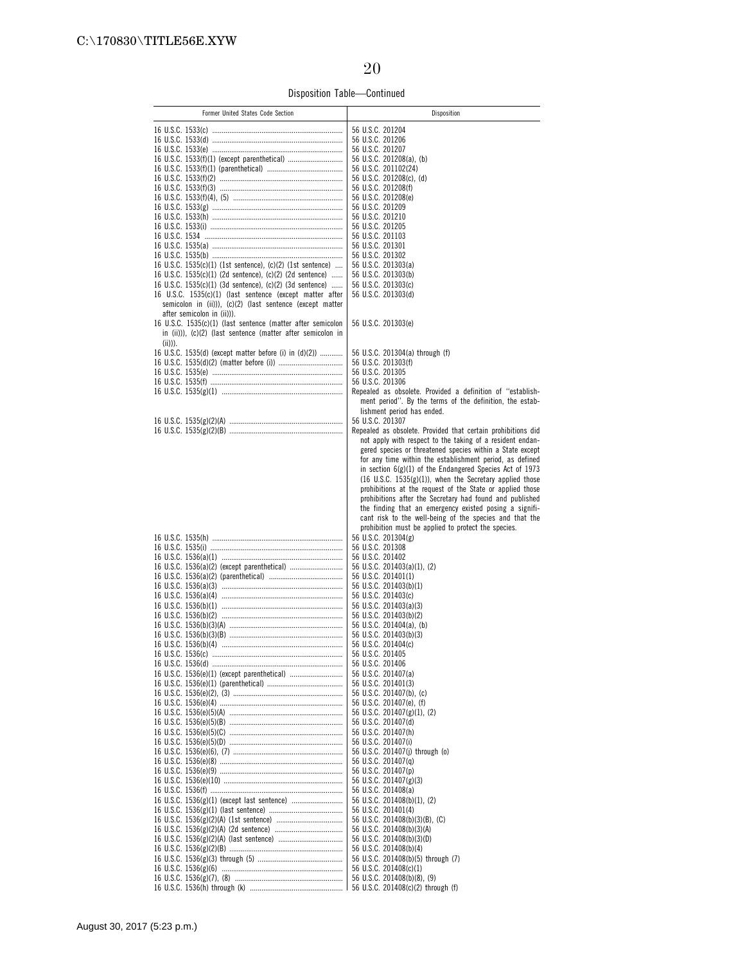Disposition Table—Continued

| Former United States Code Section                                                                                     | Disposition                                                                                                            |
|-----------------------------------------------------------------------------------------------------------------------|------------------------------------------------------------------------------------------------------------------------|
|                                                                                                                       |                                                                                                                        |
|                                                                                                                       | 56 U.S.C. 201204<br>56 U.S.C. 201206                                                                                   |
|                                                                                                                       | 56 U.S.C. 201207                                                                                                       |
|                                                                                                                       | 56 U.S.C. 201208(a), (b)                                                                                               |
|                                                                                                                       | 56 U.S.C. 201102(24)                                                                                                   |
|                                                                                                                       | 56 U.S.C. 201208(c), (d)                                                                                               |
|                                                                                                                       | 56 U.S.C. 201208(f)                                                                                                    |
|                                                                                                                       | 56 U.S.C. 201208(e)                                                                                                    |
|                                                                                                                       | 56 U.S.C. 201209                                                                                                       |
|                                                                                                                       | 56 U.S.C. 201210<br>56 U.S.C. 201205                                                                                   |
|                                                                                                                       | 56 U.S.C. 201103                                                                                                       |
|                                                                                                                       | 56 U.S.C. 201301                                                                                                       |
|                                                                                                                       | 56 U.S.C. 201302                                                                                                       |
| 16 U.S.C. 1535(c)(1) (1st sentence), (c)(2) (1st sentence)                                                            | 56 U.S.C. 201303(a)                                                                                                    |
| 16 U.S.C. 1535(c)(1) (2d sentence), (c)(2) (2d sentence)                                                              | 56 U.S.C. 201303(b)                                                                                                    |
| 16 U.S.C. 1535(c)(1) (3d sentence), (c)(2) (3d sentence)                                                              | 56 U.S.C. 201303(c)                                                                                                    |
| 16 U.S.C. 1535(c)(1) (last sentence (except matter after<br>semicolon in (ii))), (c)(2) (last sentence (except matter | 56 U.S.C. 201303(d)                                                                                                    |
| after semicolon in (ii))).                                                                                            |                                                                                                                        |
| 16 U.S.C. 1535(c)(1) (last sentence (matter after semicolon                                                           | 56 U.S.C. 201303(e)                                                                                                    |
| in (ii))), (c)(2) (last sentence (matter after semicolon in                                                           |                                                                                                                        |
| $(iii))$ ).                                                                                                           |                                                                                                                        |
| 16 U.S.C. 1535(d) (except matter before (i) in (d)(2))                                                                | 56 U.S.C. 201304(a) through (f)                                                                                        |
|                                                                                                                       | 56 U.S.C. 201303(f)                                                                                                    |
|                                                                                                                       | 56 U.S.C. 201305                                                                                                       |
|                                                                                                                       | 56 U.S.C. 201306                                                                                                       |
|                                                                                                                       | Repealed as obsolete. Provided a definition of "establish-<br>ment period". By the terms of the definition, the estab- |
|                                                                                                                       | lishment period has ended.                                                                                             |
|                                                                                                                       | 56 U.S.C. 201307                                                                                                       |
|                                                                                                                       | Repealed as obsolete. Provided that certain prohibitions did                                                           |
|                                                                                                                       | not apply with respect to the taking of a resident endan-                                                              |
|                                                                                                                       | gered species or threatened species within a State except                                                              |
|                                                                                                                       | for any time within the establishment period, as defined                                                               |
|                                                                                                                       | in section $6(g)(1)$ of the Endangered Species Act of 1973                                                             |
|                                                                                                                       | $(16 \text{ U.S.C. } 1535(g)(1))$ , when the Secretary applied those                                                   |
|                                                                                                                       | prohibitions at the request of the State or applied those<br>prohibitions after the Secretary had found and published  |
|                                                                                                                       | the finding that an emergency existed posing a signifi-                                                                |
|                                                                                                                       | cant risk to the well-being of the species and that the                                                                |
|                                                                                                                       | prohibition must be applied to protect the species.                                                                    |
|                                                                                                                       | 56 U.S.C. 201304(g)                                                                                                    |
|                                                                                                                       | 56 U.S.C. 201308                                                                                                       |
|                                                                                                                       | 56 U.S.C. 201402                                                                                                       |
|                                                                                                                       | 56 U.S.C. 201403(a)(1), (2)                                                                                            |
|                                                                                                                       | 56 U.S.C. 201401(1)<br>56 U.S.C. 201403(b)(1)                                                                          |
|                                                                                                                       | 56 U.S.C. 201403(c)                                                                                                    |
|                                                                                                                       | 56 U.S.C. 201403(a)(3)                                                                                                 |
|                                                                                                                       | 56 U.S.C. 201403(b)(2)                                                                                                 |
|                                                                                                                       | 56 U.S.C. 201404(a), (b)                                                                                               |
|                                                                                                                       | 56 U.S.C. 201403(b)(3)                                                                                                 |
|                                                                                                                       | 56 U.S.C. 201404(c)                                                                                                    |
|                                                                                                                       | 56 U.S.C. 201405                                                                                                       |
|                                                                                                                       | 56 U.S.C. 201406<br>56 U.S.C. 201407(a)                                                                                |
|                                                                                                                       | 56 U.S.C. 201401(3)                                                                                                    |
|                                                                                                                       | 56 U.S.C. 201407(b), (c)                                                                                               |
|                                                                                                                       | 56 U.S.C. 201407(e), (f)                                                                                               |
|                                                                                                                       | 56 U.S.C. 201407(g)(1), (2)                                                                                            |
|                                                                                                                       | 56 U.S.C. 201407(d)                                                                                                    |
|                                                                                                                       | 56 U.S.C. 201407(h)                                                                                                    |
|                                                                                                                       | 56 U.S.C. 201407(i)                                                                                                    |
|                                                                                                                       | 56 U.S.C. 201407(j) through (o)                                                                                        |
|                                                                                                                       | 56 U.S.C. 201407(q)<br>56 U.S.C. 201407(p)                                                                             |
|                                                                                                                       | 56 U.S.C. 201407(g)(3)                                                                                                 |
|                                                                                                                       | 56 U.S.C. 201408(a)                                                                                                    |
|                                                                                                                       | 56 U.S.C. 201408(b)(1), (2)                                                                                            |
|                                                                                                                       | 56 U.S.C. 201401(4)                                                                                                    |
|                                                                                                                       | 56 U.S.C. 201408(b)(3)(B), (C)                                                                                         |
|                                                                                                                       | 56 U.S.C. 201408(b)(3)(A)                                                                                              |
|                                                                                                                       | 56 U.S.C. 201408(b)(3)(D)                                                                                              |
|                                                                                                                       | 56 U.S.C. 201408(b)(4)<br>56 U.S.C. 201408(b)(5) through (7)                                                           |
|                                                                                                                       | 56 U.S.C. 201408(c)(1)                                                                                                 |
|                                                                                                                       | 56 U.S.C. 201408(b)(8), (9)                                                                                            |
|                                                                                                                       | 56 U.S.C. 201408(c)(2) through (f)                                                                                     |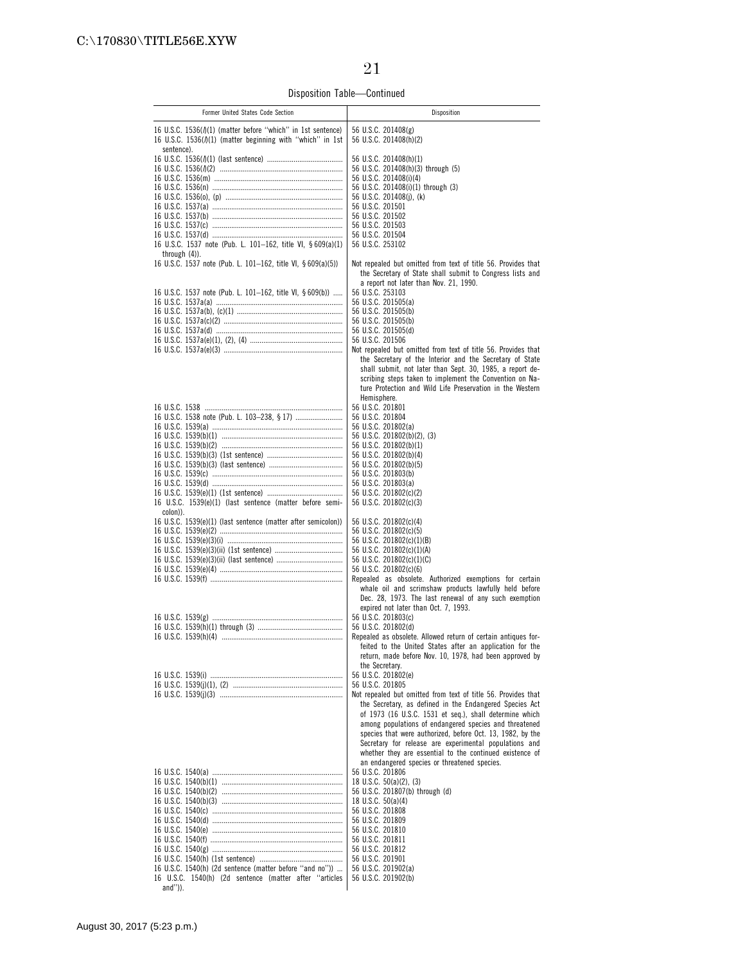Disposition Table—Continued

| Former United States Code Section                                                                                                                       | Disposition                                                                                                                                                                                                                                                                                                                                                                                                                                                                                                                                               |
|---------------------------------------------------------------------------------------------------------------------------------------------------------|-----------------------------------------------------------------------------------------------------------------------------------------------------------------------------------------------------------------------------------------------------------------------------------------------------------------------------------------------------------------------------------------------------------------------------------------------------------------------------------------------------------------------------------------------------------|
| 16 U.S.C. $1536(\frac{1}{1})$ (matter before "which" in 1st sentence)<br>16 U.S.C. 1536( $\ell/1$ ) (matter beginning with "which" in 1st<br>sentence). | 56 U.S.C. 201408(g)<br>56 U.S.C. 201408(h)(2)                                                                                                                                                                                                                                                                                                                                                                                                                                                                                                             |
| 16 U.S.C. 1537 note (Pub. L. 101-162, title VI, § 609(a)(1)<br>through $(4)$ ).<br>16 U.S.C. 1537 note (Pub. L. 101-162, title VI, § 609(a)(5))         | 56 U.S.C. 201408(h)(1)<br>56 U.S.C. 201408(h)(3) through (5)<br>56 U.S.C. 201408(i)(4)<br>56 U.S.C. 201408(i)(1) through (3)<br>56 U.S.C. 201408(j), (k)<br>56 U.S.C. 201501<br>56 U.S.C. 201502<br>56 U.S.C. 201503<br>56 U.S.C. 201504<br>56 U.S.C. 253102<br>Not repealed but omitted from text of title 56. Provides that                                                                                                                                                                                                                             |
| 16 U.S.C. 1537 note (Pub. L. 101-162, title VI, § 609(b))                                                                                               | the Secretary of State shall submit to Congress lists and<br>a report not later than Nov. 21, 1990.<br>56 U.S.C. 253103<br>56 U.S.C. 201505(a)<br>56 U.S.C. 201505(b)<br>56 U.S.C. 201505(b)<br>56 U.S.C. 201505(d)<br>56 U.S.C. 201506<br>Not repealed but omitted from text of title 56. Provides that<br>the Secretary of the Interior and the Secretary of State<br>shall submit, not later than Sept. 30, 1985, a report de-<br>scribing steps taken to implement the Convention on Na-<br>ture Protection and Wild Life Preservation in the Western |
| 16 U.S.C. 1539(e)(1) (last sentence (matter before semi-<br>colon)).                                                                                    | Hemisphere.<br>56 U.S.C. 201801<br>56 U.S.C. 201804<br>56 U.S.C. 201802(a)<br>56 U.S.C. 201802(b)(2), (3)<br>56 U.S.C. 201802(b)(1)<br>56 U.S.C. 201802(b)(4)<br>56 U.S.C. 201802(b)(5)<br>56 U.S.C. 201803(b)<br>56 U.S.C. 201803(a)<br>56 U.S.C. 201802(c)(2)<br>56 U.S.C. 201802(c)(3)                                                                                                                                                                                                                                                                 |
| 16 U.S.C. 1539(e)(1) (last sentence (matter after semicolon))                                                                                           | 56 U.S.C. 201802(c)(4)<br>56 U.S.C. 201802(c)(5)<br>56 U.S.C. 201802(c)(1)(B)<br>56 U.S.C. 201802(c)(1)(A)<br>56 U.S.C. 201802(c)(1)(C)<br>56 U.S.C. 201802(c)(6)<br>Repealed as obsolete. Authorized exemptions for certain<br>whale oil and scrimshaw products lawfully held before<br>Dec. 28, 1973. The last renewal of any such exemption                                                                                                                                                                                                            |
|                                                                                                                                                         | expired not later than Oct. 7, 1993.<br>56 U.S.C. 201803(c)<br>56 U.S.C. 201802(d)<br>Repealed as obsolete. Allowed return of certain antiques for-<br>feited to the United States after an application for the<br>return, made before Nov. 10, 1978, had been approved by<br>the Secretary.                                                                                                                                                                                                                                                              |
|                                                                                                                                                         | 56 U.S.C. 201802(e)<br>56 U.S.C. 201805<br>Not repealed but omitted from text of title 56. Provides that<br>the Secretary, as defined in the Endangered Species Act<br>of 1973 (16 U.S.C. 1531 et seq.), shall determine which<br>among populations of endangered species and threatened<br>species that were authorized, before Oct. 13, 1982, by the<br>Secretary for release are experimental populations and<br>whether they are essential to the continued existence of                                                                              |
| 16 U.S.C. 1540(h) (2d sentence (matter before "and no"))<br>16 U.S.C. 1540(h) (2d sentence (matter after "articles<br>$and'$ )).                        | an endangered species or threatened species.<br>56 U.S.C. 201806<br>18 U.S.C. $50(a)(2)$ , (3)<br>56 U.S.C. 201807(b) through (d)<br>18 U.S.C. 50(a)(4)<br>56 U.S.C. 201808<br>56 U.S.C. 201809<br>56 U.S.C. 201810<br>56 U.S.C. 201811<br>56 U.S.C. 201812<br>56 U.S.C. 201901<br>56 U.S.C. 201902(a)<br>56 U.S.C. 201902(b)                                                                                                                                                                                                                             |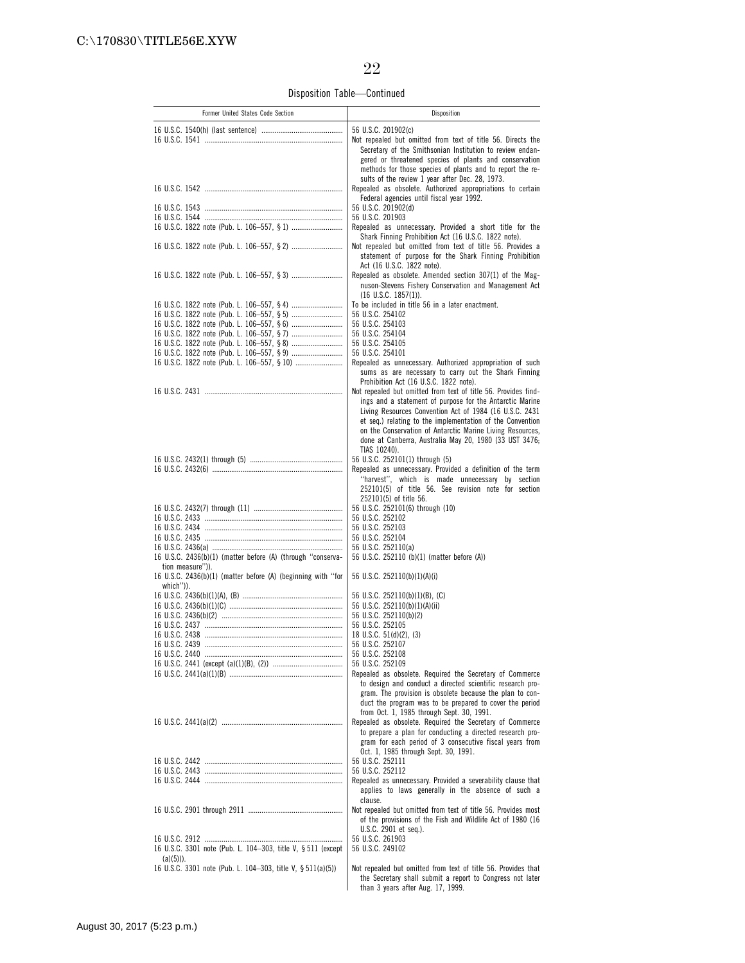Disposition Table—Continued

| Former United States Code Section                            | Disposition                                                                                                                                                                                                                                     |
|--------------------------------------------------------------|-------------------------------------------------------------------------------------------------------------------------------------------------------------------------------------------------------------------------------------------------|
|                                                              | 56 U.S.C. 201902(c)                                                                                                                                                                                                                             |
|                                                              | Not repealed but omitted from text of title 56. Directs the<br>Secretary of the Smithsonian Institution to review endan-<br>gered or threatened species of plants and conservation<br>methods for those species of plants and to report the re- |
|                                                              | sults of the review 1 year after Dec. 28, 1973.<br>Repealed as obsolete. Authorized appropriations to certain<br>Federal agencies until fiscal year 1992.                                                                                       |
|                                                              | 56 U.S.C. 201902(d)                                                                                                                                                                                                                             |
|                                                              | 56 U.S.C. 201903<br>Repealed as unnecessary. Provided a short title for the                                                                                                                                                                     |
|                                                              | Shark Finning Prohibition Act (16 U.S.C. 1822 note).<br>Not repealed but omitted from text of title 56. Provides a<br>statement of purpose for the Shark Finning Prohibition                                                                    |
|                                                              | Act (16 U.S.C. 1822 note).<br>Repealed as obsolete. Amended section 307(1) of the Mag-<br>nuson-Stevens Fishery Conservation and Management Act                                                                                                 |
|                                                              | $(16 \text{ U.S.C. } 1857(1))$ .                                                                                                                                                                                                                |
|                                                              | To be included in title 56 in a later enactment.                                                                                                                                                                                                |
|                                                              | 56 U.S.C. 254102<br>56 U.S.C. 254103                                                                                                                                                                                                            |
|                                                              | 56 U.S.C. 254104                                                                                                                                                                                                                                |
|                                                              | 56 U.S.C. 254105                                                                                                                                                                                                                                |
|                                                              | 56 U.S.C. 254101                                                                                                                                                                                                                                |
|                                                              | Repealed as unnecessary. Authorized appropriation of such<br>sums as are necessary to carry out the Shark Finning<br>Prohibition Act (16 U.S.C. 1822 note).                                                                                     |
|                                                              | Not repealed but omitted from text of title 56. Provides find-                                                                                                                                                                                  |
|                                                              | ings and a statement of purpose for the Antarctic Marine                                                                                                                                                                                        |
|                                                              | Living Resources Convention Act of 1984 (16 U.S.C. 2431                                                                                                                                                                                         |
|                                                              | et seq.) relating to the implementation of the Convention<br>on the Conservation of Antarctic Marine Living Resources,<br>done at Canberra, Australia May 20, 1980 (33 UST 3476;                                                                |
|                                                              | TIAS 10240).                                                                                                                                                                                                                                    |
|                                                              | 56 U.S.C. 252101(1) through (5)<br>Repealed as unnecessary. Provided a definition of the term                                                                                                                                                   |
|                                                              | "harvest", which is made unnecessary by section<br>252101(5) of title 56. See revision note for section                                                                                                                                         |
|                                                              | 252101(5) of title 56.<br>56 U.S.C. 252101(6) through (10)                                                                                                                                                                                      |
|                                                              | 56 U.S.C. 252102                                                                                                                                                                                                                                |
|                                                              | 56 U.S.C. 252103                                                                                                                                                                                                                                |
|                                                              | 56 U.S.C. 252104                                                                                                                                                                                                                                |
| 16 U.S.C. 2436(b)(1) (matter before (A) (through "conserva-  | 56 U.S.C. 252110(a)<br>56 U.S.C. 252110 (b)(1) (matter before (A))                                                                                                                                                                              |
| tion measure")).                                             |                                                                                                                                                                                                                                                 |
| 16 U.S.C. 2436(b)(1) (matter before (A) (beginning with "for | 56 U.S.C. 252110(b)(1)(A)(i)                                                                                                                                                                                                                    |
| which")).                                                    | 56 U.S.C. 252110(b)(1)(B), (C)                                                                                                                                                                                                                  |
|                                                              | 56 U.S.C. 252110(b)(1)(A)(ii)                                                                                                                                                                                                                   |
|                                                              | 56 U.S.C. 252110(b)(2)                                                                                                                                                                                                                          |
|                                                              | 56 U.S.C. 252105                                                                                                                                                                                                                                |
|                                                              | 18 U.S.C. 51(d)(2), (3)<br>56 U.S.C. 252107                                                                                                                                                                                                     |
|                                                              | 56 U.S.C. 252108                                                                                                                                                                                                                                |
|                                                              | 56 U.S.C. 252109                                                                                                                                                                                                                                |
|                                                              | Repealed as obsolete. Required the Secretary of Commerce<br>to design and conduct a directed scientific research pro-<br>gram. The provision is obsolete because the plan to con-<br>duct the program was to be prepared to cover the period    |
|                                                              | from Oct. 1, 1985 through Sept. 30, 1991.                                                                                                                                                                                                       |
|                                                              | Repealed as obsolete. Required the Secretary of Commerce                                                                                                                                                                                        |
|                                                              | to prepare a plan for conducting a directed research pro-                                                                                                                                                                                       |
|                                                              | gram for each period of 3 consecutive fiscal years from                                                                                                                                                                                         |
|                                                              | Oct. 1, 1985 through Sept. 30, 1991.<br>56 U.S.C. 252111                                                                                                                                                                                        |
|                                                              | 56 U.S.C. 252112                                                                                                                                                                                                                                |
|                                                              | Repealed as unnecessary. Provided a severability clause that<br>applies to laws generally in the absence of such a                                                                                                                              |
|                                                              | clause.<br>Not repealed but omitted from text of title 56. Provides most                                                                                                                                                                        |
|                                                              | of the provisions of the Fish and Wildlife Act of 1980 (16<br>U.S.C. 2901 et seq.).                                                                                                                                                             |
|                                                              | 56 U.S.C. 261903                                                                                                                                                                                                                                |
| 16 U.S.C. 3301 note (Pub. L. 104-303, title V, § 511 (except | 56 U.S.C. 249102                                                                                                                                                                                                                                |
| $(a)(5))$ ).                                                 |                                                                                                                                                                                                                                                 |
| 16 U.S.C. 3301 note (Pub. L. 104-303, title V, § 511(a)(5))  | Not repealed but omitted from text of title 56. Provides that<br>the Secretary shall submit a report to Congress not later<br>than 3 years after Aug. 17, 1999.                                                                                 |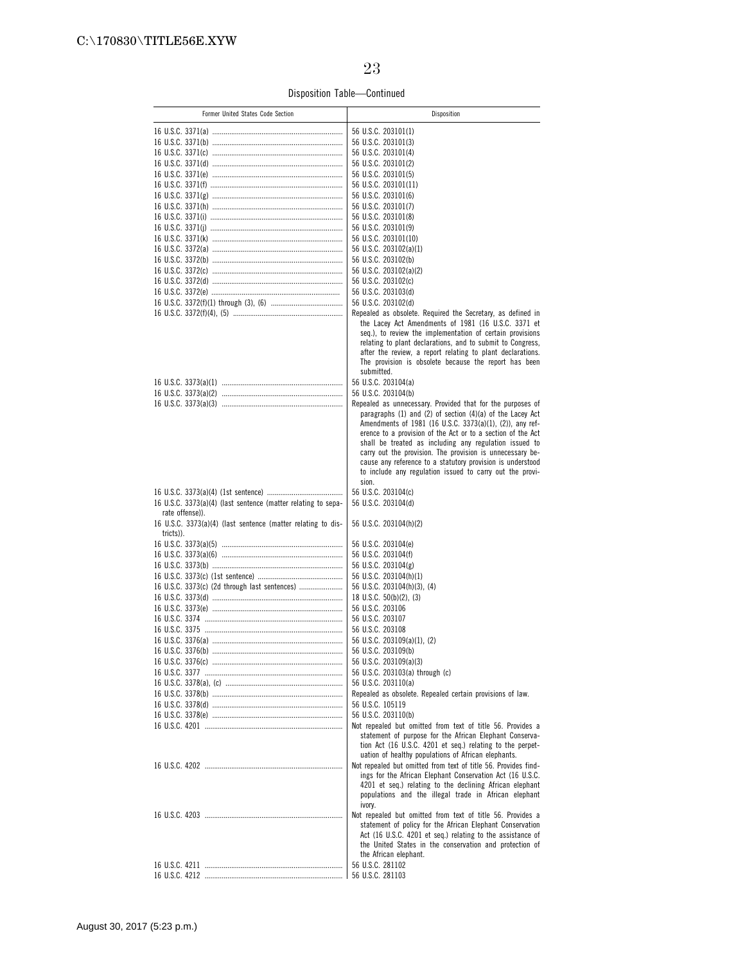### Disposition Table—Continued

| Former United States Code Section                                         | Disposition                                                                                                                                                                     |
|---------------------------------------------------------------------------|---------------------------------------------------------------------------------------------------------------------------------------------------------------------------------|
|                                                                           | 56 U.S.C. 203101(1)                                                                                                                                                             |
|                                                                           | 56 U.S.C. 203101(3)                                                                                                                                                             |
|                                                                           | 56 U.S.C. 203101(4)                                                                                                                                                             |
|                                                                           | 56 U.S.C. 203101(2)                                                                                                                                                             |
|                                                                           | 56 U.S.C. 203101(5)                                                                                                                                                             |
|                                                                           | 56 U.S.C. 203101(11)                                                                                                                                                            |
|                                                                           | 56 U.S.C. 203101(6)                                                                                                                                                             |
|                                                                           | 56 U.S.C. 203101(7)                                                                                                                                                             |
|                                                                           | 56 U.S.C. 203101(8)                                                                                                                                                             |
|                                                                           | 56 U.S.C. 203101(9)<br>56 U.S.C. 203101(10)                                                                                                                                     |
|                                                                           | 56 U.S.C. 203102(a)(1)                                                                                                                                                          |
|                                                                           | 56 U.S.C. 203102(b)                                                                                                                                                             |
|                                                                           | 56 U.S.C. 203102(a)(2)                                                                                                                                                          |
|                                                                           | 56 U.S.C. 203102(c)                                                                                                                                                             |
|                                                                           | 56 U.S.C. 203103(d)                                                                                                                                                             |
|                                                                           | 56 U.S.C. 203102(d)                                                                                                                                                             |
|                                                                           | Repealed as obsolete. Required the Secretary, as defined in<br>the Lacey Act Amendments of 1981 (16 U.S.C. 3371 et<br>seq.), to review the implementation of certain provisions |
|                                                                           | relating to plant declarations, and to submit to Congress,                                                                                                                      |
|                                                                           | after the review, a report relating to plant declarations.<br>The provision is obsolete because the report has been<br>submitted.                                               |
|                                                                           | 56 U.S.C. 203104(a)                                                                                                                                                             |
|                                                                           | 56 U.S.C. 203104(b)                                                                                                                                                             |
|                                                                           | Repealed as unnecessary. Provided that for the purposes of<br>paragraphs $(1)$ and $(2)$ of section $(4)(a)$ of the Lacey Act                                                   |
|                                                                           | Amendments of 1981 (16 U.S.C. 3373(a)(1), (2)), any ref-<br>erence to a provision of the Act or to a section of the Act                                                         |
|                                                                           | shall be treated as including any regulation issued to                                                                                                                          |
|                                                                           | carry out the provision. The provision is unnecessary be-                                                                                                                       |
|                                                                           | cause any reference to a statutory provision is understood                                                                                                                      |
|                                                                           | to include any regulation issued to carry out the provi-<br>sion.                                                                                                               |
|                                                                           | 56 U.S.C. 203104(c)                                                                                                                                                             |
| 16 U.S.C. 3373(a)(4) (last sentence (matter relating to sepa-             | 56 U.S.C. 203104(d)                                                                                                                                                             |
| rate offense)).                                                           |                                                                                                                                                                                 |
| 16 U.S.C. 3373(a)(4) (last sentence (matter relating to dis-<br>tricts)). | 56 U.S.C. 203104(h)(2)                                                                                                                                                          |
|                                                                           | 56 U.S.C. 203104(e)                                                                                                                                                             |
|                                                                           | 56 U.S.C. 203104(f)                                                                                                                                                             |
|                                                                           | 56 U.S.C. 203104(g)                                                                                                                                                             |
|                                                                           | 56 U.S.C. 203104(h)(1)                                                                                                                                                          |
| 16 U.S.C. 3373(c) (2d through last sentences)                             | 56 U.S.C. 203104(h)(3), (4)                                                                                                                                                     |
|                                                                           | 18 U.S.C. $50(b)(2)$ , (3)                                                                                                                                                      |
|                                                                           | 56 U.S.C. 203106                                                                                                                                                                |
|                                                                           | 56 U.S.C. 203107<br>56 U.S.C. 203108                                                                                                                                            |
|                                                                           | 56 U.S.C. 203109(a)(1), (2)                                                                                                                                                     |
|                                                                           | 56 U.S.C. 203109(b)                                                                                                                                                             |
|                                                                           | 56 U.S.C. 203109(a)(3)                                                                                                                                                          |
|                                                                           | 56 U.S.C. 203103(a) through (c)                                                                                                                                                 |
|                                                                           | 56 U.S.C. 203110(a)                                                                                                                                                             |
|                                                                           | Repealed as obsolete. Repealed certain provisions of law.                                                                                                                       |
|                                                                           | 56 U.S.C. 105119                                                                                                                                                                |
|                                                                           | 56 U.S.C. 203110(b)<br>Not repealed but omitted from text of title 56. Provides a                                                                                               |
|                                                                           | statement of purpose for the African Elephant Conserva-<br>tion Act (16 U.S.C. 4201 et seq.) relating to the perpet-                                                            |
|                                                                           | uation of healthy populations of African elephants.                                                                                                                             |
|                                                                           | Not repealed but omitted from text of title 56. Provides find-<br>ings for the African Elephant Conservation Act (16 U.S.C.                                                     |
|                                                                           | 4201 et seq.) relating to the declining African elephant                                                                                                                        |
|                                                                           | populations and the illegal trade in African elephant                                                                                                                           |
|                                                                           | ivory.                                                                                                                                                                          |
|                                                                           | Not repealed but omitted from text of title 56. Provides a                                                                                                                      |
|                                                                           | statement of policy for the African Elephant Conservation                                                                                                                       |
|                                                                           | Act (16 U.S.C. 4201 et seq.) relating to the assistance of<br>the United States in the conservation and protection of                                                           |
|                                                                           | the African elephant.                                                                                                                                                           |
|                                                                           | 56 U.S.C. 281102                                                                                                                                                                |
|                                                                           |                                                                                                                                                                                 |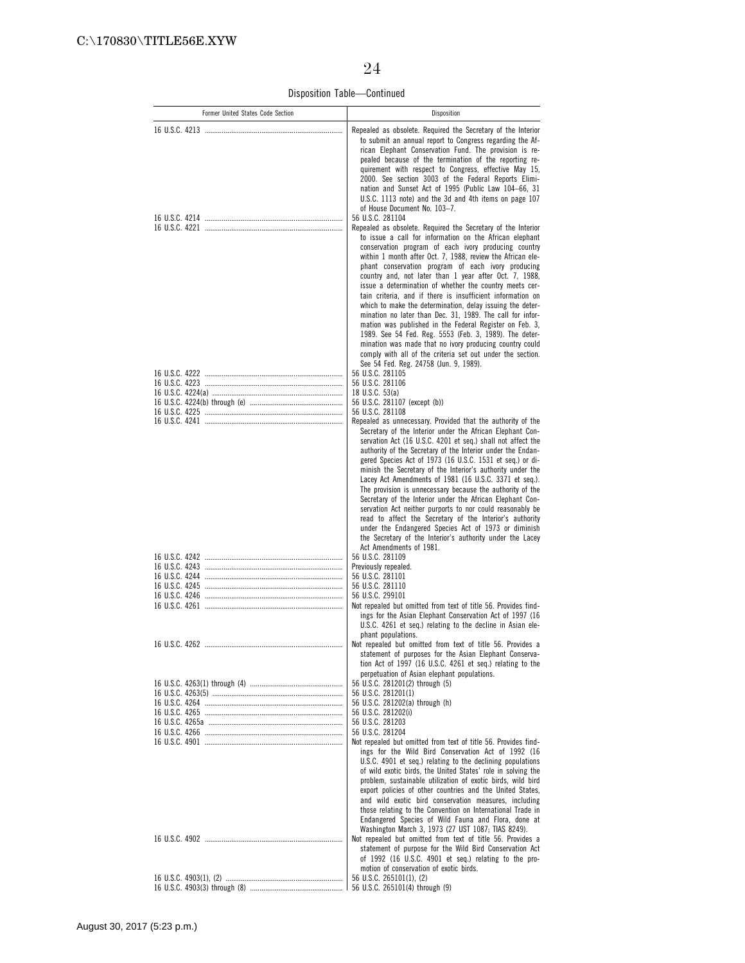Disposition Table—Continued

| Former United States Code Section | Disposition                                                                                                                                                                                                                                                                                                                                                                                                                                                                                                                                                                                                                                                                                                                                                                                                                                                                                                                  |
|-----------------------------------|------------------------------------------------------------------------------------------------------------------------------------------------------------------------------------------------------------------------------------------------------------------------------------------------------------------------------------------------------------------------------------------------------------------------------------------------------------------------------------------------------------------------------------------------------------------------------------------------------------------------------------------------------------------------------------------------------------------------------------------------------------------------------------------------------------------------------------------------------------------------------------------------------------------------------|
|                                   | Repealed as obsolete. Required the Secretary of the Interior<br>to submit an annual report to Congress regarding the Af-<br>rican Elephant Conservation Fund. The provision is re-<br>pealed because of the termination of the reporting re-<br>quirement with respect to Congress, effective May 15,<br>2000. See section 3003 of the Federal Reports Elimi-<br>nation and Sunset Act of 1995 (Public Law 104-66, 31<br>U.S.C. 1113 note) and the 3d and 4th items on page 107<br>of House Document No. 103-7.                                                                                                                                                                                                                                                                                                                                                                                                              |
|                                   | 56 U.S.C. 281104<br>Repealed as obsolete. Required the Secretary of the Interior<br>to issue a call for information on the African elephant<br>conservation program of each ivory producing country<br>within 1 month after Oct. 7, 1988, review the African ele-<br>phant conservation program of each ivory producing<br>country and, not later than 1 year after Oct. 7, 1988,<br>issue a determination of whether the country meets cer-<br>tain criteria, and if there is insufficient information on<br>which to make the determination, delay issuing the deter-<br>mination no later than Dec. 31, 1989. The call for infor-<br>mation was published in the Federal Register on Feb. 3,<br>1989. See 54 Fed. Reg. 5553 (Feb. 3, 1989). The deter-<br>mination was made that no ivory producing country could<br>comply with all of the criteria set out under the section.<br>See 54 Fed. Reg. 24758 (Jun. 9, 1989). |
|                                   | 56 U.S.C. 281105                                                                                                                                                                                                                                                                                                                                                                                                                                                                                                                                                                                                                                                                                                                                                                                                                                                                                                             |
|                                   | 56 U.S.C. 281106<br>18 U.S.C. 53(a)                                                                                                                                                                                                                                                                                                                                                                                                                                                                                                                                                                                                                                                                                                                                                                                                                                                                                          |
|                                   | 56 U.S.C. 281107 (except (b))<br>56 U.S.C. 281108                                                                                                                                                                                                                                                                                                                                                                                                                                                                                                                                                                                                                                                                                                                                                                                                                                                                            |
|                                   | Repealed as unnecessary. Provided that the authority of the<br>Secretary of the Interior under the African Elephant Con-<br>servation Act (16 U.S.C. 4201 et seq.) shall not affect the<br>authority of the Secretary of the Interior under the Endan-<br>gered Species Act of 1973 (16 U.S.C. 1531 et seq.) or di-                                                                                                                                                                                                                                                                                                                                                                                                                                                                                                                                                                                                          |
|                                   | minish the Secretary of the Interior's authority under the<br>Lacey Act Amendments of 1981 (16 U.S.C. 3371 et seg.).<br>The provision is unnecessary because the authority of the<br>Secretary of the Interior under the African Elephant Con-<br>servation Act neither purports to nor could reasonably be<br>read to affect the Secretary of the Interior's authority<br>under the Endangered Species Act of 1973 or diminish<br>the Secretary of the Interior's authority under the Lacey<br>Act Amendments of 1981.                                                                                                                                                                                                                                                                                                                                                                                                      |
|                                   | 56 U.S.C. 281109<br>Previously repealed.                                                                                                                                                                                                                                                                                                                                                                                                                                                                                                                                                                                                                                                                                                                                                                                                                                                                                     |
|                                   | 56 U.S.C. 281101<br>56 U.S.C. 281110                                                                                                                                                                                                                                                                                                                                                                                                                                                                                                                                                                                                                                                                                                                                                                                                                                                                                         |
|                                   | 56 U.S.C. 299101                                                                                                                                                                                                                                                                                                                                                                                                                                                                                                                                                                                                                                                                                                                                                                                                                                                                                                             |
|                                   | Not repealed but omitted from text of title 56. Provides find-<br>ings for the Asian Elephant Conservation Act of 1997 (16<br>U.S.C. 4261 et seq.) relating to the decline in Asian ele-                                                                                                                                                                                                                                                                                                                                                                                                                                                                                                                                                                                                                                                                                                                                     |
|                                   | phant populations.<br>Not repealed but omitted from text of title 56. Provides a<br>statement of purposes for the Asian Elephant Conserva-<br>tion Act of 1997 (16 U.S.C. 4261 et seq.) relating to the<br>perpetuation of Asian elephant populations.                                                                                                                                                                                                                                                                                                                                                                                                                                                                                                                                                                                                                                                                       |
|                                   | 56 U.S.C. 281201(2) through (5)                                                                                                                                                                                                                                                                                                                                                                                                                                                                                                                                                                                                                                                                                                                                                                                                                                                                                              |
|                                   | 56 U.S.C. 281201(1)<br>56 U.S.C. 281202(a) through (h)                                                                                                                                                                                                                                                                                                                                                                                                                                                                                                                                                                                                                                                                                                                                                                                                                                                                       |
|                                   | 56 U.S.C. 281202(i)                                                                                                                                                                                                                                                                                                                                                                                                                                                                                                                                                                                                                                                                                                                                                                                                                                                                                                          |
|                                   | 56 U.S.C. 281203<br>56 U.S.C. 281204                                                                                                                                                                                                                                                                                                                                                                                                                                                                                                                                                                                                                                                                                                                                                                                                                                                                                         |
|                                   | Not repealed but omitted from text of title 56. Provides find-<br>ings for the Wild Bird Conservation Act of 1992 (16<br>U.S.C. 4901 et seq.) relating to the declining populations<br>of wild exotic birds, the United States' role in solving the<br>problem, sustainable utilization of exotic birds, wild bird<br>export policies of other countries and the United States,<br>and wild exotic bird conservation measures, including<br>those relating to the Convention on International Trade in<br>Endangered Species of Wild Fauna and Flora, done at<br>Washington March 3, 1973 (27 UST 1087; TIAS 8249).                                                                                                                                                                                                                                                                                                          |
|                                   | Not repealed but omitted from text of title 56. Provides a<br>statement of purpose for the Wild Bird Conservation Act<br>of 1992 (16 U.S.C. 4901 et seq.) relating to the pro-                                                                                                                                                                                                                                                                                                                                                                                                                                                                                                                                                                                                                                                                                                                                               |
|                                   | motion of conservation of exotic birds.<br>56 U.S.C. 265101(1), (2)                                                                                                                                                                                                                                                                                                                                                                                                                                                                                                                                                                                                                                                                                                                                                                                                                                                          |
|                                   | 56 U.S.C. 265101(4) through (9)                                                                                                                                                                                                                                                                                                                                                                                                                                                                                                                                                                                                                                                                                                                                                                                                                                                                                              |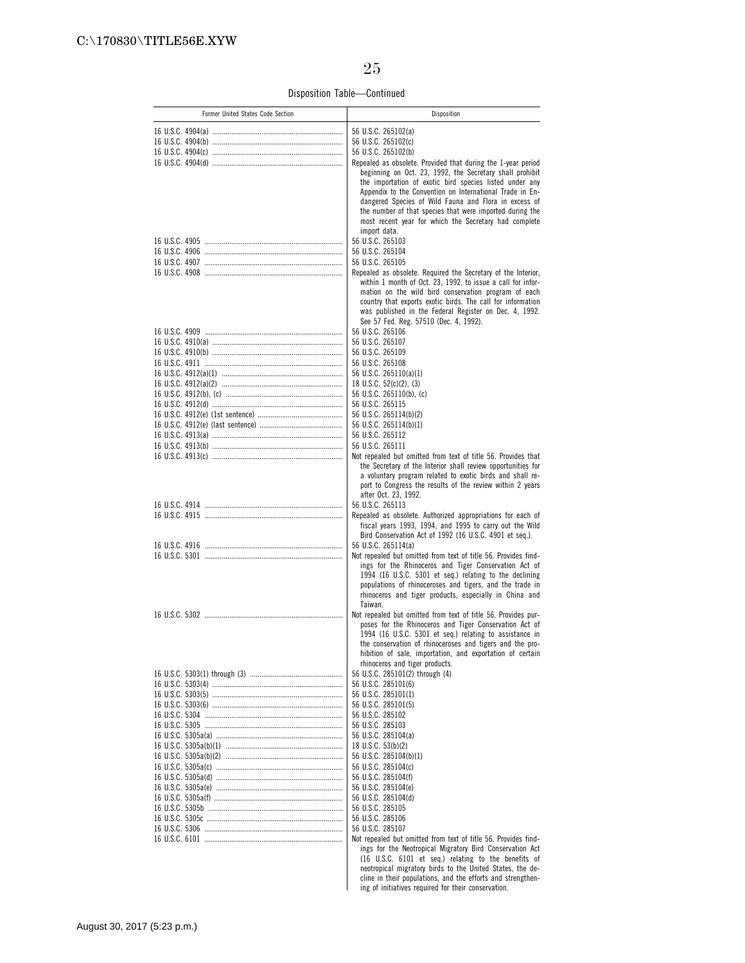Disposition Table—Continued

| Former United States Code Section | Disposition                                                                                                                                                                                                                                                                                                    |
|-----------------------------------|----------------------------------------------------------------------------------------------------------------------------------------------------------------------------------------------------------------------------------------------------------------------------------------------------------------|
|                                   | 56 U.S.C. 265102(a)                                                                                                                                                                                                                                                                                            |
|                                   | 56 U.S.C. 265102(c)                                                                                                                                                                                                                                                                                            |
|                                   | 56 U.S.C. 265102(b)                                                                                                                                                                                                                                                                                            |
|                                   | Repealed as obsolete. Provided that during the 1-year period                                                                                                                                                                                                                                                   |
|                                   | beginning on Oct. 23, 1992, the Secretary shall prohibit<br>the importation of exotic bird species listed under any<br>Appendix to the Convention on International Trade in En-<br>dangered Species of Wild Fauna and Flora in excess of<br>the number of that species that were imported during the           |
|                                   | most recent year for which the Secretary had complete<br>import data.                                                                                                                                                                                                                                          |
|                                   | 56 U.S.C. 265103                                                                                                                                                                                                                                                                                               |
|                                   | 56 U.S.C. 265104<br>56 U.S.C. 265105                                                                                                                                                                                                                                                                           |
|                                   | Repealed as obsolete. Required the Secretary of the Interior,<br>within 1 month of Oct. 23, 1992, to issue a call for infor-<br>mation on the wild bird conservation program of each<br>country that exports exotic birds. The call for information<br>was published in the Federal Register on Dec. 4, 1992.  |
|                                   | See 57 Fed. Reg. 57510 (Dec. 4, 1992).                                                                                                                                                                                                                                                                         |
|                                   | 56 U.S.C. 265106<br>56 U.S.C. 265107                                                                                                                                                                                                                                                                           |
|                                   | 56 U.S.C. 265109                                                                                                                                                                                                                                                                                               |
|                                   | 56 U.S.C. 265108                                                                                                                                                                                                                                                                                               |
|                                   | 56 U.S.C. 265110(a)(1)                                                                                                                                                                                                                                                                                         |
|                                   | 18 U.S.C. 52(c)(2), (3)                                                                                                                                                                                                                                                                                        |
|                                   | 56 U.S.C. 265110(b), (c)                                                                                                                                                                                                                                                                                       |
|                                   | 56 U.S.C. 265115                                                                                                                                                                                                                                                                                               |
|                                   | 56 U.S.C. 265114(b)(2)<br>56 U.S.C. 265114(b)(1)                                                                                                                                                                                                                                                               |
|                                   | 56 U.S.C. 265112                                                                                                                                                                                                                                                                                               |
|                                   | 56 U.S.C. 265111                                                                                                                                                                                                                                                                                               |
|                                   | Not repealed but omitted from text of title 56. Provides that                                                                                                                                                                                                                                                  |
|                                   | the Secretary of the Interior shall review opportunities for<br>a voluntary program related to exotic birds and shall re-<br>port to Congress the results of the review within 2 years<br>after Oct. 23, 1992.                                                                                                 |
|                                   | 56 U.S.C. 265113                                                                                                                                                                                                                                                                                               |
|                                   | Repealed as obsolete. Authorized appropriations for each of<br>fiscal years 1993, 1994, and 1995 to carry out the Wild<br>Bird Conservation Act of 1992 (16 U.S.C. 4901 et seq.).<br>56 U.S.C. 265114(a)                                                                                                       |
|                                   | Not repealed but omitted from text of title 56. Provides find-                                                                                                                                                                                                                                                 |
|                                   | ings for the Rhinoceros and Tiger Conservation Act of<br>1994 (16 U.S.C. 5301 et seq.) relating to the declining<br>populations of rhinoceroses and tigers, and the trade in<br>rhinoceros and tiger products, especially in China and<br>Taiwan.                                                              |
|                                   | Not repealed but omitted from text of title 56. Provides pur-<br>poses for the Rhinoceros and Tiger Conservation Act of<br>1994 (16 U.S.C. 5301 et seq.) relating to assistance in<br>the conservation of rhinoceroses and tigers and the pro-                                                                 |
|                                   | hibition of sale, importation, and exportation of certain                                                                                                                                                                                                                                                      |
|                                   | rhinoceros and tiger products.<br>56 U.S.C. 285101(2) through (4)                                                                                                                                                                                                                                              |
|                                   | 56 U.S.C. 285101(6)                                                                                                                                                                                                                                                                                            |
|                                   | 56 U.S.C. 285101(1)                                                                                                                                                                                                                                                                                            |
|                                   | 56 U.S.C. 285101(5)                                                                                                                                                                                                                                                                                            |
|                                   | 56 U.S.C. 285102                                                                                                                                                                                                                                                                                               |
|                                   | 56 U.S.C. 285103<br>56 U.S.C. 285104(a)                                                                                                                                                                                                                                                                        |
|                                   | 18 U.S.C. 53(b)(2)                                                                                                                                                                                                                                                                                             |
|                                   | 56 U.S.C. 285104(b)(1)                                                                                                                                                                                                                                                                                         |
|                                   | 56 U.S.C. 285104(c)                                                                                                                                                                                                                                                                                            |
|                                   | 56 U.S.C. 285104(f)                                                                                                                                                                                                                                                                                            |
|                                   | 56 U.S.C. 285104(e)                                                                                                                                                                                                                                                                                            |
|                                   | 56 U.S.C. 285104(d)<br>56 U.S.C. 285105                                                                                                                                                                                                                                                                        |
|                                   | 56 U.S.C. 285106                                                                                                                                                                                                                                                                                               |
|                                   | 56 U.S.C. 285107                                                                                                                                                                                                                                                                                               |
|                                   | Not repealed but omitted from text of title 56. Provides find-<br>ings for the Neotropical Migratory Bird Conservation Act<br>(16 U.S.C. 6101 et seq.) relating to the benefits of<br>neotropical migratory birds to the United States, the de-<br>cline in their populations, and the efforts and strengthen- |
|                                   | ing of initiatives required for their conservation.                                                                                                                                                                                                                                                            |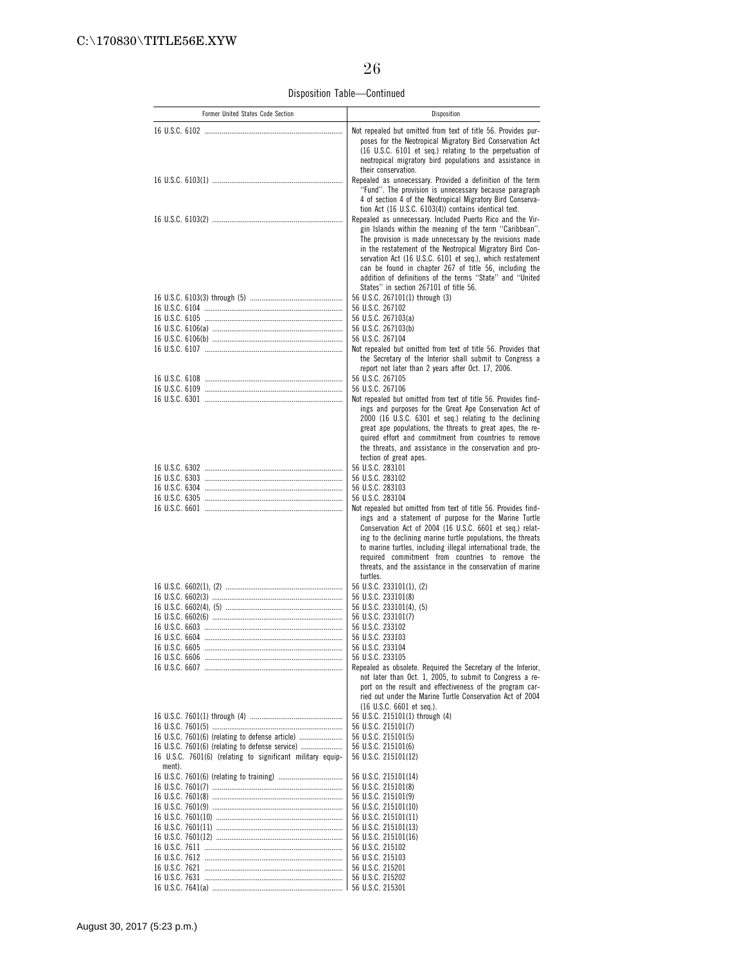Disposition Table—Continued

| Former United States Code Section                                    | Disposition                                                                                                                                                                                                                                                                                                                                                                                                                                                                               |
|----------------------------------------------------------------------|-------------------------------------------------------------------------------------------------------------------------------------------------------------------------------------------------------------------------------------------------------------------------------------------------------------------------------------------------------------------------------------------------------------------------------------------------------------------------------------------|
|                                                                      | Not repealed but omitted from text of title 56. Provides pur-<br>poses for the Neotropical Migratory Bird Conservation Act<br>(16 U.S.C. 6101 et seq.) relating to the perpetuation of<br>neotropical migratory bird populations and assistance in<br>their conservation.                                                                                                                                                                                                                 |
|                                                                      | Repealed as unnecessary. Provided a definition of the term<br>"Fund". The provision is unnecessary because paragraph<br>4 of section 4 of the Neotropical Migratory Bird Conserva-                                                                                                                                                                                                                                                                                                        |
|                                                                      | tion Act (16 U.S.C. 6103(4)) contains identical text.<br>Repealed as unnecessary. Included Puerto Rico and the Vir-<br>gin Islands within the meaning of the term "Caribbean".<br>The provision is made unnecessary by the revisions made<br>in the restatement of the Neotropical Migratory Bird Con-<br>servation Act (16 U.S.C. 6101 et seq.), which restatement<br>can be found in chapter 267 of title 56, including the<br>addition of definitions of the terms "State" and "United |
|                                                                      | States" in section 267101 of title 56.                                                                                                                                                                                                                                                                                                                                                                                                                                                    |
|                                                                      | 56 U.S.C. 267101(1) through (3)<br>56 U.S.C. 267102                                                                                                                                                                                                                                                                                                                                                                                                                                       |
|                                                                      | 56 U.S.C. 267103(a)                                                                                                                                                                                                                                                                                                                                                                                                                                                                       |
|                                                                      | 56 U.S.C. 267103(b)                                                                                                                                                                                                                                                                                                                                                                                                                                                                       |
|                                                                      | 56 U.S.C. 267104<br>Not repealed but omitted from text of title 56. Provides that                                                                                                                                                                                                                                                                                                                                                                                                         |
|                                                                      | the Secretary of the Interior shall submit to Congress a<br>report not later than 2 years after Oct. 17, 2006.<br>56 U.S.C. 267105                                                                                                                                                                                                                                                                                                                                                        |
|                                                                      | 56 U.S.C. 267106                                                                                                                                                                                                                                                                                                                                                                                                                                                                          |
|                                                                      | Not repealed but omitted from text of title 56. Provides find-<br>ings and purposes for the Great Ape Conservation Act of<br>2000 (16 U.S.C. 6301 et seq.) relating to the declining<br>great ape populations, the threats to great apes, the re-<br>quired effort and commitment from countries to remove<br>the threats, and assistance in the conservation and pro-<br>tection of great apes.                                                                                          |
|                                                                      | 56 U.S.C. 283101                                                                                                                                                                                                                                                                                                                                                                                                                                                                          |
|                                                                      | 56 U.S.C. 283102                                                                                                                                                                                                                                                                                                                                                                                                                                                                          |
|                                                                      | 56 U.S.C. 283103<br>56 U.S.C. 283104                                                                                                                                                                                                                                                                                                                                                                                                                                                      |
|                                                                      | Not repealed but omitted from text of title 56. Provides find-<br>ings and a statement of purpose for the Marine Turtle<br>Conservation Act of 2004 (16 U.S.C. 6601 et seq.) relat-<br>ing to the declining marine turtle populations, the threats<br>to marine turtles, including illegal international trade, the<br>required commitment from countries to remove the<br>threats, and the assistance in the conservation of marine<br>turtles.                                          |
|                                                                      | 56 U.S.C. 233101(1), (2)<br>56 U.S.C. 233101(8)                                                                                                                                                                                                                                                                                                                                                                                                                                           |
|                                                                      | 56 U.S.C. 233101(4), (5)                                                                                                                                                                                                                                                                                                                                                                                                                                                                  |
|                                                                      | 56 U.S.C. 233101(7)                                                                                                                                                                                                                                                                                                                                                                                                                                                                       |
|                                                                      | 56 U.S.C. 233102                                                                                                                                                                                                                                                                                                                                                                                                                                                                          |
|                                                                      | 56 U.S.C. 233103<br>56 U.S.C. 233104                                                                                                                                                                                                                                                                                                                                                                                                                                                      |
|                                                                      | 56 U.S.C. 233105                                                                                                                                                                                                                                                                                                                                                                                                                                                                          |
|                                                                      | Repealed as obsolete. Required the Secretary of the Interior,<br>not later than Oct. 1, 2005, to submit to Congress a re-<br>port on the result and effectiveness of the program car-<br>ried out under the Marine Turtle Conservation Act of 2004<br>$(16 \text{ U.S.C. } 6601 \text{ et seq.}).$                                                                                                                                                                                        |
|                                                                      | 56 U.S.C. 215101(1) through (4)                                                                                                                                                                                                                                                                                                                                                                                                                                                           |
| 16 U.S.C. 7601(6) (relating to defense article)                      | 56 U.S.C. 215101(7)<br>56 U.S.C. 215101(5)                                                                                                                                                                                                                                                                                                                                                                                                                                                |
| 16 U.S.C. 7601(6) (relating to defense service)                      | 56 U.S.C. 215101(6)                                                                                                                                                                                                                                                                                                                                                                                                                                                                       |
| 16 U.S.C. 7601(6) (relating to significant military equip-<br>ment). | 56 U.S.C. 215101(12)                                                                                                                                                                                                                                                                                                                                                                                                                                                                      |
|                                                                      | 56 U.S.C. 215101(14)<br>56 U.S.C. 215101(8)                                                                                                                                                                                                                                                                                                                                                                                                                                               |
|                                                                      | 56 U.S.C. 215101(9)                                                                                                                                                                                                                                                                                                                                                                                                                                                                       |
|                                                                      | 56 U.S.C. 215101(10)                                                                                                                                                                                                                                                                                                                                                                                                                                                                      |
|                                                                      | 56 U.S.C. 215101(11)                                                                                                                                                                                                                                                                                                                                                                                                                                                                      |
|                                                                      | 56 U.S.C. 215101(13)                                                                                                                                                                                                                                                                                                                                                                                                                                                                      |
|                                                                      | 56 U.S.C. 215101(16)<br>56 U.S.C. 215102                                                                                                                                                                                                                                                                                                                                                                                                                                                  |
|                                                                      | 56 U.S.C. 215103                                                                                                                                                                                                                                                                                                                                                                                                                                                                          |
|                                                                      | 56 U.S.C. 215201                                                                                                                                                                                                                                                                                                                                                                                                                                                                          |
|                                                                      | 56 U.S.C. 215202                                                                                                                                                                                                                                                                                                                                                                                                                                                                          |
|                                                                      | 56 U.S.C. 215301                                                                                                                                                                                                                                                                                                                                                                                                                                                                          |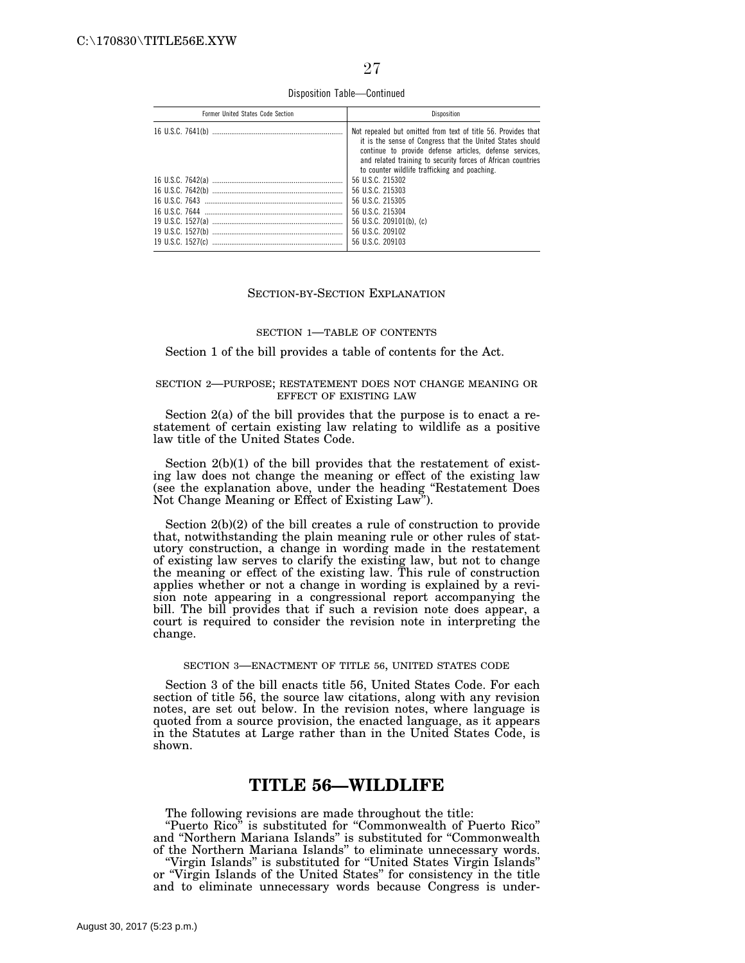Disposition Table—Continued

| Former United States Code Section | <b>Disposition</b>                                                                                                                                                                                                                                                                                     |
|-----------------------------------|--------------------------------------------------------------------------------------------------------------------------------------------------------------------------------------------------------------------------------------------------------------------------------------------------------|
|                                   | Not repealed but omitted from text of title 56. Provides that<br>it is the sense of Congress that the United States should<br>continue to provide defense articles, defense services,<br>and related training to security forces of African countries<br>to counter wildlife trafficking and poaching. |
|                                   | 56 U.S.C. 215302<br>56 U.S.C. 215303<br>56 U.S.C. 215305<br>56 U.S.C. 215304<br>56 U.S.C. 209101(b). (c)<br>56 U.S.C. 209102                                                                                                                                                                           |
|                                   | 56 U.S.C. 209103                                                                                                                                                                                                                                                                                       |

### SECTION-BY-SECTION EXPLANATION

#### SECTION 1—TABLE OF CONTENTS

#### Section 1 of the bill provides a table of contents for the Act.

#### SECTION 2—PURPOSE; RESTATEMENT DOES NOT CHANGE MEANING OR EFFECT OF EXISTING LAW

Section 2(a) of the bill provides that the purpose is to enact a restatement of certain existing law relating to wildlife as a positive law title of the United States Code.

Section 2(b)(1) of the bill provides that the restatement of existing law does not change the meaning or effect of the existing law (see the explanation above, under the heading ''Restatement Does Not Change Meaning or Effect of Existing Law'').

Section 2(b)(2) of the bill creates a rule of construction to provide that, notwithstanding the plain meaning rule or other rules of statutory construction, a change in wording made in the restatement of existing law serves to clarify the existing law, but not to change the meaning or effect of the existing law. This rule of construction applies whether or not a change in wording is explained by a revision note appearing in a congressional report accompanying the bill. The bill provides that if such a revision note does appear, a court is required to consider the revision note in interpreting the change.

#### SECTION 3—ENACTMENT OF TITLE 56, UNITED STATES CODE

Section 3 of the bill enacts title 56, United States Code. For each section of title 56, the source law citations, along with any revision notes, are set out below. In the revision notes, where language is quoted from a source provision, the enacted language, as it appears in the Statutes at Large rather than in the United States Code, is shown.

### **TITLE 56—WILDLIFE**

The following revisions are made throughout the title:

''Puerto Rico'' is substituted for ''Commonwealth of Puerto Rico'' and ''Northern Mariana Islands'' is substituted for ''Commonwealth of the Northern Mariana Islands'' to eliminate unnecessary words.

''Virgin Islands'' is substituted for ''United States Virgin Islands'' or ''Virgin Islands of the United States'' for consistency in the title and to eliminate unnecessary words because Congress is under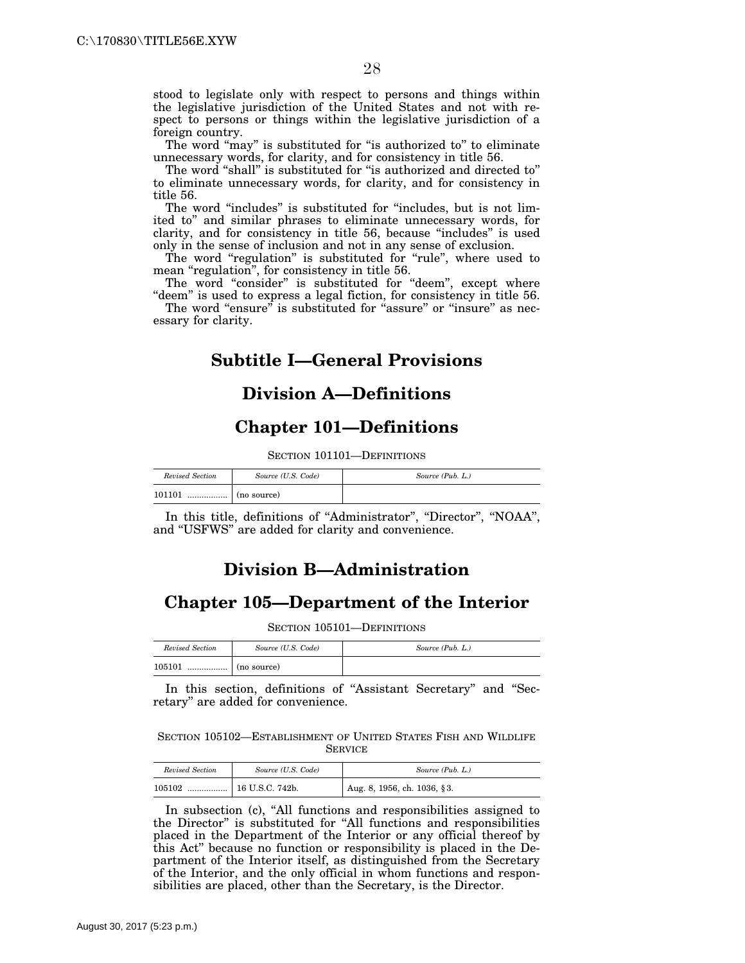stood to legislate only with respect to persons and things within the legislative jurisdiction of the United States and not with respect to persons or things within the legislative jurisdiction of a foreign country.

The word "may" is substituted for "is authorized to" to eliminate unnecessary words, for clarity, and for consistency in title 56.

The word "shall" is substituted for "is authorized and directed to" to eliminate unnecessary words, for clarity, and for consistency in title 56.

The word "includes" is substituted for "includes, but is not limited to'' and similar phrases to eliminate unnecessary words, for clarity, and for consistency in title 56, because ''includes'' is used only in the sense of inclusion and not in any sense of exclusion.

The word "regulation" is substituted for "rule", where used to mean "regulation", for consistency in title 56.

The word "consider" is substituted for "deem", except where "deem" is used to express a legal fiction, for consistency in title 56.

The word "ensure" is substituted for "assure" or "insure" as necessary for clarity.

# **Subtitle I—General Provisions**

## **Division A—Definitions**

# **Chapter 101—Definitions**

SECTION 101101—DEFINITIONS

| Revised Section | Source (U.S. Code)                                                | Source (Pub. L.) |
|-----------------|-------------------------------------------------------------------|------------------|
| 101101          | $\ldots$ $\ldots$ $\ldots$ $\ldots$ $\ldots$ $\ldots$ (no source) |                  |

In this title, definitions of ''Administrator'', ''Director'', ''NOAA'', and ''USFWS'' are added for clarity and convenience.

# **Division B—Administration**

## **Chapter 105—Department of the Interior**

SECTION 105101—DEFINITIONS

| Revised Section | Source (U.S. Code) | Source (Pub. L.) |
|-----------------|--------------------|------------------|
| 105101<br>. 1   | $\ln$ (no source)  |                  |

In this section, definitions of ''Assistant Secretary'' and ''Secretary'' are added for convenience.

SECTION 105102—ESTABLISHMENT OF UNITED STATES FISH AND WILDLIFE **SERVICE** 

| Revised Section | Source (U.S. Code) | Source (Pub. L.)            |
|-----------------|--------------------|-----------------------------|
| 105102<br>      | 16 U.S.C. 742b.    | Aug. 8, 1956, ch. 1036, §3. |

In subsection (c), ''All functions and responsibilities assigned to the Director'' is substituted for ''All functions and responsibilities placed in the Department of the Interior or any official thereof by this Act'' because no function or responsibility is placed in the Department of the Interior itself, as distinguished from the Secretary of the Interior, and the only official in whom functions and responsibilities are placed, other than the Secretary, is the Director.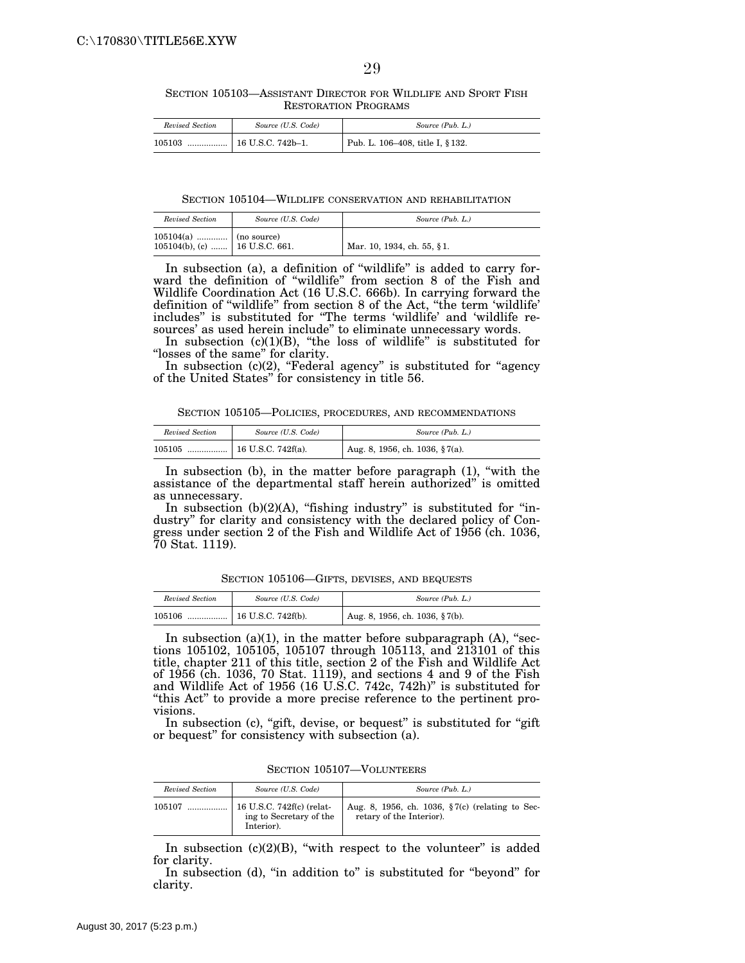SECTION 105103—ASSISTANT DIRECTOR FOR WILDLIFE AND SPORT FISH RESTORATION PROGRAMS

| Revised Section | Source (U.S. Code) | Source (Pub. L.)                              |
|-----------------|--------------------|-----------------------------------------------|
| 105103          |                    | <sup>1</sup> Pub. L. 106-408, title I, § 132. |

SECTION 105104—WILDLIFE CONSERVATION AND REHABILITATION

| Revised Section                                                | Source (U.S. Code) | Source (Pub. L.)           |
|----------------------------------------------------------------|--------------------|----------------------------|
| $105104(a)$ (no source)<br>$105104(b)$ , (c)    16 U.S.C. 661. |                    | Mar. 10, 1934, ch. 55, §1. |

In subsection (a), a definition of ''wildlife'' is added to carry forward the definition of "wildlife" from section 8 of the Fish and Wildlife Coordination Act (16 U.S.C. 666b). In carrying forward the definition of ''wildlife'' from section 8 of the Act, ''the term 'wildlife' includes'' is substituted for ''The terms 'wildlife' and 'wildlife resources' as used herein include'' to eliminate unnecessary words.

In subsection (c)(1)(B), "the loss of wildlife" is substituted for "losses of the same" for clarity.

In subsection (c)(2), "Federal agency" is substituted for "agency of the United States'' for consistency in title 56.

SECTION 105105—POLICIES, PROCEDURES, AND RECOMMENDATIONS

| Revised Section | Source (U.S. Code) | Source (Pub. L.)               |
|-----------------|--------------------|--------------------------------|
| 105105          |                    | Aug. 8, 1956, ch. 1036, §7(a). |

In subsection (b), in the matter before paragraph  $(1)$ , "with the assistance of the departmental staff herein authorized'' is omitted as unnecessary.

In subsection  $(b)(2)(A)$ , "fishing industry" is substituted for "industry'' for clarity and consistency with the declared policy of Congress under section 2 of the Fish and Wildlife Act of 1956 (ch. 1036, 70 Stat. 1119).

SECTION 105106—GIFTS, DEVISES, AND BEQUESTS

| Revised Section | Source (U.S. Code) | Source (Pub. L.)                   |
|-----------------|--------------------|------------------------------------|
| 105106          |                    | Aug. 8, 1956, ch. 1036, $\S7(b)$ . |

In subsection (a)(1), in the matter before subparagraph (A), "sections 105102, 105105, 105107 through 105113, and 213101 of this title, chapter 211 of this title, section 2 of the Fish and Wildlife Act of 1956 (ch. 1036, 70 Stat. 1119), and sections 4 and 9 of the Fish and Wildlife Act of 1956 (16 U.S.C. 742c, 742h)'' is substituted for "this Act" to provide a more precise reference to the pertinent provisions.

In subsection (c), "gift, devise, or bequest" is substituted for "gift" or bequest'' for consistency with subsection (a).

SECTION 105107—VOLUNTEERS

| Revised Section | Source (U.S. Code)                                                 | Source (Pub. L.)                                                               |
|-----------------|--------------------------------------------------------------------|--------------------------------------------------------------------------------|
| 105107          | 16 U.S.C. 742f(c) (relat-<br>ing to Secretary of the<br>Interior). | Aug. 8, 1956, ch. 1036, $\S7(c)$ (relating to Sec-<br>retary of the Interior). |

In subsection  $(c)(2)(B)$ , "with respect to the volunteer" is added for clarity.

In subsection (d), "in addition to" is substituted for "beyond" for clarity.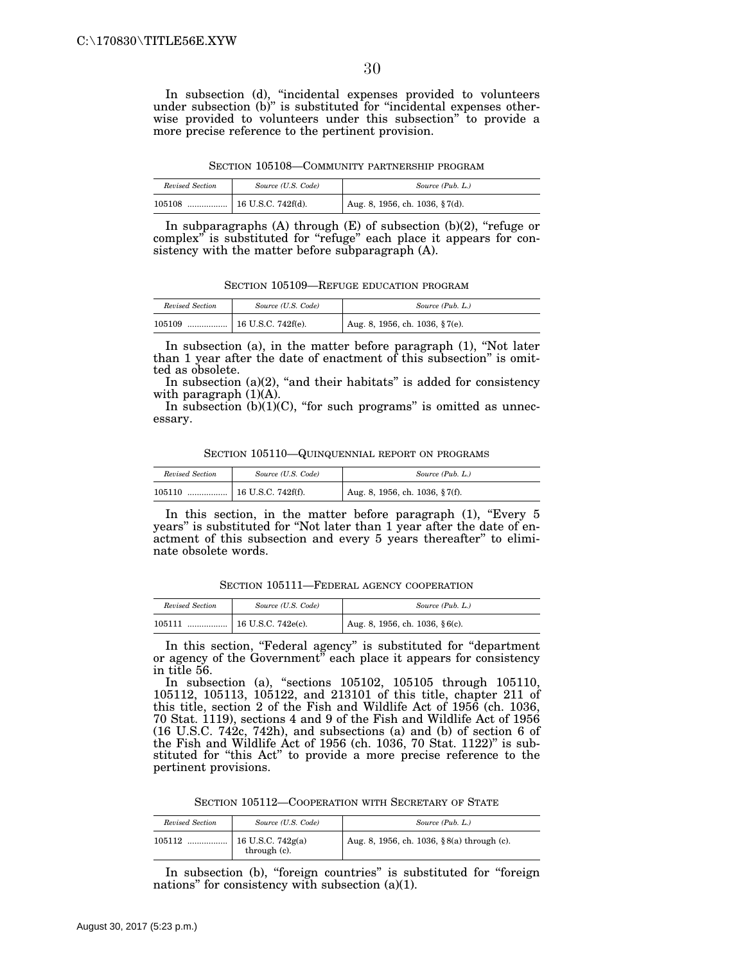In subsection (d), ''incidental expenses provided to volunteers under subsection (b)'' is substituted for ''incidental expenses otherwise provided to volunteers under this subsection'' to provide a more precise reference to the pertinent provision.

SECTION 105108—COMMUNITY PARTNERSHIP PROGRAM

| Revised Section | Source (U.S. Code) | Source (Pub. L.)               |
|-----------------|--------------------|--------------------------------|
| 105108          |                    | Aug. 8, 1956, ch. 1036, §7(d). |

In subparagraphs  $(A)$  through  $(E)$  of subsection  $(b)(2)$ , "refuge or complex" is substituted for "refuge" each place it appears for consistency with the matter before subparagraph (A).

SECTION 105109—REFUGE EDUCATION PROGRAM

| Revised Section | Source (U.S. Code) | Source (Pub. L.)                             |
|-----------------|--------------------|----------------------------------------------|
| 105109          |                    | $\frac{1}{2}$ Aug. 8, 1956, ch. 1036, §7(e). |

In subsection (a), in the matter before paragraph (1), ''Not later than 1 year after the date of enactment of this subsection'' is omitted as obsolete.

In subsection  $(a)(2)$ , "and their habitats" is added for consistency with paragraph  $(1)(A)$ .

In subsection  $(b)(1)(C)$ , "for such programs" is omitted as unnecessary.

SECTION 105110—QUINQUENNIAL REPORT ON PROGRAMS

| Revised Section | Source (U.S. Code)                            | Source (Pub. L.)               |
|-----------------|-----------------------------------------------|--------------------------------|
| 105110          | $\lceil 16 \text{ U.S.C. } 742 \text{ f(f)}.$ | Aug. 8, 1956, ch. 1036, §7(f). |

In this section, in the matter before paragraph (1), "Every 5 years'' is substituted for ''Not later than 1 year after the date of enactment of this subsection and every 5 years thereafter'' to eliminate obsolete words.

SECTION 105111—FEDERAL AGENCY COOPERATION

| Revised Section | Source (U.S. Code)     | Source (Pub. L.)                   |
|-----------------|------------------------|------------------------------------|
| 105111<br>      | 16 U.S.C. 742 $e(c)$ . | Aug. 8, 1956, ch. 1036, $§ 6(c)$ . |

In this section, "Federal agency" is substituted for "department" or agency of the Government" each place it appears for consistency in title 56.

In subsection (a), ''sections 105102, 105105 through 105110, 105112, 105113, 105122, and 213101 of this title, chapter 211 of this title, section 2 of the Fish and Wildlife Act of 1956 (ch. 1036, 70 Stat. 1119), sections 4 and 9 of the Fish and Wildlife Act of 1956 (16 U.S.C. 742c, 742h), and subsections (a) and (b) of section 6 of the Fish and Wildlife Act of 1956 (ch. 1036, 70 Stat. 1122)'' is substituted for "this Act" to provide a more precise reference to the pertinent provisions.

SECTION 105112—COOPERATION WITH SECRETARY OF STATE

| Revised Section | Source (U.S. Code)                  | Source (Pub. L.)                           |
|-----------------|-------------------------------------|--------------------------------------------|
| 105112          | $16$ U.S.C. 742g(a)<br>through (c). | Aug. 8, 1956, ch. 1036, §8(a) through (c). |

In subsection (b), "foreign countries" is substituted for "foreign nations" for consistency with subsection (a)(1).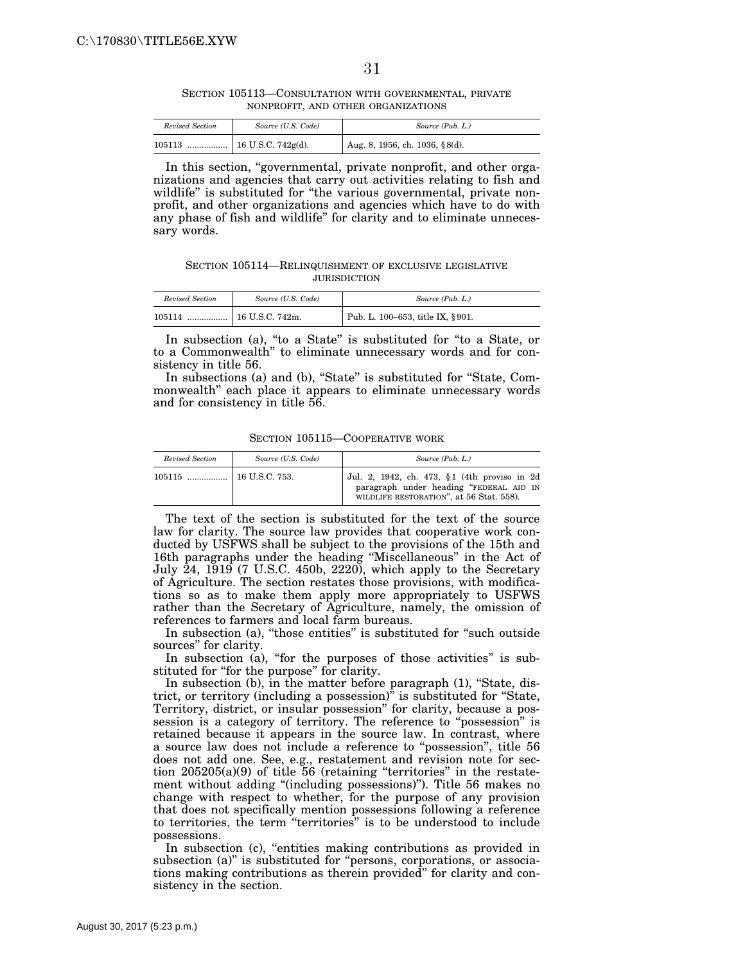SECTION 105113—CONSULTATION WITH GOVERNMENTAL, PRIVATE NONPROFIT, AND OTHER ORGANIZATIONS

| Revised Section | Source (U.S. Code) | Source (Pub. L.)               |
|-----------------|--------------------|--------------------------------|
| 105113          |                    | Aug. 8, 1956, ch. 1036, §8(d). |

In this section, "governmental, private nonprofit, and other organizations and agencies that carry out activities relating to fish and wildlife'' is substituted for ''the various governmental, private nonprofit, and other organizations and agencies which have to do with any phase of fish and wildlife'' for clarity and to eliminate unnecessary words.

SECTION 105114—RELINQUISHMENT OF EXCLUSIVE LEGISLATIVE **JURISDICTION** 

| Revised Section | Source (U.S. Code) | Source (Pub. L.)                 |
|-----------------|--------------------|----------------------------------|
| 105114<br>      | 16 U.S.C. 742m.    | Pub. L. 100-653, title IX, §901. |

In subsection (a), "to a State" is substituted for "to a State, or to a Commonwealth'' to eliminate unnecessary words and for consistency in title 56.

In subsections (a) and (b), "State" is substituted for "State, Commonwealth'' each place it appears to eliminate unnecessary words and for consistency in title 56.

SECTION 105115—COOPERATIVE WORK

| Revised Section | Source (U.S. Code) | Source (Pub. L.)                                                                                                                    |
|-----------------|--------------------|-------------------------------------------------------------------------------------------------------------------------------------|
|                 |                    | Jul. 2, 1942, ch. 473, §1 (4th proviso in 2d<br>paragraph under heading "FEDERAL AID IN<br>WILDLIFE RESTORATION", at 56 Stat. 558). |

The text of the section is substituted for the text of the source law for clarity. The source law provides that cooperative work conducted by USFWS shall be subject to the provisions of the 15th and 16th paragraphs under the heading ''Miscellaneous'' in the Act of July 24, 1919 (7 U.S.C. 450b, 2220), which apply to the Secretary of Agriculture. The section restates those provisions, with modifications so as to make them apply more appropriately to USFWS rather than the Secretary of Agriculture, namely, the omission of references to farmers and local farm bureaus.

In subsection (a), "those entities" is substituted for "such outside sources'' for clarity.

In subsection (a), "for the purposes of those activities" is substituted for "for the purpose" for clarity.

In subsection (b), in the matter before paragraph (1), "State, district, or territory (including a possession)'' is substituted for ''State, Territory, district, or insular possession'' for clarity, because a possession is a category of territory. The reference to ''possession'' is retained because it appears in the source law. In contrast, where a source law does not include a reference to ''possession'', title 56 does not add one. See, e.g., restatement and revision note for section  $205205(a)(9)$  of title 56 (retaining "territories" in the restatement without adding "(including possessions)"). Title 56 makes no change with respect to whether, for the purpose of any provision that does not specifically mention possessions following a reference to territories, the term ''territories'' is to be understood to include possessions.

In subsection (c), "entities making contributions as provided in subsection (a)" is substituted for "persons, corporations, or associations making contributions as therein provided'' for clarity and consistency in the section.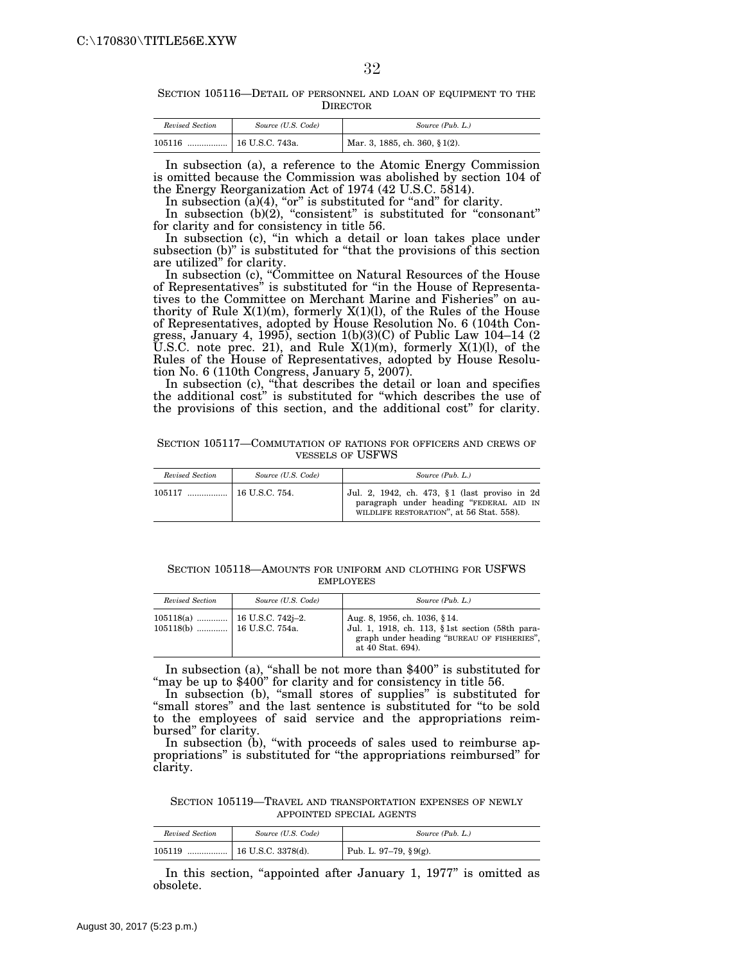SECTION 105116—DETAIL OF PERSONNEL AND LOAN OF EQUIPMENT TO THE DIRECTOR

| Revised Section | Source (U.S. Code) | Source (Pub. L.)               |
|-----------------|--------------------|--------------------------------|
| 105116<br>      | 16 U.S.C. 743a.    | Mar. 3, 1885, ch. 360, § 1(2). |

In subsection (a), a reference to the Atomic Energy Commission is omitted because the Commission was abolished by section 104 of the Energy Reorganization Act of 1974 (42 U.S.C. 5814).

In subsection  $(a)(4)$ , "or" is substituted for "and" for clarity.

In subsection (b)(2), "consistent" is substituted for "consonant" for clarity and for consistency in title 56.

In subsection (c), ''in which a detail or loan takes place under subsection (b)" is substituted for "that the provisions of this section are utilized'' for clarity.

In subsection (c), ''Committee on Natural Resources of the House of Representatives'' is substituted for ''in the House of Representatives to the Committee on Merchant Marine and Fisheries'' on authority of Rule  $X(1)(m)$ , formerly  $X(1)(l)$ , of the Rules of the House of Representatives, adopted by House Resolution No. 6 (104th Congress, January 4, 1995), section  $1(b)(3)(C)$  of Public Law 104–14  $(2)$ U.S.C. note prec. 21), and Rule  $X(1)(m)$ , formerly  $X(1)(l)$ , of the Rules of the House of Representatives, adopted by House Resolution No. 6 (110th Congress, January 5, 2007).

In subsection (c), ''that describes the detail or loan and specifies the additional cost'' is substituted for ''which describes the use of the provisions of this section, and the additional cost'' for clarity.

SECTION 105117—COMMUTATION OF RATIONS FOR OFFICERS AND CREWS OF VESSELS OF USFWS

| Revised Section | Source (U.S. Code)   | Source (Pub. L.)                                                                                                                     |
|-----------------|----------------------|--------------------------------------------------------------------------------------------------------------------------------------|
| $105117$        | $\pm$ 16 U.S.C. 754. | Jul. 2, 1942, ch. 473, §1 (last proviso in 2d<br>paragraph under heading "FEDERAL AID IN<br>WILDLIFE RESTORATION", at 56 Stat. 558). |

SECTION 105118—AMOUNTS FOR UNIFORM AND CLOTHING FOR USFWS EMPLOYEES

| Revised Section              | Source (U.S. Code) | Source (Pub. L.)                                                                                                                                   |
|------------------------------|--------------------|----------------------------------------------------------------------------------------------------------------------------------------------------|
| 105118(b)    16 U.S.C. 754a. |                    | Aug. 8, 1956, ch. 1036, §14.<br>Jul. 1, 1918, ch. 113, §1st section (58th para-<br>graph under heading "BUREAU OF FISHERIES",<br>at 40 Stat. 694). |

In subsection (a), "shall be not more than \$400" is substituted for "may be up to \$400" for clarity and for consistency in title 56.

In subsection (b), "small stores of supplies" is substituted for "small stores" and the last sentence is substituted for "to be sold to the employees of said service and the appropriations reimbursed'' for clarity.

In subsection (b), "with proceeds of sales used to reimburse appropriations'' is substituted for ''the appropriations reimbursed'' for clarity.

SECTION 105119—TRAVEL AND TRANSPORTATION EXPENSES OF NEWLY APPOINTED SPECIAL AGENTS

| Revised Section | Source (U.S. Code)         | Source (Pub. L.)           |
|-----------------|----------------------------|----------------------------|
| 105119<br>      | $\vert$ 16 U.S.C. 3378(d). | Pub. L. 97–79, $\S 9(g)$ . |

In this section, "appointed after January 1, 1977" is omitted as obsolete.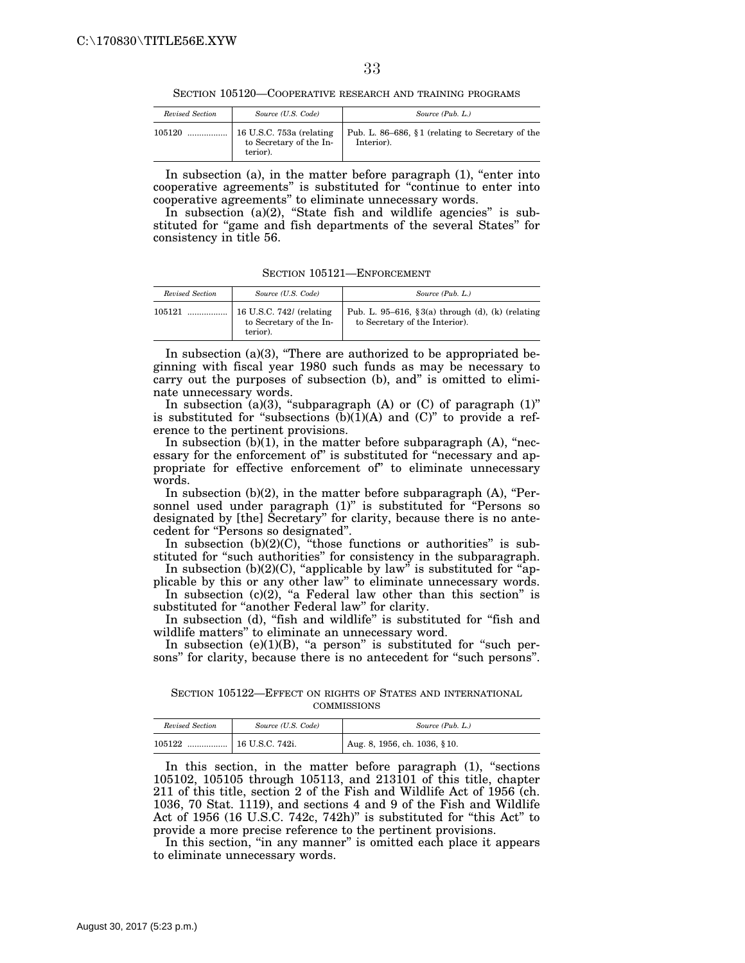SECTION 105120—COOPERATIVE RESEARCH AND TRAINING PROGRAMS

| Revised Section | Source (U.S. Code)                                              | Source (Pub. L.)                                               |
|-----------------|-----------------------------------------------------------------|----------------------------------------------------------------|
| 105120          | 16 U.S.C. 753a (relating<br>to Secretary of the In-<br>terior). | Pub. L. 86–686, §1 (relating to Secretary of the<br>Interior). |

In subsection (a), in the matter before paragraph  $(1)$ , "enter into cooperative agreements'' is substituted for ''continue to enter into cooperative agreements'' to eliminate unnecessary words.

In subsection (a)(2), "State fish and wildlife agencies" is substituted for "game and fish departments of the several States" for consistency in title 56.

SECTION 105121—ENFORCEMENT

| Revised Section | Source (U.S. Code)                                              | Source (Pub. L.)                                                                   |
|-----------------|-----------------------------------------------------------------|------------------------------------------------------------------------------------|
| 105121          | 16 U.S.C. 742/ (relating<br>to Secretary of the In-<br>terior). | Pub. L. 95–616, §3(a) through (d), (k) (relating<br>to Secretary of the Interior). |

In subsection  $(a)(3)$ , "There are authorized to be appropriated beginning with fiscal year 1980 such funds as may be necessary to carry out the purposes of subsection (b), and'' is omitted to eliminate unnecessary words.

In subsection  $(a)(3)$ , "subparagraph  $(A)$  or  $(C)$  of paragraph  $(1)$ " is substituted for "subsections  $(b)(1)(A)$  and  $(C)$ " to provide a reference to the pertinent provisions.

In subsection  $(b)(1)$ , in the matter before subparagraph  $(A)$ , "necessary for the enforcement of" is substituted for "necessary and appropriate for effective enforcement of'' to eliminate unnecessary words.

In subsection  $(b)(2)$ , in the matter before subparagraph  $(A)$ , "Personnel used under paragraph (1)" is substituted for "Persons so designated by [the] Secretary'' for clarity, because there is no antecedent for "Persons so designated".

In subsection  $(b)(2)(C)$ , "those functions or authorities" is substituted for "such authorities" for consistency in the subparagraph.

In subsection  $(b)(2)(C)$ , "applicable by law" is substituted for "applicable by this or any other law'' to eliminate unnecessary words.

In subsection  $(c)(2)$ , "a Federal law other than this section" is substituted for "another Federal law" for clarity.

In subsection (d), "fish and wildlife" is substituted for "fish and wildlife matters'' to eliminate an unnecessary word.

In subsection  $(e)(1)(B)$ , "a person" is substituted for "such persons" for clarity, because there is no antecedent for "such persons".

SECTION 105122—EFFECT ON RIGHTS OF STATES AND INTERNATIONAL COMMISSIONS

| Revised Section | Source (U.S. Code) | Source (Pub. L.)             |
|-----------------|--------------------|------------------------------|
| 105122<br>      | 16 U.S.C. 742i.    | Aug. 8, 1956, ch. 1036, §10. |

In this section, in the matter before paragraph (1), "sections 105102, 105105 through 105113, and 213101 of this title, chapter 211 of this title, section 2 of the Fish and Wildlife Act of 1956 (ch. 1036, 70 Stat. 1119), and sections 4 and 9 of the Fish and Wildlife Act of 1956 (16 U.S.C. 742c, 742h)" is substituted for "this Act" to provide a more precise reference to the pertinent provisions.

In this section, "in any manner" is omitted each place it appears to eliminate unnecessary words.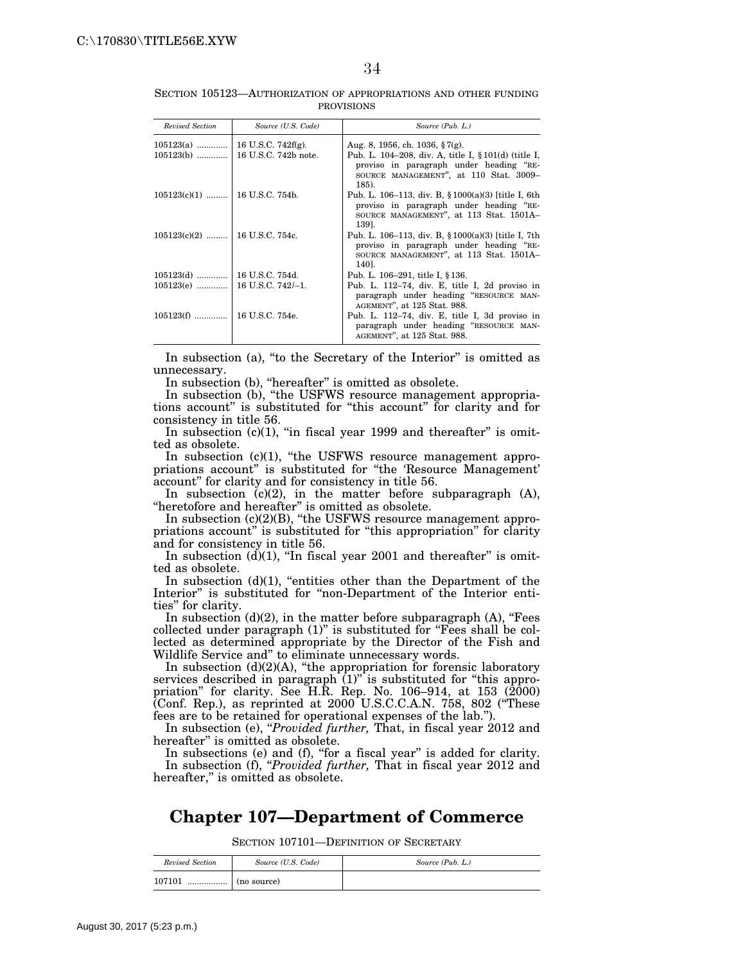SECTION 105123—AUTHORIZATION OF APPROPRIATIONS AND OTHER FUNDING PROVISIONS

| <b>Revised Section</b>           | Source (U.S. Code)     | Source (Pub. L.)                                                                                                                                      |
|----------------------------------|------------------------|-------------------------------------------------------------------------------------------------------------------------------------------------------|
| $105123(a)$                      | 16 U.S.C. 742 $f(g)$ . | Aug. 8, 1956, ch. 1036, §7(g).                                                                                                                        |
| $105123(b)$                      | 16 U.S.C. 742b note.   | Pub. L. 104–208, div. A, title I, § 101(d) (title I,<br>proviso in paragraph under heading "RE-<br>SOURCE MANAGEMENT", at 110 Stat. 3009-<br>$185$ ). |
| $105123(c)(1)$   16 U.S.C. 754b. |                        | Pub. L. 106–113, div. B, § 1000(a)(3) [title I, 6th<br>proviso in paragraph under heading "RE-<br>SOURCE MANAGEMENT", at 113 Stat. 1501A-<br>1391.    |
| $105123(c)(2)$   16 U.S.C. 754c. |                        | Pub. L. 106–113, div. B, $$1000(a)(3)$ [title I, 7th<br>proviso in paragraph under heading "RE-<br>SOURCE MANAGEMENT", at 113 Stat. 1501A-<br>140].   |
|                                  |                        | Pub. L. 106–291, title I, § 136.                                                                                                                      |
|                                  |                        | Pub. L. 112-74, div. E, title I, 2d proviso in<br>paragraph under heading "RESOURCE MAN-<br>AGEMENT", at 125 Stat. 988.                               |
|                                  |                        | Pub. L. 112–74, div. E, title I, 3d proviso in<br>paragraph under heading "RESOURCE MAN-<br>AGEMENT", at 125 Stat. 988.                               |

In subsection (a), "to the Secretary of the Interior" is omitted as unnecessary.

In subsection (b), "hereafter" is omitted as obsolete.

In subsection (b), "the USFWS resource management appropriations account'' is substituted for ''this account'' for clarity and for consistency in title 56.

In subsection  $(c)(1)$ , "in fiscal year 1999 and thereafter" is omitted as obsolete.

In subsection  $(c)(1)$ , "the USFWS resource management appropriations account" is substituted for "the 'Resource Management' account'' for clarity and for consistency in title 56.

In subsection  $(c)(2)$ , in the matter before subparagraph  $(A)$ , "heretofore and hereafter" is omitted as obsolete.

In subsection (c)(2)(B), "the USFWS resource management appropriations account" is substituted for "this appropriation" for clarity and for consistency in title 56.

In subsection  $(d)(1)$ , "In fiscal year 2001 and thereafter" is omitted as obsolete.

In subsection  $(d)(1)$ , "entities other than the Department of the Interior" is substituted for "non-Department of the Interior entities'' for clarity.

In subsection  $(d)(2)$ , in the matter before subparagraph  $(A)$ , "Fees collected under paragraph (1)'' is substituted for ''Fees shall be collected as determined appropriate by the Director of the Fish and Wildlife Service and'' to eliminate unnecessary words.

In subsection  $(d)(2)(A)$ , "the appropriation for forensic laboratory services described in paragraph  $(1)$ " is substituted for "this appropriation'' for clarity. See H.R. Rep. No. 106–914, at 153 (2000) (Conf. Rep.), as reprinted at 2000 U.S.C.C.A.N. 758, 802 (''These fees are to be retained for operational expenses of the lab.'').

In subsection (e), "*Provided further*, That, in fiscal year 2012 and hereafter'' is omitted as obsolete.

In subsections (e) and (f), "for a fiscal year" is added for clarity. In subsection (f), "*Provided further*, That in fiscal year 2012 and hereafter," is omitted as obsolete.

# **Chapter 107—Department of Commerce**

SECTION 107101—DEFINITION OF SECRETARY

| Revised Section | Source (U.S. Code) | Source (Pub. L.) |
|-----------------|--------------------|------------------|
| 107101<br>      | (no source)        |                  |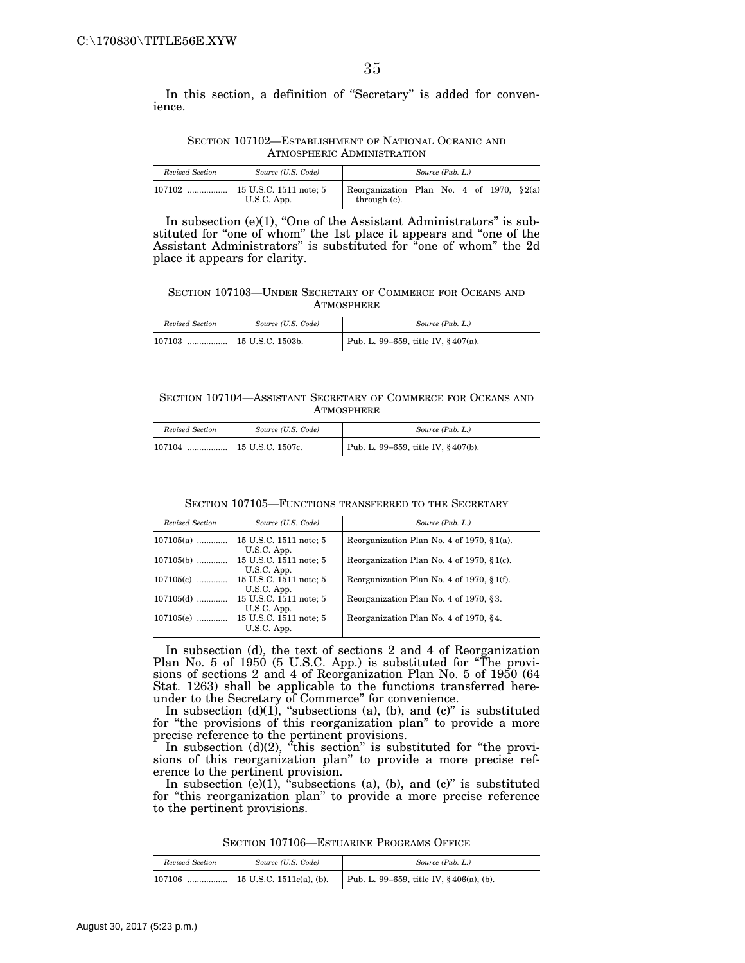In this section, a definition of ''Secretary'' is added for convenience.

SECTION 107102—ESTABLISHMENT OF NATIONAL OCEANIC AND ATMOSPHERIC ADMINISTRATION

| Revised Section | Source (U.S. Code)                               |                                                              | Source (Pub. L.) |  |  |  |
|-----------------|--------------------------------------------------|--------------------------------------------------------------|------------------|--|--|--|
| 107102          | $\ldots$   15 U.S.C. 1511 note; 5<br>U.S.C. App. | Reorganization Plan No. 4 of 1970, $\S 2(a)$<br>through (e). |                  |  |  |  |

In subsection  $(e)(1)$ , "One of the Assistant Administrators" is substituted for "one of whom" the 1st place it appears and "one of the Assistant Administrators'' is substituted for ''one of whom'' the 2d place it appears for clarity.

SECTION 107103—UNDER SECRETARY OF COMMERCE FOR OCEANS AND ATMOSPHERE

| Revised Section | Source (U.S. Code) | Source (Pub. L.)                       |
|-----------------|--------------------|----------------------------------------|
| 107103          |                    | Pub. L. 99–659, title IV, $§ 407(a)$ . |

#### SECTION 107104—ASSISTANT SECRETARY OF COMMERCE FOR OCEANS AND **ATMOSPHERE**

| Revised Section | Source (U.S. Code)          | Source (Pub. L.)                   |
|-----------------|-----------------------------|------------------------------------|
| 107104          | $\ldots$   15 U.S.C. 1507c. | Pub. L. 99–659, title IV, §407(b). |

SECTION 107105—FUNCTIONS TRANSFERRED TO THE SECRETARY

| Revised Section | Source (U.S. Code)                    | Source (Pub. L.)                               |
|-----------------|---------------------------------------|------------------------------------------------|
| $107105(a)$     | 15 U.S.C. 1511 note; 5<br>U.S.C. App. | Reorganization Plan No. 4 of 1970, $\S$ 1(a).  |
| $107105(b)$     | 15 U.S.C. 1511 note; 5<br>U.S.C. App. | Reorganization Plan No. 4 of 1970, $\S$ 1(c).  |
| $107105(c)$     | 15 U.S.C. 1511 note; 5<br>U.S.C. App. | Reorganization Plan No. 4 of 1970, $\S 1(f)$ . |
| $107105(d)$     | 15 U.S.C. 1511 note; 5<br>U.S.C. App. | Reorganization Plan No. 4 of 1970, §3.         |
| $107105(e)$     | 15 U.S.C. 1511 note; 5<br>U.S.C. App. | Reorganization Plan No. 4 of 1970, §4.         |

In subsection (d), the text of sections 2 and 4 of Reorganization Plan No. 5 of 1950 (5 U.S.C. App.) is substituted for ''The provisions of sections 2 and 4 of Reorganization Plan No. 5 of 1950 (64 Stat. 1263) shall be applicable to the functions transferred hereunder to the Secretary of Commerce'' for convenience.

In subsection  $(d)(1)$ , "subsections  $(a)$ ,  $(b)$ , and  $(c)$ " is substituted for ''the provisions of this reorganization plan'' to provide a more precise reference to the pertinent provisions.

In subsection  $(d)(2)$ , "this section" is substituted for "the provisions of this reorganization plan'' to provide a more precise reference to the pertinent provision.

In subsection (e)(1), "subsections (a), (b), and (c)" is substituted for ''this reorganization plan'' to provide a more precise reference to the pertinent provisions.

SECTION 107106—ESTUARINE PROGRAMS OFFICE

| Revised Section | Source (U.S. Code) | Source (Pub. L.)                           |
|-----------------|--------------------|--------------------------------------------|
| 107106          |                    | Pub. L. 99–659, title IV, $§$ 406(a), (b). |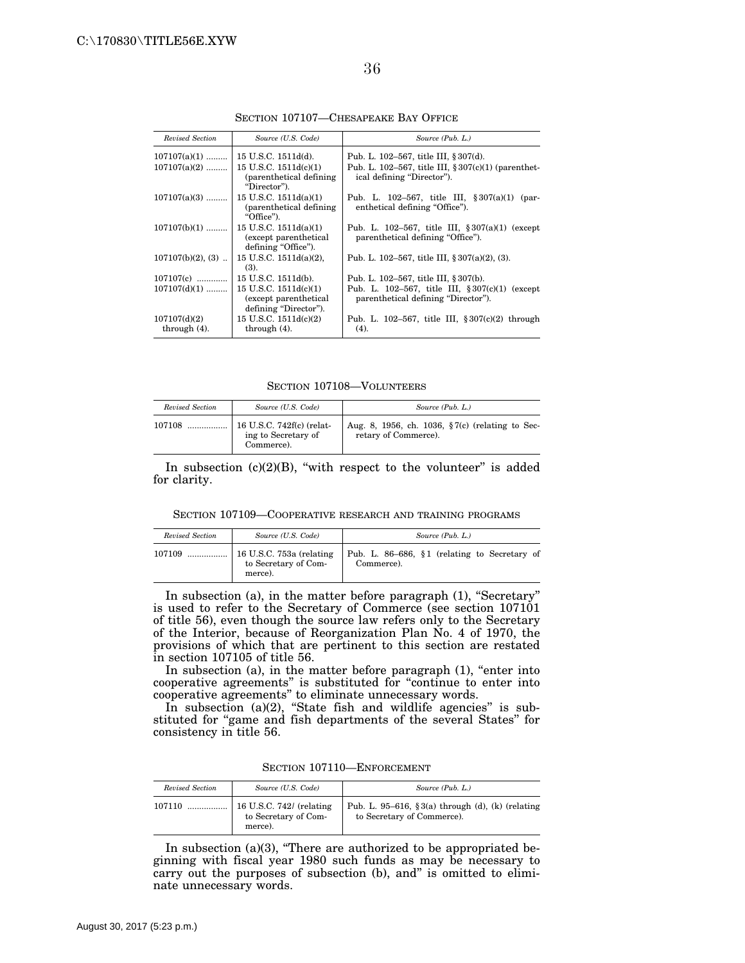| Revised Section                 | Source (U.S. Code)                                                         | Source (Pub. L.)                                                                        |
|---------------------------------|----------------------------------------------------------------------------|-----------------------------------------------------------------------------------------|
| $107107(a)(1)$                  | 15 U.S.C. 1511d(d).                                                        | Pub. L. 102–567, title III, § 307(d).                                                   |
| $107107(a)(2)$                  | $15$ U.S.C. $1511d(c)(1)$<br>(parenthetical defining)<br>"Director").      | Pub. L. 102–567, title III, $\S 307(c)(1)$ (parenthet-<br>ical defining "Director").    |
| $107107(a)(3)$                  | $15$ U.S.C. $1511d(a)(1)$<br>(parenthetical defining)<br>"Office").        | Pub. L. 102-567, title III, $\S 307(a)(1)$ (par-<br>enthetical defining "Office").      |
| $107107(b)(1)$                  | 15 U.S.C. 1511d(a)(1)<br>(except parenthetical)<br>defining "Office").     | Pub. L. 102–567, title III, $\S 307(a)(1)$ (except<br>parenthetical defining "Office"). |
| $107107(b)(2)$ , (3)            | 15 U.S.C. $1511d(a)(2)$ ,<br>(3).                                          | Pub. L. 102–567, title III, $§ 307(a)(2)$ , (3).                                        |
| $107107(c)$                     | 15 U.S.C. 1511d(b).                                                        | Pub. L. 102–567, title III, § 307(b).                                                   |
| $107107(d)(1)$                  | 15 U.S.C. $1511d(c)(1)$<br>(except parenthetical)<br>defining "Director"). | Pub. L. 102-567, title III, $$307(c)(1)$ (except<br>parenthetical defining "Director"). |
| 107107(d)(2)<br>through $(4)$ . | 15 U.S.C. $1511d(c)(2)$<br>through $(4)$ .                                 | Pub. L. 102-567, title III, $\S 307(c)(2)$ through<br>(4).                              |

SECTION 107107—CHESAPEAKE BAY OFFICE

SECTION 107108—VOLUNTEERS

| Revised Section | Source (U.S. Code)                                             | Source (Pub. L.)                                                           |
|-----------------|----------------------------------------------------------------|----------------------------------------------------------------------------|
| 107108          | 16 U.S.C. 742f(c) (relat-<br>ing to Secretary of<br>Commerce). | Aug. 8, 1956, ch. 1036, $\S7(c)$ (relating to Sec-<br>retary of Commerce). |

In subsection  $(c)(2)(B)$ , "with respect to the volunteer" is added for clarity.

SECTION 107109—COOPERATIVE RESEARCH AND TRAINING PROGRAMS

| Revised Section | Source (U.S. Code)                                          | Source (Pub. L.)                                           |
|-----------------|-------------------------------------------------------------|------------------------------------------------------------|
| 107109          | 16 U.S.C. 753a (relating<br>to Secretary of Com-<br>merce). | Pub. L. 86–686, §1 (relating to Secretary of<br>Commerce). |

In subsection (a), in the matter before paragraph (1), ''Secretary'' is used to refer to the Secretary of Commerce (see section 107101 of title 56), even though the source law refers only to the Secretary of the Interior, because of Reorganization Plan No. 4 of 1970, the provisions of which that are pertinent to this section are restated in section 107105 of title 56.

In subsection (a), in the matter before paragraph  $(1)$ , "enter into cooperative agreements'' is substituted for ''continue to enter into cooperative agreements'' to eliminate unnecessary words.

In subsection (a)(2), "State fish and wildlife agencies" is substituted for "game and fish departments of the several States" for consistency in title 56.

SECTION 107110—ENFORCEMENT

| Revised Section | Source (U.S. Code)                                                  | Source (Pub. L.)                                                               |
|-----------------|---------------------------------------------------------------------|--------------------------------------------------------------------------------|
| 107110<br>.     | $\vert$ 16 U.S.C. 742/ (relating<br>to Secretary of Com-<br>merce). | Pub. L. 95–616, §3(a) through (d), (k) (relating<br>to Secretary of Commerce). |

In subsection (a)(3), "There are authorized to be appropriated beginning with fiscal year 1980 such funds as may be necessary to carry out the purposes of subsection (b), and'' is omitted to eliminate unnecessary words.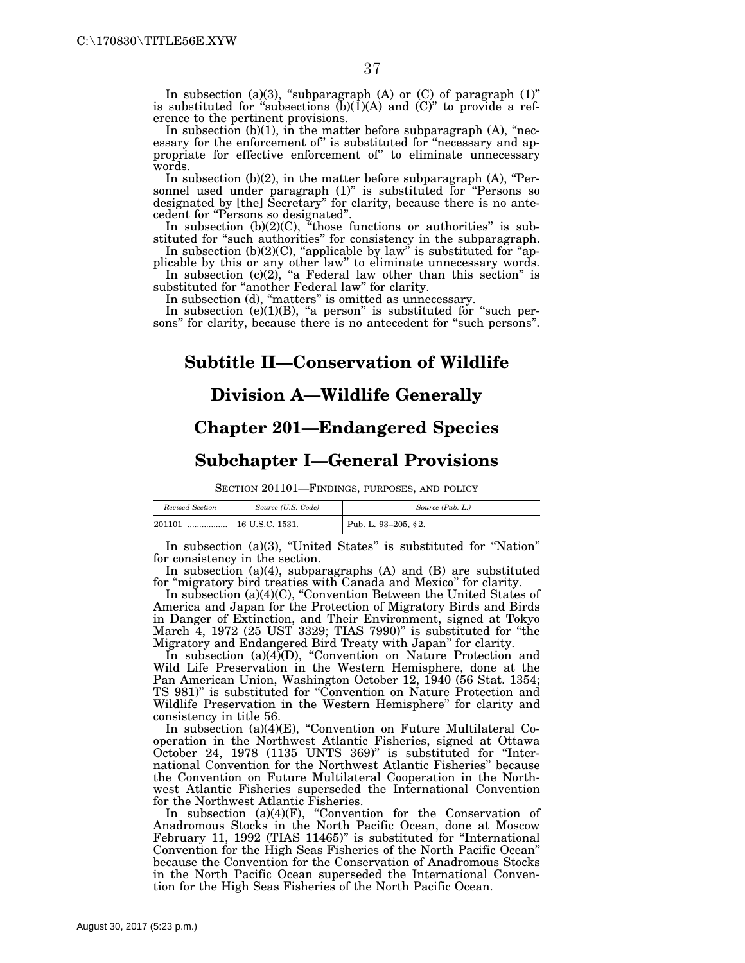In subsection (a)(3), "subparagraph (A) or  $(C)$  of paragraph  $(1)$ " is substituted for "subsections  $(b)(1)(A)$  and  $(C)$ " to provide a reference to the pertinent provisions.

In subsection  $(b)(1)$ , in the matter before subparagraph  $(A)$ , "necessary for the enforcement of" is substituted for "necessary and appropriate for effective enforcement of'' to eliminate unnecessary words.

In subsection  $(b)(2)$ , in the matter before subparagraph  $(A)$ , "Personnel used under paragraph (1)" is substituted for "Persons so designated by [the] Secretary'' for clarity, because there is no antecedent for ''Persons so designated''.

In subsection (b)(2)(C), "those functions or authorities" is substituted for "such authorities" for consistency in the subparagraph.

In subsection  $(b)(2)(C)$ , "applicable by law" is substituted for "applicable by this or any other law'' to eliminate unnecessary words. In subsection  $(c)(2)$ , "a Federal law other than this section" is

substituted for ''another Federal law'' for clarity.

In subsection (d), "matters" is omitted as unnecessary.

In subsection  $(e)(1)(B)$ , "a person" is substituted for "such persons'' for clarity, because there is no antecedent for ''such persons''.

## **Subtitle II—Conservation of Wildlife**

### **Division A—Wildlife Generally**

## **Chapter 201—Endangered Species**

### **Subchapter I—General Provisions**

SECTION 201101—FINDINGS, PURPOSES, AND POLICY

| Revised Section | Source (U.S. Code) | Source (Pub. L.)    |
|-----------------|--------------------|---------------------|
| 201101          | 16 U.S.C. 1531.    | Pub. L. 93-205, §2. |

In subsection (a)(3), ''United States'' is substituted for ''Nation'' for consistency in the section.

In subsection (a)(4), subparagraphs (A) and (B) are substituted for "migratory bird treaties with Canada and Mexico" for clarity.

In subsection (a)(4)(C), ''Convention Between the United States of America and Japan for the Protection of Migratory Birds and Birds in Danger of Extinction, and Their Environment, signed at Tokyo March 4, 1972 (25 UST 3329; TIAS 7990)'' is substituted for ''the Migratory and Endangered Bird Treaty with Japan'' for clarity.

In subsection (a)(4)(D), "Convention on Nature Protection and Wild Life Preservation in the Western Hemisphere, done at the Pan American Union, Washington October 12, 1940 (56 Stat. 1354; TS 981)'' is substituted for ''Convention on Nature Protection and Wildlife Preservation in the Western Hemisphere'' for clarity and consistency in title 56.

In subsection (a)(4)(E), "Convention on Future Multilateral Cooperation in the Northwest Atlantic Fisheries, signed at Ottawa October 24, 1978 (1135 UNTS 369)'' is substituted for ''International Convention for the Northwest Atlantic Fisheries'' because the Convention on Future Multilateral Cooperation in the Northwest Atlantic Fisheries superseded the International Convention for the Northwest Atlantic Fisheries.

In subsection (a)(4)(F), "Convention for the Conservation of Anadromous Stocks in the North Pacific Ocean, done at Moscow February 11, 1992 (TIAS 11465)" is substituted for "International Convention for the High Seas Fisheries of the North Pacific Ocean'' because the Convention for the Conservation of Anadromous Stocks in the North Pacific Ocean superseded the International Convention for the High Seas Fisheries of the North Pacific Ocean.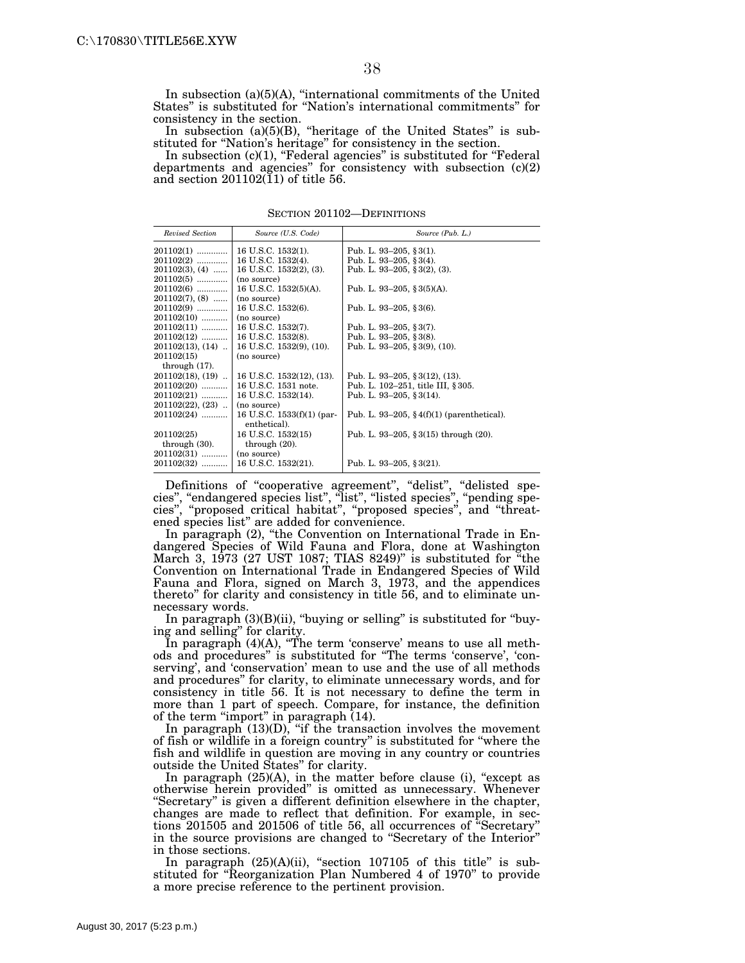In subsection (a)(5)(A), ''international commitments of the United States'' is substituted for ''Nation's international commitments'' for consistency in the section.

In subsection  $(a)(5)(B)$ , "heritage of the United States" is substituted for "Nation's heritage" for consistency in the section.

In subsection  $(c)(1)$ , "Federal agencies" is substituted for "Federal departments and agencies'' for consistency with subsection (c)(2) and section  $201102(11)$  of title 56.

| Revised Section                   | Source (U.S. Code)               | Source (Pub. L.)                             |
|-----------------------------------|----------------------------------|----------------------------------------------|
| $201102(1)$                       | 16 U.S.C. 1532(1).               | Pub. L. 93-205, § 3(1).                      |
| $201102(2)$                       | 16 U.S.C. 1532(4).               | Pub. L. 93-205, § 3(4).                      |
| $201102(3), (4)$                  | 16 U.S.C. 1532(2), (3).          | Pub. L. 93-205, § 3(2), (3).                 |
| $201102(5)$                       | (no source)                      |                                              |
| $201102(6)$                       | 16 U.S.C. 1532(5)(A).            | Pub. L. 93–205, § 3(5)(A).                   |
| $201102(7), (8)$                  | (no source)                      |                                              |
| $201102(9)$                       | 16 U.S.C. 1532(6).               | Pub. L. 93-205, § 3(6).                      |
| $201102(10)$                      | (no source)                      |                                              |
| $201102(11)$                      | 16 U.S.C. 1532(7).               | Pub. L. 93-205, § 3(7).                      |
| $201102(12)$   16 U.S.C. 1532(8). |                                  | Pub. L. 93-205, §3(8).                       |
| $201102(13), (14)$                | $\vert$ 16 U.S.C. 1532(9), (10). | Pub. L. 93-205, § 3(9), (10).                |
| 201102(15)                        | (no source)                      |                                              |
| through $(17)$ .                  |                                  |                                              |
| $201102(18), (19)$                | 16 U.S.C. 1532(12), (13).        | Pub. L. 93-205, § 3(12), (13).               |
| 201102(20)                        | 16 U.S.C. 1531 note.             | Pub. L. 102-251, title III, § 305.           |
| $201102(21)$                      | 16 U.S.C. 1532(14).              | Pub. L. 93-205, § 3(14).                     |
| $201102(22), (23)$                | (no source)                      |                                              |
| $201102(24)$                      | 16 U.S.C. $1533(f)(1)$ (par-     | Pub. L. 93–205, $§$ 4(f)(1) (parenthetical). |
|                                   | enthetical).                     |                                              |
| 201102(25)                        | 16 U.S.C. 1532(15)               | Pub. L. 93-205, § 3(15) through $(20)$ .     |
| through $(30)$ .                  | through $(20)$ .                 |                                              |
| $201102(31)$                      | (no source)                      |                                              |
| 201102(32)                        | 16 U.S.C. 1532(21).              | Pub. L. 93-205, § 3(21).                     |

SECTION 201102—DEFINITIONS

Definitions of "cooperative agreement", "delist", "delisted species", "endangered species list", "list", "listed species", "pending species'', ''proposed critical habitat'', ''proposed species'', and ''threatened species list'' are added for convenience.

In paragraph (2), ''the Convention on International Trade in Endangered Species of Wild Fauna and Flora, done at Washington March 3, 1973 (27 UST 1087; TIAS 8249)'' is substituted for ''the Convention on International Trade in Endangered Species of Wild Fauna and Flora, signed on March 3, 1973, and the appendices thereto'' for clarity and consistency in title 56, and to eliminate unnecessary words.

In paragraph  $(3)(B)(ii)$ , "buying or selling" is substituted for "buying and selling'' for clarity.

In paragraph (4)(A), "The term 'conserve' means to use all methods and procedures'' is substituted for ''The terms 'conserve', 'conserving', and 'conservation' mean to use and the use of all methods and procedures'' for clarity, to eliminate unnecessary words, and for consistency in title 56. It is not necessary to define the term in more than 1 part of speech. Compare, for instance, the definition of the term "import" in paragraph (14).

In paragraph  $(13)(D)$ , "if the transaction involves the movement of fish or wildlife in a foreign country'' is substituted for ''where the fish and wildlife in question are moving in any country or countries outside the United States'' for clarity.

In paragraph  $(25)(A)$ , in the matter before clause (i), "except as otherwise herein provided'' is omitted as unnecessary. Whenever "Secretary" is given a different definition elsewhere in the chapter, changes are made to reflect that definition. For example, in sections 201505 and 201506 of title 56, all occurrences of ''Secretary'' in the source provisions are changed to ''Secretary of the Interior'' in those sections.

In paragraph  $(25)(A)(ii)$ , "section 107105 of this title" is substituted for ''Reorganization Plan Numbered 4 of 1970'' to provide a more precise reference to the pertinent provision.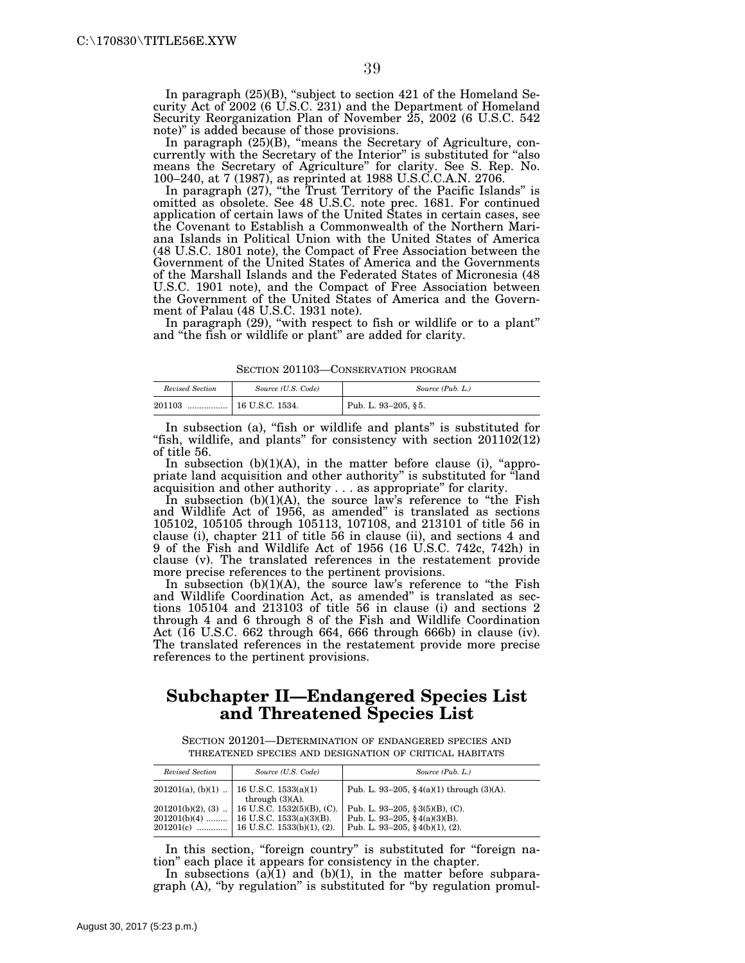In paragraph (25)(B), ''subject to section 421 of the Homeland Security Act of 2002 (6 U.S.C. 231) and the Department of Homeland Security Reorganization Plan of November 25, 2002 (6 U.S.C. 542 note)'' is added because of those provisions.

In paragraph (25)(B), "means the Secretary of Agriculture, concurrently with the Secretary of the Interior'' is substituted for ''also means the Secretary of Agriculture'' for clarity. See S. Rep. No. 100–240, at 7 (1987), as reprinted at 1988 U.S.C.C.A.N. 2706.

In paragraph (27), "the Trust Territory of the Pacific Islands" is omitted as obsolete. See 48 U.S.C. note prec. 1681. For continued application of certain laws of the United States in certain cases, see the Covenant to Establish a Commonwealth of the Northern Mariana Islands in Political Union with the United States of America (48 U.S.C. 1801 note), the Compact of Free Association between the Government of the United States of America and the Governments of the Marshall Islands and the Federated States of Micronesia (48 U.S.C. 1901 note), and the Compact of Free Association between the Government of the United States of America and the Government of Palau (48 U.S.C. 1931 note).

In paragraph (29), "with respect to fish or wildlife or to a plant" and ''the fish or wildlife or plant'' are added for clarity.

SECTION 201103—CONSERVATION PROGRAM

| Revised Section | Source (U.S. Code) | Source (Pub. L.)    |
|-----------------|--------------------|---------------------|
| 201103<br>      | 16 U.S.C. 1534.    | Pub. L. 93-205, §5. |

In subsection (a), "fish or wildlife and plants" is substituted for "fish, wildlife, and plants" for consistency with section 201102(12) of title 56.

In subsection  $(b)(1)(A)$ , in the matter before clause (i), "appropriate land acquisition and other authority'' is substituted for ''land acquisition and other authority . . . as appropriate'' for clarity.

In subsection (b)(1)(A), the source law's reference to "the Fish and Wildlife Act of 1956, as amended'' is translated as sections 105102, 105105 through 105113, 107108, and 213101 of title 56 in clause (i), chapter 211 of title 56 in clause (ii), and sections 4 and 9 of the Fish and Wildlife Act of 1956 (16 U.S.C. 742c, 742h) in clause (v). The translated references in the restatement provide more precise references to the pertinent provisions.

In subsection (b)(1)(A), the source law's reference to "the Fish and Wildlife Coordination Act, as amended'' is translated as sections 105104 and 213103 of title 56 in clause (i) and sections 2 through 4 and 6 through 8 of the Fish and Wildlife Coordination Act (16 U.S.C. 662 through 664, 666 through 666b) in clause (iv). The translated references in the restatement provide more precise references to the pertinent provisions.

# **Subchapter II—Endangered Species List and Threatened Species List**

SECTION 201201—DETERMINATION OF ENDANGERED SPECIES AND THREATENED SPECIES AND DESIGNATION OF CRITICAL HABITATS

| Revised Section | Source (U.S. Code)                                                                              | Source (Pub. L.)                                                                                               |
|-----------------|-------------------------------------------------------------------------------------------------|----------------------------------------------------------------------------------------------------------------|
|                 | $201201(a)$ , (b)(1)    16 U.S.C. 1533(a)(1)<br>through $(3)(A)$ .                              | Pub. L. 93-205, $\frac{6}{3}$ 4(a)(1) through (3)(A).                                                          |
|                 | $201201(b)(2)$ , (3)    16 U.S.C. 1532(5)(B), (C).<br>$201201(b)(4)$   16 U.S.C. 1533(a)(3)(B). | Pub. L. 93-205, § 3(5)(B), (C).<br>Pub. L. 93-205, $\frac{6}{3}$ 4(a)(3)(B).<br>Pub. L. 93-205, §4(b)(1), (2). |

In this section, "foreign country" is substituted for "foreign nation'' each place it appears for consistency in the chapter.

In subsections  $(a)(1)$  and  $(b)(1)$ , in the matter before subparagraph (A), "by regulation" is substituted for "by regulation promul-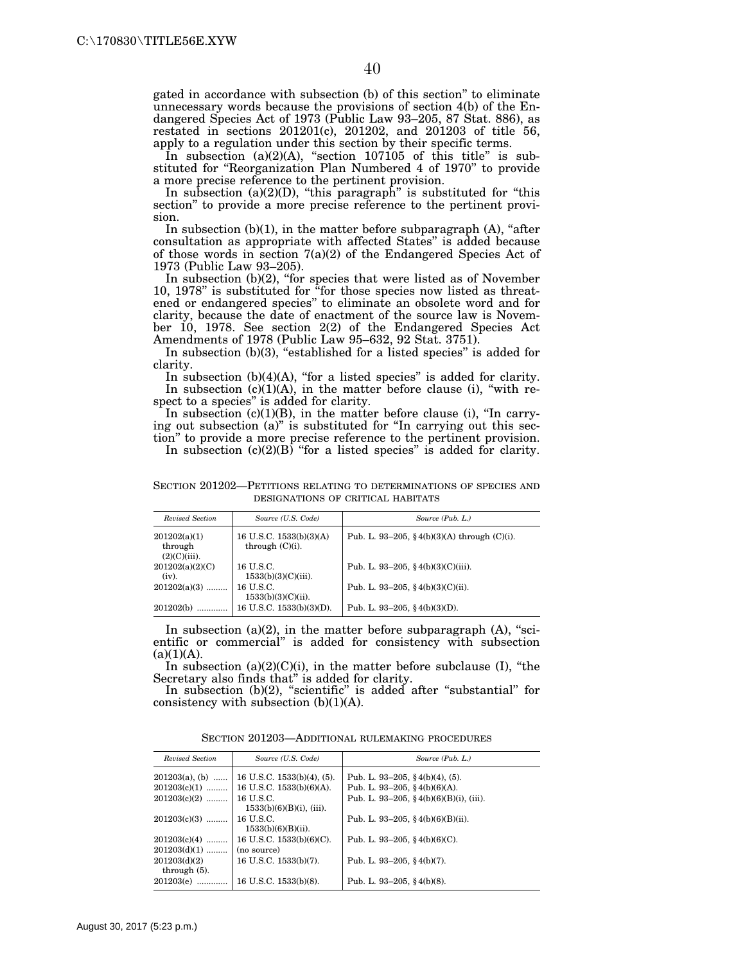gated in accordance with subsection (b) of this section'' to eliminate unnecessary words because the provisions of section 4(b) of the Endangered Species Act of 1973 (Public Law 93–205, 87 Stat. 886), as restated in sections 201201(c), 201202, and 201203 of title 56, apply to a regulation under this section by their specific terms.

In subsection (a)(2)(A), "section 107105 of this title" is substituted for ''Reorganization Plan Numbered 4 of 1970'' to provide a more precise reference to the pertinent provision.

In subsection  $(a)(2)(D)$ , "this paragraph" is substituted for "this section'' to provide a more precise reference to the pertinent provision.

In subsection  $(b)(1)$ , in the matter before subparagraph  $(A)$ , "after consultation as appropriate with affected States'' is added because of those words in section 7(a)(2) of the Endangered Species Act of 1973 (Public Law 93–205).

In subsection (b)(2), "for species that were listed as of November 10, 1978" is substituted for "for those species now listed as threatened or endangered species'' to eliminate an obsolete word and for clarity, because the date of enactment of the source law is November 10, 1978. See section 2(2) of the Endangered Species Act Amendments of 1978 (Public Law 95–632, 92 Stat. 3751).

In subsection (b)(3), "established for a listed species" is added for clarity.

In subsection (b)(4)(A), "for a listed species" is added for clarity. In subsection  $(c)(1)(A)$ , in the matter before clause (i), "with respect to a species'' is added for clarity.

In subsection (c)(1)(B), in the matter before clause (i), "In carrying out subsection (a)'' is substituted for ''In carrying out this section'' to provide a more precise reference to the pertinent provision.

In subsection  $(c)(2)(B)$  "for a listed species" is added for clarity.

SECTION 201202—PETITIONS RELATING TO DETERMINATIONS OF SPECIES AND DESIGNATIONS OF CRITICAL HABITATS

| Revised Section                            | Source (U.S. Code)                            | Source (Pub. L.)                               |
|--------------------------------------------|-----------------------------------------------|------------------------------------------------|
| 201202(a)(1)<br>through<br>$(2)(C)(iii)$ . | 16 U.S.C. 1533(b)(3)(A)<br>through $(C)(i)$ . | Pub. L. 93-205, §4(b)(3)(A) through $(C)(i)$ . |
| 201202(a)(2)(C)<br>$(iv)$ .                | 16 U.S.C.<br>$1533(b)(3)(C)(iii)$ .           | Pub. L. 93-205, §4(b)(3)(C)(iii).              |
| $201202(a)(3)$                             | 16 U.S.C.<br>$1533(b)(3)(C)(ii)$ .            | Pub. L. 93-205, §4(b)(3)(C)(ii).               |
| 201202(b)                                  | 16 U.S.C. 1533(b)(3)(D).                      | Pub. L. 93-205, $\S 4(b)(3)(D)$ .              |

In subsection  $(a)(2)$ , in the matter before subparagraph  $(A)$ , "scientific or commercial'' is added for consistency with subsection  $(a)(1)(A).$ 

In subsection  $(a)(2)(C)(i)$ , in the matter before subclause  $(I)$ , "the Secretary also finds that'' is added for clarity.

In subsection  $(b)(2)$ , "scientific" is added after "substantial" for consistency with subsection (b)(1)(A).

| SECTION 201203-ADDITIONAL RULEMAKING PROCEDURES |  |  |
|-------------------------------------------------|--|--|
|-------------------------------------------------|--|--|

| Revised Section                 | Source (U.S. Code)                       | Source (Pub. L.)                                    |
|---------------------------------|------------------------------------------|-----------------------------------------------------|
| $201203(a)$ , (b)               | 16 U.S.C. $1533(b)(4)$ , (5).            | Pub. L. 93–205, §4(b)(4), (5).                      |
| $201203(c)(1)$                  | 16 U.S.C. $1533(b)(6)(A)$ .              | Pub. L. 93-205, $\S 4(b)(6)(A)$ .                   |
| $201203(c)(2)$                  | 16 U.S.C.<br>$1533(b)(6)(B)(i)$ , (iii). | Pub. L. 93-205, $\frac{6}{5}$ 4(b)(6)(B)(i), (iii). |
| $201203(c)(3)$                  | 16 U.S.C.<br>$1533(b)(6)(B)(ii)$ .       | Pub. L. 93-205, §4(b)(6)(B)(ii).                    |
| $201203(c)(4)$                  | 16 U.S.C. $1533(b)(6)(C)$ .              | Pub. L. 93-205, $\frac{6}{3}$ 4(b)(6)(C).           |
| $201203(d)(1)$                  | (no source)                              |                                                     |
| 201203(d)(2)<br>through $(5)$ . | 16 U.S.C. 1533(b)(7).                    | Pub. L. 93-205, $\S$ 4(b)(7).                       |
| 201203(e)                       | 16 U.S.C. 1533(b)(8).                    | Pub. L. 93-205, $§$ 4(b)(8).                        |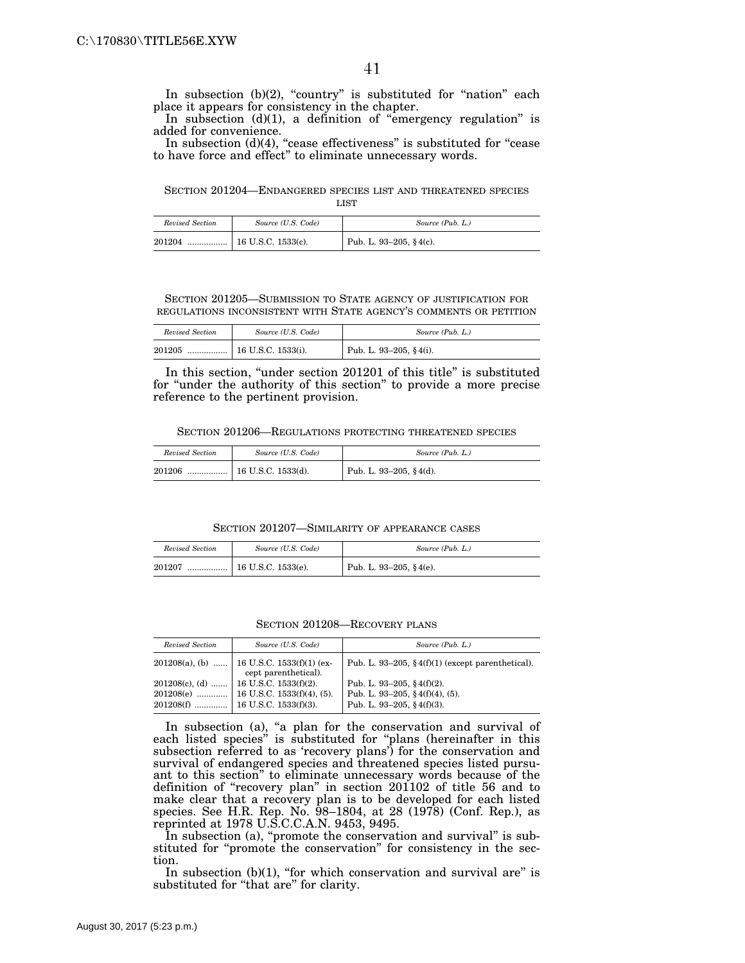In subsection (b)(2), "country" is substituted for "nation" each place it appears for consistency in the chapter.

In subsection  $(d)(1)$ , a definition of "emergency regulation" is added for convenience.

In subsection  $(d)(4)$ , "cease effectiveness" is substituted for "cease to have force and effect'' to eliminate unnecessary words.

SECTION 201204—ENDANGERED SPECIES LIST AND THREATENED SPECIES LIST

| Revised Section | Source (U.S. Code) | Source (Pub. L.)          |
|-----------------|--------------------|---------------------------|
| 201204          |                    | Pub. L. 93-205, $§$ 4(c). |

### SECTION 201205—SUBMISSION TO STATE AGENCY OF JUSTIFICATION FOR REGULATIONS INCONSISTENT WITH STATE AGENCY'S COMMENTS OR PETITION

| Revised Section | Source (U.S. Code)            | Source (Pub. L.)       |
|-----------------|-------------------------------|------------------------|
| 201205          | $\ldots$   16 U.S.C. 1533(i). | Pub. L. 93-205, §4(i). |

In this section, ''under section 201201 of this title'' is substituted for ''under the authority of this section'' to provide a more precise reference to the pertinent provision.

SECTION 201206—REGULATIONS PROTECTING THREATENED SPECIES

| Revised Section | Source (U.S. Code)                  | Source (Pub. L.)       |
|-----------------|-------------------------------------|------------------------|
| 201206          | $\ldots$ $\vert$ 16 U.S.C. 1533(d). | Pub. L. 93-205, §4(d). |

SECTION 201207—SIMILARITY OF APPEARANCE CASES

| Revised Section | Source (U.S. Code)                  | Source (Pub. L.)          |
|-----------------|-------------------------------------|---------------------------|
| 201207          | $\ldots$ $\vert$ 16 U.S.C. 1533(e). | Pub. L. 93-205, $§$ 4(e). |

SECTION 201208—RECOVERY PLANS

| Source (U.S. Code)                                                   | Source (Pub. L.)                                     |
|----------------------------------------------------------------------|------------------------------------------------------|
| $201208(a)$ , (b)  16 U.S.C. 1533(f)(1) (ex-<br>cept parenthetical). | Pub. L. 93-205, $\S 4(f)(1)$ (except parenthetical). |
|                                                                      | Pub. L. 93-205, § $4(f)(2)$ .                        |
|                                                                      | Pub. L. 93-205, $§$ 4(f)(4), (5).                    |
| $201208(f)$   16 U.S.C. 1533(f)(3).                                  | Pub. L. 93-205, §4(f)(3).                            |
|                                                                      | $201208(c)$ , (d)  16 U.S.C. 1533(f)(2).             |

In subsection (a), "a plan for the conservation and survival of each listed species'' is substituted for ''plans (hereinafter in this subsection referred to as 'recovery plans') for the conservation and survival of endangered species and threatened species listed pursuant to this section'' to eliminate unnecessary words because of the definition of "recovery plan" in section 201102 of title 56 and to make clear that a recovery plan is to be developed for each listed species. See H.R. Rep. No. 98–1804, at 28 (1978) (Conf. Rep.), as reprinted at 1978 U.S.C.C.A.N. 9453, 9495.

In subsection (a), "promote the conservation and survival" is substituted for "promote the conservation" for consistency in the section.

In subsection  $(b)(1)$ , "for which conservation and survival are" is substituted for "that are" for clarity.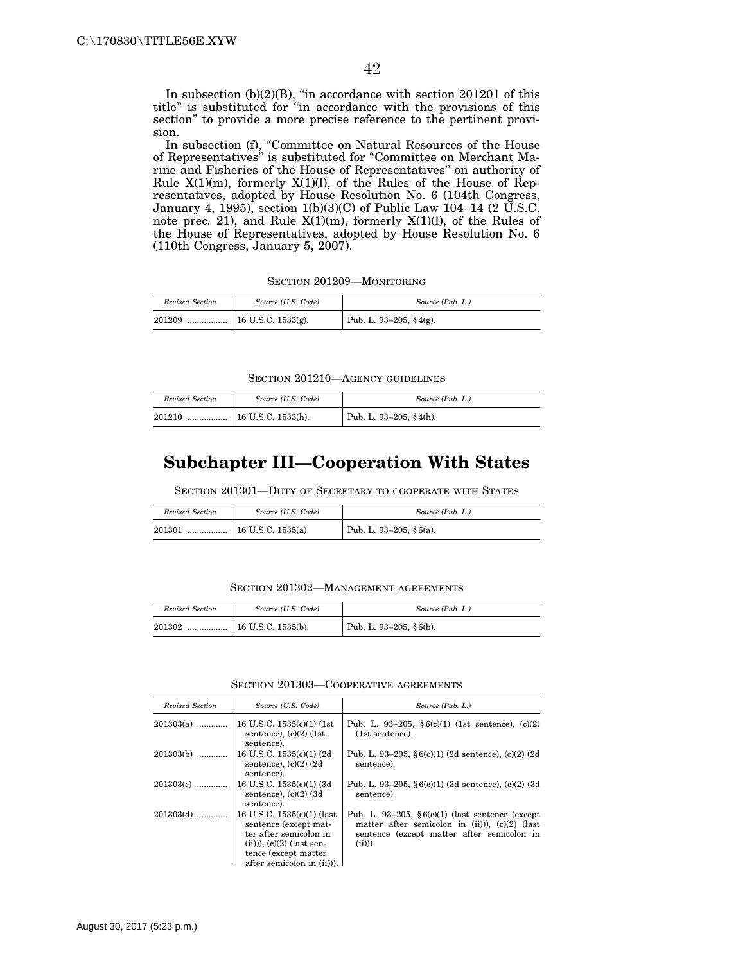In subsection (b)(2)(B), "in accordance with section 201201 of this title'' is substituted for ''in accordance with the provisions of this section'' to provide a more precise reference to the pertinent provision.

In subsection (f), "Committee on Natural Resources of the House of Representatives" is substituted for "Committee on Merchant Marine and Fisheries of the House of Representatives'' on authority of Rule  $X(1)(m)$ , formerly  $X(1)(l)$ , of the Rules of the House of Representatives, adopted by House Resolution No. 6 (104th Congress, January 4, 1995), section 1(b)(3)(C) of Public Law 104–14 (2 U.S.C. note prec. 21), and Rule X(1)(m), formerly X(1)(l), of the Rules of the House of Representatives, adopted by House Resolution No. 6 (110th Congress, January 5, 2007).

SECTION 201209—MONITORING

| Revised Section | Source (U.S. Code) | Source (Pub. L.)           |
|-----------------|--------------------|----------------------------|
| 201209          |                    | Pub. L. 93-205, $\S$ 4(g). |

SECTION 201210—AGENCY GUIDELINES

| Revised Section | Source (U.S. Code)   | Source (Pub. L.)           |
|-----------------|----------------------|----------------------------|
| 201210<br>      | $16$ U.S.C. 1533(h). | Pub. L. 93-205, $\S$ 4(h). |

# **Subchapter III—Cooperation With States**

SECTION 201301—DUTY OF SECRETARY TO COOPERATE WITH STATES

| Revised Section | Source (U.S. Code) | Source (Pub. L.)       |
|-----------------|--------------------|------------------------|
| 201301          |                    | Pub. L. 93–205, §6(a). |

### SECTION 201302—MANAGEMENT AGREEMENTS

| Revised Section | Source (U.S. Code) | Source (Pub. L.)           |
|-----------------|--------------------|----------------------------|
| 201302<br>      | 16 U.S.C. 1535(b). | Pub. L. 93-205, $§ 6(b)$ . |

### SECTION 201303—COOPERATIVE AGREEMENTS

| Revised Section | Source (U.S. Code)                                                                                                                                                  | Source (Pub. L.)                                                                                                                                                   |
|-----------------|---------------------------------------------------------------------------------------------------------------------------------------------------------------------|--------------------------------------------------------------------------------------------------------------------------------------------------------------------|
| $201303(a)$     | 16 U.S.C. $1535(c)(1)$ (1st<br>sentence), $(c)(2)$ (1st<br>sentence).                                                                                               | Pub. L. 93–205, $§ 6(c)(1)$ (1st sentence), $(c)(2)$<br>(1st sentence).                                                                                            |
| $201303(b)$     | 16 U.S.C. 1535(c)(1) (2d)<br>sentence), $(c)(2)$ $(2d)$<br>sentence).                                                                                               | Pub. L. 93–205, $6(c)(1)$ (2d sentence), (c)(2) (2d<br>sentence).                                                                                                  |
| $201303(c)$     | 16 U.S.C. 1535(c)(1) (3d)<br>sentence), $(c)(2)$ (3d<br>sentence).                                                                                                  | Pub. L. 93–205, $6(c)(1)$ (3d sentence), $(c)(2)$ (3d<br>sentence).                                                                                                |
| 201303(d)       | 16 U.S.C. 1535(c)(1) (last<br>sentence (except mat-<br>ter after semicolon in<br>$(ii))$ , $(c)(2)$ (last sen-<br>tence (except matter<br>after semicolon in (ii)). | Pub. L. 93–205, $6(c)(1)$ (last sentence (except<br>matter after semicolon in $(ii)$ ), $(c)(2)$ (last<br>sentence (except matter after semicolon in<br>$(ii))$ ). |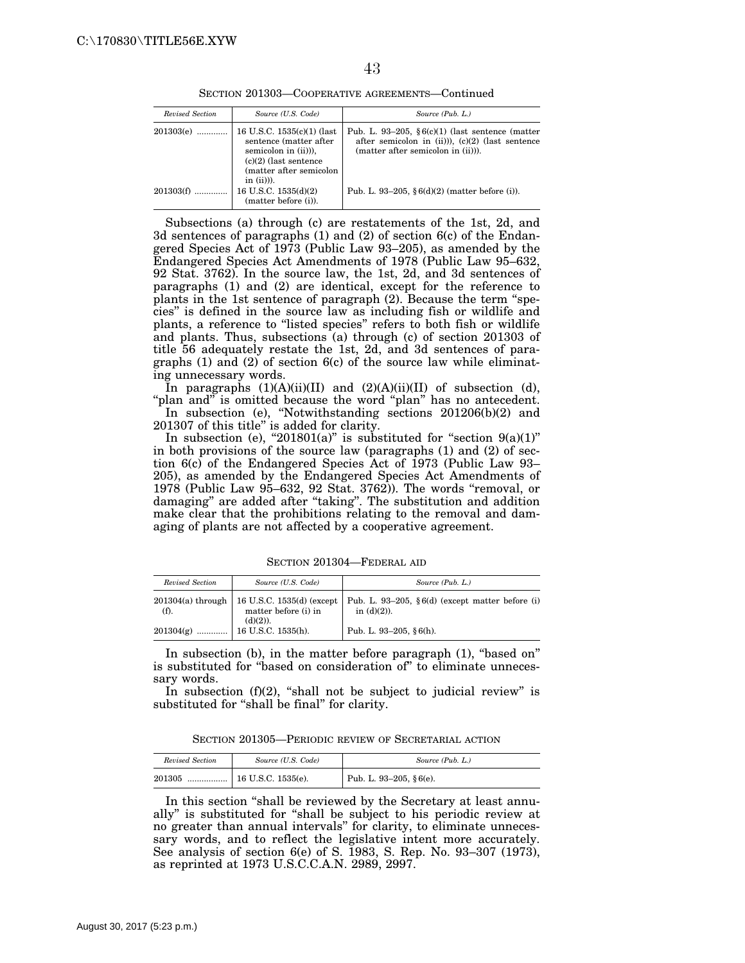SECTION 201303—COOPERATIVE AGREEMENTS—Continued

| Revised Section | Source (U.S. Code)                                                                                                                                 | Source (Pub. L.)                                                                                                                                   |
|-----------------|----------------------------------------------------------------------------------------------------------------------------------------------------|----------------------------------------------------------------------------------------------------------------------------------------------------|
| $201303(e)$     | 16 U.S.C. 1535(c)(1) (last<br>sentence (matter after<br>semicolon in (ii)),<br>$(c)(2)$ (last sentence<br>(matter after semicolon<br>$in (ii))$ ). | Pub. L. 93–205, $§ 6(c)(1)$ (last sentence (matter)<br>after semicolon in $(ii)$ )), $(c)(2)$ (last sentence<br>(matter after semicolon in (ii))). |
| 201303(f)       | 16 U.S.C. $1535(d)(2)$<br>(matter before (i)).                                                                                                     | Pub. L. 93–205, $§ 6(d)(2)$ (matter before (i)).                                                                                                   |

Subsections (a) through (c) are restatements of the 1st, 2d, and 3d sentences of paragraphs (1) and (2) of section 6(c) of the Endangered Species Act of 1973 (Public Law 93–205), as amended by the Endangered Species Act Amendments of 1978 (Public Law 95–632, 92 Stat. 3762). In the source law, the 1st, 2d, and 3d sentences of paragraphs (1) and (2) are identical, except for the reference to plants in the 1st sentence of paragraph (2). Because the term ''species'' is defined in the source law as including fish or wildlife and plants, a reference to ''listed species'' refers to both fish or wildlife and plants. Thus, subsections (a) through (c) of section 201303 of title 56 adequately restate the 1st, 2d, and 3d sentences of paragraphs  $(1)$  and  $(2)$  of section  $6(c)$  of the source law while eliminating unnecessary words.

In paragraphs  $(1)(A)(ii)(II)$  and  $(2)(A)(ii)(II)$  of subsection (d), "plan and" is omitted because the word "plan" has no antecedent.

In subsection (e), ''Notwithstanding sections 201206(b)(2) and 201307 of this title'' is added for clarity.

In subsection (e), "201801(a)" is substituted for "section  $9(a)(1)$ " in both provisions of the source law (paragraphs (1) and (2) of section 6(c) of the Endangered Species Act of 1973 (Public Law 93– 205), as amended by the Endangered Species Act Amendments of 1978 (Public Law 95–632, 92 Stat. 3762)). The words ''removal, or damaging'' are added after ''taking''. The substitution and addition make clear that the prohibitions relating to the removal and damaging of plants are not affected by a cooperative agreement.

| Revised Section                | Source (U.S. Code)                                               | Source (Pub. L.)                                                      |
|--------------------------------|------------------------------------------------------------------|-----------------------------------------------------------------------|
| $201304(a)$ through<br>$(f)$ . | 16 U.S.C. 1535(d) (except<br>matter before (i) in<br>$(d)(2)$ ). | Pub. L. 93-205, $\S 6(d)$ (except matter before (i)<br>in $(d)(2)$ ). |
| 201304(g)<br>                  | 16 U.S.C. 1535(h).                                               | Pub. L. 93-205, $§ 6(h)$ .                                            |

SECTION 201304—FEDERAL AID

In subsection (b), in the matter before paragraph (1), "based on" is substituted for "based on consideration of" to eliminate unnecessary words.

In subsection  $(f)(2)$ , "shall not be subject to judicial review" is substituted for "shall be final" for clarity.

SECTION 201305—PERIODIC REVIEW OF SECRETARIAL ACTION

| Revised Section | Source (U.S. Code)              | Source (Pub. L.)           |
|-----------------|---------------------------------|----------------------------|
| 201305          | $\frac{16}{16}$ U.S.C. 1535(e). | Pub. L. 93-205, $§ 6(e)$ . |

In this section ''shall be reviewed by the Secretary at least annually'' is substituted for ''shall be subject to his periodic review at no greater than annual intervals'' for clarity, to eliminate unnecessary words, and to reflect the legislative intent more accurately. See analysis of section 6(e) of S. 1983, S. Rep. No. 93–307 (1973), as reprinted at 1973 U.S.C.C.A.N. 2989, 2997.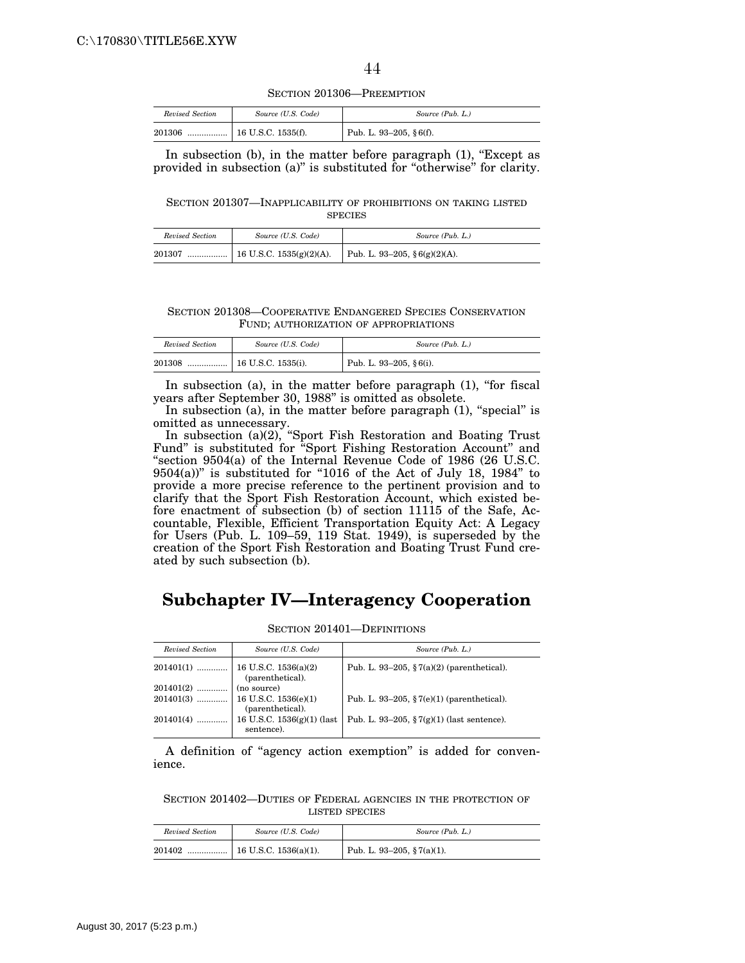SECTION 201306—PREEMPTION

| Revised Section | Source (U.S. Code) | Source (Pub. L.)        |
|-----------------|--------------------|-------------------------|
| 201306<br>      | 16 U.S.C. 1535(f). | Pub. L. 93-205, § 6(f). |

In subsection  $(b)$ , in the matter before paragraph  $(1)$ , "Except as provided in subsection (a)" is substituted for "otherwise" for clarity.

SECTION 201307—INAPPLICABILITY OF PROHIBITIONS ON TAKING LISTED **SPECIES** 

| Revised Section | Source (U.S. Code) | Source (Pub. L.)              |
|-----------------|--------------------|-------------------------------|
| 201307          |                    | Pub. L. 93-205, § 6(g)(2)(A). |

SECTION 201308—COOPERATIVE ENDANGERED SPECIES CONSERVATION FUND; AUTHORIZATION OF APPROPRIATIONS

| Revised Section | Source (U.S. Code) | Source (Pub. L.)           |
|-----------------|--------------------|----------------------------|
| 201308          |                    | Pub. L. 93-205, $§ 6(i)$ . |

In subsection (a), in the matter before paragraph (1), "for fiscal years after September 30, 1988'' is omitted as obsolete.

In subsection (a), in the matter before paragraph  $(1)$ , "special" is omitted as unnecessary.

In subsection (a)(2), ''Sport Fish Restoration and Boating Trust Fund'' is substituted for ''Sport Fishing Restoration Account'' and ''section 9504(a) of the Internal Revenue Code of 1986 (26 U.S.C. 9504(a))'' is substituted for ''1016 of the Act of July 18, 1984'' to provide a more precise reference to the pertinent provision and to clarify that the Sport Fish Restoration Account, which existed before enactment of subsection (b) of section 11115 of the Safe, Accountable, Flexible, Efficient Transportation Equity Act: A Legacy for Users (Pub. L. 109–59, 119 Stat. 1949), is superseded by the creation of the Sport Fish Restoration and Boating Trust Fund created by such subsection (b).

# **Subchapter IV—Interagency Cooperation**

| Revised Section | Source (U.S. Code)                         | Source (Pub. L.)                                     |
|-----------------|--------------------------------------------|------------------------------------------------------|
|                 | (parenthetical).                           | Pub. L. 93–205, $\S 7(a)(2)$ (parenthetical).        |
| $201401(2)$     | (no source)                                |                                                      |
|                 | (parenthetical).                           | Pub. L. 93-205, $\S7(e)(1)$ (parenthetical).         |
| 201401(4)       | 16 U.S.C. $1536(g)(1)$ (last<br>sentence). | Pub. L. 93-205, $\frac{5}{7(g)(1)}$ (last sentence). |

SECTION 201401—DEFINITIONS

A definition of ''agency action exemption'' is added for convenience.

SECTION 201402—DUTIES OF FEDERAL AGENCIES IN THE PROTECTION OF LISTED SPECIES

| Revised Section | Source (U.S. Code)    | Source (Pub. L.)           |
|-----------------|-----------------------|----------------------------|
| 201402          | 16 U.S.C. 1536(a)(1). | Pub. L. 93-205, § 7(a)(1). |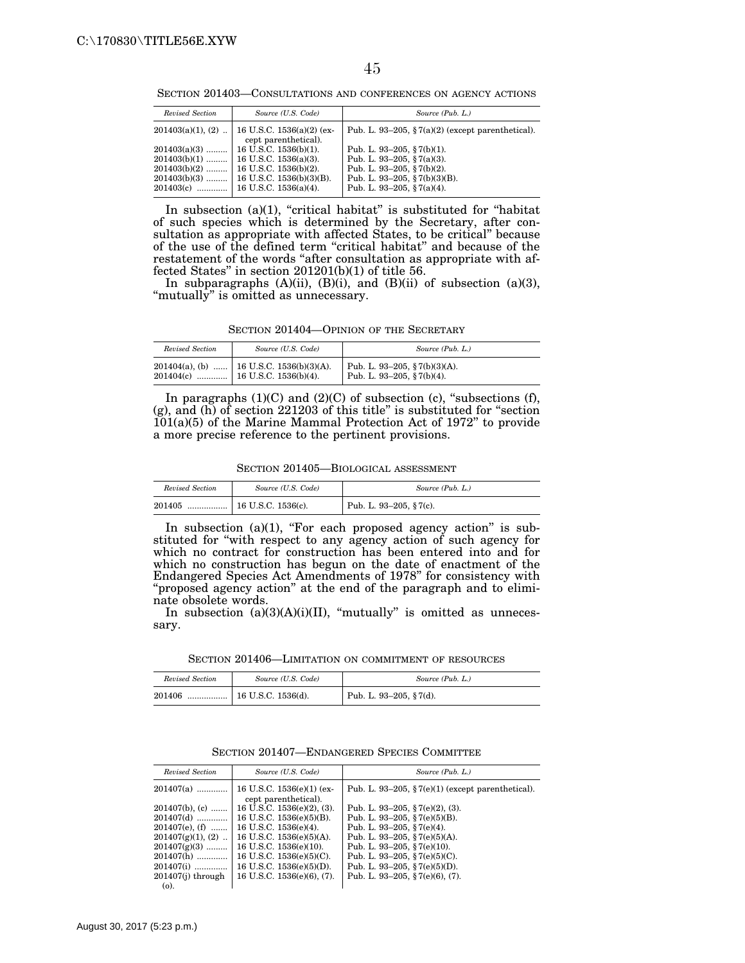SECTION 201403—CONSULTATIONS AND CONFERENCES ON AGENCY ACTIONS

| Revised Section                  | Source (U.S. Code)                                                                                                                            | Source (Pub. L.)                                                                                                                                      |
|----------------------------------|-----------------------------------------------------------------------------------------------------------------------------------------------|-------------------------------------------------------------------------------------------------------------------------------------------------------|
| $201403(a)(1)$ , $(2)$           | 16 U.S.C. 1536(a)(2) (ex-<br>cept parenthetical).                                                                                             | Pub. L. 93-205, $\S7(a)(2)$ (except parenthetical).                                                                                                   |
| $201403(a)(3)$<br>$201403(b)(2)$ | $\pm 16$ U.S.C. 1536(b)(1).<br>$201403(b)(1)$   16 U.S.C. 1536(a)(3).<br>  16 U.S.C. 1536(b)(2).<br>$201403(b)(3)$   16 U.S.C. 1536(b)(3)(B). | Pub. L. 93-205, §7(b)(1).<br>Pub. L. 93-205, §7(a)(3).<br>Pub. L. 93-205, §7(b)(2).<br>Pub. L. 93-205, $\S7(b)(3)(B)$ .<br>Pub. L. 93-205, § 7(a)(4). |

In subsection (a)(1), "critical habitat" is substituted for "habitat of such species which is determined by the Secretary, after consultation as appropriate with affected States, to be critical'' because of the use of the defined term ''critical habitat'' and because of the restatement of the words "after consultation as appropriate with affected States'' in section 201201(b)(1) of title 56.

In subparagraphs (A)(ii), (B)(i), and (B)(ii) of subsection (a)(3), "mutually" is omitted as unnecessary.

SECTION 201404—OPINION OF THE SECRETARY

| Revised Section | Source (U.S. Code)                                                           | Source (Pub. L.)                                           |
|-----------------|------------------------------------------------------------------------------|------------------------------------------------------------|
|                 | 201404(a), (b)  16 U.S.C. 1536(b)(3)(A).<br>201404(c)  16 U.S.C. 1536(b)(4). | Pub. L. 93–205, § 7(b)(3)(A).<br>Pub. L. 93-205, §7(b)(4). |

In paragraphs  $(1)(C)$  and  $(2)(C)$  of subsection  $(c)$ , "subsections  $(f)$ , (g), and (h) of section 221203 of this title'' is substituted for ''section 101(a)(5) of the Marine Mammal Protection Act of 1972'' to provide a more precise reference to the pertinent provisions.

SECTION 201405—BIOLOGICAL ASSESSMENT

| Revised Section | Source (U.S. Code) | Source (Pub. L.)        |
|-----------------|--------------------|-------------------------|
| 201405          |                    | Pub. L. 93–205, § 7(c). |

In subsection (a)(1), "For each proposed agency action" is substituted for ''with respect to any agency action of such agency for which no contract for construction has been entered into and for which no construction has begun on the date of enactment of the Endangered Species Act Amendments of 1978'' for consistency with "proposed agency action" at the end of the paragraph and to eliminate obsolete words.

In subsection  $(a)(3)(A)(i)(II)$ , "mutually" is omitted as unnecessary.

SECTION 201406—LIMITATION ON COMMITMENT OF RESOURCES

| Revised Section | Source (U.S. Code)                             | Source (Pub. L.)                     |
|-----------------|------------------------------------------------|--------------------------------------|
| 201406          | $\lceil 16 \text{ U.S.C. } 1536 \rceil \rceil$ | <sup>1</sup> Pub. L. 93-205, § 7(d). |

|  |  | SECTION 201407—ENDANGERED SPECIES COMMITTEE |  |  |
|--|--|---------------------------------------------|--|--|
|--|--|---------------------------------------------|--|--|

| Revised Section     | Source (U.S. Code)                                  | Source (Pub. L.)                                    |
|---------------------|-----------------------------------------------------|-----------------------------------------------------|
| 201407(a)           | 16 U.S.C. $1536(e)(1)$ (ex-<br>cept parenthetical). | Pub. L. 93–205, $\S7(e)(1)$ (except parenthetical). |
| 201407(b), (c)      | 16 U.S.C. $1536(e)(2)$ , (3).                       | Pub. L. 93-205, § 7(e)(2), (3).                     |
| 201407(d)           | 16 U.S.C. 1536(e)(5)(B).                            | Pub. L. 93-205, $\S7(e)(5)(B)$ .                    |
| $201407(e)$ , (f)   | 16 U.S.C. 1536(e)(4).                               | Pub. L. 93-205, $\S7(e)(4)$ .                       |
| $201407(g)(1), (2)$ | 16 U.S.C. 1536(e)(5)(A).                            | Pub. L. 93-205, $\S7(e)(5)(A)$ .                    |
| $201407(g)(3)$      | 16 U.S.C. 1536(e)(10).                              | Pub. L. 93–205, § 7(e)(10).                         |
| 201407(h)           | 16 U.S.C. $1536(e)(5)(C)$ .                         | Pub. L. 93–205, § 7(e)(5)(C).                       |
| 201407(i)           | 16 U.S.C. $1536(e)(5)(D)$ .                         | Pub. L. 93-205, §7(e)(5)(D).                        |
| 201407(j) through   | 16 U.S.C. $1536(e)(6)$ , (7).                       | Pub. L. 93-205, § 7(e)(6), (7).                     |
| $(o)$ .             |                                                     |                                                     |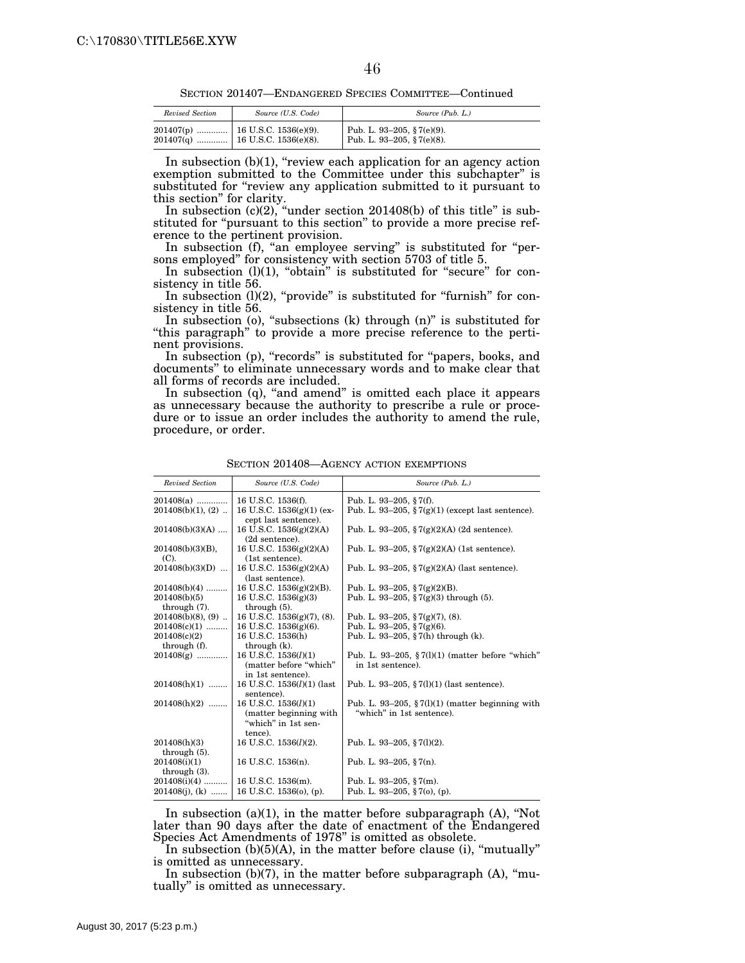SECTION 201407—ENDANGERED SPECIES COMMITTEE—Continued

| Revised Section | Source (U.S. Code) | Source (Pub. L.)                                         |
|-----------------|--------------------|----------------------------------------------------------|
|                 |                    | Pub. L. 93-205, § 7(e)(9).<br>Pub. L. 93-205, § 7(e)(8). |

In subsection  $(b)(1)$ , "review each application for an agency action exemption submitted to the Committee under this subchapter'' is substituted for "review any application submitted to it pursuant to this section'' for clarity.

In subsection  $(c)(2)$ , "under section 201408(b) of this title" is substituted for "pursuant to this section" to provide a more precise reference to the pertinent provision.

In subsection (f), "an employee serving" is substituted for "persons employed'' for consistency with section 5703 of title 5.

In subsection (1)(1), "obtain" is substituted for "secure" for consistency in title 56.

In subsection  $(l)(2)$ , "provide" is substituted for "furnish" for consistency in title 56.

In subsection (o), "subsections (k) through (n)" is substituted for ''this paragraph'' to provide a more precise reference to the pertinent provisions.

In subsection (p), "records" is substituted for "papers, books, and documents'' to eliminate unnecessary words and to make clear that all forms of records are included.

In subsection  $(q)$ , "and amend" is omitted each place it appears as unnecessary because the authority to prescribe a rule or procedure or to issue an order includes the authority to amend the rule, procedure, or order.

| Revised Section                     | Source (U.S. Code)                                                                  | Source (Pub. L.)                                                                |
|-------------------------------------|-------------------------------------------------------------------------------------|---------------------------------------------------------------------------------|
| $201408(a)$                         | 16 U.S.C. 1536(f).                                                                  | Pub. L. 93-205, $\S 7(f)$ .                                                     |
| $201408(b)(1)$ , $(2)$              | 16 U.S.C. $1536(g)(1)$ (ex-                                                         | Pub. L. 93-205, $\frac{8}{3}7(g)(1)$ (except last sentence).                    |
| $201408(b)(3)(A)$                   | cept last sentence).<br>16 U.S.C. $1536(g)(2)(A)$<br>(2d sentence).                 | Pub. L. 93-205, $\frac{8}{3}$ 7(g)(2)(A) (2d sentence).                         |
| $201408(b)(3)(B)$ ,<br>(C).         | 16 U.S.C. 1536(g)(2)(A)<br>(1st sentence).                                          | Pub. L. 93–205, $\frac{5}{2}(g)(2)(A)$ (1st sentence).                          |
| $201408(b)(3)(D)$                   | 16 U.S.C. $1536(g)(2)(A)$<br>(last sentence).                                       | Pub. L. 93–205, $\frac{5}{2}(g)(2)(A)$ (last sentence).                         |
| $201408(b)(4)$                      | 16 U.S.C. $1536(g)(2)(B)$ .                                                         | Pub. L. 93-205, § $7(g)(2)(B)$ .                                                |
| 201408(b)(5)<br>through (7).        | 16 U.S.C. $1536(g)(3)$<br>through $(5)$ .                                           | Pub. L. 93-205, § 7(g)(3) through (5).                                          |
| $201408(b)(8)$ , (9)                | 16 U.S.C. 1536(g)(7), (8).                                                          | Pub. L. 93-205, $\S7(g)(7)$ , (8).                                              |
| $201408(c)(1)$                      | 16 U.S.C. $1536(g)(6)$ .                                                            | Pub. L. 93-205, §7(g)(6).                                                       |
| 201408(c)(2)<br>through (f).        | 16 U.S.C. 1536(h)<br>through (k).                                                   | Pub. L. 93-205, $\S 7(h)$ through (k).                                          |
| $201408(g)$                         | 16 U.S.C. $1536(l)(1)$<br>(matter before "which"<br>in 1st sentence).               | Pub. L. 93–205, $\S7(1)(1)$ (matter before "which"<br>in 1st sentence).         |
| $201408(h)(1)$                      | 16 U.S.C. $1536(l)(1)$ (last<br>sentence).                                          | Pub. L. 93-205, $\S 7(1)(1)$ (last sentence).                                   |
| $201408(h)(2)$                      | 16 U.S.C. $1536(l)(1)$<br>(matter beginning with)<br>"which" in 1st sen-<br>tence). | Pub. L. 93–205, $\S7(1)(1)$ (matter beginning with<br>"which" in 1st sentence). |
| 201408(h)(3)<br>through $(5)$ .     | 16 U.S.C. 1536(l)(2).                                                               | Pub. L. 93-205, § 7(1)(2).                                                      |
| 201408(i)(1)<br>through $(3)$ .     | 16 U.S.C. 1536(n).                                                                  | Pub. L. 93-205, § 7(n).                                                         |
| $201408(i)(4)$<br>$201408(j)$ , (k) | 16 U.S.C. 1536(m).<br>16 U.S.C. $1536(o)$ , (p).                                    | Pub. L. 93-205, $\S 7(m)$ .<br>Pub. L. 93-205, §7(0), (p).                      |

SECTION 201408—AGENCY ACTION EXEMPTIONS

In subsection  $(a)(1)$ , in the matter before subparagraph  $(A)$ , "Not later than 90 days after the date of enactment of the Endangered Species Act Amendments of 1978'' is omitted as obsolete.

In subsection  $(b)(5)(A)$ , in the matter before clause (i), "mutually" is omitted as unnecessary.

In subsection  $(b)(7)$ , in the matter before subparagraph  $(A)$ , "mutually'' is omitted as unnecessary.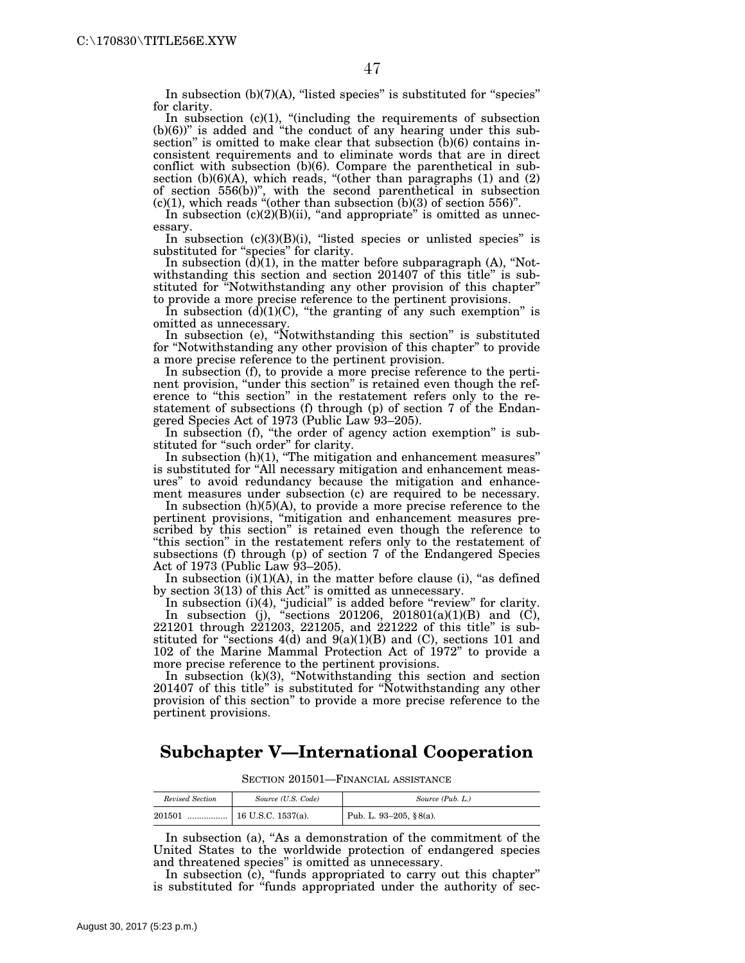In subsection  $(b)(7)(A)$ , "listed species" is substituted for "species" for clarity.

In subsection  $(c)(1)$ , "(including the requirements of subsection  $(b)(6)$ " is added and "the conduct of any hearing under this subsection'' is omitted to make clear that subsection (b)(6) contains inconsistent requirements and to eliminate words that are in direct conflict with subsection (b)(6). Compare the parenthetical in subsection (b)(6)(A), which reads, "(other than paragraphs (1) and (2) of section 556(b))'', with the second parenthetical in subsection  $(c)(1)$ , which reads "(other than subsection  $(b)(3)$  of section 556)".

In subsection  $(c)(2)(B)(ii)$ , "and appropriate" is omitted as unnecessary.

In subsection  $(c)(3)(B)(i)$ , "listed species or unlisted species" is substituted for "species" for clarity.

In subsection  $(d)(1)$ , in the matter before subparagraph  $(A)$ , "Notwithstanding this section and section 201407 of this title" is substituted for ''Notwithstanding any other provision of this chapter'' to provide a more precise reference to the pertinent provisions.

In subsection  $(d)(1)(C)$ , "the granting of any such exemption" is omitted as unnecessary.

In subsection (e), ''Notwithstanding this section'' is substituted for ''Notwithstanding any other provision of this chapter'' to provide a more precise reference to the pertinent provision.

In subsection (f), to provide a more precise reference to the pertinent provision, "under this section" is retained even though the reference to "this section" in the restatement refers only to the restatement of subsections (f) through (p) of section 7 of the Endangered Species Act of 1973 (Public Law 93–205).

In subsection (f), "the order of agency action exemption" is substituted for "such order" for clarity.

In subsection (h)(1), ''The mitigation and enhancement measures'' is substituted for "All necessary mitigation and enhancement measures'' to avoid redundancy because the mitigation and enhancement measures under subsection (c) are required to be necessary.

In subsection (h)(5)(A), to provide a more precise reference to the pertinent provisions, ''mitigation and enhancement measures prescribed by this section" is retained even though the reference to ''this section'' in the restatement refers only to the restatement of subsections (f) through (p) of section 7 of the Endangered Species Act of 1973 (Public Law 93–205).

In subsection  $(i)(1)(A)$ , in the matter before clause  $(i)$ , "as defined by section 3(13) of this Act'' is omitted as unnecessary.

In subsection (i)(4), "judicial" is added before "review" for clarity. In subsection (j), "sections 201206, 201801(a)(1)(B) and (C), 221201 through 221203, 221205, and 221222 of this title'' is substituted for "sections  $4(d)$  and  $9(a)(1)(B)$  and (C), sections 101 and 102 of the Marine Mammal Protection Act of 1972'' to provide a more precise reference to the pertinent provisions.

In subsection (k)(3), ''Notwithstanding this section and section 201407 of this title'' is substituted for ''Notwithstanding any other provision of this section'' to provide a more precise reference to the pertinent provisions.

### **Subchapter V—International Cooperation**

SECTION 201501—FINANCIAL ASSISTANCE

| Revised Section | Source (U.S. Code) | Source (Pub. L.)       |
|-----------------|--------------------|------------------------|
| 201501          |                    | Pub. L. 93-205, §8(a). |

In subsection (a), "As a demonstration of the commitment of the United States to the worldwide protection of endangered species and threatened species'' is omitted as unnecessary.

In subsection (c), "funds appropriated to carry out this chapter" is substituted for "funds appropriated under the authority of sec-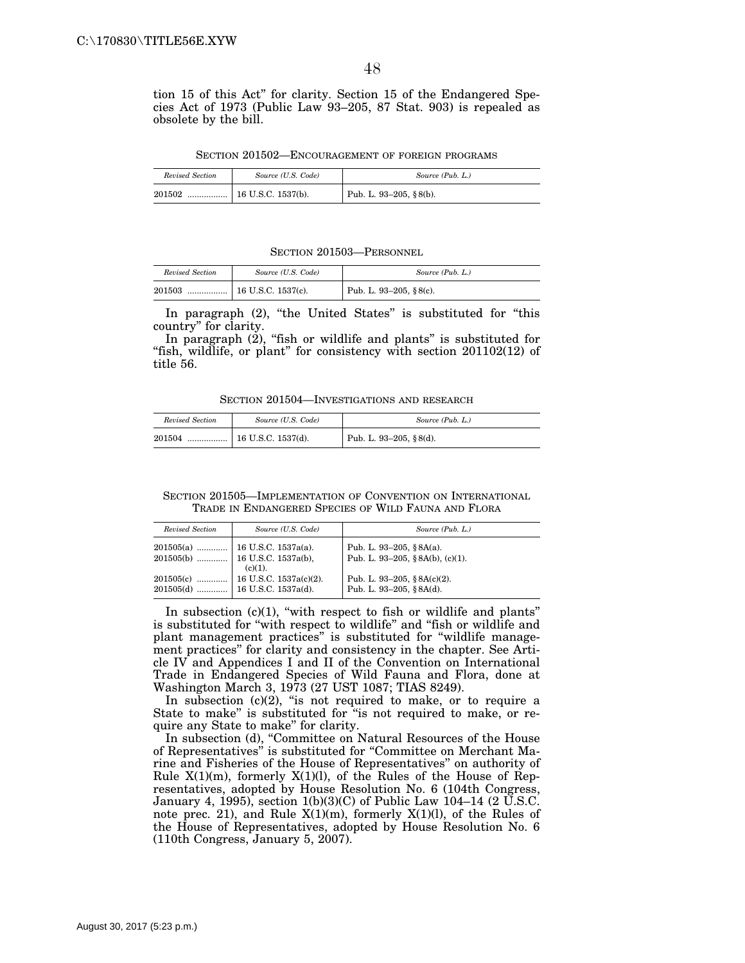tion 15 of this Act'' for clarity. Section 15 of the Endangered Species Act of 1973 (Public Law 93–205, 87 Stat. 903) is repealed as obsolete by the bill.

SECTION 201502—ENCOURAGEMENT OF FOREIGN PROGRAMS

| Revised Section | Source (U.S. Code)                      | Source (Pub. L.)       |
|-----------------|-----------------------------------------|------------------------|
| 201502          | $\lceil 16 \text{ U.S.C. } 1537 \rceil$ | Pub. L. 93-205, §8(b). |

SECTION 201503—PERSONNEL

| Revised Section | Source (U.S. Code) | Source (Pub. L.)       |
|-----------------|--------------------|------------------------|
| 201503          |                    | Pub. L. 93-205, §8(c). |

In paragraph (2), "the United States" is substituted for "this country'' for clarity.

In paragraph  $(2)$ , "fish or wildlife and plants" is substituted for "fish, wildlife, or plant" for consistency with section 201102(12) of title 56.

SECTION 201504—INVESTIGATIONS AND RESEARCH

| Revised Section | Source (U.S. Code)         | Source (Pub. L.)       |
|-----------------|----------------------------|------------------------|
| 201504<br>      | $\vert$ 16 U.S.C. 1537(d). | Pub. L. 93-205, §8(d). |

| SECTION 201505—IMPLEMENTATION OF CONVENTION ON INTERNATIONAL |  |  |
|--------------------------------------------------------------|--|--|
| TRADE IN ENDANGERED SPECIES OF WILD FAUNA AND FLORA          |  |  |

| Revised Section | Source (U.S. Code)                                                                   | Source (Pub. L.)                                               |
|-----------------|--------------------------------------------------------------------------------------|----------------------------------------------------------------|
|                 | $201505(a)$   16 U.S.C. 1537a(a).<br>$201505(b)$   16 U.S.C. 1537a(b),<br>$(c)(1)$ . | Pub. L. 93-205, $§ 8A(a)$ .<br>Pub. L. 93-205, §8A(b), (c)(1). |
|                 | $201505(d)$   16 U.S.C. 1537a(d).                                                    | Pub. L. 93-205, $\&8A(c)(2)$ .<br>Pub. L. 93-205, §8A(d).      |

In subsection  $(c)(1)$ , "with respect to fish or wildlife and plants" is substituted for "with respect to wildlife" and "fish or wildlife and plant management practices'' is substituted for ''wildlife management practices'' for clarity and consistency in the chapter. See Article IV and Appendices I and II of the Convention on International Trade in Endangered Species of Wild Fauna and Flora, done at Washington March 3, 1973 (27 UST 1087; TIAS 8249).

In subsection (c)(2), "is not required to make, or to require a State to make" is substituted for "is not required to make, or require any State to make'' for clarity.

In subsection (d), ''Committee on Natural Resources of the House of Representatives'' is substituted for ''Committee on Merchant Marine and Fisheries of the House of Representatives'' on authority of Rule  $X(1)(m)$ , formerly  $X(1)(l)$ , of the Rules of the House of Representatives, adopted by House Resolution No. 6 (104th Congress, January 4, 1995), section 1(b)(3)(C) of Public Law 104–14 (2  $\overline{U}$ .S.C. note prec. 21), and Rule  $X(1)(m)$ , formerly  $X(1)(l)$ , of the Rules of the House of Representatives, adopted by House Resolution No. 6 (110th Congress, January 5, 2007).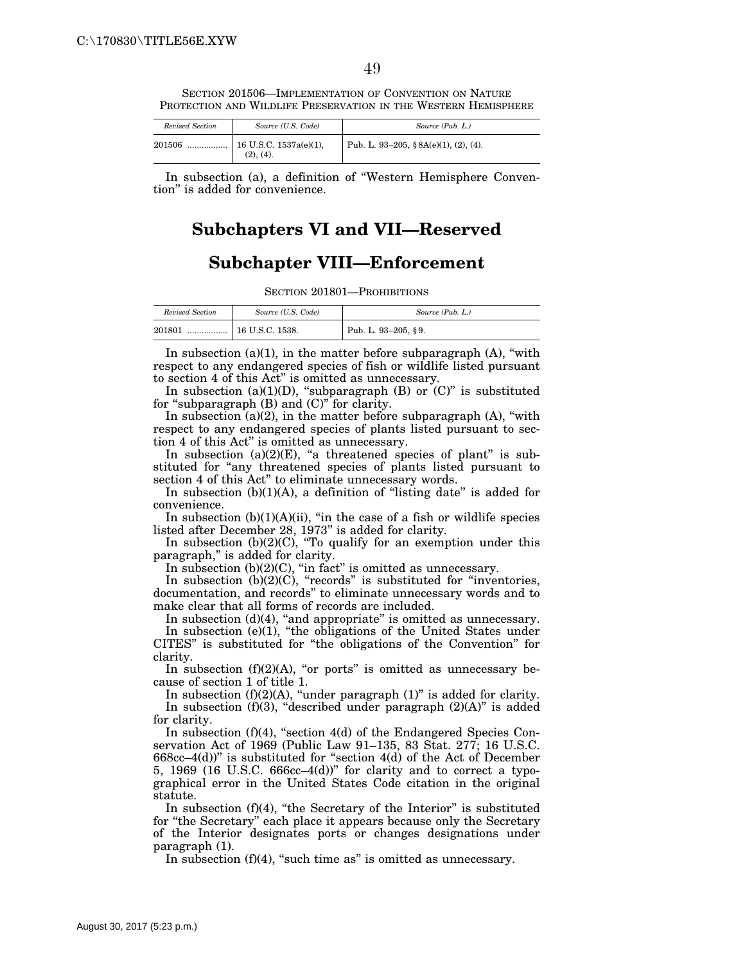SECTION 201506—IMPLEMENTATION OF CONVENTION ON NATURE PROTECTION AND WILDLIFE PRESERVATION IN THE WESTERN HEMISPHERE

| Revised Section | Source (U.S. Code)                     | Source (Pub. L.)                         |
|-----------------|----------------------------------------|------------------------------------------|
| 201506          | 16 U.S.C. $1537a(e)(1)$ ,<br>(2), (4). | Pub. L. 93-205, $\&8A(e)(1)$ , (2), (4). |

In subsection (a), a definition of ''Western Hemisphere Convention'' is added for convenience.

# **Subchapters VI and VII—Reserved**

# **Subchapter VIII—Enforcement**

SECTION 201801—PROHIBITIONS

| Revised Section | Source (U.S. Code) | Source (Pub. L.)    |
|-----------------|--------------------|---------------------|
| 201801<br>      | 16 U.S.C. 1538.    | Pub. L. 93-205, §9. |

In subsection  $(a)(1)$ , in the matter before subparagraph  $(A)$ , "with respect to any endangered species of fish or wildlife listed pursuant to section 4 of this Act'' is omitted as unnecessary.

In subsection  $(a)(1)(D)$ , "subparagraph  $(B)$  or  $(C)$ " is substituted for ''subparagraph (B) and (C)'' for clarity.

In subsection  $(a)(2)$ , in the matter before subparagraph  $(A)$ , "with respect to any endangered species of plants listed pursuant to section 4 of this Act'' is omitted as unnecessary.

In subsection  $(a)(2)(E)$ , "a threatened species of plant" is substituted for "any threatened species of plants listed pursuant to section 4 of this Act'' to eliminate unnecessary words.

In subsection  $(b)(1)(A)$ , a definition of "listing date" is added for convenience.

In subsection  $(b)(1)(A)(ii)$ , "in the case of a fish or wildlife species listed after December 28, 1973'' is added for clarity.

In subsection  $(b)(2)(C)$ , "To qualify for an exemption under this paragraph," is added for clarity.

In subsection (b)(2)(C), "in fact" is omitted as unnecessary.

In subsection  $(b)(2)(C)$ , "records" is substituted for "inventories, documentation, and records'' to eliminate unnecessary words and to make clear that all forms of records are included.

In subsection  $(d)(4)$ , "and appropriate" is omitted as unnecessary. In subsection  $(e)(1)$ , "the obligations of the United States under CITES'' is substituted for ''the obligations of the Convention'' for clarity.

In subsection  $(f)(2)(A)$ , "or ports" is omitted as unnecessary because of section 1 of title 1.

In subsection  $(f)(2)(A)$ , "under paragraph  $(1)$ " is added for clarity. In subsection  $(f)(3)$ , "described under paragraph  $(2)(A)$ " is added for clarity.

In subsection  $(f)(4)$ , "section  $4(d)$  of the Endangered Species Conservation Act of 1969 (Public Law 91–135, 83 Stat. 277; 16 U.S.C. 668cc–4(d))'' is substituted for ''section 4(d) of the Act of December 5, 1969 (16 U.S.C. 666cc–4(d))'' for clarity and to correct a typographical error in the United States Code citation in the original statute.

In subsection  $(f)(4)$ , "the Secretary of the Interior" is substituted for ''the Secretary'' each place it appears because only the Secretary of the Interior designates ports or changes designations under paragraph (1).

In subsection  $(f)(4)$ , "such time as" is omitted as unnecessary.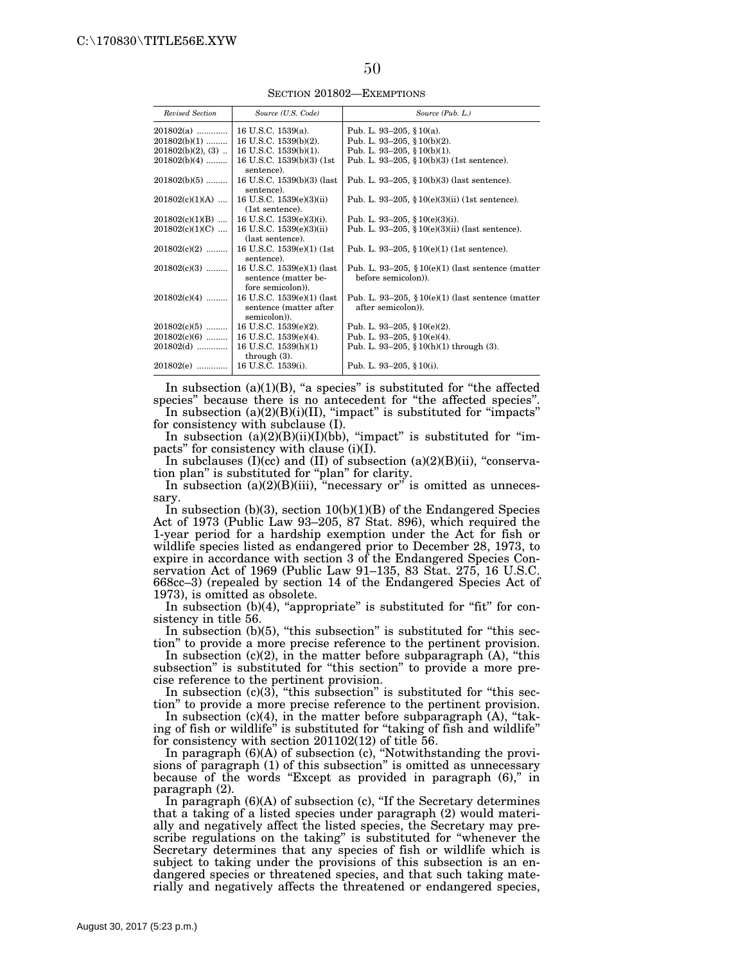SECTION 201802—EXEMPTIONS

| Revised Section      | Source (U.S. Code)                                                     | Source (Pub. L.)                                                          |
|----------------------|------------------------------------------------------------------------|---------------------------------------------------------------------------|
| $201802(a)$          | 16 U.S.C. 1539(a).                                                     | Pub. L. 93-205, § 10(a).                                                  |
| $201802(b)(1)$       | 16 U.S.C. 1539(b)(2).                                                  | Pub. L. 93-205, § 10(b)(2).                                               |
| $201802(b)(2)$ , (3) | 16 U.S.C. 1539(b)(1).                                                  | Pub. L. 93-205, § $10(b)(1)$ .                                            |
| $201802(b)(4)$       | 16 U.S.C. 1539(b)(3) (1st<br>sentence).                                | Pub. L. 93-205, $$10(b)(3)$ (1st sentence).                               |
| $201802(b)(5)$       | 16 U.S.C. 1539(b)(3) (last<br>sentence).                               | Pub. L. 93-205, $\S 10(b)(3)$ (last sentence).                            |
| $201802(c)(1)(A)$    | 16 U.S.C. 1539(e)(3)(ii)<br>(1st sentence).                            | Pub. L. 93–205, § 10(e)(3)(ii) (1st sentence).                            |
| $201802(c)(1)(B)$    | 16 U.S.C. $1539(e)(3)(i)$ .                                            | Pub. L. 93–205, § $10(e)(3)(i)$ .                                         |
| $201802(c)(1)(C)$    | 16 U.S.C. 1539(e)(3)(ii)<br>(last sentence).                           | Pub. L. 93-205, $$10(e)(3)(ii)$ (last sentence).                          |
| $201802(c)(2)$       | 16 U.S.C. 1539(e)(1) (1st)<br>sentence).                               | Pub. L. 93–205, $$10(e)(1)(1st sentence)$ .                               |
| $201802(c)(3)$       | 16 U.S.C. 1539(e)(1) (last<br>sentence (matter be-<br>fore semicolon). | Pub. L. 93-205, $$10(e)(1)$ (last sentence (matter)<br>before semicolon). |
| $201802(c)(4)$       | 16 U.S.C. 1539(e)(1) (last<br>sentence (matter after<br>semicolon)).   | Pub. L. 93–205, $$10(e)(1)$ (last sentence (matter)<br>after semicolon).  |
| $201802(c)(5)$       | 16 U.S.C. $1539(e)(2)$ .                                               | Pub. L. 93-205, § 10(e)(2).                                               |
| $201802(c)(6)$       | 16 U.S.C. 1539(e)(4).                                                  | Pub. L. 93-205, § $10(e)(4)$ .                                            |
| $201802(d)$          | 16 U.S.C. $1539(h)(1)$<br>through $(3)$ .                              | Pub. L. 93-205, § 10(h)(1) through (3).                                   |
| 201802(e)            | 16 U.S.C. 1539(i).                                                     | Pub. L. 93–205, § 10(i).                                                  |

In subsection  $(a)(1)(B)$ , "a species" is substituted for "the affected species'' because there is no antecedent for ''the affected species''.

In subsection  $(a)(2)(B)(i)(II)$ , "impact" is substituted for "impacts" for consistency with subclause (I).

In subsection  $(a)(2)(B)(ii)(I)(bb)$ , "impact" is substituted for "impacts'' for consistency with clause (i)(I).

In subclauses  $(I)(cc)$  and  $(II)$  of subsection  $(a)(2)(B)(ii)$ , "conservation plan'' is substituted for ''plan'' for clarity.

In subsection (a)(2)(B)(iii), "necessary or" is omitted as unnecessary.

In subsection  $(b)(3)$ , section  $10(b)(1)(B)$  of the Endangered Species Act of 1973 (Public Law 93–205, 87 Stat. 896), which required the 1-year period for a hardship exemption under the Act for fish or wildlife species listed as endangered prior to December 28, 1973, to expire in accordance with section 3 of the Endangered Species Conservation Act of 1969 (Public Law 91–135, 83 Stat. 275, 16 U.S.C. 668cc–3) (repealed by section 14 of the Endangered Species Act of 1973), is omitted as obsolete.

In subsection  $(b)(4)$ , "appropriate" is substituted for "fit" for consistency in title 56.

In subsection  $(b)(5)$ , "this subsection" is substituted for "this section'' to provide a more precise reference to the pertinent provision.

In subsection  $(c)(2)$ , in the matter before subparagraph  $(A)$ , "this subsection'' is substituted for ''this section'' to provide a more precise reference to the pertinent provision.

In subsection  $(c)(3)$ , "this subsection" is substituted for "this section'' to provide a more precise reference to the pertinent provision.

In subsection  $(c)(4)$ , in the matter before subparagraph  $(A)$ , "taking of fish or wildlife'' is substituted for ''taking of fish and wildlife'' for consistency with section 201102(12) of title 56.

In paragraph  $(6)(A)$  of subsection (c), "Notwithstanding the provisions of paragraph (1) of this subsection'' is omitted as unnecessary because of the words "Except as provided in paragraph  $(6)$ ," in paragraph (2).

In paragraph (6)(A) of subsection (c), ''If the Secretary determines that a taking of a listed species under paragraph (2) would materially and negatively affect the listed species, the Secretary may prescribe regulations on the taking'' is substituted for ''whenever the Secretary determines that any species of fish or wildlife which is subject to taking under the provisions of this subsection is an endangered species or threatened species, and that such taking materially and negatively affects the threatened or endangered species,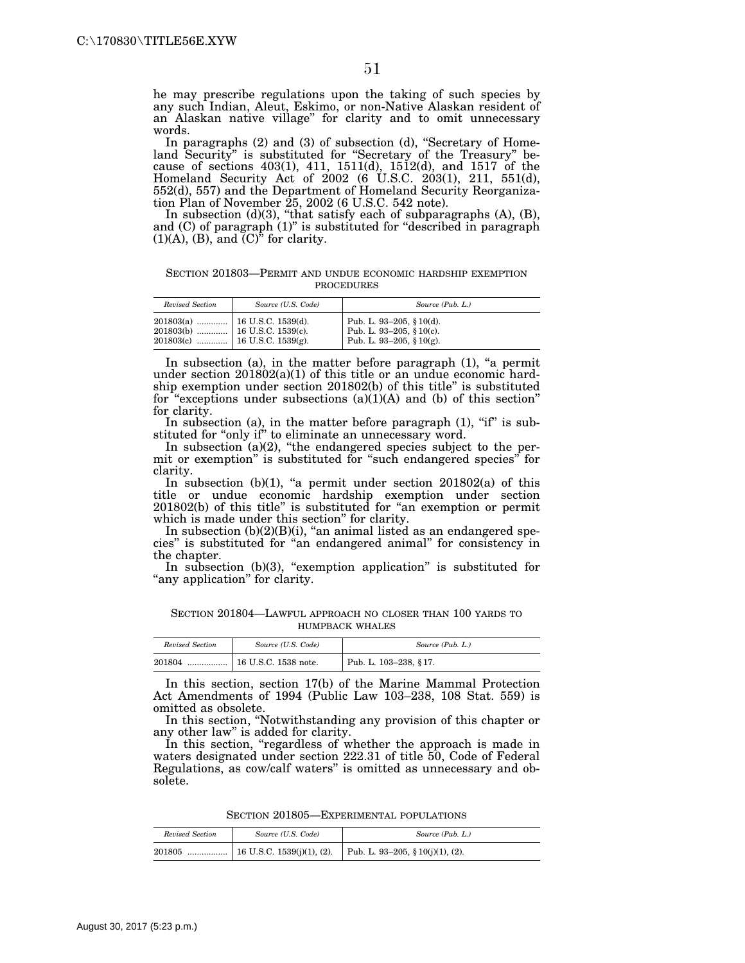he may prescribe regulations upon the taking of such species by any such Indian, Aleut, Eskimo, or non-Native Alaskan resident of an Alaskan native village'' for clarity and to omit unnecessary words.

In paragraphs (2) and (3) of subsection (d), "Secretary of Homeland Security" is substituted for "Secretary of the Treasury" because of sections 403(1), 411, 1511(d), 1512(d), and 1517 of the Homeland Security Act of 2002 (6 U.S.C. 203(1), 211, 551(d), 552(d), 557) and the Department of Homeland Security Reorganization Plan of November 25, 2002 (6 U.S.C. 542 note).

In subsection  $(d)(3)$ , "that satisfy each of subparagraphs  $(A)$ ,  $(B)$ , and (C) of paragraph (1)" is substituted for "described in paragraph  $(1)(A)$ ,  $(B)$ , and  $(C)^{\tilde{v}}$  for clarity.

SECTION 201803—PERMIT AND UNDUE ECONOMIC HARDSHIP EXEMPTION **PROCEDURES** 

| Revised Section | Source (U.S. Code) | Source (Pub. L.)                                                                 |
|-----------------|--------------------|----------------------------------------------------------------------------------|
|                 |                    | Pub. L. 93–205, § 10(d).<br>Pub. L. 93-205, § 10(c).<br>Pub. L. 93-205, § 10(g). |

In subsection (a), in the matter before paragraph  $(1)$ , "a permit under section 201802(a)(1) of this title or an undue economic hardship exemption under section 201802(b) of this title'' is substituted for "exceptions under subsections  $(a)(1)(A)$  and  $(b)$  of this section" for clarity.

In subsection (a), in the matter before paragraph (1), "if" is substituted for "only if" to eliminate an unnecessary word.

In subsection (a)(2), "the endangered species subject to the permit or exemption'' is substituted for ''such endangered species'' for clarity.

In subsection  $(b)(1)$ , "a permit under section  $201802(a)$  of this title or undue economic hardship exemption under section 201802(b) of this title'' is substituted for ''an exemption or permit which is made under this section'' for clarity.

In subsection  $(b)(2)(B)(i)$ , "an animal listed as an endangered species'' is substituted for ''an endangered animal'' for consistency in the chapter.

In subsection  $(b)(3)$ , "exemption application" is substituted for "any application" for clarity.

SECTION 201804—LAWFUL APPROACH NO CLOSER THAN 100 YARDS TO HUMPBACK WHALES

| Revised Section | Source (U.S. Code)           | Source (Pub. L.)          |
|-----------------|------------------------------|---------------------------|
| 201804<br>      | $\vert$ 16 U.S.C. 1538 note. | Pub. L. $103-238$ , § 17. |

In this section, section 17(b) of the Marine Mammal Protection Act Amendments of 1994 (Public Law 103–238, 108 Stat. 559) is omitted as obsolete.

In this section, ''Notwithstanding any provision of this chapter or any other law'' is added for clarity.

In this section, "regardless of whether the approach is made in waters designated under section 222.31 of title 50, Code of Federal Regulations, as cow/calf waters'' is omitted as unnecessary and obsolete.

SECTION 201805—EXPERIMENTAL POPULATIONS

| Revised Section | Source (U.S. Code) | Source (Pub. L.) |
|-----------------|--------------------|------------------|
|                 |                    |                  |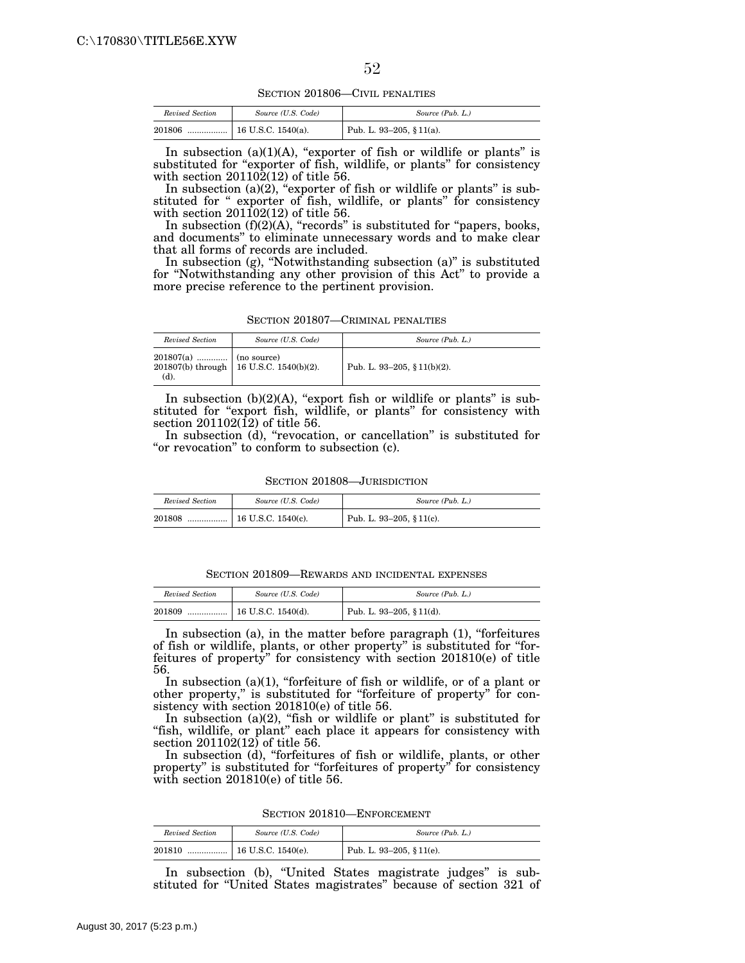SECTION 201806—CIVIL PENALTIES

| Revised Section | Source (U.S. Code)   | Source (Pub. L.)         |
|-----------------|----------------------|--------------------------|
| 201806<br>      | $16$ U.S.C. 1540(a). | Pub. L. 93-205, § 11(a). |

In subsection  $(a)(1)(A)$ , "exporter of fish or wildlife or plants" is substituted for "exporter of fish, wildlife, or plants" for consistency with section 201102(12) of title 56.

In subsection (a)(2), "exporter of fish or wildlife or plants" is substituted for " exporter of fish, wildlife, or plants" for consistency with section  $201102(12)$  of title 56.

In subsection  $(f)(2)(A)$ , "records" is substituted for "papers, books, and documents'' to eliminate unnecessary words and to make clear that all forms of records are included.

In subsection (g), ''Notwithstanding subsection (a)'' is substituted for ''Notwithstanding any other provision of this Act'' to provide a more precise reference to the pertinent provision.

SECTION 201807—CRIMINAL PENALTIES

| Revised Section                      | Source (U.S. Code)                        | Source (Pub. L.)            |
|--------------------------------------|-------------------------------------------|-----------------------------|
| $201807(a)$   (no source)<br>$(d)$ . | 201807(b) through   16 U.S.C. 1540(b)(2). | Pub. L. 93-205, § 11(b)(2). |

In subsection  $(b)(2)(A)$ , "export fish or wildlife or plants" is substituted for "export fish, wildlife, or plants" for consistency with section 201102(12) of title 56.

In subsection (d), "revocation, or cancellation" is substituted for "or revocation" to conform to subsection (c).

SECTION 201808—JURISDICTION

| Revised Section | Source (U.S. Code) | Source (Pub. L.)         |
|-----------------|--------------------|--------------------------|
| 201808          |                    | Pub. L. 93-205, § 11(c). |

SECTION 201809—REWARDS AND INCIDENTAL EXPENSES

| Revised Section | Source (U.S. Code) | Source (Pub. L.)         |
|-----------------|--------------------|--------------------------|
| 201809          |                    | Pub. L. 93-205, § 11(d). |

In subsection (a), in the matter before paragraph (1), "forfeitures of fish or wildlife, plants, or other property'' is substituted for ''forfeitures of property'' for consistency with section 201810(e) of title 56.

In subsection  $(a)(1)$ , "forfeiture of fish or wildlife, or of a plant or other property,'' is substituted for ''forfeiture of property'' for consistency with section 201810(e) of title 56.

In subsection (a)(2), "fish or wildlife or plant" is substituted for "fish, wildlife, or plant" each place it appears for consistency with section 201102(12) of title 56.

In subsection (d), "forfeitures of fish or wildlife, plants, or other property" is substituted for "forfeitures of property" for consistency with section 201810(e) of title 56.

|  |  |  | SECTION 201810—ENFORCEMENT |
|--|--|--|----------------------------|
|--|--|--|----------------------------|

| Revised Section | Source (U.S. Code) | Source (Pub. L.)         |
|-----------------|--------------------|--------------------------|
| 201810<br>      | 16 U.S.C. 1540(e). | Pub. L. 93-205, § 11(e). |

In subsection (b), "United States magistrate judges" is substituted for ''United States magistrates'' because of section 321 of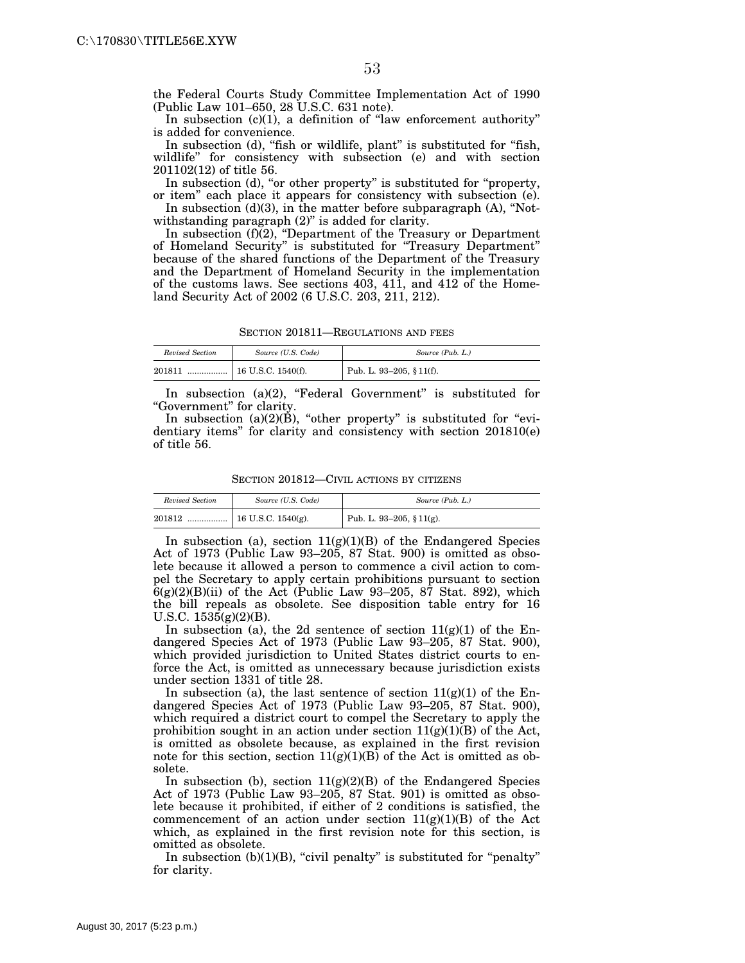the Federal Courts Study Committee Implementation Act of 1990 (Public Law 101–650, 28 U.S.C. 631 note).

In subsection  $(c)(1)$ , a definition of "law enforcement authority" is added for convenience.

In subsection (d), "fish or wildlife, plant" is substituted for "fish, wildlife'' for consistency with subsection (e) and with section 201102(12) of title 56.

In subsection (d), "or other property" is substituted for "property, or item'' each place it appears for consistency with subsection (e).

In subsection  $(d)(3)$ , in the matter before subparagraph  $(A)$ , "Notwithstanding paragraph  $(2)$ " is added for clarity.

In subsection (f)(2), "Department of the Treasury or Department of Homeland Security'' is substituted for ''Treasury Department'' because of the shared functions of the Department of the Treasury and the Department of Homeland Security in the implementation of the customs laws. See sections 403, 411, and 412 of the Homeland Security Act of 2002 (6 U.S.C. 203, 211, 212).

SECTION 201811—REGULATIONS AND FEES

| Revised Section | Source (U.S. Code)                 | Source (Pub. L.)         |
|-----------------|------------------------------------|--------------------------|
| 201811          | $\ldots$ $\mid$ 16 U.S.C. 1540(f). | Pub. L. 93-205, § 11(f). |

In subsection (a)(2), "Federal Government" is substituted for ''Government'' for clarity.

In subsection  $(a)(2)(\dot{B})$ , "other property" is substituted for "evidentiary items'' for clarity and consistency with section 201810(e) of title 56.

SECTION 201812—CIVIL ACTIONS BY CITIZENS

| Revised Section | Source (U.S. Code) | Source (Pub. L.)         |
|-----------------|--------------------|--------------------------|
| 201812          |                    | Pub. L. 93-205, § 11(g). |

In subsection (a), section  $11(g)(1)(B)$  of the Endangered Species Act of 1973 (Public Law 93–205, 87 Stat. 900) is omitted as obsolete because it allowed a person to commence a civil action to compel the Secretary to apply certain prohibitions pursuant to section  $6(g)(2)(B)(ii)$  of the Act (Public Law 93-205, 87 Stat. 892), which the bill repeals as obsolete. See disposition table entry for 16 U.S.C. 1535(g)(2)(B).

In subsection (a), the 2d sentence of section  $11(g)(1)$  of the Endangered Species Act of 1973 (Public Law 93–205, 87 Stat. 900), which provided jurisdiction to United States district courts to enforce the Act, is omitted as unnecessary because jurisdiction exists under section 1331 of title 28.

In subsection (a), the last sentence of section  $11(g)(1)$  of the Endangered Species Act of 1973 (Public Law 93–205, 87 Stat. 900), which required a district court to compel the Secretary to apply the prohibition sought in an action under section  $11(g)(1)(B)$  of the Act, is omitted as obsolete because, as explained in the first revision note for this section, section  $11(g)(1)(B)$  of the Act is omitted as obsolete.

In subsection (b), section  $11(g)(2)(B)$  of the Endangered Species Act of 1973 (Public Law 93–205, 87 Stat. 901) is omitted as obsolete because it prohibited, if either of 2 conditions is satisfied, the commencement of an action under section  $11(g)(1)(B)$  of the Act which, as explained in the first revision note for this section, is omitted as obsolete.

In subsection  $(b)(1)(B)$ , "civil penalty" is substituted for "penalty" for clarity.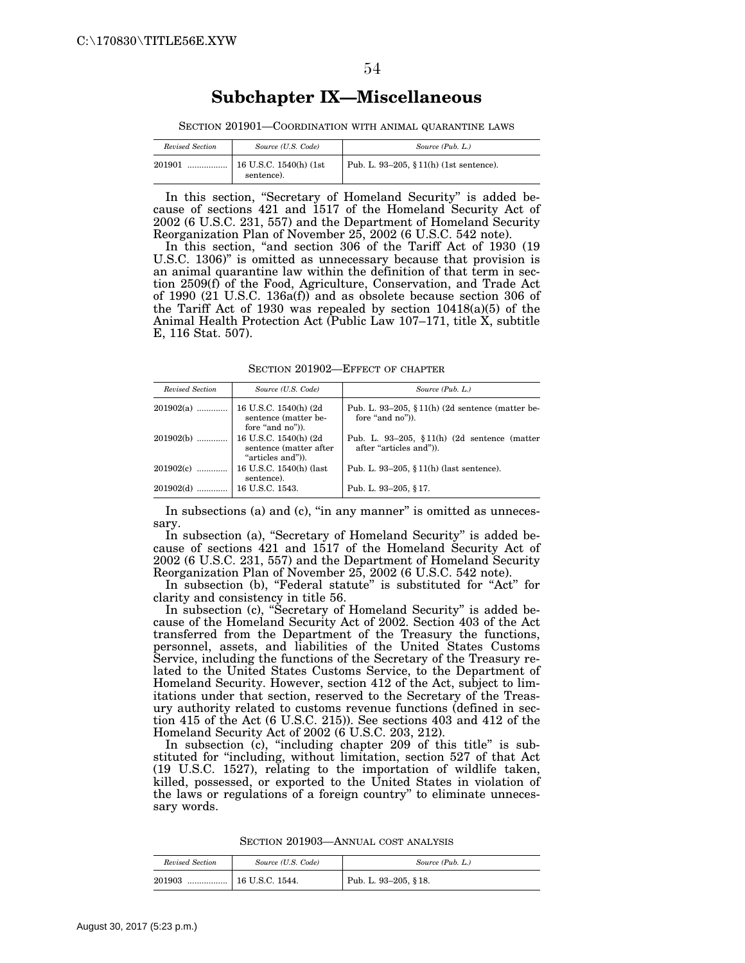### **Subchapter IX—Miscellaneous**

SECTION 201901—COORDINATION WITH ANIMAL QUARANTINE LAWS

| Revised Section | Source (U.S. Code)                                | Source (Pub. L.)                        |
|-----------------|---------------------------------------------------|-----------------------------------------|
| 201901          | $^{\dagger}$ 16 U.S.C. 1540(h) (1st<br>sentence). | Pub. L. 93-205, § 11(h) (1st sentence). |

In this section, "Secretary of Homeland Security" is added because of sections 421 and 1517 of the Homeland Security Act of 2002 (6 U.S.C. 231, 557) and the Department of Homeland Security Reorganization Plan of November 25, 2002 (6 U.S.C. 542 note).

In this section, "and section 306 of the Tariff Act of 1930 (19) U.S.C. 1306)'' is omitted as unnecessary because that provision is an animal quarantine law within the definition of that term in section 2509(f) of the Food, Agriculture, Conservation, and Trade Act of 1990 (21 U.S.C. 136a(f)) and as obsolete because section 306 of the Tariff Act of 1930 was repealed by section 10418(a)(5) of the Animal Health Protection Act (Public Law 107–171, title X, subtitle E, 116 Stat. 507).

SECTION 201902—EFFECT OF CHAPTER

| Revised Section | Source (U.S. Code)                                                    | Source (Pub. L.)                                                        |
|-----------------|-----------------------------------------------------------------------|-------------------------------------------------------------------------|
| $201902(a)$     | 16 U.S.C. 1540(h) (2d<br>sentence (matter be-<br>fore "and no").      | Pub. L. 93-205, $\S 11(h)$ (2d sentence (matter be-<br>fore "and no").  |
| 201902(b)       | 16 U.S.C. 1540(h) (2d)<br>sentence (matter after<br>"articles and")). | Pub. L. 93-205, $$11(h)$ (2d sentence (matter<br>after "articles and"). |
| 201902(c)       | 16 U.S.C. 1540(h) (last<br>sentence).                                 | Pub. L. 93-205, $§ 11(h)$ (last sentence).                              |
| 201902(d)       | 16 U.S.C. 1543.                                                       | Pub. L. 93-205, §17.                                                    |

In subsections (a) and (c), "in any manner" is omitted as unnecessary.

In subsection (a), "Secretary of Homeland Security" is added because of sections 421 and 1517 of the Homeland Security Act of 2002 (6 U.S.C. 231, 557) and the Department of Homeland Security Reorganization Plan of November 25, 2002 (6 U.S.C. 542 note).

In subsection (b), "Federal statute" is substituted for "Act" for clarity and consistency in title 56.

In subsection (c), ''Secretary of Homeland Security'' is added because of the Homeland Security Act of 2002. Section 403 of the Act transferred from the Department of the Treasury the functions, personnel, assets, and liabilities of the United States Customs Service, including the functions of the Secretary of the Treasury related to the United States Customs Service, to the Department of Homeland Security. However, section 412 of the Act, subject to limitations under that section, reserved to the Secretary of the Treasury authority related to customs revenue functions (defined in section 415 of the Act (6 U.S.C. 215)). See sections 403 and 412 of the Homeland Security Act of 2002 (6 U.S.C. 203, 212).

In subsection (c), "including chapter 209 of this title" is substituted for ''including, without limitation, section 527 of that Act (19 U.S.C. 1527), relating to the importation of wildlife taken, killed, possessed, or exported to the United States in violation of the laws or regulations of a foreign country'' to eliminate unnecessary words.

SECTION 201903—ANNUAL COST ANALYSIS

| Revised Section | Source (U.S. Code) | Source (Pub. L.)     |
|-----------------|--------------------|----------------------|
| 201903<br>      | 16 U.S.C. 1544.    | Pub. L. 93-205, §18. |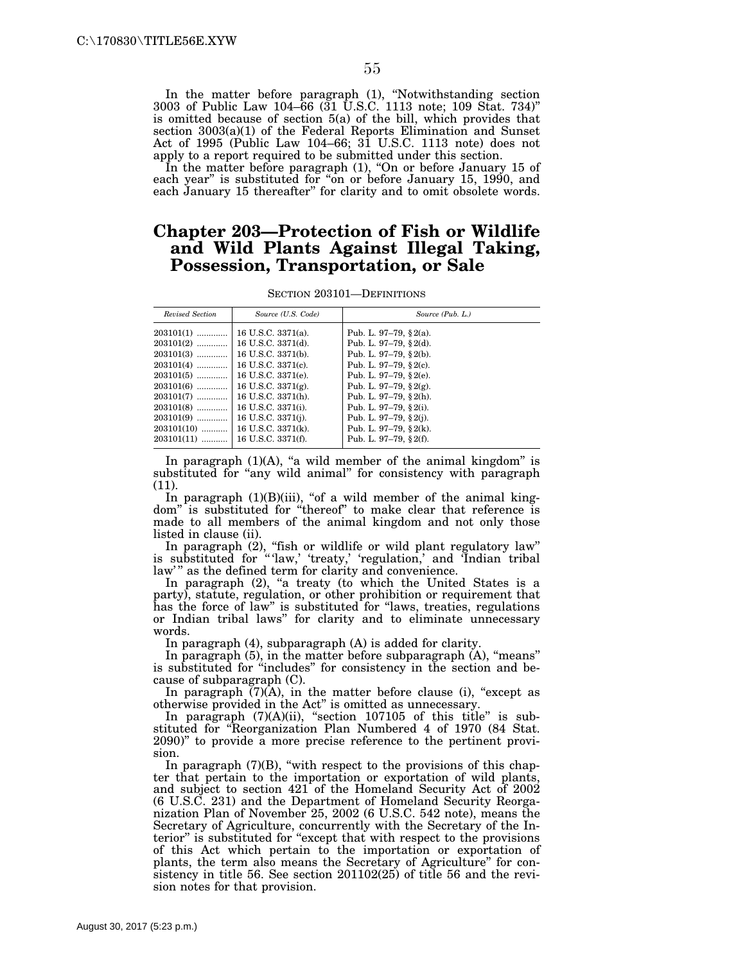In the matter before paragraph (1), "Notwithstanding section 3003 of Public Law 104–66 (31 U.S.C. 1113 note; 109 Stat. 734)'' is omitted because of section 5(a) of the bill, which provides that section 3003(a)(1) of the Federal Reports Elimination and Sunset Act of 1995 (Public Law 104–66; 31 U.S.C. 1113 note) does not apply to a report required to be submitted under this section.

In the matter before paragraph (1), "On or before January 15 of each year" is substituted for "on or before January 15, 1990, and each January 15 thereafter'' for clarity and to omit obsolete words.

### **Chapter 203—Protection of Fish or Wildlife and Wild Plants Against Illegal Taking, Possession, Transportation, or Sale**

SECTION 203101—DEFINITIONS

| Revised Section | Source (U.S. Code)    | Source (Pub. L.)           |
|-----------------|-----------------------|----------------------------|
| $203101(1)$     | 16 U.S.C. 3371(a).    | Pub. L. 97-79, $\S$ 2(a).  |
| $203101(2)$     | 16 U.S.C. 3371(d).    | Pub. L. 97-79, $\S$ 2(d).  |
| $203101(3)$     | 16 U.S.C. 3371(b).    | Pub. L. 97-79, $\S$ 2(b).  |
| $203101(4)$     | 16 U.S.C. 3371(c).    | Pub. L. 97-79, $\S$ 2(c).  |
| $203101(5)$     | 16 U.S.C. 3371(e).    | Pub. L. 97–79, $\S$ 2(e).  |
| $203101(6)$     | 16 U.S.C. $3371(g)$ . | Pub. L. 97-79, $\S 2(g)$ . |
| $203101(7)$     | 16 U.S.C. 3371(h).    | Pub. L. 97-79, $\S$ 2(h).  |
| $203101(8)$     | 16 U.S.C. 3371(i).    | Pub. L. 97-79, § 2(i).     |
| $203101(9)$     | 16 U.S.C. 3371(j).    | Pub. L. 97-79, $\S 2(i)$ . |
| $203101(10)$    | 16 U.S.C. 3371(k).    | Pub. L. 97-79, $\S 2(k)$ . |
| $203101(11)$    | 16 U.S.C. 3371(f).    | Pub. L. 97-79, $§ 2(f)$ .  |

In paragraph  $(1)(A)$ , "a wild member of the animal kingdom" is substituted for "any wild animal" for consistency with paragraph (11).

In paragraph (1)(B)(iii), "of a wild member of the animal kingdom'' is substituted for ''thereof'' to make clear that reference is made to all members of the animal kingdom and not only those listed in clause (ii).

In paragraph (2), ''fish or wildlife or wild plant regulatory law'' is substituted for "'law,' 'treaty,' 'regulation,' and 'Indian tribal law'" as the defined term for clarity and convenience.

In paragraph (2), "a treaty (to which the United States is a party), statute, regulation, or other prohibition or requirement that has the force of law'' is substituted for ''laws, treaties, regulations or Indian tribal laws'' for clarity and to eliminate unnecessary words.

In paragraph (4), subparagraph (A) is added for clarity.

In paragraph (5), in the matter before subparagraph (A), ''means'' is substituted for "includes" for consistency in the section and because of subparagraph (C).

In paragraph  $\overline{(7)}$  $\overline{(A)}$ , in the matter before clause (i), "except as otherwise provided in the Act'' is omitted as unnecessary.

In paragraph  $(7)(A)(ii)$ , "section 107105 of this title" is substituted for ''Reorganization Plan Numbered 4 of 1970 (84 Stat. 2090)'' to provide a more precise reference to the pertinent provision.

In paragraph  $(7)(B)$ , "with respect to the provisions of this chapter that pertain to the importation or exportation of wild plants, and subject to section 421 of the Homeland Security Act of 2002 (6 U.S.C. 231) and the Department of Homeland Security Reorganization Plan of November 25, 2002 (6 U.S.C. 542 note), means the Secretary of Agriculture, concurrently with the Secretary of the Interior" is substituted for "except that with respect to the provisions of this Act which pertain to the importation or exportation of plants, the term also means the Secretary of Agriculture'' for consistency in title 56. See section 201102(25) of title 56 and the revision notes for that provision.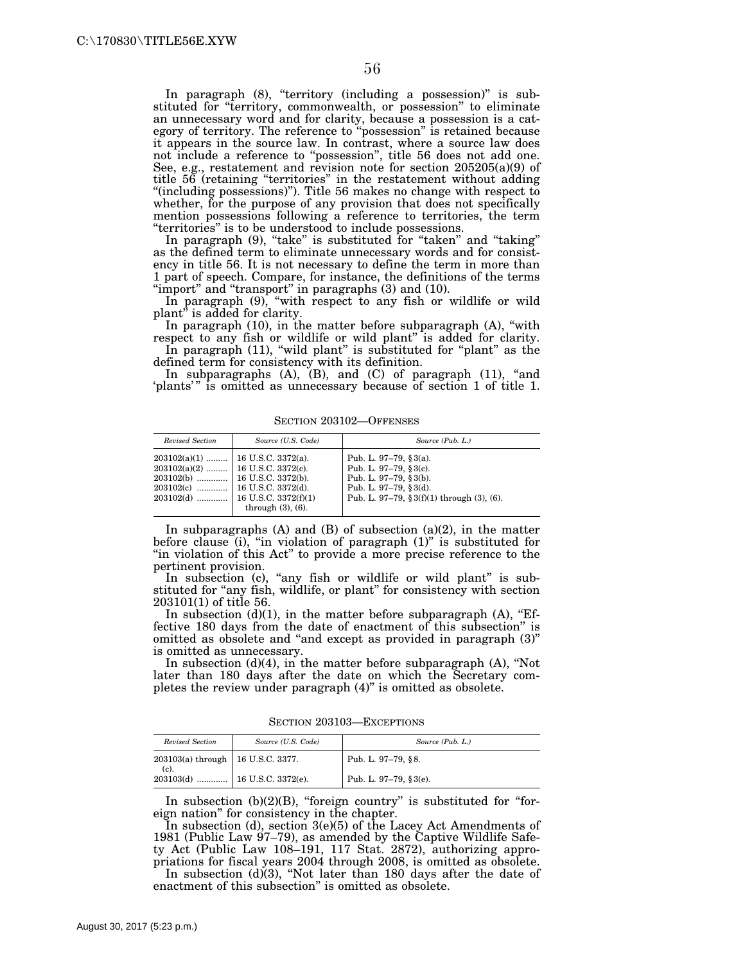In paragraph (8), "territory (including a possession)" is substituted for "territory, commonwealth, or possession" to eliminate an unnecessary word and for clarity, because a possession is a category of territory. The reference to ''possession'' is retained because it appears in the source law. In contrast, where a source law does not include a reference to ''possession'', title 56 does not add one. See, e.g., restatement and revision note for section 205205(a)(9) of title 56 (retaining ''territories'' in the restatement without adding ''(including possessions)''). Title 56 makes no change with respect to whether, for the purpose of any provision that does not specifically mention possessions following a reference to territories, the term ''territories'' is to be understood to include possessions.

In paragraph (9), "take" is substituted for "taken" and "taking" as the defined term to eliminate unnecessary words and for consistency in title 56. It is not necessary to define the term in more than 1 part of speech. Compare, for instance, the definitions of the terms "import" and "transport" in paragraphs (3) and (10).

In paragraph (9), "with respect to any fish or wildlife or wild plant" is added for clarity.

In paragraph  $(10)$ , in the matter before subparagraph  $(A)$ , "with respect to any fish or wildlife or wild plant'' is added for clarity.

In paragraph (11), "wild plant" is substituted for "plant" as the defined term for consistency with its definition.

In subparagraphs  $(A)$ ,  $(B)$ , and  $(C)$  of paragraph  $(11)$ , "and 'plants'" is omitted as unnecessary because of section 1 of title 1.

| Revised Section                                                                           | Source (U.S. Code)                                                                  | Source (Pub. L.)                                                                                                                                               |
|-------------------------------------------------------------------------------------------|-------------------------------------------------------------------------------------|----------------------------------------------------------------------------------------------------------------------------------------------------------------|
| $203102(a)(1)$   16 U.S.C. 3372(a).<br>$203102(a)(2)$   16 U.S.C. 3372(c).<br>$203102(c)$ | 16 U.S.C. 3372(d).<br>$203102(d)$   16 U.S.C. 3372(f)(1)<br>through $(3)$ , $(6)$ . | Pub. L. 97-79, $§ 3(a)$ .<br>Pub. L. 97-79, $§ 3(c)$ .<br>Pub. L. 97-79, $\S 3(b)$ .<br>Pub. L. 97-79, §3(d).<br>Pub. L. 97-79, $\S 3(f)(1)$ through (3), (6). |

SECTION 203102—OFFENSES

In subparagraphs  $(A)$  and  $(B)$  of subsection  $(a)(2)$ , in the matter before clause (i), "in violation of paragraph  $(1)$ " is substituted for ''in violation of this Act'' to provide a more precise reference to the pertinent provision.

In subsection (c), "any fish or wildlife or wild plant" is substituted for "any fish, wildlife, or plant" for consistency with section 203101(1) of title 56.

In subsection  $(d)(1)$ , in the matter before subparagraph  $(A)$ , "Effective 180 days from the date of enactment of this subsection'' is omitted as obsolete and ''and except as provided in paragraph (3)'' is omitted as unnecessary.

In subsection  $(d)(4)$ , in the matter before subparagraph  $(A)$ , "Not later than 180 days after the date on which the Secretary completes the review under paragraph (4)" is omitted as obsolete.

SECTION 203103—EXCEPTIONS

| Revised Section                     | Source (U.S. Code) | Source (Pub. L.)       |
|-------------------------------------|--------------------|------------------------|
| 203103(a) through   16 U.S.C. 3377. |                    | Pub. L. 97-79, §8.     |
| (c). $203103(d)$ 16 U.S.C. 3372(e). |                    | Pub. L. 97-79, § 3(e). |

In subsection  $(b)(2)(B)$ , "foreign country" is substituted for "foreign nation'' for consistency in the chapter.

In subsection (d), section 3(e)(5) of the Lacey Act Amendments of 1981 (Public Law 97–79), as amended by the Captive Wildlife Safety Act (Public Law 108–191, 117 Stat. 2872), authorizing appropriations for fiscal years 2004 through 2008, is omitted as obsolete.

In subsection (d)(3), ''Not later than 180 days after the date of enactment of this subsection'' is omitted as obsolete.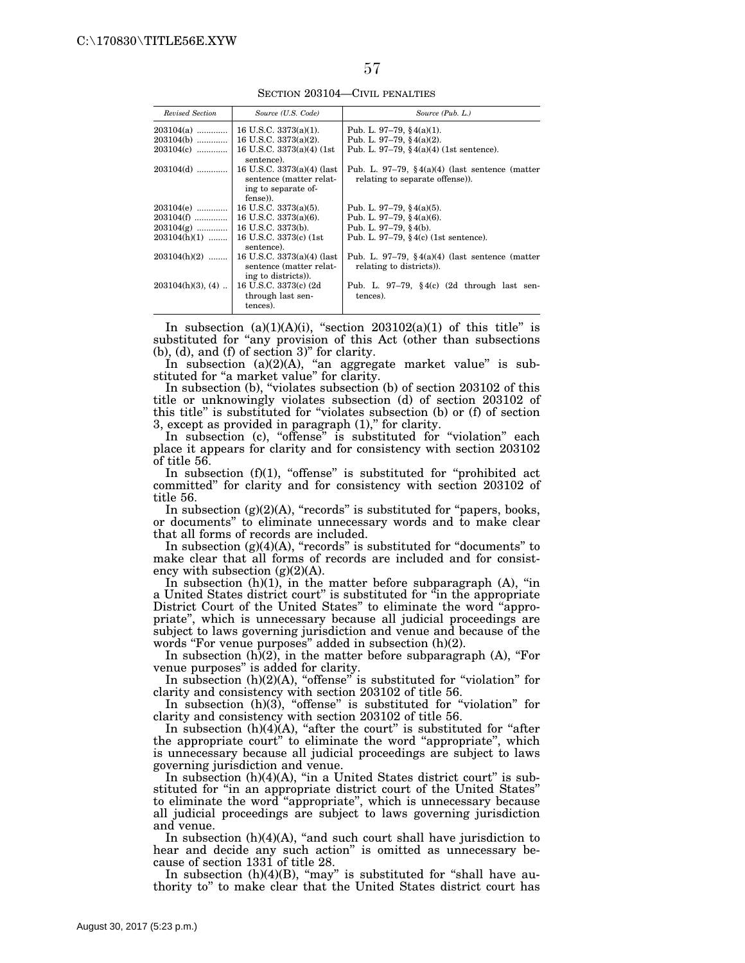SECTION 203104—CIVIL PENALTIES

| Revised Section      | Source (U.S. Code)                                                           | Source (Pub. L.)                                                                     |
|----------------------|------------------------------------------------------------------------------|--------------------------------------------------------------------------------------|
| $203104(a)$          | 16 U.S.C. $3373(a)(1)$ .                                                     | Pub. L. 97–79, §4(a)(1).                                                             |
| $203104(b)$          | 16 U.S.C. $3373(a)(2)$ .                                                     | Pub. L. 97-79, $§$ 4(a)(2).                                                          |
| $203104(c)$          | 16 U.S.C. $3373(a)(4)$ (1st<br>sentence).                                    | Pub. L. 97–79, $(4)(4)(1st sentence)$ .                                              |
| $203104(d)$          | 16 U.S.C. 3373(a)(4) (last<br>sentence (matter relat-<br>ing to separate of- | Pub. L. 97–79, $\S 4(a)(4)$ (last sentence (matter<br>relating to separate offense). |
|                      | fense)).                                                                     |                                                                                      |
| $203104(e)$          | 16 U.S.C. 3373(a)(5).                                                        | Pub. L. 97–79, §4(a)(5).                                                             |
| $203104(f)$          | 16 U.S.C. 3373(a)(6).                                                        | Pub. L. 97-79, $§$ 4(a)(6).                                                          |
| $203104(g)$          | 16 U.S.C. 3373(b).                                                           | Pub. L. 97-79, $§$ 4(b).                                                             |
| $203104(h)(1)$       | 16 U.S.C. 3373(c) (1st)<br>sentence).                                        | Pub. L. 97–79, $\S$ 4(c) (1st sentence).                                             |
| $203104(h)(2)$       | 16 U.S.C. 3373(a)(4) (last<br>sentence (matter relat-<br>ing to districts).  | Pub. L. 97–79, $\S 4(a)(4)$ (last sentence (matter<br>relating to districts).        |
| $203104(h)(3)$ , (4) | 16 U.S.C. 3373(c) (2d)<br>through last sen-<br>tences).                      | Pub. L. 97-79, $\S 4(c)$ (2d through last sen-<br>tences).                           |

In subsection  $(a)(1)(A)(i)$ , "section  $203102(a)(1)$  of this title" is substituted for "any provision of this Act (other than subsections (b), (d), and (f) of section 3)'' for clarity.

In subsection (a)(2)(A), "an aggregate market value" is substituted for "a market value" for clarity.

In subsection (b), "violates subsection (b) of section 203102 of this title or unknowingly violates subsection (d) of section 203102 of this title'' is substituted for ''violates subsection (b) or (f) of section 3, except as provided in paragraph  $(1)$ ," for clarity.

In subsection (c), "offense" is substituted for "violation" each place it appears for clarity and for consistency with section 203102 of title 56.

In subsection  $(f)(1)$ , "offense" is substituted for "prohibited act committed'' for clarity and for consistency with section 203102 of title 56.

In subsection  $(g)(2)(A)$ , "records" is substituted for "papers, books, or documents'' to eliminate unnecessary words and to make clear that all forms of records are included.

In subsection  $(g)(4)(A)$ , "records" is substituted for "documents" to make clear that all forms of records are included and for consistency with subsection  $(g)(2)(A)$ .

In subsection  $(h)(1)$ , in the matter before subparagraph  $(A)$ , "in a United States district court" is substituted for "in the appropriate District Court of the United States'' to eliminate the word ''appropriate'', which is unnecessary because all judicial proceedings are subject to laws governing jurisdiction and venue and because of the words "For venue purposes" added in subsection  $(h)(2)$ .

In subsection  $(h)(2)$ , in the matter before subparagraph  $(A)$ , "For venue purposes'' is added for clarity.

In subsection (h)(2)(A), "offense" is substituted for "violation" for clarity and consistency with section 203102 of title 56.

In subsection (h)(3), "offense" is substituted for "violation" for clarity and consistency with section 203102 of title 56.

In subsection  $(h)(4)(A)$ , "after the court" is substituted for "after the appropriate court'' to eliminate the word ''appropriate'', which is unnecessary because all judicial proceedings are subject to laws governing jurisdiction and venue.

In subsection  $(h)(4)(A)$ , "in a United States district court" is substituted for "in an appropriate district court of the United States" to eliminate the word ''appropriate'', which is unnecessary because all judicial proceedings are subject to laws governing jurisdiction and venue.

In subsection  $(h)(4)(A)$ , "and such court shall have jurisdiction to hear and decide any such action'' is omitted as unnecessary because of section 1331 of title 28.

In subsection  $(h)(4)(B)$ , "may" is substituted for "shall have authority to'' to make clear that the United States district court has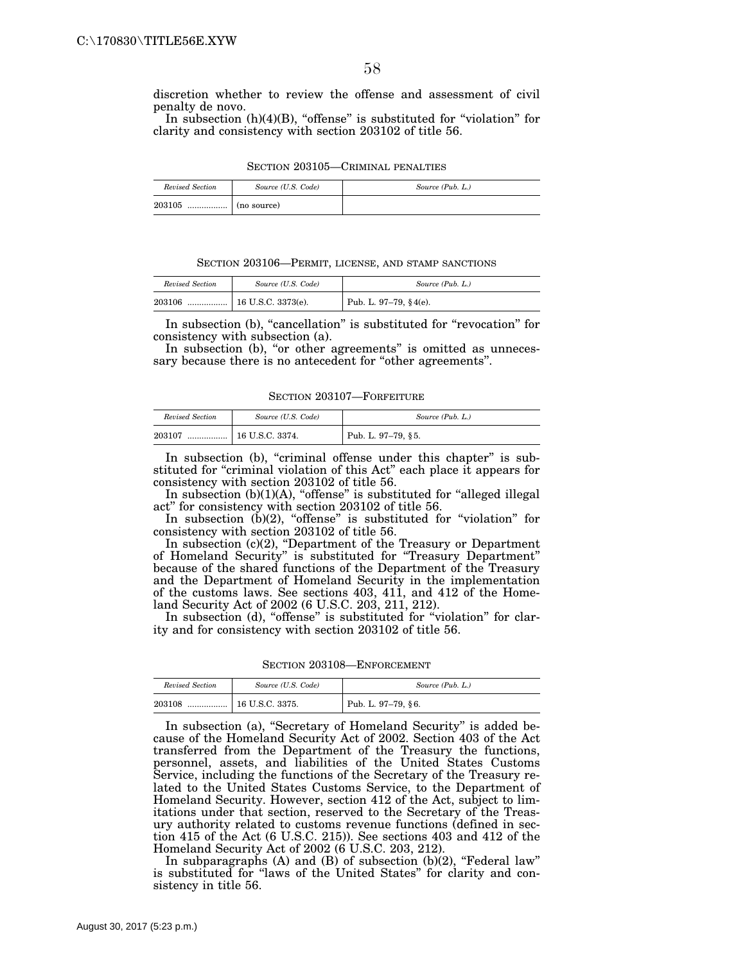discretion whether to review the offense and assessment of civil penalty de novo.

In subsection  $(h)(4)(B)$ , "offense" is substituted for "violation" for clarity and consistency with section 203102 of title 56.

| SECTION 203105—CRIMINAL PENALTIES |  |
|-----------------------------------|--|
|-----------------------------------|--|

| Revised Section | Source (U.S. Code) | Source (Pub. L.) |
|-----------------|--------------------|------------------|
| 203105          |                    |                  |

SECTION 203106—PERMIT, LICENSE, AND STAMP SANCTIONS

| Revised Section | Source (U.S. Code)   | Source (Pub. L.)      |
|-----------------|----------------------|-----------------------|
| 203106<br>      | $16$ U.S.C. 3373(e). | Pub. L. 97–79, §4(e). |

In subsection (b), "cancellation" is substituted for "revocation" for consistency with subsection (a).

In subsection (b), "or other agreements" is omitted as unnecessary because there is no antecedent for "other agreements".

SECTION 203107—FORFEITURE

| Revised Section | Source (U.S. Code) | Source (Pub. L.)   |
|-----------------|--------------------|--------------------|
| 203107<br>      | 16 U.S.C. 3374.    | Pub. L. 97–79, §5. |

In subsection (b), "criminal offense under this chapter" is substituted for "criminal violation of this Act" each place it appears for consistency with section 203102 of title 56.

In subsection (b)(1)(A), "offense" is substituted for "alleged illegal act'' for consistency with section 203102 of title 56.

In subsection (b)(2), "offense" is substituted for "violation" for consistency with section 203102 of title 56.

In subsection (c)(2), ''Department of the Treasury or Department of Homeland Security'' is substituted for ''Treasury Department'' because of the shared functions of the Department of the Treasury and the Department of Homeland Security in the implementation of the customs laws. See sections  $403, 411,$  and  $412$  of the Homeland Security Act of 2002 (6 U.S.C. 203, 211, 212).

In subsection (d), "offense" is substituted for "violation" for clarity and for consistency with section 203102 of title 56.

SECTION 203108—ENFORCEMENT

| Revised Section | Source (U.S. Code)    | Source (Pub. L.)   |
|-----------------|-----------------------|--------------------|
| 203108<br>      | $\pm$ 16 U.S.C. 3375. | Pub. L. 97–79, §6. |

In subsection (a), "Secretary of Homeland Security" is added because of the Homeland Security Act of 2002. Section 403 of the Act transferred from the Department of the Treasury the functions, personnel, assets, and liabilities of the United States Customs Service, including the functions of the Secretary of the Treasury related to the United States Customs Service, to the Department of Homeland Security. However, section 412 of the Act, subject to limitations under that section, reserved to the Secretary of the Treasury authority related to customs revenue functions (defined in section 415 of the Act (6 U.S.C. 215)). See sections 403 and 412 of the Homeland Security Act of 2002 (6 U.S.C. 203, 212).

In subparagraphs  $(A)$  and  $(B)$  of subsection  $(b)(2)$ , "Federal law" is substituted for ''laws of the United States'' for clarity and consistency in title 56.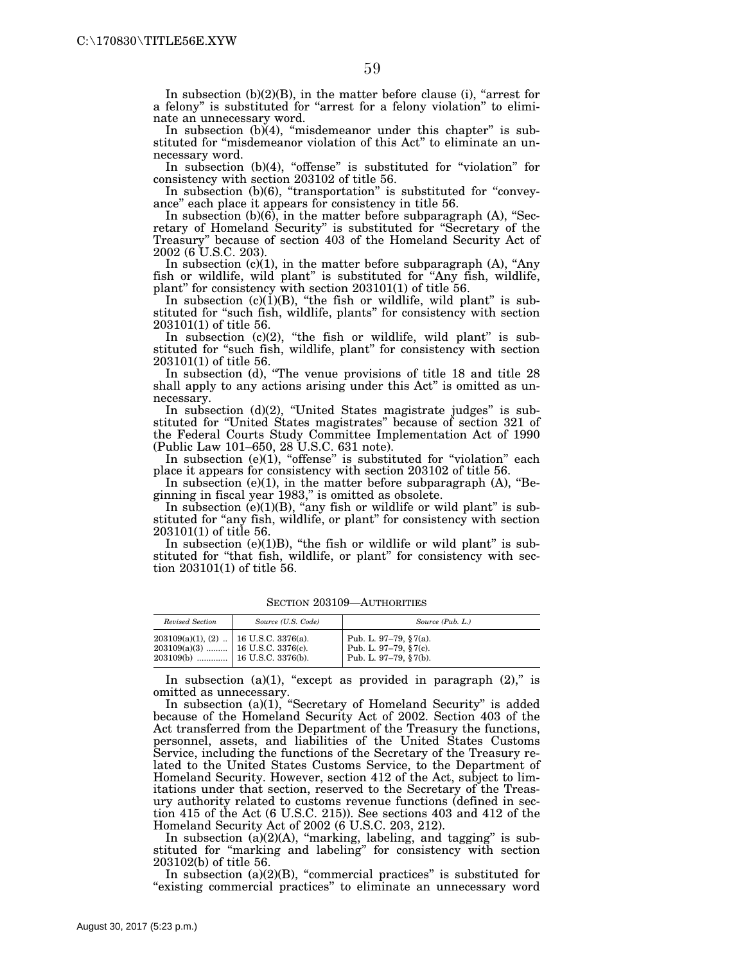In subsection  $(b)(2)(B)$ , in the matter before clause (i), "arrest for a felony" is substituted for "arrest for a felony violation" to eliminate an unnecessary word.

In subsection (b)(4), "misdemeanor under this chapter" is substituted for "misdemeanor violation of this Act" to eliminate an unnecessary word.

In subsection (b)(4), "offense" is substituted for "violation" for consistency with section 203102 of title 56.

In subsection  $(b)(6)$ , "transportation" is substituted for "conveyance'' each place it appears for consistency in title 56.

In subsection  $(b)(6)$ , in the matter before subparagraph (A), "Secretary of Homeland Security'' is substituted for ''Secretary of the Treasury'' because of section 403 of the Homeland Security Act of 2002 (6 U.S.C. 203).

In subsection  $(c)(1)$ , in the matter before subparagraph  $(A)$ , "Any fish or wildlife, wild plant'' is substituted for ''Any fish, wildlife, plant'' for consistency with section 203101(1) of title 56.

In subsection  $(c)(1)(B)$ , "the fish or wildlife, wild plant" is substituted for ''such fish, wildlife, plants'' for consistency with section 203101(1) of title 56.

In subsection  $(c)(2)$ , "the fish or wildlife, wild plant" is substituted for "such fish, wildlife, plant" for consistency with section 203101(1) of title 56.

In subsection (d), ''The venue provisions of title 18 and title 28 shall apply to any actions arising under this Act'' is omitted as unnecessary.

In subsection  $(d)(2)$ , "United States magistrate judges" is substituted for ''United States magistrates'' because of section 321 of the Federal Courts Study Committee Implementation Act of 1990 (Public Law 101–650, 28 U.S.C. 631 note).

In subsection  $(e)(1)$ , "offense" is substituted for "violation" each place it appears for consistency with section 203102 of title 56.

In subsection (e)(1), in the matter before subparagraph  $(A)$ , "Beginning in fiscal year 1983,'' is omitted as obsolete.

In subsection  $(e)(1)(B)$ , "any fish or wildlife or wild plant" is substituted for "any fish, wildlife, or plant" for consistency with section 203101(1) of title 56.

In subsection (e)(1)B), "the fish or wildlife or wild plant" is substituted for "that fish, wildlife, or plant" for consistency with section 203101(1) of title 56.

| Revised Section                                                                   | Source (U.S. Code) | Source (Pub. L.)                                                        |
|-----------------------------------------------------------------------------------|--------------------|-------------------------------------------------------------------------|
| $203109(a)(1)$ , (2)    16 U.S.C. 3376(a).<br>$203109(a)(3)$   16 U.S.C. 3376(c). |                    | Pub. L. 97–79, §7(a).<br>Pub. L. 97-79, §7(c).<br>Pub. L. 97-79, §7(b). |

SECTION 203109—AUTHORITIES

In subsection (a)(1), "except as provided in paragraph  $(2)$ ," is omitted as unnecessary.

In subsection (a)(1), "Secretary of Homeland Security" is added because of the Homeland Security Act of 2002. Section 403 of the Act transferred from the Department of the Treasury the functions, personnel, assets, and liabilities of the United States Customs Service, including the functions of the Secretary of the Treasury related to the United States Customs Service, to the Department of Homeland Security. However, section 412 of the Act, subject to limitations under that section, reserved to the Secretary of the Treasury authority related to customs revenue functions (defined in section 415 of the Act (6 U.S.C. 215)). See sections 403 and 412 of the Homeland Security Act of 2002 (6 U.S.C. 203, 212).

In subsection  $(a)(2)(A)$ , "marking, labeling, and tagging" is substituted for ''marking and labeling'' for consistency with section 203102(b) of title 56.

In subsection  $(a)(2)(B)$ , "commercial practices" is substituted for "existing commercial practices" to eliminate an unnecessary word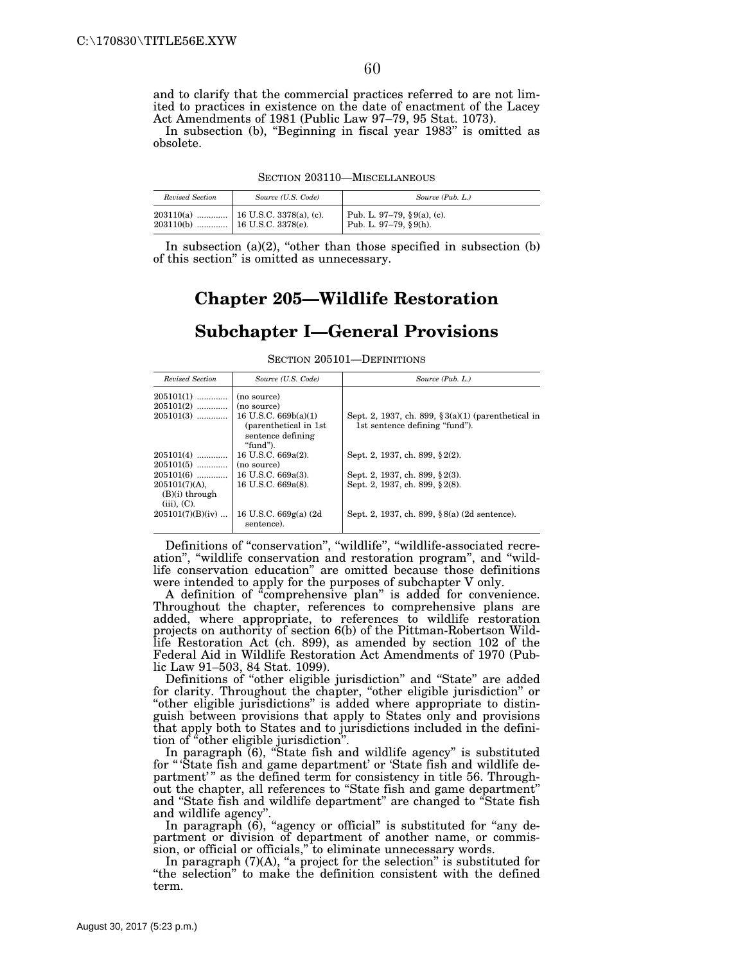and to clarify that the commercial practices referred to are not limited to practices in existence on the date of enactment of the Lacey Act Amendments of 1981 (Public Law 97–79, 95 Stat. 1073).

In subsection (b), ''Beginning in fiscal year 1983'' is omitted as obsolete.

|  | SECTION 203110-MISCELLANEOUS |  |
|--|------------------------------|--|
|  |                              |  |

| Revised Section                  | Source (U.S. Code)                    | Source (Pub. L.)                                         |
|----------------------------------|---------------------------------------|----------------------------------------------------------|
| $203110(b)$   16 U.S.C. 3378(e). | $203110(a)$   16 U.S.C. 3378(a), (c). | Pub. L. 97-79, $\S 9(a)$ , (c).<br>Pub. L. 97-79, §9(h). |

In subsection  $(a)(2)$ , "other than those specified in subsection  $(b)$ of this section'' is omitted as unnecessary.

# **Chapter 205—Wildlife Restoration Subchapter I—General Provisions**

SECTION 205101—DEFINITIONS

| Revised Section                                           | Source (U.S. Code)                   | Source (Pub. L.)                                       |
|-----------------------------------------------------------|--------------------------------------|--------------------------------------------------------|
| $205101(1)$                                               | (no source)                          |                                                        |
| $205101(2)$                                               | (no source)                          |                                                        |
| $205101(3)$                                               | 16 U.S.C. $669b(a)(1)$               | Sept. 2, 1937, ch. 899, $\S 3(a)(1)$ (parenthetical in |
|                                                           | (parenthetical in 1st)               | 1st sentence defining "fund").                         |
|                                                           | sentence defining<br>"fund").        |                                                        |
| $205101(4)$                                               | 16 U.S.C. 669a(2).                   | Sept. 2, 1937, ch. 899, §2(2).                         |
| $205101(5)$                                               | (no source)                          |                                                        |
| $205101(6)$                                               | 16 U.S.C. 669a(3).                   | Sept. 2, 1937, ch. 899, §2(3).                         |
| $205101(7)(A)$ .<br>$(B)(i)$ through<br>$(iii)$ , $(C)$ . | 16 U.S.C. 669a(8).                   | Sept. 2, 1937, ch. 899, §2(8).                         |
| $205101(7)(B)(iv)$                                        | 16 U.S.C. 669g(a) (2d)<br>sentence). | Sept. 2, 1937, ch. 899, §8(a) (2d sentence).           |

Definitions of "conservation", "wildlife", "wildlife-associated recreation'', ''wildlife conservation and restoration program'', and ''wildlife conservation education'' are omitted because those definitions were intended to apply for the purposes of subchapter V only.

A definition of ''comprehensive plan'' is added for convenience. Throughout the chapter, references to comprehensive plans are added, where appropriate, to references to wildlife restoration projects on authority of section 6(b) of the Pittman-Robertson Wildlife Restoration Act (ch. 899), as amended by section 102 of the Federal Aid in Wildlife Restoration Act Amendments of 1970 (Public Law 91–503, 84 Stat. 1099).

Definitions of ''other eligible jurisdiction'' and ''State'' are added for clarity. Throughout the chapter, ''other eligible jurisdiction'' or ''other eligible jurisdictions'' is added where appropriate to distinguish between provisions that apply to States only and provisions that apply both to States and to jurisdictions included in the definition of "other eligible jurisdiction".

In paragraph (6), "State fish and wildlife agency" is substituted for '' 'State fish and game department' or 'State fish and wildlife department'" as the defined term for consistency in title 56. Throughout the chapter, all references to ''State fish and game department'' and ''State fish and wildlife department'' are changed to ''State fish and wildlife agency''.

In paragraph (6), "agency or official" is substituted for "any department or division of department of another name, or commission, or official or officials," to eliminate unnecessary words.

In paragraph  $(7)(A)$ , "a project for the selection" is substituted for ''the selection'' to make the definition consistent with the defined term.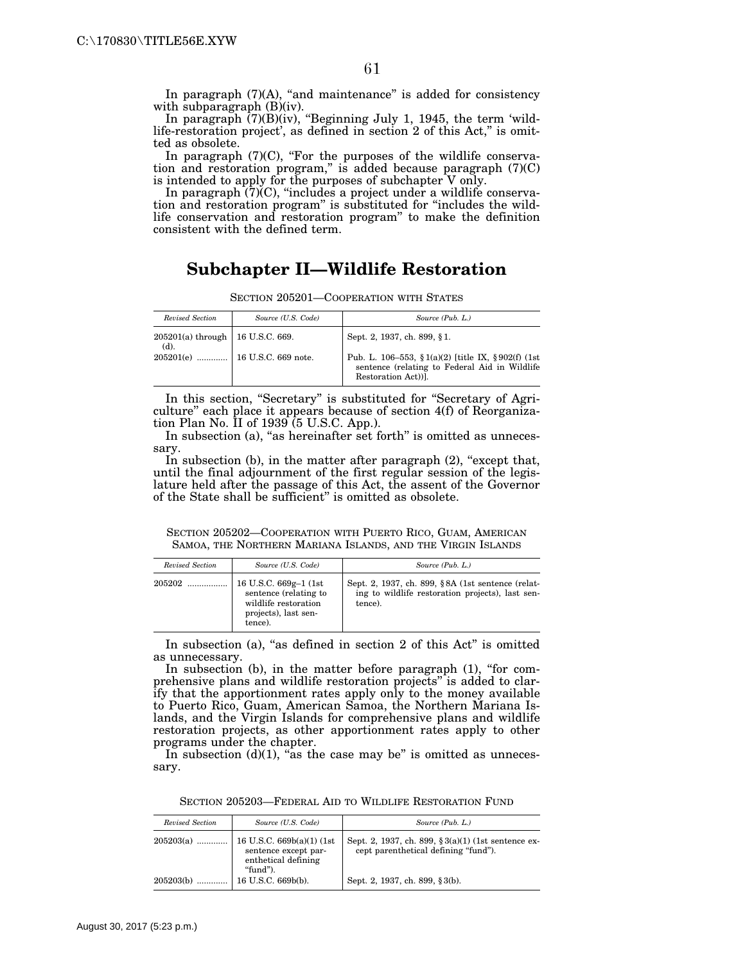In paragraph  $(7)(A)$ , "and maintenance" is added for consistency with subparagraph (B)(iv).

In paragraph (7)(B)(iv), ''Beginning July 1, 1945, the term 'wildlife-restoration project', as defined in section 2 of this Act," is omitted as obsolete.

In paragraph  $(7)(C)$ , "For the purposes of the wildlife conservation and restoration program," is added because paragraph  $(7)(C)$ is intended to apply for the purposes of subchapter V only.

In paragraph (7)(C), ''includes a project under a wildlife conservation and restoration program'' is substituted for ''includes the wildlife conservation and restoration program'' to make the definition consistent with the defined term.

# **Subchapter II—Wildlife Restoration**

| Revised Section             | Source (U.S. Code)             | Source (Pub. L.)                                                                                                            |
|-----------------------------|--------------------------------|-----------------------------------------------------------------------------------------------------------------------------|
| $205201(a)$ through<br>(d). | 16 U.S.C. 669.                 | Sept. 2, 1937, ch. 899, §1.                                                                                                 |
|                             | 205201(e)  16 U.S.C. 669 note. | Pub. L. 106–553, § 1(a)(2) [title IX, § 902(f) (1st<br>sentence (relating to Federal Aid in Wildlife)<br>Restoration Act)). |

SECTION 205201—COOPERATION WITH STATES

In this section, "Secretary" is substituted for "Secretary of Agriculture'' each place it appears because of section 4(f) of Reorganization Plan No. II of 1939 (5 U.S.C. App.).

In subsection (a), "as hereinafter set forth" is omitted as unnecessary.

In subsection (b), in the matter after paragraph  $(2)$ , "except that, until the final adjournment of the first regular session of the legislature held after the passage of this Act, the assent of the Governor of the State shall be sufficient'' is omitted as obsolete.

SECTION 205202—COOPERATION WITH PUERTO RICO, GUAM, AMERICAN SAMOA, THE NORTHERN MARIANA ISLANDS, AND THE VIRGIN ISLANDS

| Revised Section | Source (U.S. Code)                                                                                         | Source (Pub. L.)                                                                                                 |
|-----------------|------------------------------------------------------------------------------------------------------------|------------------------------------------------------------------------------------------------------------------|
| 205202          | 16 U.S.C. 669g-1 (1st)<br>sentence (relating to<br>wildlife restoration<br>projects), last sen-<br>tence). | Sept. 2, 1937, ch. 899, §8A (1st sentence (relat-<br>ing to wildlife restoration projects), last sen-<br>tence). |

In subsection (a), "as defined in section 2 of this Act" is omitted as unnecessary.

In subsection (b), in the matter before paragraph (1), "for comprehensive plans and wildlife restoration projects" is added to clarify that the apportionment rates apply only to the money available to Puerto Rico, Guam, American Samoa, the Northern Mariana Islands, and the Virgin Islands for comprehensive plans and wildlife restoration projects, as other apportionment rates apply to other programs under the chapter.

In subsection  $(d)(1)$ , "as the case may be" is omitted as unnecessary.

SECTION 205203—FEDERAL AID TO WILDLIFE RESTORATION FUND

| Revised Section | Source (U.S. Code)                                                                     | Source (Pub. L.)                                                                               |
|-----------------|----------------------------------------------------------------------------------------|------------------------------------------------------------------------------------------------|
| $205203(a)$     | 16 U.S.C. $669b(a)(1)$ (1st<br>sentence except par-<br>enthetical defining<br>"fund"). | Sept. 2, 1937, ch. 899, $\S 3(a)(1)$ (1st sentence ex-<br>cept parenthetical defining "fund"). |
| 205203(b)       | 16 U.S.C. 669b(b).                                                                     | Sept. 2, 1937, ch. 899, §3(b).                                                                 |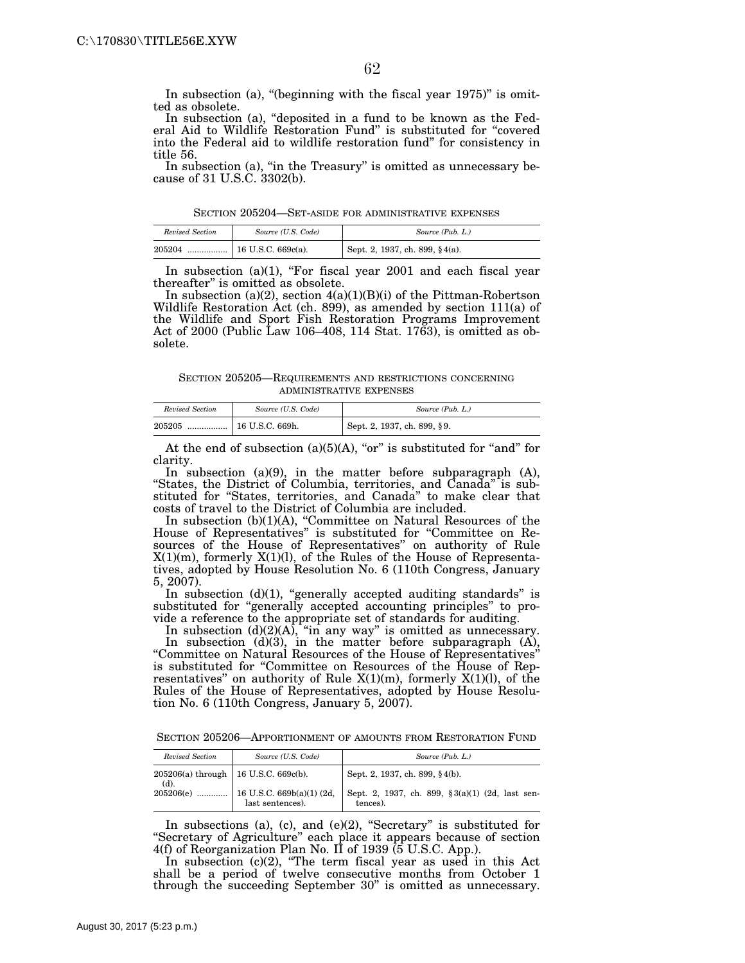In subsection (a), "(beginning with the fiscal year  $1975$ )" is omitted as obsolete.

In subsection (a), "deposited in a fund to be known as the Federal Aid to Wildlife Restoration Fund'' is substituted for ''covered into the Federal aid to wildlife restoration fund'' for consistency in title 56.

In subsection (a), "in the Treasury" is omitted as unnecessary because of 31 U.S.C. 3302(b).

SECTION 205204—SET-ASIDE FOR ADMINISTRATIVE EXPENSES

| Revised Section | Source (U.S. Code) | Source (Pub. L.)                            |
|-----------------|--------------------|---------------------------------------------|
| 205204          |                    | <sup>1</sup> Sept. 2, 1937, ch. 899, §4(a). |

In subsection  $(a)(1)$ , "For fiscal year 2001 and each fiscal year thereafter'' is omitted as obsolete.

In subsection (a)(2), section  $4(a)(1)(B)(i)$  of the Pittman-Robertson Wildlife Restoration Act (ch. 899), as amended by section 111(a) of the Wildlife and Sport Fish Restoration Programs Improvement Act of 2000 (Public Law 106–408, 114 Stat. 1763), is omitted as obsolete.

SECTION 205205—REQUIREMENTS AND RESTRICTIONS CONCERNING ADMINISTRATIVE EXPENSES

| Revised Section | Source (U.S. Code) | Source (Pub. L.)            |
|-----------------|--------------------|-----------------------------|
| 205205<br>      | 16 U.S.C. 669h.    | Sept. 2, 1937, ch. 899, §9. |

At the end of subsection (a)(5)(A), "or" is substituted for "and" for clarity.

In subsection (a)(9), in the matter before subparagraph (A), "States, the District of Columbia, territories, and Canada" is substituted for ''States, territories, and Canada'' to make clear that costs of travel to the District of Columbia are included.

In subsection (b)(1)(A), ''Committee on Natural Resources of the House of Representatives'' is substituted for ''Committee on Resources of the House of Representatives'' on authority of Rule X(1)(m), formerly X(1)(l), of the Rules of the House of Representatives, adopted by House Resolution No. 6 (110th Congress, January 5, 2007).

In subsection  $(d)(1)$ , "generally accepted auditing standards" is substituted for "generally accepted accounting principles" to provide a reference to the appropriate set of standards for auditing.

In subsection  $(d)(2)(A)$ , "in any way" is omitted as unnecessary.

In subsection (d)(3), in the matter before subparagraph (A), ''Committee on Natural Resources of the House of Representatives'' is substituted for ''Committee on Resources of the House of Representatives'' on authority of Rule X(1)(m), formerly X(1)(l), of the Rules of the House of Representatives, adopted by House Resolution No. 6 (110th Congress, January 5, 2007).

SECTION 205206—APPORTIONMENT OF AMOUNTS FROM RESTORATION FUND

| Revised Section                                | Source (U.S. Code)                                         | Source (Pub. L.)                                            |
|------------------------------------------------|------------------------------------------------------------|-------------------------------------------------------------|
| 205206(a) through   16 U.S.C. 669c(b).<br>(d). |                                                            | Sept. 2, 1937, ch. 899, §4(b).                              |
|                                                | 205206(e)    16 U.S.C. 669b(a)(1) (2d,<br>last sentences). | Sept. 2, 1937, ch. 899, §3(a)(1) (2d, last sen-<br>tences). |

In subsections (a), (c), and (e) $(2)$ , "Secretary" is substituted for ''Secretary of Agriculture'' each place it appears because of section 4(f) of Reorganization Plan No. II of 1939 (5 U.S.C. App.).

In subsection (c)(2), "The term fiscal year as used in this Act shall be a period of twelve consecutive months from October 1 through the succeeding September 30'' is omitted as unnecessary.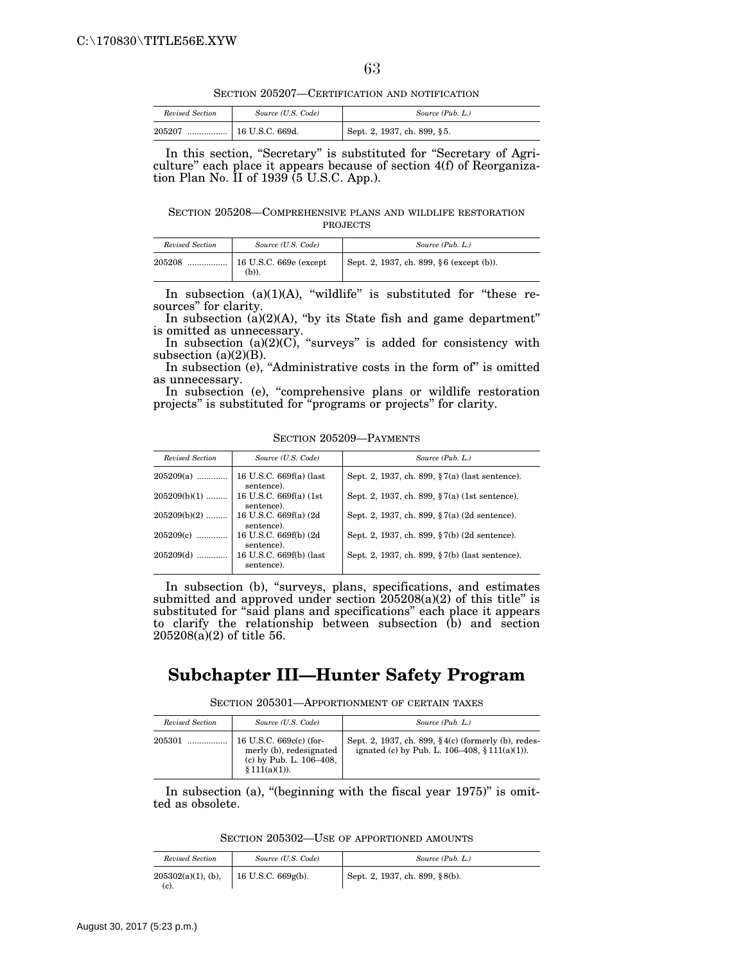SECTION 205207—CERTIFICATION AND NOTIFICATION

| Revised Section | Source (U.S. Code) | Source (Pub. L.)            |
|-----------------|--------------------|-----------------------------|
| 205207<br>      | 16 U.S.C. 669d.    | Sept. 2, 1937, ch. 899, §5. |

In this section, "Secretary" is substituted for "Secretary of Agriculture'' each place it appears because of section 4(f) of Reorganization Plan No. II of 1939 (5 U.S.C. App.).

SECTION 205208—COMPREHENSIVE PLANS AND WILDLIFE RESTORATION PROJECTS

| Revised Section | Source (U.S. Code) | Source (Pub. L.)                         |
|-----------------|--------------------|------------------------------------------|
| 205208          | (b)).              | Sept. 2, 1937, ch. 899, §6 (except (b)). |

In subsection  $(a)(1)(A)$ , "wildlife" is substituted for "these resources'' for clarity.

In subsection  $(a)(2)(A)$ , "by its State fish and game department" is omitted as unnecessary.

In subsection  $(a)(2)(C)$ , "surveys" is added for consistency with subsection  $(a)(2)(B)$ .

In subsection (e), "Administrative costs in the form of" is omitted as unnecessary.

In subsection (e), "comprehensive plans or wildlife restoration projects'' is substituted for ''programs or projects'' for clarity.

SECTION 205209—PAYMENTS

| Revised Section | Source (U.S. Code)                    | Source (Pub. L.)                               |
|-----------------|---------------------------------------|------------------------------------------------|
| $205209(a)$     | 16 U.S.C. 669f(a) (last<br>sentence). | Sept. 2, 1937, ch. 899, §7(a) (last sentence). |
| $205209(b)(1)$  | 16 U.S.C. 669f(a) (1st)<br>sentence). | Sept. 2, 1937, ch. 899, §7(a) (1st sentence).  |
| $205209(b)(2)$  | 16 U.S.C. 669f(a) (2d)<br>sentence).  | Sept. 2, 1937, ch. 899, §7(a) (2d sentence).   |
| $205209(c)$     | 16 U.S.C. 669f(b) (2d<br>sentence).   | Sept. 2, 1937, ch. 899, §7(b) (2d sentence).   |
| $205209(d)$     | 16 U.S.C. 669f(b) (last<br>sentence). | Sept. 2, 1937, ch. 899, §7(b) (last sentence). |

In subsection (b), "surveys, plans, specifications, and estimates submitted and approved under section 205208(a)(2) of this title'' is substituted for "said plans and specifications" each place it appears to clarify the relationship between subsection (b) and section 205208(a)(2) of title 56.

## **Subchapter III—Hunter Safety Program**

SECTION 205301—APPORTIONMENT OF CERTAIN TAXES

| Revised Section | Source (U.S. Code)                                                                               | Source (Pub. L.)                                                                                         |
|-----------------|--------------------------------------------------------------------------------------------------|----------------------------------------------------------------------------------------------------------|
| 205301          | 16 U.S.C. 669c(c) (for-<br>merly (b), redesignated<br>(c) by Pub. L. 106-408,<br>$$111(a)(1)$ ). | Sept. 2, 1937, ch. 899, §4(c) (formerly (b), redes-<br>ignated (c) by Pub. L. $106-408$ , $$111(a)(1)$ . |

In subsection (a), "(beginning with the fiscal year 1975)" is omitted as obsolete.

SECTION 205302—USE OF APPORTIONED AMOUNTS

| Revised Section                  | Source (U.S. Code)      | Source (Pub. L.)                    |
|----------------------------------|-------------------------|-------------------------------------|
| $205302(a)(1)$ , (b),<br>$(c)$ . | $16$ U.S.C. $669g(b)$ . | Sept. 2, 1937, ch. 899, $\S 8(b)$ . |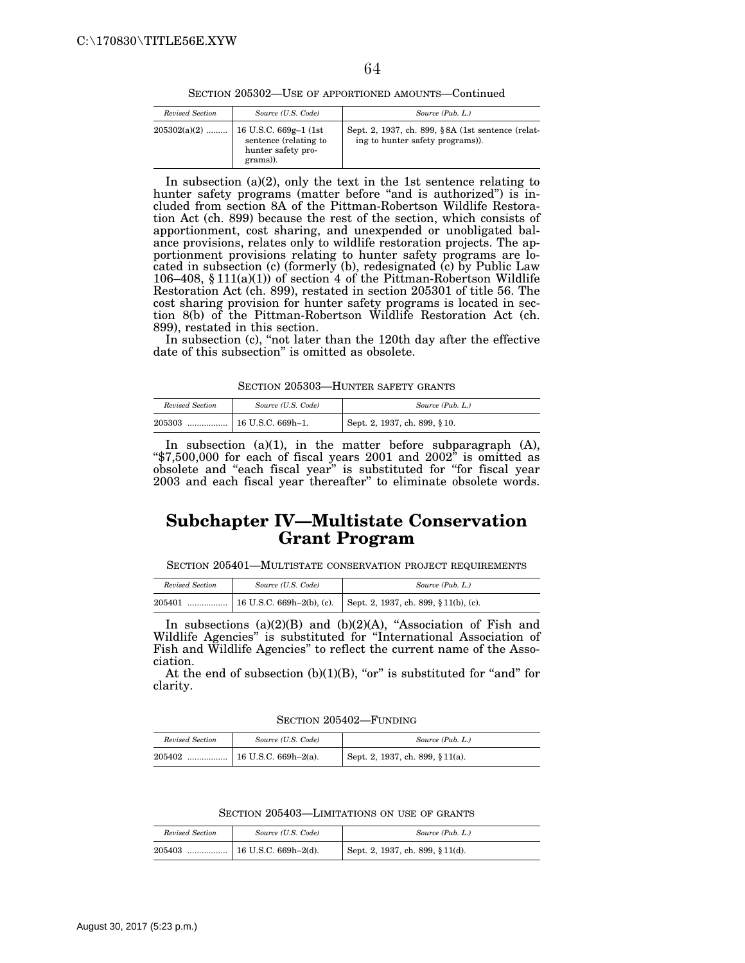SECTION 205302—USE OF APPORTIONED AMOUNTS—Continued

| Revised Section | Source (U.S. Code)                                                                | Source (Pub. L.)                                                                     |
|-----------------|-----------------------------------------------------------------------------------|--------------------------------------------------------------------------------------|
| $205302(a)(2)$  | 16 U.S.C. 669g-1 (1st)<br>sentence (relating to<br>hunter safety pro-<br>grams)). | Sept. 2, 1937, ch. 899, §8A (1st sentence (relat-<br>ing to hunter safety programs). |

In subsection (a)(2), only the text in the 1st sentence relating to hunter safety programs (matter before "and is authorized") is included from section 8A of the Pittman-Robertson Wildlife Restoration Act (ch. 899) because the rest of the section, which consists of apportionment, cost sharing, and unexpended or unobligated balance provisions, relates only to wildlife restoration projects. The apportionment provisions relating to hunter safety programs are located in subsection (c) (formerly (b), redesignated (c) by Public Law 106–408, § 111(a)(1)) of section 4 of the Pittman-Robertson Wildlife Restoration Act (ch. 899), restated in section 205301 of title 56. The cost sharing provision for hunter safety programs is located in section 8(b) of the Pittman-Robertson Wildlife Restoration Act (ch. 899), restated in this section.

In subsection (c), "not later than the 120th day after the effective date of this subsection'' is omitted as obsolete.

SECTION 205303—HUNTER SAFETY GRANTS

| Revised Section | Source (U.S. Code)      | Source (Pub. L.)                 |
|-----------------|-------------------------|----------------------------------|
| 205303<br>      | $\pm 16$ U.S.C. 669h-1. | Sept. 2, 1937, ch. 899, $§ 10$ . |

In subsection (a)(1), in the matter before subparagraph (A), " $$7,500,000$  for each of fiscal years 2001 and 2002" is omitted as obsolete and ''each fiscal year'' is substituted for ''for fiscal year 2003 and each fiscal year thereafter'' to eliminate obsolete words.

# **Subchapter IV—Multistate Conservation Grant Program**

SECTION 205401—MULTISTATE CONSERVATION PROJECT REQUIREMENTS

| Revised Section | Source (U.S. Code) | Source (Pub. L.) |
|-----------------|--------------------|------------------|
| 205401          |                    |                  |

In subsections  $(a)(2)(B)$  and  $(b)(2)(A)$ , "Association of Fish and Wildlife Agencies'' is substituted for ''International Association of Fish and Wildlife Agencies'' to reflect the current name of the Association.

At the end of subsection  $(b)(1)(B)$ , "or" is substituted for "and" for clarity.

SECTION 205402—FUNDING

| Revised Section | Source (U.S. Code)                                      | Source (Pub. L.)                 |
|-----------------|---------------------------------------------------------|----------------------------------|
| 205402          | $\lceil 16 \text{ U.S.C. } 669 \text{ h} - 2(a) \rceil$ | Sept. 2, 1937, ch. 899, § 11(a). |

SECTION 205403—LIMITATIONS ON USE OF GRANTS

| Revised Section | Source (U.S. Code) | Source (Pub. L.)                 |
|-----------------|--------------------|----------------------------------|
| 205403          |                    | Sept. 2, 1937, ch. 899, § 11(d). |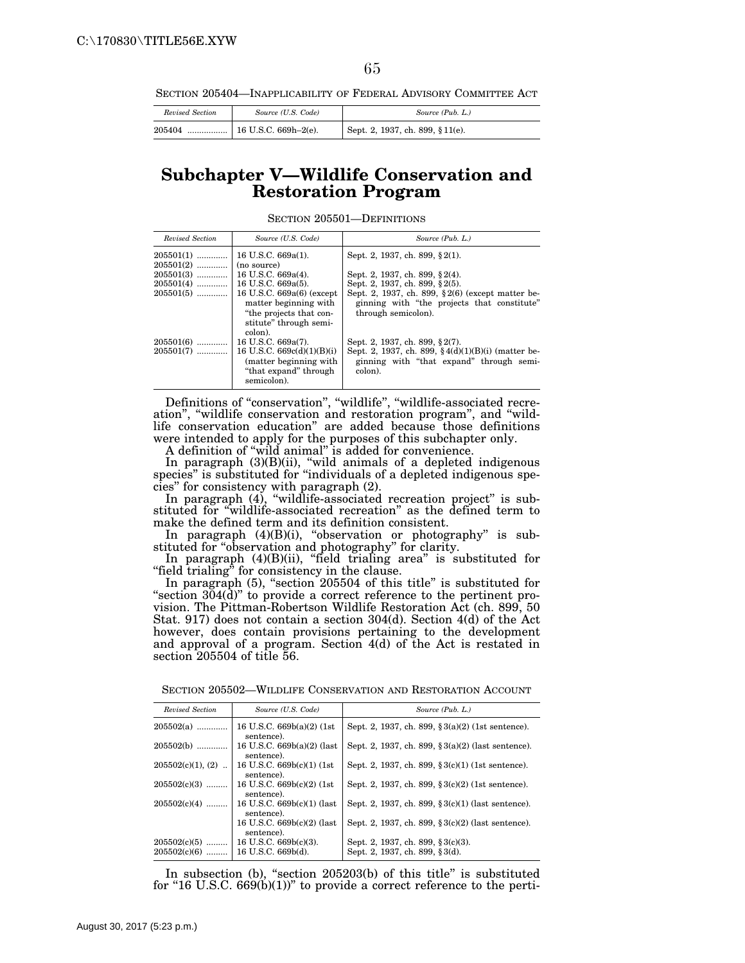SECTION 205404—INAPPLICABILITY OF FEDERAL ADVISORY COMMITTEE ACT

| Revised Section | Source (U.S. Code) | Source (Pub. L.)                |  |
|-----------------|--------------------|---------------------------------|--|
|                 |                    | Sept. 2, 1937, ch. 899, §11(e). |  |

### **Subchapter V—Wildlife Conservation and Restoration Program**

SECTION 205501—DEFINITIONS

| Revised Section            | Source (U.S. Code)                                                                                                    | Source (Pub. L.)                                                                                                                            |
|----------------------------|-----------------------------------------------------------------------------------------------------------------------|---------------------------------------------------------------------------------------------------------------------------------------------|
| $205501(1)$<br>$205501(2)$ | 16 U.S.C. 669a(1).<br>(no source)                                                                                     | Sept. 2, 1937, ch. 899, § 2(1).                                                                                                             |
| $205501(3)$<br>$205501(4)$ | 16 U.S.C. 669a(4).<br>16 U.S.C. 669a(5).                                                                              | Sept. 2, 1937, ch. 899, §2(4).<br>Sept. 2, 1937, ch. 899, § 2(5).                                                                           |
| $205501(5)$                | 16 U.S.C. 669a(6) (except<br>matter beginning with<br>"the projects that con-<br>stitute" through semi-<br>colon).    | Sept. 2, 1937, ch. 899, §2(6) (except matter be-<br>ginning with "the projects that constitute"<br>through semicolon).                      |
| $205501(6)$<br>$205501(7)$ | 16 U.S.C. 669a(7).<br>16 U.S.C. $669c(d)(1)(B)(i)$<br>(matter beginning with)<br>"that expand" through<br>semicolon). | Sept. 2, 1937, ch. 899, §2(7).<br>Sept. 2, 1937, ch. 899, §4(d)(1)(B)(i) (matter be-<br>ginning with "that expand" through semi-<br>colon). |

Definitions of ''conservation'', ''wildlife'', ''wildlife-associated recreation", "wildlife conservation and restoration program", and "wildlife conservation education'' are added because those definitions were intended to apply for the purposes of this subchapter only.

A definition of ''wild animal'' is added for convenience.

In paragraph (3)(B)(ii), ''wild animals of a depleted indigenous species'' is substituted for ''individuals of a depleted indigenous species'' for consistency with paragraph (2).

In paragraph (4), "wildlife-associated recreation project" is substituted for ''wildlife-associated recreation'' as the defined term to make the defined term and its definition consistent.

In paragraph (4)(B)(i), ''observation or photography'' is substituted for ''observation and photography'' for clarity.

In paragraph (4)(B)(ii), ''field trialing area'' is substituted for "field trialing" for consistency in the clause.

In paragraph (5), "section 205504 of this title" is substituted for "section 304(d)" to provide a correct reference to the pertinent provision. The Pittman-Robertson Wildlife Restoration Act (ch. 899, 50 Stat. 917) does not contain a section 304(d). Section 4(d) of the Act however, does contain provisions pertaining to the development and approval of a program. Section 4(d) of the Act is restated in section 205504 of title 56.

| Revised Section     | Source (U.S. Code)                         | Source (Pub. L.)                                      |
|---------------------|--------------------------------------------|-------------------------------------------------------|
| 205502(a)           | 16 U.S.C. $669b(a)(2)$ (1st<br>sentence).  | Sept. 2, 1937, ch. 899, §3(a)(2) (1st sentence).      |
| 205502(b)           | 16 U.S.C. $669b(a)(2)$ (last<br>sentence). | Sept. 2, 1937, ch. 899, §3(a)(2) (last sentence).     |
| $205502(c)(1), (2)$ | 16 U.S.C. 669b(c)(1) (1st)<br>sentence).   | Sept. 2, 1937, ch. 899, §3(c)(1) (1st sentence).      |
| 205502(c)(3)        | 16 U.S.C. 669b(c)(2) (1st)<br>sentence).   | Sept. 2, 1937, ch. 899, §3(c)(2) (1st sentence).      |
| $205502(c)(4)$      | 16 U.S.C. $669b(c)(1)$ (last<br>sentence). | Sept. 2, 1937, ch. 899, §3(c)(1) (last sentence).     |
|                     | 16 U.S.C. $669b(c)(2)$ (last<br>sentence). | Sept. 2, 1937, ch. 899, $\S 3(c)(2)$ (last sentence). |
| $205502(c)(5)$      | 16 U.S.C. $669b(c)(3)$ .                   | Sept. 2, 1937, ch. 899, §3(c)(3).                     |
| $205502(c)(6)$      | 16 U.S.C. 669b(d).                         | Sept. 2, 1937, ch. 899, §3(d).                        |
|                     |                                            |                                                       |

SECTION 205502—WILDLIFE CONSERVATION AND RESTORATION ACCOUNT

In subsection (b), "section 205203(b) of this title" is substituted for "16 U.S.C.  $669(b)(1)$ " to provide a correct reference to the perti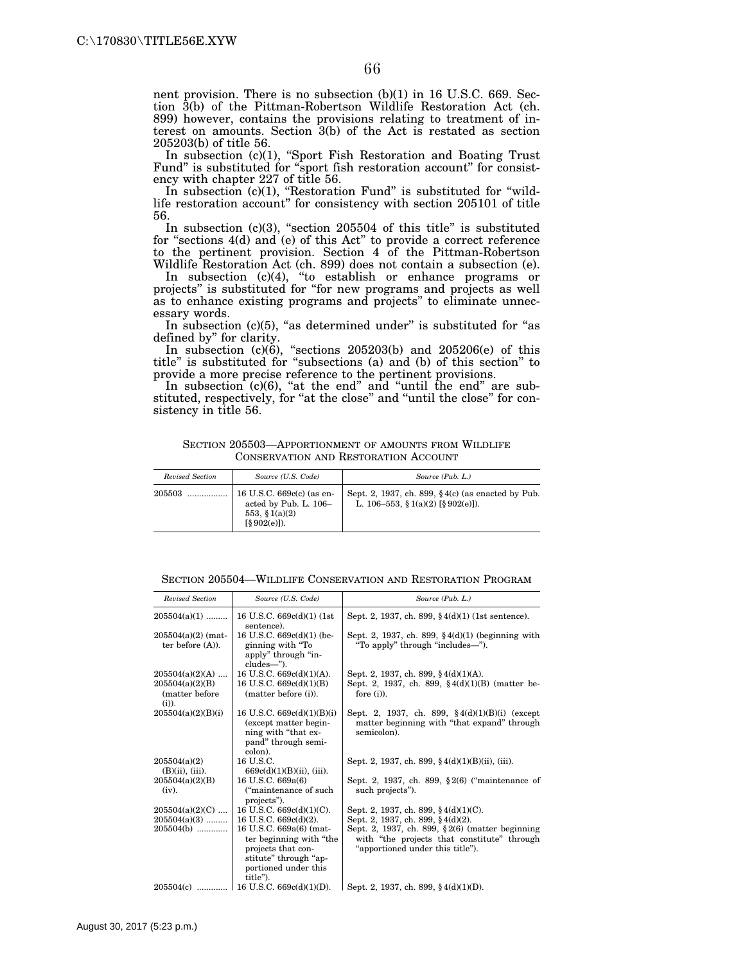nent provision. There is no subsection (b)(1) in 16 U.S.C. 669. Section 3(b) of the Pittman-Robertson Wildlife Restoration Act (ch. 899) however, contains the provisions relating to treatment of interest on amounts. Section 3(b) of the Act is restated as section 205203(b) of title 56.

In subsection (c)(1), ''Sport Fish Restoration and Boating Trust Fund'' is substituted for ''sport fish restoration account'' for consistency with chapter 227 of title 56.

In subsection (c)(1), "Restoration Fund" is substituted for "wildlife restoration account'' for consistency with section 205101 of title 56.

In subsection  $(c)(3)$ , "section 205504 of this title" is substituted for ''sections 4(d) and (e) of this Act'' to provide a correct reference to the pertinent provision. Section 4 of the Pittman-Robertson Wildlife Restoration Act (ch. 899) does not contain a subsection (e).

In subsection (c)(4), ''to establish or enhance programs or projects'' is substituted for ''for new programs and projects as well as to enhance existing programs and projects'' to eliminate unnecessary words.

In subsection  $(c)(5)$ , "as determined under" is substituted for "as defined by'' for clarity.

In subsection  $(c)(6)$ , "sections 205203(b) and 205206(e) of this title'' is substituted for ''subsections (a) and (b) of this section'' to provide a more precise reference to the pertinent provisions.

In subsection  $(c)(6)$ , "at the end" and "until the end" are substituted, respectively, for "at the close" and "until the close" for consistency in title 56.

| SECTION 205503-APPORTIONMENT OF AMOUNTS FROM WILDLIFE |  |
|-------------------------------------------------------|--|
| CONSERVATION AND RESTORATION ACCOUNT                  |  |

| Revised Section | Source (U.S. Code)                                                                                     | Source (Pub. L.)                                                                            |
|-----------------|--------------------------------------------------------------------------------------------------------|---------------------------------------------------------------------------------------------|
| 205503          | 16 U.S.C. $669c(c)$ (as en-<br>acted by Pub. L. 106-<br>553, § 1(a)(2)<br>$\lceil \S 902(e) \rceil$ ). | Sept. 2, 1937, ch. 899, $\S$ 4(c) (as enacted by Pub.<br>L. 106-553, § 1(a)(2) [§ 902(e)]). |

|  | SECTION 205504—WILDLIFE CONSERVATION AND RESTORATION PROGRAM |  |  |  |  |  |
|--|--------------------------------------------------------------|--|--|--|--|--|
|--|--------------------------------------------------------------|--|--|--|--|--|

| Revised Section                                | Source (U.S. Code)                                                                                                                    | Source (Pub. L.)                                                                                                                       |
|------------------------------------------------|---------------------------------------------------------------------------------------------------------------------------------------|----------------------------------------------------------------------------------------------------------------------------------------|
| $205504(a)(1)$                                 | 16 U.S.C. 669c(d)(1) (1st)<br>sentence).                                                                                              | Sept. 2, 1937, ch. 899, $\frac{6}{3}$ 4(d)(1) (1st sentence).                                                                          |
| $205504(a)(2)$ (mat-<br>ter before $(A)$ ).    | 16 U.S.C. 669c(d)(1) (be-<br>ginning with "To<br>apply" through "in-<br>cludes-").                                                    | Sept. 2, 1937, ch. 899, $\S 4(d)(1)$ (beginning with<br>"To apply" through "includes—").                                               |
| $205504(a)(2)(A)$                              | 16 U.S.C. $669c(d)(1)(A)$ .                                                                                                           | Sept. 2, 1937, ch. 899, §4(d)(1)(A).                                                                                                   |
| 205504(a)(2)(B)<br>(matter before)<br>$(i)$ ). | 16 U.S.C. $669c(d)(1)(B)$<br>(matter before (i)).                                                                                     | Sept. 2, 1937, ch. 899, $\frac{2}{3}$ 4(d)(1)(B) (matter be-<br>fore $(i)$ ).                                                          |
| 205504(a)(2)(B)(i)                             | 16 U.S.C. $669c(d)(1)(B)(i)$<br>(except matter begin-<br>ning with "that ex-<br>pand" through semi-<br>colon).                        | Sept. 2, 1937, ch. 899, $\S 4(d)(1)(B)(i)$ (except<br>matter beginning with "that expand" through<br>semicolon).                       |
| 205504(a)(2)<br>$(B)(ii)$ , $(iii)$ .          | 16 U.S.C.<br>$669c(d)(1)(B)(ii)$ , (iii).                                                                                             | Sept. 2, 1937, ch. 899, §4(d)(1)(B)(ii), (iii).                                                                                        |
| 205504(a)(2)(B)<br>(iv).                       | 16 U.S.C. 669a(6)<br>("maintenance of such")<br>projects").                                                                           | Sept. 2, 1937, ch. 899, §2(6) ("maintenance of<br>such projects").                                                                     |
| $205504(a)(2)(C)$                              | 16 U.S.C. 669c(d)(1)(C).                                                                                                              | Sept. 2, 1937, ch. 899, $\frac{4}{9}$ 4(d)(1)(C).                                                                                      |
| $205504(a)(3)$                                 | 16 U.S.C. 669c(d)(2).                                                                                                                 | Sept. 2, 1937, ch. 899, §4(d)(2).                                                                                                      |
| $205504(b)$                                    | 16 U.S.C. 669a(6) (mat-<br>ter beginning with "the<br>projects that con-<br>stitute" through "ap-<br>portioned under this<br>title"). | Sept. 2, 1937, ch. 899, $\S 2(6)$ (matter beginning<br>with "the projects that constitute" through<br>"apportioned under this title"). |
| $205504(c)$                                    | 16 U.S.C. 669c(d)(1)(D).                                                                                                              | Sept. 2, 1937, ch. 899, $\frac{4}{9}$ 4(d)(1)(D).                                                                                      |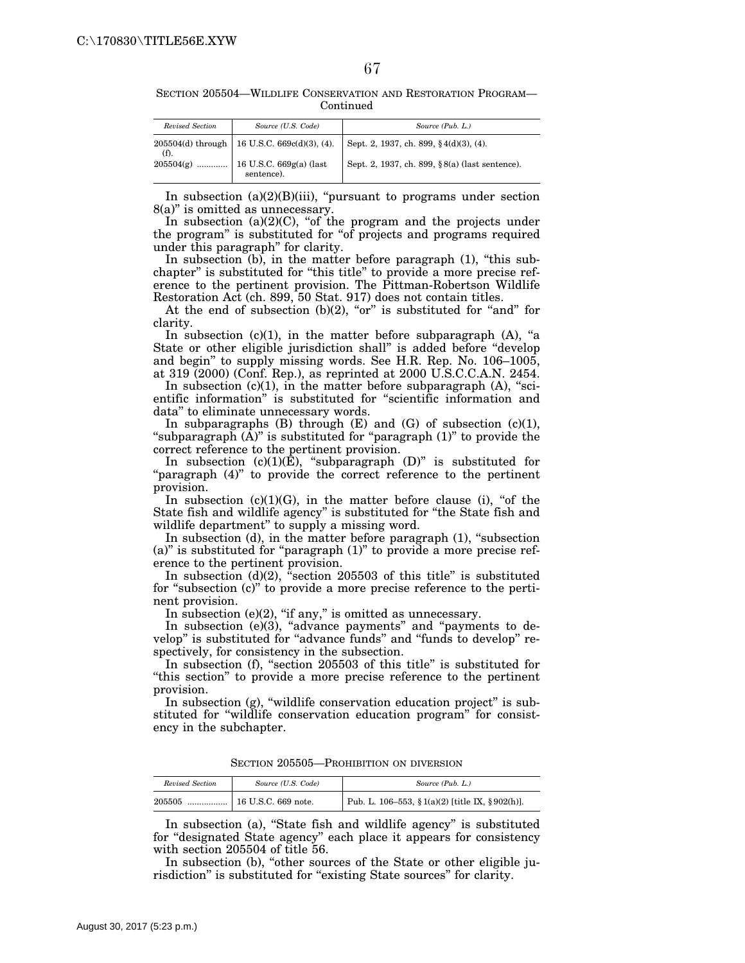SECTION 205504—WILDLIFE CONSERVATION AND RESTORATION PROGRAM— **Continued** 

| Revised Section | Source (U.S. Code)                                | Source (Pub. L.)                                    |
|-----------------|---------------------------------------------------|-----------------------------------------------------|
| (f).            | 205504(d) through   16 U.S.C. 669c(d)(3), (4).    | Sept. 2, 1937, ch. 899, $\frac{6}{3}$ 4(d)(3), (4). |
|                 | $205504(g)$ 16 U.S.C. 669g(a) (last<br>sentence). | Sept. 2, 1937, ch. 899, §8(a) (last sentence).      |

In subsection  $(a)(2)(B)(iii)$ , "pursuant to programs under section 8(a)'' is omitted as unnecessary.

In subsection  $(a)(2)(C)$ , "of the program and the projects under the program'' is substituted for ''of projects and programs required under this paragraph'' for clarity.

In subsection (b), in the matter before paragraph (1), "this subchapter'' is substituted for ''this title'' to provide a more precise reference to the pertinent provision. The Pittman-Robertson Wildlife Restoration Act (ch. 899, 50 Stat. 917) does not contain titles.

At the end of subsection  $(b)(2)$ , "or" is substituted for "and" for clarity.

In subsection  $(c)(1)$ , in the matter before subparagraph  $(A)$ , "a State or other eligible jurisdiction shall'' is added before ''develop and begin'' to supply missing words. See H.R. Rep. No. 106–1005, at 319 (2000) (Conf. Rep.), as reprinted at 2000 U.S.C.C.A.N. 2454.

In subsection  $(c)(1)$ , in the matter before subparagraph  $(A)$ , "scientific information'' is substituted for ''scientific information and data'' to eliminate unnecessary words.

In subparagraphs  $(B)$  through  $(E)$  and  $(G)$  of subsection  $(c)(1)$ , "subparagraph  $(\hat{A})$ " is substituted for "paragraph  $(1)$ " to provide the correct reference to the pertinent provision.

In subsection  $(c)(1)(E)$ , "subparagraph  $(D)$ " is substituted for "paragraph (4)" to provide the correct reference to the pertinent provision.

In subsection  $(c)(1)(G)$ , in the matter before clause (i), "of the State fish and wildlife agency'' is substituted for ''the State fish and wildlife department'' to supply a missing word.

In subsection  $(d)$ , in the matter before paragraph  $(1)$ , "subsection (a)'' is substituted for ''paragraph (1)'' to provide a more precise reference to the pertinent provision.

In subsection  $(d)(2)$ , "section 205503 of this title" is substituted for "subsection (c)" to provide a more precise reference to the pertinent provision.

In subsection  $(e)(2)$ , "if any," is omitted as unnecessary.

In subsection  $(e)(3)$ , "advance payments" and "payments to develop'' is substituted for ''advance funds'' and ''funds to develop'' respectively, for consistency in the subsection.

In subsection (f), "section 205503 of this title" is substituted for ''this section'' to provide a more precise reference to the pertinent provision.

In subsection (g), "wildlife conservation education project" is substituted for "wildlife conservation education program" for consistency in the subchapter.

SECTION 205505—PROHIBITION ON DIVERSION

| Revised Section | Source (U.S. Code)          | Source (Pub. L.)                                 |  |
|-----------------|-----------------------------|--------------------------------------------------|--|
| 205505<br>      | $\vert$ 16 U.S.C. 669 note. | Pub. L. 106–553, § 1(a)(2) [title IX, § 902(h)]. |  |

In subsection (a), "State fish and wildlife agency" is substituted for ''designated State agency'' each place it appears for consistency with section 205504 of title 56.

In subsection (b), "other sources of the State or other eligible jurisdiction" is substituted for "existing State sources" for clarity.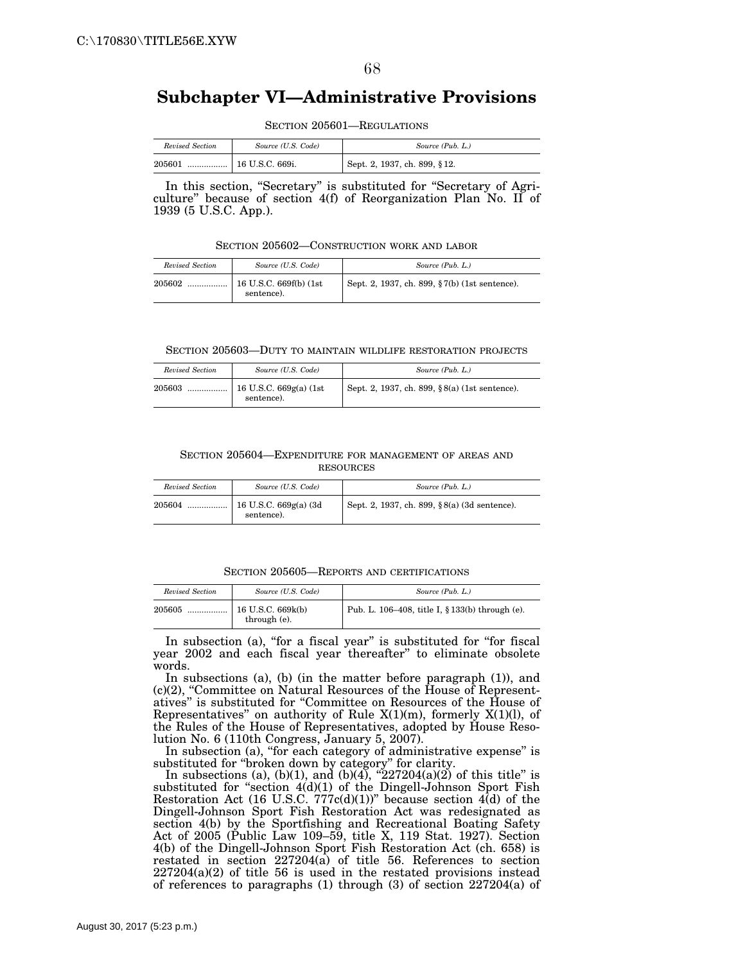# **Subchapter VI—Administrative Provisions**

SECTION 205601—REGULATIONS

| Revised Section | Source (U.S. Code) | Source (Pub. L.)             |  |
|-----------------|--------------------|------------------------------|--|
| 205601<br>      | $16$ U.S.C. 669i.  | Sept. 2, 1937, ch. 899, §12. |  |

In this section, "Secretary" is substituted for "Secretary of Agriculture'' because of section 4(f) of Reorganization Plan No. II of 1939 (5 U.S.C. App.).

SECTION 205602—CONSTRUCTION WORK AND LABOR

| Revised Section | Source (U.S. Code)                    | Source (Pub. L.)                              |  |
|-----------------|---------------------------------------|-----------------------------------------------|--|
| 205602          | 16 U.S.C. 669f(b) (1st)<br>sentence). | Sept. 2, 1937, ch. 899, §7(b) (1st sentence). |  |

#### SECTION 205603—DUTY TO MAINTAIN WILDLIFE RESTORATION PROJECTS

| Revised Section | Source (U.S. Code)                     | Source (Pub. L.)                              |
|-----------------|----------------------------------------|-----------------------------------------------|
| 205603<br>      | 16 U.S.C. $669g(a)$ (1st<br>sentence). | Sept. 2, 1937, ch. 899, §8(a) (1st sentence). |

### SECTION 205604—EXPENDITURE FOR MANAGEMENT OF AREAS AND **RESOURCES**

| Revised Section | Source (U.S. Code)                    | Source (Pub. L.)                             |
|-----------------|---------------------------------------|----------------------------------------------|
| 205604<br>      | 16 U.S.C. $669g(a)$ (3d<br>sentence). | Sept. 2, 1937, ch. 899, §8(a) (3d sentence). |

SECTION 205605—REPORTS AND CERTIFICATIONS

| Revised Section | Source (U.S. Code)                  | Source (Pub. L.)                                |
|-----------------|-------------------------------------|-------------------------------------------------|
| 205605<br>      | $16$ U.S.C. 669k(b)<br>through (e). | Pub. L. 106–408, title I, § 133(b) through (e). |

In subsection (a), "for a fiscal year" is substituted for "for fiscal year 2002 and each fiscal year thereafter'' to eliminate obsolete words.

In subsections (a), (b) (in the matter before paragraph (1)), and (c)(2), ''Committee on Natural Resources of the House of Representatives'' is substituted for ''Committee on Resources of the House of Representatives" on authority of Rule  $X(1)(m)$ , formerly  $X(1)(l)$ , of the Rules of the House of Representatives, adopted by House Resolution No. 6 (110th Congress, January 5, 2007).

In subsection (a), "for each category of administrative expense" is substituted for ''broken down by category'' for clarity.

In subsections (a), (b)(1), and (b)(4), " $227204(a)(2)$  of this title" is substituted for "section 4(d)(1) of the Dingell-Johnson Sport Fish Restoration Act (16 U.S.C. 777 $c(d)(1)$ )" because section 4(d) of the Dingell-Johnson Sport Fish Restoration Act was redesignated as section 4(b) by the Sportfishing and Recreational Boating Safety Act of 2005 (Public Law 109–59, title X, 119 Stat. 1927). Section 4(b) of the Dingell-Johnson Sport Fish Restoration Act (ch. 658) is restated in section 227204(a) of title 56. References to section 227204(a)(2) of title 56 is used in the restated provisions instead of references to paragraphs (1) through (3) of section 227204(a) of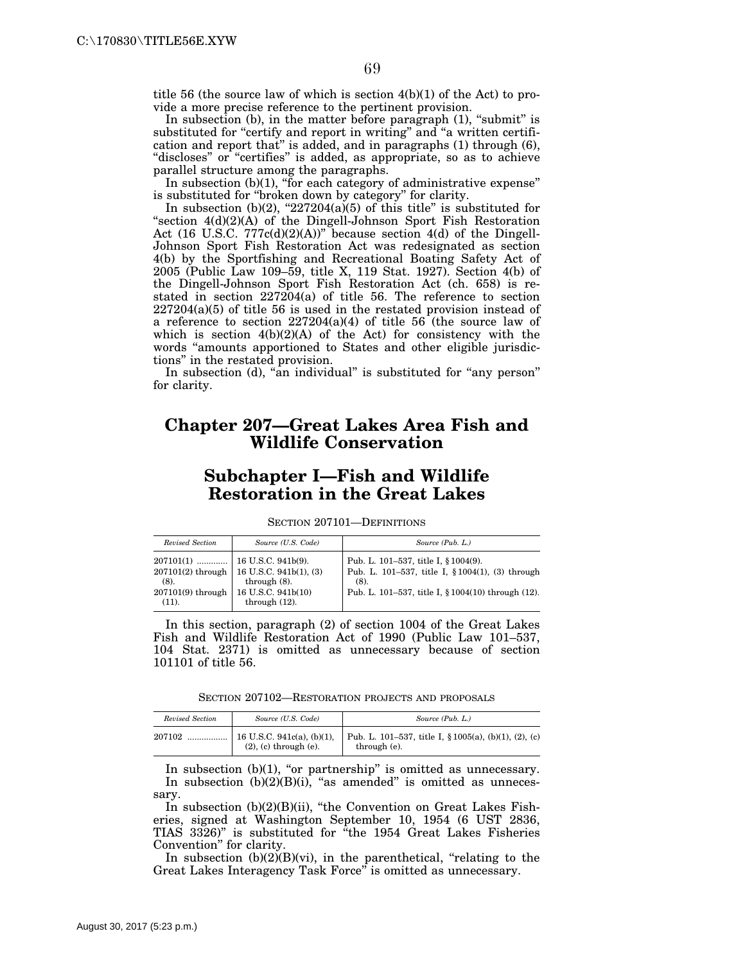title 56 (the source law of which is section 4(b)(1) of the Act) to provide a more precise reference to the pertinent provision.

In subsection (b), in the matter before paragraph (1), "submit" is substituted for "certify and report in writing" and "a written certification and report that'' is added, and in paragraphs (1) through (6), "discloses" or "certifies" is added, as appropriate, so as to achieve parallel structure among the paragraphs.

In subsection  $(b)(1)$ , "for each category of administrative expense" is substituted for ''broken down by category'' for clarity.

In subsection (b)(2), " $227204(a)(5)$  of this title" is substituted for "section 4(d)(2)(A) of the Dingell-Johnson Sport Fish Restoration Act (16 U.S.C.  $777c(d)(2)(A)$ )" because section 4(d) of the Dingell-Johnson Sport Fish Restoration Act was redesignated as section 4(b) by the Sportfishing and Recreational Boating Safety Act of 2005 (Public Law 109–59, title X, 119 Stat. 1927). Section 4(b) of the Dingell-Johnson Sport Fish Restoration Act (ch. 658) is restated in section 227204(a) of title 56. The reference to section 227204(a)(5) of title 56 is used in the restated provision instead of a reference to section  $227204(a)(4)$  of title  $56$  (the source law of which is section 4(b)(2)(A) of the Act) for consistency with the words ''amounts apportioned to States and other eligible jurisdictions'' in the restated provision.

In subsection (d), "an individual" is substituted for "any person" for clarity.

## **Chapter 207—Great Lakes Area Fish and Wildlife Conservation**

# **Subchapter I—Fish and Wildlife Restoration in the Great Lakes**

SECTION 207101—DEFINITIONS

| Revised Section     | Source (U.S. Code)                           | Source (Pub. L.)                                   |
|---------------------|----------------------------------------------|----------------------------------------------------|
|                     | $207101(2)$ through   16 U.S.C. 941b(1), (3) | Pub. L. 101-537, title I, § 1004(9).               |
| $(8)$ .             | through $(8)$ .                              | Pub. L. 101–537, title I, § 1004(1), (3) through   |
| $207101(9)$ through | 16 U.S.C. 941b(10)                           | $(8)$ .                                            |
| $(11)$ .            | through $(12)$ .                             | Pub. L. 101–537, title I, § 1004(10) through (12). |

In this section, paragraph (2) of section 1004 of the Great Lakes Fish and Wildlife Restoration Act of 1990 (Public Law 101–537, 104 Stat. 2371) is omitted as unnecessary because of section 101101 of title 56.

SECTION 207102—RESTORATION PROJECTS AND PROPOSALS

| Revised Section | Source (U.S. Code)                                          | Source (Pub. L.)                                                          |
|-----------------|-------------------------------------------------------------|---------------------------------------------------------------------------|
| 207102          | 16 U.S.C. 941c(a), (b)(1),<br>$(2)$ , $(c)$ through $(e)$ . | Pub. L. 101–537, title I, $\S 1005(a)$ , (b)(1), (2), (c)<br>through (e). |

In subsection  $(b)(1)$ , "or partnership" is omitted as unnecessary. In subsection  $(b)(2)(B)(i)$ , "as amended" is omitted as unnecessary.

In subsection (b)(2)(B)(ii), "the Convention on Great Lakes Fisheries, signed at Washington September 10, 1954 (6 UST 2836, TIAS 3326)'' is substituted for ''the 1954 Great Lakes Fisheries Convention'' for clarity.

In subsection  $(b)(2)(B)(vi)$ , in the parenthetical, "relating to the Great Lakes Interagency Task Force'' is omitted as unnecessary.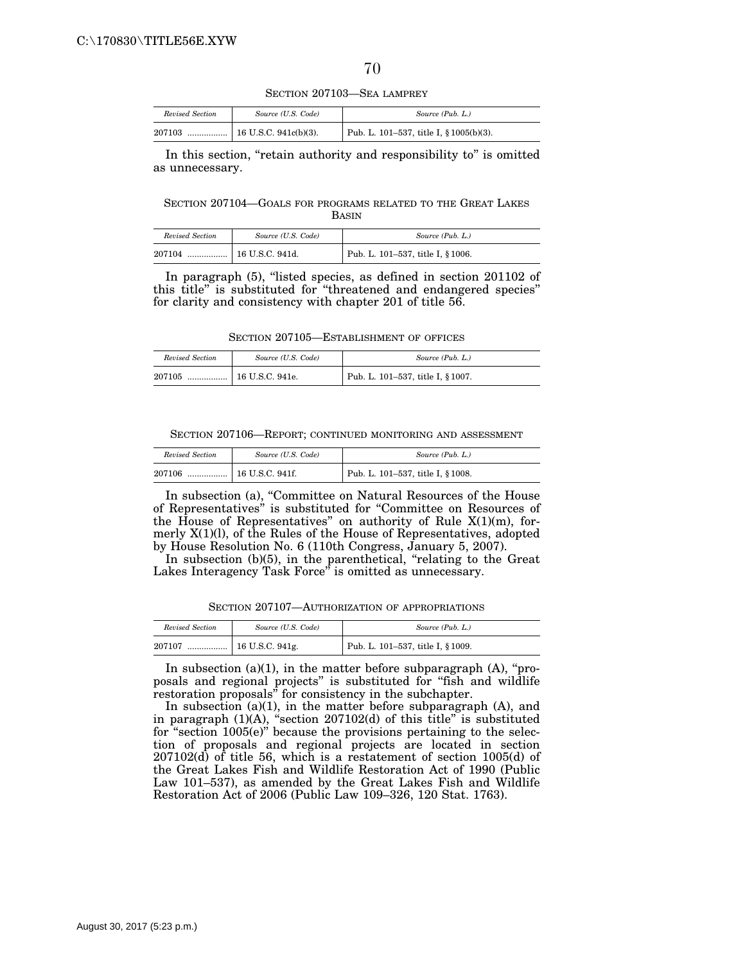SECTION 207103—SEA LAMPREY

| Revised Section | Source (U.S. Code)               | Source (Pub. L.)                        |
|-----------------|----------------------------------|-----------------------------------------|
| 207103          | $\ldots$   16 U.S.C. 941c(b)(3). | Pub. L. 101–537, title I, § 1005(b)(3). |

In this section, "retain authority and responsibility to" is omitted as unnecessary.

SECTION 207104—GOALS FOR PROGRAMS RELATED TO THE GREAT LAKES BASIN

| Revised Section | Source (U.S. Code) | Source (Pub. L.)                  |
|-----------------|--------------------|-----------------------------------|
| 207104<br>.     | 16 U.S.C. 941d.    | Pub. L. 101-537, title I, § 1006. |

In paragraph (5), "listed species, as defined in section 201102 of this title'' is substituted for ''threatened and endangered species'' for clarity and consistency with chapter 201 of title 56.

SECTION 207105—ESTABLISHMENT OF OFFICES

| Revised Section | Source (U.S. Code) | Source (Pub. L.)                  |
|-----------------|--------------------|-----------------------------------|
| 207105<br>      | 16 U.S.C. 941e.    | Pub. L. 101-537, title I, § 1007. |

SECTION 207106—REPORT; CONTINUED MONITORING AND ASSESSMENT

| Revised Section | Source (U.S. Code) | Source (Pub. L.)                  |
|-----------------|--------------------|-----------------------------------|
| 207106<br>      | 16 U.S.C. 941f.    | Pub. L. 101-537, title I, § 1008. |

In subsection (a), "Committee on Natural Resources of the House of Representatives'' is substituted for ''Committee on Resources of the House of Representatives" on authority of Rule  $X(1)(m)$ , formerly X(1)(l), of the Rules of the House of Representatives, adopted by House Resolution No. 6 (110th Congress, January 5, 2007).

In subsection (b)(5), in the parenthetical, "relating to the Great Lakes Interagency Task Force'' is omitted as unnecessary.

SECTION 207107—AUTHORIZATION OF APPROPRIATIONS

| Revised Section | Source (U.S. Code)         | Source (Pub. L.)                  |
|-----------------|----------------------------|-----------------------------------|
| 207107          | $\ldots$   16 U.S.C. 941g. | Pub. L. 101-537, title I, § 1009. |

In subsection  $(a)(1)$ , in the matter before subparagraph  $(A)$ , "proposals and regional projects'' is substituted for ''fish and wildlife restoration proposals'' for consistency in the subchapter.

In subsection (a)(1), in the matter before subparagraph (A), and in paragraph (1)(A), ''section 207102(d) of this title'' is substituted for "section 1005(e)" because the provisions pertaining to the selection of proposals and regional projects are located in section 207102(d) of title 56, which is a restatement of section 1005(d) of the Great Lakes Fish and Wildlife Restoration Act of 1990 (Public Law 101–537), as amended by the Great Lakes Fish and Wildlife Restoration Act of 2006 (Public Law 109–326, 120 Stat. 1763).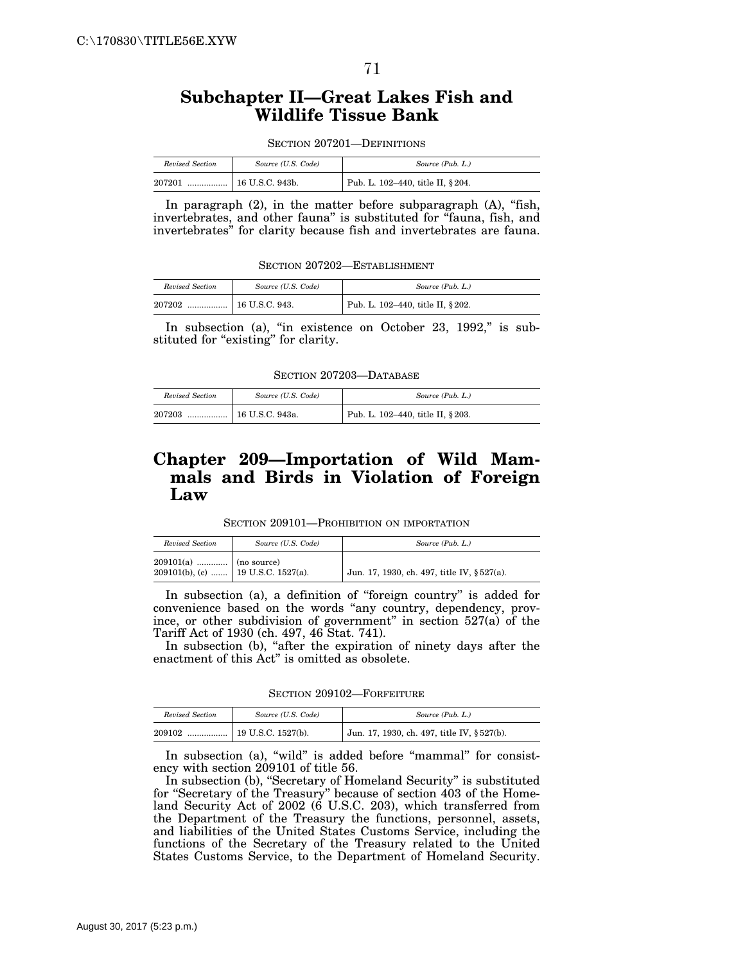# **Subchapter II—Great Lakes Fish and Wildlife Tissue Bank**

| SECTION 207201—DEFINITIONS |  |  |
|----------------------------|--|--|
|----------------------------|--|--|

| Revised Section | Source (U.S. Code) | Source (Pub. L.)                               |
|-----------------|--------------------|------------------------------------------------|
| 207201<br>      | 16 U.S.C. 943b.    | <sup>1</sup> Pub. L. 102-440, title II, § 204. |

In paragraph (2), in the matter before subparagraph (A), "fish, invertebrates, and other fauna'' is substituted for ''fauna, fish, and invertebrates'' for clarity because fish and invertebrates are fauna.

SECTION 207202—ESTABLISHMENT

| Revised Section | Source (U.S. Code) | Source (Pub. L.)                  |
|-----------------|--------------------|-----------------------------------|
| 207202<br>      | 16 U.S.C. 943.     | Pub. L. 102-440, title II, § 202. |

In subsection (a), "in existence on October 23, 1992," is substituted for "existing" for clarity.

SECTION 207203—DATABASE

| Revised Section | Source (U.S. Code) | Source (Pub. L.)                  |
|-----------------|--------------------|-----------------------------------|
| 207203<br>      | 16 U.S.C. 943a.    | Pub. L. 102-440, title II, § 203. |

# **Chapter 209—Importation of Wild Mammals and Birds in Violation of Foreign Law**

SECTION 209101—PROHIBITION ON IMPORTATION

| Revised Section                                                 | Source (U.S. Code) | Source (Pub. L.)                            |
|-----------------------------------------------------------------|--------------------|---------------------------------------------|
| $209101(a)$   (no source)<br>209101(b), (c)  19 U.S.C. 1527(a). |                    | Jun. 17, 1930, ch. 497, title IV, § 527(a). |

In subsection (a), a definition of "foreign country" is added for convenience based on the words ''any country, dependency, province, or other subdivision of government'' in section 527(a) of the Tariff Act of 1930 (ch. 497, 46 Stat. 741).

In subsection (b), "after the expiration of ninety days after the enactment of this Act'' is omitted as obsolete.

SECTION 209102—FORFEITURE

| Revised Section | Source (U.S. Code) | Source (Pub. L.)                           |
|-----------------|--------------------|--------------------------------------------|
| 209102          |                    | Jun. 17, 1930, ch. 497, title IV, §527(b). |

In subsection (a), "wild" is added before "mammal" for consistency with section 209101 of title 56.

In subsection (b), "Secretary of Homeland Security" is substituted for "Secretary of the Treasury" because of section 403 of the Homeland Security Act of 2002 (6 U.S.C. 203), which transferred from the Department of the Treasury the functions, personnel, assets, and liabilities of the United States Customs Service, including the functions of the Secretary of the Treasury related to the United States Customs Service, to the Department of Homeland Security.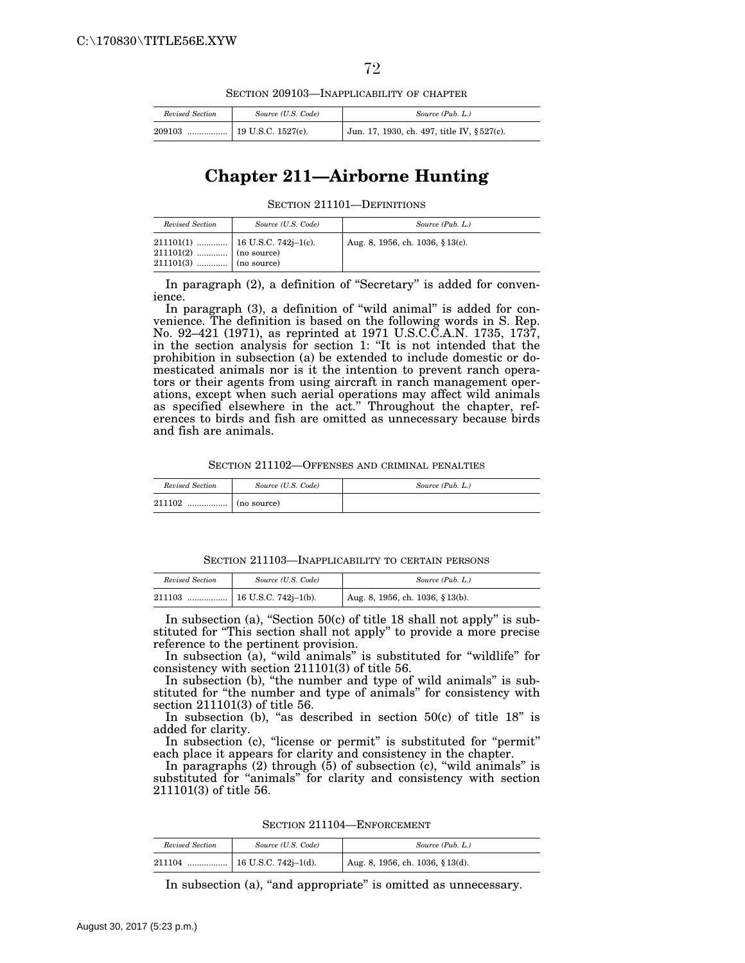SECTION 209103—INAPPLICABILITY OF CHAPTER

| Revised Section | Source (U.S. Code) | Source (Pub. L.)                            |
|-----------------|--------------------|---------------------------------------------|
| 209103          |                    | Jun. 17, 1930, ch. 497, title IV, § 527(c). |

## **Chapter 211—Airborne Hunting**

SECTION 211101—DEFINITIONS

| Revised Section                                    | Source (U.S. Code) | Source (Pub. L.)                 |
|----------------------------------------------------|--------------------|----------------------------------|
| $211101(2)$ (no source)<br>$211101(3)$ (no source) |                    | Aug. 8, 1956, ch. 1036, § 13(c). |

In paragraph (2), a definition of "Secretary" is added for convenience.

In paragraph (3), a definition of ''wild animal'' is added for convenience. The definition is based on the following words in S. Rep. No. 92–421 (1971), as reprinted at 1971 U.S.C.C.A.N. 1735, 1737, in the section analysis for section 1: ''It is not intended that the prohibition in subsection (a) be extended to include domestic or domesticated animals nor is it the intention to prevent ranch operators or their agents from using aircraft in ranch management operations, except when such aerial operations may affect wild animals as specified elsewhere in the act.'' Throughout the chapter, references to birds and fish are omitted as unnecessary because birds and fish are animals.

SECTION 211102—OFFENSES AND CRIMINAL PENALTIES

| Revised Section | Source (U.S. Code) | Source (Pub. L.) |
|-----------------|--------------------|------------------|
| 211102<br>      | (no source)        |                  |

SECTION 211103—INAPPLICABILITY TO CERTAIN PERSONS

| Revised Section | Source (U.S. Code) | Source (Pub. L.)                     |
|-----------------|--------------------|--------------------------------------|
| 211103          |                    | $1$ Aug. 8, 1956, ch. 1036, § 13(b). |

In subsection (a), "Section  $50(c)$  of title 18 shall not apply" is substituted for ''This section shall not apply'' to provide a more precise reference to the pertinent provision.

In subsection (a), "wild animals" is substituted for "wildlife" for consistency with section 211101(3) of title 56.

In subsection (b), "the number and type of wild animals" is substituted for "the number and type of animals" for consistency with section 211101(3) of title 56.

In subsection (b), "as described in section  $50(c)$  of title  $18"$  is added for clarity.

In subsection (c), "license or permit" is substituted for "permit" each place it appears for clarity and consistency in the chapter.

In paragraphs  $(2)$  through  $(5)$  of subsection  $(c)$ , "wild animals" is substituted for "animals" for clarity and consistency with section 211101(3) of title 56.

SECTION 211104—ENFORCEMENT

| Revised Section | Source (U.S. Code) | Source (Pub. L.)                 |
|-----------------|--------------------|----------------------------------|
|                 |                    | Aug. 8, 1956, ch. 1036, § 13(d). |

In subsection (a), "and appropriate" is omitted as unnecessary.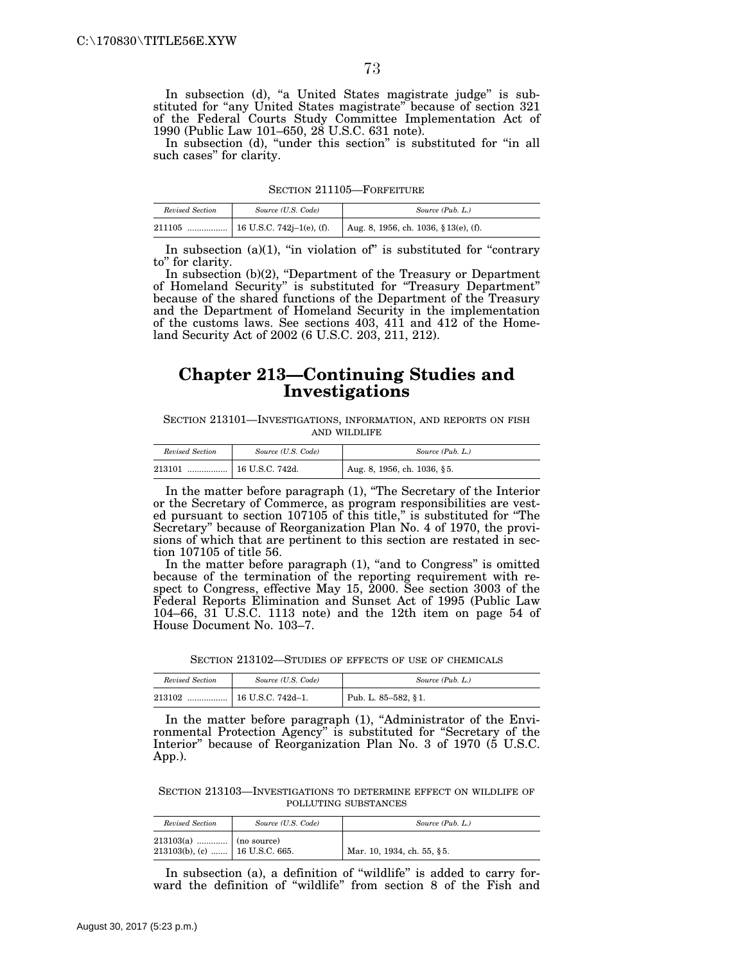In subsection (d), "a United States magistrate judge" is substituted for "any United States magistrate" because of section 321 of the Federal Courts Study Committee Implementation Act of 1990 (Public Law 101–650, 28 U.S.C. 631 note).

In subsection (d), "under this section" is substituted for "in all such cases'' for clarity.

SECTION 211105—FORFEITURE

| Revised Section | Source (U.S. Code) | Source (Pub. L.)                      |
|-----------------|--------------------|---------------------------------------|
| 211105          |                    | Aug. 8, 1956, ch. 1036, § 13(e), (f). |

In subsection  $(a)(1)$ , "in violation of" is substituted for "contrary" to'' for clarity.

In subsection (b)(2), ''Department of the Treasury or Department of Homeland Security'' is substituted for ''Treasury Department'' because of the shared functions of the Department of the Treasury and the Department of Homeland Security in the implementation of the customs laws. See sections 403, 411 and 412 of the Homeland Security Act of 2002 (6 U.S.C. 203, 211, 212).

## **Chapter 213—Continuing Studies and Investigations**

SECTION 213101—INVESTIGATIONS, INFORMATION, AND REPORTS ON FISH AND WILDLIFE

| Revised Section | Source (U.S. Code)      | Source (Pub. L.)            |
|-----------------|-------------------------|-----------------------------|
| 213101<br>      | $\vert$ 16 U.S.C. 742d. | Aug. 8, 1956, ch. 1036, §5. |

In the matter before paragraph (1), ''The Secretary of the Interior or the Secretary of Commerce, as program responsibilities are vested pursuant to section 107105 of this title,'' is substituted for ''The Secretary'' because of Reorganization Plan No. 4 of 1970, the provisions of which that are pertinent to this section are restated in section 107105 of title 56.

In the matter before paragraph (1), "and to Congress" is omitted because of the termination of the reporting requirement with respect to Congress, effective May 15, 2000. See section 3003 of the Federal Reports Elimination and Sunset Act of 1995 (Public Law 104–66, 31 U.S.C. 1113 note) and the 12th item on page 54 of House Document No. 103–7.

SECTION 213102—STUDIES OF EFFECTS OF USE OF CHEMICALS

| Revised Section | Source (U.S. Code) | Source (Pub. L.)    |
|-----------------|--------------------|---------------------|
| 213102          |                    | Pub. L. 85–582, §1. |

In the matter before paragraph (1), "Administrator of the Environmental Protection Agency'' is substituted for ''Secretary of the Interior'' because of Reorganization Plan No. 3 of 1970 (5 U.S.C. App.).

SECTION 213103—INVESTIGATIONS TO DETERMINE EFFECT ON WILDLIFE OF POLLUTING SUBSTANCES

| Revised Section                                           | Source (U.S. Code) | Source (Pub. L.)           |
|-----------------------------------------------------------|--------------------|----------------------------|
| $213103(a)$ (no source)<br>213103(b), (c)  16 U.S.C. 665. |                    | Mar. 10, 1934, ch. 55, §5. |

In subsection (a), a definition of ''wildlife'' is added to carry forward the definition of ''wildlife'' from section 8 of the Fish and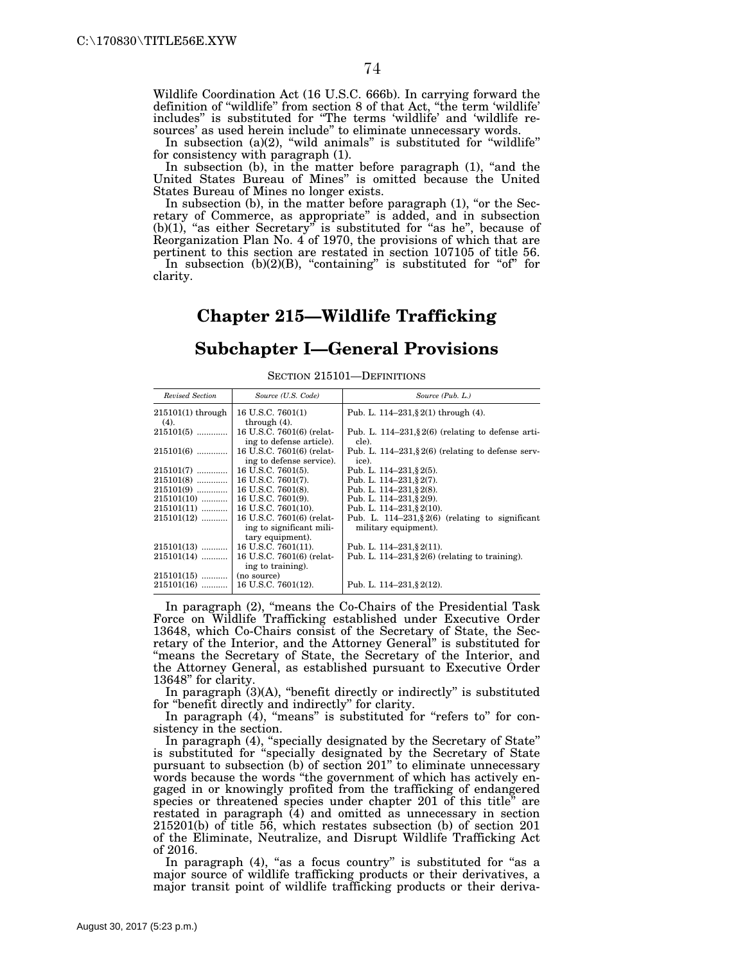Wildlife Coordination Act (16 U.S.C. 666b). In carrying forward the definition of ''wildlife'' from section 8 of that Act, ''the term 'wildlife' includes'' is substituted for ''The terms 'wildlife' and 'wildlife resources' as used herein include'' to eliminate unnecessary words.

In subsection  $(a)(2)$ , "wild animals" is substituted for "wildlife" for consistency with paragraph (1).

In subsection (b), in the matter before paragraph (1), "and the United States Bureau of Mines'' is omitted because the United States Bureau of Mines no longer exists.

In subsection (b), in the matter before paragraph (1), "or the Secretary of Commerce, as appropriate'' is added, and in subsection (b)(1), "as either Secretary" is substituted for "as he", because of Reorganization Plan No. 4 of 1970, the provisions of which that are pertinent to this section are restated in section 107105 of title 56. In subsection  $(b)(2)(B)$ , "containing" is substituted for "of" for

clarity.

# **Chapter 215—Wildlife Trafficking**

### **Subchapter I—General Provisions**

| Revised Section     | Source (U.S. Code)                                    | Source (Pub. L.)                                               |
|---------------------|-------------------------------------------------------|----------------------------------------------------------------|
| $215101(1)$ through | 16 U.S.C. 7601(1)                                     | Pub. L. $114-231$ , $2(1)$ through (4).                        |
| (4).                | through $(4)$ .                                       |                                                                |
| $215101(5)$         | 16 U.S.C. 7601(6) (relat-<br>ing to defense article). | Pub. L. 114–231, $\S 2(6)$ (relating to defense arti-<br>cle). |
| $215101(6)$         | 16 U.S.C. 7601(6) (relat-                             | Pub. L. 114–231, $\S 2(6)$ (relating to defense serv-          |
|                     | ing to defense service).                              | ice).                                                          |
| $215101(7)$         | 16 U.S.C. 7601(5).                                    | Pub. L. $114-231$ , § 2(5).                                    |
| $215101(8)$         | 16 U.S.C. 7601(7).                                    | Pub. L. 114-231, § 2(7).                                       |
| $215101(9)$         | 16 U.S.C. 7601(8).                                    | Pub. L. 114-231, § 2(8).                                       |
| $215101(10)$        | 16 U.S.C. 7601(9).                                    | Pub. L. 114-231, § 2(9).                                       |
| $215101(11)$        | 16 U.S.C. 7601(10).                                   | Pub. L. 114-231, § 2(10).                                      |
| $215101(12)$        | 16 U.S.C. 7601(6) (relat-                             | Pub. L. 114-231, § 2(6) (relating to significant               |
|                     | ing to significant mili-                              | military equipment).                                           |
|                     | tary equipment).                                      |                                                                |
| $215101(13)$        | 16 U.S.C. 7601(11).                                   | Pub. L. $114-231$ , $2(11)$ .                                  |
| $215101(14)$        | 16 U.S.C. 7601(6) (relat-                             | Pub. L. $114-231$ , $\S2(6)$ (relating to training).           |
|                     | ing to training).                                     |                                                                |
| $215101(15)$        | (no source)                                           |                                                                |
| $215101(16)$        | 16 U.S.C. 7601(12).                                   | Pub. L. $114-231$ , $2(12)$ .                                  |

SECTION 215101—DEFINITIONS

In paragraph (2), ''means the Co-Chairs of the Presidential Task Force on Wildlife Trafficking established under Executive Order 13648, which Co-Chairs consist of the Secretary of State, the Secretary of the Interior, and the Attorney General'' is substituted for "means the Secretary of State, the Secretary of the Interior, and the Attorney General, as established pursuant to Executive Order 13648'' for clarity.

In paragraph  $(3)(A)$ , "benefit directly or indirectly" is substituted for "benefit directly and indirectly" for clarity.

In paragraph  $(4)$ , "means" is substituted for "refers to" for consistency in the section.

In paragraph (4), "specially designated by the Secretary of State" is substituted for ''specially designated by the Secretary of State pursuant to subsection (b) of section 201'' to eliminate unnecessary words because the words ''the government of which has actively engaged in or knowingly profited from the trafficking of endangered species or threatened species under chapter 201 of this title" are restated in paragraph (4) and omitted as unnecessary in section  $215201(b)$  of title 56, which restates subsection (b) of section  $201$ of the Eliminate, Neutralize, and Disrupt Wildlife Trafficking Act of 2016.

In paragraph  $(4)$ , "as a focus country" is substituted for "as a major source of wildlife trafficking products or their derivatives, a major transit point of wildlife trafficking products or their deriva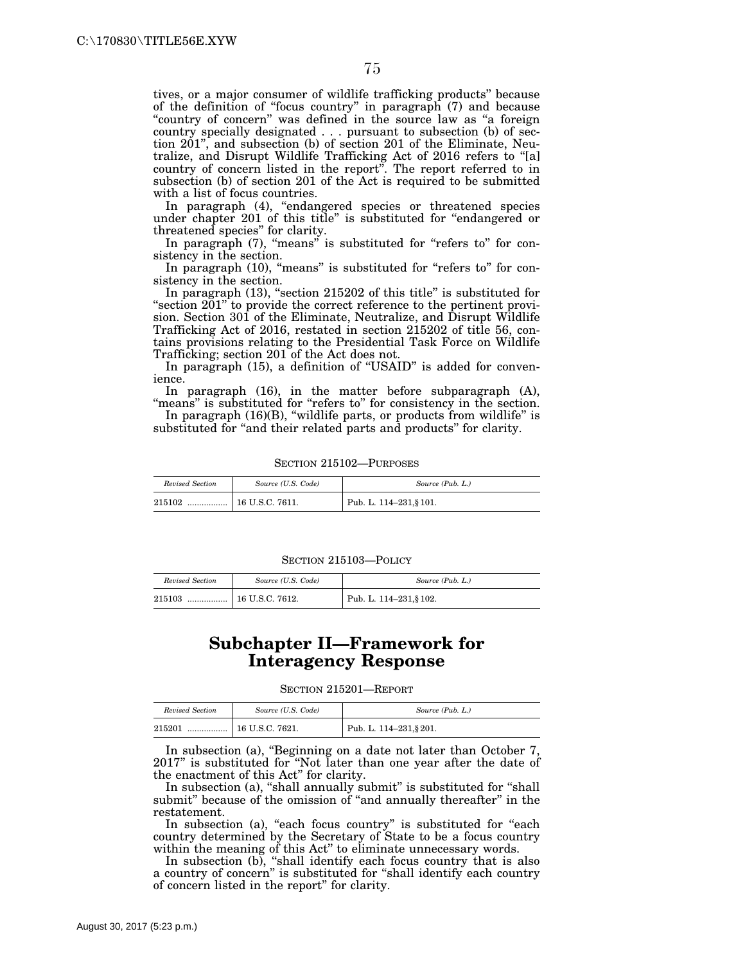tives, or a major consumer of wildlife trafficking products'' because of the definition of ''focus country'' in paragraph (7) and because ''country of concern'' was defined in the source law as ''a foreign country specially designated . . . pursuant to subsection (b) of section 201'', and subsection (b) of section 201 of the Eliminate, Neutralize, and Disrupt Wildlife Trafficking Act of 2016 refers to ''[a] country of concern listed in the report''. The report referred to in subsection (b) of section 201 of the Act is required to be submitted with a list of focus countries.

In paragraph (4), "endangered species or threatened species under chapter 201 of this title'' is substituted for ''endangered or threatened species'' for clarity.

In paragraph (7), "means" is substituted for "refers to" for consistency in the section.

In paragraph (10), "means" is substituted for "refers to" for consistency in the section.

In paragraph (13), "section 215202 of this title" is substituted for "section 201" to provide the correct reference to the pertinent provision. Section 301 of the Eliminate, Neutralize, and Disrupt Wildlife Trafficking Act of 2016, restated in section 215202 of title 56, contains provisions relating to the Presidential Task Force on Wildlife Trafficking; section 201 of the Act does not.

In paragraph (15), a definition of ''USAID'' is added for convenience.

In paragraph (16), in the matter before subparagraph (A), "means" is substituted for "refers to" for consistency in the section.

In paragraph (16)(B), ''wildlife parts, or products from wildlife'' is substituted for "and their related parts and products" for clarity.

| Revised Section | Source (U.S. Code) | Source (Pub. L.)        |
|-----------------|--------------------|-------------------------|
| 215102<br>      | 16 U.S.C. 7611.    | Pub. L. 114-231, § 101. |

SECTION 215102—PURPOSES

SECTION 215103—POLICY

| Revised Section | Source (U.S. Code)    | Source (Pub. L.)        |
|-----------------|-----------------------|-------------------------|
| 215103<br>      | $\pm 16$ U.S.C. 7612. | Pub. L. 114-231, § 102. |

## **Subchapter II—Framework for Interagency Response**

SECTION 215201—REPORT

| Revised Section | Source (U.S. Code) | Source (Pub. L.)        |
|-----------------|--------------------|-------------------------|
| 215201<br>      | $16$ U.S.C. 7621.  | Pub. L. 114-231, § 201. |

In subsection (a), ''Beginning on a date not later than October 7, 2017'' is substituted for ''Not later than one year after the date of the enactment of this Act'' for clarity.

In subsection (a), "shall annually submit" is substituted for "shall submit" because of the omission of "and annually thereafter" in the restatement.

In subsection (a), "each focus country" is substituted for "each country determined by the Secretary of State to be a focus country within the meaning of this Act" to eliminate unnecessary words.

In subsection (b), "shall identify each focus country that is also a country of concern'' is substituted for ''shall identify each country of concern listed in the report'' for clarity.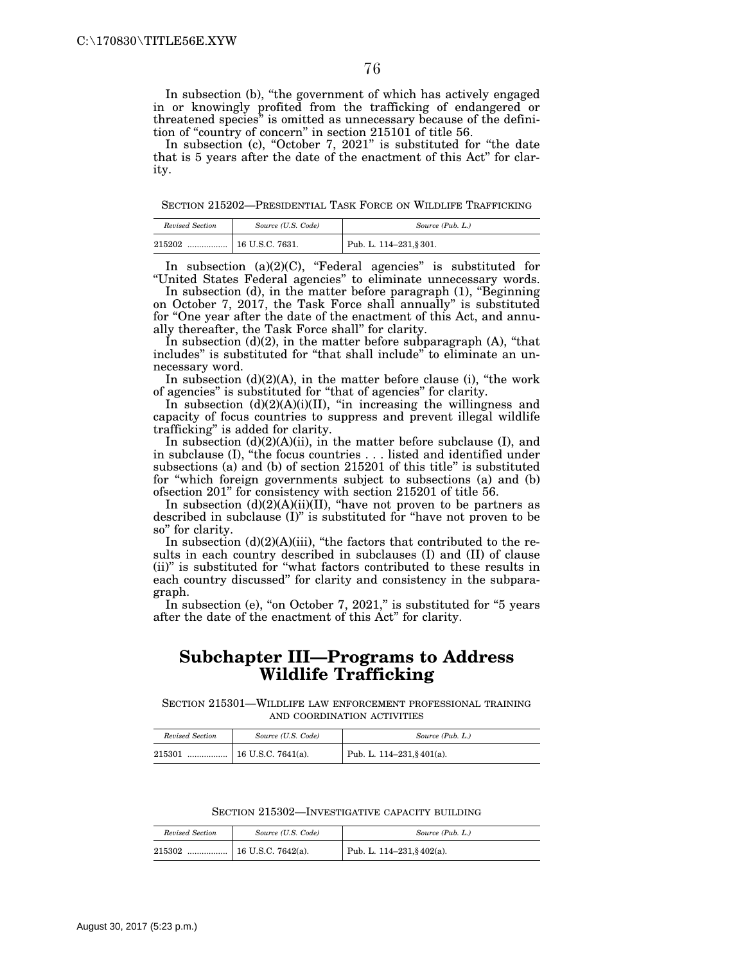In subsection (b), "the government of which has actively engaged in or knowingly profited from the trafficking of endangered or threatened species'' is omitted as unnecessary because of the definition of "country of concern" in section 215101 of title 56.

In subsection (c), "October 7, 2021" is substituted for "the date that is 5 years after the date of the enactment of this Act'' for clarity.

SECTION 215202—PRESIDENTIAL TASK FORCE ON WILDLIFE TRAFFICKING

| Revised Section | Source (U.S. Code) | Source (Pub. L.)        |
|-----------------|--------------------|-------------------------|
| 215202<br>      | 16 U.S.C. 7631.    | Pub. L. 114-231, § 301. |

In subsection (a)(2)(C), "Federal agencies" is substituted for ''United States Federal agencies'' to eliminate unnecessary words.

In subsection (d), in the matter before paragraph (1), ''Beginning on October 7, 2017, the Task Force shall annually'' is substituted for ''One year after the date of the enactment of this Act, and annually thereafter, the Task Force shall'' for clarity.

In subsection  $(d)(2)$ , in the matter before subparagraph  $(A)$ , "that includes" is substituted for "that shall include" to eliminate an unnecessary word.

In subsection  $(d)(2)(A)$ , in the matter before clause (i), "the work of agencies'' is substituted for ''that of agencies'' for clarity.

In subsection (d)(2)(A)(i)(II), ''in increasing the willingness and capacity of focus countries to suppress and prevent illegal wildlife trafficking'' is added for clarity.

In subsection (d)(2)(A)(ii), in the matter before subclause (I), and in subclause (I), ''the focus countries . . . listed and identified under subsections (a) and (b) of section 215201 of this title'' is substituted for ''which foreign governments subject to subsections (a) and (b) ofsection 201'' for consistency with section 215201 of title 56.

In subsection  $(d)(2)(A)(ii)(II)$ , "have not proven to be partners as described in subclause (I)'' is substituted for ''have not proven to be so'' for clarity.

In subsection  $(d)(2)(A)(iii)$ , "the factors that contributed to the results in each country described in subclauses (I) and (II) of clause (ii)'' is substituted for ''what factors contributed to these results in each country discussed'' for clarity and consistency in the subparagraph.

In subsection (e), "on October 7, 2021," is substituted for "5 years after the date of the enactment of this Act'' for clarity.

## **Subchapter III—Programs to Address Wildlife Trafficking**

SECTION 215301—WILDLIFE LAW ENFORCEMENT PROFESSIONAL TRAINING AND COORDINATION ACTIVITIES

| Revised Section | Source (U.S. Code) | Source (Pub. L.)                 |
|-----------------|--------------------|----------------------------------|
| 215301<br>      | 16 U.S.C. 7641(a). | Pub. L. $114-231$ , § $401(a)$ . |

SECTION 215302—INVESTIGATIVE CAPACITY BUILDING

| Revised Section | Source (U.S. Code) | Source (Pub. L.)                 |
|-----------------|--------------------|----------------------------------|
| 215302          |                    | Pub. L. $114-231$ , § $402(a)$ . |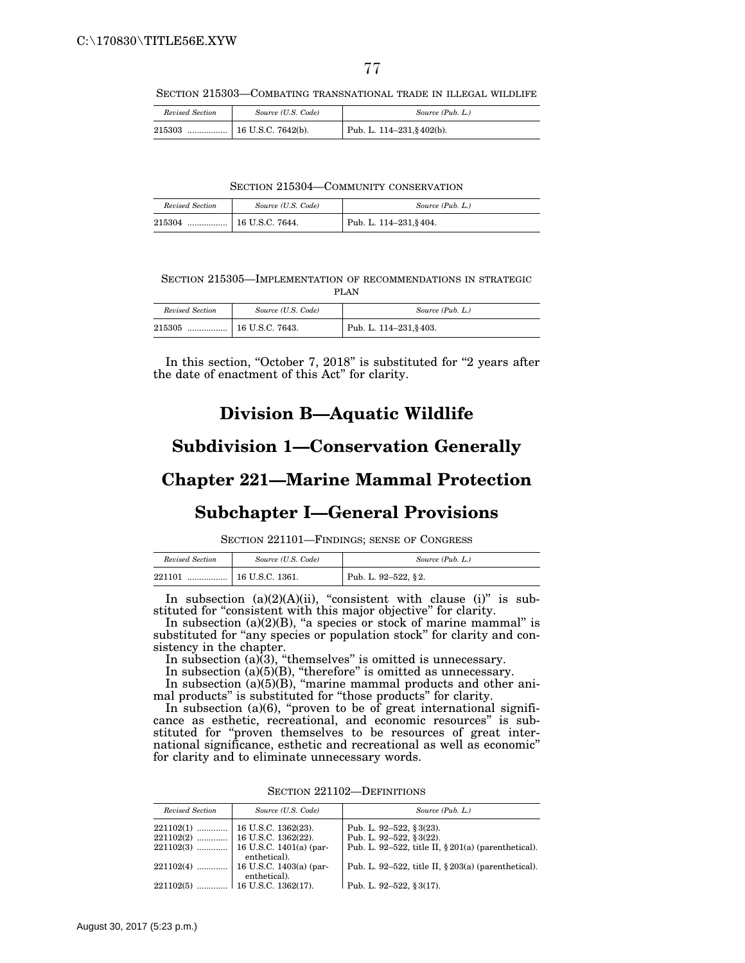SECTION 215303—COMBATING TRANSNATIONAL TRADE IN ILLEGAL WILDLIFE

| Revised Section | Source (U.S. Code) | Source (Pub. L.)                 |
|-----------------|--------------------|----------------------------------|
| 215303          |                    | Pub. L. $114-231$ , § $402(b)$ . |

SECTION 215304—COMMUNITY CONSERVATION

| Revised Section | Source (U.S. Code)         | Source (Pub. L.)        |
|-----------------|----------------------------|-------------------------|
| 215304          | $\ldots$ = 16 U.S.C. 7644. | Pub. L. 114-231, § 404. |

SECTION 215305—IMPLEMENTATION OF RECOMMENDATIONS IN STRATEGIC PLAN

| Revised Section | Source (U.S. Code) | Source (Pub. L.)           |
|-----------------|--------------------|----------------------------|
| 215305<br>      | $16$ U.S.C. 7643.  | Pub. L. $114-231$ , § 403. |

In this section, "October 7, 2018" is substituted for "2 years after the date of enactment of this Act'' for clarity.

## **Division B—Aquatic Wildlife**

#### **Subdivision 1—Conservation Generally**

### **Chapter 221—Marine Mammal Protection**

## **Subchapter I—General Provisions**

SECTION 221101—FINDINGS; SENSE OF CONGRESS

| Revised Section | Source (U.S. Code) | Source (Pub. L.)    |
|-----------------|--------------------|---------------------|
| 221101          |                    | Pub. L. 92-522, §2. |

In subsection  $(a)(2)(A)(ii)$ , "consistent with clause  $(i)$ " is substituted for "consistent with this major objective" for clarity.

In subsection  $(a)(2)(B)$ , "a species or stock of marine mammal" is substituted for "any species or population stock" for clarity and consistency in the chapter.

In subsection (a)(3), "themselves" is omitted is unnecessary.

In subsection (a)(5)(B), "therefore" is omitted as unnecessary.

In subsection (a)(5)(B), "marine mammal products and other animal products'' is substituted for ''those products'' for clarity.

In subsection  $(a)(6)$ , "proven to be of great international significance as esthetic, recreational, and economic resources'' is substituted for "proven themselves to be resources of great international significance, esthetic and recreational as well as economic'' for clarity and to eliminate unnecessary words.

|  | SECTION 221102—DEFINITIONS |
|--|----------------------------|
|  |                            |

| Revised Section | Source (U.S. Code)                                    | Source (Pub. L.)                                       |
|-----------------|-------------------------------------------------------|--------------------------------------------------------|
|                 |                                                       | Pub. L. 92-522, § 3(23).                               |
|                 |                                                       | Pub. L. 92-522, $\S 3(22)$ .                           |
|                 | $221102(3)$   16 U.S.C. 1401(a) (par-<br>enthetical). | Pub. L. 92–522, title II, $\S 201(a)$ (parenthetical). |
| $221102(4)$     | 16 U.S.C. 1403(a) (par-<br>enthetical).               | Pub. L. 92–522, title II, $\S 203(a)$ (parenthetical). |
| 221102(5)       | 16 U.S.C. 1362(17).                                   | Pub. L. 92–522, §3(17).                                |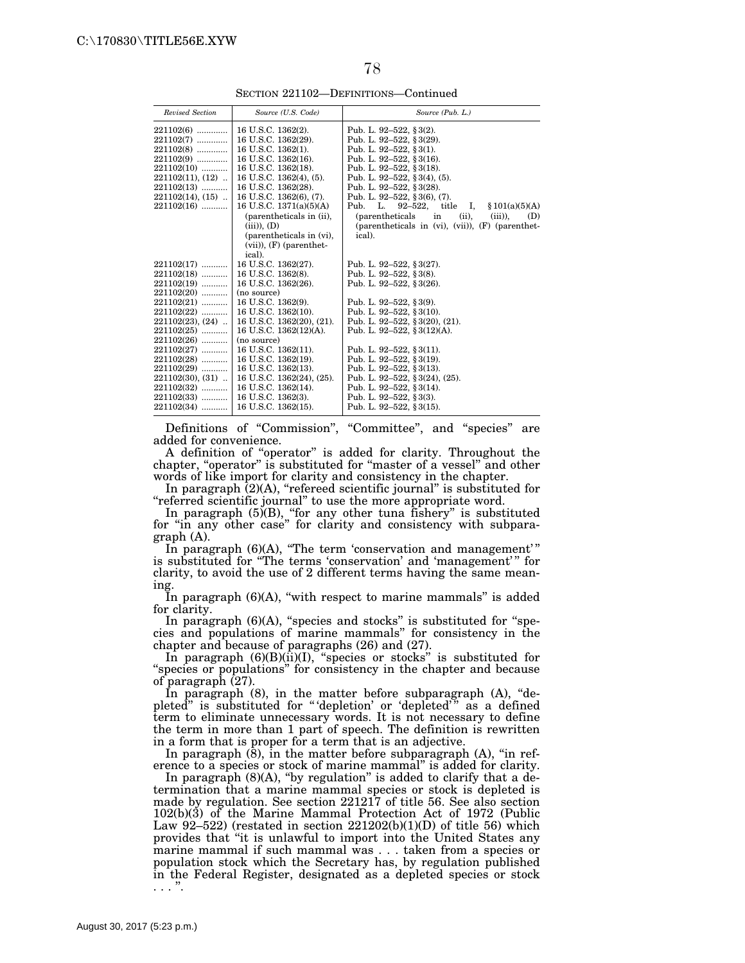SECTION 221102—DEFINITIONS—Continued

| Revised Section       | Source (U.S. Code)          | Source (Pub. L.)                                                |
|-----------------------|-----------------------------|-----------------------------------------------------------------|
|                       |                             |                                                                 |
| $2211026$             | 16 U.S.C. 1362(2).          | Pub. L. 92-522, § 3(2).                                         |
| $221102(7)$           | 16 U.S.C. 1362(29).         | Pub. L. 92-522, § 3(29).                                        |
| $221102(8)$           | 16 U.S.C. 1362(1).          | Pub. L. 92-522, § 3(1).                                         |
| 221102(9)             | 16 U.S.C. 1362(16).         | Pub. L. 92-522, § 3(16).                                        |
| $221102(10)$          | 16 U.S.C. 1362(18).         | Pub. L. 92-522, § 3(18).                                        |
| $221102(11), (12)$    | 16 U.S.C. 1362(4), (5).     | Pub. L. 92-522, § 3(4), (5).                                    |
| $221102(13)$          | 16 U.S.C. 1362(28).         | Pub. L. 92–522, § 3(28).                                        |
| $221102(14)$ , $(15)$ | 16 U.S.C. 1362(6), (7).     | Pub. L. 92-522, § 3(6), (7).                                    |
| $221102(16)$          | 16 U.S.C. $1371(a)(5)(A)$   | Pub. L. 92-522,<br>title I,<br>\$101(a)(5)(A)                   |
|                       | (parentheticals in (ii),    | <i>(parentheticals</i> )<br>in<br>$(ii)$ ,<br>$(iii)$ ),<br>(D) |
|                       | $(iii)$ , $(D)$             | (parentheticals in $(vi)$ , $(vii)$ ), $(F)$ (parenthet-        |
|                       | (parentheticals in (vi),    | ical).                                                          |
|                       | $(vii)$ , $(F)$ (parenthet- |                                                                 |
|                       | ical).                      |                                                                 |
| 221102(17)            | 16 U.S.C. 1362(27).         | Pub. L. 92-522, § 3(27).                                        |
| $221102(18)$          | 16 U.S.C. 1362(8).          | Pub. L. 92-522, §3(8).                                          |
| $221102(19)$          | 16 U.S.C. 1362(26).         | Pub. L. 92-522, § 3(26).                                        |
| 221102(20)            | (no source)                 |                                                                 |
| $221102(21)$          | 16 U.S.C. 1362(9).          | Pub. L. 92-522, §3(9).                                          |
| 221102(22)            | 16 U.S.C. 1362(10).         | Pub. L. 92-522, § 3(10).                                        |
| $221102(23), (24)$    | 16 U.S.C. 1362(20), (21).   | Pub. L. 92-522, § 3(20), (21).                                  |
| $221102(25)$          | 16 U.S.C. 1362(12)(A).      | Pub. L. 92-522, §3(12)(A).                                      |
| $221102(26)$          | (no source)                 |                                                                 |
| $221102(27)$          | 16 U.S.C. 1362(11).         | Pub. L. 92-522, §3(11).                                         |
| 221102(28)            | 16 U.S.C. 1362(19).         | Pub. L. 92–522, § 3(19).                                        |
| $221102(29)$          | 16 U.S.C. 1362(13).         | Pub. L. 92-522, § 3(13).                                        |
| $221102(30), (31)$    | 16 U.S.C. 1362(24), (25).   | Pub. L. 92-522, § 3(24), (25).                                  |
| 221102(32)            | 16 U.S.C. 1362(14).         | Pub. L. 92-522, § 3(14).                                        |
| 221102(33)            | 16 U.S.C. 1362(3).          | Pub. L. 92-522, §3(3).                                          |
| $221102(34)$          | 16 U.S.C. 1362(15).         | Pub. L. 92-522, § 3(15).                                        |
|                       |                             |                                                                 |

Definitions of "Commission", "Committee", and "species" are added for convenience.

A definition of ''operator'' is added for clarity. Throughout the chapter, "operator" is substituted for "master of a vessel" and other words of like import for clarity and consistency in the chapter.

In paragraph  $(2)(A)$ , "refereed scientific journal" is substituted for ''referred scientific journal'' to use the more appropriate word.

In paragraph (5)(B), "for any other tuna fishery" is substituted for ''in any other case'' for clarity and consistency with subparagraph (A).

In paragraph  $(6)(A)$ , "The term 'conservation and management'" is substituted for ''The terms 'conservation' and 'management' '' for clarity, to avoid the use of 2 different terms having the same meaning.

In paragraph  $(6)(A)$ , "with respect to marine mammals" is added for clarity.

In paragraph (6)(A), "species and stocks" is substituted for "species and populations of marine mammals'' for consistency in the chapter and because of paragraphs (26) and (27).

In paragraph  $(6)(B)(ii)(I)$ , "species or stocks" is substituted for "species or populations" for consistency in the chapter and because of paragraph (27).

In paragraph (8), in the matter before subparagraph (A), "depleted" is substituted for "'depletion' or 'depleted'" as a defined term to eliminate unnecessary words. It is not necessary to define the term in more than 1 part of speech. The definition is rewritten in a form that is proper for a term that is an adjective.

In paragraph  $(\bar{8})$ , in the matter before subparagraph  $(A)$ , "in reference to a species or stock of marine mammal'' is added for clarity.

In paragraph  $(8)(A)$ , "by regulation" is added to clarify that a determination that a marine mammal species or stock is depleted is made by regulation. See section 221217 of title 56. See also section 102(b)(3) of the Marine Mammal Protection Act of 1972 (Public Law  $92-522$ ) (restated in section  $221202(b)(1)(D)$  of title 56) which provides that ''it is unlawful to import into the United States any marine mammal if such mammal was . . . taken from a species or population stock which the Secretary has, by regulation published in the Federal Register, designated as a depleted species or stock . . . ''.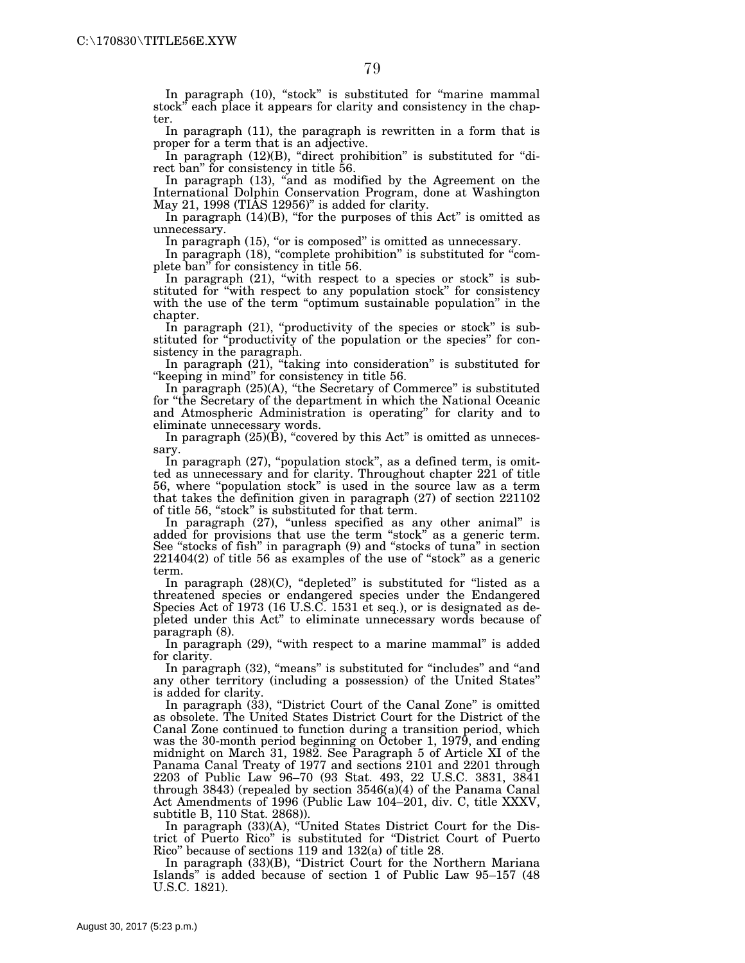ter. In paragraph (11), the paragraph is rewritten in a form that is proper for a term that is an adjective.

In paragraph  $(12)(B)$ , "direct prohibition" is substituted for "direct ban'' for consistency in title 56.

In paragraph (13), ''and as modified by the Agreement on the International Dolphin Conservation Program, done at Washington May 21, 1998 (TIAS 12956)'' is added for clarity.

In paragraph (14)(B), "for the purposes of this Act" is omitted as unnecessary.

In paragraph (15), "or is composed" is omitted as unnecessary.

In paragraph (18), "complete prohibition" is substituted for "complete ban'' for consistency in title 56.

In paragraph  $(21)$ , "with respect to a species or stock" is substituted for ''with respect to any population stock'' for consistency with the use of the term "optimum sustainable population" in the chapter.

In paragraph (21), "productivity of the species or stock" is substituted for ''productivity of the population or the species'' for consistency in the paragraph.

In paragraph (21), "taking into consideration" is substituted for ''keeping in mind'' for consistency in title 56.

In paragraph (25)(A), ''the Secretary of Commerce'' is substituted for "the Secretary of the department in which the National Oceanic and Atmospheric Administration is operating'' for clarity and to eliminate unnecessary words.

In paragraph  $(25)(\tilde{B})$ , "covered by this Act" is omitted as unnecessary.

In paragraph (27), "population stock", as a defined term, is omitted as unnecessary and for clarity. Throughout chapter 221 of title 56, where ''population stock'' is used in the source law as a term that takes the definition given in paragraph (27) of section 221102 of title 56, "stock" is substituted for that term.

In paragraph (27), "unless specified as any other animal" is added for provisions that use the term "stock" as a generic term. See "stocks of fish" in paragraph (9) and "stocks of tuna" in section  $221404(2)$  of title 56 as examples of the use of "stock" as a generic term.

In paragraph (28)(C), "depleted" is substituted for "listed as a threatened species or endangered species under the Endangered Species Act of 1973 (16 U.S.C. 1531 et seq.), or is designated as depleted under this Act'' to eliminate unnecessary words because of paragraph (8).

In paragraph (29), "with respect to a marine mammal" is added for clarity.

In paragraph (32), "means" is substituted for "includes" and "and any other territory (including a possession) of the United States'' is added for clarity.

In paragraph  $(33)$ , "District Court of the Canal Zone" is omitted as obsolete. The United States District Court for the District of the Canal Zone continued to function during a transition period, which was the 30-month period beginning on October 1, 1979, and ending midnight on March 31, 1982. See Paragraph 5 of Article XI of the Panama Canal Treaty of 1977 and sections 2101 and 2201 through 2203 of Public Law 96–70 (93 Stat. 493, 22 U.S.C. 3831, 3841 through 3843) (repealed by section 3546(a)(4) of the Panama Canal Act Amendments of 1996 (Public Law 104–201, div. C, title XXXV, subtitle B, 110 Stat. 2868)).

In paragraph (33)(A), ''United States District Court for the District of Puerto Rico'' is substituted for ''District Court of Puerto Rico'' because of sections 119 and 132(a) of title 28.

In paragraph (33)(B), "District Court for the Northern Mariana Islands'' is added because of section 1 of Public Law 95–157 (48 U.S.C. 1821).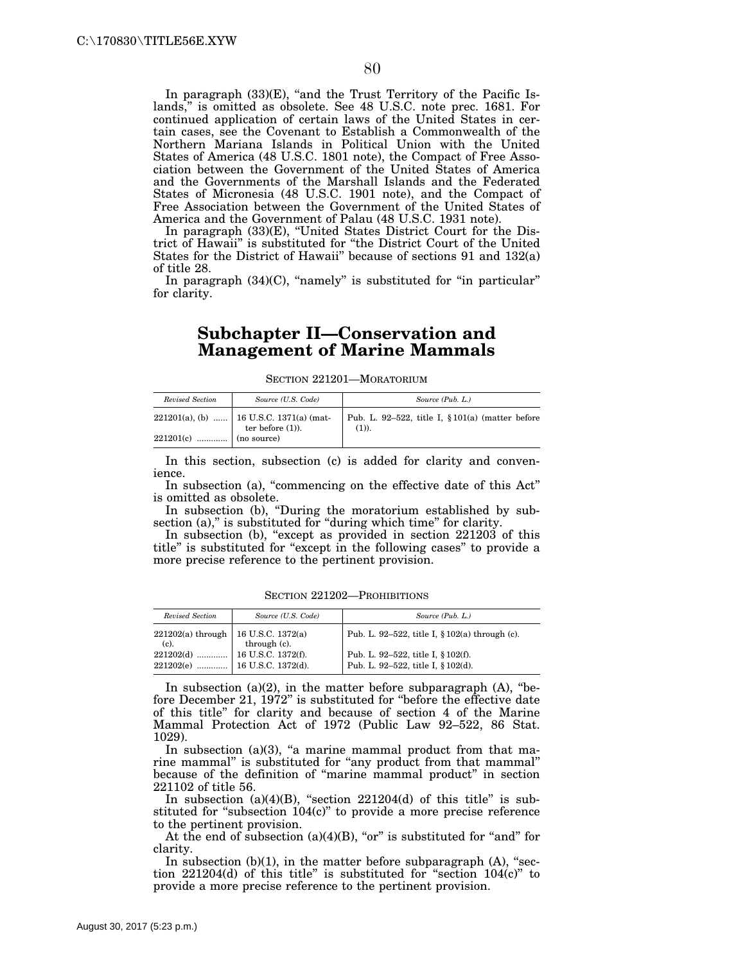In paragraph  $(33)(E)$ , "and the Trust Territory of the Pacific Islands,'' is omitted as obsolete. See 48 U.S.C. note prec. 1681. For continued application of certain laws of the United States in certain cases, see the Covenant to Establish a Commonwealth of the Northern Mariana Islands in Political Union with the United States of America (48 U.S.C. 1801 note), the Compact of Free Association between the Government of the United States of America and the Governments of the Marshall Islands and the Federated States of Micronesia (48 U.S.C. 1901 note), and the Compact of Free Association between the Government of the United States of America and the Government of Palau (48 U.S.C. 1931 note).

In paragraph (33)(E), ''United States District Court for the District of Hawaii'' is substituted for ''the District Court of the United States for the District of Hawaii'' because of sections 91 and 132(a) of title 28.

In paragraph  $(34)(C)$ , "namely" is substituted for "in particular" for clarity.

### **Subchapter II—Conservation and Management of Marine Mammals**

#### SECTION 221201—MORATORIUM

| Revised Section         | Source (U.S. Code)                                             | Source (Pub. L.)                                              |
|-------------------------|----------------------------------------------------------------|---------------------------------------------------------------|
|                         | 221201(a), (b)  16 U.S.C. 1371(a) (mat-<br>ter before $(1)$ ). | Pub. L. 92-522, title I, $§101(a)$ (matter before<br>$(1)$ ). |
| $221201(c)$ (no source) |                                                                |                                                               |

In this section, subsection (c) is added for clarity and convenience.

In subsection (a), "commencing on the effective date of this Act" is omitted as obsolete.

In subsection (b), "During the moratorium established by subsection (a)," is substituted for "during which time" for clarity.

In subsection (b), "except as provided in section 221203 of this title'' is substituted for ''except in the following cases'' to provide a more precise reference to the pertinent provision.

| Revised Section                | Source (U.S. Code)                | Source (Pub. L.)                                                         |
|--------------------------------|-----------------------------------|--------------------------------------------------------------------------|
| $221202(a)$ through<br>$(c)$ . | 16 U.S.C. 1372(a)<br>through (c). | Pub. L. 92–522, title I, $\S 102(a)$ through (c).                        |
| 221202(e)                      | 16 U.S.C. 1372(d).                | Pub. L. 92-522, title I, § 102(f).<br>Pub. L. 92-522, title I, § 102(d). |

SECTION 221202—PROHIBITIONS

In subsection (a)(2), in the matter before subparagraph (A), "before December 21, 1972'' is substituted for ''before the effective date of this title'' for clarity and because of section 4 of the Marine Mammal Protection Act of 1972 (Public Law 92–522, 86 Stat. 1029).

In subsection  $(a)(3)$ , "a marine mammal product from that marine mammal'' is substituted for ''any product from that mammal'' because of the definition of ''marine mammal product'' in section 221102 of title 56.

In subsection  $(a)(4)(B)$ , "section  $221204(d)$  of this title" is substituted for "subsection 104(c)" to provide a more precise reference to the pertinent provision.

At the end of subsection  $(a)(4)(B)$ , "or" is substituted for "and" for clarity.

In subsection  $(b)(1)$ , in the matter before subparagraph  $(A)$ , "section  $221204(d)$  of this title" is substituted for "section  $104(c)$ " to provide a more precise reference to the pertinent provision.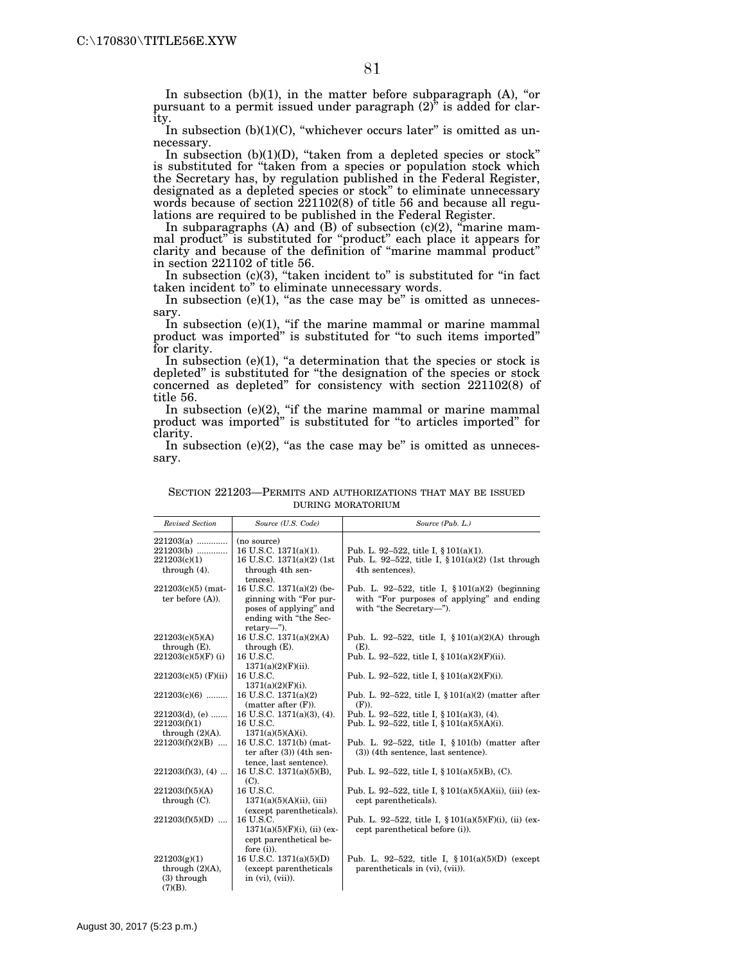In subsection  $(b)(1)$ , in the matter before subparagraph  $(A)$ , "or pursuant to a permit issued under paragraph  $(2)$ <sup>\*</sup> is added for clarity.

In subsection  $(b)(1)(C)$ , "whichever occurs later" is omitted as unnecessary.

In subsection (b)(1)(D), "taken from a depleted species or stock" is substituted for ''taken from a species or population stock which the Secretary has, by regulation published in the Federal Register, designated as a depleted species or stock'' to eliminate unnecessary words because of section 221102(8) of title 56 and because all regulations are required to be published in the Federal Register.

In subparagraphs (A) and (B) of subsection  $(c)(2)$ , "marine mammal product'' is substituted for ''product'' each place it appears for clarity and because of the definition of ''marine mammal product'' in section 221102 of title 56.

In subsection (c)(3), "taken incident to" is substituted for "in fact taken incident to'' to eliminate unnecessary words.

In subsection  $(e)(1)$ , "as the case may be" is omitted as unnecessary.

In subsection  $(e)(1)$ , "if the marine mammal or marine mammal product was imported'' is substituted for ''to such items imported'' for clarity.

In subsection  $(e)(1)$ , "a determination that the species or stock is depleted'' is substituted for ''the designation of the species or stock concerned as depleted'' for consistency with section 221102(8) of title 56.

In subsection (e)(2), ''if the marine mammal or marine mammal product was imported'' is substituted for ''to articles imported'' for clarity.

In subsection  $(e)(2)$ , "as the case may be" is omitted as unnecessary.

| <b>Revised Section</b>                                      | Source (U.S. Code)                                                                                                   | Source (Pub. L.)                                                                                                          |
|-------------------------------------------------------------|----------------------------------------------------------------------------------------------------------------------|---------------------------------------------------------------------------------------------------------------------------|
| $221203(a)$<br>221203(b)<br>221203(c)(1)<br>through $(4)$ . | (no source)<br>16 U.S.C. 1371(a)(1).<br>16 U.S.C. 1371(a)(2) (1st<br>through 4th sen-<br>tences).                    | Pub. L. 92-522, title I, $§ 101(a)(1)$ .<br>Pub. L. 92-522, title I, $\S 101(a)(2)$ (1st through<br>4th sentences).       |
| $221203(c)(5)$ (mat-<br>ter before $(A)$ ).                 | 16 U.S.C. 1371(a)(2) (be-<br>ginning with "For pur-<br>poses of applying" and<br>ending with "the Sec-<br>retary-"). | Pub. L. 92-522, title I, $$101(a)(2)$ (beginning<br>with "For purposes of applying" and ending<br>with "the Secretary-"). |
| 221203(c)(5)(A)                                             | 16 U.S.C. 1371(a)(2)(A)                                                                                              | Pub. L. 92-522, title I, $$101(a)(2)(A)$ through                                                                          |
| through $(E)$ .                                             | through $(E)$ .                                                                                                      | (E).                                                                                                                      |
| $221203(c)(5)(F)$ (i)                                       | 16 U.S.C.                                                                                                            | Pub. L. 92–522, title I, $\S 101(a)(2)(F)(ii)$ .                                                                          |
| $221203(c)(5)$ (F)(ii)                                      | $1371(a)(2)(F)(ii)$ .<br>16 U.S.C.<br>$1371(a)(2)(F)(i)$ .                                                           | Pub. L. 92–522, title I, $\S 101(a)(2)(F)(i)$ .                                                                           |
| $221203(c)(6)$                                              | 16 U.S.C. 1371(a)(2)<br>(matter after (F)).                                                                          | Pub. L. 92-522, title I, $\S 101(a)(2)$ (matter after<br>$(F)$ ).                                                         |
| $221203(d)$ , (e)                                           | 16 U.S.C. 1371(a)(3), (4).                                                                                           | Pub. L. 92–522, title I, $\S 101(a)(3)$ , (4).                                                                            |
| 221203(f)(1)                                                | 16 U.S.C.                                                                                                            | Pub. L. 92–522, title I, $\S 101(a)(5)(A)(i)$ .                                                                           |
| through $(2)(A)$ .                                          | $1371(a)(5)(A)(i)$ .                                                                                                 |                                                                                                                           |
| $221203(f)(2)(B)$                                           | 16 U.S.C. 1371(b) (mat-<br>ter after $(3)$ ) (4th sen-<br>tence, last sentence).                                     | Pub. L. 92-522, title I, $\S 101(b)$ (matter after<br>$(3)$ ) (4th sentence, last sentence).                              |
| $221203(f)(3)$ , (4)                                        | 16 U.S.C. 1371(a)(5)(B),<br>$(C)$ .                                                                                  | Pub. L. 92–522, title I, $\S 101(a)(5)(B)$ , (C).                                                                         |
| 221203(f)(5)(A)                                             | 16 U.S.C.                                                                                                            | Pub. L. 92–522, title I, $\S 101(a)(5)(A)(ii)$ , (iii) (ex-                                                               |
| through $(C)$ .                                             | $1371(a)(5)(A)(ii)$ , (iii)                                                                                          | cept parentheticals).                                                                                                     |
|                                                             | (except parentheticals).                                                                                             |                                                                                                                           |
| $221203(f)(5)(D)$                                           | 16 U.S.C.<br>$1371(a)(5)(F)(i)$ , (ii) (ex-<br>cept parenthetical be-<br>fore $(i)$ ).                               | Pub. L. 92-522, title I, $$101(a)(5)(F)(i)$ , (ii) (ex-<br>cept parenthetical before (i)).                                |
| 221203(g)(1)                                                | 16 U.S.C. 1371(a)(5)(D)                                                                                              | Pub. L. 92-522, title I, $$101(a)(5)(D)$ (except                                                                          |
| through $(2)(A)$ ,                                          | (except parentheticals)                                                                                              | parentheticals in (vi), (vii)).                                                                                           |
| $(3)$ through                                               | in $(vi)$ , $(vii)$ ).                                                                                               |                                                                                                                           |
| $(7)(B)$ .                                                  |                                                                                                                      |                                                                                                                           |

#### SECTION 221203—PERMITS AND AUTHORIZATIONS THAT MAY BE ISSUED DURING MORATORIUM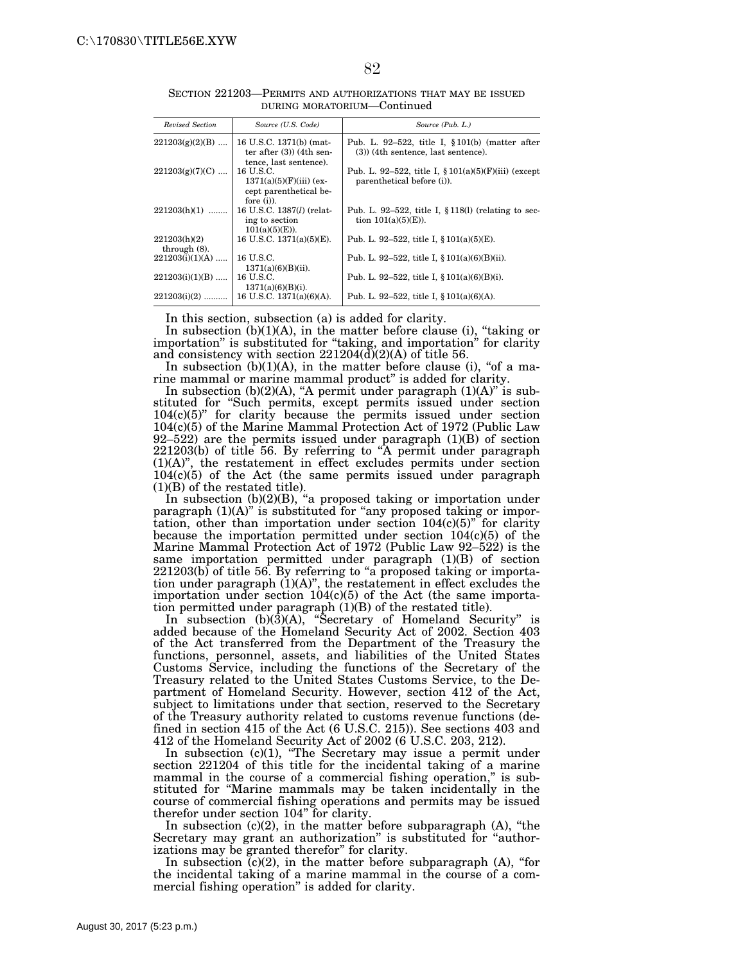| Revised Section                 | Source (U.S. Code)                                                                | Source (Pub. L.)                                                                             |
|---------------------------------|-----------------------------------------------------------------------------------|----------------------------------------------------------------------------------------------|
| $221203(g)(2)(B)$               | 16 U.S.C. 1371(b) (mat-<br>ter after $(3)$ (4th sen-<br>tence, last sentence).    | Pub. L. 92-522, title I, $\S 101(b)$ (matter after<br>$(3)$ ) (4th sentence, last sentence). |
| $221203(g)(7)(C)$               | 16 U.S.C.<br>$1371(a)(5)(F)(iii)$ (ex-<br>cept parenthetical be-<br>fore $(i)$ ). | Pub. L. 92–522, title I, $\S 101(a)(5)(F)(iii)$ (except<br>parenthetical before (i)).        |
| $221203(h)(1)$                  | 16 U.S.C. 1387( <i>l</i> ) (relat-<br>ing to section<br>$101(a)(5)(E)$ ).         | Pub. L. 92–522, title I, $\S 118(1)$ (relating to sec-<br>tion $101(a)(5)(E)$ ).             |
| 221203(h)(2)<br>through $(8)$ . | 16 U.S.C. $1371(a)(5)(E)$ .                                                       | Pub. L. 92–522, title I, $\S 101(a)(5)(E)$ .                                                 |
| $221203(i)(1)(A)$               | 16 U.S.C.<br>$1371(a)(6)(B)(ii)$ .                                                | Pub. L. 92–522, title I, $\S 101(a)(6)(B)(ii)$ .                                             |
| $221203(i)(1)(B)$               | 16 U.S.C.<br>$1371(a)(6)(B)(i)$ .                                                 | Pub. L. 92–522, title I, $\S 101(a)(6)(B)(i)$ .                                              |
| $221203(i)(2)$                  | 16 U.S.C. 1371(a)(6)(A).                                                          | Pub. L. 92–522, title I, $\S 101(a)(6)(A)$ .                                                 |

SECTION 221203—PERMITS AND AUTHORIZATIONS THAT MAY BE ISSUED DURING MORATORIUM—Continued

In this section, subsection (a) is added for clarity.

In subsection  $(b)(1)(A)$ , in the matter before clause (i), "taking or importation'' is substituted for ''taking, and importation'' for clarity and consistency with section  $221204\left(\frac{X}{C}\right)(2)(A)$  of title 56.

In subsection  $(b)(1)(A)$ , in the matter before clause (i), "of a marine mammal or marine mammal product'' is added for clarity.

In subsection  $(b)(2)(A)$ , "A permit under paragraph  $(1)(A)$ " is substituted for ''Such permits, except permits issued under section  $104(c)(5)$ " for clarity because the permits issued under section 104(c)(5) of the Marine Mammal Protection Act of 1972 (Public Law 92–522) are the permits issued under paragraph (1)(B) of section 221203(b) of title 56. By referring to ''A permit under paragraph (1)(A)'', the restatement in effect excludes permits under section 104(c)(5) of the Act (the same permits issued under paragraph (1)(B) of the restated title).

In subsection (b)(2)(B), "a proposed taking or importation under paragraph (1)(A)'' is substituted for ''any proposed taking or importation, other than importation under section  $104(c)(5)$ <sup>"</sup> for clarity because the importation permitted under section 104(c)(5) of the Marine Mammal Protection Act of 1972 (Public Law 92–522) is the same importation permitted under paragraph (1)(B) of section  $221203(b)$  of title 56. By referring to "a proposed taking or importation under paragraph (1)(A)'', the restatement in effect excludes the importation under section 104(c)(5) of the Act (the same importation permitted under paragraph (1)(B) of the restated title).

In subsection (b)(3)(A), "Secretary of Homeland Security" is added because of the Homeland Security Act of 2002. Section 403 of the Act transferred from the Department of the Treasury the functions, personnel, assets, and liabilities of the United States Customs Service, including the functions of the Secretary of the Treasury related to the United States Customs Service, to the Department of Homeland Security. However, section 412 of the Act, subject to limitations under that section, reserved to the Secretary of the Treasury authority related to customs revenue functions (defined in section 415 of the Act (6 U.S.C. 215)). See sections 403 and 412 of the Homeland Security Act of 2002 (6 U.S.C. 203, 212).

In subsection  $(c)(1)$ , "The Secretary may issue a permit under section 221204 of this title for the incidental taking of a marine mammal in the course of a commercial fishing operation," is substituted for ''Marine mammals may be taken incidentally in the course of commercial fishing operations and permits may be issued therefor under section 104" for clarity.

In subsection  $(c)(2)$ , in the matter before subparagraph  $(A)$ , "the Secretary may grant an authorization" is substituted for "authorizations may be granted therefor'' for clarity.

In subsection  $(c)(2)$ , in the matter before subparagraph  $(A)$ , "for the incidental taking of a marine mammal in the course of a commercial fishing operation'' is added for clarity.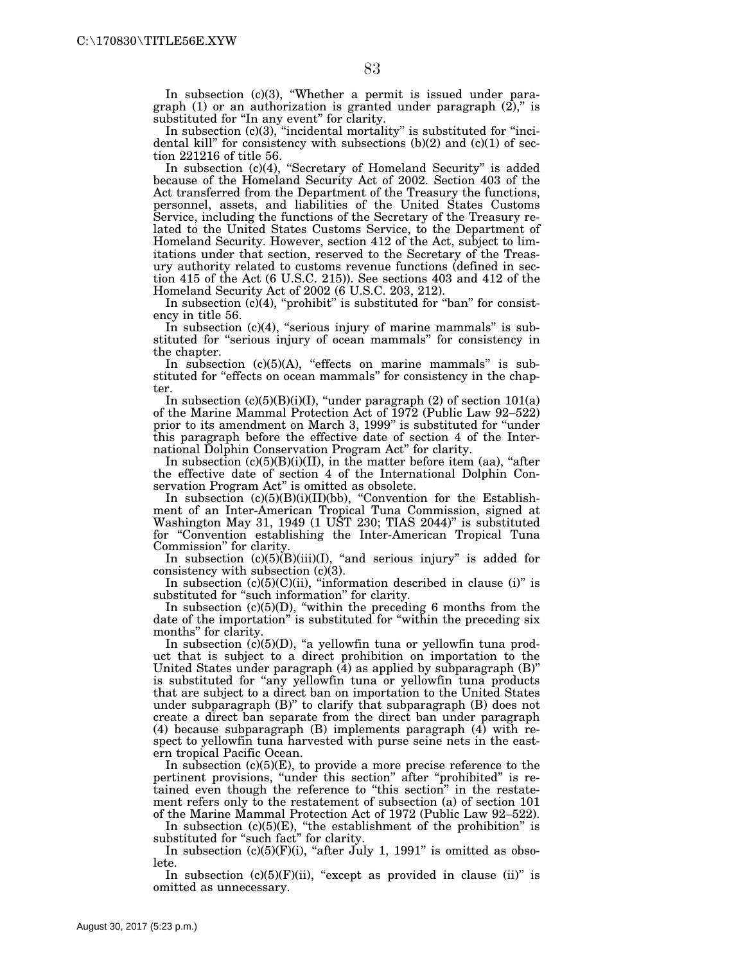In subsection (c)(3), "Whether a permit is issued under paragraph (1) or an authorization is granted under paragraph  $(2)$ ," is substituted for "In any event" for clarity.

In subsection  $(c)(3)$ , "incidental mortality" is substituted for "incidental kill" for consistency with subsections  $(b)(2)$  and  $(c)(1)$  of section 221216 of title 56.

In subsection (c)(4), "Secretary of Homeland Security" is added because of the Homeland Security Act of 2002. Section 403 of the Act transferred from the Department of the Treasury the functions, personnel, assets, and liabilities of the United States Customs Service, including the functions of the Secretary of the Treasury related to the United States Customs Service, to the Department of Homeland Security. However, section 412 of the Act, subject to limitations under that section, reserved to the Secretary of the Treasury authority related to customs revenue functions (defined in section 415 of the Act (6 U.S.C. 215)). See sections 403 and 412 of the Homeland Security Act of 2002 (6 U.S.C. 203, 212).

In subsection  $(c)(4)$ , "prohibit" is substituted for "ban" for consistency in title 56.

In subsection (c)(4), "serious injury of marine mammals" is substituted for "serious injury of ocean mammals" for consistency in the chapter.

In subsection (c)(5)(A), "effects on marine mammals" is substituted for "effects on ocean mammals" for consistency in the chapter.

In subsection  $(c)(5)(B)(i)(I)$ , "under paragraph  $(2)$  of section  $101(a)$ of the Marine Mammal Protection Act of 1972 (Public Law 92–522) prior to its amendment on March 3, 1999'' is substituted for ''under this paragraph before the effective date of section 4 of the International Dolphin Conservation Program Act'' for clarity.

In subsection  $(c)(5)(B)(i)(II)$ , in the matter before item (aa), "after the effective date of section 4 of the International Dolphin Conservation Program Act'' is omitted as obsolete.

In subsection (c)(5)(B)(i)(II)(bb), "Convention for the Establishment of an Inter-American Tropical Tuna Commission, signed at Washington May 31, 1949 (1 UST 230; TIAS 2044)" is substituted for ''Convention establishing the Inter-American Tropical Tuna Commission'' for clarity.

In subsection  $(c)(5)(B)(iii)(I)$ , "and serious injury" is added for consistency with subsection (c)(3).

In subsection  $(c)(5)(C)(ii)$ , "information described in clause  $(i)$ " is substituted for "such information" for clarity.

In subsection  $(c)(5)(D)$ , "within the preceding 6 months from the date of the importation'' is substituted for ''within the preceding six months'' for clarity.

In subsection  $(c)(5)(D)$ , "a yellowfin tuna or yellowfin tuna product that is subject to a direct prohibition on importation to the United States under paragraph  $(4)$  as applied by subparagraph  $(B)$ " is substituted for "any yellowfin tuna or yellowfin tuna products that are subject to a direct ban on importation to the United States under subparagraph (B)'' to clarify that subparagraph (B) does not create a direct ban separate from the direct ban under paragraph (4) because subparagraph (B) implements paragraph (4) with respect to yellowfin tuna harvested with purse seine nets in the eastern tropical Pacific Ocean.

In subsection  $(c)(5)(E)$ , to provide a more precise reference to the pertinent provisions, "under this section" after "prohibited" is retained even though the reference to ''this section'' in the restatement refers only to the restatement of subsection (a) of section 101 of the Marine Mammal Protection Act of 1972 (Public Law 92–522).

In subsection (c)(5)(E), "the establishment of the prohibition" is substituted for "such fact" for clarity.

In subsection  $(c)(5)(F)(i)$ , "after July 1, 1991" is omitted as obsolete.

In subsection  $(c)(5)(F)(ii)$ , "except as provided in clause  $(ii)$ " is omitted as unnecessary.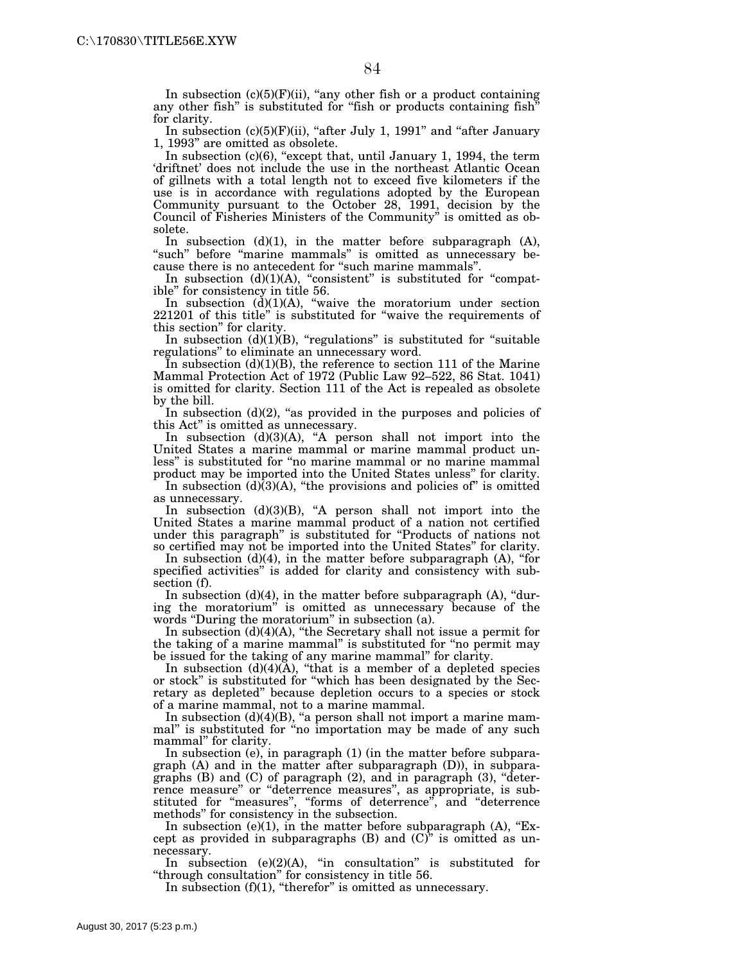In subsection  $(c)(5)(F)(ii)$ , "any other fish or a product containing any other fish" is substituted for "fish or products containing fish" for clarity.

In subsection  $(c)(5)(F)(ii)$ , "after July 1, 1991" and "after January 1, 1993'' are omitted as obsolete.

In subsection  $(c)(6)$ , "except that, until January 1, 1994, the term 'driftnet' does not include the use in the northeast Atlantic Ocean of gillnets with a total length not to exceed five kilometers if the use is in accordance with regulations adopted by the European Community pursuant to the October 28, 1991, decision by the Council of Fisheries Ministers of the Community'' is omitted as obsolete.

In subsection  $(d)(1)$ , in the matter before subparagraph  $(A)$ , "such" before "marine mammals" is omitted as unnecessary because there is no antecedent for "such marine mammals".

In subsection  $(d)(1)(A)$ , "consistent" is substituted for "compatible'' for consistency in title 56.

In subsection  $(d)(1)(A)$ , "waive the moratorium under section 221201 of this title'' is substituted for ''waive the requirements of this section'' for clarity.

In subsection  $(d)(1)(B)$ , "regulations" is substituted for "suitable regulations'' to eliminate an unnecessary word.

In subsection  $(d)(1)(B)$ , the reference to section 111 of the Marine Mammal Protection Act of 1972 (Public Law 92–522, 86 Stat. 1041) is omitted for clarity. Section 111 of the Act is repealed as obsolete by the bill.

In subsection  $(d)(2)$ , "as provided in the purposes and policies of this Act'' is omitted as unnecessary.

In subsection  $(d)(3)(A)$ , "A person shall not import into the United States a marine mammal or marine mammal product unless'' is substituted for ''no marine mammal or no marine mammal product may be imported into the United States unless'' for clarity.

In subsection  $(d)(3)(A)$ , "the provisions and policies of" is omitted as unnecessary.

In subsection  $(d)(3)(B)$ , "A person shall not import into the United States a marine mammal product of a nation not certified under this paragraph'' is substituted for ''Products of nations not so certified may not be imported into the United States'' for clarity.

In subsection  $(d)(4)$ , in the matter before subparagraph  $(A)$ , "for specified activities'' is added for clarity and consistency with subsection (f).

In subsection (d)(4), in the matter before subparagraph (A), ''during the moratorium'' is omitted as unnecessary because of the words "During the moratorium" in subsection (a).

In subsection  $(d)(4)(A)$ , "the Secretary shall not issue a permit for the taking of a marine mammal'' is substituted for ''no permit may be issued for the taking of any marine mammal'' for clarity.

In subsection  $(d)(4)(A)$ , "that is a member of a depleted species or stock'' is substituted for ''which has been designated by the Secretary as depleted'' because depletion occurs to a species or stock of a marine mammal, not to a marine mammal.

In subsection  $(d)(4)(B)$ , "a person shall not import a marine mammal'' is substituted for ''no importation may be made of any such mammal'' for clarity.

In subsection (e), in paragraph (1) (in the matter before subparagraph (A) and in the matter after subparagraph (D)), in subparagraphs (B) and (C) of paragraph (2), and in paragraph (3), ''deterrence measure'' or ''deterrence measures'', as appropriate, is substituted for "measures", "forms of deterrence", and "deterrence methods'' for consistency in the subsection.

In subsection (e)(1), in the matter before subparagraph  $(A)$ , "Except as provided in subparagraphs  $(B)$  and  $(C)^{\gamma}$  is omitted as unnecessary.

In subsection  $(e)(2)(A)$ , "in consultation" is substituted for "through consultation" for consistency in title 56.

In subsection  $(f)(1)$ , "therefor" is omitted as unnecessary.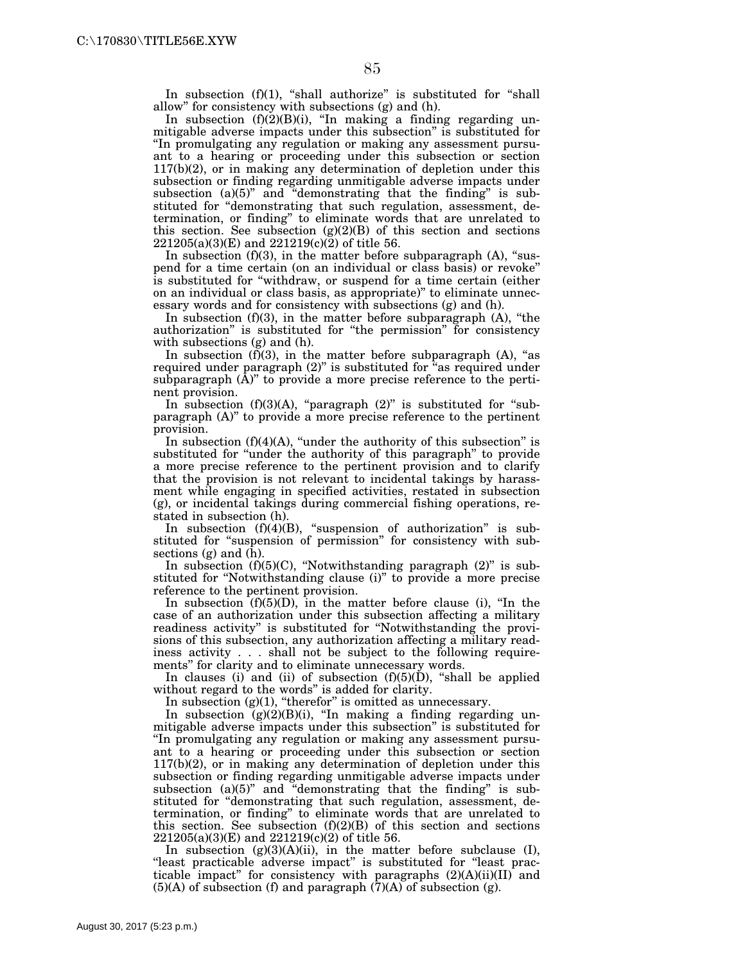In subsection  $(f)(1)$ , "shall authorize" is substituted for "shall allow'' for consistency with subsections (g) and (h).

In subsection  $(f)(2)(B)(i)$ , "In making a finding regarding unmitigable adverse impacts under this subsection'' is substituted for ''In promulgating any regulation or making any assessment pursuant to a hearing or proceeding under this subsection or section 117(b)(2), or in making any determination of depletion under this subsection or finding regarding unmitigable adverse impacts under subsection (a)(5)" and "demonstrating that the finding" is substituted for "demonstrating that such regulation, assessment, determination, or finding'' to eliminate words that are unrelated to this section. See subsection  $(g)(2)(B)$  of this section and sections  $221205(a)(3)(E)$  and  $221219(c)(2)$  of title 56.

In subsection  $(f)(3)$ , in the matter before subparagraph  $(A)$ , "suspend for a time certain (on an individual or class basis) or revoke'' is substituted for ''withdraw, or suspend for a time certain (either on an individual or class basis, as appropriate)'' to eliminate unnecessary words and for consistency with subsections (g) and (h).

In subsection  $(f)(3)$ , in the matter before subparagraph  $(A)$ , "the authorization'' is substituted for ''the permission'' for consistency with subsections (g) and (h).

In subsection  $(f)(3)$ , in the matter before subparagraph  $(A)$ , "as required under paragraph (2)" is substituted for "as required under subparagraph  $(\bar{A})$ " to provide a more precise reference to the pertinent provision.

In subsection  $(f)(3)(A)$ , "paragraph  $(2)$ " is substituted for "subparagraph (A)'' to provide a more precise reference to the pertinent provision.

In subsection  $(f)(4)(A)$ , "under the authority of this subsection" is substituted for ''under the authority of this paragraph'' to provide a more precise reference to the pertinent provision and to clarify that the provision is not relevant to incidental takings by harassment while engaging in specified activities, restated in subsection (g), or incidental takings during commercial fishing operations, restated in subsection (h).

In subsection  $(f)(4)(B)$ , "suspension of authorization" is substituted for "suspension of permission" for consistency with subsections (g) and (h).

In subsection  $(f)(5)(C)$ , "Notwithstanding paragraph  $(2)$ " is substituted for ''Notwithstanding clause (i)'' to provide a more precise reference to the pertinent provision.

In subsection  $(f)(5)(D)$ , in the matter before clause (i), "In the case of an authorization under this subsection affecting a military readiness activity'' is substituted for ''Notwithstanding the provisions of this subsection, any authorization affecting a military readiness activity . . . shall not be subject to the following requirements'' for clarity and to eliminate unnecessary words.

In clauses (i) and (ii) of subsection  $(f)(5)(D)$ , "shall be applied without regard to the words'' is added for clarity.

In subsection  $(g)(1)$ , "therefor" is omitted as unnecessary.

In subsection  $(g)(2)(B)(i)$ , "In making a finding regarding unmitigable adverse impacts under this subsection'' is substituted for ''In promulgating any regulation or making any assessment pursuant to a hearing or proceeding under this subsection or section 117(b)(2), or in making any determination of depletion under this subsection or finding regarding unmitigable adverse impacts under subsection (a)(5)" and "demonstrating that the finding" is substituted for ''demonstrating that such regulation, assessment, determination, or finding'' to eliminate words that are unrelated to this section. See subsection  $(f)(2)(B)$  of this section and sections  $221205(a)(3)(E)$  and  $221219(c)(2)$  of title 56.

In subsection  $(g)(3)(A)(ii)$ , in the matter before subclause (I), "least practicable adverse impact" is substituted for "least practicable impact'' for consistency with paragraphs (2)(A)(ii)(II) and  $(5)$ (A) of subsection (f) and paragraph  $(7)$ (A) of subsection (g).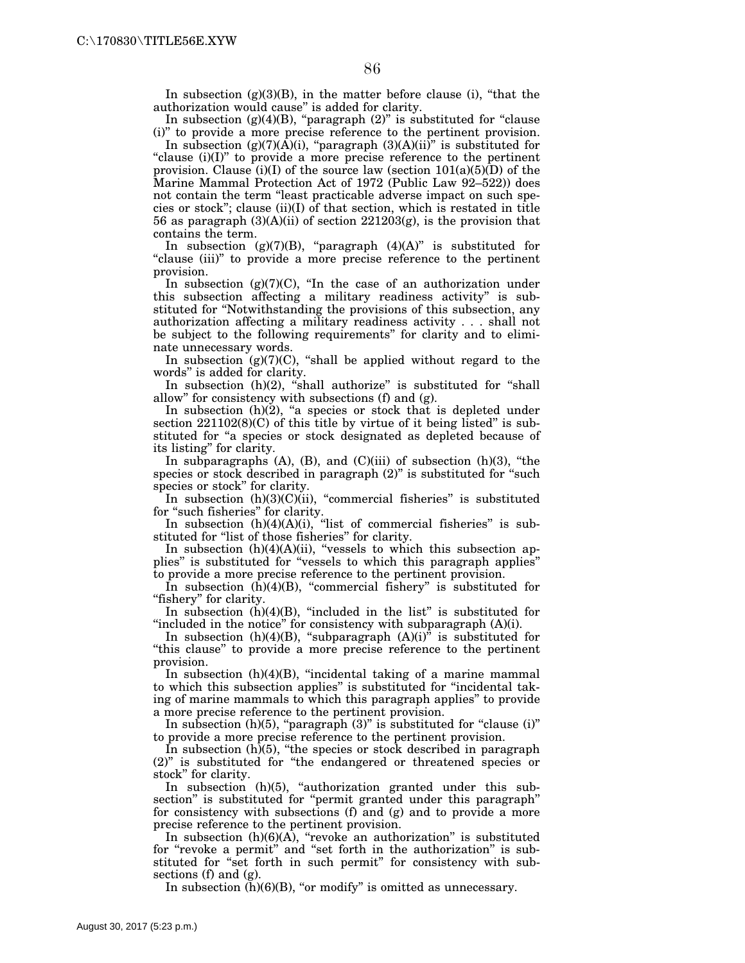In subsection  $(g)(3)(B)$ , in the matter before clause (i), "that the authorization would cause'' is added for clarity.

In subsection  $(g)(4)(B)$ , "paragraph  $(2)$ " is substituted for "clause (i)'' to provide a more precise reference to the pertinent provision.

In subsection  $(g)(7)(\overline{A})(i)$ , "paragraph  $(3)(A)(ii)$ " is substituted for "clause (i)(I)" to provide a more precise reference to the pertinent provision. Clause (i)(I) of the source law (section  $101(a)(5)(D)$  of the Marine Mammal Protection Act of 1972 (Public Law 92–522)) does not contain the term "least practicable adverse impact on such species or stock''; clause (ii)(I) of that section, which is restated in title 56 as paragraph (3)(A)(ii) of section 221203(g), is the provision that contains the term.

In subsection  $(g)(7)(B)$ , "paragraph  $(4)(A)$ " is substituted for "clause (iii)" to provide a more precise reference to the pertinent provision.

In subsection  $(g)(7)(C)$ , "In the case of an authorization under this subsection affecting a military readiness activity'' is substituted for ''Notwithstanding the provisions of this subsection, any authorization affecting a military readiness activity . . . shall not be subject to the following requirements'' for clarity and to eliminate unnecessary words.

In subsection  $(g)(7)(C)$ , "shall be applied without regard to the words'' is added for clarity.

In subsection  $(h)(2)$ , "shall authorize" is substituted for "shall allow'' for consistency with subsections (f) and (g).

In subsection  $(h)(2)$ , "a species or stock that is depleted under section  $221102(8)(C)$  of this title by virtue of it being listed" is substituted for ''a species or stock designated as depleted because of its listing'' for clarity.

In subparagraphs  $(A)$ ,  $(B)$ , and  $(C)(iii)$  of subsection  $(h)(3)$ , "the species or stock described in paragraph (2)" is substituted for "such species or stock'' for clarity.

In subsection  $(h)(3)(C)$ (ii), "commercial fisheries" is substituted for "such fisheries" for clarity.

In subsection  $(h)(4)(A)(i)$ , "list of commercial fisheries" is substituted for "list of those fisheries" for clarity.

In subsection  $(h)(4)(A)(ii)$ , "vessels to which this subsection applies'' is substituted for ''vessels to which this paragraph applies'' to provide a more precise reference to the pertinent provision.

In subsection  $(h)(4)(B)$ , "commercial fishery" is substituted for "fishery" for clarity.

In subsection  $(h)(4)(B)$ , "included in the list" is substituted for "included in the notice" for consistency with subparagraph  $(A)(i)$ .

In subsection (h)(4)(B), "subparagraph  $(A)(i)^{\tilde{p}}$  is substituted for ''this clause'' to provide a more precise reference to the pertinent provision.

In subsection (h)(4)(B), ''incidental taking of a marine mammal to which this subsection applies'' is substituted for ''incidental taking of marine mammals to which this paragraph applies'' to provide a more precise reference to the pertinent provision.

In subsection  $(h)(5)$ , "paragraph  $(3)$ " is substituted for "clause  $(i)$ " to provide a more precise reference to the pertinent provision.

In subsection  $(h)(5)$ , "the species or stock described in paragraph (2)" is substituted for "the endangered or threatened species or stock'' for clarity.

In subsection (h)(5), "authorization granted under this subsection" is substituted for "permit granted under this paragraph" for consistency with subsections (f) and (g) and to provide a more precise reference to the pertinent provision.

In subsection  $(h)(6)(\overline{A})$ , "revoke an authorization" is substituted for ''revoke a permit'' and ''set forth in the authorization'' is substituted for "set forth in such permit" for consistency with subsections (f) and (g).

In subsection  $(h)(6)(B)$ , "or modify" is omitted as unnecessary.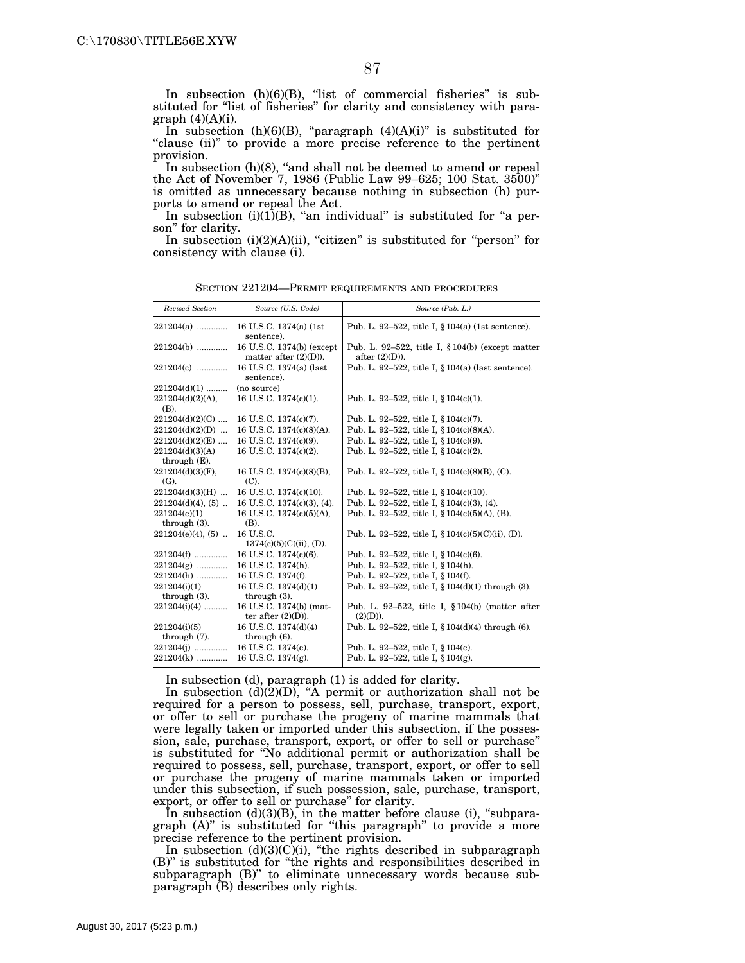In subsection (h)(6)(B), "list of commercial fisheries" is substituted for "list of fisheries" for clarity and consistency with paragraph  $(4)(A)(i)$ .

In subsection  $(h)(6)(B)$ , "paragraph  $(4)(A)(i)$ " is substituted for "clause (ii)" to provide a more precise reference to the pertinent provision.

In subsection (h)(8), "and shall not be deemed to amend or repeal the Act of November 7, 1986 (Public Law 99–625; 100 Stat. 3500)'' is omitted as unnecessary because nothing in subsection (h) purports to amend or repeal the Act.

In subsection  $(i)(1)(B)$ , "an individual" is substituted for "a person'' for clarity.

In subsection  $(i)(2)(A)(ii)$ , "citizen" is substituted for "person" for consistency with clause (i).

| Revised Section                    | Source (U.S. Code)                                    | Source (Pub. L.)                                                         |
|------------------------------------|-------------------------------------------------------|--------------------------------------------------------------------------|
| $221204(a)$                        | 16 U.S.C. 1374(a) (1st<br>sentence).                  | Pub. L. 92-522, title I, $\S 104(a)$ (1st sentence).                     |
| 221204(b)                          | 16 U.S.C. 1374(b) (except<br>matter after $(2)(D)$ ). | Pub. L. 92-522, title I, $\S 104(b)$ (except matter<br>after $(2)(D)$ ). |
| 221204(c)                          | 16 U.S.C. 1374(a) (last<br>sentence).                 | Pub. L. 92–522, title I, $\S 104(a)$ (last sentence).                    |
| $221204(d)(1)$                     | (no source)                                           |                                                                          |
| $221204(d)(2)(A)$ ,<br>(B).        | 16 U.S.C. 1374(c)(1).                                 | Pub. L. 92-522, title I, $§ 104(c)(1)$ .                                 |
| $221204(d)(2)(C)$                  | 16 U.S.C. 1374(c)(7).                                 | Pub. L. 92-522, title I, § 104(c)(7).                                    |
| $221204(d)(2)(D)$                  | 16 U.S.C. 1374(c)(8)(A).                              | Pub. L. 92-522, title I, § 104(c)(8)(A).                                 |
| $221204(d)(2)(E)$                  | 16 U.S.C. 1374(c)(9).                                 | Pub. L. 92-522, title I, § 104(c)(9).                                    |
| 221204(d)(3)(A)<br>through $(E)$ . | 16 U.S.C. 1374(c)(2).                                 | Pub. L. 92-522, title I, § 104(c)(2).                                    |
| $221204(d)(3)(F)$ ,<br>$(G)$ .     | 16 U.S.C. 1374(c)(8)(B),<br>(C).                      | Pub. L. 92-522, title I, $§ 104(c)(8)(B)$ , (C).                         |
| $221204(d)(3)(H)$                  | 16 U.S.C. 1374(c)(10).                                | Pub. L. 92-522, title I, $\S 104(c)(10)$ .                               |
| $221204(d)(4)$ , (5)               | 16 U.S.C. 1374(c)(3), (4).                            | Pub. L. 92-522, title I, § 104(c)(3), (4).                               |
| 221204(e)(1)<br>through $(3)$ .    | 16 U.S.C. 1374(c)(5)(A),<br>(B).                      | Pub. L. 92-522, title I, $§ 104(c)(5)(A)$ , (B).                         |
| $221204(e)(4)$ , (5)               | 16 U.S.C.<br>$1374(c)(5)(C)(ii)$ , (D).               | Pub. L. 92–522, title I, $\{104(c)(5)(C)(ii), (D)\}$ .                   |
| 221204(f)                          | 16 U.S.C. 1374(c)(6).                                 | Pub. L. 92–522, title I, $\S 104(c)(6)$ .                                |
| $221204(g)$                        | 16 U.S.C. 1374(h).                                    | Pub. L. 92-522, title I, § 104(h).                                       |
| 221204(h)                          | 16 U.S.C. 1374(f).                                    | Pub. L. 92-522, title I, § 104(f).                                       |
| 221204(i)(1)<br>through $(3)$ .    | 16 U.S.C. 1374(d)(1)<br>through $(3)$ .               | Pub. L. 92-522, title I, § $104(d)(1)$ through (3).                      |
| $221204(i)(4)$                     | 16 U.S.C. 1374(b) (mat-<br>ter after $(2)(D)$ ).      | Pub. L. 92-522, title I, $\S 104(b)$ (matter after<br>(2)(D)).           |
| 221204(i)(5)<br>through $(7)$ .    | 16 U.S.C. 1374(d)(4)<br>through $(6)$ .               | Pub. L. 92-522, title I, $\S 104(d)(4)$ through (6).                     |
| $221204(i)$                        | 16 U.S.C. 1374(e).                                    | Pub. L. 92-522, title I, § 104(e).                                       |
| 221204(k)                          | 16 U.S.C. 1374(g).                                    | Pub. L. 92-522, title I, $\S 104(g)$ .                                   |

SECTION 221204—PERMIT REQUIREMENTS AND PROCEDURES

In subsection (d), paragraph (1) is added for clarity.

In subsection  $(d)(2)(D)$ , "A permit or authorization shall not be required for a person to possess, sell, purchase, transport, export, or offer to sell or purchase the progeny of marine mammals that were legally taken or imported under this subsection, if the possession, sale, purchase, transport, export, or offer to sell or purchase'' is substituted for ''No additional permit or authorization shall be required to possess, sell, purchase, transport, export, or offer to sell or purchase the progeny of marine mammals taken or imported under this subsection, if such possession, sale, purchase, transport, export, or offer to sell or purchase'' for clarity.

In subsection  $(d)(3)(B)$ , in the matter before clause (i), "subparagraph (A)'' is substituted for ''this paragraph'' to provide a more precise reference to the pertinent provision.

In subsection  $(d)(3)(C)(i)$ , "the rights described in subparagraph (B)'' is substituted for ''the rights and responsibilities described in subparagraph (B)'' to eliminate unnecessary words because subparagraph (B) describes only rights.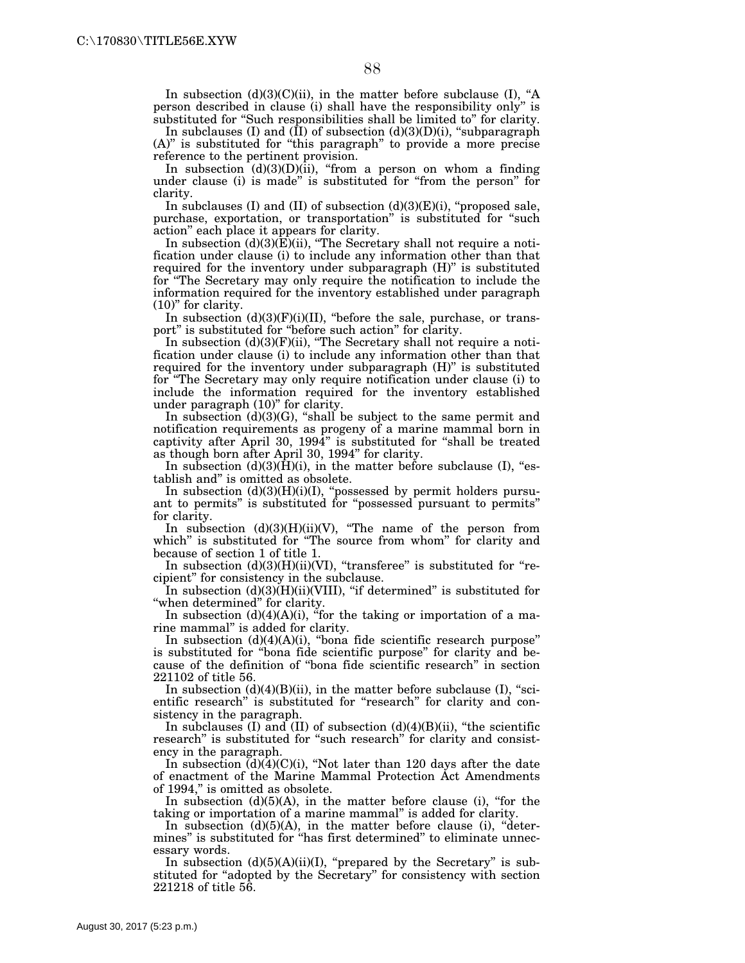In subsection  $(d)(3)(C)(ii)$ , in the matter before subclause (I), "A person described in clause (i) shall have the responsibility only'' is substituted for "Such responsibilities shall be limited to" for clarity.

In subclauses (I) and  $(\overline{I}I)$  of subsection  $(d)(3)(D)(i)$ , "subparagraph (A)'' is substituted for ''this paragraph'' to provide a more precise reference to the pertinent provision.

In subsection  $(d)(3)(D)(ii)$ , "from a person on whom a finding under clause (i) is made'' is substituted for ''from the person'' for clarity.

In subclauses (I) and (II) of subsection  $(d)(3)(E)(i)$ , "proposed sale, purchase, exportation, or transportation'' is substituted for ''such action'' each place it appears for clarity.

In subsection (d)(3)(E)(ii), ''The Secretary shall not require a notification under clause (i) to include any information other than that required for the inventory under subparagraph  $(H)$ " is substituted for ''The Secretary may only require the notification to include the information required for the inventory established under paragraph (10)'' for clarity.

In subsection  $(d)(3)(F)(i)(II)$ , "before the sale, purchase, or transport'' is substituted for ''before such action'' for clarity.

In subsection  $(d)(3)(F)(ii)$ , "The Secretary shall not require a notification under clause (i) to include any information other than that required for the inventory under subparagraph (H)'' is substituted for ''The Secretary may only require notification under clause (i) to include the information required for the inventory established under paragraph (10)" for clarity.

In subsection (d)(3)(G), ''shall be subject to the same permit and notification requirements as progeny of a marine mammal born in captivity after April 30, 1994'' is substituted for ''shall be treated as though born after April 30, 1994'' for clarity.

In subsection  $(d)(3)(\overline{H})(i)$ , in the matter before subclause (I), "establish and'' is omitted as obsolete.

In subsection (d)(3)(H)(i)(I), "possessed by permit holders pursuant to permits'' is substituted for ''possessed pursuant to permits'' for clarity.

In subsection  $(d)(3)(H)(ii)(V)$ , "The name of the person from which" is substituted for "The source from whom" for clarity and because of section 1 of title 1.

In subsection  $(d)(3)(H)(ii)(VI)$ , "transferee" is substituted for "recipient'' for consistency in the subclause.

In subsection  $(d)(3)(H)(ii)(VIII)$ , "if determined" is substituted for "when determined" for clarity.

In subsection  $(d)(4)(A)(i)$ , "for the taking or importation of a marine mammal'' is added for clarity.

In subsection  $(d)(4)(A)(i)$ , "bona fide scientific research purpose" is substituted for ''bona fide scientific purpose'' for clarity and because of the definition of ''bona fide scientific research'' in section 221102 of title 56.

In subsection  $(d)(4)(B)(ii)$ , in the matter before subclause (I), "scientific research" is substituted for "research" for clarity and consistency in the paragraph.

In subclauses (I) and (II) of subsection  $(d)(4)(B)(ii)$ , "the scientific research" is substituted for "such research" for clarity and consistency in the paragraph.

In subsection  $(d)(4)(C)(i)$ , "Not later than 120 days after the date of enactment of the Marine Mammal Protection Act Amendments of 1994,'' is omitted as obsolete.

In subsection  $(d)(5)(A)$ , in the matter before clause (i), "for the taking or importation of a marine mammal'' is added for clarity.

In subsection (d)(5)(A), in the matter before clause (i), "determines'' is substituted for ''has first determined'' to eliminate unnecessary words.

In subsection  $(d)(5)(A)(ii)(I)$ , "prepared by the Secretary" is substituted for "adopted by the Secretary" for consistency with section 221218 of title 56.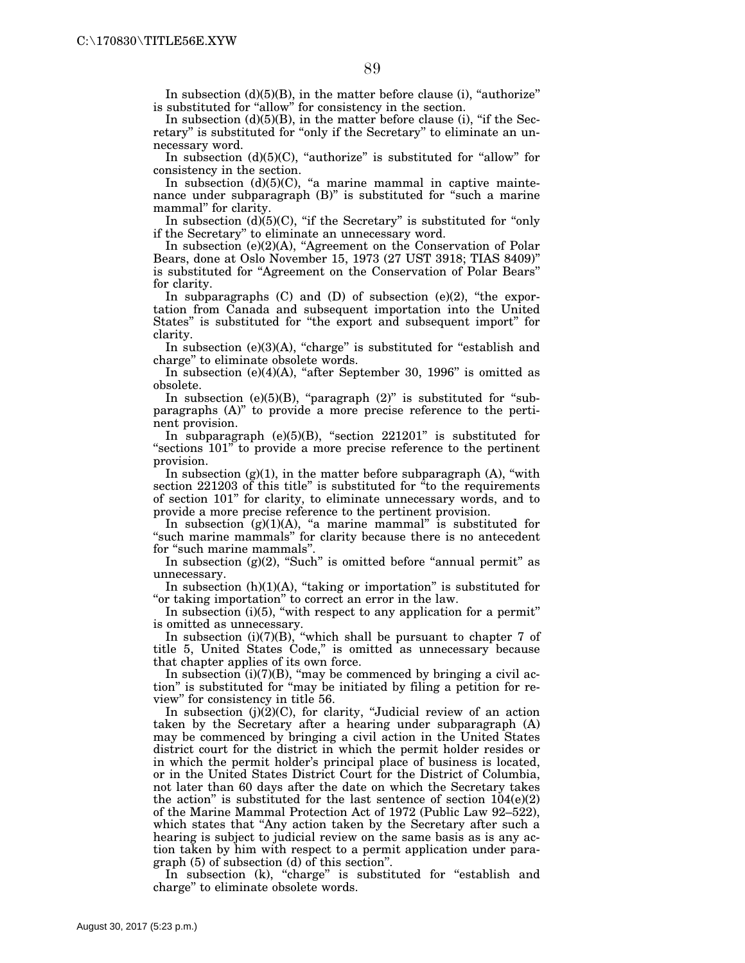In subsection  $(d)(5)(B)$ , in the matter before clause (i), "authorize" is substituted for "allow" for consistency in the section.

In subsection  $(d)(5)(B)$ , in the matter before clause (i), "if the Secretary" is substituted for "only if the Secretary" to eliminate an unnecessary word.

In subsection  $(d)(5)(C)$ , "authorize" is substituted for "allow" for consistency in the section.

In subsection  $(d)(5)(C)$ , "a marine mammal in captive maintenance under subparagraph (B)" is substituted for "such a marine mammal'' for clarity.

In subsection  $(d)(5)(C)$ , "if the Secretary" is substituted for "only" if the Secretary'' to eliminate an unnecessary word.

In subsection (e)(2)(A), ''Agreement on the Conservation of Polar Bears, done at Oslo November 15, 1973 (27 UST 3918; TIAS 8409)'' is substituted for ''Agreement on the Conservation of Polar Bears'' for clarity.

In subparagraphs  $(C)$  and  $(D)$  of subsection  $(e)(2)$ , "the exportation from Canada and subsequent importation into the United States" is substituted for "the export and subsequent import" for clarity.

In subsection  $(e)(3)(A)$ , "charge" is substituted for "establish and charge'' to eliminate obsolete words.

In subsection  $(e)(4)(A)$ , "after September 30, 1996" is omitted as obsolete.

In subsection (e) $(5)(B)$ , "paragraph  $(2)$ " is substituted for "subparagraphs (A)'' to provide a more precise reference to the pertinent provision.

In subparagraph  $(e)(5)(B)$ , "section 221201" is substituted for "sections  $101$ " to provide a more precise reference to the pertinent provision.

In subsection  $(g)(1)$ , in the matter before subparagraph  $(A)$ , "with section  $221203$  of this title" is substituted for  $\mathrm{``to}$  the requirements of section 101'' for clarity, to eliminate unnecessary words, and to provide a more precise reference to the pertinent provision.

In subsection  $(g)(1)(A)$ , "a marine mammal" is substituted for "such marine mammals" for clarity because there is no antecedent for "such marine mammals"

In subsection  $(g)(2)$ , "Such" is omitted before "annual permit" as unnecessary.

In subsection  $(h)(1)(A)$ , "taking or importation" is substituted for "or taking importation" to correct an error in the law.

In subsection (i)(5), "with respect to any application for a permit" is omitted as unnecessary.

In subsection (i)(7)(B), ''which shall be pursuant to chapter 7 of title 5, United States Code,'' is omitted as unnecessary because that chapter applies of its own force.

In subsection  $(i)(7)(B)$ , "may be commenced by bringing a civil action'' is substituted for ''may be initiated by filing a petition for review'' for consistency in title 56.

In subsection  $(j)(2)(C)$ , for clarity, "Judicial review of an action taken by the Secretary after a hearing under subparagraph (A) may be commenced by bringing a civil action in the United States district court for the district in which the permit holder resides or in which the permit holder's principal place of business is located, or in the United States District Court for the District of Columbia, not later than 60 days after the date on which the Secretary takes the action" is substituted for the last sentence of section  $104(e)(2)$ of the Marine Mammal Protection Act of 1972 (Public Law 92–522), which states that "Any action taken by the Secretary after such a hearing is subject to judicial review on the same basis as is any action taken by him with respect to a permit application under paragraph (5) of subsection (d) of this section''.

In subsection (k), "charge" is substituted for "establish and charge'' to eliminate obsolete words.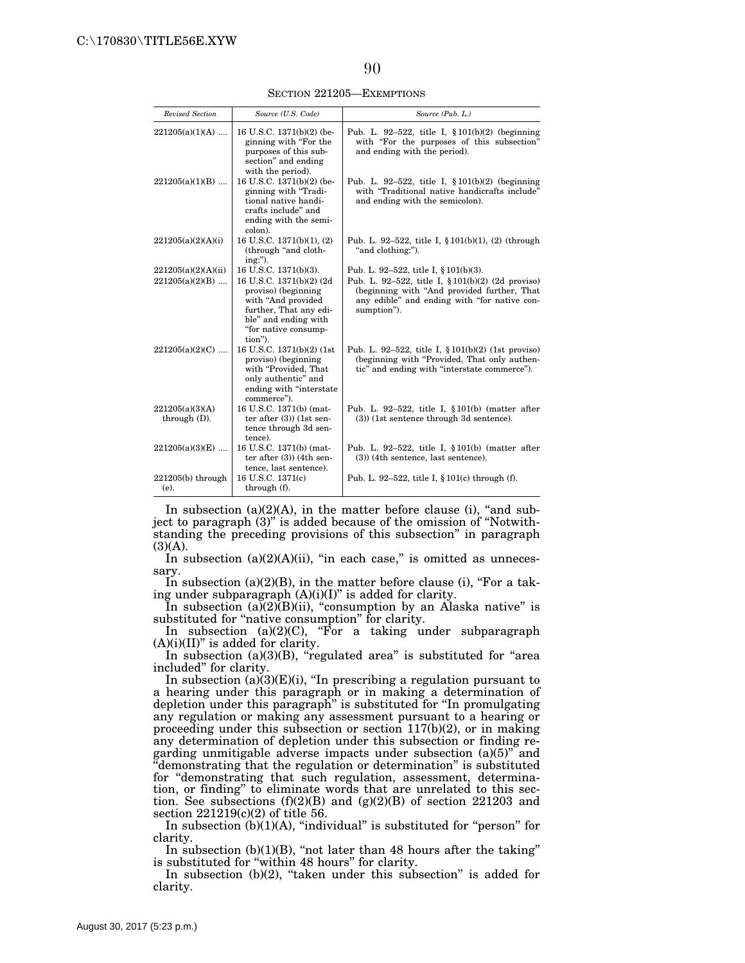SECTION 221205—EXEMPTIONS

| Revised Section                          | Source (U.S. Code)                                                                                                                                                                   | Source (Pub. L.)                                                                                                                                                                                              |
|------------------------------------------|--------------------------------------------------------------------------------------------------------------------------------------------------------------------------------------|---------------------------------------------------------------------------------------------------------------------------------------------------------------------------------------------------------------|
| $221205(a)(1)(A)$                        | 16 U.S.C. 1371(b)(2) (be-<br>ginning with "For the<br>purposes of this sub-<br>section" and ending<br>with the period).                                                              | Pub. L. 92-522, title I, §101(b)(2) (beginning<br>with "For the purposes of this subsection"<br>and ending with the period).                                                                                  |
| $221205(a)(1)(B)$                        | 16 U.S.C. 1371(b)(2) (be-<br>ginning with "Tradi-<br>tional native handi-<br>crafts include" and<br>ending with the semi-<br>colon).                                                 | Pub. L. 92-522, title I, $$101(b)(2)$ (beginning<br>with "Traditional native handicrafts include"<br>and ending with the semicolon).                                                                          |
| 221205(a)(2)(A)(i)                       | 16 U.S.C. 1371(b)(1), (2)<br>(through "and cloth-<br>$ing:$ ").                                                                                                                      | Pub. L. 92–522, title I, $\S 101(b)(1)$ , (2) (through<br>"and clothing:").                                                                                                                                   |
| 221205(a)(2)(A)(ii)<br>$221205(a)(2)(B)$ | 16 U.S.C. 1371(b)(3).<br>16 U.S.C. 1371(b)(2) (2d)<br>proviso) (beginning<br>with "And provided<br>further, That any edi-<br>ble" and ending with<br>"for native consump-<br>tion"). | Pub. L. 92-522, title I, $\S 101(b)(3)$ .<br>Pub. L. 92-522, title I, $$101(b)(2)$ (2d proviso)<br>(beginning with "And provided further, That<br>any edible" and ending with "for native con-<br>sumption"). |
| $221205(a)(2)(C)$                        | 16 U.S.C. 1371(b)(2) (1st)<br>proviso) (beginning<br>with "Provided, That<br>only authentic" and<br>ending with "interstate<br>commerce").                                           | Pub. L. 92-522, title I, $\S 101(b)(2)$ (1st proviso)<br>(beginning with "Provided, That only authen-<br>tic" and ending with "interstate commerce").                                                         |
| 221205(a)(3)(A)<br>through $(D)$ .       | 16 U.S.C. 1371(b) (mat-<br>ter after $(3)$ (1st sen-<br>tence through 3d sen-<br>tence).                                                                                             | Pub. L. 92-522, title I, $\S 101(b)$ (matter after<br>(3)) (1st sentence through 3d sentence).                                                                                                                |
| $221205(a)(3)(E)$                        | 16 U.S.C. 1371(b) (mat-<br>ter after $(3)$ ) (4th sen-<br>tence, last sentence).                                                                                                     | Pub. L. 92-522, title I, $\S 101(b)$ (matter after<br>$(3)$ ) (4th sentence, last sentence).                                                                                                                  |
| $221205(b)$ through<br>(e).              | 16 U.S.C. 1371(c)<br>through (f).                                                                                                                                                    | Pub. L. 92–522, title I, $\S 101(c)$ through (f).                                                                                                                                                             |

In subsection  $(a)(2)(A)$ , in the matter before clause (i), "and subject to paragraph (3)'' is added because of the omission of ''Notwithstanding the preceding provisions of this subsection'' in paragraph  $(3)(A)$ .

In subsection  $(a)(2)(A)(ii)$ , "in each case," is omitted as unnecessary.

In subsection  $(a)(2)(B)$ , in the matter before clause (i), "For a taking under subparagraph (A)(i)(I)" is added for clarity.

In subsection  $(a)(2)(B)(ii)$ , "consumption by an Alaska native" is substituted for "native consumption" for clarity.

In subsection  $(a)(2)(C)$ , "For a taking under subparagraph  $(A)(i)(II)$ " is added for clarity.

In subsection (a)(3)(B), "regulated area" is substituted for "area included'' for clarity.

In subsection (a)(3)(E)(i), "In prescribing a regulation pursuant to a hearing under this paragraph or in making a determination of depletion under this paragraph'' is substituted for ''In promulgating any regulation or making any assessment pursuant to a hearing or proceeding under this subsection or section 117(b)(2), or in making any determination of depletion under this subsection or finding regarding unmitigable adverse impacts under subsection (a)(5)'' and ''demonstrating that the regulation or determination'' is substituted for "demonstrating that such regulation, assessment, determination, or finding'' to eliminate words that are unrelated to this section. See subsections (f)(2)(B) and (g)(2)(B) of section 221203 and section 221219(c)(2) of title 56.

In subsection  $(b)(1)(A)$ , "individual" is substituted for "person" for clarity.

In subsection  $(b)(1)(B)$ , "not later than 48 hours after the taking" is substituted for "within 48 hours" for clarity.

In subsection  $(b)(2)$ , "taken under this subsection" is added for clarity.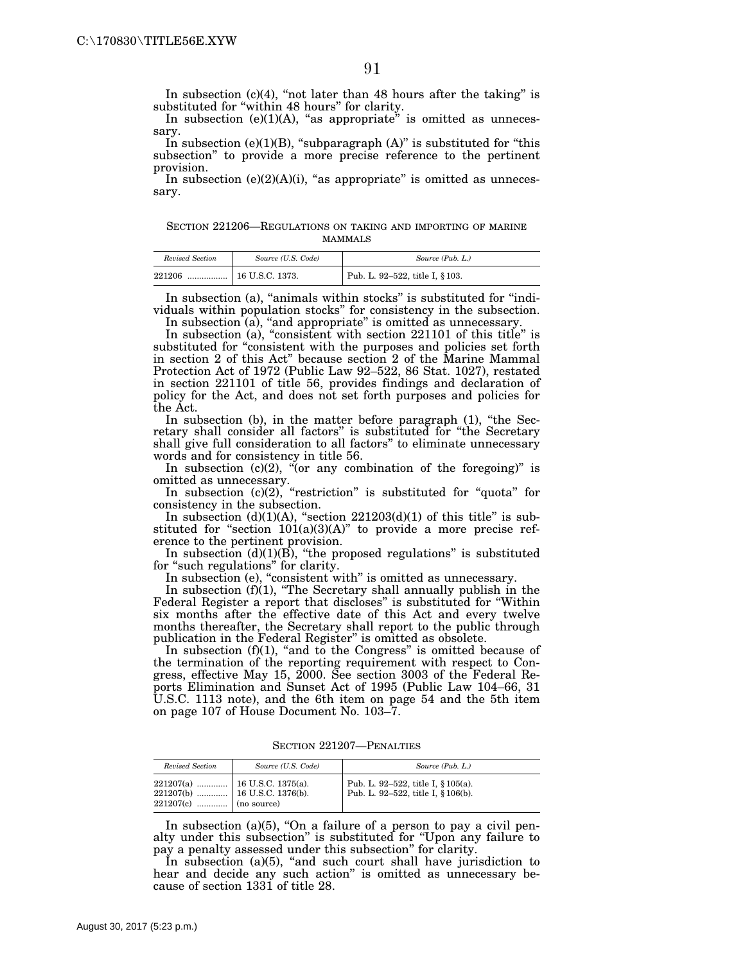In subsection  $(c)(4)$ , "not later than 48 hours after the taking" is substituted for "within 48 hours" for clarity.

In subsection  $(e)(1)(A)$ , "as appropriate" is omitted as unnecessary.

In subsection (e)(1)(B), "subparagraph  $(A)$ " is substituted for "this subsection'' to provide a more precise reference to the pertinent provision.

In subsection  $(e)(2)(A)(i)$ , "as appropriate" is omitted as unnecessary.

SECTION 221206—REGULATIONS ON TAKING AND IMPORTING OF MARINE MAMMALS

| Revised Section | Source (U.S. Code) | Source (Pub. L.)                |
|-----------------|--------------------|---------------------------------|
| 221206          |                    | Pub. L. 92-522, title I, § 103. |

In subsection (a), "animals within stocks" is substituted for "individuals within population stocks'' for consistency in the subsection.

In subsection (a), "and appropriate" is omitted as unnecessary.

In subsection (a), "consistent with section 221101 of this title" is substituted for "consistent with the purposes and policies set forth in section 2 of this Act'' because section 2 of the Marine Mammal Protection Act of 1972 (Public Law 92–522, 86 Stat. 1027), restated in section 221101 of title 56, provides findings and declaration of policy for the Act, and does not set forth purposes and policies for the Act.

In subsection (b), in the matter before paragraph (1), "the Secretary shall consider all factors'' is substituted for ''the Secretary shall give full consideration to all factors'' to eliminate unnecessary words and for consistency in title 56.

In subsection  $(c)(2)$ , "(or any combination of the foregoing)" is omitted as unnecessary.

In subsection (c)(2), "restriction" is substituted for "quota" for consistency in the subsection.

In subsection  $(d)(1)(A)$ , "section  $221203(d)(1)$  of this title" is substituted for "section  $101(a)(3)(A)$ " to provide a more precise reference to the pertinent provision.

In subsection  $(d)(1)(B)$ , "the proposed regulations" is substituted for "such regulations" for clarity.

In subsection (e), "consistent with" is omitted as unnecessary.

In subsection (f)(1), "The Secretary shall annually publish in the Federal Register a report that discloses'' is substituted for ''Within six months after the effective date of this Act and every twelve months thereafter, the Secretary shall report to the public through publication in the Federal Register'' is omitted as obsolete.

In subsection (f)(1), "and to the Congress" is omitted because of the termination of the reporting requirement with respect to Congress, effective May 15, 2000. See section 3003 of the Federal Reports Elimination and Sunset Act of 1995 (Public Law 104–66, 31 U.S.C. 1113 note), and the 6th item on page 54 and the 5th item on page 107 of House Document No. 103–7.

SECTION 221207—PENALTIES

| Revised Section         | Source (U.S. Code) | Source (Pub. L.)                                                         |
|-------------------------|--------------------|--------------------------------------------------------------------------|
| $221207(c)$ (no source) |                    | Pub. L. 92-522, title I, § 105(a).<br>Pub. L. 92-522, title I, § 106(b). |

In subsection (a)(5), "On a failure of a person to pay a civil penalty under this subsection'' is substituted for ''Upon any failure to pay a penalty assessed under this subsection'' for clarity.

In subsection  $(a)(5)$ , "and such court shall have jurisdiction to hear and decide any such action'' is omitted as unnecessary because of section 1331 of title 28.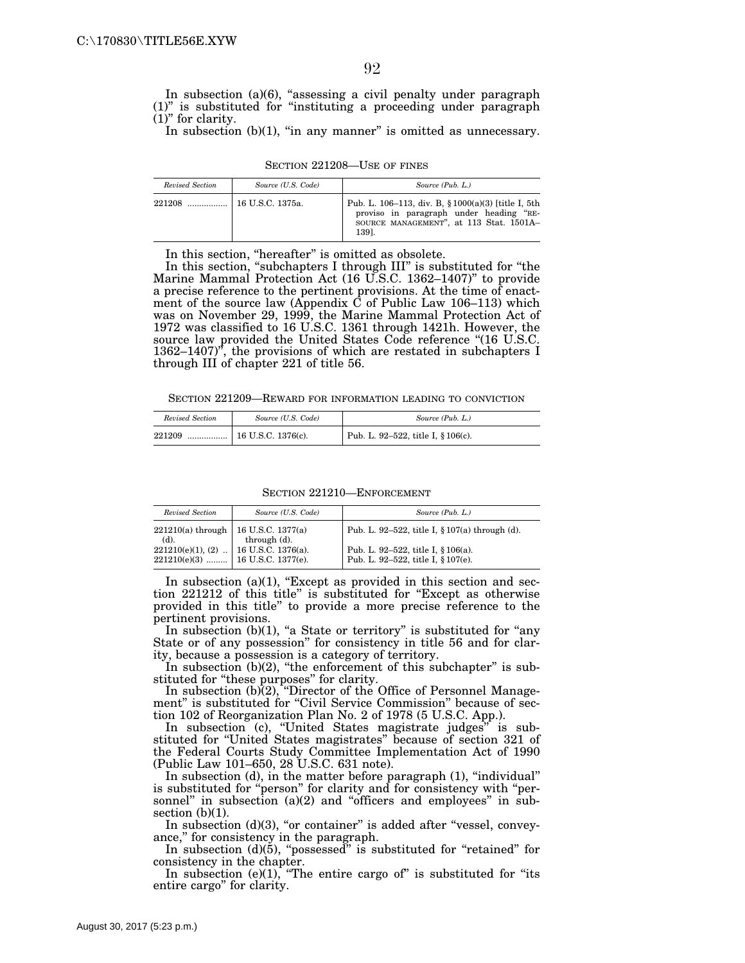In subsection (a)(6), "assessing a civil penalty under paragraph (1)'' is substituted for ''instituting a proceeding under paragraph (1)'' for clarity.

In subsection  $(b)(1)$ , "in any manner" is omitted as unnecessary.

| Revised Section | Source (U.S. Code) | Source (Pub. L.)                                                                                                                                   |
|-----------------|--------------------|----------------------------------------------------------------------------------------------------------------------------------------------------|
| 221208          | 16 U.S.C. 1375a.   | Pub. L. 106–113, div. B, § 1000(a)(3) [title I, 5th<br>proviso in paragraph under heading "RE-<br>SOURCE MANAGEMENT", at 113 Stat. 1501A-<br>1391. |

SECTION 221208—USE OF FINES

In this section, ''hereafter'' is omitted as obsolete.

In this section, "subchapters I through III" is substituted for "the Marine Mammal Protection Act (16 U.S.C. 1362–1407)'' to provide a precise reference to the pertinent provisions. At the time of enactment of the source law (Appendix  $\dot{C}$  of Public Law 106–113) which was on November 29, 1999, the Marine Mammal Protection Act of 1972 was classified to 16 U.S.C. 1361 through 1421h. However, the source law provided the United States Code reference "(16 U.S.C.  $1362-1407$ , the provisions of which are restated in subchapters I through III of chapter 221 of title 56.

SECTION 221209—REWARD FOR INFORMATION LEADING TO CONVICTION

| Revised Section | Source (U.S. Code) | Source (Pub. L.)                   |
|-----------------|--------------------|------------------------------------|
| 221209          |                    | Pub. L. 92-522, title I, § 106(c). |

SECTION 221210—ENFORCEMENT

| Revised Section                               | Source (U.S. Code)                                                                                                                    | Source (Pub. L.)                                                         |
|-----------------------------------------------|---------------------------------------------------------------------------------------------------------------------------------------|--------------------------------------------------------------------------|
| 221210(a) through   16 U.S.C. 1377(a)<br>(d). | through (d).                                                                                                                          | Pub. L. 92–522, title I, § 107(a) through (d).                           |
|                                               | $\begin{array}{c c} 221210(e)(1), (2) & . & 16 \text{ U.S.C. } 1376(a). \\ 221210(e)(3) &  & 16 \text{ U.S.C. } 1377(e). \end{array}$ | Pub. L. 92–522, title I, § 106(a).<br>Pub. L. 92-522, title I, § 107(e). |

In subsection  $(a)(1)$ , "Except as provided in this section and section 221212 of this title'' is substituted for ''Except as otherwise provided in this title'' to provide a more precise reference to the pertinent provisions.

In subsection  $(b)(1)$ , "a State or territory" is substituted for "any State or of any possession'' for consistency in title 56 and for clarity, because a possession is a category of territory.

In subsection  $(b)(2)$ , "the enforcement of this subchapter" is substituted for "these purposes" for clarity.

In subsection  $(b)(2)$ , "Director of the Office of Personnel Management" is substituted for "Civil Service Commission" because of section 102 of Reorganization Plan No. 2 of 1978 (5 U.S.C. App.).

In subsection (c), "United States magistrate judges" is substituted for ''United States magistrates'' because of section 321 of the Federal Courts Study Committee Implementation Act of 1990 (Public Law 101–650, 28 U.S.C. 631 note).

In subsection (d), in the matter before paragraph (1), ''individual'' is substituted for ''person'' for clarity and for consistency with ''personnel" in subsection (a)(2) and "officers and employees" in subsection  $(b)(1)$ .

In subsection  $(d)(3)$ , "or container" is added after "vessel, conveyance,'' for consistency in the paragraph.

In subsection  $(d)(\dot{5})$ , "possessed" is substituted for "retained" for consistency in the chapter.

In subsection  $(e)(1)$ , "The entire cargo of" is substituted for "its entire cargo'' for clarity.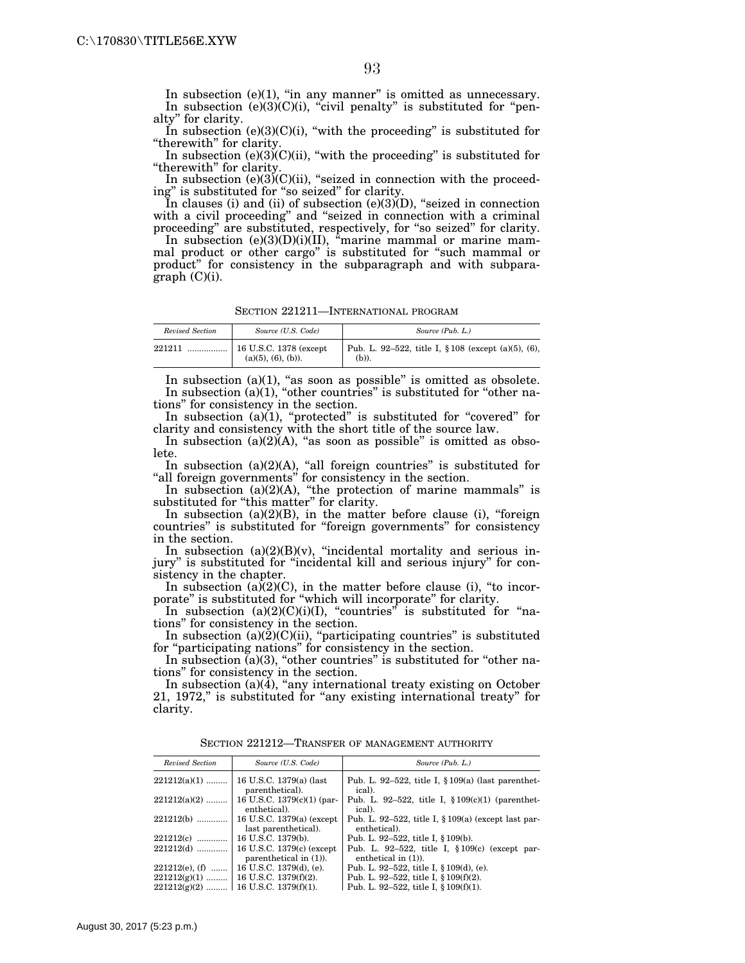In subsection (e)(1), "in any manner" is omitted as unnecessary. In subsection  $(e)(3)(C)(i)$ , "civil penalty" is substituted for "penalty'' for clarity.

In subsection  $(e)(3)(C)(i)$ , "with the proceeding" is substituted for "therewith" for clarity.

In subsection  $(e)(3)$ <sup> $(C)(ii)$ </sup>, "with the proceeding" is substituted for "therewith" for clarity.

In subsection (e) $(3)$  $(C)$  $(ii)$ , "seized in connection with the proceeding'' is substituted for ''so seized'' for clarity.

In clauses (i) and (ii) of subsection (e)(3)(D), ''seized in connection with a civil proceeding'' and ''seized in connection with a criminal proceeding'' are substituted, respectively, for ''so seized'' for clarity.

In subsection  $(e)(3)(D)(i)(II)$ , "marine mammal or marine mammal product or other cargo'' is substituted for ''such mammal or product'' for consistency in the subparagraph and with subparagraph (C)(i).

SECTION 221211—INTERNATIONAL PROGRAM

| Revised Section | Source (U.S. Code)   | Source (Pub. L.)                                                |
|-----------------|----------------------|-----------------------------------------------------------------|
| 221211          | $(a)(5), (6), (b)$ . | Pub. L. 92–522, title I, $\S 108$ (except (a)(5), (6),<br>(b)). |

In subsection  $(a)(1)$ , "as soon as possible" is omitted as obsolete. In subsection (a)(1), "other countries" is substituted for "other nations'' for consistency in the section.

In subsection (a)(1), "protected" is substituted for "covered" for clarity and consistency with the short title of the source law.

In subsection  $(a)(2)(A)$ , "as soon as possible" is omitted as obsolete.

In subsection  $(a)(2)(A)$ , "all foreign countries" is substituted for "all foreign governments" for consistency in the section.

In subsection  $(a)(2)(A)$ , "the protection of marine mammals" is substituted for "this matter" for clarity.

In subsection  $(a)(2)(B)$ , in the matter before clause (i), "foreign countries'' is substituted for ''foreign governments'' for consistency in the section.

In subsection  $(a)(2)(B)(v)$ , "incidental mortality and serious injury'' is substituted for ''incidental kill and serious injury'' for consistency in the chapter.

In subsection  $(a)(2)(C)$ , in the matter before clause (i), "to incorporate'' is substituted for ''which will incorporate'' for clarity.

In subsection  $(a)(2)(C)(i)(I)$ , "countries" is substituted for "nations'' for consistency in the section.

In subsection  $(a)(2)(C)(ii)$ , "participating countries" is substituted for "participating nations" for consistency in the section.

In subsection  $(a)(3)$ , "other countries" is substituted for "other nations'' for consistency in the section.

In subsection  $(a)(4)$ , "any international treaty existing on October 21, 1972,'' is substituted for ''any existing international treaty'' for clarity.

| Revised Section   | Source (U.S. Code)                                | Source (Pub. L.)                                                       |
|-------------------|---------------------------------------------------|------------------------------------------------------------------------|
| $221212(a)(1)$    | 16 U.S.C. 1379(a) (last<br>parenthetical).        | Pub. L. 92–522, title I, $\S 109(a)$ (last parenthet-<br>ical).        |
| $221212(a)(2)$    | 16 U.S.C. 1379(c)(1) (par-<br>enthetical).        | Pub. L. 92–522, title I, $$109(c)(1)$ (parenthet-<br>ical).            |
| $221212(b)$       | 16 U.S.C. 1379(a) (except<br>last parenthetical). | Pub. L. 92–522, title I, $\S 109(a)$ (except last par-<br>enthetical). |
| 221212(c)         | 16 U.S.C. 1379(b).                                | Pub. L. 92–522, title I, § 109(b).                                     |
| $221212(d)$       | 16 U.S.C. 1379(c) (except                         | Pub. L. 92-522, title I, $$109(c)$ (except par-                        |
|                   | parenthetical in $(1)$ ).                         | enthetical in $(1)$ ).                                                 |
| $221212(e)$ , (f) | 16 U.S.C. 1379(d), (e).                           | Pub. L. 92–522, title I, $\S 109(d)$ , (e).                            |
| $221212(g)(1)$    | 16 U.S.C. 1379(f)(2).                             | Pub. L. 92-522, title I, $§ 109(f)(2)$ .                               |
|                   | $221212(g)(2)$   16 U.S.C. 1379(f)(1).            | Pub. L. 92-522, title I, $\S 109(f)(1)$ .                              |

SECTION 221212—TRANSFER OF MANAGEMENT AUTHORITY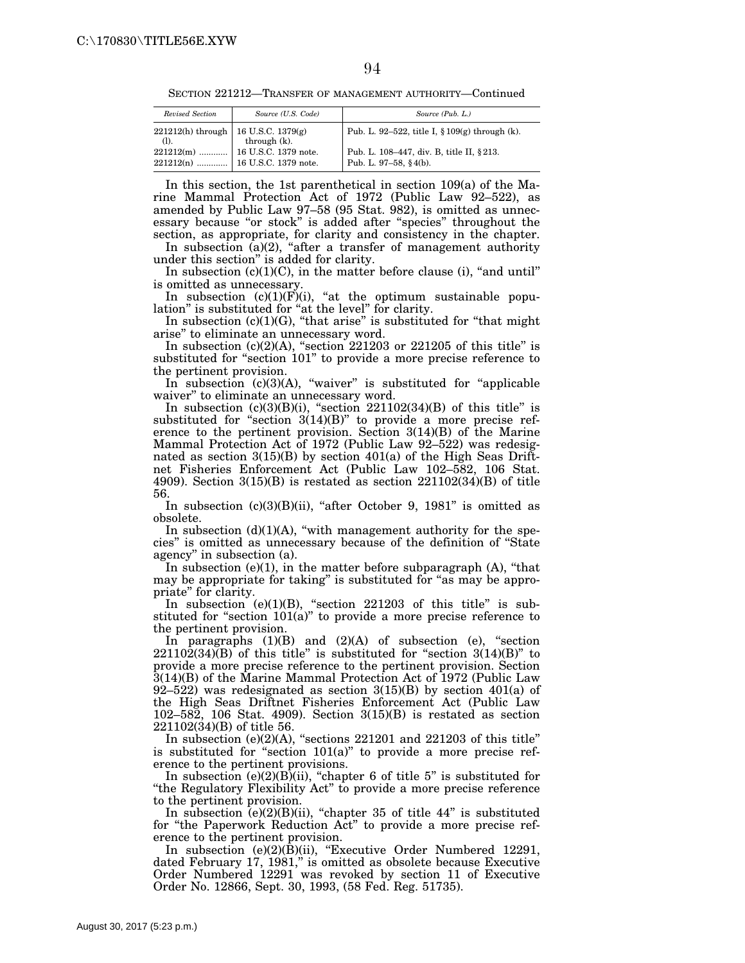SECTION 221212—TRANSFER OF MANAGEMENT AUTHORITY—Continued

| Revised Section                         | Source (U.S. Code) | Source (Pub. L.)                                                  |  |
|-----------------------------------------|--------------------|-------------------------------------------------------------------|--|
| $221212(h)$ through   16 U.S.C. 1379(g) | through (k).       | Pub. L. 92–522, title I, $\S 109(g)$ through (k).                 |  |
|                                         |                    | Pub. L. 108-447, div. B, title II, §213.<br>Pub. L. 97-58, §4(b). |  |

In this section, the 1st parenthetical in section 109(a) of the Marine Mammal Protection Act of 1972 (Public Law 92–522), as amended by Public Law 97–58 (95 Stat. 982), is omitted as unnecessary because "or stock" is added after "species" throughout the section, as appropriate, for clarity and consistency in the chapter.

In subsection (a)(2), "after a transfer of management authority under this section'' is added for clarity.

In subsection  $(c)(1)(C)$ , in the matter before clause (i), "and until" is omitted as unnecessary.

In subsection  $(c)(1)(F)(i)$ , "at the optimum sustainable population" is substituted for "at the level" for clarity.

In subsection  $(c)(1)(G)$ , "that arise" is substituted for "that might arise'' to eliminate an unnecessary word.

In subsection  $(c)(2)(A)$ , "section 221203 or 221205 of this title" is substituted for "section 101" to provide a more precise reference to the pertinent provision.

In subsection  $(c)(3)(A)$ , "waiver" is substituted for "applicable waiver'' to eliminate an unnecessary word.

In subsection  $(c)(3)(B)(i)$ , "section  $221102(34)(B)$  of this title" is substituted for "section  $3(14)(B)$ " to provide a more precise reference to the pertinent provision. Section 3(14)(B) of the Marine Mammal Protection Act of 1972 (Public Law 92–522) was redesignated as section  $3(15)(B)$  by section  $401(a)$  of the High Seas Driftnet Fisheries Enforcement Act (Public Law 102–582, 106 Stat. 4909). Section  $3(15)(B)$  is restated as section  $221102(34)(B)$  of title 56.

In subsection  $(c)(3)(B)(ii)$ , "after October 9, 1981" is omitted as obsolete.

In subsection  $(d)(1)(A)$ , "with management authority for the species'' is omitted as unnecessary because of the definition of ''State agency'' in subsection (a).

In subsection  $(e)(1)$ , in the matter before subparagraph  $(A)$ , "that may be appropriate for taking" is substituted for "as may be appropriate'' for clarity.

In subsection (e)(1)(B), "section  $221203$  of this title" is substituted for "section  $101(a)$ " to provide a more precise reference to the pertinent provision.

In paragraphs  $(1)(B)$  and  $(2)(A)$  of subsection (e), "section  $22110\overline{2}(34)\overline{(B)}$  of this title" is substituted for "section  $3(14)(B)$ " to provide a more precise reference to the pertinent provision. Section 3(14)(B) of the Marine Mammal Protection Act of 1972 (Public Law 92–522) was redesignated as section  $3(15)(B)$  by section  $401(a)$  of the High Seas Driftnet Fisheries Enforcement Act (Public Law 102–582, 106 Stat. 4909). Section 3(15)(B) is restated as section 221102(34)(B) of title 56.

In subsection (e)(2)(A), "sections  $221201$  and  $221203$  of this title" is substituted for "section 101(a)" to provide a more precise reference to the pertinent provisions.

In subsection  $(e)(2)(B)(ii)$ , "chapter 6 of title 5" is substituted for ''the Regulatory Flexibility Act'' to provide a more precise reference to the pertinent provision.

In subsection  $(e)(2)(B)(ii)$ , "chapter 35 of title 44" is substituted for ''the Paperwork Reduction Act'' to provide a more precise reference to the pertinent provision.

In subsection (e)(2)(B)(ii), "Executive Order Numbered 12291, dated February 17, 1981," is omitted as obsolete because Executive Order Numbered 12291 was revoked by section 11 of Executive Order No. 12866, Sept. 30, 1993, (58 Fed. Reg. 51735).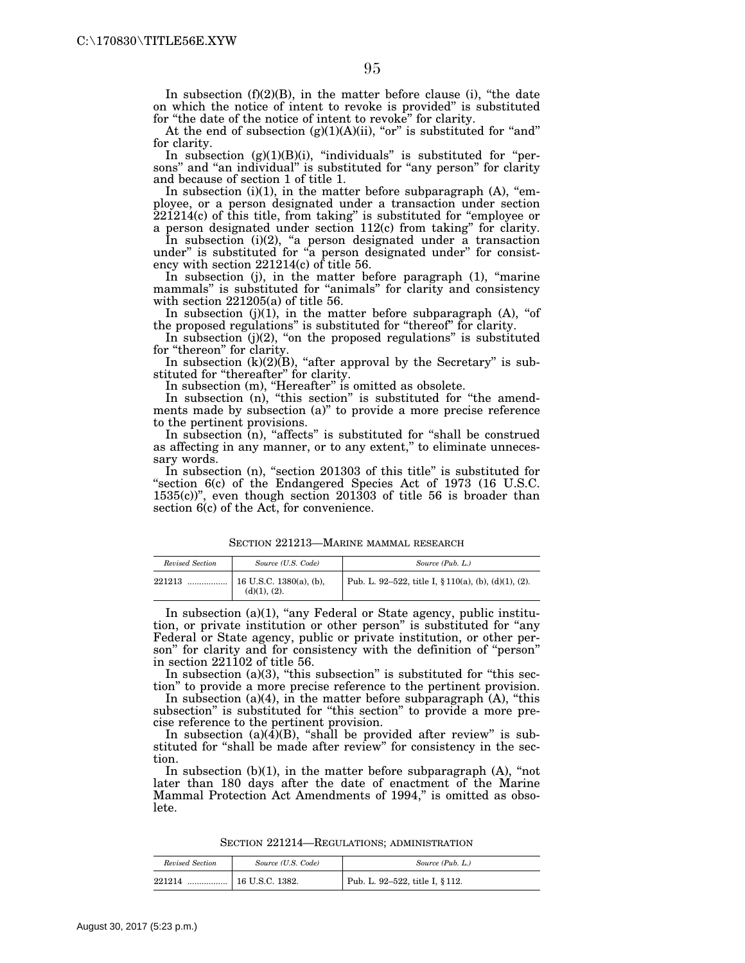In subsection  $(f)(2)(B)$ , in the matter before clause (i), "the date on which the notice of intent to revoke is provided'' is substituted for "the date of the notice of intent to revoke" for clarity.

At the end of subsection  $(g)(1)(A)(ii)$ , "or" is substituted for "and" for clarity.

In subsection  $(g)(1)(B)(i)$ , "individuals" is substituted for "persons" and "an individual" is substituted for "any person" for clarity and because of section 1 of title 1.

In subsection  $(i)(1)$ , in the matter before subparagraph  $(A)$ , "employee, or a person designated under a transaction under section 221214(c) of this title, from taking'' is substituted for ''employee or a person designated under section 112(c) from taking'' for clarity.

In subsection (i)(2), "a person designated under a transaction under" is substituted for "a person designated under" for consistency with section 221214(c) of title 56.

In subsection (j), in the matter before paragraph (1), "marine mammals" is substituted for "animals" for clarity and consistency with section 221205(a) of title 56.

In subsection  $(j)(1)$ , in the matter before subparagraph  $(A)$ , "of the proposed regulations'' is substituted for ''thereof'' for clarity.

In subsection  $(j)(2)$ , "on the proposed regulations" is substituted for "thereon" for clarity.

In subsection  $(k)(2)(B)$ , "after approval by the Secretary" is substituted for "thereafter" for clarity.

In subsection (m), "Hereafter" is omitted as obsolete.

In subsection (n), "this section" is substituted for "the amendments made by subsection (a)'' to provide a more precise reference to the pertinent provisions.

In subsection (n), "affects" is substituted for "shall be construed as affecting in any manner, or to any extent," to eliminate unnecessary words.

In subsection (n), "section 201303 of this title" is substituted for "section 6(c) of the Endangered Species Act of 1973 (16 U.S.C. 1535(c))'', even though section 201303 of title 56 is broader than section 6(c) of the Act, for convenience.

SECTION 221213—MARINE MAMMAL RESEARCH

| Revised Section | Source (U.S. Code)                      | Source (Pub. L.)                                     |
|-----------------|-----------------------------------------|------------------------------------------------------|
| 221213<br>      | 16 U.S.C. 1380(a), (b),<br>(d)(1), (2). | Pub. L. 92–522, title I, § 110(a), (b), (d)(1), (2). |

In subsection (a)(1), "any Federal or State agency, public institution, or private institution or other person'' is substituted for ''any Federal or State agency, public or private institution, or other person" for clarity and for consistency with the definition of "person" in section 221102 of title 56.

In subsection (a)(3), "this subsection" is substituted for "this section'' to provide a more precise reference to the pertinent provision.

In subsection  $(a)(4)$ , in the matter before subparagraph  $(A)$ , "this subsection" is substituted for "this section" to provide a more precise reference to the pertinent provision.

In subsection  $(a)(\overline{4})(B)$ , "shall be provided after review" is substituted for ''shall be made after review'' for consistency in the section.

In subsection  $(b)(1)$ , in the matter before subparagraph  $(A)$ , "not later than 180 days after the date of enactment of the Marine Mammal Protection Act Amendments of 1994," is omitted as obsolete.

SECTION 221214—REGULATIONS; ADMINISTRATION

| Revised Section | Source (U.S. Code) | Source (Pub. L.)                |
|-----------------|--------------------|---------------------------------|
| 221214<br>      | $16$ U.S.C. 1382.  | Pub. L. 92-522, title I, § 112. |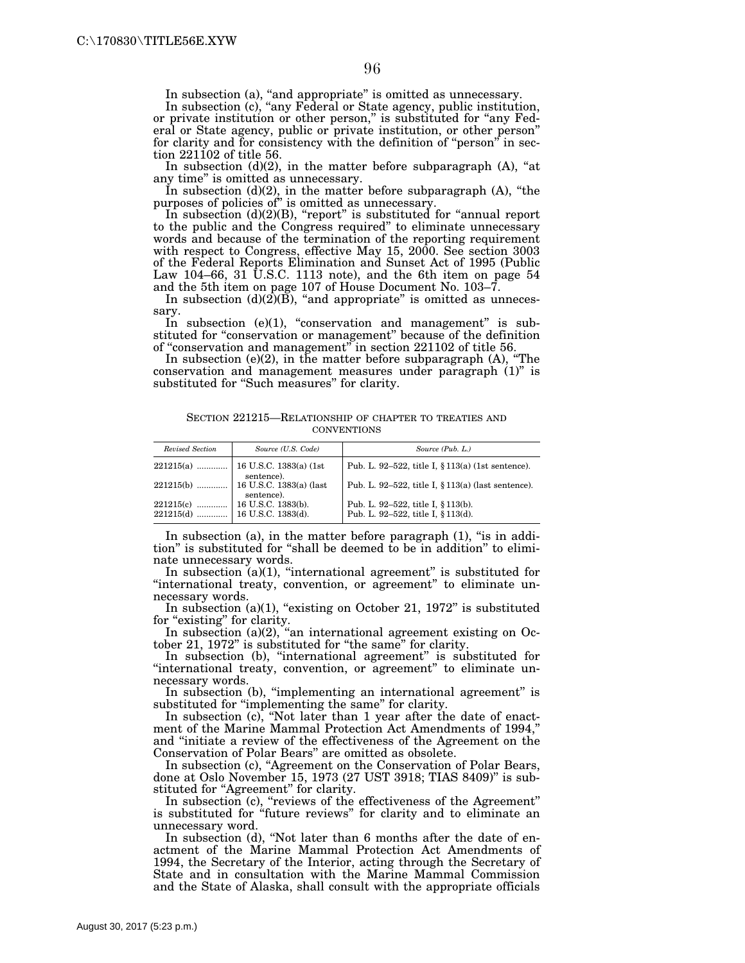In subsection (a), "and appropriate" is omitted as unnecessary.

In subsection (c), "any Federal or State agency, public institution, or private institution or other person,'' is substituted for ''any Federal or State agency, public or private institution, or other person'' for clarity and for consistency with the definition of "person" in section 221102 of title 56.

In subsection  $(d)(2)$ , in the matter before subparagraph  $(A)$ , "at any time'' is omitted as unnecessary.

In subsection  $(d)(2)$ , in the matter before subparagraph  $(A)$ , "the purposes of policies of'' is omitted as unnecessary.

In subsection  $(d)(2)(B)$ , "report" is substituted for "annual report to the public and the Congress required'' to eliminate unnecessary words and because of the termination of the reporting requirement with respect to Congress, effective May 15, 2000. See section 3003 of the Federal Reports Elimination and Sunset Act of 1995 (Public Law 104–66, 31 U.S.C. 1113 note), and the 6th item on page 54 and the 5th item on page 107 of House Document No. 103–7.

In subsection  $(d)(2)(B)$ , "and appropriate" is omitted as unnecessary.

In subsection  $(e)(1)$ , "conservation and management" is substituted for "conservation or management" because of the definition of ''conservation and management'' in section 221102 of title 56.

In subsection (e)(2), in the matter before subparagraph (A), ''The conservation and management measures under paragraph (1)'' is substituted for "Such measures" for clarity.

SECTION 221215—RELATIONSHIP OF CHAPTER TO TREATIES AND **CONVENTIONS** 

| Revised Section | Source (U.S. Code)                    | Source (Pub. L.)                                      |
|-----------------|---------------------------------------|-------------------------------------------------------|
| $221215(a)$     | 16 U.S.C. 1383(a) (1st<br>sentence).  | Pub. L. 92–522, title I, $\S 113(a)$ (1st sentence).  |
| $221215(b)$     | 16 U.S.C. 1383(a) (last<br>sentence). | Pub. L. 92-522, title I, $\S 113(a)$ (last sentence). |
| 221215(c)       | $16$ U.S.C. $1383(b)$ .               | Pub. L. 92–522, title I, § 113(b).                    |
| $221215(d)$     | 16 U.S.C. 1383(d).                    | Pub. L. 92-522, title I, § 113(d).                    |

In subsection (a), in the matter before paragraph (1), "is in addition'' is substituted for ''shall be deemed to be in addition'' to eliminate unnecessary words.

In subsection  $(a)(1)$ , "international agreement" is substituted for "international treaty, convention, or agreement" to eliminate unnecessary words.

In subsection (a)(1), "existing on October 21, 1972" is substituted for "existing" for clarity.

In subsection (a)(2), "an international agreement existing on October 21, 1972" is substituted for "the same" for clarity.

In subsection (b), "international agreement" is substituted for "international treaty, convention, or agreement" to eliminate unnecessary words.

In subsection (b), "implementing an international agreement" is substituted for "implementing the same" for clarity.

In subsection (c), "Not later than 1 year after the date of enactment of the Marine Mammal Protection Act Amendments of 1994,'' and ''initiate a review of the effectiveness of the Agreement on the Conservation of Polar Bears'' are omitted as obsolete.

In subsection (c), ''Agreement on the Conservation of Polar Bears, done at Oslo November 15, 1973 (27 UST 3918; TIAS 8409)'' is substituted for "Agreement" for clarity.

In subsection (c), "reviews of the effectiveness of the Agreement" is substituted for ''future reviews'' for clarity and to eliminate an unnecessary word.

In subsection (d), "Not later than 6 months after the date of enactment of the Marine Mammal Protection Act Amendments of 1994, the Secretary of the Interior, acting through the Secretary of State and in consultation with the Marine Mammal Commission and the State of Alaska, shall consult with the appropriate officials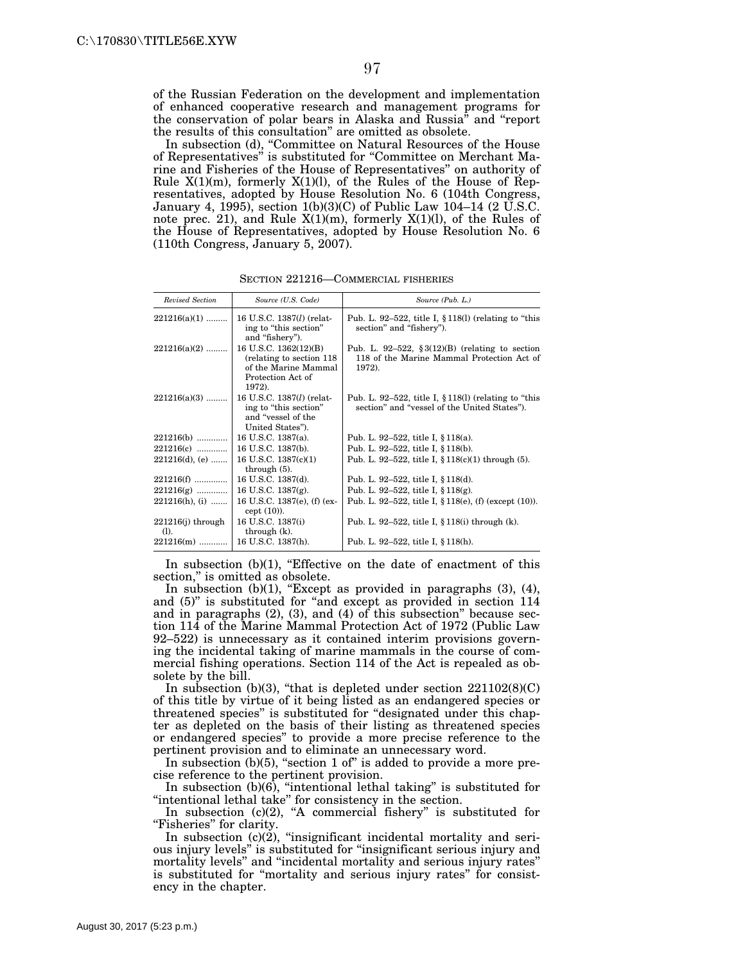of the Russian Federation on the development and implementation of enhanced cooperative research and management programs for the conservation of polar bears in Alaska and Russia'' and ''report the results of this consultation'' are omitted as obsolete.

In subsection (d), ''Committee on Natural Resources of the House of Representatives'' is substituted for ''Committee on Merchant Marine and Fisheries of the House of Representatives'' on authority of Rule  $X(1)(m)$ , formerly  $X(1)(l)$ , of the Rules of the House of Representatives, adopted by House Resolution No. 6 (104th Congress, January 4, 1995), section 1(b)(3)(C) of Public Law 104–14 (2  $\overline{U}$ .S.C. note prec. 21), and Rule X(1)(m), formerly X(1)(l), of the Rules of the House of Representatives, adopted by House Resolution No. 6 (110th Congress, January 5, 2007).

| <b>Revised Section</b>         | Source (U.S. Code)                                                                                        | Source (Pub. L.)                                                                                           |
|--------------------------------|-----------------------------------------------------------------------------------------------------------|------------------------------------------------------------------------------------------------------------|
| $221216(a)(1)$                 | 16 U.S.C. 1387(l) (relat-<br>ing to "this section"<br>and "fishery").                                     | Pub. L. 92–522, title I, $\S 118(1)$ (relating to "this<br>section" and "fishery").                        |
| $221216(a)(2)$                 | 16 U.S.C. 1362(12)(B)<br>(relating to section 118)<br>of the Marine Mammal<br>Protection Act of<br>1972). | Pub. L. 92-522, $\S 3(12)(B)$ (relating to section<br>118 of the Marine Mammal Protection Act of<br>1972). |
| $221216(a)(3)$                 | 16 U.S.C. 1387( <i>l</i> ) (relat-<br>ing to "this section"<br>and "vessel of the<br>United States").     | Pub. L. 92–522, title I, $\S 118(1)$ (relating to "this<br>section" and "vessel of the United States").    |
| 221216(b)                      | 16 U.S.C. 1387(a).                                                                                        | Pub. L. 92–522, title I, § 118(a).                                                                         |
| 221216(c)                      | 16 U.S.C. 1387(b).                                                                                        | Pub. L. 92–522, title I, § 118(b).                                                                         |
| $221216(d)$ , (e)              | 16 U.S.C. 1387(c)(1)<br>through $(5)$ .                                                                   | Pub. L. 92-522, title I, $\S 118(c)(1)$ through (5).                                                       |
| 221216(f)                      | 16 U.S.C. 1387(d).                                                                                        | Pub. L. 92–522, title I, § 118(d).                                                                         |
| $221216(g)$                    | 16 U.S.C. $1387(g)$ .                                                                                     | Pub. L. 92-522, title I, $§ 118(g)$ .                                                                      |
| $221216(h), (i)$               | 16 U.S.C. 1387(e), (f) (ex-<br>cept $(10)$ ).                                                             | Pub. L. 92–522, title I, § 118(e), (f) (except $(10)$ ).                                                   |
| $221216(j)$ through<br>$(1)$ . | 16 U.S.C. 1387(i)<br>through $(k)$ .                                                                      | Pub. L. 92-522, title I, § 118(i) through (k).                                                             |
| $221216(m)$                    | 16 U.S.C. 1387(h).                                                                                        | Pub. L. 92–522, title I, § 118(h).                                                                         |

SECTION 221216—COMMERCIAL FISHERIES

In subsection  $(b)(1)$ , "Effective on the date of enactment of this section," is omitted as obsolete.

In subsection  $(b)(1)$ , "Except as provided in paragraphs  $(3)$ ,  $(4)$ , and (5)" is substituted for "and except as provided in section 114 and in paragraphs (2), (3), and (4) of this subsection'' because section 114 of the Marine Mammal Protection Act of 1972 (Public Law 92–522) is unnecessary as it contained interim provisions governing the incidental taking of marine mammals in the course of commercial fishing operations. Section 114 of the Act is repealed as obsolete by the bill.

In subsection (b)(3), "that is depleted under section  $221102(8)(C)$ of this title by virtue of it being listed as an endangered species or threatened species'' is substituted for ''designated under this chapter as depleted on the basis of their listing as threatened species or endangered species'' to provide a more precise reference to the pertinent provision and to eliminate an unnecessary word.

In subsection  $(b)(5)$ , "section 1 of" is added to provide a more precise reference to the pertinent provision.

In subsection  $(b)(6)$ , "intentional lethal taking" is substituted for "intentional lethal take" for consistency in the section.

In subsection (c)(2), "A commercial fishery" is substituted for "Fisheries" for clarity.

In subsection  $(c)(2)$ , "insignificant incidental mortality and serious injury levels'' is substituted for ''insignificant serious injury and mortality levels'' and ''incidental mortality and serious injury rates'' is substituted for ''mortality and serious injury rates'' for consistency in the chapter.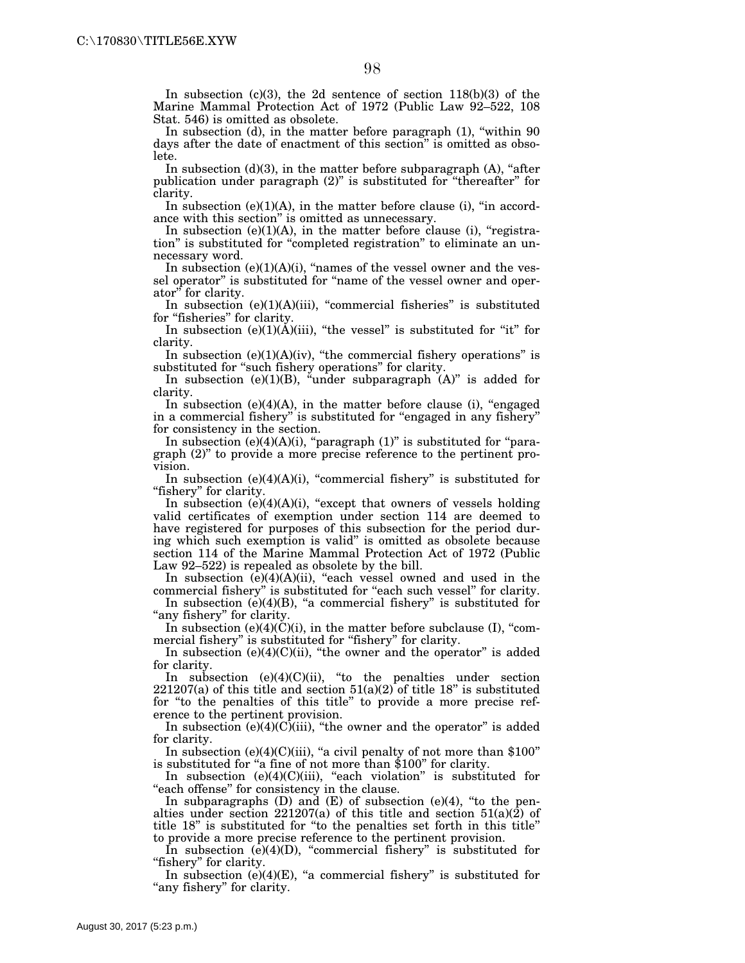In subsection (c)(3), the 2d sentence of section 118(b)(3) of the Marine Mammal Protection Act of 1972 (Public Law 92–522, 108 Stat. 546) is omitted as obsolete.

In subsection (d), in the matter before paragraph (1), "within 90 days after the date of enactment of this section'' is omitted as obsolete.

In subsection  $(d)(3)$ , in the matter before subparagraph  $(A)$ , "after publication under paragraph (2)'' is substituted for ''thereafter'' for clarity.

In subsection  $(e)(1)(A)$ , in the matter before clause (i), "in accordance with this section'' is omitted as unnecessary.

In subsection  $(e)(1)(A)$ , in the matter before clause (i), "registration'' is substituted for ''completed registration'' to eliminate an unnecessary word.

In subsection  $(e)(1)(A)(i)$ , "names of the vessel owner and the vessel operator" is substituted for "name of the vessel owner and operator'' for clarity.

In subsection  $(e)(1)(A)(iii)$ , "commercial fisheries" is substituted for "fisheries" for clarity.

In subsection  $(e)(1)(\tilde{A})(iii)$ , "the vessel" is substituted for "it" for clarity.

In subsection  $(e)(1)(A)(iv)$ , "the commercial fishery operations" is substituted for "such fishery operations" for clarity.

In subsection (e)(1)(B), "under subparagraph  $(A)$ " is added for clarity.

In subsection (e)(4)(A), in the matter before clause (i), "engaged in a commercial fishery'' is substituted for ''engaged in any fishery'' for consistency in the section.

In subsection  $(e)(4)(A)(i)$ , "paragraph  $(1)$ " is substituted for "paragraph (2)'' to provide a more precise reference to the pertinent provision.

In subsection  $(e)(4)(A)(i)$ , "commercial fishery" is substituted for "fishery" for clarity.

In subsection  $(e)(4)(A)(i)$ , "except that owners of vessels holding valid certificates of exemption under section 114 are deemed to have registered for purposes of this subsection for the period during which such exemption is valid'' is omitted as obsolete because section 114 of the Marine Mammal Protection Act of 1972 (Public Law 92–522) is repealed as obsolete by the bill.

In subsection  $(e)(4)(A)(ii)$ , "each vessel owned and used in the commercial fishery" is substituted for "each such vessel" for clarity.

In subsection  $(e)(4)(B)$ , "a commercial fishery" is substituted for "any fishery" for clarity.

In subsection  $(e)(4)(C)(i)$ , in the matter before subclause (I), "commercial fishery" is substituted for "fishery" for clarity.

In subsection  $(e)(4)(C)(ii)$ , "the owner and the operator" is added for clarity.

In subsection  $(e)(4)(C)(ii)$ , "to the penalties under section  $221207(a)$  of this title and section  $51(a)(2)$  of title 18" is substituted for ''to the penalties of this title'' to provide a more precise reference to the pertinent provision.

In subsection  $(e)(4)(C)(iii)$ , "the owner and the operator" is added for clarity.

In subsection  $(e)(4)(C)(iii)$ , "a civil penalty of not more than \$100" is substituted for "a fine of not more than \$100" for clarity.

In subsection (e)(4)(C)(iii), "each violation" is substituted for "each offense" for consistency in the clause.

In subparagraphs  $(D)$  and  $(E)$  of subsection  $(e)(4)$ , "to the penalties under section  $221207(a)$  of this title and section  $51(a)(2)$  of title 18'' is substituted for ''to the penalties set forth in this title'' to provide a more precise reference to the pertinent provision.

In subsection  $(e)(4)(D)$ , "commercial fishery" is substituted for "fishery" for clarity.

In subsection  $(e)(4)(E)$ , "a commercial fishery" is substituted for "any fishery" for clarity.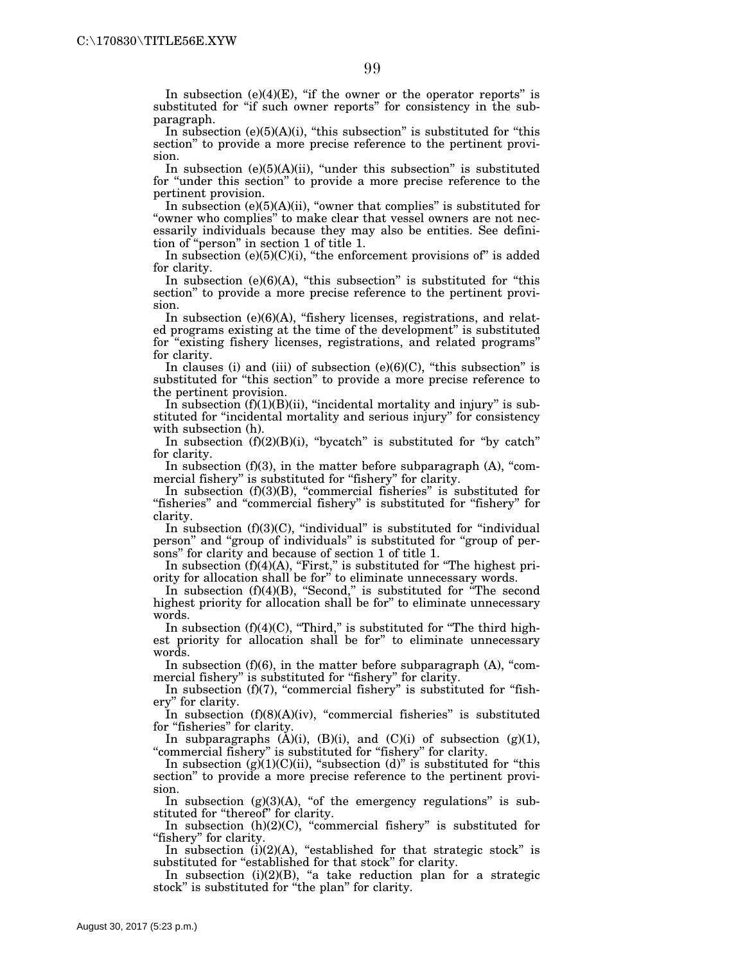In subsection  $(e)(4)(E)$ , "if the owner or the operator reports" is substituted for "if such owner reports" for consistency in the subparagraph.

In subsection  $(e)(5)(A)(i)$ , "this subsection" is substituted for "this section'' to provide a more precise reference to the pertinent provision.

In subsection  $(e)(5)(A)(ii)$ , "under this subsection" is substituted for "under this section" to provide a more precise reference to the pertinent provision.

In subsection  $(e)(5)(A)(ii)$ , "owner that complies" is substituted for "owner who complies" to make clear that vessel owners are not necessarily individuals because they may also be entities. See definition of ''person'' in section 1 of title 1.

In subsection  $(e)(5)(C)(i)$ , "the enforcement provisions of" is added for clarity.

In subsection  $(e)(6)(A)$ , "this subsection" is substituted for "this section'' to provide a more precise reference to the pertinent provision.

In subsection  $(e)(6)(A)$ , "fishery licenses, registrations, and related programs existing at the time of the development'' is substituted for ''existing fishery licenses, registrations, and related programs'' for clarity.

In clauses (i) and (iii) of subsection (e) $(6)(C)$ , "this subsection" is substituted for "this section" to provide a more precise reference to the pertinent provision.

In subsection  $(f)(1)(B)(ii)$ , "incidental mortality and injury" is substituted for ''incidental mortality and serious injury'' for consistency with subsection (h).

In subsection  $(f)(2)(B)(i)$ , "bycatch" is substituted for "by catch" for clarity.

In subsection  $(f)(3)$ , in the matter before subparagraph  $(A)$ , "commercial fishery" is substituted for "fishery" for clarity.

In subsection  $(f)(3)(B)$ , "commercial fisheries" is substituted for "fisheries" and "commercial fishery" is substituted for "fishery" for clarity.

In subsection  $(f)(3)(C)$ , "individual" is substituted for "individual" person'' and ''group of individuals'' is substituted for ''group of persons'' for clarity and because of section 1 of title 1.

In subsection  $(f)(4)(A)$ , "First," is substituted for "The highest priority for allocation shall be for'' to eliminate unnecessary words.

In subsection (f)(4)(B), "Second," is substituted for "The second highest priority for allocation shall be for'' to eliminate unnecessary words.

In subsection  $(f)(4)(C)$ , "Third," is substituted for "The third highest priority for allocation shall be for'' to eliminate unnecessary words.

In subsection  $(f)(6)$ , in the matter before subparagraph  $(A)$ , "commercial fishery" is substituted for "fishery" for clarity.

In subsection  $(f)(7)$ , "commercial fishery" is substituted for "fishery'' for clarity.

In subsection  $(f)(8)(A)(iv)$ , "commercial fisheries" is substituted for "fisheries" for clarity.

In subparagraphs  $(A)(i)$ ,  $(B)(i)$ , and  $(C)(i)$  of subsection  $(g)(1)$ , "commercial fishery" is substituted for "fishery" for clarity.

In subsection (g) $(1)(C)(ii)$ , "subsection (d)" is substituted for "this section'' to provide a more precise reference to the pertinent provision.

In subsection  $(g)(3)(A)$ , "of the emergency regulations" is substituted for "thereof" for clarity.

In subsection  $(h)(2)(C)$ , "commercial fishery" is substituted for "fishery" for clarity.

In subsection  $(i)(2)(A)$ , "established for that strategic stock" is substituted for "established for that stock" for clarity.

In subsection  $(i)(2)(B)$ , "a take reduction plan for a strategic stock" is substituted for "the plan" for clarity.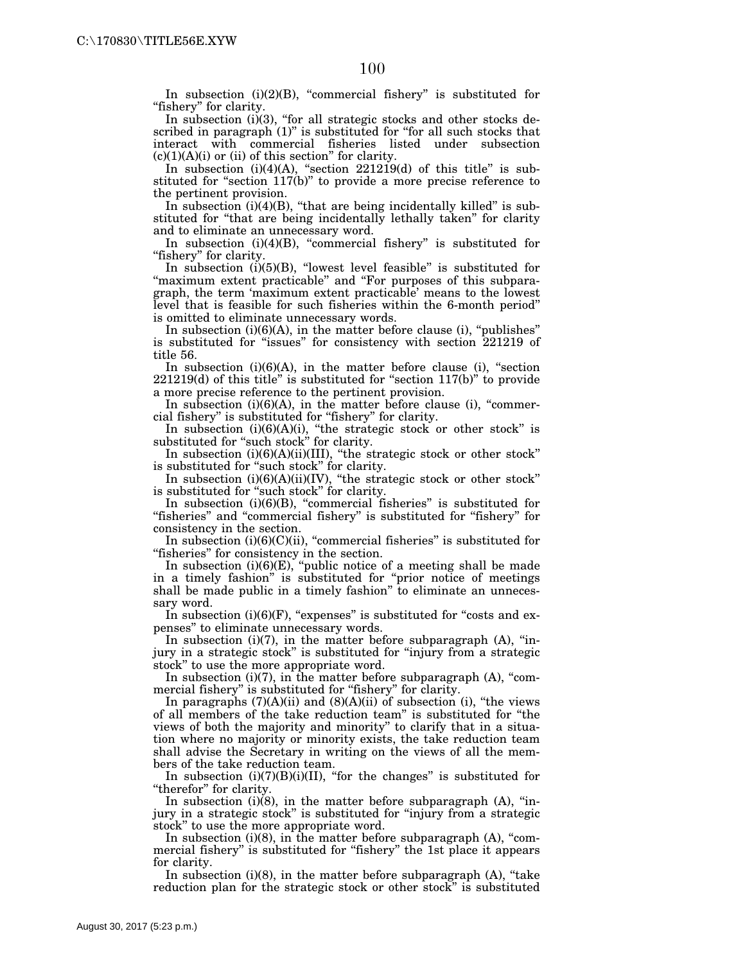In subsection  $(i)(2)(B)$ , "commercial fishery" is substituted for "fishery" for clarity.

In subsection  $(i)(3)$ , "for all strategic stocks and other stocks described in paragraph (1)" is substituted for "for all such stocks that interact with commercial fisheries listed under subsection  $(c)(1)(A)(i)$  or (ii) of this section" for clarity.

In subsection  $(i)(4)(A)$ , "section  $221219(d)$  of this title" is substituted for "section 117(b)" to provide a more precise reference to the pertinent provision.

In subsection  $(i)(4)(B)$ , "that are being incidentally killed" is substituted for ''that are being incidentally lethally taken'' for clarity and to eliminate an unnecessary word.

In subsection (i)(4)(B), ''commercial fishery'' is substituted for "fishery" for clarity.

In subsection  $(i)(5)(B)$ , "lowest level feasible" is substituted for "maximum extent practicable" and "For purposes of this subparagraph, the term 'maximum extent practicable' means to the lowest level that is feasible for such fisheries within the 6-month period'' is omitted to eliminate unnecessary words.

In subsection  $(i)(6)(A)$ , in the matter before clause  $(i)$ , "publishes" is substituted for ''issues'' for consistency with section 221219 of title 56.

In subsection  $(i)(6)(A)$ , in the matter before clause  $(i)$ , "section 221219(d) of this title'' is substituted for ''section 117(b)'' to provide a more precise reference to the pertinent provision.

In subsection (i)(6)(A), in the matter before clause (i), "commercial fishery'' is substituted for ''fishery'' for clarity.

In subsection (i)(6)(A)(i), "the strategic stock or other stock" is substituted for "such stock" for clarity.

In subsection (i)(6)(A)(ii)(III), ''the strategic stock or other stock'' is substituted for "such stock" for clarity.

In subsection  $(i)(6)(A)(ii)(IV)$ , "the strategic stock or other stock" is substituted for ''such stock'' for clarity.

In subsection  $(i)(6)(B)$ , "commercial fisheries" is substituted for "fisheries" and "commercial fishery" is substituted for "fishery" for consistency in the section.

In subsection  $(i)(6)(C)(ii)$ , "commercial fisheries" is substituted for ''fisheries'' for consistency in the section.

In subsection  $(i)(6)(E)$ , "public notice of a meeting shall be made in a timely fashion'' is substituted for ''prior notice of meetings shall be made public in a timely fashion'' to eliminate an unnecessary word.

In subsection  $(i)(6)(F)$ , "expenses" is substituted for "costs and expenses'' to eliminate unnecessary words.

In subsection  $(i)(7)$ , in the matter before subparagraph  $(A)$ , "injury in a strategic stock'' is substituted for ''injury from a strategic stock'' to use the more appropriate word.

In subsection  $(i)(7)$ , in the matter before subparagraph  $(A)$ , "commercial fishery" is substituted for "fishery" for clarity.

In paragraphs  $(7)(A)(ii)$  and  $(8)(A)(ii)$  of subsection (i), "the views of all members of the take reduction team'' is substituted for ''the views of both the majority and minority'' to clarify that in a situation where no majority or minority exists, the take reduction team shall advise the Secretary in writing on the views of all the members of the take reduction team.

In subsection  $(i)(7)(B)(i)(II)$ , "for the changes" is substituted for "therefor" for clarity.

In subsection (i)(8), in the matter before subparagraph (A), "injury in a strategic stock'' is substituted for ''injury from a strategic stock'' to use the more appropriate word.

In subsection  $(i)(8)$ , in the matter before subparagraph  $(A)$ , "commercial fishery" is substituted for "fishery" the 1st place it appears for clarity.

In subsection  $(i)(8)$ , in the matter before subparagraph  $(A)$ , "take reduction plan for the strategic stock or other stock'' is substituted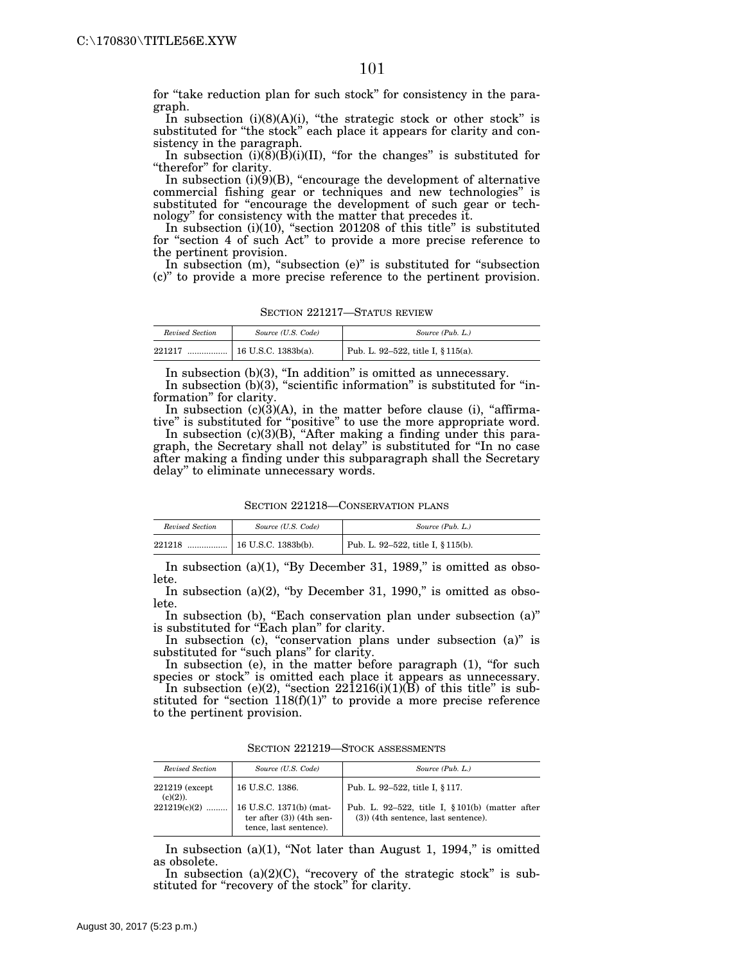for "take reduction plan for such stock" for consistency in the paragraph.

In subsection  $(i)(8)(A)(i)$ , "the strategic stock or other stock" is substituted for "the stock" each place it appears for clarity and consistency in the paragraph.

In subsection  $(i)(8)(B)(i)(II)$ , "for the changes" is substituted for "therefor" for clarity.

In subsection  $(i)(9)(B)$ , "encourage the development of alternative commercial fishing gear or techniques and new technologies'' is substituted for "encourage the development of such gear or technology'' for consistency with the matter that precedes it.

In subsection  $(i)(10)$ , "section 201208 of this title" is substituted for ''section 4 of such Act'' to provide a more precise reference to the pertinent provision.

In subsection (m), "subsection (e)" is substituted for "subsection (c)'' to provide a more precise reference to the pertinent provision.

| SECTION 221217-STATUS REVIEW |  |
|------------------------------|--|
|                              |  |

| Revised Section | Source (U.S. Code)  | Source (Pub. L.)                   |
|-----------------|---------------------|------------------------------------|
| 221217<br>      | 16 U.S.C. 1383b(a). | Pub. L. 92-522, title I, § 115(a). |

In subsection (b)(3), ''In addition'' is omitted as unnecessary.

In subsection (b)(3), "scientific information" is substituted for "information'' for clarity.

In subsection  $(c)(3)(A)$ , in the matter before clause (i), "affirmative'' is substituted for ''positive'' to use the more appropriate word.

In subsection (c)(3)(B), "After making a finding under this paragraph, the Secretary shall not delay'' is substituted for ''In no case after making a finding under this subparagraph shall the Secretary delay'' to eliminate unnecessary words.

SECTION 221218—CONSERVATION PLANS

| Revised Section | Source (U.S. Code)  | Source (Pub. L.)                   |
|-----------------|---------------------|------------------------------------|
| 221218<br>      | 16 U.S.C. 1383b(b). | Pub. L. 92-522, title I, § 115(b). |

In subsection  $(a)(1)$ , "By December 31, 1989," is omitted as obsolete.

In subsection (a) $(2)$ , "by December 31, 1990," is omitted as obsolete.

In subsection (b), "Each conservation plan under subsection (a)" is substituted for "Each plan" for clarity.

In subsection (c), "conservation plans under subsection (a)" is substituted for "such plans" for clarity.

In subsection (e), in the matter before paragraph (1), "for such species or stock'' is omitted each place it appears as unnecessary.

In subsection (e)(2), "section  $22\overline{1}216(i)(1)(\overline{B})$  of this title" is substituted for "section  $118(f)(1)$ " to provide a more precise reference to the pertinent provision.

SECTION 221219—STOCK ASSESSMENTS

| Revised Section                 | Source (U.S. Code)                                                             | Source (Pub. L.)                                                                             |
|---------------------------------|--------------------------------------------------------------------------------|----------------------------------------------------------------------------------------------|
| $221219$ (except<br>$(c)(2)$ ). | 16 U.S.C. 1386.                                                                | Pub. L. 92-522, title I, § 117.                                                              |
| $221219(c)(2)$                  | 16 U.S.C. 1371(b) (mat-<br>ter after $(3)$ (4th sen-<br>tence, last sentence). | Pub. L. 92-522, title I, $\S 101(b)$ (matter after<br>$(3)$ ) (4th sentence, last sentence). |

In subsection  $(a)(1)$ , "Not later than August 1, 1994," is omitted as obsolete.

In subsection  $(a)(2)(C)$ , "recovery of the strategic stock" is substituted for "recovery of the stock" for clarity.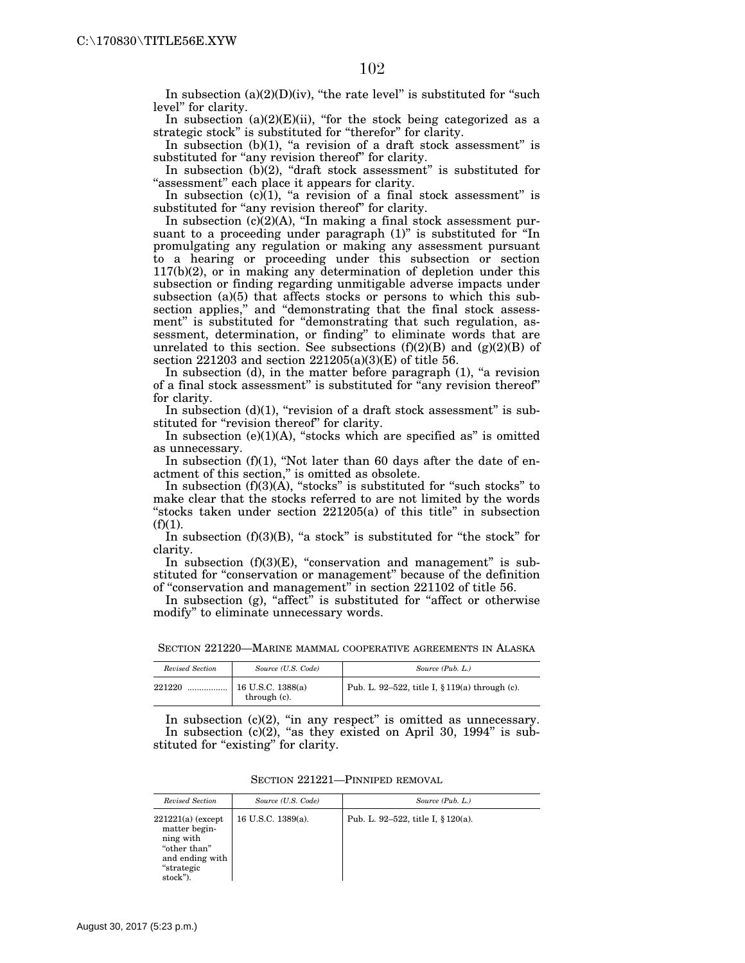In subsection  $(a)(2)(D)(iv)$ , "the rate level" is substituted for "such level'' for clarity.

In subsection  $(a)(2)(E)(ii)$ , "for the stock being categorized as a strategic stock" is substituted for "therefor" for clarity.

In subsection  $(b)(1)$ , "a revision of a draft stock assessment" is substituted for "any revision thereof" for clarity.

In subsection  $(b)(2)$ , "draft stock assessment" is substituted for "assessment" each place it appears for clarity.

In subsection  $(c)(1)$ , "a revision of a final stock assessment" is substituted for "any revision thereof" for clarity.

In subsection  $(c)(2)(A)$ , "In making a final stock assessment pursuant to a proceeding under paragraph  $(1)$ " is substituted for "In promulgating any regulation or making any assessment pursuant to a hearing or proceeding under this subsection or section 117(b)(2), or in making any determination of depletion under this subsection or finding regarding unmitigable adverse impacts under subsection (a)(5) that affects stocks or persons to which this subsection applies," and "demonstrating that the final stock assessment" is substituted for "demonstrating that such regulation, assessment, determination, or finding'' to eliminate words that are unrelated to this section. See subsections  $(f)(2)(B)$  and  $(g)(2)(B)$  of section 221203 and section 221205(a)(3)(E) of title 56.

In subsection  $(d)$ , in the matter before paragraph  $(1)$ , "a revision of a final stock assessment" is substituted for "any revision thereof" for clarity.

In subsection (d)(1), "revision of a draft stock assessment" is substituted for "revision thereof" for clarity.

In subsection  $(e)(1)(A)$ , "stocks which are specified as" is omitted as unnecessary.

In subsection  $(f)(1)$ , "Not later than 60 days after the date of enactment of this section,'' is omitted as obsolete.

In subsection  $(f)(3)(A)$ , "stocks" is substituted for "such stocks" to make clear that the stocks referred to are not limited by the words "stocks taken under section 221205(a) of this title" in subsection  $(f)(1)$ .

In subsection  $(f)(3)(B)$ , "a stock" is substituted for "the stock" for clarity.

In subsection  $(f)(3)(E)$ , "conservation and management" is substituted for "conservation or management" because of the definition of ''conservation and management'' in section 221102 of title 56.

In subsection (g), "affect" is substituted for "affect or otherwise modify'' to eliminate unnecessary words.

| SECTION 221220—MARINE MAMMAL COOPERATIVE AGREEMENTS IN ALASKA |  |
|---------------------------------------------------------------|--|
|---------------------------------------------------------------|--|

| Revised Section | Source (U.S. Code)                  | Source (Pub. L.)                                  |
|-----------------|-------------------------------------|---------------------------------------------------|
| 221220<br>      | $16$ U.S.C. 1388(a)<br>through (c). | Pub. L. 92–522, title I, $\S 119(a)$ through (c). |

In subsection (c)(2), "in any respect" is omitted as unnecessary. In subsection  $(c)(2)$ , "as they existed on April 30, 1994" is substituted for "existing" for clarity.

| Revised Section                                                                                                | Source (U.S. Code) | Source (Pub. L.)                   |
|----------------------------------------------------------------------------------------------------------------|--------------------|------------------------------------|
| $221221(a)$ (except<br>matter begin-<br>ning with<br>"other than"<br>and ending with<br>"strategic<br>stock"). | 16 U.S.C. 1389(a). | Pub. L. 92–522, title I, § 120(a). |

SECTION 221221—PINNIPED REMOVAL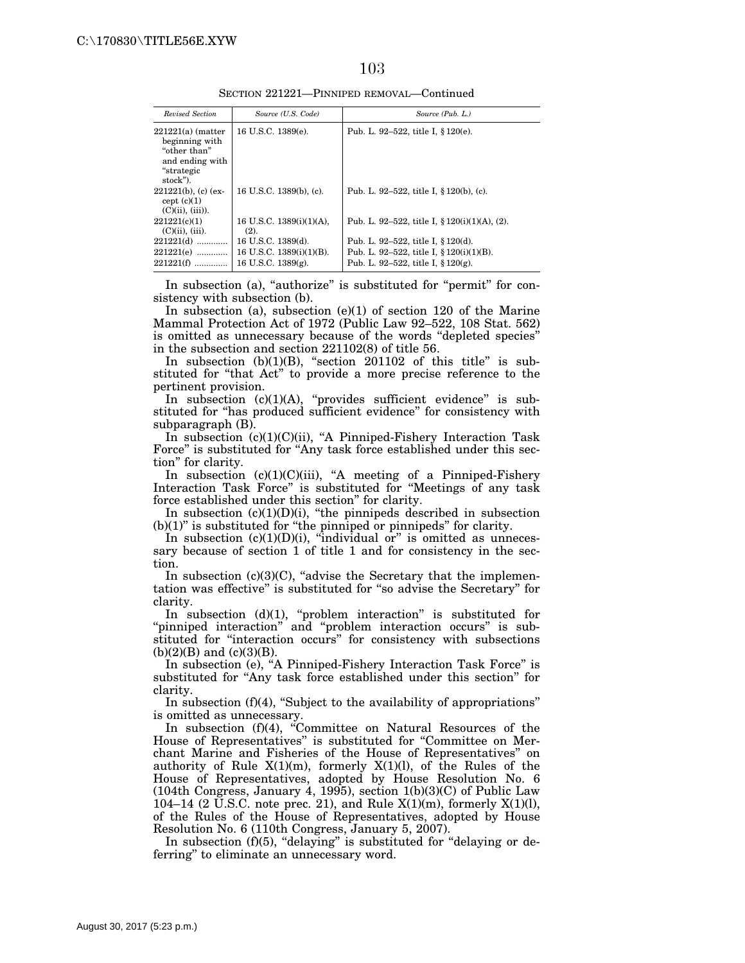#### 103

SECTION 221221—PINNIPED REMOVAL—Continued

| Source (U.S. Code)                                                      | Source (Pub. L.)                                                                                                             |
|-------------------------------------------------------------------------|------------------------------------------------------------------------------------------------------------------------------|
| 16 U.S.C. 1389(e).                                                      | Pub. L. 92–522, title I, $\S 120(e)$ .                                                                                       |
| 16 U.S.C. 1389(b), (c).                                                 | Pub. L. 92–522, title I, § 120(b), (c).                                                                                      |
| 16 U.S.C. 1389(i)(1)(A).<br>(2).                                        | Pub. L. 92–522, title I, $\S 120(i)(1)(A)$ , (2).                                                                            |
| 16 U.S.C. 1389(d).<br>16 U.S.C. 1389(i)(1)(B).<br>16 U.S.C. $1389(g)$ . | Pub. L. 92–522, title I, § 120(d).<br>Pub. L. 92–522, title I, $\S 120(i)(1)(B)$ .<br>Pub. L. 92-522, title I, $\S 120(g)$ . |
|                                                                         |                                                                                                                              |

In subsection (a), "authorize" is substituted for "permit" for consistency with subsection (b).

In subsection (a), subsection (e)(1) of section 120 of the Marine Mammal Protection Act of 1972 (Public Law 92–522, 108 Stat. 562) is omitted as unnecessary because of the words ''depleted species'' in the subsection and section 221102(8) of title 56.

In subsection  $(b)(1)(B)$ , "section 201102 of this title" is substituted for ''that Act'' to provide a more precise reference to the pertinent provision.

In subsection (c)(1)(A), "provides sufficient evidence" is substituted for "has produced sufficient evidence" for consistency with subparagraph (B).

In subsection (c)(1)(C)(ii), "A Pinniped-Fishery Interaction Task Force'' is substituted for ''Any task force established under this section'' for clarity.

In subsection (c)(1)(C)(iii), ''A meeting of a Pinniped-Fishery Interaction Task Force'' is substituted for ''Meetings of any task force established under this section'' for clarity.

In subsection (c)(1)(D)(i), ''the pinnipeds described in subsection  $(b)(1)$ " is substituted for "the pinniped or pinnipeds" for clarity.

In subsection  $(c)(1)(D)(i)$ , "individual or" is omitted as unnecessary because of section 1 of title 1 and for consistency in the section.

In subsection  $(c)(3)(C)$ , "advise the Secretary that the implementation was effective'' is substituted for ''so advise the Secretary'' for clarity.

In subsection  $(d)(1)$ , "problem interaction" is substituted for "pinniped interaction" and "problem interaction occurs" is substituted for ''interaction occurs'' for consistency with subsections  $(b)(2)(B)$  and  $(c)(3)(B)$ .

In subsection (e), "A Pinniped-Fishery Interaction Task Force" is substituted for ''Any task force established under this section'' for clarity.

In subsection (f)(4), "Subject to the availability of appropriations" is omitted as unnecessary.

In subsection  $(f)(4)$ , "Committee on Natural Resources of the House of Representatives'' is substituted for ''Committee on Merchant Marine and Fisheries of the House of Representatives'' on authority of Rule  $X(1)(m)$ , formerly  $X(1)(l)$ , of the Rules of the House of Representatives, adopted by House Resolution No. 6 (104th Congress, January 4, 1995), section 1(b)(3)(C) of Public Law 104–14 (2 U.S.C. note prec. 21), and Rule  $X(1)(m)$ , formerly  $X(1)(l)$ , of the Rules of the House of Representatives, adopted by House Resolution No. 6 (110th Congress, January 5, 2007).

In subsection (f)(5), "delaying" is substituted for "delaying or deferring'' to eliminate an unnecessary word.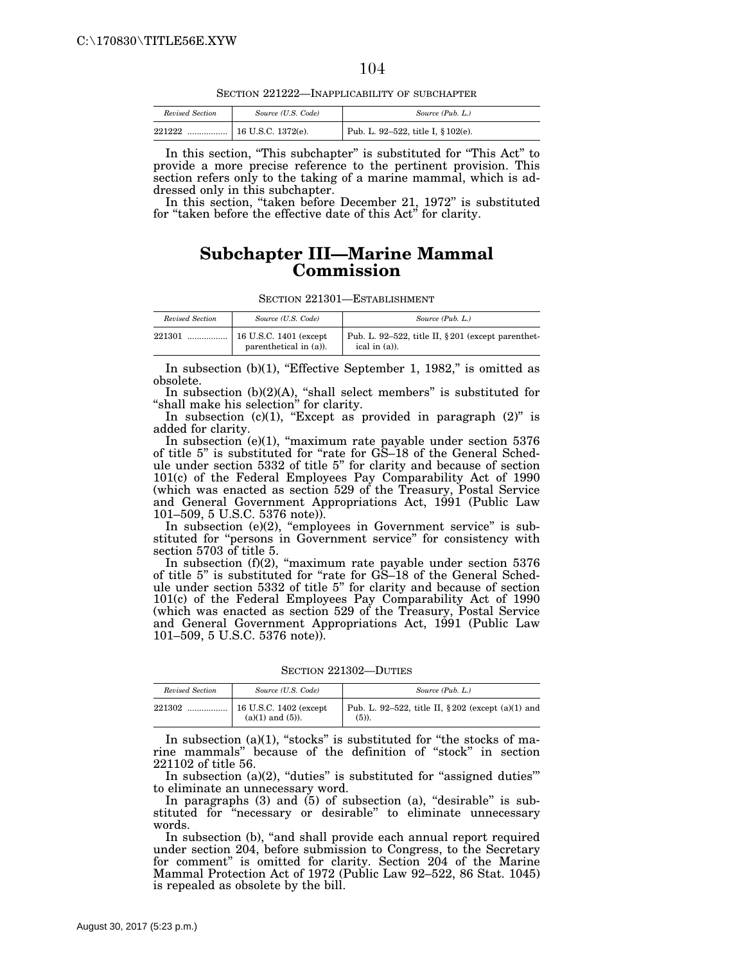SECTION 221222—INAPPLICABILITY OF SUBCHAPTER

| Revised Section | Source (U.S. Code) | Source (Pub. L.)                   |
|-----------------|--------------------|------------------------------------|
| 221222<br>      | 16 U.S.C. 1372(e). | Pub. L. 92-522, title I, § 102(e). |

In this section, ''This subchapter'' is substituted for ''This Act'' to provide a more precise reference to the pertinent provision. This section refers only to the taking of a marine mammal, which is addressed only in this subchapter.

In this section, "taken before December 21, 1972" is substituted for "taken before the effective date of this Act" for clarity.

### **Subchapter III—Marine Mammal Commission**

| SECTION 221301—ESTABLISHMENT |  |
|------------------------------|--|
|------------------------------|--|

| Revised Section | Source (U.S. Code)       | Source (Pub. L.)                                      |
|-----------------|--------------------------|-------------------------------------------------------|
| 221301          | $16$ U.S.C. 1401 (except | Pub. L. 92–522, title II, $\S 201$ (except parenthet- |
| .               | parenthetical in (a)).   | ical in $(a)$ ).                                      |

In subsection  $(b)(1)$ , "Effective September 1, 1982," is omitted as obsolete.

In subsection (b)(2)(A), ''shall select members'' is substituted for "shall make his selection" for clarity.

In subsection  $(c)(1)$ , "Except as provided in paragraph  $(2)$ " is added for clarity.

In subsection  $(e)(1)$ , "maximum rate payable under section 5376 of title 5'' is substituted for ''rate for GS–18 of the General Schedule under section 5332 of title 5'' for clarity and because of section 101(c) of the Federal Employees Pay Comparability Act of 1990 (which was enacted as section 529 of the Treasury, Postal Service and General Government Appropriations Act, 1991 (Public Law 101–509, 5 U.S.C. 5376 note)).

In subsection (e)(2), "employees in Government service" is substituted for "persons in Government service" for consistency with section 5703 of title 5.

In subsection (f)(2), "maximum rate payable under section 5376 of title 5'' is substituted for ''rate for GS–18 of the General Schedule under section 5332 of title 5'' for clarity and because of section 101(c) of the Federal Employees Pay Comparability Act of 1990 (which was enacted as section 529 of the Treasury, Postal Service and General Government Appropriations Act, 1991 (Public Law 101–509, 5 U.S.C. 5376 note)).

SECTION 221302—DUTIES

| Revised Section | Source (U.S. Code)       | Source (Pub. L.)                                      |
|-----------------|--------------------------|-------------------------------------------------------|
| 221302          | $16$ U.S.C. 1402 (except | Pub. L. 92–522, title II, $\S 202$ (except (a)(1) and |
| .               | $(a)(1)$ and $(5)$ ).    | $(5)$ ).                                              |

In subsection  $(a)(1)$ , "stocks" is substituted for "the stocks of marine mammals'' because of the definition of ''stock'' in section 221102 of title 56.

In subsection  $(a)(2)$ , "duties" is substituted for "assigned duties" to eliminate an unnecessary word.

In paragraphs  $(3)$  and  $(5)$  of subsection  $(a)$ , "desirable" is substituted for ''necessary or desirable'' to eliminate unnecessary words.

In subsection (b), "and shall provide each annual report required under section 204, before submission to Congress, to the Secretary for comment'' is omitted for clarity. Section 204 of the Marine Mammal Protection Act of 1972 (Public Law 92–522, 86 Stat. 1045) is repealed as obsolete by the bill.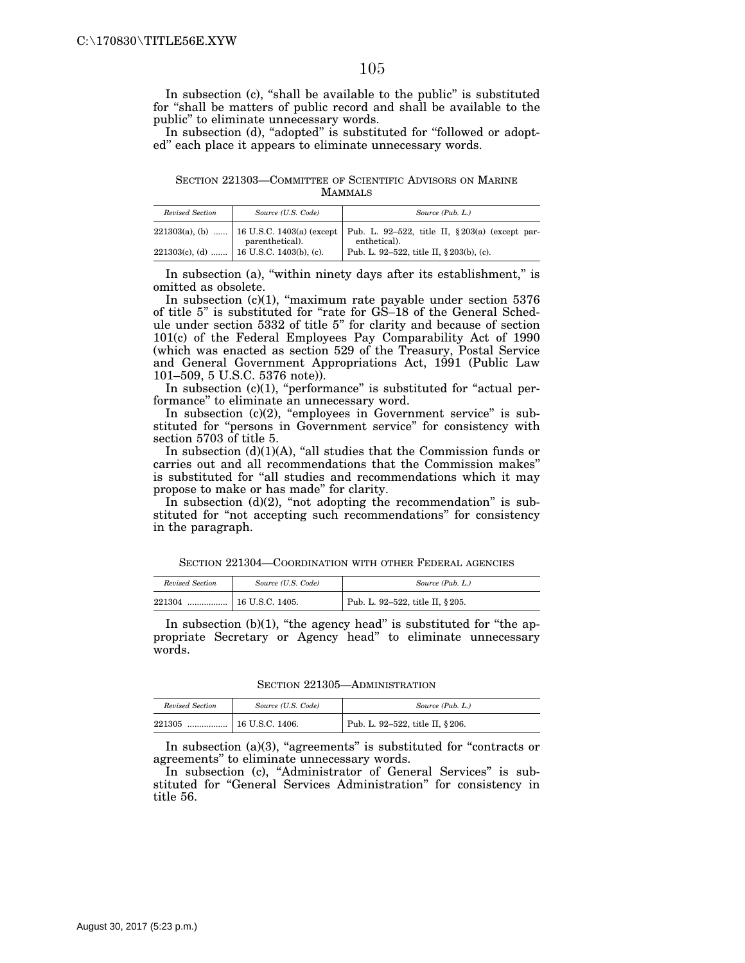In subsection (c), "shall be available to the public" is substituted for ''shall be matters of public record and shall be available to the public'' to eliminate unnecessary words.

In subsection (d), "adopted" is substituted for "followed or adopted'' each place it appears to eliminate unnecessary words.

SECTION 221303—COMMITTEE OF SCIENTIFIC ADVISORS ON MARINE **MAMMALS** 

| Revised Section | Source (U.S. Code)                            | Source (Pub. L.)                                                                                          |
|-----------------|-----------------------------------------------|-----------------------------------------------------------------------------------------------------------|
|                 | parenthetical).                               | 221303(a), (b)  16 U.S.C. 1403(a) (except Pub. L. 92-522, title II, § 203(a) (except par-<br>enthetical). |
|                 | 221303(c), (d) $\mid$ 16 U.S.C. 1403(b), (c). | Pub. L. 92-522, title II, § 203(b), (c).                                                                  |

In subsection (a), "within ninety days after its establishment," is omitted as obsolete.

In subsection (c)(1), ''maximum rate payable under section 5376 of title 5'' is substituted for ''rate for GS–18 of the General Schedule under section 5332 of title 5'' for clarity and because of section 101(c) of the Federal Employees Pay Comparability Act of 1990 (which was enacted as section 529 of the Treasury, Postal Service and General Government Appropriations Act, 1991 (Public Law 101–509, 5 U.S.C. 5376 note)).

In subsection  $(c)(1)$ , "performance" is substituted for "actual performance'' to eliminate an unnecessary word.

In subsection  $(c)(2)$ , "employees in Government service" is substituted for "persons in Government service" for consistency with section 5703 of title 5.

In subsection  $(d)(1)(A)$ , "all studies that the Commission funds or carries out and all recommendations that the Commission makes'' is substituted for "all studies and recommendations which it may propose to make or has made'' for clarity.

In subsection  $(d)(2)$ , "not adopting the recommendation" is substituted for ''not accepting such recommendations'' for consistency in the paragraph.

SECTION 221304—COORDINATION WITH OTHER FEDERAL AGENCIES

| Revised Section | Source (U.S. Code) | Source (Pub. L.)                 |
|-----------------|--------------------|----------------------------------|
|                 |                    | Pub. L. 92-522, title II, § 205. |

In subsection  $(b)(1)$ , "the agency head" is substituted for "the appropriate Secretary or Agency head'' to eliminate unnecessary words.

SECTION 221305—ADMINISTRATION

| Revised Section | Source (U.S. Code) | Source (Pub. L.)                 |
|-----------------|--------------------|----------------------------------|
| 221305          |                    | Pub. L. 92-522, title II, § 206. |

In subsection  $(a)(3)$ , "agreements" is substituted for "contracts or agreements'' to eliminate unnecessary words.

In subsection (c), "Administrator of General Services" is substituted for "General Services Administration" for consistency in title 56.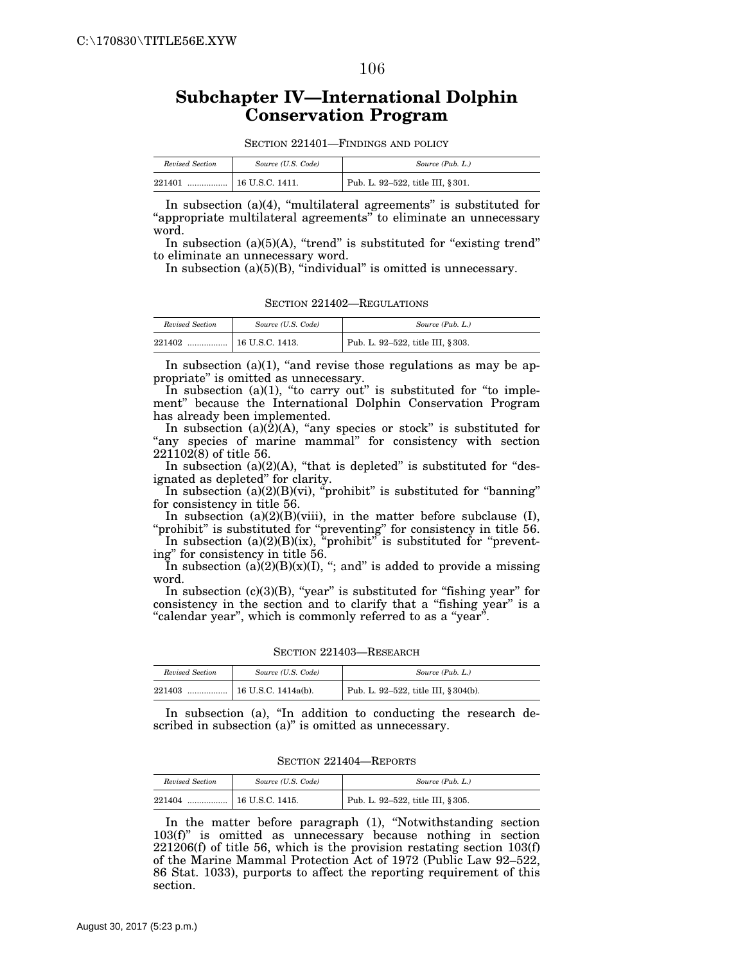#### 106

# **Subchapter IV—International Dolphin Conservation Program**

SECTION 221401—FINDINGS AND POLICY

| Revised Section | Source (U.S. Code) | Source (Pub. L.)                               |
|-----------------|--------------------|------------------------------------------------|
| 221401<br>      | 16 U.S.C. 1411.    | <sup>1</sup> Pub. L. 92-522, title III, § 301. |

In subsection (a)(4), "multilateral agreements" is substituted for "appropriate multilateral agreements" to eliminate an unnecessary word.

In subsection  $(a)(5)(A)$ , "trend" is substituted for "existing trend" to eliminate an unnecessary word.

In subsection (a)(5)(B), "individual" is omitted is unnecessary.

SECTION 221402—REGULATIONS

| Revised Section | Source (U.S. Code)    | Source (Pub. L.)                 |
|-----------------|-----------------------|----------------------------------|
| 221402<br>      | $\pm 16$ U.S.C. 1413. | Pub. L. 92-522, title III, §303. |

In subsection  $(a)(1)$ , "and revise those regulations as may be appropriate'' is omitted as unnecessary.

In subsection  $(a)(1)$ , "to carry out" is substituted for "to implement'' because the International Dolphin Conservation Program has already been implemented.

In subsection  $(a)(2)(A)$ , "any species or stock" is substituted for "any species of marine mammal" for consistency with section 221102(8) of title 56.

In subsection  $(a)(2)(A)$ , "that is depleted" is substituted for "designated as depleted'' for clarity.

In subsection  $(a)(2)(B)(vi)$ , "prohibit" is substituted for "banning" for consistency in title 56.

In subsection  $(a)(2)(B)(viii)$ , in the matter before subclause (I), "prohibit" is substituted for "preventing" for consistency in title 56.

In subsection  $(a)(2)(B)(ix)$ , "prohibit" is substituted for "preventing'' for consistency in title 56.

In subsection  $(a)(2)(B)(x)(I)$ , "; and" is added to provide a missing word.

In subsection  $(c)(3)(B)$ , "year" is substituted for "fishing year" for consistency in the section and to clarify that a ''fishing year'' is a "calendar year", which is commonly referred to as a "year".

SECTION 221403—RESEARCH

| Revised Section | Source (U.S. Code)  | Source (Pub. L.)                     |
|-----------------|---------------------|--------------------------------------|
| 221403<br>      | 16 U.S.C. 1414a(b). | Pub. L. 92-522, title III, § 304(b). |

In subsection (a), "In addition to conducting the research described in subsection (a)" is omitted as unnecessary.

SECTION 221404—REPORTS

| Revised Section | Source (U.S. Code)    | Source (Pub. L.)                  |
|-----------------|-----------------------|-----------------------------------|
| 221404          | $\pm 16$ U.S.C. 1415. | Pub. L. 92-522, title III, § 305. |

In the matter before paragraph (1), ''Notwithstanding section 103(f)'' is omitted as unnecessary because nothing in section 221206(f) of title 56, which is the provision restating section 103(f) of the Marine Mammal Protection Act of 1972 (Public Law 92–522, 86 Stat. 1033), purports to affect the reporting requirement of this section.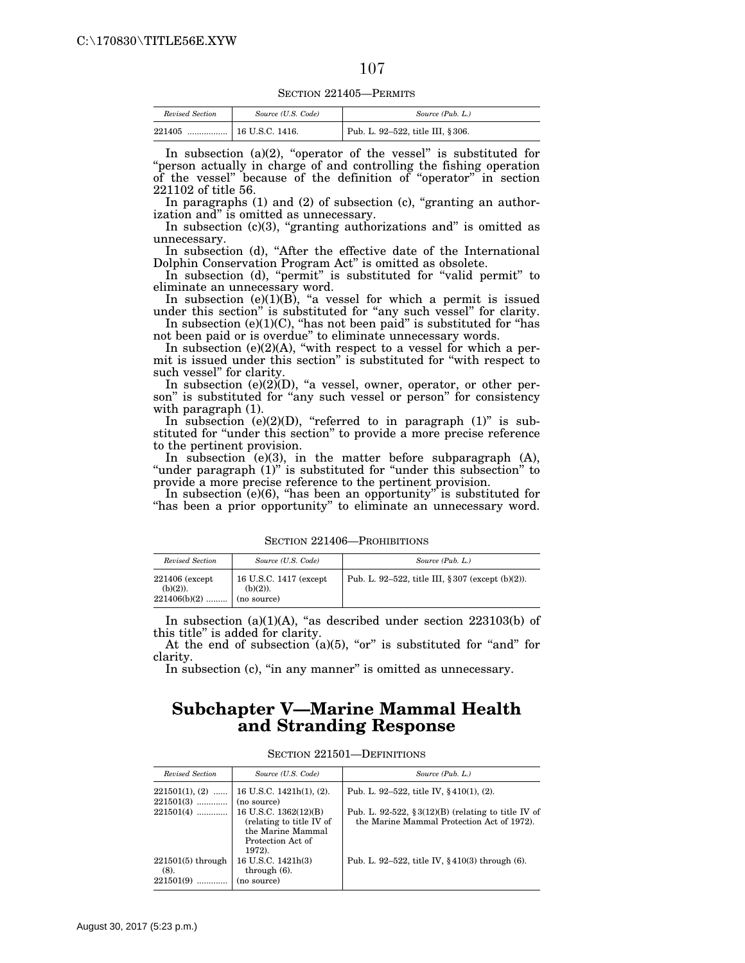SECTION 221405—PERMITS

| Revised Section | Source (U.S. Code) | Source (Pub. L.)                 |
|-----------------|--------------------|----------------------------------|
| 221405<br>      | 16 U.S.C. 1416.    | Pub. L. 92-522, title III, §306. |

In subsection (a)(2), "operator of the vessel" is substituted for ''person actually in charge of and controlling the fishing operation of the vessel'' because of the definition of ''operator'' in section 221102 of title 56.

In paragraphs  $(1)$  and  $(2)$  of subsection  $(c)$ , "granting an authorization and'' is omitted as unnecessary.

In subsection  $(c)(3)$ , "granting authorizations and" is omitted as unnecessary.

In subsection (d), "After the effective date of the International Dolphin Conservation Program Act'' is omitted as obsolete.

In subsection (d), "permit" is substituted for "valid permit" to eliminate an unnecessary word.

In subsection  $(e)(1)(B)$ , "a vessel for which a permit is issued under this section" is substituted for "any such vessel" for clarity. In subsection  $(e)(1)(C)$ , "has not been paid" is substituted for "has

not been paid or is overdue'' to eliminate unnecessary words.

In subsection  $(e)(2)(A)$ , "with respect to a vessel for which a permit is issued under this section'' is substituted for ''with respect to such vessel'' for clarity.

In subsection  $(e)(2)$  $(D)$ , "a vessel, owner, operator, or other person" is substituted for "any such vessel or person" for consistency with paragraph  $(1)$ .

In subsection  $(e)(2)(D)$ , "referred to in paragraph  $(1)$ " is substituted for "under this section" to provide a more precise reference to the pertinent provision.

In subsection  $(e)(3)$ , in the matter before subparagraph  $(A)$ , "under paragraph (1)" is substituted for "under this subsection" to provide a more precise reference to the pertinent provision.

In subsection (e)(6), ''has been an opportunity'' is substituted for "has been a prior opportunity" to eliminate an unnecessary word.

| Revised Section                                  | Source (U.S. Code)                                    | Source (Pub. L.)                                     |
|--------------------------------------------------|-------------------------------------------------------|------------------------------------------------------|
| 221406 (except)<br>$(b)(2)$ ).<br>$221406(b)(2)$ | 16 U.S.C. 1417 (except)<br>$(b)(2)$ ).<br>(no source) | Pub. L. 92–522, title III, § 307 (except $(b)(2)$ ). |

SECTION 221406—PROHIBITIONS

In subsection  $(a)(1)(A)$ , "as described under section 223103(b) of this title'' is added for clarity.

At the end of subsection  $(a)(5)$ , "or" is substituted for "and" for clarity.

In subsection (c), "in any manner" is omitted as unnecessary.

### **Subchapter V—Marine Mammal Health and Stranding Response**

| Revised Section                          | Source (U.S. Code)                                                                                    | Source (Pub. L.)                                                                                     |
|------------------------------------------|-------------------------------------------------------------------------------------------------------|------------------------------------------------------------------------------------------------------|
| $221501(1), (2)$<br>$221501(3)$          | 16 U.S.C. $1421h(1)$ , $(2)$ .<br>(no source)                                                         | Pub. L. 92–522, title IV, $§$ 410(1), (2).                                                           |
| $221501(4)$                              | 16 U.S.C. 1362(12)(B)<br>(relating to title IV of<br>the Marine Mammal<br>Protection Act of<br>1972). | Pub. L. 92-522, $\S 3(12)(B)$ (relating to title IV of<br>the Marine Mammal Protection Act of 1972). |
| $221501(5)$ through<br>(8).<br>221501(9) | 16 U.S.C. 1421h(3)<br>through $(6)$ .<br>(no source)                                                  | Pub. L. 92–522, title IV, $§$ 410(3) through (6).                                                    |

SECTION 221501—DEFINITIONS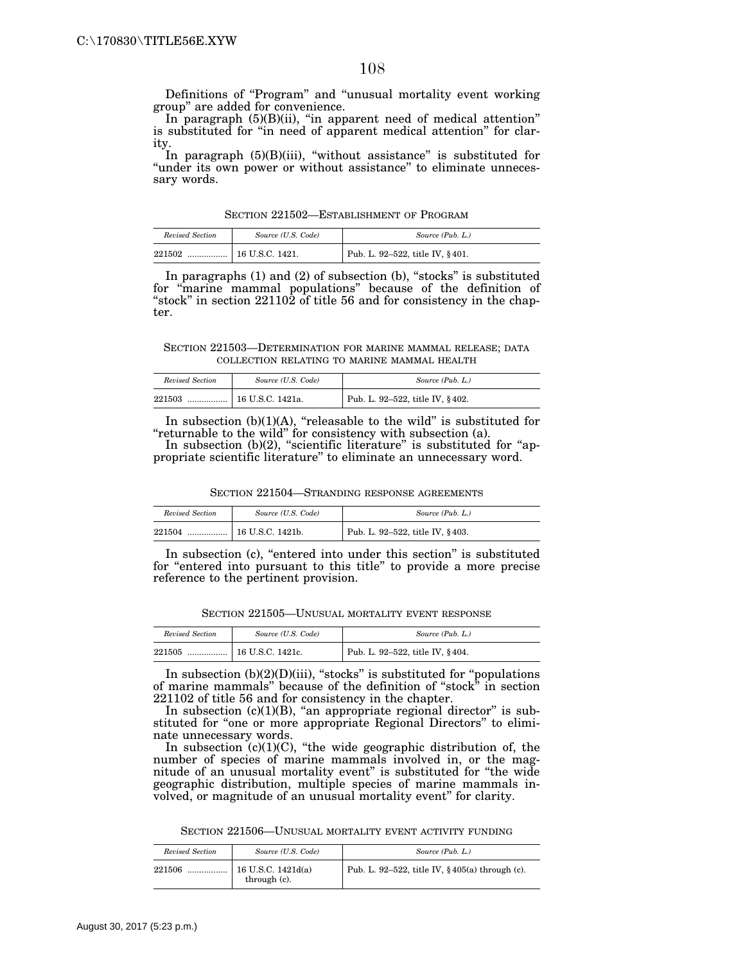Definitions of ''Program'' and ''unusual mortality event working group'' are added for convenience.

In paragraph (5)(B)(ii), ''in apparent need of medical attention'' is substituted for "in need of apparent medical attention" for clarity.

In paragraph (5)(B)(iii), "without assistance" is substituted for "under its own power or without assistance" to eliminate unnecessary words.

SECTION 221502—ESTABLISHMENT OF PROGRAM

| Revised Section | Source (U.S. Code) | Source (Pub. L.)                |
|-----------------|--------------------|---------------------------------|
| 221502<br>      | 16 U.S.C. 1421.    | Pub. L. 92-522, title IV, §401. |

In paragraphs (1) and (2) of subsection (b), "stocks" is substituted for ''marine mammal populations'' because of the definition of "stock" in section  $22110\overline{2}$  of title 56 and for consistency in the chapter.

SECTION 221503—DETERMINATION FOR MARINE MAMMAL RELEASE; DATA COLLECTION RELATING TO MARINE MAMMAL HEALTH

| Revised Section | Source (U.S. Code) | Source (Pub. L.)                |
|-----------------|--------------------|---------------------------------|
| 221503<br>      | 16 U.S.C. 1421a.   | Pub. L. 92-522, title IV, §402. |

In subsection  $(b)(1)(A)$ , "releasable to the wild" is substituted for ''returnable to the wild'' for consistency with subsection (a).

In subsection  $(b)(2)$ , "scientific literature" is substituted for "appropriate scientific literature'' to eliminate an unnecessary word.

SECTION 221504—STRANDING RESPONSE AGREEMENTS

| Revised Section | Source (U.S. Code) | Source (Pub. L.)                |
|-----------------|--------------------|---------------------------------|
| 221504<br>      | 16 U.S.C. 1421b.   | Pub. L. 92-522, title IV, §403. |

In subsection (c), "entered into under this section" is substituted for ''entered into pursuant to this title'' to provide a more precise reference to the pertinent provision.

SECTION 221505—UNUSUAL MORTALITY EVENT RESPONSE

| Revised Section | Source (U.S. Code) | Source (Pub. L.)                |
|-----------------|--------------------|---------------------------------|
| 221505          |                    | Pub. L. 92-522, title IV, §404. |

In subsection (b)(2)(D)(iii), "stocks" is substituted for "populations of marine mammals'' because of the definition of ''stock'' in section 221102 of title 56 and for consistency in the chapter.

In subsection  $(c)(1)(B)$ , "an appropriate regional director" is substituted for "one or more appropriate Regional Directors" to eliminate unnecessary words.

In subsection  $(c)(1)(C)$ , "the wide geographic distribution of, the number of species of marine mammals involved in, or the magnitude of an unusual mortality event'' is substituted for ''the wide geographic distribution, multiple species of marine mammals involved, or magnitude of an unusual mortality event'' for clarity.

SECTION 221506—UNUSUAL MORTALITY EVENT ACTIVITY FUNDING

| Revised Section | Source (U.S. Code)                   | Source (Pub. L.)                                  |
|-----------------|--------------------------------------|---------------------------------------------------|
| 221506<br>      | $16$ U.S.C. 1421d(a)<br>through (c). | Pub. L. 92-522, title IV, $§$ 405(a) through (c). |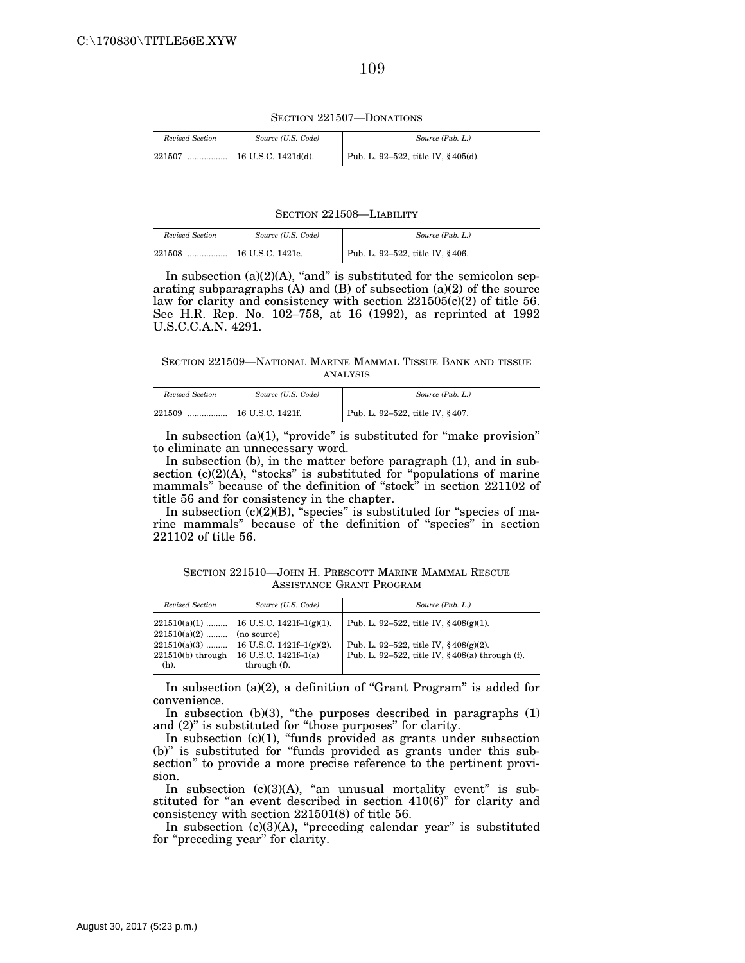SECTION 221507—DONATIONS

| Revised Section | Source (U.S. Code)          | Source (Pub. L.)                   |
|-----------------|-----------------------------|------------------------------------|
| 221507<br>      | $\perp$ 16 U.S.C. 1421d(d). | Pub. L. 92-522, title IV, §405(d). |

#### SECTION 221508—LIABILITY

| Revised Section | Source (U.S. Code) | Source (Pub. L.)                |
|-----------------|--------------------|---------------------------------|
| 221508<br>      | 16 U.S.C. 1421e.   | Pub. L. 92-522, title IV, §406. |

In subsection  $(a)(2)(A)$ , "and" is substituted for the semicolon separating subparagraphs (A) and (B) of subsection (a)(2) of the source law for clarity and consistency with section 221505(c)(2) of title 56. See H.R. Rep. No. 102–758, at 16 (1992), as reprinted at 1992 U.S.C.C.A.N. 4291.

SECTION 221509—NATIONAL MARINE MAMMAL TISSUE BANK AND TISSUE ANALYSIS

| Revised Section | Source (U.S. Code) | Source (Pub. L.)                |
|-----------------|--------------------|---------------------------------|
| 221509<br>      | 16 U.S.C. 1421f.   | Pub. L. 92-522, title IV, §407. |

In subsection (a)(1), "provide" is substituted for "make provision" to eliminate an unnecessary word.

In subsection (b), in the matter before paragraph (1), and in subsection (c)(2)(A), "stocks" is substituted for "populations of marine mammals'' because of the definition of ''stock'' in section 221102 of title 56 and for consistency in the chapter.

In subsection  $(c)(2)(B)$ , "species" is substituted for "species of marine mammals'' because of the definition of ''species'' in section 221102 of title 56.

SECTION 221510—JOHN H. PRESCOTT MARINE MAMMAL RESCUE ASSISTANCE GRANT PROGRAM

| Revised Section                       | Source (U.S. Code)                                                                                                                               | Source (Pub. L.)                                                                                                                                               |
|---------------------------------------|--------------------------------------------------------------------------------------------------------------------------------------------------|----------------------------------------------------------------------------------------------------------------------------------------------------------------|
| $221510(a)(2)$ (no source)<br>$(h)$ . | $221510(a)(1)$   16 U.S.C. 1421f-1(g)(1).<br>$221510(a)(3)$ 16 U.S.C. 1421f-1(g)(2).<br>221510(b) through   16 U.S.C. 1421f-1(a)<br>through (f). | Pub. L. 92–522, title IV, $\frac{6}{3}$ 408(g)(1).<br>Pub. L. 92–522, title IV, $\frac{6}{3}$ 408(g)(2).<br>Pub. L. 92-522, title IV, $\S 408(a)$ through (f). |

In subsection (a)(2), a definition of ''Grant Program'' is added for convenience.

In subsection  $(b)(3)$ , "the purposes described in paragraphs  $(1)$ and  $(2)$ " is substituted for "those purposes" for clarity.

In subsection (c)(1), "funds provided as grants under subsection (b)'' is substituted for ''funds provided as grants under this subsection'' to provide a more precise reference to the pertinent provision.

In subsection  $(c)(3)(A)$ , "an unusual mortality event" is substituted for "an event described in section 410(6)" for clarity and consistency with section 221501(8) of title 56.

In subsection  $(c)(3)(A)$ , "preceding calendar year" is substituted for "preceding year" for clarity.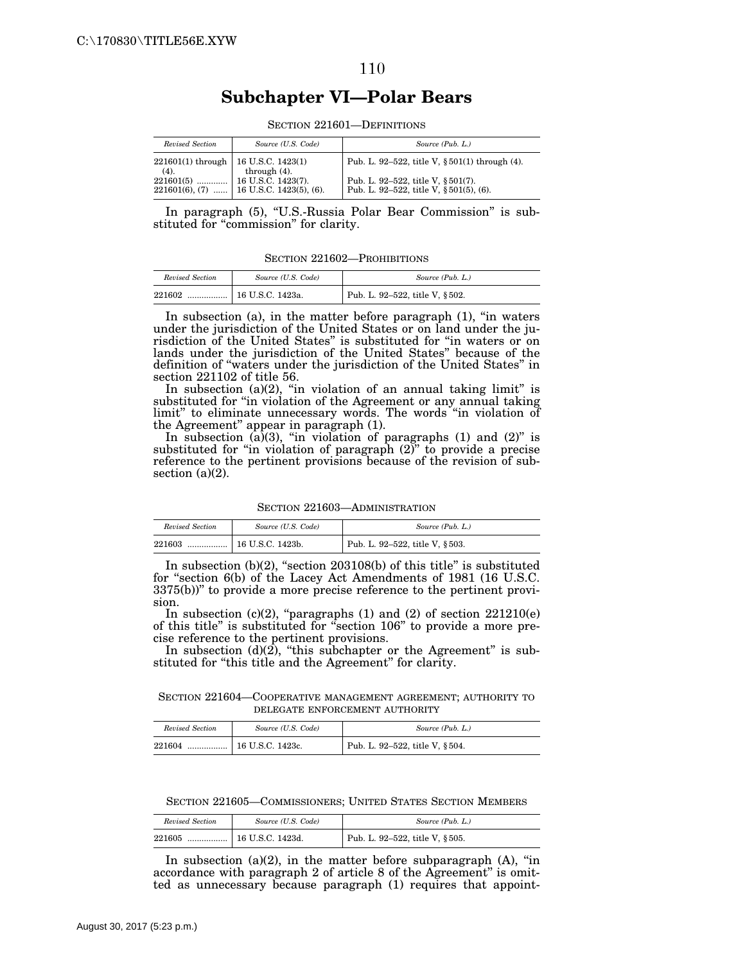#### 110

# **Subchapter VI—Polar Bears**

| Revised Section                                 | Source (U.S. Code)      | Source (Pub. L.)                                                                      |
|-------------------------------------------------|-------------------------|---------------------------------------------------------------------------------------|
| $221601(1)$ through   16 U.S.C. 1423(1)<br>(4). | through $(4)$ .         | Pub. L. 92–522, title V, $\S 501(1)$ through (4).                                     |
| $221601(6), (7)$                                | 16 U.S.C. 1423(5), (6). | Pub. L. 92–522, title V, $\S 501(7)$ .<br>Pub. L. 92–522, title V, $\S 501(5)$ , (6). |

SECTION 221601—DEFINITIONS

In paragraph (5), ''U.S.-Russia Polar Bear Commission'' is substituted for "commission" for clarity.

SECTION 221602—PROHIBITIONS

| Revised Section | Source (U.S. Code) | Source (Pub. L.)                                 |
|-----------------|--------------------|--------------------------------------------------|
| 221602<br>      | 16 U.S.C. 1423a.   | <sup>1</sup> Pub. L. 92–522, title V, $\S 502$ . |

In subsection (a), in the matter before paragraph (1), ''in waters under the jurisdiction of the United States or on land under the jurisdiction of the United States'' is substituted for ''in waters or on lands under the jurisdiction of the United States'' because of the definition of ''waters under the jurisdiction of the United States'' in section 221102 of title 56.

In subsection  $(a)(2)$ , "in violation of an annual taking limit" is substituted for ''in violation of the Agreement or any annual taking limit" to eliminate unnecessary words. The words "in violation of the Agreement'' appear in paragraph (1).

In subsection  $(a)(3)$ , "in violation of paragraphs  $(1)$  and  $(2)$ " is substituted for "in violation of paragraph  $(2)$ " to provide a precise reference to the pertinent provisions because of the revision of subsection (a)(2).

SECTION 221603—ADMINISTRATION

| Revised Section | Source (U.S. Code) | Source (Pub. L.)                               |
|-----------------|--------------------|------------------------------------------------|
| 221603<br>      | 16 U.S.C. 1423b.   | <sup>1</sup> Pub. L. 92-522, title V, $§503$ . |

In subsection (b)(2), "section 203108(b) of this title" is substituted for ''section 6(b) of the Lacey Act Amendments of 1981 (16 U.S.C. 3375(b))'' to provide a more precise reference to the pertinent provision.

In subsection (c)(2), "paragraphs (1) and (2) of section  $221210(e)$ of this title'' is substituted for ''section 106'' to provide a more precise reference to the pertinent provisions.

In subsection (d)(2), "this subchapter or the Agreement" is substituted for "this title and the Agreement" for clarity.

SECTION 221604—COOPERATIVE MANAGEMENT AGREEMENT; AUTHORITY TO DELEGATE ENFORCEMENT AUTHORITY

| Revised Section | Source (U.S. Code) | Source (Pub. L.)               |
|-----------------|--------------------|--------------------------------|
| 221604          |                    | Pub. L. 92-522, title V, §504. |

SECTION 221605—COMMISSIONERS; UNITED STATES SECTION MEMBERS

| Revised Section | Source (U.S. Code) | Source (Pub. L.)               |
|-----------------|--------------------|--------------------------------|
| 221605          |                    | Pub. L. 92-522, title V, §505. |

In subsection  $(a)(2)$ , in the matter before subparagraph  $(A)$ , "in accordance with paragraph 2 of article 8 of the Agreement'' is omitted as unnecessary because paragraph (1) requires that appoint-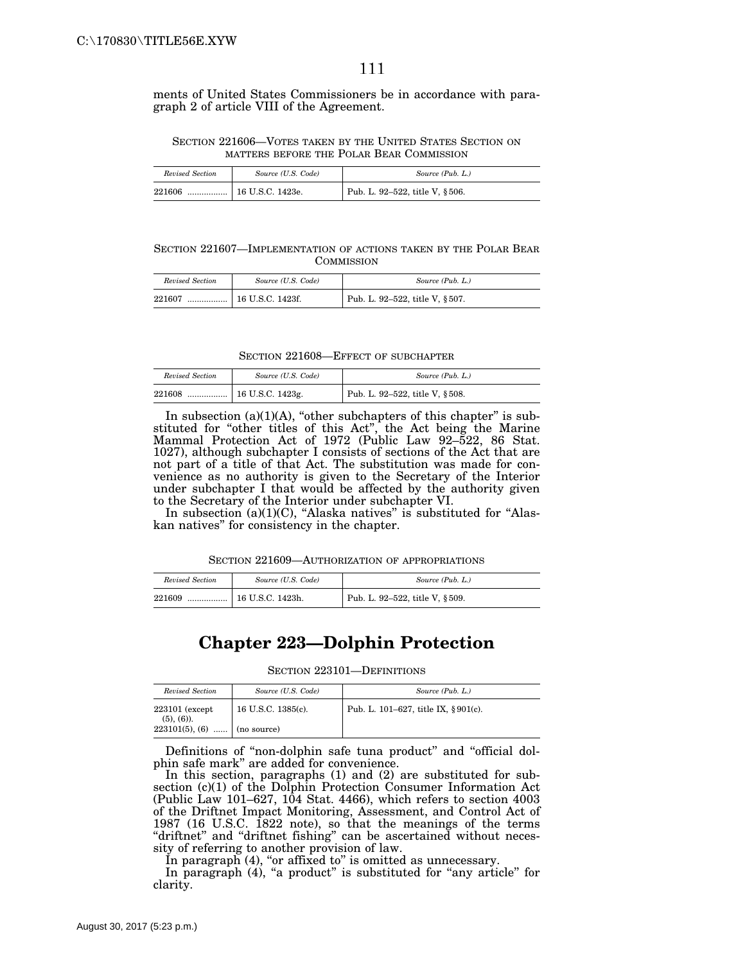ments of United States Commissioners be in accordance with paragraph 2 of article VIII of the Agreement.

#### SECTION 221606—VOTES TAKEN BY THE UNITED STATES SECTION ON MATTERS BEFORE THE POLAR BEAR COMMISSION

| Revised Section | Source (U.S. Code) | Source (Pub. L.)                            |
|-----------------|--------------------|---------------------------------------------|
| 221606<br>      | 16 U.S.C. 1423e.   | <sup>1</sup> Pub. L. 92-522, title V, §506. |

SECTION 221607—IMPLEMENTATION OF ACTIONS TAKEN BY THE POLAR BEAR **COMMISSION** 

| Revised Section | Source (U.S. Code) | Source (Pub. L.)                                 |
|-----------------|--------------------|--------------------------------------------------|
| 221607<br>      | 16 U.S.C. 1423f.   | <sup>1</sup> Pub. L. 92–522, title V, $\S 507$ . |

| <b>SECTION 221608–EFFECT OF SUBCHAPTER</b> |  |  |
|--------------------------------------------|--|--|
|--------------------------------------------|--|--|

| Revised Section | Source (U.S. Code) | Source (Pub. L.)                            |
|-----------------|--------------------|---------------------------------------------|
| 221608          |                    | <sup>1</sup> Pub. L. 92-522, title V, §508. |

In subsection (a) $(1)(A)$ , "other subchapters of this chapter" is substituted for "other titles of this Act", the Act being the Marine Mammal Protection Act of 1972 (Public Law 92–522, 86 Stat. 1027), although subchapter I consists of sections of the Act that are not part of a title of that Act. The substitution was made for convenience as no authority is given to the Secretary of the Interior under subchapter I that would be affected by the authority given to the Secretary of the Interior under subchapter VI.

In subsection (a)(1)(C), ''Alaska natives'' is substituted for ''Alaskan natives'' for consistency in the chapter.

| Revised Section | Source (U.S. Code) | Source (Pub. L.)               |
|-----------------|--------------------|--------------------------------|
| 221609<br>      | 16 U.S.C. 1423h.   | Pub. L. 92-522, title V, §509. |

# **Chapter 223—Dolphin Protection**

SECTION 223101-DEFINITIONS

| Revised Section                  | Source (U.S. Code) | Source (Pub. L.)                    |
|----------------------------------|--------------------|-------------------------------------|
| $223101$ (except<br>$(5), (6)$ . | 16 U.S.C. 1385(c). | Pub. L. 101–627, title IX, §901(c). |
| $223101(5)$ , (6)                | (no source)        |                                     |

Definitions of "non-dolphin safe tuna product" and "official dolphin safe mark'' are added for convenience.

In this section, paragraphs (1) and (2) are substituted for subsection (c)(1) of the Dolphin Protection Consumer Information Act (Public Law 101–627, 104 Stat. 4466), which refers to section 4003 of the Driftnet Impact Monitoring, Assessment, and Control Act of 1987 (16 U.S.C. 1822 note), so that the meanings of the terms "driftnet" and "driftnet fishing" can be ascertained without necessity of referring to another provision of law.

In paragraph (4), "or affixed to" is omitted as unnecessary.

In paragraph (4), "a product" is substituted for "any article" for clarity.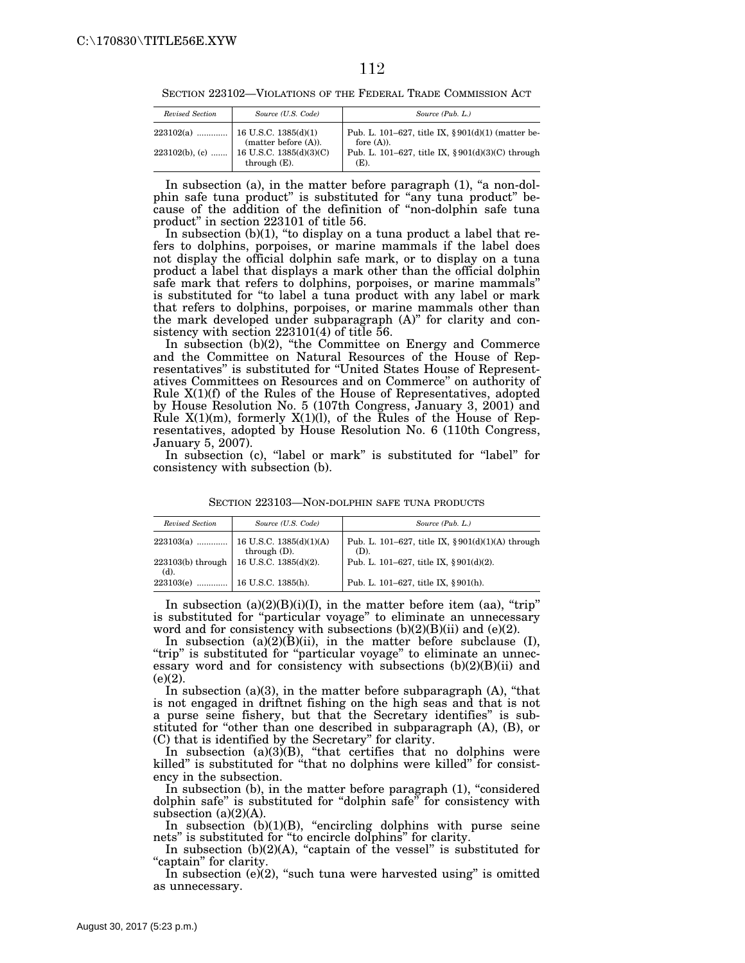SECTION 223102—VIOLATIONS OF THE FEDERAL TRADE COMMISSION ACT

| Revised Section   | Source (U.S. Code)                                                   | Source (Pub. L.)                                                                                                                       |
|-------------------|----------------------------------------------------------------------|----------------------------------------------------------------------------------------------------------------------------------------|
| $223102(b)$ , (c) | (matter before (A)).<br>  16 U.S.C. 1385(d)(3)(C)<br>through $(E)$ . | Pub. L. 101–627, title IX, $\S 901(d)(1)$ (matter be-<br>fore $(A)$ ).<br>Pub. L. 101–627, title IX, $\S 901(d)(3)(C)$ through<br>(E). |

In subsection (a), in the matter before paragraph (1), "a non-dolphin safe tuna product'' is substituted for ''any tuna product'' because of the addition of the definition of ''non-dolphin safe tuna product'' in section 223101 of title 56.

In subsection  $(b)(1)$ , "to display on a tuna product a label that refers to dolphins, porpoises, or marine mammals if the label does not display the official dolphin safe mark, or to display on a tuna product a label that displays a mark other than the official dolphin safe mark that refers to dolphins, porpoises, or marine mammals'' is substituted for ''to label a tuna product with any label or mark that refers to dolphins, porpoises, or marine mammals other than the mark developed under subparagraph (A)'' for clarity and consistency with section 223101(4) of title 56.

In subsection (b)(2), "the Committee on Energy and Commerce and the Committee on Natural Resources of the House of Representatives'' is substituted for ''United States House of Representatives Committees on Resources and on Commerce'' on authority of Rule X(1)(f) of the Rules of the House of Representatives, adopted by House Resolution No. 5 (107th Congress, January 3, 2001) and Rule  $X(1)(m)$ , formerly  $X(1)(l)$ , of the Rules of the House of Representatives, adopted by House Resolution No. 6 (110th Congress, January 5, 2007).

In subsection (c), "label or mark" is substituted for "label" for consistency with subsection (b).

| Revised Section                | Source (U.S. Code)    | Source (Pub. L.)                                             |
|--------------------------------|-----------------------|--------------------------------------------------------------|
|                                | through $(D)$ .       | Pub. L. 101–627, title IX, $\S 901(d)(1)(A)$ through<br>(D). |
| $223103(b)$ through<br>$(d)$ . | 16 U.S.C. 1385(d)(2). | Pub. L. 101–627, title IX, §901(d)(2).                       |
| 223103(e)                      | 16 U.S.C. 1385(h).    | Pub. L. 101-627, title IX, §901(h).                          |

SECTION 223103—NON-DOLPHIN SAFE TUNA PRODUCTS

In subsection  $(a)(2)(B)(i)(I)$ , in the matter before item (aa), "trip" is substituted for "particular voyage" to eliminate an unnecessary word and for consistency with subsections (b)(2)(B)(ii) and (e)(2).

In subsection  $(a)(2)(B)(ii)$ , in the matter before subclause (I), "trip" is substituted for "particular voyage" to eliminate an unnecessary word and for consistency with subsections (b)(2)(B)(ii) and  $(e)(2)$ .

In subsection  $(a)(3)$ , in the matter before subparagraph  $(A)$ , "that is not engaged in driftnet fishing on the high seas and that is not a purse seine fishery, but that the Secretary identifies'' is substituted for ''other than one described in subparagraph (A), (B), or (C) that is identified by the Secretary'' for clarity.

In subsection  $(a)(3)(B)$ , "that certifies that no dolphins were killed'' is substituted for ''that no dolphins were killed'' for consistency in the subsection.

In subsection (b), in the matter before paragraph (1), "considered dolphin safe'' is substituted for ''dolphin safe'' for consistency with subsection  $(a)(2)(A)$ .

In subsection  $(b)(1)(B)$ , "encircling dolphins with purse seine nets'' is substituted for ''to encircle dolphins'' for clarity.

In subsection  $(b)(2)(A)$ , "captain of the vessel" is substituted for ''captain'' for clarity.

In subsection  $(e)(2)$ , "such tuna were harvested using" is omitted as unnecessary.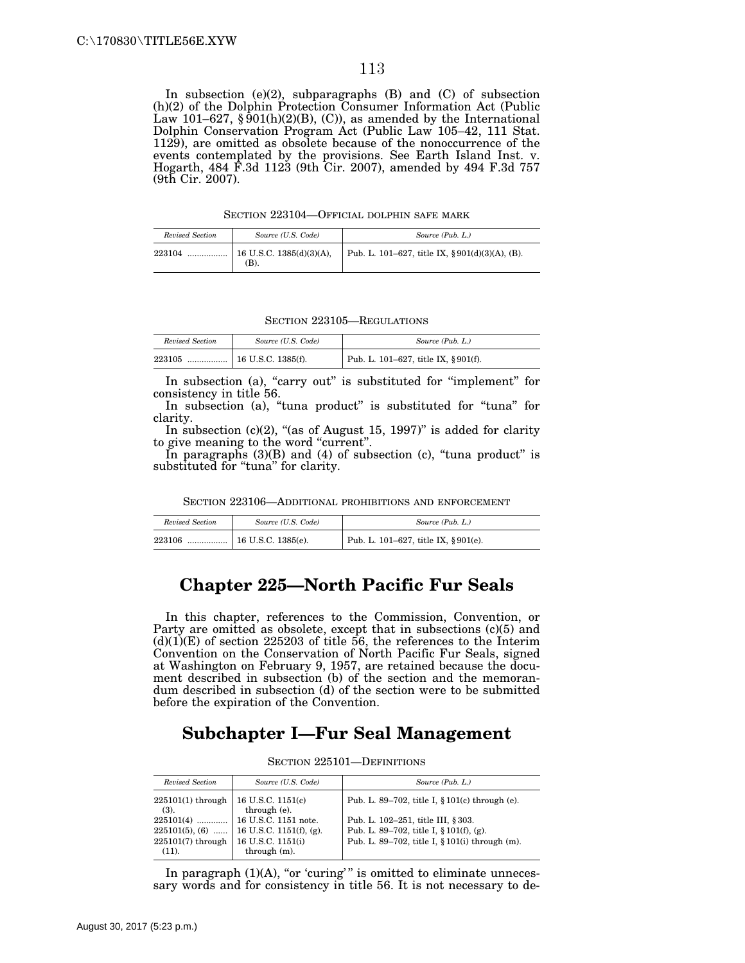In subsection (e)(2), subparagraphs (B) and (C) of subsection (h)(2) of the Dolphin Protection Consumer Information Act (Public Law 101–627,  $\S$ 901(h)(2)(B), (C)), as amended by the International Dolphin Conservation Program Act (Public Law 105–42, 111 Stat. 1129), are omitted as obsolete because of the nonoccurrence of the events contemplated by the provisions. See Earth Island Inst. v. Hogarth, 484 F.3d 1123 (9th Cir. 2007), amended by 494 F.3d 757 (9th Cir. 2007).

SECTION 223104—OFFICIAL DOLPHIN SAFE MARK

| Revised Section | Source (U.S. Code)                    | Source (Pub. L.)                                    |
|-----------------|---------------------------------------|-----------------------------------------------------|
| 223104          | $16$ U.S.C. 1385(d)(3)(A),<br>$(B)$ . | Pub. L. 101–627, title IX, $\S 901(d)(3)(A)$ , (B). |

SECTION 223105—REGULATIONS

| Revised Section | Source (U.S. Code)            | Source (Pub. L.)                    |
|-----------------|-------------------------------|-------------------------------------|
| 223105          | $\ldots$   16 U.S.C. 1385(f). | Pub. L. 101-627, title IX, §901(f). |

In subsection (a), "carry out" is substituted for "implement" for consistency in title 56.

In subsection (a), "tuna product" is substituted for "tuna" for clarity.

In subsection (c)(2), "(as of August 15, 1997)" is added for clarity to give meaning to the word "current".

In paragraphs  $(3)(B)$  and  $(4)$  of subsection  $(c)$ , "tuna product" is substituted for "tuna" for clarity.

SECTION 223106—ADDITIONAL PROHIBITIONS AND ENFORCEMENT

| Revised Section | Source (U.S. Code) | Source (Pub. L.)                    |
|-----------------|--------------------|-------------------------------------|
| 223106          |                    | Pub. L. 101–627, title IX, §901(e). |

#### **Chapter 225—North Pacific Fur Seals**

In this chapter, references to the Commission, Convention, or Party are omitted as obsolete, except that in subsections (c)(5) and  $(d)(1)(E)$  of section 225203 of title 56, the references to the Interim Convention on the Conservation of North Pacific Fur Seals, signed at Washington on February 9, 1957, are retained because the document described in subsection (b) of the section and the memorandum described in subsection (d) of the section were to be submitted before the expiration of the Convention.

## **Subchapter I—Fur Seal Management**

SECTION 225101—DEFINITIONS

| Source (U.S. Code)                | Source (Pub. L.)                               |
|-----------------------------------|------------------------------------------------|
| 16 U.S.C. 1151(c)<br>through (e). | Pub. L. 89–702, title I, § 101(c) through (e). |
| 16 U.S.C. 1151 note.              | Pub. L. 102-251, title III, §303.              |
| 16 U.S.C. 1151(f), (g).           | Pub. L. 89–702, title I, $\S 101(f)$ , (g).    |
| 16 U.S.C. 1151(i)                 | Pub. L. 89–702, title I, § 101(i) through (m). |
|                                   | through $(m)$ .                                |

In paragraph  $(1)(A)$ , "or 'curing'" is omitted to eliminate unnecessary words and for consistency in title 56. It is not necessary to de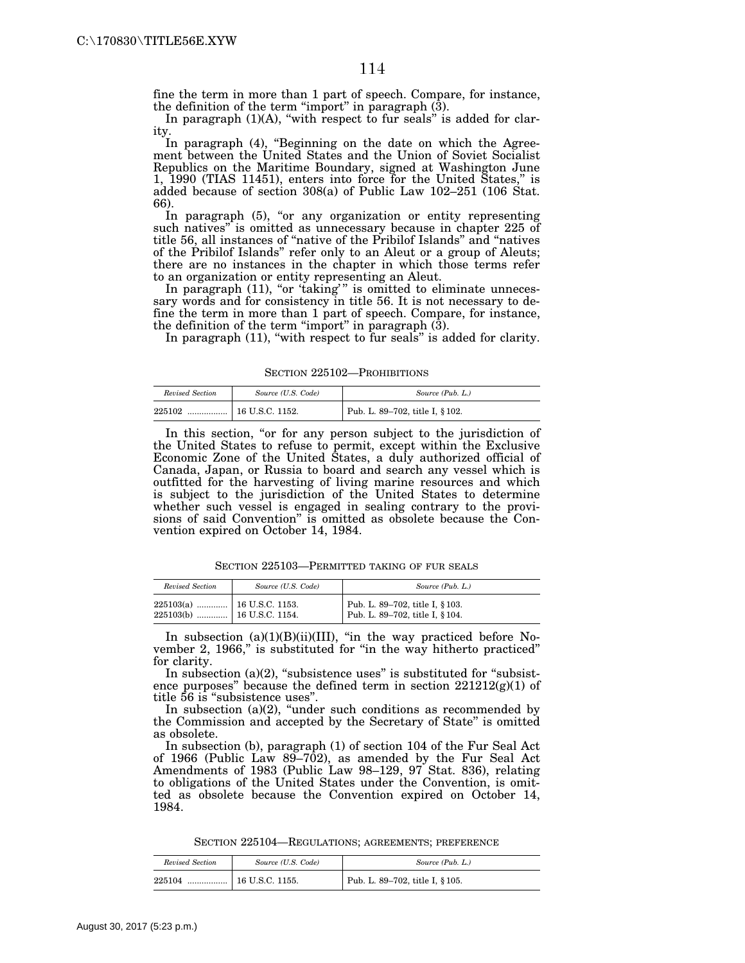fine the term in more than 1 part of speech. Compare, for instance, the definition of the term "import" in paragraph  $(3)$ .

In paragraph  $(1)(A)$ , "with respect to fur seals" is added for clarity.

In paragraph (4), "Beginning on the date on which the Agreement between the United States and the Union of Soviet Socialist Republics on the Maritime Boundary, signed at Washington June 1, 1990 (TIAS 11451), enters into force for the United States,'' is added because of section 308(a) of Public Law 102–251 (106 Stat. 66).

In paragraph (5), "or any organization or entity representing such natives" is omitted as unnecessary because in chapter 225 of title 56, all instances of ''native of the Pribilof Islands'' and ''natives of the Pribilof Islands'' refer only to an Aleut or a group of Aleuts; there are no instances in the chapter in which those terms refer to an organization or entity representing an Aleut.

In paragraph (11), "or 'taking'" is omitted to eliminate unnecessary words and for consistency in title 56. It is not necessary to define the term in more than 1 part of speech. Compare, for instance, the definition of the term "import" in paragraph  $(3)$ .

In paragraph (11), "with respect to fur seals" is added for clarity.

SECTION 225102—PROHIBITIONS

| Revised Section | Source (U.S. Code)    | Source (Pub. L.)                |
|-----------------|-----------------------|---------------------------------|
| 225102          | $\pm 16$ U.S.C. 1152. | Pub. L. 89-702, title I, § 102. |

In this section, "or for any person subject to the jurisdiction of the United States to refuse to permit, except within the Exclusive Economic Zone of the United States, a duly authorized official of Canada, Japan, or Russia to board and search any vessel which is outfitted for the harvesting of living marine resources and which is subject to the jurisdiction of the United States to determine whether such vessel is engaged in sealing contrary to the provisions of said Convention'' is omitted as obsolete because the Convention expired on October 14, 1984.

SECTION 225103—PERMITTED TAKING OF FUR SEALS

| Revised Section                                              | Source (U.S. Code) | Source (Pub. L.)                                                   |
|--------------------------------------------------------------|--------------------|--------------------------------------------------------------------|
| $225103(a)$   16 U.S.C. 1153.<br>$225103(b)$ 16 U.S.C. 1154. |                    | Pub. L. 89-702, title I, § 103.<br>Pub. L. 89-702, title I, § 104. |

In subsection (a)(1)(B)(ii)(III), ''in the way practiced before November 2, 1966," is substituted for "in the way hitherto practiced" for clarity.

In subsection (a) $(2)$ , "subsistence uses" is substituted for "subsistence purposes" because the defined term in section  $221212(g)(1)$  of title 56 is ''subsistence uses''.

In subsection  $(a)(2)$ , "under such conditions as recommended by the Commission and accepted by the Secretary of State'' is omitted as obsolete.

In subsection (b), paragraph (1) of section 104 of the Fur Seal Act of 1966 (Public Law  $89 - 702$ ), as amended by the Fur Seal Act Amendments of 1983 (Public Law 98–129, 97 Stat. 836), relating to obligations of the United States under the Convention, is omitted as obsolete because the Convention expired on October 14, 1984.

SECTION 225104—REGULATIONS; AGREEMENTS; PREFERENCE

| Revised Section | Source (U.S. Code) | Source (Pub. L.)                |
|-----------------|--------------------|---------------------------------|
| 225104          |                    | Pub. L. 89–702, title I, § 105. |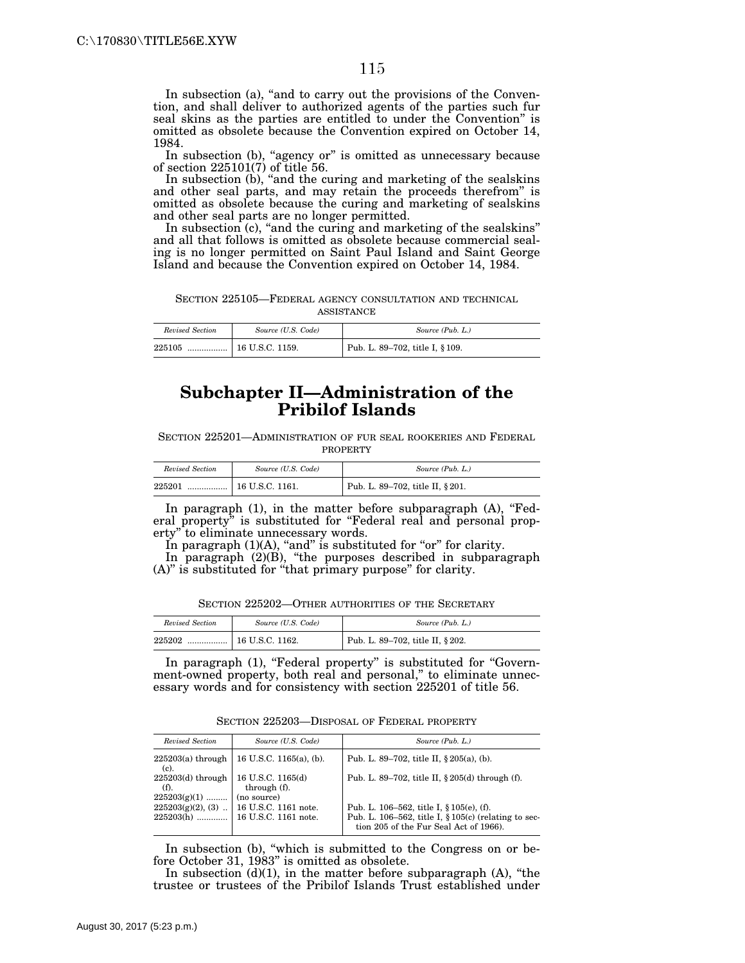In subsection (a), "and to carry out the provisions of the Convention, and shall deliver to authorized agents of the parties such fur seal skins as the parties are entitled to under the Convention'' is omitted as obsolete because the Convention expired on October 14, 1984.

In subsection (b), "agency or" is omitted as unnecessary because of section 225101(7) of title 56.

In subsection (b), "and the curing and marketing of the sealskins and other seal parts, and may retain the proceeds therefrom'' is omitted as obsolete because the curing and marketing of sealskins and other seal parts are no longer permitted.

In subsection (c), "and the curing and marketing of the sealskins" and all that follows is omitted as obsolete because commercial sealing is no longer permitted on Saint Paul Island and Saint George Island and because the Convention expired on October 14, 1984.

SECTION 225105—FEDERAL AGENCY CONSULTATION AND TECHNICAL ASSISTANCE

| Revised Section | Source (U.S. Code) | Source (Pub. L.)                             |
|-----------------|--------------------|----------------------------------------------|
| 225105<br>      | 16 U.S.C. 1159.    | <sup>1</sup> Pub. L. 89–702, title I, § 109. |

## **Subchapter II—Administration of the Pribilof Islands**

SECTION 225201—ADMINISTRATION OF FUR SEAL ROOKERIES AND FEDERAL PROPERTY

| Revised Section | Source (U.S. Code)         | Source (Pub. L.)                 |
|-----------------|----------------------------|----------------------------------|
| 225201          | $\ldots$   16 U.S.C. 1161. | Pub. L. 89-702, title II, § 201. |

In paragraph  $(1)$ , in the matter before subparagraph  $(A)$ , "Federal property" is substituted for "Federal real and personal property'' to eliminate unnecessary words.

In paragraph  $(1)(A)$ , "and" is substituted for "or" for clarity.

In paragraph (2)(B), "the purposes described in subparagraph (A)'' is substituted for ''that primary purpose'' for clarity.

SECTION 225202—OTHER AUTHORITIES OF THE SECRETARY

| Revised Section | Source (U.S. Code) | Source (Pub. L.)                 |
|-----------------|--------------------|----------------------------------|
| 225202<br>      | 16 U.S.C. 1162.    | Pub. L. 89-702, title II, § 202. |

In paragraph (1), "Federal property" is substituted for "Government-owned property, both real and personal," to eliminate unnecessary words and for consistency with section 225201 of title 56.

| SECTION 225203—DISPOSAL OF FEDERAL PROPERTY |  |
|---------------------------------------------|--|
|                                             |  |

| Revised Section                               | Source (U.S. Code)                               | Source (Pub. L.)                                                                                                                              |
|-----------------------------------------------|--------------------------------------------------|-----------------------------------------------------------------------------------------------------------------------------------------------|
| $225203(a)$ through<br>$(c)$ .                | 16 U.S.C. $1165(a)$ , (b).                       | Pub. L. 89–702, title II, $§ 205(a)$ , (b).                                                                                                   |
| $225203(d)$ through<br>(f).<br>$225203(g)(1)$ | 16 U.S.C. 1165(d)<br>through (f).<br>(no source) | Pub. L. 89–702, title II, § 205(d) through (f).                                                                                               |
| $225203(g)(2)$ , (3)<br>$225203(h)$           | 16 U.S.C. 1161 note.<br>16 U.S.C. 1161 note.     | Pub. L. 106–562, title I, § 105(e), (f).<br>Pub. L. 106-562, title I, $\S 105(c)$ (relating to sec-<br>tion 205 of the Fur Seal Act of 1966). |

In subsection (b), "which is submitted to the Congress on or before October 31, 1983'' is omitted as obsolete.

In subsection  $(d)(1)$ , in the matter before subparagraph  $(A)$ , "the trustee or trustees of the Pribilof Islands Trust established under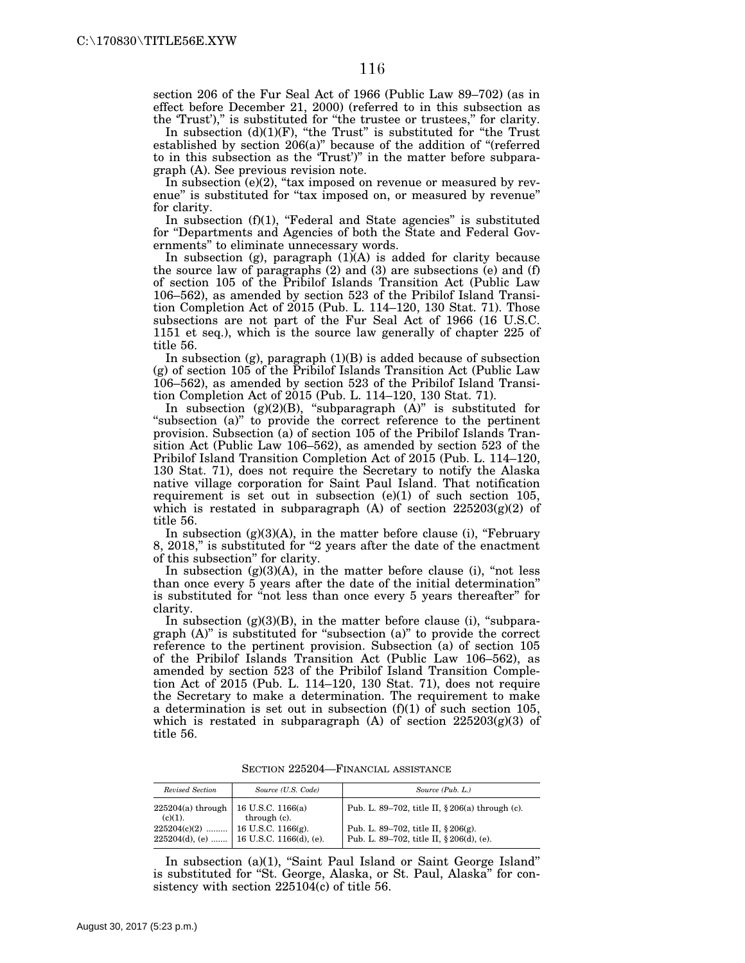section 206 of the Fur Seal Act of 1966 (Public Law 89–702) (as in effect before December 21, 2000) (referred to in this subsection as the 'Trust')," is substituted for "the trustee or trustees," for clarity.

In subsection  $(d)(1)(F)$ , "the Trust" is substituted for "the Trust established by section 206(a)'' because of the addition of ''(referred to in this subsection as the 'Trust')'' in the matter before subparagraph (A). See previous revision note.

In subsection  $(e)(2)$ , "tax imposed on revenue or measured by revenue" is substituted for "tax imposed on, or measured by revenue" for clarity.

In subsection  $(f)(1)$ , "Federal and State agencies" is substituted for ''Departments and Agencies of both the State and Federal Governments'' to eliminate unnecessary words.

In subsection (g), paragraph (1)(A) is added for clarity because the source law of paragraphs (2) and (3) are subsections (e) and (f) of section 105 of the Pribilof Islands Transition Act (Public Law 106–562), as amended by section 523 of the Pribilof Island Transition Completion Act of 2015 (Pub. L. 114–120, 130 Stat. 71). Those subsections are not part of the Fur Seal Act of 1966 (16 U.S.C. 1151 et seq.), which is the source law generally of chapter 225 of title 56.

In subsection (g), paragraph  $(1)(B)$  is added because of subsection (g) of section 105 of the Pribilof Islands Transition Act (Public Law 106–562), as amended by section 523 of the Pribilof Island Transition Completion Act of 2015 (Pub. L. 114–120, 130 Stat. 71).

In subsection (g)(2)(B), "subparagraph  $(A)$ " is substituted for "subsection (a)" to provide the correct reference to the pertinent provision. Subsection (a) of section 105 of the Pribilof Islands Transition Act (Public Law 106–562), as amended by section 523 of the Pribilof Island Transition Completion Act of 2015 (Pub. L. 114–120, 130 Stat. 71), does not require the Secretary to notify the Alaska native village corporation for Saint Paul Island. That notification requirement is set out in subsection  $(e)(1)$  of such section 105, which is restated in subparagraph  $(A)$  of section  $225203(g)(2)$  of title 56.

In subsection  $(g)(3)(A)$ , in the matter before clause (i), "February 8, 2018," is substituted for "2 years after the date of the enactment of this subsection'' for clarity.

In subsection (g)(3)(A), in the matter before clause (i), ''not less than once every 5 years after the date of the initial determination'' is substituted for "not less than once every 5 years thereafter" for clarity.

In subsection  $(g)(3)(B)$ , in the matter before clause (i), "subparagraph (A)'' is substituted for ''subsection (a)'' to provide the correct reference to the pertinent provision. Subsection (a) of section 105 of the Pribilof Islands Transition Act (Public Law 106–562), as amended by section 523 of the Pribilof Island Transition Completion Act of 2015 (Pub. L. 114–120, 130 Stat. 71), does not require the Secretary to make a determination. The requirement to make a determination is set out in subsection (f)(1) of such section 105, which is restated in subparagraph (A) of section  $225203(g)(3)$  of title 56.

SECTION 225204—FINANCIAL ASSISTANCE

| Revised Section                                       | Source (U.S. Code)                         | Source (Pub. L.)                                  |
|-------------------------------------------------------|--------------------------------------------|---------------------------------------------------|
| $225204(a)$ through   16 U.S.C. 1166(a)<br>$(c)(1)$ . | through (c).                               | Pub. L. 89–702, title II, $§ 206(a)$ through (c). |
| $225204(c)(2)$   16 U.S.C. 1166(g).                   |                                            | Pub. L. 89-702, title II, § 206(g).               |
|                                                       | $225204(d)$ , (e)  16 U.S.C. 1166(d), (e). | Pub. L. 89-702, title II, § 206(d), (e).          |

In subsection (a)(1), ''Saint Paul Island or Saint George Island'' is substituted for ''St. George, Alaska, or St. Paul, Alaska'' for consistency with section 225104(c) of title 56.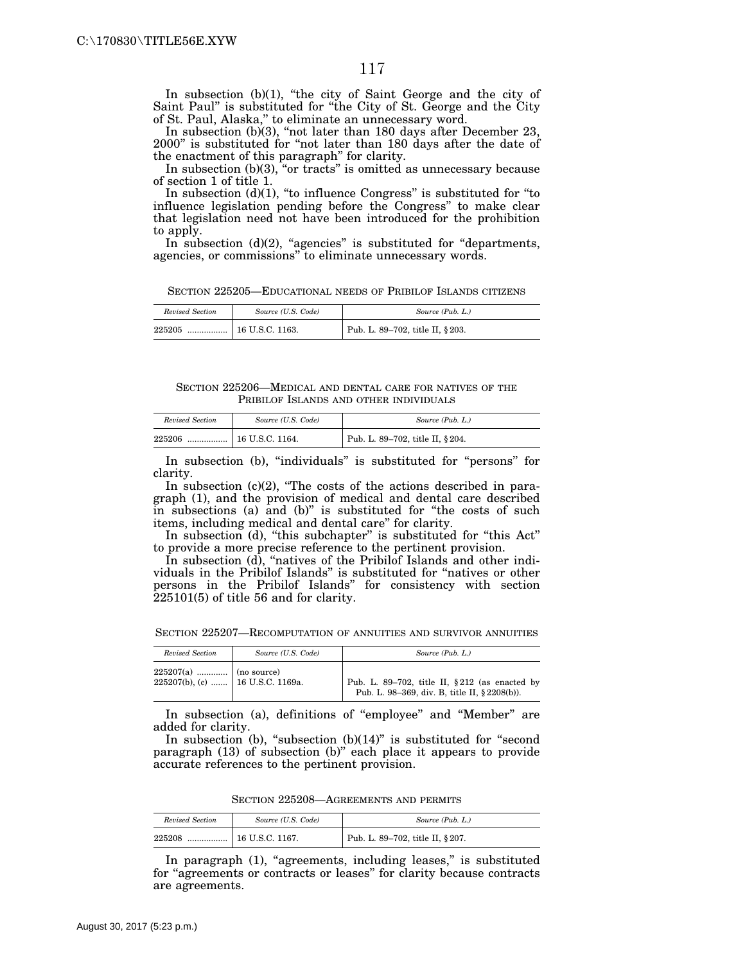In subsection  $(b)(1)$ , "the city of Saint George and the city of Saint Paul'' is substituted for ''the City of St. George and the City of St. Paul, Alaska,'' to eliminate an unnecessary word.

In subsection (b)(3), "not later than 180 days after December 23, 2000'' is substituted for ''not later than 180 days after the date of the enactment of this paragraph'' for clarity.

In subsection  $(b)(3)$ , "or tracts" is omitted as unnecessary because of section 1 of title 1.

In subsection  $(d)(1)$ , "to influence Congress" is substituted for "to influence legislation pending before the Congress'' to make clear that legislation need not have been introduced for the prohibition to apply.

In subsection  $(d)(2)$ , "agencies" is substituted for "departments, agencies, or commissions'' to eliminate unnecessary words.

SECTION 225205—EDUCATIONAL NEEDS OF PRIBILOF ISLANDS CITIZENS

| Revised Section | Source (U.S. Code) | Source (Pub. L.)                 |
|-----------------|--------------------|----------------------------------|
| 225205<br>      | $16$ U.S.C. 1163.  | Pub. L. 89-702, title II, § 203. |

SECTION 225206—MEDICAL AND DENTAL CARE FOR NATIVES OF THE PRIBILOF ISLANDS AND OTHER INDIVIDUALS

| Revised Section | Source (U.S. Code) | Source (Pub. L.)                              |
|-----------------|--------------------|-----------------------------------------------|
| 225206<br>      | 16 U.S.C. 1164.    | <sup>1</sup> Pub. L. 89-702, title II, § 204. |

In subsection (b), "individuals" is substituted for "persons" for clarity.

In subsection  $(c)(2)$ , "The costs of the actions described in paragraph (1), and the provision of medical and dental care described in subsections (a) and (b)'' is substituted for ''the costs of such items, including medical and dental care'' for clarity.

In subsection (d), ''this subchapter'' is substituted for ''this Act'' to provide a more precise reference to the pertinent provision.

In subsection (d), "natives of the Pribilof Islands and other individuals in the Pribilof Islands'' is substituted for ''natives or other persons in the Pribilof Islands'' for consistency with section 225101(5) of title 56 and for clarity.

SECTION 225207—RECOMPUTATION OF ANNUITIES AND SURVIVOR ANNUITIES

| Revised Section                       | Source (U.S. Code) | Source (Pub. L.)                                                                              |  |  |
|---------------------------------------|--------------------|-----------------------------------------------------------------------------------------------|--|--|
| $225207(b)$ , (c)    16 U.S.C. 1169a. |                    | Pub. L. 89-702, title II, §212 (as enacted by<br>Pub. L. 98-369, div. B, title II, §2208(b)). |  |  |

In subsection (a), definitions of "employee" and "Member" are added for clarity.

In subsection (b), "subsection  $(b)(14)$ " is substituted for "second paragraph (13) of subsection (b)'' each place it appears to provide accurate references to the pertinent provision.

SECTION 225208—AGREEMENTS AND PERMITS

| Revised Section | Source (U.S. Code)    | Source (Pub. L.)                              |
|-----------------|-----------------------|-----------------------------------------------|
| 225208          | $\pm 16$ U.S.C. 1167. | <sup>1</sup> Pub. L. 89–702, title II, § 207. |

In paragraph (1), "agreements, including leases," is substituted for "agreements or contracts or leases" for clarity because contracts are agreements.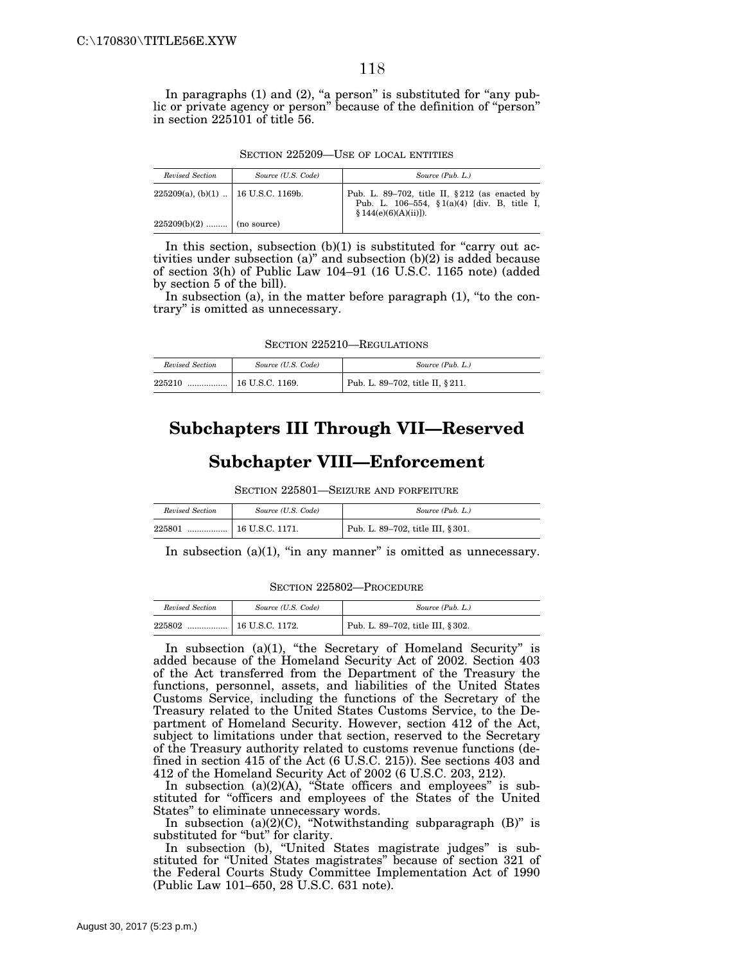In paragraphs  $(1)$  and  $(2)$ , "a person" is substituted for "any public or private agency or person'' because of the definition of ''person'' in section 225101 of title 56.

|  |  | SECTION 225209—USE OF LOCAL ENTITIES |
|--|--|--------------------------------------|
|  |  |                                      |

| Revised Section                        | Source (U.S. Code) | Source (Pub. L.)                                                                                                           |
|----------------------------------------|--------------------|----------------------------------------------------------------------------------------------------------------------------|
| $225209(a), (b)(1)$   16 U.S.C. 1169b. |                    | Pub. L. 89-702, title II, $§212$ (as enacted by<br>Pub. L. 106-554, $$1(a)(4)$ [div. B, title I,<br>$$144(e)(6)(A)(ii)]$ . |
| $225209(b)(2)$   (no source)           |                    |                                                                                                                            |

In this section, subsection  $(b)(1)$  is substituted for "carry out activities under subsection (a)'' and subsection (b)(2) is added because of section 3(h) of Public Law 104–91 (16 U.S.C. 1165 note) (added by section 5 of the bill).

In subsection (a), in the matter before paragraph (1), "to the contrary'' is omitted as unnecessary.

SECTION 225210—REGULATIONS

| Revised Section | Source (U.S. Code)    | Source (Pub. L.)                 |  |
|-----------------|-----------------------|----------------------------------|--|
| 225210<br>      | $\pm 16$ U.S.C. 1169. | Pub. L. 89–702, title II, § 211. |  |

# **Subchapters III Through VII—Reserved**

#### **Subchapter VIII—Enforcement**

SECTION 225801—SEIZURE AND FORFEITURE

| Revised Section | Source (U.S. Code) | Source (Pub. L.)                  |
|-----------------|--------------------|-----------------------------------|
| 225801<br>      | 16 U.S.C. 1171.    | Pub. L. 89-702, title III, § 301. |

In subsection  $(a)(1)$ , "in any manner" is omitted as unnecessary.

SECTION 225802—PROCEDURE

| Revised Section | Source (U.S. Code)      | Source (Pub. L.)                 |  |
|-----------------|-------------------------|----------------------------------|--|
| 225802<br>      | $\vert$ 16 U.S.C. 1172. | Pub. L. 89-702, title III, §302. |  |

In subsection (a)(1), "the Secretary of Homeland Security" is added because of the Homeland Security Act of 2002. Section 403 of the Act transferred from the Department of the Treasury the functions, personnel, assets, and liabilities of the United States Customs Service, including the functions of the Secretary of the Treasury related to the United States Customs Service, to the Department of Homeland Security. However, section 412 of the Act, subject to limitations under that section, reserved to the Secretary of the Treasury authority related to customs revenue functions (defined in section 415 of the Act (6 U.S.C. 215)). See sections 403 and 412 of the Homeland Security Act of 2002 (6 U.S.C. 203, 212).

In subsection  $(a)(2)(A)$ , "State officers and employees" is substituted for ''officers and employees of the States of the United States'' to eliminate unnecessary words.

In subsection  $(a)(2)(C)$ , "Notwithstanding subparagraph  $(B)$ " is substituted for "but" for clarity.

In subsection (b), "United States magistrate judges" is substituted for ''United States magistrates'' because of section 321 of the Federal Courts Study Committee Implementation Act of 1990 (Public Law 101–650, 28 U.S.C. 631 note).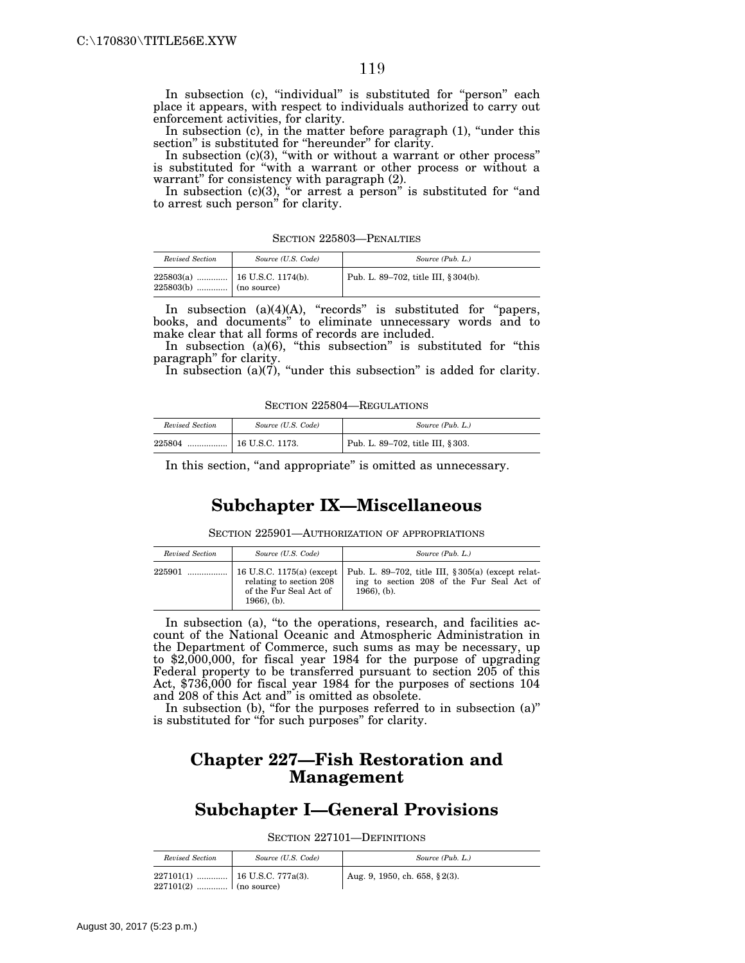In subsection (c), "individual" is substituted for "person" each place it appears, with respect to individuals authorized to carry out enforcement activities, for clarity.

In subsection (c), in the matter before paragraph (1), "under this section" is substituted for "hereunder" for clarity.

In subsection  $(c)(3)$ , "with or without a warrant or other process" is substituted for ''with a warrant or other process or without a warrant'' for consistency with paragraph (2).

In subsection (c)(3), "or arrest a person" is substituted for "and to arrest such person'' for clarity.

|  | SECTION 225803—PENALTIES |
|--|--------------------------|
|  |                          |

| Revised Section           | Source (U.S. Code) | Source (Pub. L.)                     |
|---------------------------|--------------------|--------------------------------------|
| $225803(b)$   (no source) |                    | Pub. L. 89–702, title III, § 304(b). |

In subsection  $(a)(4)(A)$ , "records" is substituted for "papers, books, and documents'' to eliminate unnecessary words and to make clear that all forms of records are included.

In subsection (a)(6), "this subsection" is substituted for "this paragraph'' for clarity.

In subsection (a)( $\vec{7}$ ), "under this subsection" is added for clarity.

SECTION 225804—REGULATIONS

| Revised Section | Source (U.S. Code)    | Source (Pub. L.)                  |  |
|-----------------|-----------------------|-----------------------------------|--|
| 225804<br>.     | $\pm 16$ U.S.C. 1173. | Pub. L. 89-702, title III, § 303. |  |

In this section, "and appropriate" is omitted as unnecessary.

## **Subchapter IX—Miscellaneous**

SECTION 225901—AUTHORIZATION OF APPROPRIATIONS

| Revised Section | Source (U.S. Code)                                                                               | Source (Pub. L.)                                                                                                  |
|-----------------|--------------------------------------------------------------------------------------------------|-------------------------------------------------------------------------------------------------------------------|
| 225901          | 16 U.S.C. 1175(a) (except<br>relating to section 208<br>of the Fur Seal Act of<br>$1966$ ), (b). | Pub. L. 89–702, title III, § 305(a) (except relat-<br>ing to section 208 of the Fur Seal Act of<br>$1966$ ), (b). |

In subsection (a), "to the operations, research, and facilities account of the National Oceanic and Atmospheric Administration in the Department of Commerce, such sums as may be necessary, up to \$2,000,000, for fiscal year 1984 for the purpose of upgrading Federal property to be transferred pursuant to section 205 of this Act, \$736,000 for fiscal year 1984 for the purposes of sections 104 and 208 of this Act and'' is omitted as obsolete.

In subsection (b), "for the purposes referred to in subsection  $(a)$ " is substituted for "for such purposes" for clarity.

## **Chapter 227—Fish Restoration and Management**

# **Subchapter I—General Provisions**

SECTION 227101—DEFINITIONS

| Revised Section                                               | Source (U.S. Code) | Source (Pub. L.)              |
|---------------------------------------------------------------|--------------------|-------------------------------|
| $227101(1)$   16 U.S.C. 777a(3).<br>$227101(2)$   (no source) |                    | Aug. 9, 1950, ch. 658, §2(3). |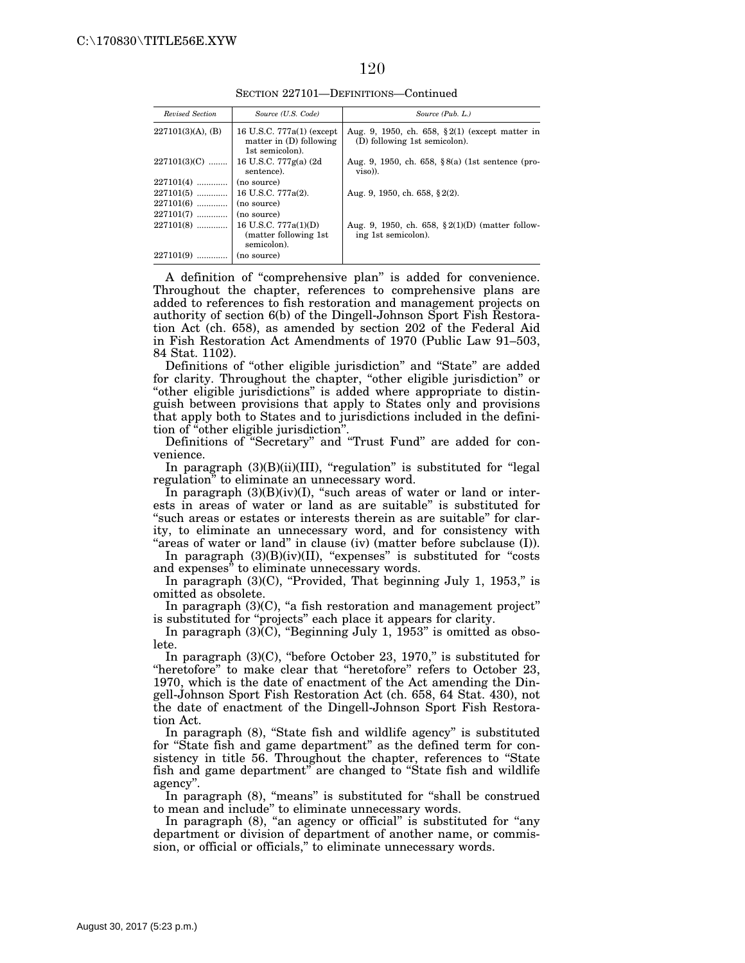#### 120

SECTION 227101—DEFINITIONS—Continued

| Revised Section           | Source (U.S. Code)                                                        | Source (Pub. L.)                                                                    |
|---------------------------|---------------------------------------------------------------------------|-------------------------------------------------------------------------------------|
| $227101(3)(A)$ , (B)      | 16 U.S.C. 777a(1) (except<br>matter in $(D)$ following<br>1st semicolon). | Aug. 9, 1950, ch. 658, $\S 2(1)$ (except matter in<br>(D) following 1st semicolon). |
| $227101(3)(C)$            | 16 U.S.C. 777g(a) (2d)<br>sentence).                                      | Aug. 9, 1950, ch. 658, $8(2)$ (1st sentence (pro-<br>$viso$ ).                      |
| $227101(4)$               | (no source)                                                               |                                                                                     |
|                           |                                                                           | Aug. 9, 1950, ch. 658, §2(2).                                                       |
| $227101(6)$               | (no source)                                                               |                                                                                     |
| $227101(7)$   (no source) |                                                                           |                                                                                     |
|                           | (matter following 1st)<br>semicolon).                                     | Aug. 9, 1950, ch. 658, $\S 2(1)(D)$ (matter follow-<br>ing 1st semicolon).          |
| 227101(9)                 | (no source)                                                               |                                                                                     |

A definition of ''comprehensive plan'' is added for convenience. Throughout the chapter, references to comprehensive plans are added to references to fish restoration and management projects on authority of section 6(b) of the Dingell-Johnson Sport Fish Restoration Act (ch. 658), as amended by section 202 of the Federal Aid in Fish Restoration Act Amendments of 1970 (Public Law 91–503, 84 Stat. 1102).

Definitions of ''other eligible jurisdiction'' and ''State'' are added for clarity. Throughout the chapter, ''other eligible jurisdiction'' or ''other eligible jurisdictions'' is added where appropriate to distinguish between provisions that apply to States only and provisions that apply both to States and to jurisdictions included in the definition of ''other eligible jurisdiction''.

Definitions of ''Secretary'' and ''Trust Fund'' are added for convenience.

In paragraph  $(3)(B)(ii)(III)$ , "regulation" is substituted for "legal regulation'' to eliminate an unnecessary word.

In paragraph  $(3)(B)(iv)(I)$ , "such areas of water or land or interests in areas of water or land as are suitable'' is substituted for "such areas or estates or interests therein as are suitable" for clarity, to eliminate an unnecessary word, and for consistency with "areas of water or land" in clause (iv) (matter before subclause (I)).

In paragraph  $(3)(B)(iv)(II)$ , "expenses" is substituted for "costs" and expenses'' to eliminate unnecessary words.

In paragraph  $(3)(C)$ , "Provided, That beginning July 1, 1953," is omitted as obsolete.

In paragraph  $(3)(C)$ , "a fish restoration and management project" is substituted for ''projects'' each place it appears for clarity.

In paragraph  $(3)$  $(C)$ , "Beginning July 1, 1953" is omitted as obsolete.

In paragraph  $(3)(C)$ , "before October 23, 1970," is substituted for "heretofore" to make clear that "heretofore" refers to October 23, 1970, which is the date of enactment of the Act amending the Dingell-Johnson Sport Fish Restoration Act (ch. 658, 64 Stat. 430), not the date of enactment of the Dingell-Johnson Sport Fish Restoration Act.

In paragraph (8), "State fish and wildlife agency" is substituted for ''State fish and game department'' as the defined term for consistency in title 56. Throughout the chapter, references to ''State fish and game department" are changed to "State fish and wildlife agency''.

In paragraph (8), "means" is substituted for "shall be construed to mean and include'' to eliminate unnecessary words.

In paragraph (8), "an agency or official" is substituted for "any department or division of department of another name, or commission, or official or officials,'' to eliminate unnecessary words.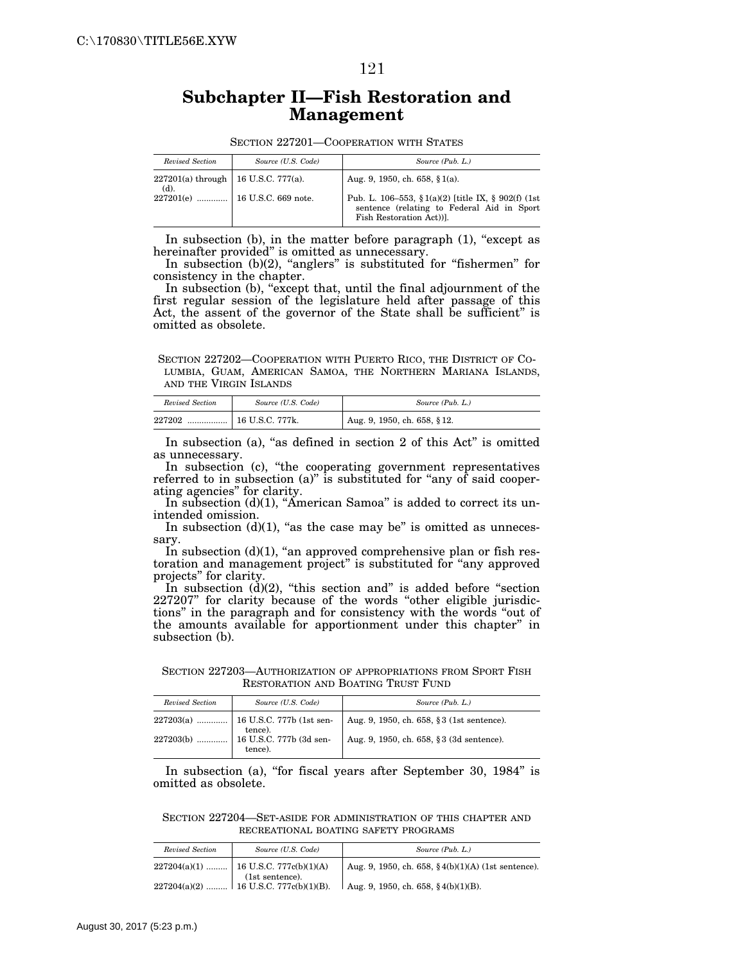#### 121

# **Subchapter II—Fish Restoration and Management**

| SECTION 227201—COOPERATION WITH STATES |  |  |  |  |  |
|----------------------------------------|--|--|--|--|--|
|----------------------------------------|--|--|--|--|--|

| Revised Section                                    | Source (U.S. Code) | Source (Pub. L.)                                                                                                             |
|----------------------------------------------------|--------------------|------------------------------------------------------------------------------------------------------------------------------|
| $227201(a)$ through   16 U.S.C. 777(a).<br>$(d)$ . |                    | Aug. 9, 1950, ch. 658, $§1(a)$ .                                                                                             |
|                                                    |                    | Pub. L. 106–553, § 1(a)(2) [title IX, § 902(f) (1st<br>sentence (relating to Federal Aid in Sport<br>Fish Restoration Act)). |

In subsection  $(b)$ , in the matter before paragraph  $(1)$ , "except as hereinafter provided'' is omitted as unnecessary.

In subsection (b)(2), "anglers" is substituted for "fishermen" for consistency in the chapter.

In subsection (b), "except that, until the final adjournment of the first regular session of the legislature held after passage of this Act, the assent of the governor of the State shall be sufficient'' is omitted as obsolete.

SECTION 227202—COOPERATION WITH PUERTO RICO, THE DISTRICT OF CO-LUMBIA, GUAM, AMERICAN SAMOA, THE NORTHERN MARIANA ISLANDS, AND THE VIRGIN ISLANDS

| Revised Section | Source (U.S. Code)      | Source (Pub. L.)                 |
|-----------------|-------------------------|----------------------------------|
| 227202<br>      | $\vert$ 16 U.S.C. 777k. | $1$ Aug. 9, 1950, ch. 658, § 12. |

In subsection (a), "as defined in section  $2$  of this Act" is omitted as unnecessary.

In subsection (c), "the cooperating government representatives referred to in subsection (a)" is substituted for "any of said cooperating agencies'' for clarity.

In subsection  $(d)(1)$ , "American Samoa" is added to correct its unintended omission.

In subsection  $(d)(1)$ , "as the case may be" is omitted as unnecessary.

In subsection  $(d)(1)$ , "an approved comprehensive plan or fish restoration and management project'' is substituted for ''any approved projects'' for clarity.

In subsection  $(d)(2)$ , "this section and" is added before "section 227207" for clarity because of the words "other eligible jurisdictions'' in the paragraph and for consistency with the words ''out of the amounts available for apportionment under this chapter'' in subsection (b).

SECTION 227203—AUTHORIZATION OF APPROPRIATIONS FROM SPORT FISH RESTORATION AND BOATING TRUST FUND

| Revised Section | Source (U.S. Code)                                                                               | Source (Pub. L.)                           |
|-----------------|--------------------------------------------------------------------------------------------------|--------------------------------------------|
|                 |                                                                                                  | Aug. 9, 1950, ch. 658, § 3 (1st sentence). |
|                 | 227203(b) $\ldots$ $\downarrow$ tence).<br>227203(b) $\ldots$ 16 U.S.C. 777b (3d sen-<br>tence). | Aug. 9, 1950, ch. 658, § 3 (3d sentence).  |

In subsection (a), "for fiscal years after September 30, 1984" is omitted as obsolete.

SECTION 227204—SET-ASIDE FOR ADMINISTRATION OF THIS CHAPTER AND RECREATIONAL BOATING SAFETY PROGRAMS

| Revised Section | Source (U.S. Code)                                               | Source (Pub. L.)                                       |
|-----------------|------------------------------------------------------------------|--------------------------------------------------------|
|                 | 227204(a)(1)    16 U.S.C. 777c(b)(1)(A)                          | Aug. 9, 1950, ch. 658, $\S 4(b)(1)(A)$ (1st sentence). |
|                 | $(1st\; sentence).$<br>$227204(a)(2)$   16 U.S.C. 777c(b)(1)(B). | Aug. 9, 1950, ch. 658, $\S 4(b)(1)(B)$ .               |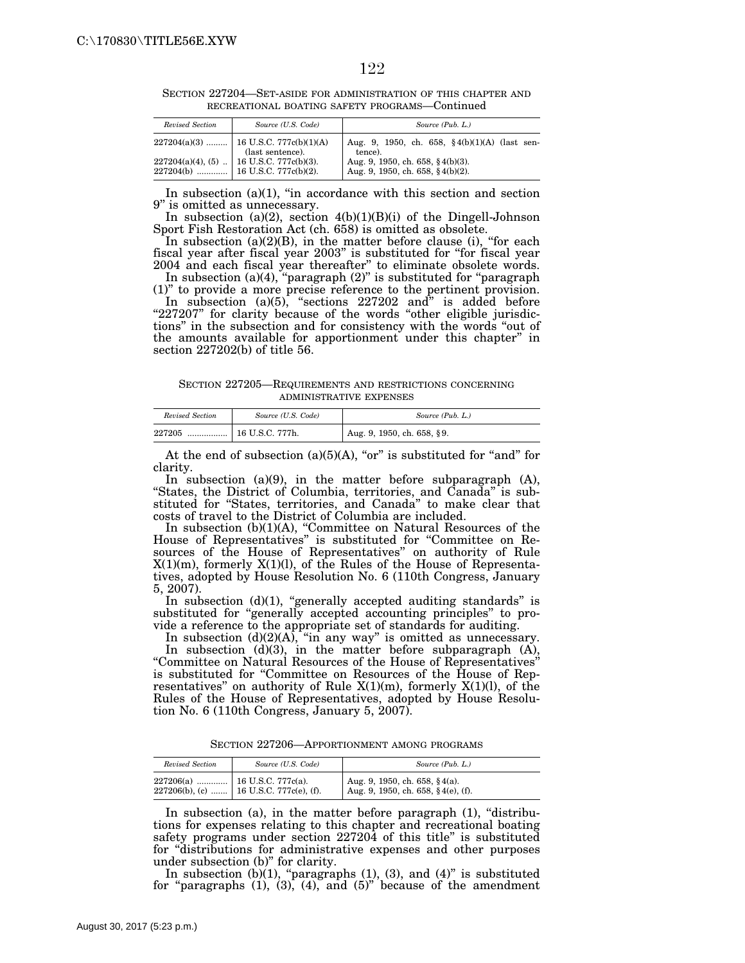| Revised Section | Source (U.S. Code)                                           | Source (Pub. L.)                                                               |
|-----------------|--------------------------------------------------------------|--------------------------------------------------------------------------------|
|                 | $227204(a)(3)$   16 U.S.C. 777c(b)(1)(A)<br>(last sentence). | Aug. 9, 1950, ch. 658, $\frac{6}{3}4(b)(1)(A)$ (last sen-<br>tence).           |
|                 | $227204(a)(4)$ , (5)  16 U.S.C. 777c(b)(3).                  | Aug. 9, 1950, ch. 658, $\S 4(b)(3)$ .<br>Aug. 9, 1950, ch. 658, $\S 4(b)(2)$ . |

SECTION 227204—SET-ASIDE FOR ADMINISTRATION OF THIS CHAPTER AND RECREATIONAL BOATING SAFETY PROGRAMS—Continued

In subsection  $(a)(1)$ , "in accordance with this section and section 9'' is omitted as unnecessary.

In subsection (a)(2), section  $4(b)(1)(B)(i)$  of the Dingell-Johnson Sport Fish Restoration Act (ch. 658) is omitted as obsolete.

In subsection (a)(2)(B), in the matter before clause (i), "for each fiscal year after fiscal year 2003'' is substituted for ''for fiscal year 2004 and each fiscal year thereafter'' to eliminate obsolete words.

In subsection  $(a)(4)$ , "paragraph  $(2)$ " is substituted for "paragraph (1)'' to provide a more precise reference to the pertinent provision. In subsection (a)(5), "sections 227202 and" is added before "227207" for clarity because of the words "other eligible jurisdictions'' in the subsection and for consistency with the words ''out of the amounts available for apportionment under this chapter'' in section 227202(b) of title 56.

SECTION 227205—REQUIREMENTS AND RESTRICTIONS CONCERNING ADMINISTRATIVE EXPENSES

| Revised Section | Source (U.S. Code) | Source (Pub. L.)           |
|-----------------|--------------------|----------------------------|
| 227205<br>      | 16 U.S.C. 777h.    | Aug. 9, 1950, ch. 658, §9. |

At the end of subsection  $(a)(5)(A)$ , "or" is substituted for "and" for clarity.

In subsection (a)(9), in the matter before subparagraph (A), "States, the District of Columbia, territories, and Canada" is substituted for "States, territories, and Canada" to make clear that costs of travel to the District of Columbia are included.

In subsection (b)(1)(A), ''Committee on Natural Resources of the House of Representatives'' is substituted for ''Committee on Resources of the House of Representatives'' on authority of Rule  $X(1)(m)$ , formerly  $X(1)(l)$ , of the Rules of the House of Representatives, adopted by House Resolution No. 6 (110th Congress, January 5, 2007).

In subsection (d)(1), "generally accepted auditing standards" is substituted for "generally accepted accounting principles" to provide a reference to the appropriate set of standards for auditing.

In subsection  $(d)(2)(A)$ , "in any way" is omitted as unnecessary. In subsection  $(d)(3)$ , in the matter before subparagraph  $(A)$ , ''Committee on Natural Resources of the House of Representatives'' is substituted for ''Committee on Resources of the House of Representatives" on authority of Rule  $X(1)(m)$ , formerly  $X(1)(l)$ , of the Rules of the House of Representatives, adopted by House Resolution No. 6 (110th Congress, January 5, 2007).

SECTION 227206—APPORTIONMENT AMONG PROGRAMS

| Revised Section | Source (U.S. Code)                        | Source (Pub. L.)                                                          |
|-----------------|-------------------------------------------|---------------------------------------------------------------------------|
|                 | 227206(b), (c)    16 U.S.C. 777c(e), (f). | Aug. 9, 1950, ch. 658, $§$ 4(a).<br>Aug. 9, 1950, ch. 658, $§$ 4(e), (f). |

In subsection (a), in the matter before paragraph  $(1)$ , "distributions for expenses relating to this chapter and recreational boating safety programs under section 227204 of this title'' is substituted for ''distributions for administrative expenses and other purposes under subsection (b)'' for clarity.

In subsection (b)(1), "paragraphs (1), (3), and (4)" is substituted for "paragraphs  $(1)$ ,  $(3)$ ,  $(4)$ , and  $(5)$ " because of the amendment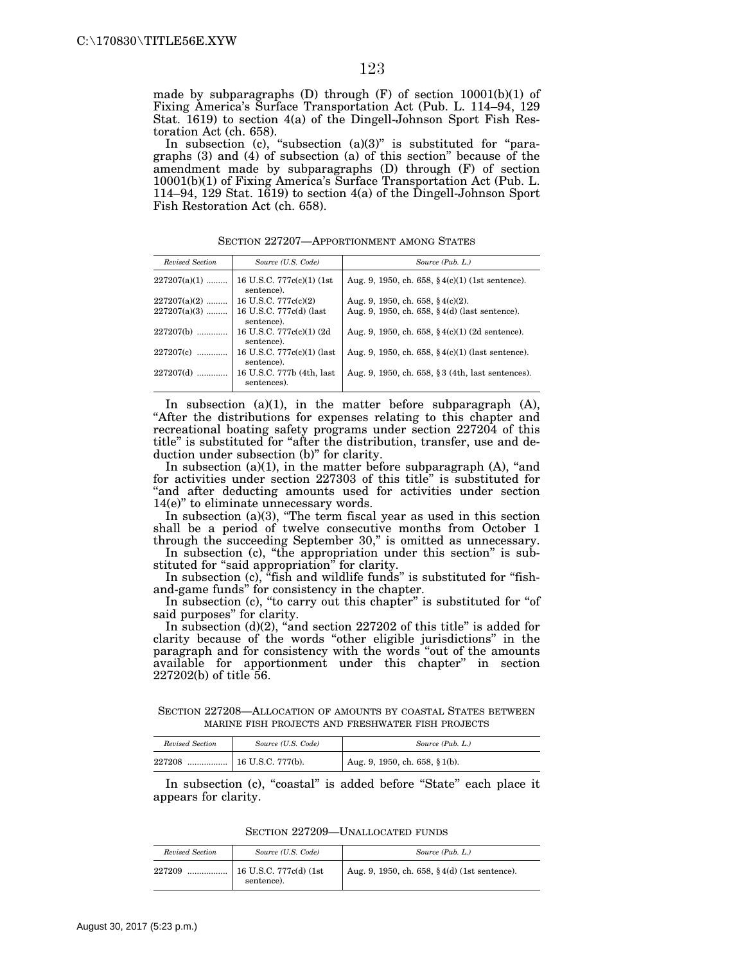made by subparagraphs (D) through  $(F)$  of section  $10001(b)(1)$  of Fixing America's Surface Transportation Act (Pub. L. 114–94, 129 Stat. 1619) to section 4(a) of the Dingell-Johnson Sport Fish Restoration Act (ch. 658).

In subsection (c), "subsection (a)(3)" is substituted for "paragraphs (3) and (4) of subsection (a) of this section'' because of the amendment made by subparagraphs (D) through (F) of section 10001(b)(1) of Fixing America's Surface Transportation Act (Pub. L. 114–94, 129 Stat. 1619) to section  $4(a)$  of the Dingell-Johnson Sport Fish Restoration Act (ch. 658).

SECTION 227207—APPORTIONMENT AMONG STATES

| Revised Section | Source (U.S. Code)                       | Source (Pub. L.)                                            |
|-----------------|------------------------------------------|-------------------------------------------------------------|
| $227207(a)(1)$  | 16 U.S.C. 777c(c)(1) (1st)<br>sentence). | Aug. 9, 1950, ch. 658, $\frac{6}{3}4(c)(1)$ (1st sentence). |
| $227207(a)(2)$  | 16 U.S.C. $777c(c)(2)$                   | Aug. 9, 1950, ch. 658, $\S 4(c)(2)$ .                       |
| $227207(a)(3)$  | 16 U.S.C. 777c(d) (last<br>sentence).    | Aug. 9, 1950, ch. 658, $§$ 4(d) (last sentence).            |
| $227207(b)$     | 16 U.S.C. 777c(c)(1) (2d)<br>sentence).  | Aug. 9, 1950, ch. 658, $\frac{6}{3}4(c)(1)$ (2d sentence).  |
| $227207(c)$     | 16 U.S.C. 777c(c)(1) (last<br>sentence). | Aug. 9, 1950, ch. 658, $§$ 4(c)(1) (last sentence).         |
| $227207(d)$     | 16 U.S.C. 777b (4th, last<br>sentences). | Aug. 9, 1950, ch. 658, § 3 (4th, last sentences).           |

In subsection  $(a)(1)$ , in the matter before subparagraph  $(A)$ , ''After the distributions for expenses relating to this chapter and recreational boating safety programs under section 227204 of this title" is substituted for "after the distribution, transfer, use and deduction under subsection (b)" for clarity.

In subsection  $(a)(1)$ , in the matter before subparagraph  $(A)$ , "and for activities under section 227303 of this title'' is substituted for "and after deducting amounts used for activities under section 14(e)'' to eliminate unnecessary words.

In subsection  $(a)(3)$ , "The term fiscal year as used in this section shall be a period of twelve consecutive months from October 1 through the succeeding September 30," is omitted as unnecessary.

In subsection (c), "the appropriation under this section" is substituted for "said appropriation" for clarity.

In subsection (c), "fish and wildlife funds" is substituted for "fishand-game funds'' for consistency in the chapter.

In subsection (c), "to carry out this chapter" is substituted for "of said purposes'' for clarity.

In subsection  $(d)(2)$ , "and section  $227202$  of this title" is added for clarity because of the words ''other eligible jurisdictions'' in the paragraph and for consistency with the words ''out of the amounts available for apportionment under this chapter'' in section 227202(b) of title 56.

SECTION 227208—ALLOCATION OF AMOUNTS BY COASTAL STATES BETWEEN MARINE FISH PROJECTS AND FRESHWATER FISH PROJECTS

| Revised Section | Source (U.S. Code) | Source (Pub. L.)               |
|-----------------|--------------------|--------------------------------|
| 227208          |                    | Aug. 9, 1950, ch. 658, § 1(b). |

In subsection (c), "coastal" is added before "State" each place it appears for clarity.

SECTION 227209—UNALLOCATED FUNDS

| Revised Section | Source (U.S. Code)                   | Source (Pub. L.)                             |
|-----------------|--------------------------------------|----------------------------------------------|
| 227209          | 16 U.S.C. 777c(d) (1st<br>sentence). | Aug. 9, 1950, ch. 658, §4(d) (1st sentence). |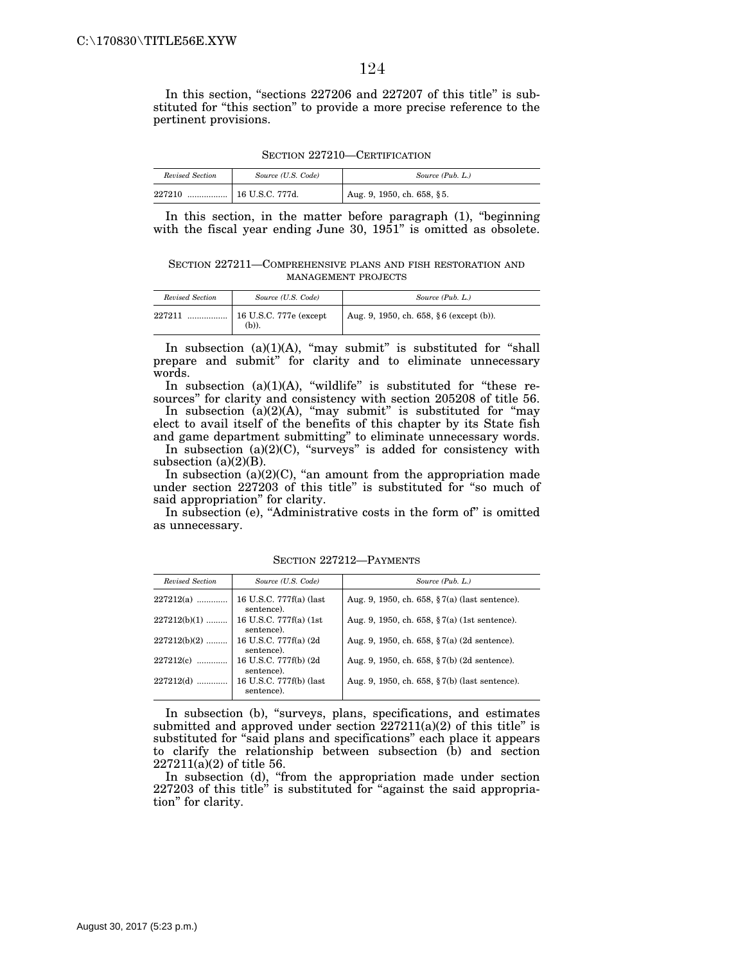In this section, "sections 227206 and 227207 of this title" is substituted for ''this section'' to provide a more precise reference to the pertinent provisions.

SECTION 227210—CERTIFICATION

| Revised Section | Source (U.S. Code) | Source (Pub. L.)           |
|-----------------|--------------------|----------------------------|
| 227210<br>      | 16 U.S.C. 777d.    | Aug. 9, 1950, ch. 658, §5. |

In this section, in the matter before paragraph (1), "beginning with the fiscal year ending June 30, 1951" is omitted as obsolete.

SECTION 227211—COMPREHENSIVE PLANS AND FISH RESTORATION AND MANAGEMENT PROJECTS

| Revised Section | Source (U.S. Code)                      | Source (Pub. L.)                        |
|-----------------|-----------------------------------------|-----------------------------------------|
| 227211          | $\vert$ 16 U.S.C. 777e (except<br>(b)). | Aug. 9, 1950, ch. 658, §6 (except (b)). |

In subsection  $(a)(1)(A)$ , "may submit" is substituted for "shall prepare and submit'' for clarity and to eliminate unnecessary words.

In subsection  $(a)(1)(A)$ , "wildlife" is substituted for "these resources'' for clarity and consistency with section 205208 of title 56.

In subsection (a)(2)(A), "may submit" is substituted for "may elect to avail itself of the benefits of this chapter by its State fish and game department submitting'' to eliminate unnecessary words.

In subsection (a)(2)(C), "surveys" is added for consistency with subsection  $(a)(2)(B)$ .

In subsection  $(a)(2)(C)$ , "an amount from the appropriation made under section 227203 of this title'' is substituted for ''so much of said appropriation'' for clarity.

In subsection (e), "Administrative costs in the form of" is omitted as unnecessary.

| Revised Section | Source (U.S. Code)                    | Source (Pub. L.)                                          |
|-----------------|---------------------------------------|-----------------------------------------------------------|
| $227212(a)$     | 16 U.S.C. 777f(a) (last<br>sentence). | Aug. 9, 1950, ch. 658, $\S 7(a)$ (last sentence).         |
| $227212(b)(1)$  | 16 U.S.C. 777f(a) (1st)<br>sentence). | Aug. 9, 1950, ch. 658, $\frac{6}{3}$ 7(a) (1st sentence). |
| $227212(b)(2)$  | 16 U.S.C. 777f(a) (2d)<br>sentence).  | Aug. 9, 1950, ch. 658, $\S 7(a)$ (2d sentence).           |
| $227212(c)$     | 16 U.S.C. 777f(b) (2d<br>sentence).   | Aug. 9, 1950, ch. 658, $\S 7(b)$ (2d sentence).           |
| $227212(d)$     | 16 U.S.C. 777f(b) (last<br>sentence). | Aug. 9, 1950, ch. 658, $\S 7(b)$ (last sentence).         |

SECTION 227212—PAYMENTS

In subsection (b), ''surveys, plans, specifications, and estimates submitted and approved under section 227211(a)(2) of this title'' is substituted for "said plans and specifications" each place it appears to clarify the relationship between subsection (b) and section 227211(a)(2) of title 56.

In subsection (d), "from the appropriation made under section 227203 of this title" is substituted for "against the said appropriation'' for clarity.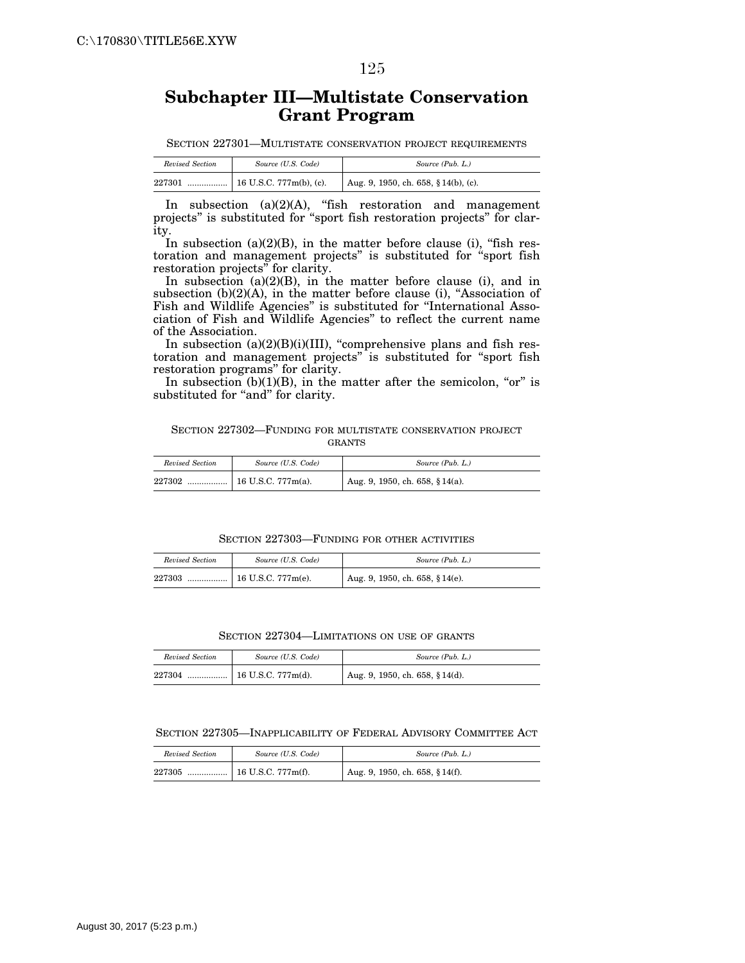# **Subchapter III—Multistate Conservation Grant Program**

SECTION 227301—MULTISTATE CONSERVATION PROJECT REQUIREMENTS

| Revised Section | Source (U.S. Code) | Source (Pub. L.)                     |
|-----------------|--------------------|--------------------------------------|
| 227301          |                    | Aug. 9, 1950, ch. 658, § 14(b), (c). |

In subsection  $(a)(2)(A)$ , "fish restoration and management projects'' is substituted for ''sport fish restoration projects'' for clarity.

In subsection  $(a)(2)(B)$ , in the matter before clause (i), "fish restoration and management projects'' is substituted for ''sport fish restoration projects'' for clarity.

In subsection (a)(2)(B), in the matter before clause (i), and in subsection (b)(2)(A), in the matter before clause (i), "Association of Fish and Wildlife Agencies'' is substituted for ''International Association of Fish and Wildlife Agencies'' to reflect the current name of the Association.

In subsection (a)(2)(B)(i)(III), "comprehensive plans and fish restoration and management projects'' is substituted for ''sport fish restoration programs'' for clarity.

In subsection  $(b)(1)(B)$ , in the matter after the semicolon, "or" is substituted for "and" for clarity.

#### SECTION 227302—FUNDING FOR MULTISTATE CONSERVATION PROJECT GRANTS

| Revised Section | Source (U.S. Code) | Source (Pub. L.)                |
|-----------------|--------------------|---------------------------------|
| 227302          |                    | Aug. 9, 1950, ch. 658, § 14(a). |

#### SECTION 227303—FUNDING FOR OTHER ACTIVITIES

| Revised Section | Source (U.S. Code)       | Source (Pub. L.)                |
|-----------------|--------------------------|---------------------------------|
| 227303<br>      | $16$ U.S.C. 777 $m(e)$ . | Aug. 9, 1950, ch. 658, § 14(e). |

#### SECTION 227304—LIMITATIONS ON USE OF GRANTS

| Revised Section | Source (U.S. Code) | Source (Pub. L.)                |
|-----------------|--------------------|---------------------------------|
| 227304          |                    | Aug. 9, 1950, ch. 658, § 14(d). |

#### SECTION 227305—INAPPLICABILITY OF FEDERAL ADVISORY COMMITTEE ACT

| Revised Section | Source (U.S. Code) | Source (Pub. L.)                |
|-----------------|--------------------|---------------------------------|
| 227305          |                    | Aug. 9, 1950, ch. 658, § 14(f). |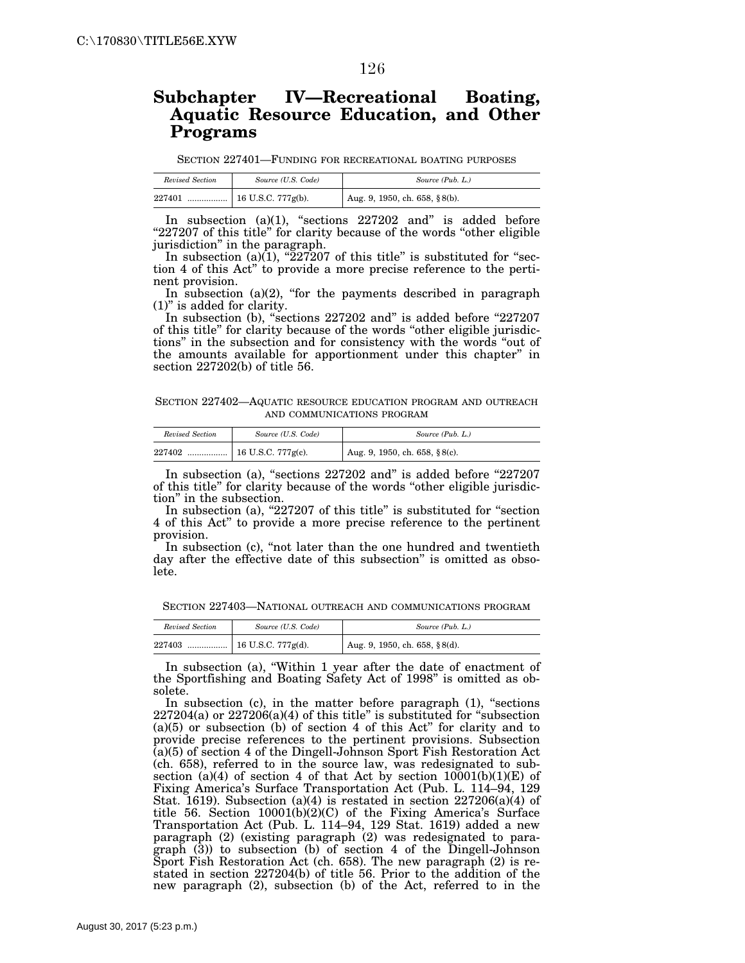# **Subchapter IV—Recreational Boating, Aquatic Resource Education, and Other Programs**

SECTION 227401—FUNDING FOR RECREATIONAL BOATING PURPOSES

| Revised Section | Source (U.S. Code) | Source (Pub. L.)              |
|-----------------|--------------------|-------------------------------|
| 227401          |                    | Aug. 9, 1950, ch. 658, §8(b). |

In subsection  $(a)(1)$ , "sections  $227202$  and" is added before "227207 of this title" for clarity because of the words "other eligible jurisdiction'' in the paragraph.

In subsection (a) $(1)$ , "227207 of this title" is substituted for "section 4 of this Act'' to provide a more precise reference to the pertinent provision.

In subsection  $(a)(2)$ , "for the payments described in paragraph (1)'' is added for clarity.

In subsection (b), "sections 227202 and" is added before "227207 of this title'' for clarity because of the words ''other eligible jurisdictions'' in the subsection and for consistency with the words ''out of the amounts available for apportionment under this chapter'' in section 227202(b) of title 56.

SECTION 227402—AQUATIC RESOURCE EDUCATION PROGRAM AND OUTREACH AND COMMUNICATIONS PROGRAM

| Revised Section | Source (U.S. Code) | Source (Pub. L.)                  |
|-----------------|--------------------|-----------------------------------|
| 227402          |                    | Aug. 9, 1950, ch. 658, $§ 8(c)$ . |

In subsection (a), "sections 227202 and" is added before "227207 of this title'' for clarity because of the words ''other eligible jurisdiction'' in the subsection.

In subsection (a),  $"227207$  of this title" is substituted for "section 4 of this Act'' to provide a more precise reference to the pertinent provision.

In subsection (c), ''not later than the one hundred and twentieth day after the effective date of this subsection'' is omitted as obsolete.

SECTION 227403—NATIONAL OUTREACH AND COMMUNICATIONS PROGRAM

| Revised Section | Source (U.S. Code) | Source (Pub. L.)              |
|-----------------|--------------------|-------------------------------|
| 227403          |                    | Aug. 9, 1950, ch. 658, §8(d). |

In subsection (a), "Within 1 year after the date of enactment of the Sportfishing and Boating Safety Act of 1998'' is omitted as obsolete.

In subsection (c), in the matter before paragraph (1), "sections  $227204(a)$  or  $227206(a)(4)$  of this title" is substituted for "subsection" (a)(5) or subsection (b) of section 4 of this Act'' for clarity and to provide precise references to the pertinent provisions. Subsection (a)(5) of section 4 of the Dingell-Johnson Sport Fish Restoration Act (ch. 658), referred to in the source law, was redesignated to subsection (a)(4) of section 4 of that Act by section  $10001(b)(1)(E)$  of Fixing America's Surface Transportation Act (Pub. L. 114–94, 129 Stat. 1619). Subsection (a)(4) is restated in section 227206(a)(4) of title 56. Section 10001(b)(2)(C) of the Fixing America's Surface Transportation Act (Pub. L. 114–94, 129 Stat. 1619) added a new paragraph (2) (existing paragraph (2) was redesignated to paragraph (3)) to subsection (b) of section 4 of the Dingell-Johnson Sport Fish Restoration Act (ch. 658). The new paragraph (2) is restated in section 227204(b) of title 56. Prior to the addition of the new paragraph (2), subsection (b) of the Act, referred to in the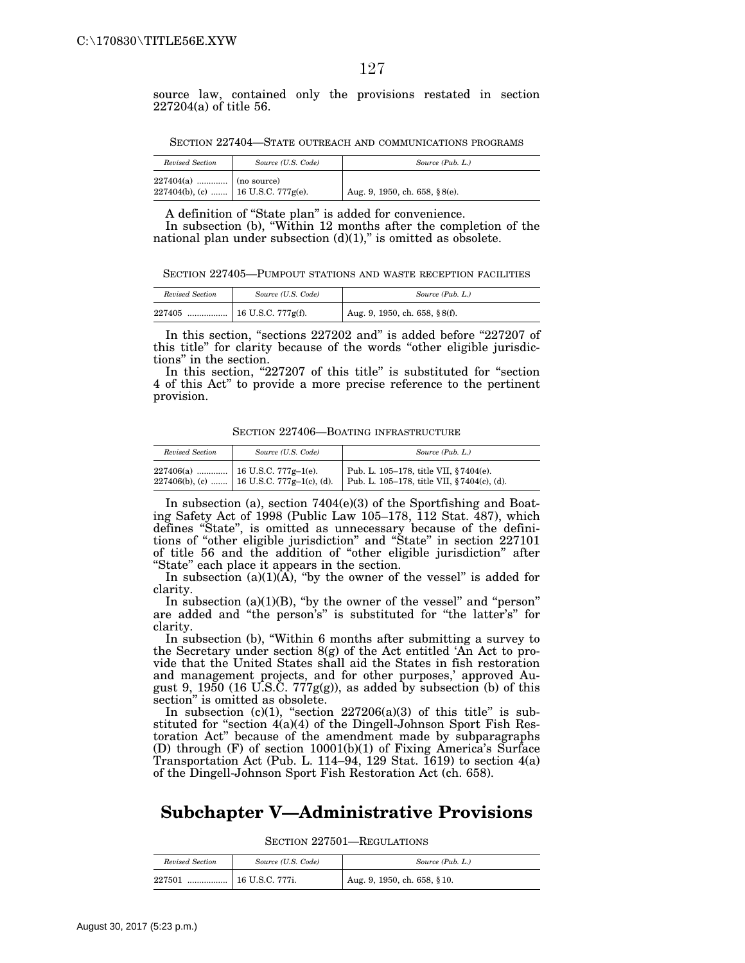source law, contained only the provisions restated in section 227204(a) of title 56.

SECTION 227404—STATE OUTREACH AND COMMUNICATIONS PROGRAMS

| Revised Section         | Source (U.S. Code)                   | Source (Pub. L.)              |
|-------------------------|--------------------------------------|-------------------------------|
| $227404(a)$ (no source) | 227404(b), (c)    16 U.S.C. 777g(e). | Aug. 9, 1950, ch. 658, §8(e). |

A definition of ''State plan'' is added for convenience.

In subsection (b), ''Within 12 months after the completion of the national plan under subsection  $(d)(1)$ ," is omitted as obsolete.

SECTION 227405—PUMPOUT STATIONS AND WASTE RECEPTION FACILITIES

| Revised Section | Source (U.S. Code) | Source (Pub. L.)              |
|-----------------|--------------------|-------------------------------|
| 227405          |                    | Aug. 9, 1950, ch. 658, §8(f). |

In this section, "sections 227202 and" is added before "227207 of this title'' for clarity because of the words ''other eligible jurisdictions'' in the section.

In this section, "227207 of this title" is substituted for "section 4 of this Act'' to provide a more precise reference to the pertinent provision.

SECTION 227406—BOATING INFRASTRUCTURE

| Revised Section | Source (U.S. Code)                          | Source (Pub. L.)                                                                    |
|-----------------|---------------------------------------------|-------------------------------------------------------------------------------------|
|                 | 227406(b), (c)    16 U.S.C. 777g-1(c), (d). | Pub. L. 105-178, title VII, §7404(e).<br>Pub. L. 105-178, title VII, §7404(c), (d). |

In subsection (a), section 7404(e)(3) of the Sportfishing and Boating Safety Act of 1998 (Public Law 105–178, 112 Stat. 487), which defines ''State'', is omitted as unnecessary because of the definitions of ''other eligible jurisdiction'' and ''State'' in section 227101 of title 56 and the addition of ''other eligible jurisdiction'' after ''State'' each place it appears in the section.

In subsection  $(a)(1)(A)$ , "by the owner of the vessel" is added for clarity.

In subsection  $(a)(1)(B)$ , "by the owner of the vessel" and "person" are added and ''the person's'' is substituted for ''the latter's'' for clarity.

In subsection (b), "Within 6 months after submitting a survey to the Secretary under section 8(g) of the Act entitled 'An Act to provide that the United States shall aid the States in fish restoration and management projects, and for other purposes,' approved August 9, 1950 (16 U.S.C.  $777g(g)$ ), as added by subsection (b) of this section'' is omitted as obsolete.

In subsection  $(c)(1)$ , "section 227206(a)(3) of this title" is substituted for "section 4(a)(4) of the Dingell-Johnson Sport Fish Restoration Act'' because of the amendment made by subparagraphs (D) through (F) of section 10001(b)(1) of Fixing America's Surface Transportation Act (Pub. L. 114–94, 129 Stat.  $1619$ ) to section  $4(a)$ of the Dingell-Johnson Sport Fish Restoration Act (ch. 658).

## **Subchapter V—Administrative Provisions**

SECTION 227501—REGULATIONS

| Revised Section | Source (U.S. Code)      | Source (Pub. L.)            |
|-----------------|-------------------------|-----------------------------|
| 227501<br>      | $\vert$ 16 U.S.C. 777i. | Aug. 9, 1950, ch. 658, §10. |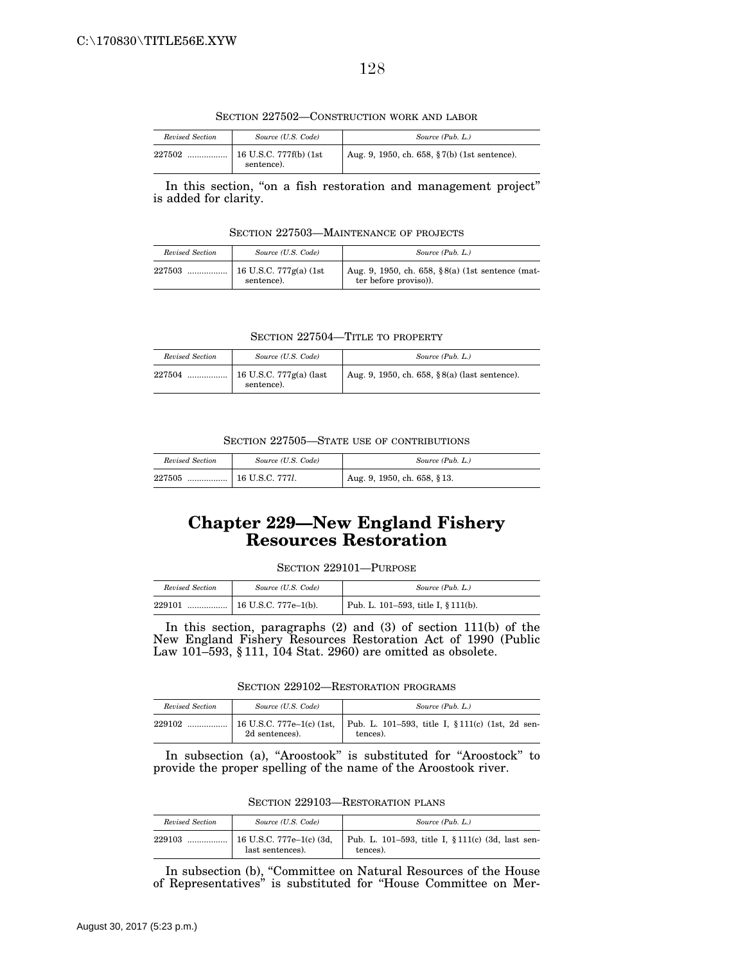128

SECTION 227502—CONSTRUCTION WORK AND LABOR

| Revised Section | Source (U.S. Code)                      | Source (Pub. L.)                             |
|-----------------|-----------------------------------------|----------------------------------------------|
| 227502<br>      | 16 U.S.C. 777f(b) $(1st)$<br>sentence). | Aug. 9, 1950, ch. 658, §7(b) (1st sentence). |

In this section, "on a fish restoration and management project" is added for clarity.

SECTION 227503—MAINTENANCE OF PROJECTS

| Revised Section | Source (U.S. Code) | Source (Pub. L.)                                                         |
|-----------------|--------------------|--------------------------------------------------------------------------|
|                 | sentence).         | Aug. 9, 1950, ch. 658, §8(a) (1st sentence (mat-<br>ter before proviso). |

SECTION 227504—TITLE TO PROPERTY

| Revised Section | Source (U.S. Code)                    | Source (Pub. L.)                              |
|-----------------|---------------------------------------|-----------------------------------------------|
| 227504          | 16 U.S.C. 777g(a) (last<br>sentence). | Aug. 9, 1950, ch. 658, §8(a) (last sentence). |

SECTION 227505—STATE USE OF CONTRIBUTIONS

| Revised Section | Source (U.S. Code) | Source (Pub. L.)            |
|-----------------|--------------------|-----------------------------|
| 227505          |                    | Aug. 9, 1950, ch. 658, §13. |

# **Chapter 229—New England Fishery Resources Restoration**

| SECTION 229101—PURPOSE |  |
|------------------------|--|
|------------------------|--|

| Revised Section | Source (U.S. Code)   | Source (Pub. L.)                    |
|-----------------|----------------------|-------------------------------------|
| 229101<br>      | 16 U.S.C. 777e-1(b). | Pub. L. 101-593, title I, § 111(b). |

In this section, paragraphs (2) and (3) of section 111(b) of the New England Fishery Resources Restoration Act of 1990 (Public Law 101–593, § 111, 104 Stat. 2960) are omitted as obsolete.

SECTION 229102—RESTORATION PROGRAMS

| Revised Section | Source (U.S. Code) | Source (Pub. L.)                                                                          |
|-----------------|--------------------|-------------------------------------------------------------------------------------------|
| 229102          | 2d sentences).     | 16 U.S.C. 777e-1(c) (1st,   Pub. L. 101-593, title I, $$111(c)$ (1st, 2d sen-<br>tences). |

In subsection (a), "Aroostook" is substituted for "Aroostock" to provide the proper spelling of the name of the Aroostook river.

SECTION 229103—RESTORATION PLANS

| Revised Section | Source (U.S. Code)                           | Source (Pub. L.)                                              |
|-----------------|----------------------------------------------|---------------------------------------------------------------|
| 229103<br>      | 16 U.S.C. 777e-1(c) (3d,<br>last sentences). | Pub. L. 101-593, title I, § 111(c) (3d, last sen-<br>tences). |

In subsection (b), ''Committee on Natural Resources of the House of Representatives'' is substituted for ''House Committee on Mer-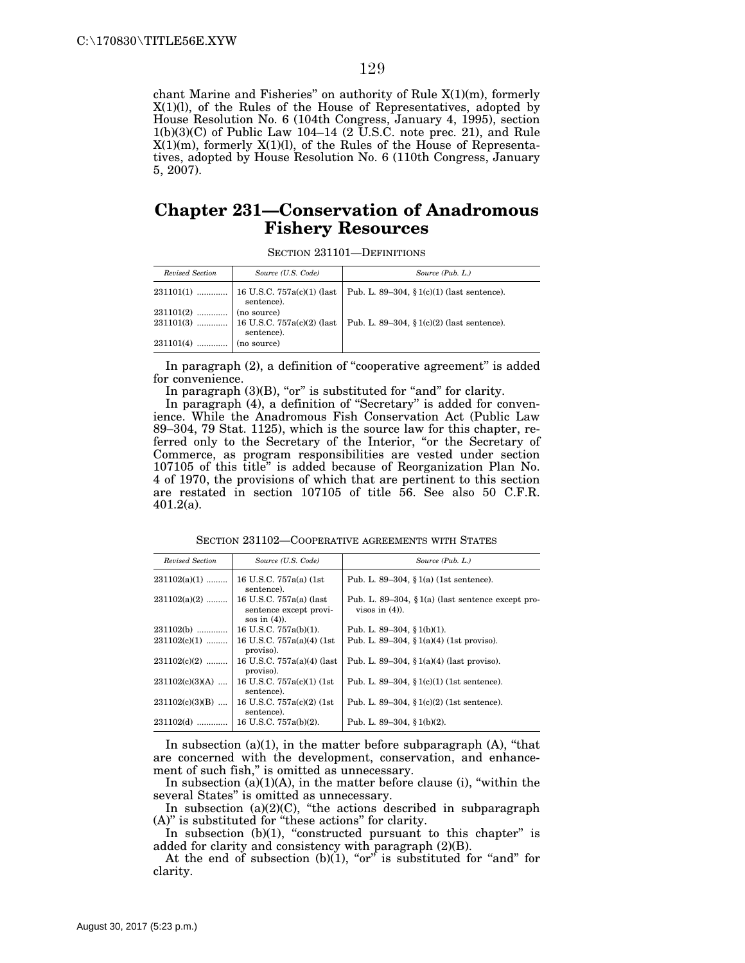chant Marine and Fisheries'' on authority of Rule X(1)(m), formerly X(1)(l), of the Rules of the House of Representatives, adopted by House Resolution No. 6 (104th Congress, January 4, 1995), section  $1(b)(3)(C)$  of Public Law 104–14 (2 U.S.C. note prec. 21), and Rule  $X(1)(m)$ , formerly  $X(1)(l)$ , of the Rules of the House of Representatives, adopted by House Resolution No. 6 (110th Congress, January 5, 2007).

### **Chapter 231—Conservation of Anadromous Fishery Resources**

SECTION 231101—DEFINITIONS

| Revised Section         | Source (U.S. Code)                                     | Source (Pub. L.)                             |
|-------------------------|--------------------------------------------------------|----------------------------------------------|
|                         | $231101(1)$   16 U.S.C. 757a(c)(1) (last<br>sentence). | Pub. L. 89–304, $\S1(c)(1)$ (last sentence). |
|                         | sentence).                                             | Pub. L. 89–304, § $1(c)(2)$ (last sentence). |
| $231101(4)$ (no source) |                                                        |                                              |

In paragraph (2), a definition of "cooperative agreement" is added for convenience.

In paragraph  $(3)(B)$ , "or" is substituted for "and" for clarity.

In paragraph (4), a definition of "Secretary" is added for convenience. While the Anadromous Fish Conservation Act (Public Law 89–304, 79 Stat. 1125), which is the source law for this chapter, referred only to the Secretary of the Interior, "or the Secretary of Commerce, as program responsibilities are vested under section 107105 of this title'' is added because of Reorganization Plan No. 4 of 1970, the provisions of which that are pertinent to this section are restated in section 107105 of title 56. See also 50 C.F.R. 401.2(a).

SECTION 231102—COOPERATIVE AGREEMENTS WITH STATES

| Revised Section   | Source (U.S. Code)                                                   | Source (Pub. L.)                                                          |
|-------------------|----------------------------------------------------------------------|---------------------------------------------------------------------------|
| $231102(a)(1)$    | 16 U.S.C. 757a(a) (1st)<br>sentence).                                | Pub. L. 89–304, $\S 1(a)$ (1st sentence).                                 |
| $231102(a)(2)$    | 16 U.S.C. 757a(a) (last<br>sentence except provi-<br>sos in $(4)$ ). | Pub. L. 89–304, $\S 1(a)$ (last sentence except pro-<br>visos in $(4)$ ). |
| 231102(b)         | 16 U.S.C. 757a(b)(1).                                                | Pub. L. 89-304, § $1(b)(1)$ .                                             |
| $231102(c)(1)$    | 16 U.S.C. 757a(a)(4) (1st<br>proviso).                               | Pub. L. 89–304, § $1(a)(4)$ (1st proviso).                                |
| $231102(c)(2)$    | 16 U.S.C. 757a(a)(4) (last<br>proviso).                              | Pub. L. 89–304, $\S 1(a)(4)$ (last proviso).                              |
| $231102(c)(3)(A)$ | 16 U.S.C. 757a(c)(1) (1st)<br>sentence).                             | Pub. L. 89–304, $\S1(c)(1)$ (1st sentence).                               |
| $231102(c)(3)(B)$ | 16 U.S.C. 757a(c)(2) (1st)<br>sentence).                             | Pub. L. 89–304, $(1)(2)(1)$ (1st sentence).                               |
| 231102(d)         | 16 U.S.C. 757a(b)(2).                                                | Pub. L. 89-304, § $1(b)(2)$ .                                             |

In subsection (a)(1), in the matter before subparagraph  $(A)$ , "that are concerned with the development, conservation, and enhancement of such fish,'' is omitted as unnecessary.

In subsection  $(a)(1)(A)$ , in the matter before clause  $(i)$ , "within the several States'' is omitted as unnecessary.

In subsection  $(a)(2)(C)$ , "the actions described in subparagraph (A)'' is substituted for ''these actions'' for clarity.

In subsection (b)(1), "constructed pursuant to this chapter" is added for clarity and consistency with paragraph (2)(B).

At the end of subsection  $(b)(1)$ , "or" is substituted for "and" for clarity.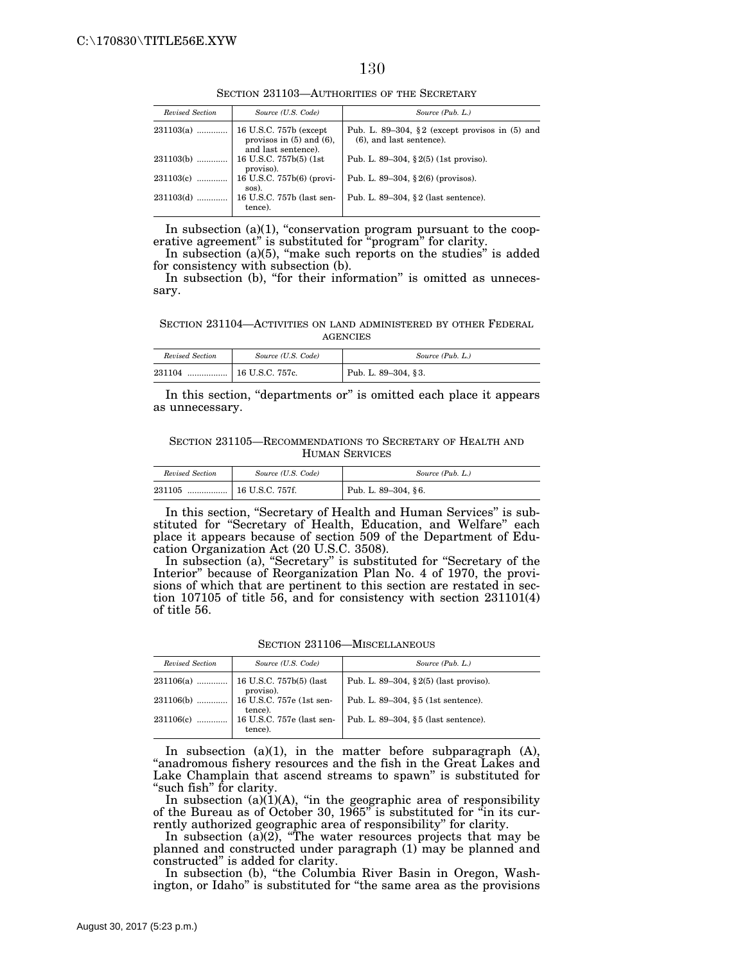#### 130

SECTION 231103—AUTHORITIES OF THE SECRETARY

| Revised Section | Source (U.S. Code)                                                               | Source (Pub. L.)                                                                |
|-----------------|----------------------------------------------------------------------------------|---------------------------------------------------------------------------------|
| $231103(a)$     | $16$ U.S.C. 757b (except<br>provisos in $(5)$ and $(6)$ ,<br>and last sentence). | Pub. L. 89–304, §2 (except provisos in $(5)$ and<br>$(6)$ , and last sentence). |
| $231103(b)$     | 16 U.S.C. 757b(5) (1st)<br>proviso).                                             | Pub. L. 89-304, $\S 2(5)$ (1st proviso).                                        |
| 231103(c)       | 16 U.S.C. 757b(6) (provi-<br>sos).                                               | Pub. L. 89–304, $\S 2(6)$ (provisos).                                           |
| $231103(d)$     | 16 U.S.C. 757b (last sen-<br>tence).                                             | Pub. L. 89-304, $\S 2$ (last sentence).                                         |

In subsection  $(a)(1)$ , "conservation program pursuant to the cooperative agreement" is substituted for "program" for clarity.

In subsection  $(a)(5)$ , "make such reports on the studies" is added for consistency with subsection (b).

In subsection (b), "for their information" is omitted as unnecessary.

SECTION 231104—ACTIVITIES ON LAND ADMINISTERED BY OTHER FEDERAL AGENCIES

| Revised Section | Source (U.S. Code)      | Source (Pub. L.)    |
|-----------------|-------------------------|---------------------|
| 231104<br>.     | $\vert$ 16 U.S.C. 757c. | Pub. L. 89–304, §3. |

In this section, "departments or" is omitted each place it appears as unnecessary.

SECTION 231105—RECOMMENDATIONS TO SECRETARY OF HEALTH AND HUMAN SERVICES

| Revised Section<br>Source (U.S. Code) |                         | Source (Pub. L.)    |  |
|---------------------------------------|-------------------------|---------------------|--|
| 231105<br>                            | $\vert$ 16 U.S.C. 757f. | Pub. L. 89-304, §6. |  |

In this section, "Secretary of Health and Human Services" is substituted for ''Secretary of Health, Education, and Welfare'' each place it appears because of section 509 of the Department of Education Organization Act (20 U.S.C. 3508).

In subsection (a), "Secretary" is substituted for "Secretary of the Interior'' because of Reorganization Plan No. 4 of 1970, the provisions of which that are pertinent to this section are restated in section 107105 of title 56, and for consistency with section 231101(4) of title 56.

SECTION 231106—MISCELLANEOUS

| Revised Section | Source (U.S. Code)                                                                                                            | Source (Pub. L.)                          |
|-----------------|-------------------------------------------------------------------------------------------------------------------------------|-------------------------------------------|
|                 |                                                                                                                               | Pub. L. 89–304, $\S 2(5)$ (last proviso). |
| 231106(b)       | $\left  \begin{array}{c} \text{proviso.} \\ 16 \text{ U.S.C. } 757 \text{e} \text{ (1st sen-} \end{array} \right $<br>tence). | Pub. L. 89-304, §5 (1st sentence).        |
| 231106(c)       | 16 U.S.C. 757e (last sen-<br>tence).                                                                                          | Pub. L. $89-304$ , $§5$ (last sentence).  |

In subsection  $(a)(1)$ , in the matter before subparagraph  $(A)$ , ''anadromous fishery resources and the fish in the Great Lakes and Lake Champlain that ascend streams to spawn'' is substituted for "such fish" for clarity.

In subsection  $(a)(1)(A)$ , "in the geographic area of responsibility of the Bureau as of October 30, 1965'' is substituted for ''in its currently authorized geographic area of responsibility'' for clarity.

In subsection  $(a)(2)$ , "The water resources projects that may be planned and constructed under paragraph (1) may be planned and constructed'' is added for clarity.

In subsection (b), "the Columbia River Basin in Oregon, Washington, or Idaho'' is substituted for ''the same area as the provisions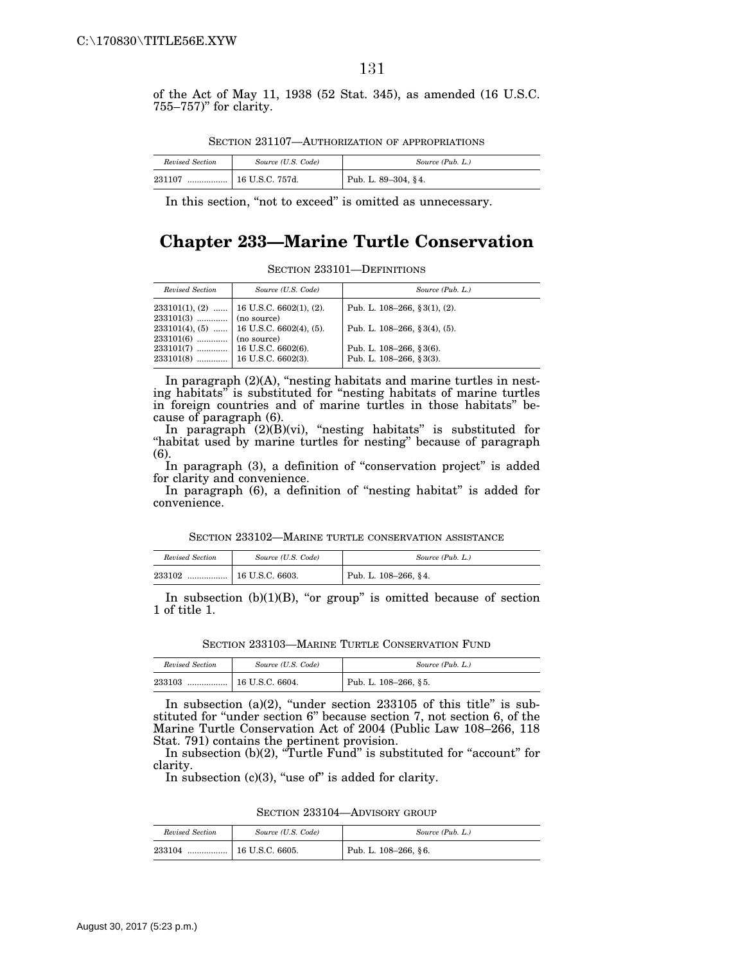of the Act of May 11, 1938 (52 Stat. 345), as amended (16 U.S.C. 755–757)'' for clarity.

|--|

| Revised Section | Source (U.S. Code)      | Source (Pub. L.)    |
|-----------------|-------------------------|---------------------|
| 231107<br>      | $\vert$ 16 U.S.C. 757d. | Pub. L. 89-304, §4. |

In this section, "not to exceed" is omitted as unnecessary.

# **Chapter 233—Marine Turtle Conservation**

SECTION 233101—DEFINITIONS

| Revised Section         | Source (U.S. Code)                         | Source (Pub. L.)                 |
|-------------------------|--------------------------------------------|----------------------------------|
|                         | $233101(1), (2)$   16 U.S.C. 6602(1), (2). | Pub. L. $108-266$ , § 3(1), (2). |
| $233101(3)$ (no source) |                                            |                                  |
|                         | $233101(4), (5)$ 16 U.S.C. 6602(4), (5).   | Pub. L. $108-266$ , § 3(4), (5). |
| $233101(6)$ (no source) |                                            |                                  |
|                         |                                            | Pub. L. 108-266, §3(6).          |
|                         |                                            | Pub. L. 108-266, §3(3).          |

In paragraph  $(2)(A)$ , "nesting habitats and marine turtles in nesting habitats'' is substituted for ''nesting habitats of marine turtles in foreign countries and of marine turtles in those habitats'' because of paragraph (6).

In paragraph (2)(B)(vi), ''nesting habitats'' is substituted for "habitat used by marine turtles for nesting" because of paragraph (6).

In paragraph (3), a definition of "conservation project" is added for clarity and convenience.

In paragraph (6), a definition of "nesting habitat" is added for convenience.

SECTION 233102—MARINE TURTLE CONSERVATION ASSISTANCE

| Revised Section | Source (U.S. Code) | Source (Pub. L.)     |
|-----------------|--------------------|----------------------|
| 233102<br>      | 16 U.S.C. 6603.    | Pub. L. 108-266, §4. |

In subsection  $(b)(1)(B)$ , "or group" is omitted because of section 1 of title 1.

SECTION 233103—MARINE TURTLE CONSERVATION FUND

| Source (U.S. Code)<br>Revised Section |  | Source (Pub. L.)         |  |
|---------------------------------------|--|--------------------------|--|
| $\pm 16$ U.S.C. 6604.<br>233103<br>   |  | Pub. L. $108-266$ , § 5. |  |

In subsection (a)(2), "under section  $233105$  of this title" is substituted for "under section 6" because section 7, not section 6, of the Marine Turtle Conservation Act of 2004 (Public Law 108–266, 118 Stat. 791) contains the pertinent provision.

In subsection (b)(2), "Turtle Fund" is substituted for "account" for clarity.

In subsection  $(c)(3)$ , "use of" is added for clarity.

SECTION 233104—ADVISORY GROUP

| Revised Section                       | Source (U.S. Code) | Source (Pub. L.)     |  |
|---------------------------------------|--------------------|----------------------|--|
| $\vert$ 16 U.S.C. 6605.<br>233104<br> |                    | Pub. L. 108-266, §6. |  |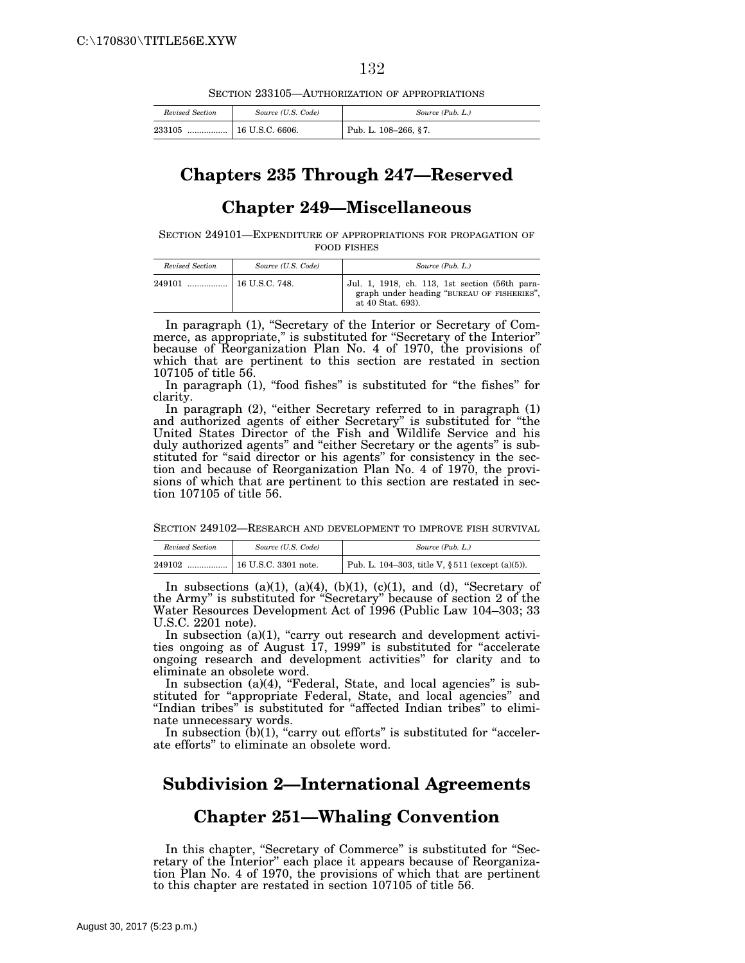132

SECTION 233105—AUTHORIZATION OF APPROPRIATIONS

| Revised Section                     | Source (U.S. Code) | Source (Pub. L.)     |  |
|-------------------------------------|--------------------|----------------------|--|
| $\pm 16$ U.S.C. 6606.<br>233105<br> |                    | Pub. L. 108-266, §7. |  |

# **Chapters 235 Through 247—Reserved**

### **Chapter 249—Miscellaneous**

SECTION 249101—EXPENDITURE OF APPROPRIATIONS FOR PROPAGATION OF FOOD FISHES

| Revised Section | Source (U.S. Code) | Source (Pub. L.)                                                                                                  |
|-----------------|--------------------|-------------------------------------------------------------------------------------------------------------------|
|                 |                    | Jul. 1, 1918, ch. 113, 1st section (56th para-<br>graph under heading "BUREAU OF FISHERIES",<br>at 40 Stat. 693). |

In paragraph (1), "Secretary of the Interior or Secretary of Commerce, as appropriate," is substituted for "Secretary of the Interior" because of Reorganization Plan No. 4 of 1970, the provisions of which that are pertinent to this section are restated in section 107105 of title 56.

In paragraph (1), "food fishes" is substituted for "the fishes" for clarity.

In paragraph  $(2)$ , "either Secretary referred to in paragraph  $(1)$ and authorized agents of either Secretary'' is substituted for ''the United States Director of the Fish and Wildlife Service and his duly authorized agents'' and ''either Secretary or the agents'' is substituted for "said director or his agents" for consistency in the section and because of Reorganization Plan No. 4 of 1970, the provisions of which that are pertinent to this section are restated in section 107105 of title 56.

SECTION 249102—RESEARCH AND DEVELOPMENT TO IMPROVE FISH SURVIVAL

| Revised Section<br>Source (U.S. Code) |  | Source (Pub. L.)                                    |  |
|---------------------------------------|--|-----------------------------------------------------|--|
| 249102                                |  | Pub. L. 104–303, title V, $\S 511$ (except (a)(5)). |  |

In subsections  $(a)(1)$ ,  $(a)(4)$ ,  $(b)(1)$ ,  $(c)(1)$ , and  $(d)$ , "Secretary of the Army'' is substituted for ''Secretary'' because of section 2 of the Water Resources Development Act of 1996 (Public Law 104–303; 33 U.S.C. 2201 note).

In subsection (a)(1), "carry out research and development activities ongoing as of August 17, 1999'' is substituted for ''accelerate ongoing research and development activities'' for clarity and to eliminate an obsolete word.

In subsection  $(a)(4)$ , "Federal, State, and local agencies" is substituted for "appropriate Federal, State, and local agencies" and "Indian tribes" is substituted for "affected Indian tribes" to eliminate unnecessary words.

In subsection  $(b)(1)$ , "carry out efforts" is substituted for "accelerate efforts'' to eliminate an obsolete word.

## **Subdivision 2—International Agreements**

#### **Chapter 251—Whaling Convention**

In this chapter, "Secretary of Commerce" is substituted for "Secretary of the Interior'' each place it appears because of Reorganization Plan No. 4 of 1970, the provisions of which that are pertinent to this chapter are restated in section 107105 of title 56.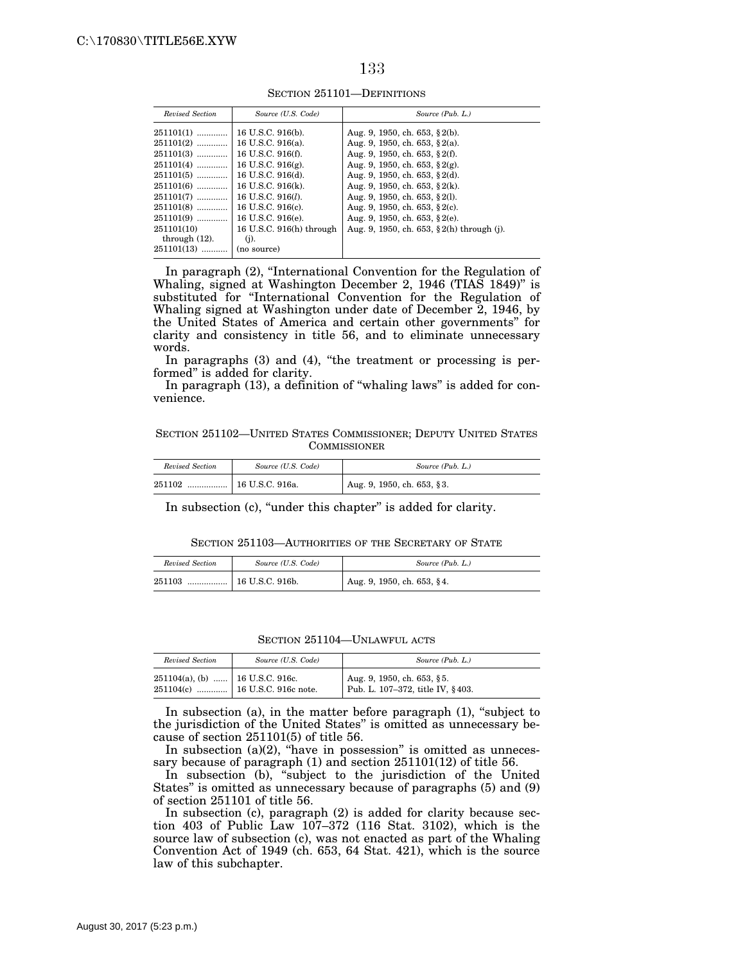| ۰, | ٧ |
|----|---|
|    |   |

| Revised Section  | Source (U.S. Code)       | Source (Pub. L.)                           |
|------------------|--------------------------|--------------------------------------------|
| 251101(1)        | 16 U.S.C. 916(b).        | Aug. 9, 1950, ch. 653, $\S$ 2(b).          |
| $251101(2)$      | 16 U.S.C. 916(a).        | Aug. 9, 1950, ch. 653, $\S$ 2(a).          |
| 251101(3)        | 16 U.S.C. 916(f).        | Aug. 9, 1950, ch. 653, $\S 2(f)$ .         |
| 251101(4)        | 16 U.S.C. 916 $(g)$ .    | Aug. 9, 1950, ch. 653, $\S 2(g)$ .         |
| 251101(5)        | 16 U.S.C. 916(d).        | Aug. 9, 1950, ch. 653, $\S$ 2(d).          |
| 251101(6)        | 16 U.S.C. 916(k).        | Aug. 9, 1950, ch. 653, $\S 2(k)$ .         |
| 251101(7)        | 16 U.S.C. $916(l)$ .     | Aug. 9, 1950, ch. 653, § 2(1).             |
| 251101(8)        | 16 U.S.C. 916(c).        | Aug. 9, 1950, ch. 653, $\S$ 2(c).          |
| 251101(9)        | 16 U.S.C. 916(e).        | Aug. 9, 1950, ch. 653, $\S$ 2(e).          |
| 251101(10)       | 16 U.S.C. 916(h) through | Aug. 9, 1950, ch. 653, § 2(h) through (j). |
| through $(12)$ . | $(i)$ .                  |                                            |
| 251101(13)       | (no source)              |                                            |
|                  |                          |                                            |

SECTION 251101—DEFINITIONS

In paragraph (2), ''International Convention for the Regulation of Whaling, signed at Washington December 2, 1946 (TIAS 1849)" is substituted for "International Convention for the Regulation of Whaling signed at Washington under date of December 2, 1946, by the United States of America and certain other governments'' for clarity and consistency in title 56, and to eliminate unnecessary words.

In paragraphs (3) and (4), "the treatment or processing is performed'' is added for clarity.

In paragraph (13), a definition of "whaling laws" is added for convenience.

SECTION 251102—UNITED STATES COMMISSIONER; DEPUTY UNITED STATES **COMMISSIONER** 

| Revised Section | Source (U.S. Code) | Source (Pub. L.)                         |
|-----------------|--------------------|------------------------------------------|
| 251102<br>      | 16 U.S.C. 916a.    | $\frac{1}{2}$ Aug. 9, 1950, ch. 653, §3. |

In subsection (c), "under this chapter" is added for clarity.

SECTION 251103—AUTHORITIES OF THE SECRETARY OF STATE

| Revised Section | Source (U.S. Code)         | Source (Pub. L.)           |
|-----------------|----------------------------|----------------------------|
| 251103          | $\ldots$   16 U.S.C. 916b. | Aug. 9, 1950, ch. 653, §4. |

SECTION 251104—UNLAWFUL ACTS

| Revised Section                      | Source (U.S. Code)               | Source (Pub. L.)                                               |
|--------------------------------------|----------------------------------|----------------------------------------------------------------|
| $251104(a)$ , (b)    16 U.S.C. 916c. | $251104(c)$ 16 U.S.C. 916c note. | Aug. 9, 1950, ch. 653, §5.<br>Pub. L. 107-372, title IV, §403. |

In subsection (a), in the matter before paragraph  $(1)$ , "subject to the jurisdiction of the United States'' is omitted as unnecessary because of section 251101(5) of title 56.

In subsection  $(a)(2)$ , "have in possession" is omitted as unnecessary because of paragraph (1) and section 251101(12) of title 56.

In subsection (b), "subject to the jurisdiction of the United States'' is omitted as unnecessary because of paragraphs (5) and (9) of section 251101 of title 56.

In subsection (c), paragraph (2) is added for clarity because section 403 of Public Law 107–372 (116 Stat. 3102), which is the source law of subsection (c), was not enacted as part of the Whaling Convention Act of 1949 (ch. 653, 64 Stat. 421), which is the source law of this subchapter.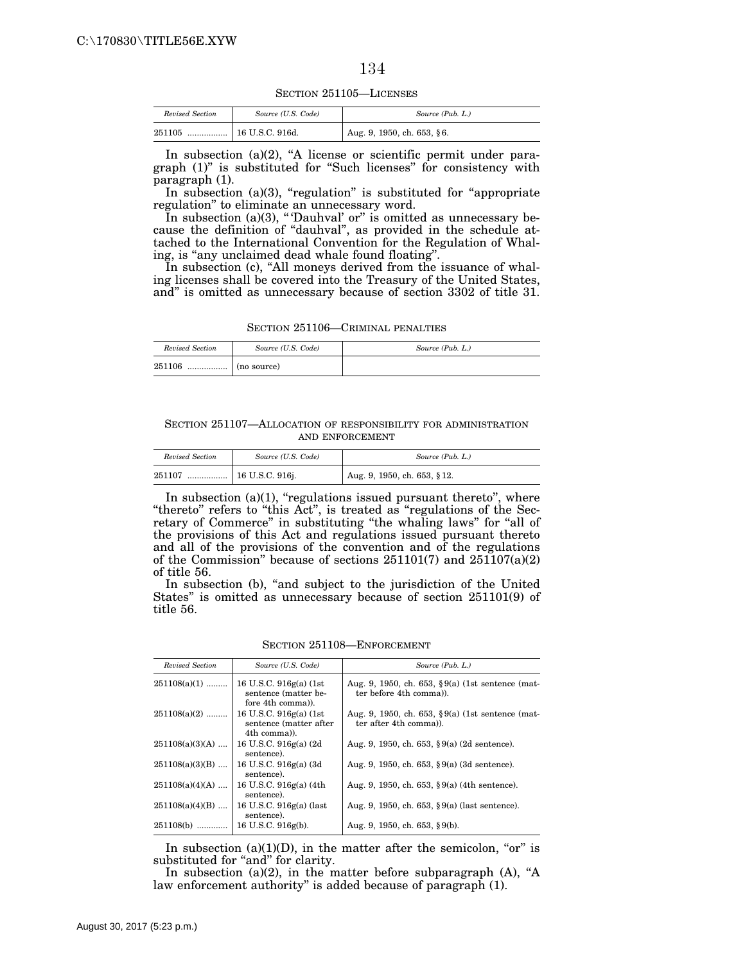SECTION 251105—LICENSES

| Revised Section | Source (U.S. Code) | Source (Pub. L.)           |
|-----------------|--------------------|----------------------------|
| 251105<br>      | 16 U.S.C. 916d.    | Aug. 9, 1950, ch. 653, §6. |

In subsection  $(a)(2)$ , "A license or scientific permit under paragraph  $(1)$ " is substituted for "Such licenses" for consistency with paragraph (1).

In subsection (a)(3), "regulation" is substituted for "appropriate regulation'' to eliminate an unnecessary word.

In subsection (a)(3), "Dauhval' or" is omitted as unnecessary because the definition of ''dauhval'', as provided in the schedule attached to the International Convention for the Regulation of Whaling, is "any unclaimed dead whale found floating".

In subsection (c), "All moneys derived from the issuance of whaling licenses shall be covered into the Treasury of the United States, and'' is omitted as unnecessary because of section 3302 of title 31.

SECTION 251106—CRIMINAL PENALTIES

| Revised Section | Source (U.S. Code) | Source (Pub. L.) |
|-----------------|--------------------|------------------|
| 251106<br>      | (no source)        |                  |

SECTION 251107—ALLOCATION OF RESPONSIBILITY FOR ADMINISTRATION AND ENFORCEMENT

| Revised Section | Source (U.S. Code) | Source (Pub. L.)                           |
|-----------------|--------------------|--------------------------------------------|
| 251107          |                    | $\frac{1}{2}$ Aug. 9, 1950, ch. 653, § 12. |

In subsection  $(a)(1)$ , "regulations issued pursuant thereto", where "thereto" refers to "this Act", is treated as "regulations of the Secretary of Commerce" in substituting "the whaling laws" for "all of the provisions of this Act and regulations issued pursuant thereto and all of the provisions of the convention and of the regulations of the Commission'' because of sections 251101(7) and 251107(a)(2) of title 56.

In subsection (b), "and subject to the jurisdiction of the United States'' is omitted as unnecessary because of section 251101(9) of title 56.

SECTION 251108—ENFORCEMENT

| Revised Section   | Source (U.S. Code)                                                   | Source (Pub. L.)                                                                |
|-------------------|----------------------------------------------------------------------|---------------------------------------------------------------------------------|
| $251108(a)(1)$    | 16 U.S.C. $916g(a)$ (1st<br>sentence (matter be-<br>fore 4th comma). | Aug. 9, 1950, ch. 653, $\S 9(a)$ (1st sentence (mat-<br>ter before 4th comma)). |
| $251108(a)(2)$    | 16 U.S.C. 916g(a) (1st<br>sentence (matter after<br>4th comma).      | Aug. 9, 1950, ch. 653, $\S 9(a)$ (1st sentence (mat-<br>ter after 4th comma).   |
| $251108(a)(3)(A)$ | 16 U.S.C. 916g(a) (2d)<br>sentence).                                 | Aug. 9, 1950, ch. 653, $\S 9(a)$ (2d sentence).                                 |
| $251108(a)(3)(B)$ | 16 U.S.C. 916g(a) (3d<br>sentence).                                  | Aug. 9, 1950, ch. 653, $\S 9(a)$ (3d sentence).                                 |
| $251108(a)(4)(A)$ | 16 U.S.C. 916g(a) (4th<br>sentence).                                 | Aug. 9, 1950, ch. 653, $\S 9(a)$ (4th sentence).                                |
| $251108(a)(4)(B)$ | 16 U.S.C. 916g(a) (last<br>sentence).                                | Aug. 9, 1950, ch. 653, $\S 9(a)$ (last sentence).                               |
| $251108(b)$       | 16 U.S.C. 916g(b).                                                   | Aug. 9, 1950, ch. 653, §9(b).                                                   |

In subsection (a)(1)(D), in the matter after the semicolon, "or" is substituted for "and" for clarity.

In subsection (a)(2), in the matter before subparagraph (A), "A law enforcement authority'' is added because of paragraph (1).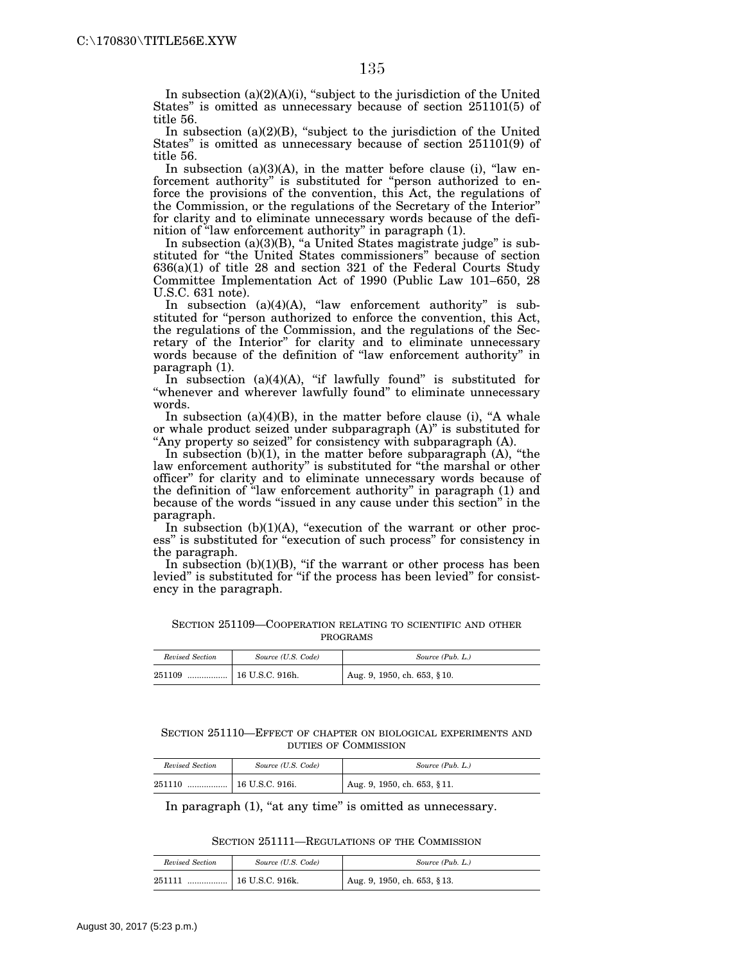In subsection  $(a)(2)(A)(i)$ , "subject to the jurisdiction of the United States'' is omitted as unnecessary because of section 251101(5) of title 56.

In subsection  $(a)(2)(B)$ , "subject to the jurisdiction of the United States'' is omitted as unnecessary because of section 251101(9) of title 56.

In subsection  $(a)(3)(A)$ , in the matter before clause (i), "law enforcement authority'' is substituted for ''person authorized to enforce the provisions of the convention, this Act, the regulations of the Commission, or the regulations of the Secretary of the Interior'' for clarity and to eliminate unnecessary words because of the definition of ''law enforcement authority'' in paragraph (1).

In subsection (a)(3)(B), "a United States magistrate judge" is substituted for ''the United States commissioners'' because of section 636(a)(1) of title 28 and section 321 of the Federal Courts Study Committee Implementation Act of 1990 (Public Law 101–650, 28 U.S.C. 631 note).

In subsection  $(a)(4)(A)$ , "law enforcement authority" is substituted for "person authorized to enforce the convention, this Act, the regulations of the Commission, and the regulations of the Secretary of the Interior'' for clarity and to eliminate unnecessary words because of the definition of ''law enforcement authority'' in paragraph (1).

In subsection  $(a)(4)(A)$ , "if lawfully found" is substituted for ''whenever and wherever lawfully found'' to eliminate unnecessary words.

In subsection  $(a)(4)(B)$ , in the matter before clause (i), "A whale or whale product seized under subparagraph (A)'' is substituted for "Any property so seized" for consistency with subparagraph (A).

In subsection (b)(1), in the matter before subparagraph (A), "the law enforcement authority'' is substituted for ''the marshal or other officer'' for clarity and to eliminate unnecessary words because of the definition of ''law enforcement authority'' in paragraph (1) and because of the words ''issued in any cause under this section'' in the paragraph.

In subsection  $(b)(1)(A)$ , "execution of the warrant or other process" is substituted for "execution of such process" for consistency in the paragraph.

In subsection  $(b)(1)(B)$ , "if the warrant or other process has been levied" is substituted for "if the process has been levied" for consistency in the paragraph.

| SECTION 251109-COOPERATION RELATING TO SCIENTIFIC AND OTHER |          |  |  |
|-------------------------------------------------------------|----------|--|--|
|                                                             | PROGRAMS |  |  |

| Revised Section | Source (U.S. Code) | Source (Pub. L.)             |
|-----------------|--------------------|------------------------------|
| 251109<br>      | 16 U.S.C. 916h.    | Aug. 9, 1950, ch. 653, § 10. |

SECTION 251110—EFFECT OF CHAPTER ON BIOLOGICAL EXPERIMENTS AND DUTIES OF COMMISSION

| Revised Section | Source (U.S. Code)        | Source (Pub. L.)                 |
|-----------------|---------------------------|----------------------------------|
| 251110          | $\ldots$   16 U.S.C. 916. | $1$ Aug. 9, 1950, ch. 653, § 11. |

In paragraph (1), "at any time" is omitted as unnecessary.

#### SECTION 251111—REGULATIONS OF THE COMMISSION

| Revised Section | Source (U.S. Code)      | Source (Pub. L.)             |
|-----------------|-------------------------|------------------------------|
| 251111<br>      | $\vert$ 16 U.S.C. 916k. | Aug. 9, 1950, ch. 653, § 13. |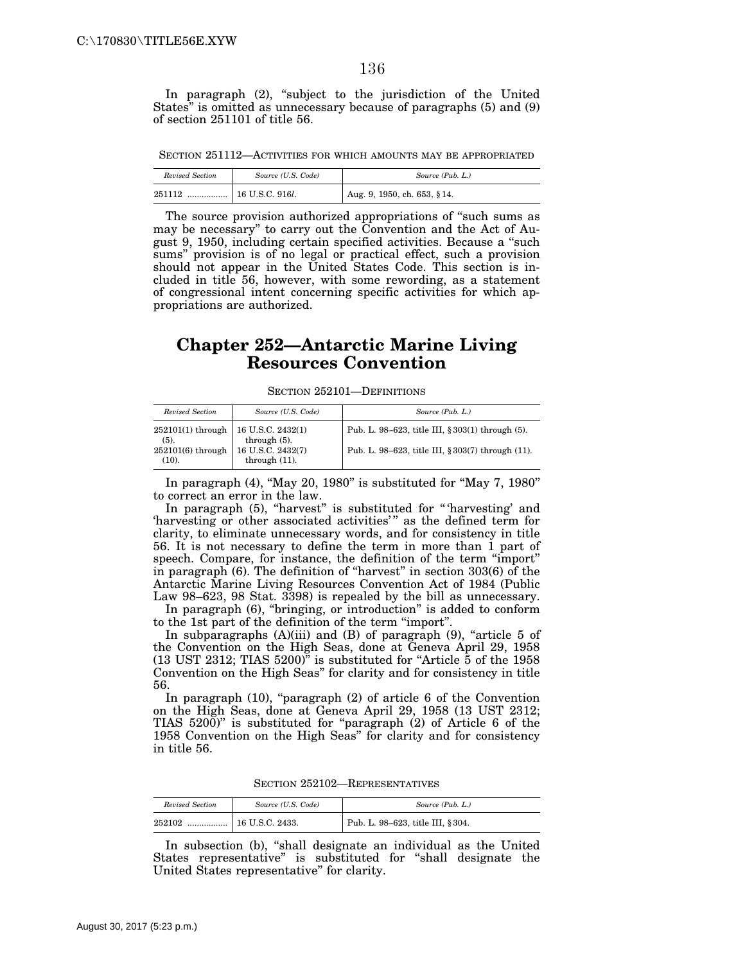In paragraph (2), "subject to the jurisdiction of the United States'' is omitted as unnecessary because of paragraphs (5) and (9) of section 251101 of title 56.

SECTION 251112—ACTIVITIES FOR WHICH AMOUNTS MAY BE APPROPRIATED

| Revised Section | Source (U.S. Code)               | Source (Pub. L.)            |
|-----------------|----------------------------------|-----------------------------|
| 251112<br>.     | $\vert$ 16 U.S.C. 916 <i>l</i> . | Aug. 9, 1950, ch. 653, §14. |

The source provision authorized appropriations of ''such sums as may be necessary'' to carry out the Convention and the Act of August 9, 1950, including certain specified activities. Because a ''such sums'' provision is of no legal or practical effect, such a provision should not appear in the United States Code. This section is included in title 56, however, with some rewording, as a statement of congressional intent concerning specific activities for which appropriations are authorized.

# **Chapter 252—Antarctic Marine Living Resources Convention**

SECTION 252101—DEFINITIONS

| Revised Section                                 | Source (U.S. Code)                    | Source (Pub. L.)                                  |
|-------------------------------------------------|---------------------------------------|---------------------------------------------------|
| $252101(1)$ through   16 U.S.C. 2432(1)<br>(5). | through $(5)$ .                       | Pub. L. 98–623, title III, § 303(1) through (5).  |
| $252101(6)$ through<br>(10).                    | 16 U.S.C. 2432(7)<br>through $(11)$ . | Pub. L. 98–623, title III, § 303(7) through (11). |

In paragraph (4), "May 20, 1980" is substituted for "May 7, 1980" to correct an error in the law.

In paragraph (5), "harvest" is substituted for "'harvesting' and 'harvesting or other associated activities'" as the defined term for clarity, to eliminate unnecessary words, and for consistency in title 56. It is not necessary to define the term in more than 1 part of speech. Compare, for instance, the definition of the term ''import'' in paragraph (6). The definition of ''harvest'' in section 303(6) of the Antarctic Marine Living Resources Convention Act of 1984 (Public Law 98–623, 98 Stat. 3398) is repealed by the bill as unnecessary.

In paragraph (6), "bringing, or introduction" is added to conform to the 1st part of the definition of the term ''import''.

In subparagraphs  $(A)(iii)$  and  $(B)$  of paragraph  $(9)$ , "article 5 of the Convention on the High Seas, done at Geneva April 29, 1958  $(13 \text{UST } 2312$ ; TIAS  $5200$ <sup>"</sup> is substituted for "Article  $\overline{5}$  of the 1958 Convention on the High Seas'' for clarity and for consistency in title 56.

In paragraph  $(10)$ , "paragraph  $(2)$  of article 6 of the Convention on the High Seas, done at Geneva April 29, 1958 (13 UST 2312; TIAS 5200)'' is substituted for ''paragraph (2) of Article 6 of the 1958 Convention on the High Seas'' for clarity and for consistency in title 56.

| Revised Section | Source (U.S. Code) | Source (Pub. L.)                  |
|-----------------|--------------------|-----------------------------------|
| 252102<br>      | 16 U.S.C. 2433.    | Pub. L. 98-623, title III, § 304. |

SECTION 252102—REPRESENTATIVES

In subsection (b), ''shall designate an individual as the United States representative'' is substituted for ''shall designate the United States representative'' for clarity.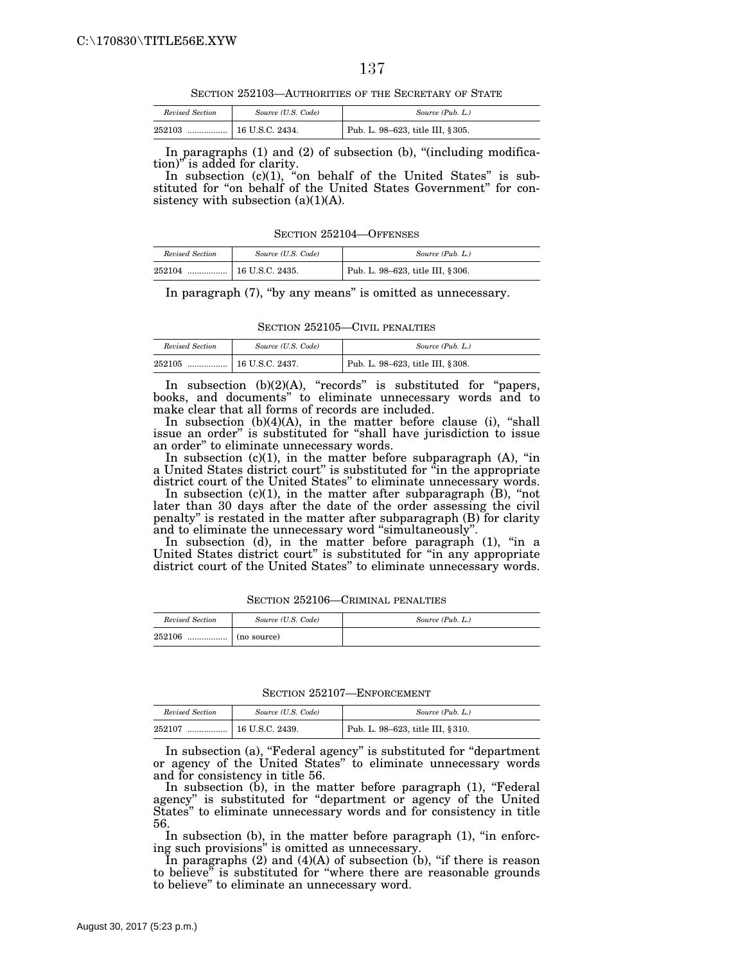SECTION 252103—AUTHORITIES OF THE SECRETARY OF STATE

| Revised Section | Source (U.S. Code) | Source (Pub. L.)                  |
|-----------------|--------------------|-----------------------------------|
| 252103          |                    | Pub. L. 98-623, title III, § 305. |

In paragraphs (1) and (2) of subsection (b), "(including modification)'' is added for clarity.

In subsection (c)(1), "on behalf of the United States" is substituted for "on behalf of the United States Government" for consistency with subsection  $(a)(1)(A)$ .

SECTION 252104—OFFENSES

| Revised Section | Source (U.S. Code) | Source (Pub. L.)                  |
|-----------------|--------------------|-----------------------------------|
| 252104          |                    | Pub. L. 98–623, title III, § 306. |

In paragraph  $(7)$ , "by any means" is omitted as unnecessary.

SECTION 252105—CIVIL PENALTIES

| Revised Section | Source (U.S. Code) | Source (Pub. L.)                  |
|-----------------|--------------------|-----------------------------------|
| 252105<br>      | 16 U.S.C. 2437.    | Pub. L. 98-623, title III, § 308. |

In subsection (b)(2)(A), "records" is substituted for "papers, books, and documents'' to eliminate unnecessary words and to make clear that all forms of records are included.

In subsection  $(b)(4)(A)$ , in the matter before clause (i), "shall issue an order'' is substituted for ''shall have jurisdiction to issue an order'' to eliminate unnecessary words.

In subsection  $(c)(1)$ , in the matter before subparagraph  $(A)$ , "in a United States district court'' is substituted for ''in the appropriate district court of the United States'' to eliminate unnecessary words.

In subsection (c)(1), in the matter after subparagraph (B), "not later than 30 days after the date of the order assessing the civil penalty'' is restated in the matter after subparagraph (B) for clarity and to eliminate the unnecessary word ''simultaneously''.

In subsection (d), in the matter before paragraph (1), "in a United States district court'' is substituted for ''in any appropriate district court of the United States'' to eliminate unnecessary words.

| Revised Section | Source (U.S. Code)                                                | Source (Pub. L.) |
|-----------------|-------------------------------------------------------------------|------------------|
| 252106          | $\ldots$ $\ldots$ $\ldots$ $\ldots$ $\ldots$ $\ldots$ (no source) |                  |

SECTION 252106—CRIMINAL PENALTIES

SECTION 252107—ENFORCEMENT

| Revised Section | Source (U.S. Code) | Source (Pub. L.)                  |
|-----------------|--------------------|-----------------------------------|
| 252107<br>      | 16 U.S.C. 2439.    | Pub. L. 98-623, title III, § 310. |

In subsection (a), "Federal agency" is substituted for "department or agency of the United States'' to eliminate unnecessary words and for consistency in title 56.

In subsection (b), in the matter before paragraph (1), "Federal agency'' is substituted for ''department or agency of the United States'' to eliminate unnecessary words and for consistency in title 56.

In subsection  $(b)$ , in the matter before paragraph  $(1)$ , "in enforcing such provisions'' is omitted as unnecessary.

In paragraphs (2) and (4)(A) of subsection (b), "if there is reason to believe'' is substituted for ''where there are reasonable grounds to believe'' to eliminate an unnecessary word.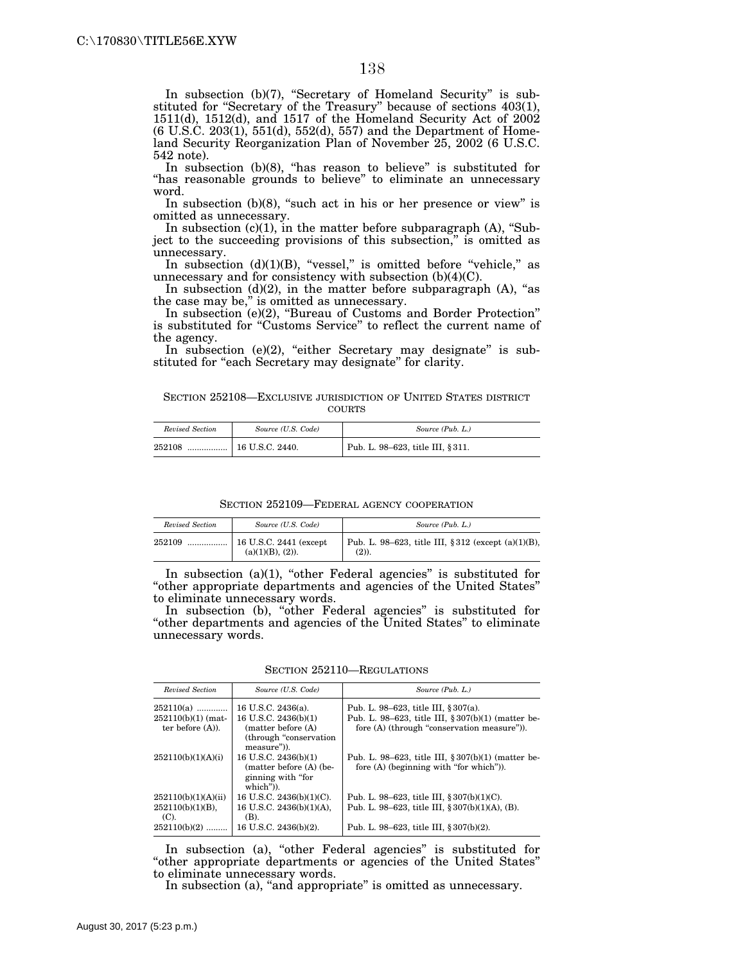In subsection (b)(7), "Secretary of Homeland Security" is substituted for "Secretary of the Treasury" because of sections 403(1), 1511(d), 1512(d), and 1517 of the Homeland Security Act of 2002 (6 U.S.C. 203(1), 551(d), 552(d), 557) and the Department of Homeland Security Reorganization Plan of November 25, 2002 (6 U.S.C. 542 note).

In subsection (b)(8), ''has reason to believe'' is substituted for "has reasonable grounds to believe" to eliminate an unnecessary word.

In subsection  $(b)(8)$ , "such act in his or her presence or view" is omitted as unnecessary.

In subsection  $(c)(1)$ , in the matter before subparagraph  $(A)$ , "Subject to the succeeding provisions of this subsection,'' is omitted as unnecessary.

In subsection  $(d)(1)(B)$ , "vessel," is omitted before "vehicle," as unnecessary and for consistency with subsection (b)(4)(C).

In subsection  $(d)(2)$ , in the matter before subparagraph  $(A)$ , "as the case may be,'' is omitted as unnecessary.

In subsection (e)(2), ''Bureau of Customs and Border Protection'' is substituted for ''Customs Service'' to reflect the current name of the agency.

In subsection  $(e)(2)$ , "either Secretary may designate" is substituted for "each Secretary may designate" for clarity.

SECTION 252108—EXCLUSIVE JURISDICTION OF UNITED STATES DISTRICT COURTS

| Revised Section | Source (U.S. Code) | Source (Pub. L.)                  |
|-----------------|--------------------|-----------------------------------|
| 252108<br>      | 16 U.S.C. 2440.    | Pub. L. 98-623, title III, § 311. |

SECTION 252109—FEDERAL AGENCY COOPERATION

| Revised Section | Source (U.S. Code)                                    | Source (Pub. L.)                                                   |
|-----------------|-------------------------------------------------------|--------------------------------------------------------------------|
| 252109          | $\vert$ 16 U.S.C. 2441 (except<br>$(a)(1)(B), (2)$ ). | Pub. L. 98–623, title III, § 312 (except $(a)(1)(B)$ ,<br>$(2)$ ). |

In subsection  $(a)(1)$ , "other Federal agencies" is substituted for ''other appropriate departments and agencies of the United States'' to eliminate unnecessary words.

In subsection (b), "other Federal agencies" is substituted for ''other departments and agencies of the United States'' to eliminate unnecessary words.

SECTION 252110—REGULATIONS

| Revised Section                             | Source (U.S. Code)                                                                         | Source (Pub. L.)                                                                                  |
|---------------------------------------------|--------------------------------------------------------------------------------------------|---------------------------------------------------------------------------------------------------|
| 252110(a)                                   | 16 U.S.C. 2436(a).                                                                         | Pub. L. 98–623, title III, § 307(a).                                                              |
| $252110(b)(1)$ (mat-<br>ter before $(A)$ ). | 16 U.S.C. 2436(b)(1)<br>matter before (A)<br>(through "conservation")<br>measure")).       | Pub. L. 98-623, title III, § 307(b)(1) (matter be-<br>fore (A) (through "conservation measure")). |
| 252110(b)(1)(A)(i)                          | 16 U.S.C. 2436(b)(1)<br>$matter before (A)$ (be-<br>ginning with "for"<br>$which$ " $)$ ). | Pub. L. 98–623, title III, $\S 307(b)(1)$ (matter be-<br>fore (A) (beginning with "for which")).  |
| 252110(b)(1)(A)(ii)                         | 16 U.S.C. 2436(b)(1)(C).                                                                   | Pub. L. 98–623, title III, $\S 307(b)(1)(C)$ .                                                    |
| $252110(b)(1)(B)$ ,<br>$(C)$ .              | 16 U.S.C. 2436(b)(1)(A).<br>(B).                                                           | Pub. L. 98–623, title III, $\S 307(b)(1)(A)$ , (B).                                               |
| 252110(b)(2)                                | 16 U.S.C. 2436(b)(2).                                                                      | Pub. L. 98–623, title III, § 307(b)(2).                                                           |

In subsection (a), "other Federal agencies" is substituted for ''other appropriate departments or agencies of the United States'' to eliminate unnecessary words.

In subsection (a), "and appropriate" is omitted as unnecessary.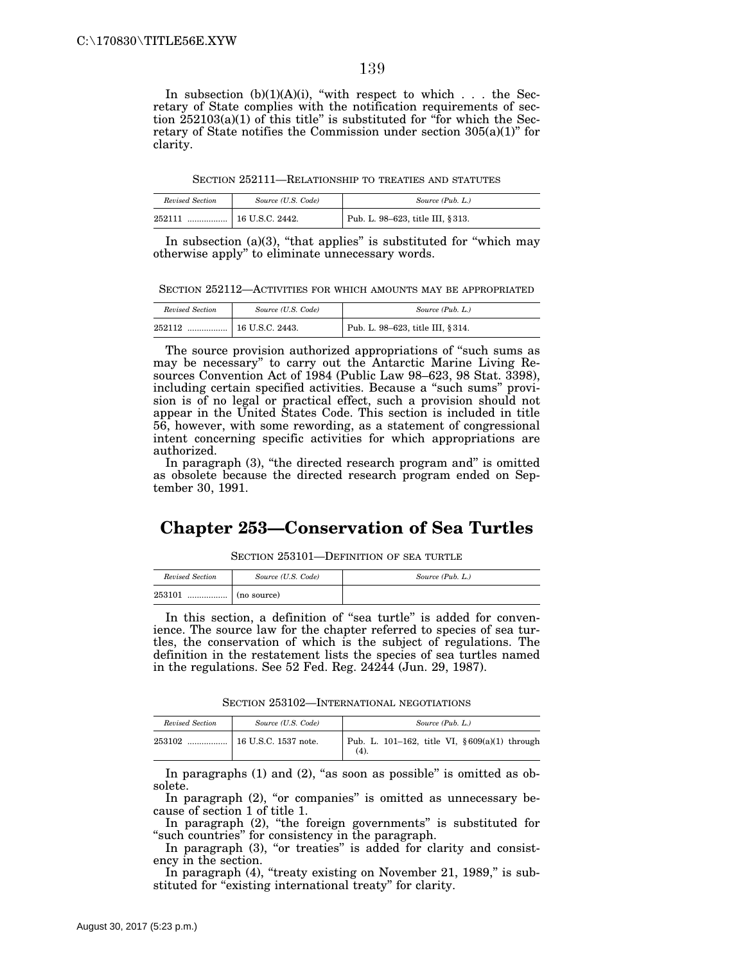In subsection  $(b)(1)(A)(i)$ , "with respect to which . . . the Secretary of State complies with the notification requirements of section  $252103(a)(1)$  of this title" is substituted for "for which the Secretary of State notifies the Commission under section  $305(a)(1)$ " for clarity.

SECTION 252111—RELATIONSHIP TO TREATIES AND STATUTES

| Revised Section | Source (U.S. Code) | Source (Pub. L.)                  |
|-----------------|--------------------|-----------------------------------|
| 252111<br>      | 16 U.S.C. 2442.    | Pub. L. 98-623, title III, § 313. |

In subsection (a)(3), "that applies" is substituted for "which may otherwise apply'' to eliminate unnecessary words.

SECTION 252112—ACTIVITIES FOR WHICH AMOUNTS MAY BE APPROPRIATED

| Revised Section | Source (U.S. Code) | Source (Pub. L.)                 |
|-----------------|--------------------|----------------------------------|
| 252112<br>      | 16 U.S.C. 2443.    | Pub. L. 98-623, title III, §314. |

The source provision authorized appropriations of "such sums as may be necessary'' to carry out the Antarctic Marine Living Resources Convention Act of 1984 (Public Law 98–623, 98 Stat. 3398), including certain specified activities. Because a "such sums" provision is of no legal or practical effect, such a provision should not appear in the United States Code. This section is included in title 56, however, with some rewording, as a statement of congressional intent concerning specific activities for which appropriations are authorized.

In paragraph (3), "the directed research program and" is omitted as obsolete because the directed research program ended on September 30, 1991.

#### **Chapter 253—Conservation of Sea Turtles**

SECTION 253101—DEFINITION OF SEA TURTLE

| Revised Section | Source (U.S. Code) | Source (Pub. L.) |
|-----------------|--------------------|------------------|
| 253101<br>      | (no source)        |                  |

In this section, a definition of "sea turtle" is added for convenience. The source law for the chapter referred to species of sea turtles, the conservation of which is the subject of regulations. The definition in the restatement lists the species of sea turtles named in the regulations. See 52 Fed. Reg. 24244 (Jun. 29, 1987).

SECTION 253102—INTERNATIONAL NEGOTIATIONS

| Revised Section | Source (U.S. Code) | Source (Pub. L.)                                        |
|-----------------|--------------------|---------------------------------------------------------|
| 253102          |                    | Pub. L. 101–162, title VI, $§ 609(a)(1)$ through<br>(4) |

In paragraphs  $(1)$  and  $(2)$ , "as soon as possible" is omitted as obsolete.

In paragraph  $(2)$ , "or companies" is omitted as unnecessary because of section 1 of title 1.

In paragraph (2), "the foreign governments" is substituted for "such countries" for consistency in the paragraph.

In paragraph (3), "or treaties" is added for clarity and consistency in the section.

In paragraph (4), "treaty existing on November 21, 1989," is substituted for "existing international treaty" for clarity.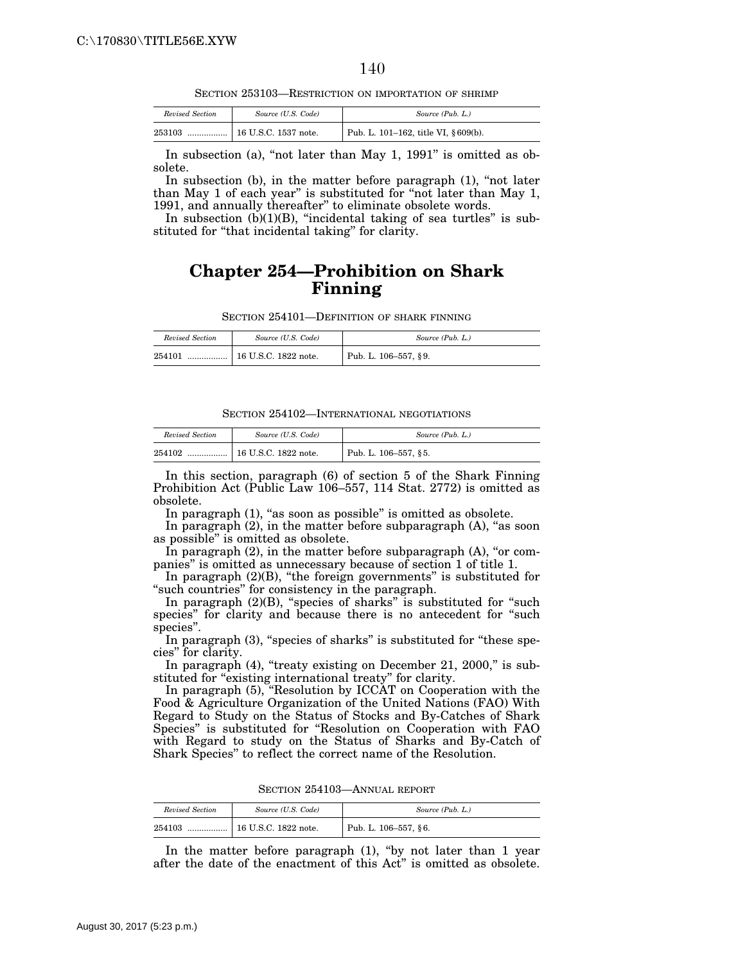SECTION 253103—RESTRICTION ON IMPORTATION OF SHRIMP

| Revised Section | Source (U.S. Code)   | Source (Pub. L.)                     |
|-----------------|----------------------|--------------------------------------|
| 253103          | 16 U.S.C. 1537 note. | Pub. L. 101-162, title VI, § 609(b). |

In subsection (a), "not later than May 1,  $1991$ " is omitted as obsolete.

In subsection (b), in the matter before paragraph (1), "not later than May 1 of each year'' is substituted for ''not later than May 1, 1991, and annually thereafter'' to eliminate obsolete words.

In subsection  $(b)(1)(B)$ , "incidental taking of sea turtles" is substituted for "that incidental taking" for clarity.

### **Chapter 254—Prohibition on Shark Finning**

SECTION 254101—DEFINITION OF SHARK FINNING

| Revised Section | Source (U.S. Code)           | Source (Pub. L.)        |
|-----------------|------------------------------|-------------------------|
| 254101<br>      | $\vert$ 16 U.S.C. 1822 note. | Pub. L. $106-557$ , §9. |

SECTION 254102—INTERNATIONAL NEGOTIATIONS

| Revised Section | Source (U.S. Code)   | Source (Pub. L.)     |
|-----------------|----------------------|----------------------|
| 254102<br>      | 16 U.S.C. 1822 note. | Pub. L. 106-557, §5. |

In this section, paragraph (6) of section 5 of the Shark Finning Prohibition Act (Public Law 106–557, 114 Stat. 2772) is omitted as obsolete.

In paragraph (1), "as soon as possible" is omitted as obsolete.

In paragraph  $(2)$ , in the matter before subparagraph  $(A)$ , "as soon as possible'' is omitted as obsolete.

In paragraph  $(2)$ , in the matter before subparagraph  $(A)$ , "or companies'' is omitted as unnecessary because of section 1 of title 1.

In paragraph (2)(B), ''the foreign governments'' is substituted for "such countries" for consistency in the paragraph.

In paragraph  $(2)(B)$ , "species of sharks" is substituted for "such species" for clarity and because there is no antecedent for "such species''.

In paragraph (3), "species of sharks" is substituted for "these species'' for clarity.

In paragraph  $(4)$ , "treaty existing on December 21, 2000," is substituted for "existing international treaty" for clarity.

In paragraph (5), ''Resolution by ICCAT on Cooperation with the Food & Agriculture Organization of the United Nations (FAO) With Regard to Study on the Status of Stocks and By-Catches of Shark Species'' is substituted for ''Resolution on Cooperation with FAO with Regard to study on the Status of Sharks and By-Catch of Shark Species'' to reflect the correct name of the Resolution.

| Revised Section | Source (U.S. Code)         | Source (Pub. L.)     |
|-----------------|----------------------------|----------------------|
| 254103<br>      | $\pm$ 16 U.S.C. 1822 note. | Pub. L. 106-557, §6. |

In the matter before paragraph (1), "by not later than 1 year after the date of the enactment of this Act'' is omitted as obsolete.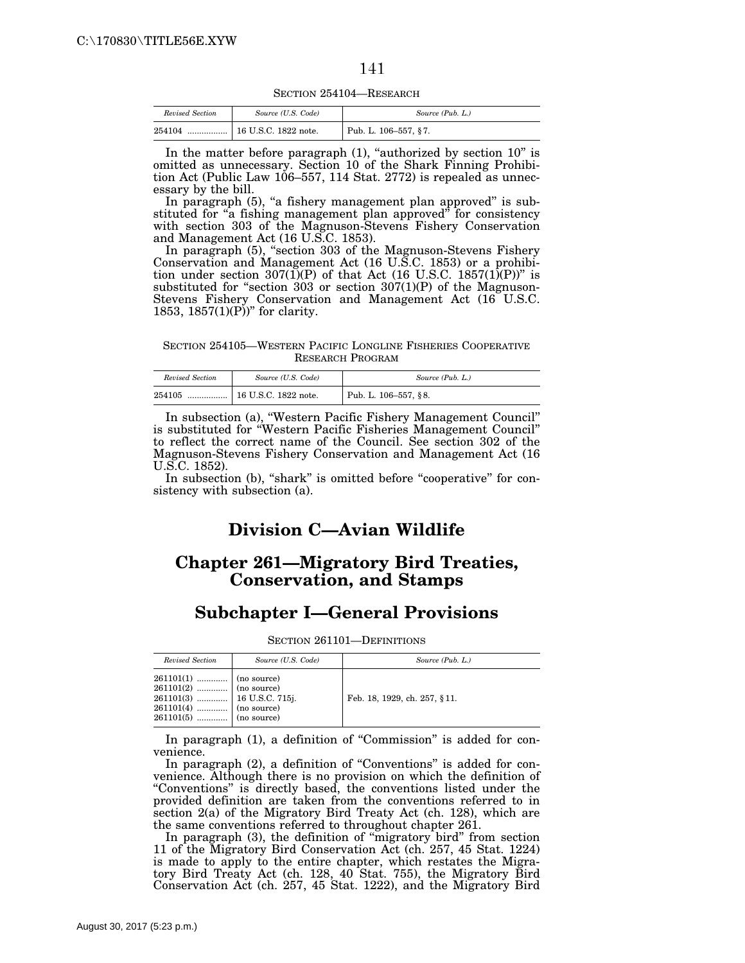SECTION 254104—RESEARCH

| Revised Section | Source (U.S. Code)   | Source (Pub. L.)     |
|-----------------|----------------------|----------------------|
| 254104<br>      | 16 U.S.C. 1822 note. | Pub. L. 106-557, §7. |

In the matter before paragraph  $(1)$ , "authorized by section  $10$ " is omitted as unnecessary. Section 10 of the Shark Finning Prohibition Act (Public Law 106–557, 114 Stat. 2772) is repealed as unnecessary by the bill.

In paragraph (5), "a fishery management plan approved" is substituted for "a fishing management plan approved" for consistency with section 303 of the Magnuson-Stevens Fishery Conservation and Management Act (16 U.S.C. 1853).

In paragraph (5), "section 303 of the Magnuson-Stevens Fishery Conservation and Management Act (16 U.S.C. 1853) or a prohibition under section 307(1)(P) of that Act (16 U.S.C. 1857(1)(P))" is substituted for "section 303 or section 307(1)(P) of the Magnuson-Stevens Fishery Conservation and Management Act (16 U.S.C. 1853, 1857 $(1)(P)$ <sup>"</sup> for clarity.

SECTION 254105—WESTERN PACIFIC LONGLINE FISHERIES COOPERATIVE RESEARCH PROGRAM

| Revised Section | Source (U.S. Code)   | Source (Pub. L.)     |
|-----------------|----------------------|----------------------|
| 254105<br>      | 16 U.S.C. 1822 note. | Pub. L. 106-557, §8. |

In subsection (a), ''Western Pacific Fishery Management Council'' is substituted for ''Western Pacific Fisheries Management Council'' to reflect the correct name of the Council. See section 302 of the Magnuson-Stevens Fishery Conservation and Management Act (16 U.S.C. 1852).

In subsection (b), "shark" is omitted before "cooperative" for consistency with subsection (a).

## **Division C—Avian Wildlife**

#### **Chapter 261—Migratory Bird Treaties, Conservation, and Stamps**

#### **Subchapter I—General Provisions**

SECTION 261101—DEFINITIONS

| Revised Section                                                                                                                                                                                                                                                                                       | Source (U.S. Code) | Source (Pub. L.)             |
|-------------------------------------------------------------------------------------------------------------------------------------------------------------------------------------------------------------------------------------------------------------------------------------------------------|--------------------|------------------------------|
| $\begin{tabular}{c c c} \textbf{261101(1)} & \textbf{} & \textbf{(no source)}\\ \textbf{261101(2)} & \textbf{} & \textbf{(no source)}\\ \textbf{261101(3)} & \textbf{} & \textbf{16 U.S.C. 715j.}\\ \textbf{261101(4)} & \textbf{} & \textbf{(no source)}\\ \end{tabular}$<br>$261101(5)$ (no source) |                    | Feb. 18, 1929, ch. 257, §11. |

In paragraph (1), a definition of ''Commission'' is added for convenience.

In paragraph (2), a definition of "Conventions" is added for convenience. Although there is no provision on which the definition of ''Conventions'' is directly based, the conventions listed under the provided definition are taken from the conventions referred to in section 2(a) of the Migratory Bird Treaty Act (ch. 128), which are the same conventions referred to throughout chapter 261.

In paragraph (3), the definition of "migratory bird" from section 11 of the Migratory Bird Conservation Act (ch. 257, 45 Stat. 1224) is made to apply to the entire chapter, which restates the Migratory Bird Treaty Act (ch. 128, 40 Stat. 755), the Migratory Bird Conservation Act (ch. 257, 45 Stat. 1222), and the Migratory Bird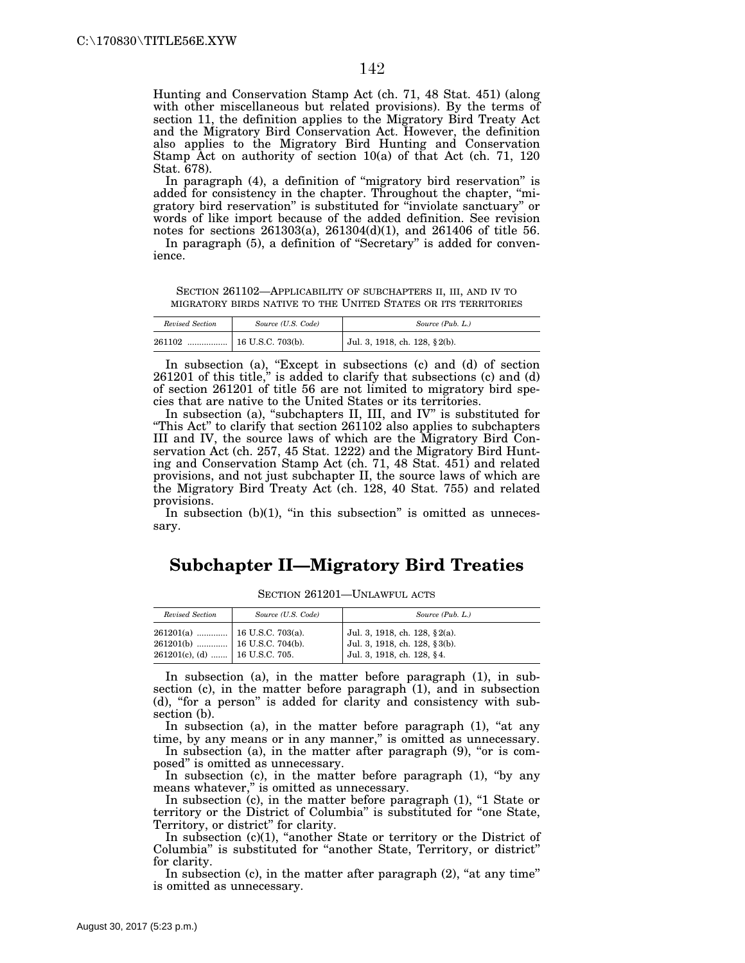Hunting and Conservation Stamp Act (ch. 71, 48 Stat. 451) (along with other miscellaneous but related provisions). By the terms of section 11, the definition applies to the Migratory Bird Treaty Act and the Migratory Bird Conservation Act. However, the definition also applies to the Migratory Bird Hunting and Conservation Stamp Act on authority of section 10(a) of that Act (ch. 71, 120 Stat. 678).

In paragraph (4), a definition of ''migratory bird reservation'' is added for consistency in the chapter. Throughout the chapter, ''migratory bird reservation'' is substituted for ''inviolate sanctuary'' or words of like import because of the added definition. See revision notes for sections 261303(a), 261304(d)(1), and 261406 of title 56. In paragraph (5), a definition of "Secretary" is added for conven-

ience.

SECTION 261102—APPLICABILITY OF SUBCHAPTERS II, III, AND IV TO MIGRATORY BIRDS NATIVE TO THE UNITED STATES OR ITS TERRITORIES

| Revised Section | Source (U.S. Code) | Source (Pub. L.)              |
|-----------------|--------------------|-------------------------------|
| 261102<br>      | 16 U.S.C. 703(b).  | Jul. 3, 1918, ch. 128, §2(b). |

In subsection (a), "Except in subsections (c) and (d) of section 261201 of this title,'' is added to clarify that subsections (c) and (d) of section 261201 of title 56 are not limited to migratory bird species that are native to the United States or its territories.

In subsection (a), "subchapters II, III, and IV" is substituted for ''This Act'' to clarify that section 261102 also applies to subchapters III and IV, the source laws of which are the Migratory Bird Conservation Act (ch. 257, 45 Stat. 1222) and the Migratory Bird Hunting and Conservation Stamp Act (ch. 71, 48 Stat. 451) and related provisions, and not just subchapter II, the source laws of which are the Migratory Bird Treaty Act (ch. 128, 40 Stat. 755) and related provisions.

In subsection  $(b)(1)$ , "in this subsection" is omitted as unnecessary.

## **Subchapter II—Migratory Bird Treaties**

| Revised Section                                                      | Source (U.S. Code) | Source (Pub. L.)                                                                             |
|----------------------------------------------------------------------|--------------------|----------------------------------------------------------------------------------------------|
| $261201(b)$   16 U.S.C. 704(b).<br>$261201(c)$ , (d)  16 U.S.C. 705. |                    | Jul. 3, 1918, ch. 128, §2(a).<br>Jul. 3, 1918, ch. 128, §3(b).<br>Jul. 3, 1918, ch. 128, §4. |

SECTION 261201—UNLAWFUL ACTS

In subsection (a), in the matter before paragraph (1), in subsection (c), in the matter before paragraph (1), and in subsection (d), ''for a person'' is added for clarity and consistency with subsection (b).

In subsection (a), in the matter before paragraph  $(1)$ , "at any time, by any means or in any manner," is omitted as unnecessary.

In subsection (a), in the matter after paragraph  $(9)$ , "or is composed'' is omitted as unnecessary.

In subsection (c), in the matter before paragraph (1), "by any means whatever,'' is omitted as unnecessary.

In subsection (c), in the matter before paragraph (1), "1 State or territory or the District of Columbia'' is substituted for ''one State, Territory, or district'' for clarity.

In subsection (c)(1), "another State or territory or the District of Columbia'' is substituted for ''another State, Territory, or district'' for clarity.

In subsection  $(c)$ , in the matter after paragraph  $(2)$ , "at any time" is omitted as unnecessary.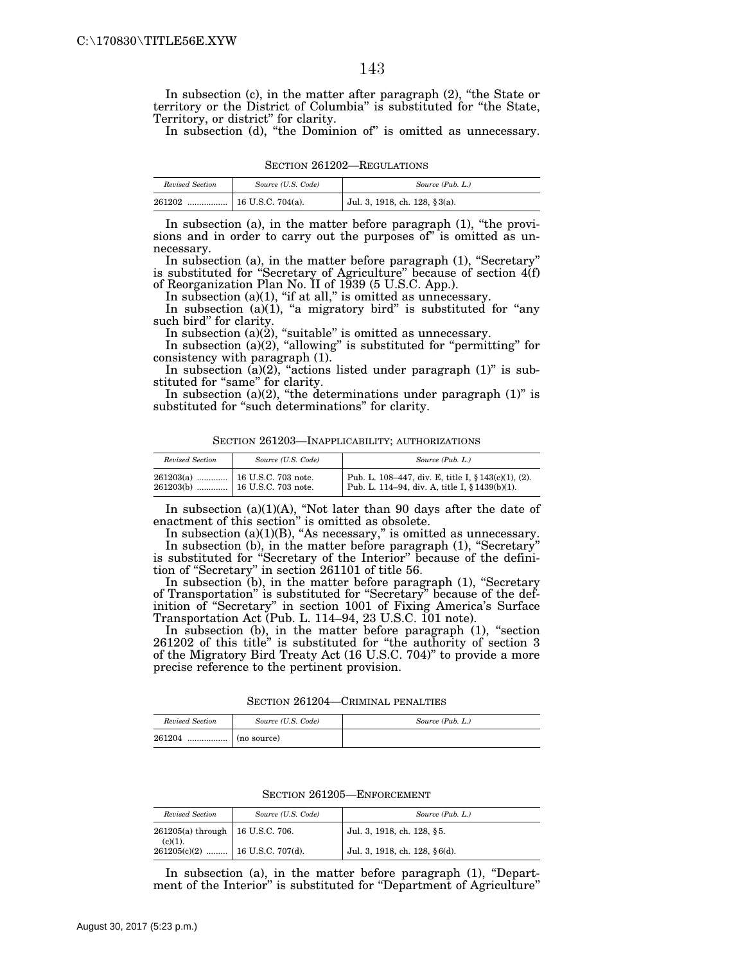In subsection (c), in the matter after paragraph (2), "the State or territory or the District of Columbia'' is substituted for ''the State, Territory, or district'' for clarity.

In subsection (d), "the Dominion of" is omitted as unnecessary.

SECTION 261202—REGULATIONS

| Revised Section | Source (U.S. Code) | Source (Pub. L.)              |
|-----------------|--------------------|-------------------------------|
| 261202          |                    | Jul. 3, 1918, ch. 128, §3(a). |

In subsection (a), in the matter before paragraph (1), "the provisions and in order to carry out the purposes of" is omitted as unnecessary.

In subsection (a), in the matter before paragraph (1), "Secretary" is substituted for "Secretary of Agriculture" because of section 4(f) of Reorganization Plan No. II of 1939 (5 U.S.C. App.).

In subsection (a)(1), "if at all," is omitted as unnecessary.

In subsection  $(a)(1)$ , "a migratory bird" is substituted for "any such bird'' for clarity.

In subsection (a)(2), "suitable" is omitted as unnecessary.

In subsection (a)(2), "allowing" is substituted for "permitting" for consistency with paragraph (1).

In subsection  $(a)(2)$ , "actions listed under paragraph  $(1)$ " is substituted for "same" for clarity.

In subsection (a)(2), "the determinations under paragraph  $(1)$ " is substituted for "such determinations" for clarity.

| Revised Section | Source (U.S. Code)             | Source (Pub. L.)                                                                                      |
|-----------------|--------------------------------|-------------------------------------------------------------------------------------------------------|
|                 | 261203(a)  16 U.S.C. 703 note. | Pub. L. 108–447, div. E, title I, § 143(c)(1), (2).<br>Pub. L. 114–94, div. A, title I, § 1439(b)(1). |

In subsection  $(a)(1)(A)$ , "Not later than 90 days after the date of enactment of this section'' is omitted as obsolete.

In subsection (a)(1)(B), "As necessary," is omitted as unnecessary. In subsection (b), in the matter before paragraph (1), "Secretary" is substituted for ''Secretary of the Interior'' because of the definition of ''Secretary'' in section 261101 of title 56.

In subsection (b), in the matter before paragraph (1), "Secretary of Transportation'' is substituted for ''Secretary'' because of the definition of ''Secretary'' in section 1001 of Fixing America's Surface Transportation Act (Pub. L. 114–94, 23 U.S.C. 101 note).

In subsection (b), in the matter before paragraph (1), "section 261202 of this title'' is substituted for ''the authority of section 3 of the Migratory Bird Treaty Act (16 U.S.C. 704)'' to provide a more precise reference to the pertinent provision.

SECTION 261204—CRIMINAL PENALTIES

| Revised Section | Source (U.S. Code)     | Source (Pub. L.) |
|-----------------|------------------------|------------------|
| 261204          | ` ………………   (no source) |                  |

| SECTION 261205-ENFORCEMENT |  |  |  |
|----------------------------|--|--|--|
|----------------------------|--|--|--|

| Revised Section                    | Source (U.S. Code)                       | Source (Pub. L.)              |
|------------------------------------|------------------------------------------|-------------------------------|
| 261205(a) through   16 U.S.C. 706. |                                          | Jul. 3, 1918, ch. 128, §5.    |
|                                    | (c)(1). $261205(c)(2)$ 16 U.S.C. 707(d). | Jul. 3, 1918, ch. 128, §6(d). |

In subsection (a), in the matter before paragraph (1), "Department of the Interior'' is substituted for ''Department of Agriculture''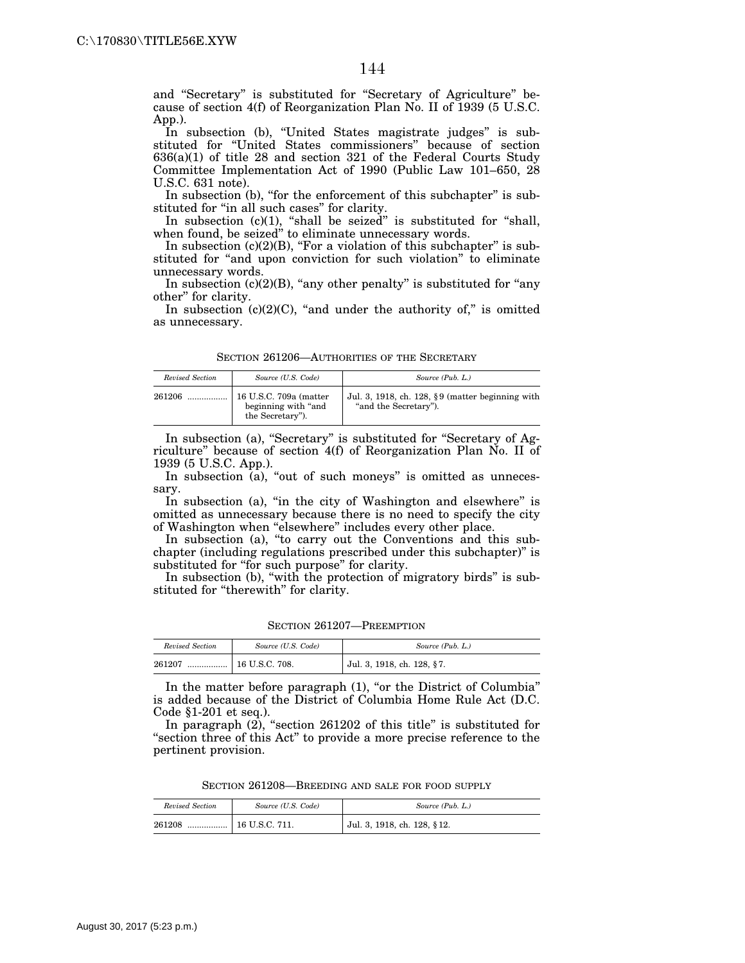and ''Secretary'' is substituted for ''Secretary of Agriculture'' because of section 4(f) of Reorganization Plan No. II of 1939 (5 U.S.C. App.).

In subsection (b), "United States magistrate judges" is substituted for ''United States commissioners'' because of section 636(a)(1) of title 28 and section 321 of the Federal Courts Study Committee Implementation Act of 1990 (Public Law 101–650, 28 U.S.C. 631 note).

In subsection (b), "for the enforcement of this subchapter" is substituted for "in all such cases" for clarity.

In subsection  $(c)(1)$ , "shall be seized" is substituted for "shall, when found, be seized" to eliminate unnecessary words.

In subsection  $(c)(2)(B)$ , "For a violation of this subchapter" is substituted for "and upon conviction for such violation" to eliminate unnecessary words.

In subsection  $(c)(2)(B)$ , "any other penalty" is substituted for "any other'' for clarity.

In subsection  $(c)(2)(C)$ , "and under the authority of," is omitted as unnecessary.

| Revised Section | Source (U.S. Code)                                                 | Source (Pub. L.)                                                              |
|-----------------|--------------------------------------------------------------------|-------------------------------------------------------------------------------|
| 261206          | 16 U.S.C. 709a (matter<br>beginning with "and"<br>the Secretary"). | Jul. 3, 1918, ch. 128, $\S 9$ (matter beginning with<br>"and the Secretary"). |

In subsection (a), "Secretary" is substituted for "Secretary of Agriculture'' because of section 4(f) of Reorganization Plan No. II of 1939 (5 U.S.C. App.).

In subsection  $(a)$ , "out of such moneys" is omitted as unnecessary.

In subsection (a), "in the city of Washington and elsewhere" is omitted as unnecessary because there is no need to specify the city of Washington when "elsewhere" includes every other place.

In subsection (a), "to carry out the Conventions and this subchapter (including regulations prescribed under this subchapter)'' is substituted for "for such purpose" for clarity.

In subsection (b), "with the protection of migratory birds" is substituted for "therewith" for clarity.

SECTION 261207—PREEMPTION

| Revised Section | Source (U.S. Code) | Source (Pub. L.)           |
|-----------------|--------------------|----------------------------|
| 261207<br>      | 16 U.S.C. 708.     | Jul. 3, 1918, ch. 128, §7. |

In the matter before paragraph (1), "or the District of Columbia" is added because of the District of Columbia Home Rule Act (D.C. Code §1-201 et seq.).

In paragraph (2), "section 261202 of this title" is substituted for "section three of this Act" to provide a more precise reference to the pertinent provision.

SECTION 261208—BREEDING AND SALE FOR FOOD SUPPLY

| Revised Section | Source (U.S. Code)     | Source (Pub. L.)            |
|-----------------|------------------------|-----------------------------|
| 261208<br>      | $\vert$ 16 U.S.C. 711. | Jul. 3, 1918, ch. 128, §12. |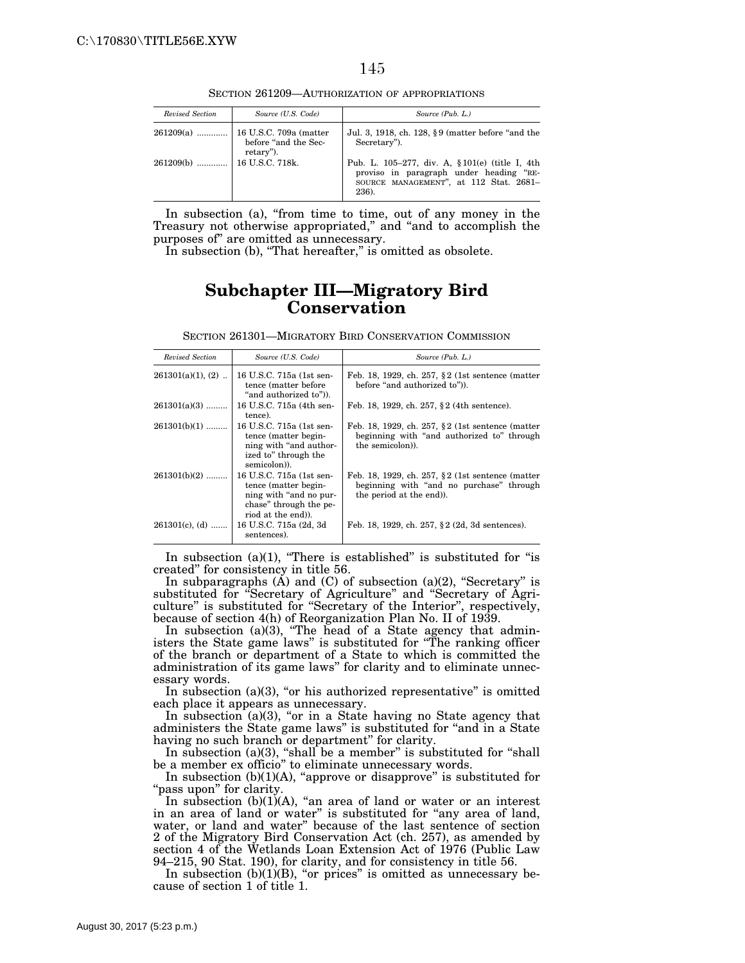SECTION 261209—AUTHORIZATION OF APPROPRIATIONS

| Revised Section | Source (U.S. Code)                | Source (Pub. L.)                                                                                                                              |
|-----------------|-----------------------------------|-----------------------------------------------------------------------------------------------------------------------------------------------|
|                 | before "and the Sec-<br>retary"). | Jul. 3, 1918, ch. 128, §9 (matter before "and the<br>Secretary").                                                                             |
| $261209(b)$     | 16 U.S.C. 718k.                   | Pub. L. 105-277, div. A, § 101(e) (title I, 4th<br>proviso in paragraph under heading "RE-<br>SOURCE MANAGEMENT", at 112 Stat. 2681-<br>236). |

In subsection (a), "from time to time, out of any money in the Treasury not otherwise appropriated," and "and to accomplish the purposes of'' are omitted as unnecessary.

In subsection (b), "That hereafter," is omitted as obsolete.

## **Subchapter III—Migratory Bird Conservation**

| SECTION 261301—MIGRATORY BIRD CONSERVATION COMMISSION |  |  |
|-------------------------------------------------------|--|--|
|                                                       |  |  |

| Revised Section     | Source (U.S. Code)                                                                                                        | Source (Pub. L.)                                                                                                            |
|---------------------|---------------------------------------------------------------------------------------------------------------------------|-----------------------------------------------------------------------------------------------------------------------------|
| $261301(a)(1), (2)$ | 16 U.S.C. 715a (1st sen-<br>tence (matter before)<br>"and authorized to")).                                               | Feb. 18, 1929, ch. 257, $\S 2$ (1st sentence (matter<br>before "and authorized to").                                        |
| $261301(a)(3)$      | 16 U.S.C. 715a (4th sen-<br>tence).                                                                                       | Feb. 18, 1929, ch. 257, §2 (4th sentence).                                                                                  |
| $261301(b)(1)$      | 16 U.S.C. 715a (1st sen-<br>tence (matter begin-<br>ning with "and author-<br>ized to" through the<br>semicolon).         | Feb. 18, 1929, ch. 257, $\S 2$ (1st sentence (matter<br>beginning with "and authorized to" through<br>the semicolon).       |
| $261301(b)(2)$      | 16 U.S.C. 715a (1st sen-<br>tence (matter begin-<br>ning with "and no pur-<br>chase" through the pe-<br>riod at the end). | Feb. 18, 1929, ch. 257, $\S 2$ (1st sentence (matter<br>beginning with "and no purchase" through<br>the period at the end). |
| $261301(c)$ , (d)   | 16 U.S.C. 715a (2d, 3d<br>sentences).                                                                                     | Feb. 18, 1929, ch. 257, §2 (2d, 3d sentences).                                                                              |

In subsection  $(a)(1)$ , "There is established" is substituted for "is created'' for consistency in title 56.

In subparagraphs  $(A)$  and  $(C)$  of subsection  $(a)(2)$ , "Secretary" is substituted for ''Secretary of Agriculture'' and ''Secretary of Agriculture'' is substituted for ''Secretary of the Interior'', respectively, because of section 4(h) of Reorganization Plan No. II of 1939.

In subsection  $(a)(3)$ , "The head of a State agency that administers the State game laws'' is substituted for ''The ranking officer of the branch or department of a State to which is committed the administration of its game laws'' for clarity and to eliminate unnecessary words.

In subsection  $(a)(3)$ , "or his authorized representative" is omitted each place it appears as unnecessary.

In subsection  $(a)(3)$ , "or in a State having no State agency that administers the State game laws'' is substituted for ''and in a State having no such branch or department" for clarity.

In subsection (a)(3), "shall be a member" is substituted for "shall be a member ex officio'' to eliminate unnecessary words.

In subsection (b)(1)(A), "approve or disapprove" is substituted for "pass upon" for clarity.

In subsection  $(b)(1)(A)$ , "an area of land or water or an interest in an area of land or water'' is substituted for ''any area of land, water, or land and water'' because of the last sentence of section 2 of the Migratory Bird Conservation Act (ch. 257), as amended by section 4 of the Wetlands Loan Extension Act of 1976 (Public Law 94–215, 90 Stat. 190), for clarity, and for consistency in title 56.

In subsection  $(b)(1)(B)$ , "or prices" is omitted as unnecessary because of section 1 of title 1.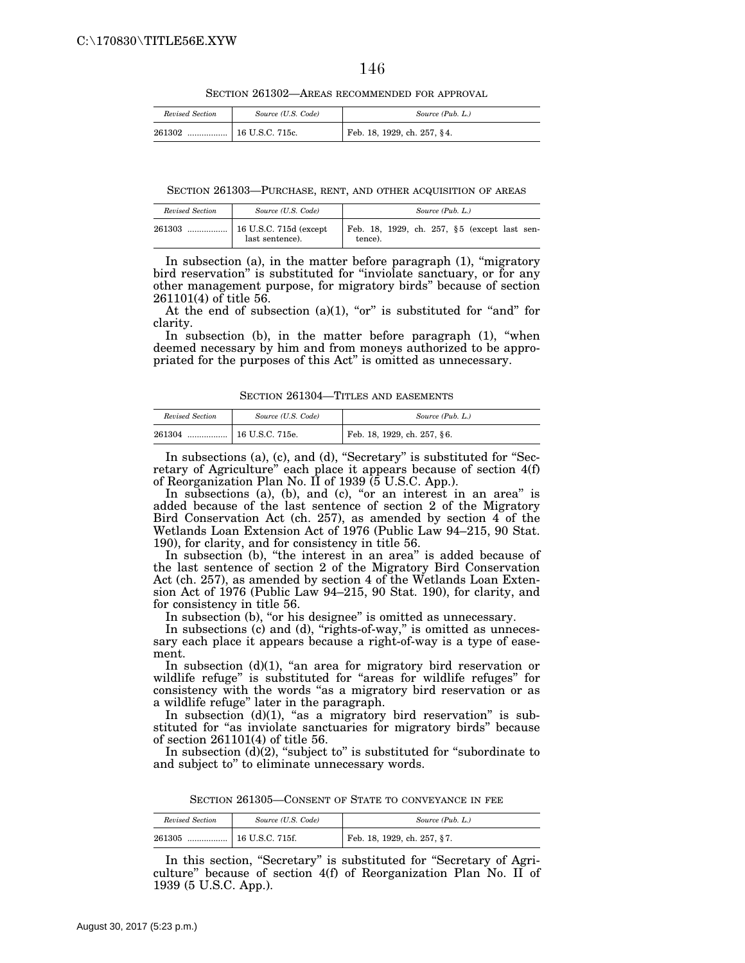SECTION 261302—AREAS RECOMMENDED FOR APPROVAL

| Revised Section | Source (U.S. Code) | Source (Pub. L.)            |
|-----------------|--------------------|-----------------------------|
| 261302<br>      | 16 U.S.C. 715c.    | Feb. 18, 1929, ch. 257, §4. |

SECTION 261303—PURCHASE, RENT, AND OTHER ACQUISITION OF AREAS

| Revised Section | Source (U.S. Code) | Source (Pub. L.)                                        |
|-----------------|--------------------|---------------------------------------------------------|
| 261303          | last sentence).    | Feb. 18, 1929, ch. 257, §5 (except last sen-<br>tence). |

In subsection (a), in the matter before paragraph (1), "migratory bird reservation'' is substituted for ''inviolate sanctuary, or for any other management purpose, for migratory birds'' because of section 261101(4) of title 56.

At the end of subsection  $(a)(1)$ , "or" is substituted for "and" for clarity.

In subsection (b), in the matter before paragraph (1), "when deemed necessary by him and from moneys authorized to be appropriated for the purposes of this Act'' is omitted as unnecessary.

SECTION 261304—TITLES AND EASEMENTS

| Revised Section | Source (U.S. Code) | Source (Pub. L.)            |
|-----------------|--------------------|-----------------------------|
| 261304<br>      | 16 U.S.C. 715e.    | Feb. 18, 1929, ch. 257, §6. |

In subsections (a), (c), and (d), "Secretary" is substituted for "Secretary of Agriculture'' each place it appears because of section 4(f) of Reorganization Plan No. II of 1939 (5 U.S.C. App.).

In subsections (a), (b), and (c), "or an interest in an area" is added because of the last sentence of section 2 of the Migratory Bird Conservation Act (ch. 257), as amended by section  $4^{\circ}$  of the Wetlands Loan Extension Act of 1976 (Public Law 94–215, 90 Stat. 190), for clarity, and for consistency in title 56.

In subsection (b), "the interest in an area" is added because of the last sentence of section 2 of the Migratory Bird Conservation Act (ch. 257), as amended by section 4 of the Wetlands Loan Extension Act of 1976 (Public Law 94–215, 90 Stat. 190), for clarity, and for consistency in title 56.

In subsection (b), "or his designee" is omitted as unnecessary.

In subsections (c) and (d), "rights-of-way," is omitted as unnecessary each place it appears because a right-of-way is a type of easement.

In subsection (d)(1), "an area for migratory bird reservation or wildlife refuge'' is substituted for ''areas for wildlife refuges'' for consistency with the words "as a migratory bird reservation or as a wildlife refuge'' later in the paragraph.

In subsection  $(d)(1)$ , "as a migratory bird reservation" is substituted for "as inviolate sanctuaries for migratory birds" because of section 261101(4) of title 56.

In subsection  $(d)(2)$ , "subject to" is substituted for "subordinate to and subject to'' to eliminate unnecessary words.

SECTION 261305—CONSENT OF STATE TO CONVEYANCE IN FEE

| Revised Section | Source (U.S. Code) | Source (Pub. L.)            |
|-----------------|--------------------|-----------------------------|
| 261305          |                    | Feb. 18, 1929, ch. 257, §7. |

In this section, "Secretary" is substituted for "Secretary of Agriculture'' because of section 4(f) of Reorganization Plan No. II of 1939 (5 U.S.C. App.).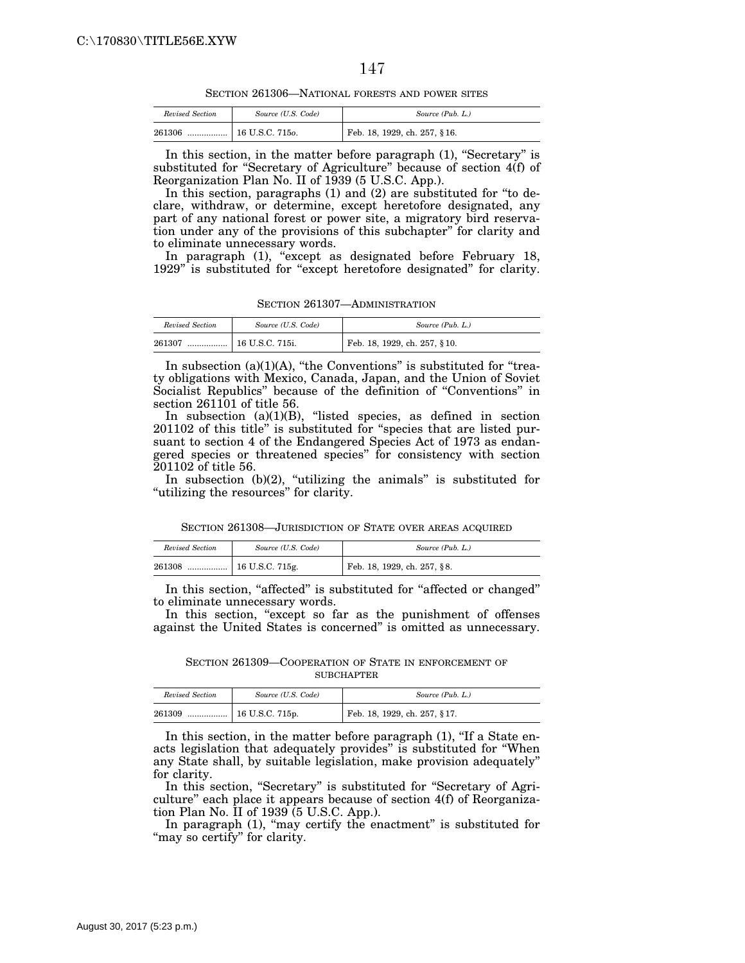SECTION 261306—NATIONAL FORESTS AND POWER SITES

| Revised Section | Source (U.S. Code) | Source (Pub. L.)             |
|-----------------|--------------------|------------------------------|
| 261306<br>      | 16 U.S.C. 7150.    | Feb. 18, 1929, ch. 257, §16. |

In this section, in the matter before paragraph (1), "Secretary" is substituted for ''Secretary of Agriculture'' because of section 4(f) of Reorganization Plan No. II of 1939 (5 U.S.C. App.).

In this section, paragraphs (1) and (2) are substituted for ''to declare, withdraw, or determine, except heretofore designated, any part of any national forest or power site, a migratory bird reservation under any of the provisions of this subchapter'' for clarity and to eliminate unnecessary words.

In paragraph (1), "except as designated before February 18, 1929" is substituted for "except heretofore designated" for clarity.

SECTION 261307—ADMINISTRATION

| Revised Section | Source (U.S. Code)    | Source (Pub. L.)                          |
|-----------------|-----------------------|-------------------------------------------|
| 261307<br>      | $\pm$ 16 U.S.C. 715i. | <sup>1</sup> Feb. 18, 1929, ch. 257, §10. |

In subsection  $(a)(1)(A)$ , "the Conventions" is substituted for "treaty obligations with Mexico, Canada, Japan, and the Union of Soviet Socialist Republics" because of the definition of "Conventions" in section 261101 of title 56.

In subsection  $(a)(1)(B)$ , "listed species, as defined in section 201102 of this title'' is substituted for ''species that are listed pursuant to section 4 of the Endangered Species Act of 1973 as endangered species or threatened species'' for consistency with section 201102 of title 56.

In subsection  $(b)(2)$ , "utilizing the animals" is substituted for "utilizing the resources" for clarity.

SECTION 261308—JURISDICTION OF STATE OVER AREAS ACQUIRED

| Revised Section | Source (U.S. Code) | Source (Pub. L.)            |
|-----------------|--------------------|-----------------------------|
| 261308          |                    | Feb. 18, 1929, ch. 257, §8. |

In this section, "affected" is substituted for "affected or changed" to eliminate unnecessary words.

In this section, "except so far as the punishment of offenses against the United States is concerned'' is omitted as unnecessary.

SECTION 261309—COOPERATION OF STATE IN ENFORCEMENT OF **SUBCHAPTER** 

| Revised Section | Source (U.S. Code) | Source (Pub. L.)             |
|-----------------|--------------------|------------------------------|
| 261309          |                    | Feb. 18, 1929, ch. 257, §17. |

In this section, in the matter before paragraph  $(1)$ , "If a State enacts legislation that adequately provides'' is substituted for ''When any State shall, by suitable legislation, make provision adequately'' for clarity.

In this section, "Secretary" is substituted for "Secretary of Agriculture'' each place it appears because of section 4(f) of Reorganization Plan No. II of 1939 (5 U.S.C. App.).

In paragraph (1), "may certify the enactment" is substituted for "may so certify" for clarity.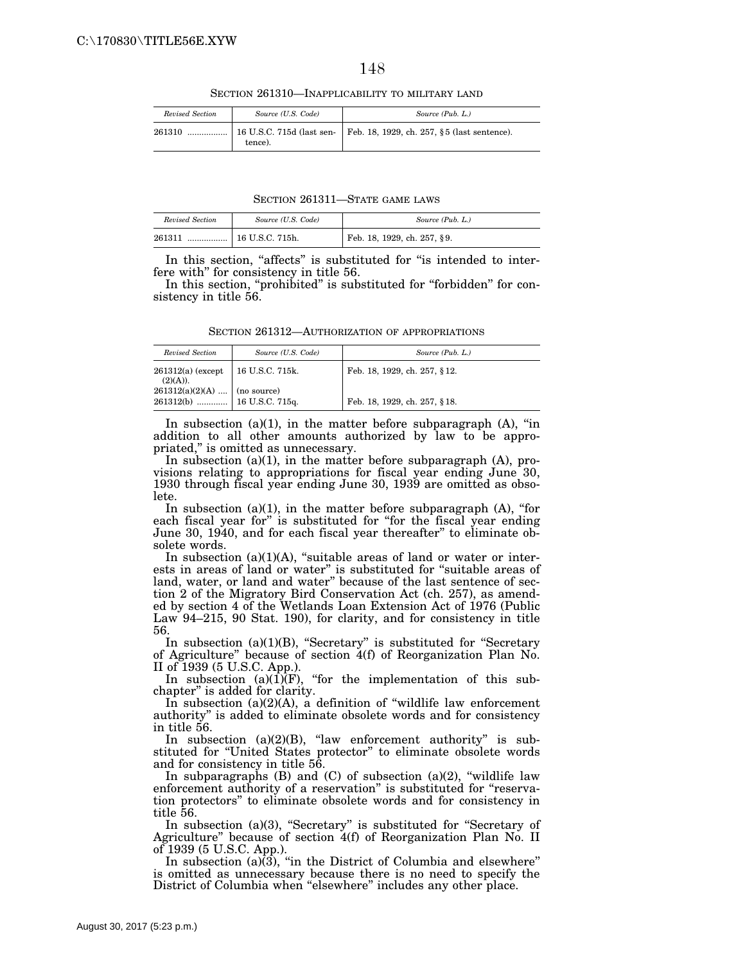SECTION 261310—INAPPLICABILITY TO MILITARY LAND

| Revised Section | Source (U.S. Code) | Source (Pub. L.)                                                        |
|-----------------|--------------------|-------------------------------------------------------------------------|
| 261310          | tence).            | 16 U.S.C. 715d (last sen-   Feb. 18, 1929, ch. 257, §5 (last sentence). |

SECTION 261311—STATE GAME LAWS

| Revised Section | Source (U.S. Code)      | Source (Pub. L.)            |
|-----------------|-------------------------|-----------------------------|
| 261311<br>      | $\vert$ 16 U.S.C. 715h. | Feb. 18, 1929, ch. 257, §9. |

In this section, "affects" is substituted for "is intended to interfere with'' for consistency in title 56.

In this section, "prohibited" is substituted for "forbidden" for consistency in title 56.

SECTION 261312—AUTHORIZATION OF APPROPRIATIONS

| Revised Section                                             | Source (U.S. Code) | Source (Pub. L.)             |
|-------------------------------------------------------------|--------------------|------------------------------|
| $261312(a)$ (except<br>(2)(A)).                             | $16$ U.S.C. 715k.  | Feb. 18, 1929, ch. 257, §12. |
| $261312(a)(2)(A)$ (no source)<br>261312(b)  16 U.S.C. 715q. |                    | Feb. 18, 1929, ch. 257, §18. |

In subsection (a)(1), in the matter before subparagraph (A), ''in addition to all other amounts authorized by law to be appropriated,'' is omitted as unnecessary.

In subsection  $(a)(1)$ , in the matter before subparagraph  $(A)$ , provisions relating to appropriations for fiscal year ending June 30, 1930 through fiscal year ending June 30, 1939 are omitted as obsolete.

In subsection  $(a)(1)$ , in the matter before subparagraph  $(A)$ , "for each fiscal year for" is substituted for "for the fiscal year ending June 30, 1940, and for each fiscal year thereafter'' to eliminate obsolete words.

In subsection  $(a)(1)(A)$ , "suitable areas of land or water or interests in areas of land or water'' is substituted for ''suitable areas of land, water, or land and water'' because of the last sentence of section 2 of the Migratory Bird Conservation Act (ch. 257), as amended by section 4 of the Wetlands Loan Extension Act of 1976 (Public Law 94–215, 90 Stat. 190), for clarity, and for consistency in title 56.

In subsection (a)(1)(B), "Secretary" is substituted for "Secretary of Agriculture'' because of section 4(f) of Reorganization Plan No. II of 1939 (5 U.S.C. App.).

In subsection  $(a)(1)(F)$ , "for the implementation of this subchapter'' is added for clarity.

In subsection  $(a)(2)(A)$ , a definition of "wildlife law enforcement" authority'' is added to eliminate obsolete words and for consistency in title 56.

In subsection  $(a)(2)(B)$ , "law enforcement authority" is substituted for ''United States protector'' to eliminate obsolete words and for consistency in title 56.

In subparagraphs  $(B)$  and  $(C)$  of subsection  $(a)(2)$ , "wildlife law enforcement authority of a reservation" is substituted for "reservation protectors'' to eliminate obsolete words and for consistency in title 56.

In subsection (a)(3), "Secretary" is substituted for "Secretary of Agriculture'' because of section 4(f) of Reorganization Plan No. II of 1939 (5 U.S.C. App.).

In subsection  $(a)(3)$ , "in the District of Columbia and elsewhere" is omitted as unnecessary because there is no need to specify the District of Columbia when "elsewhere" includes any other place.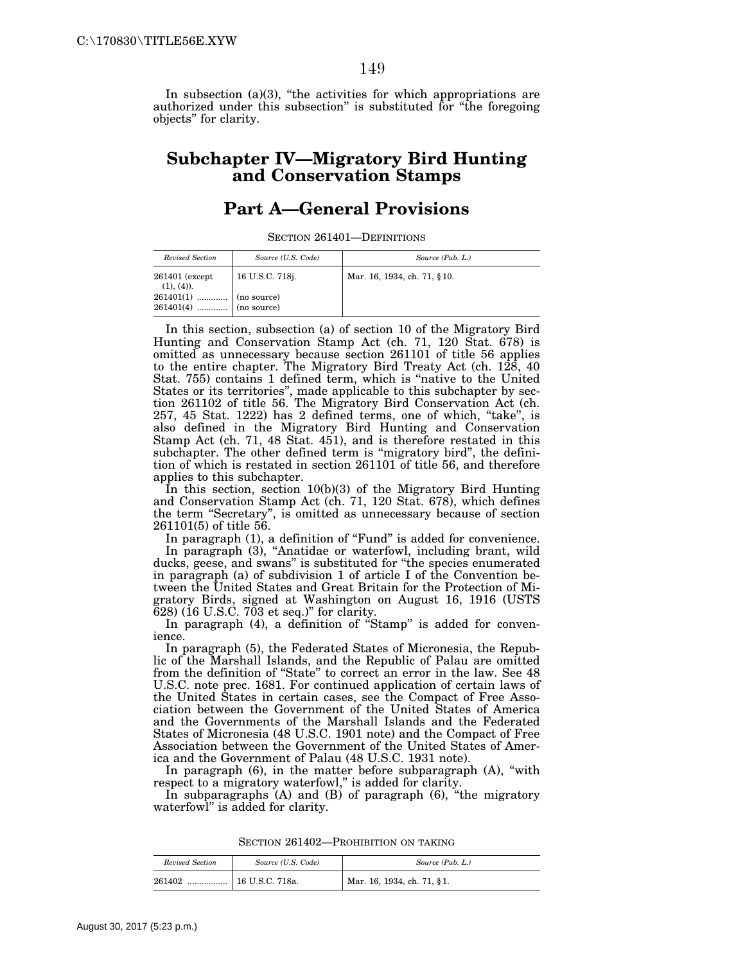In subsection  $(a)(3)$ , "the activities for which appropriations are authorized under this subsection'' is substituted for ''the foregoing objects'' for clarity.

### **Subchapter IV—Migratory Bird Hunting and Conservation Stamps**

## **Part A—General Provisions**

SECTION 261401—DEFINITIONS

| Revised Section                 | Source (U.S. Code)                | Source (Pub. L.)            |
|---------------------------------|-----------------------------------|-----------------------------|
| 261401 (except<br>$(1), (4)$ ). | 16 U.S.C. 718j.                   | Mar. 16, 1934, ch. 71, §10. |
| 261401(1)<br>261401(4)          | $\mid$ (no source)<br>(no source) |                             |

In this section, subsection (a) of section 10 of the Migratory Bird Hunting and Conservation Stamp Act (ch. 71, 120 Stat. 678) is omitted as unnecessary because section 261101 of title 56 applies to the entire chapter. The Migratory Bird Treaty Act (ch. 128, 40 Stat. 755) contains 1 defined term, which is ''native to the United States or its territories'', made applicable to this subchapter by section 261102 of title 56. The Migratory Bird Conservation Act (ch. 257, 45 Stat. 1222) has 2 defined terms, one of which, "take", is also defined in the Migratory Bird Hunting and Conservation Stamp Act (ch. 71, 48 Stat. 451), and is therefore restated in this subchapter. The other defined term is "migratory bird", the definition of which is restated in section 261101 of title 56, and therefore applies to this subchapter.

In this section, section 10(b)(3) of the Migratory Bird Hunting and Conservation Stamp Act (ch. 71, 120 Stat. 678), which defines the term ''Secretary'', is omitted as unnecessary because of section 261101(5) of title 56.

In paragraph (1), a definition of "Fund" is added for convenience. In paragraph (3), "Anatidae or waterfowl, including brant, wild ducks, geese, and swans'' is substituted for ''the species enumerated in paragraph (a) of subdivision 1 of article I of the Convention between the United States and Great Britain for the Protection of Migratory Birds, signed at Washington on August 16, 1916 (USTS 628) (16 U.S.C. 703 et seq.)'' for clarity.

In paragraph (4), a definition of "Stamp" is added for convenience.

In paragraph (5), the Federated States of Micronesia, the Republic of the Marshall Islands, and the Republic of Palau are omitted from the definition of ''State'' to correct an error in the law. See 48 U.S.C. note prec. 1681. For continued application of certain laws of the United States in certain cases, see the Compact of Free Association between the Government of the United States of America and the Governments of the Marshall Islands and the Federated States of Micronesia (48 U.S.C. 1901 note) and the Compact of Free Association between the Government of the United States of America and the Government of Palau (48 U.S.C. 1931 note).

In paragraph (6), in the matter before subparagraph (A), "with respect to a migratory waterfowl,'' is added for clarity.

In subparagraphs (A) and (B) of paragraph (6), ''the migratory waterfowl'' is added for clarity.

| Revised Section | Source (U.S. Code) | Source (Pub. L.)           |
|-----------------|--------------------|----------------------------|
| 261402<br>      | 16 U.S.C. 718a.    | Mar. 16, 1934, ch. 71, §1. |

SECTION 261402—PROHIBITION ON TAKING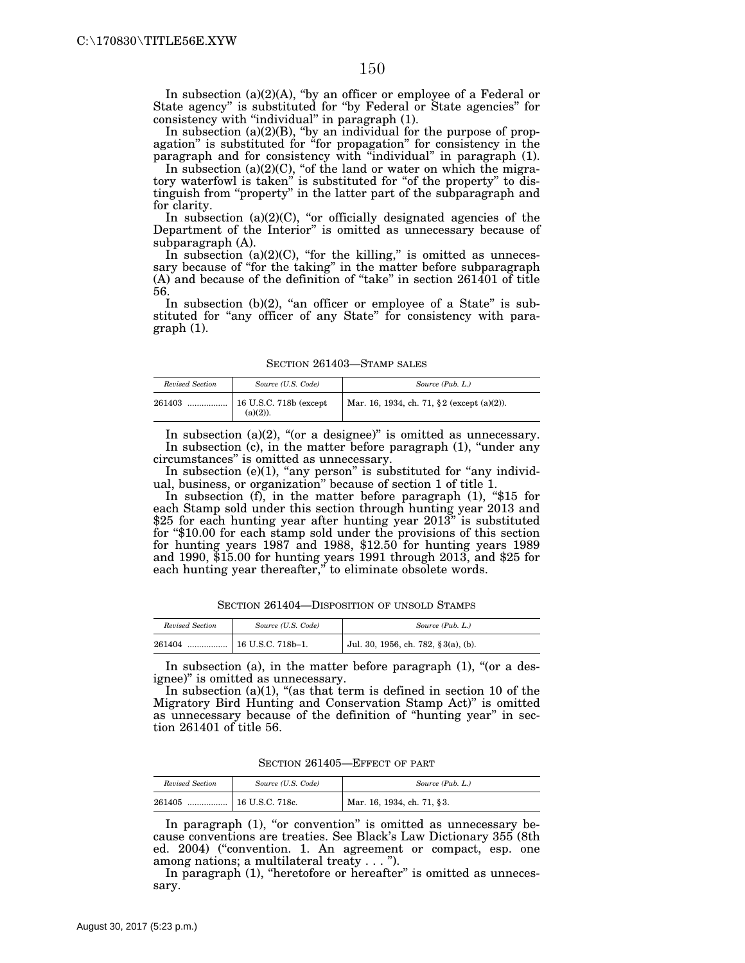In subsection  $(a)(2)(A)$ , "by an officer or employee of a Federal or State agency'' is substituted for ''by Federal or State agencies'' for consistency with "individual" in paragraph (1).

In subsection  $(a)(2)(B)$ , "by an individual for the purpose of propagation" is substituted for "for propagation" for consistency in the paragraph and for consistency with ''individual'' in paragraph (1).

In subsection  $(a)(2)(C)$ , "of the land or water on which the migratory waterfowl is taken'' is substituted for ''of the property'' to distinguish from ''property'' in the latter part of the subparagraph and for clarity.

In subsection  $(a)(2)(C)$ , "or officially designated agencies of the Department of the Interior'' is omitted as unnecessary because of subparagraph (A).

In subsection  $(a)(2)(C)$ , "for the killing," is omitted as unnecessary because of "for the taking" in the matter before subparagraph (A) and because of the definition of ''take'' in section 261401 of title 56.

In subsection  $(b)(2)$ , "an officer or employee of a State" is substituted for "any officer of any State" for consistency with paragraph (1).

SECTION 261403—STAMP SALES

| Revised Section | Source (U.S. Code) | Source (Pub. L.)                               |
|-----------------|--------------------|------------------------------------------------|
| 261403          | $(a)(2)$ ).        | Mar. 16, 1934, ch. 71, $\S 2$ (except (a)(2)). |

In subsection (a)(2), "(or a designee)" is omitted as unnecessary. In subsection (c), in the matter before paragraph (1), "under any circumstances'' is omitted as unnecessary.

In subsection  $(e)(1)$ , "any person" is substituted for "any individual, business, or organization'' because of section 1 of title 1.

In subsection (f), in the matter before paragraph (1), "\$15 for each Stamp sold under this section through hunting year 2013 and \$25 for each hunting year after hunting year 2013" is substituted for ''\$10.00 for each stamp sold under the provisions of this section for hunting years 1987 and 1988, \$12.50 for hunting years 1989 and 1990, \$15.00 for hunting years 1991 through 2013, and \$25 for each hunting year thereafter," to eliminate obsolete words.

SECTION 261404—DISPOSITION OF UNSOLD STAMPS

| Revised Section | Source (U.S. Code) | Source (Pub. L.)                    |
|-----------------|--------------------|-------------------------------------|
| 261404<br>      | 16 U.S.C. 718b-1.  | Jul. 30, 1956, ch. 782, §3(a), (b). |

In subsection (a), in the matter before paragraph  $(1)$ , "(or a designee)'' is omitted as unnecessary.

In subsection  $(a)(1)$ , "(as that term is defined in section 10 of the Migratory Bird Hunting and Conservation Stamp Act)'' is omitted as unnecessary because of the definition of ''hunting year'' in section 261401 of title 56.

SECTION 261405—EFFECT OF PART

| Revised Section | Source (U.S. Code)  | Source (Pub. L.)           |
|-----------------|---------------------|----------------------------|
| 261405<br>      | .   16 U.S.C. 718c. | Mar. 16, 1934, ch. 71, §3. |

In paragraph (1), "or convention" is omitted as unnecessary because conventions are treaties. See Black's Law Dictionary 355 (8th ed. 2004) ("convention. 1. An agreement or compact, esp. one among nations; a multilateral treaty . . . '').

In paragraph (1), "heretofore or hereafter" is omitted as unnecessary.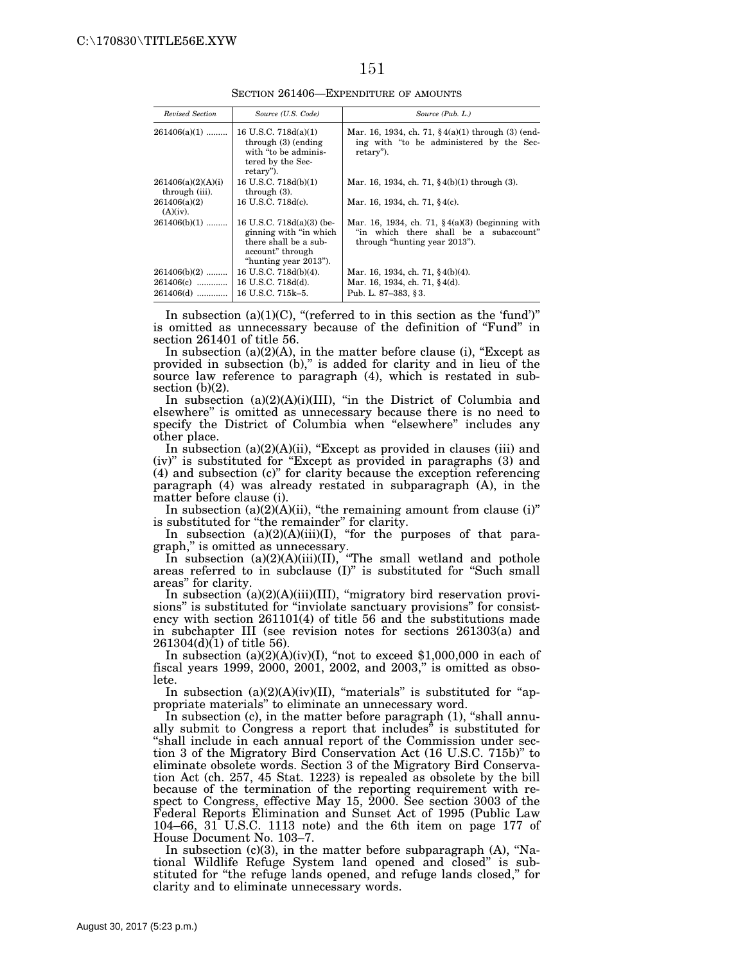SECTION 261406—EXPENDITURE OF AMOUNTS

| Revised Section                      | Source (U.S. Code)                                                                                                         | Source (Pub. L.)                                                                                                             |
|--------------------------------------|----------------------------------------------------------------------------------------------------------------------------|------------------------------------------------------------------------------------------------------------------------------|
| $261406(a)(1)$                       | 16 U.S.C. 718d(a)(1)<br>through $(3)$ (ending<br>with "to be adminis-<br>tered by the Sec-<br>retary").                    | Mar. 16, 1934, ch. 71, $\frac{6}{3}4(a)(1)$ through (3) (end-<br>ing with "to be administered by the Sec-<br>retary").       |
| 261406(a)(2)(A)(i)<br>through (iii). | 16 U.S.C. 718d(b)(1)<br>through $(3)$ .                                                                                    | Mar. 16, 1934, ch. 71, $\frac{6}{3}$ 4(b)(1) through (3).                                                                    |
| 261406(a)(2)<br>$(A)(iv)$ .          | 16 U.S.C. 718d(c).                                                                                                         | Mar. 16, 1934, ch. 71, §4(c).                                                                                                |
| $261406(b)(1)$                       | 16 U.S.C. 718d(a)(3) (be-<br>ginning with "in which"<br>there shall be a sub-<br>account" through<br>"hunting year 2013"). | Mar. 16, 1934, ch. 71, $(4(a)(3)$ (beginning with<br>"in which there shall be a subaccount"<br>through "hunting year 2013"). |
| $261406(b)(2)$                       | 16 U.S.C. 718d(b)(4).                                                                                                      | Mar. 16, 1934, ch. 71, §4(b)(4).                                                                                             |
| $261406(c)$                          | 16 U.S.C. 718d(d).                                                                                                         | Mar. 16, 1934, ch. 71, §4(d).                                                                                                |
| 261406(d)                            | 16 U.S.C. 715k-5.                                                                                                          | Pub. L. 87-383, §3.                                                                                                          |

In subsection (a)(1)(C), "(referred to in this section as the 'fund')" is omitted as unnecessary because of the definition of ''Fund'' in section 261401 of title 56.

In subsection  $(a)(2)(A)$ , in the matter before clause (i), "Except as provided in subsection  $(b)$ ," is added for clarity and in lieu of the source law reference to paragraph (4), which is restated in subsection  $(b)(2)$ .

In subsection  $(a)(2)(A)(i)(III)$ , "in the District of Columbia and elsewhere'' is omitted as unnecessary because there is no need to specify the District of Columbia when "elsewhere" includes any other place.

In subsection (a)(2)(A)(ii), "Except as provided in clauses (iii) and (iv)'' is substituted for ''Except as provided in paragraphs (3) and (4) and subsection (c)'' for clarity because the exception referencing paragraph (4) was already restated in subparagraph (A), in the matter before clause (i).

In subsection  $(a)(2)(A)(ii)$ , "the remaining amount from clause  $(i)$ " is substituted for "the remainder" for clarity.

In subsection  $(a)(2)(A)(iii)(I)$ , "for the purposes of that paragraph,'' is omitted as unnecessary.

In subsection (a)(2)(A)(iii)(II), ''The small wetland and pothole areas referred to in subclause (I)'' is substituted for ''Such small areas'' for clarity.

In subsection (a)(2)(A)(iii)(III), ''migratory bird reservation provisions'' is substituted for ''inviolate sanctuary provisions'' for consistency with section 261101(4) of title 56 and the substitutions made in subchapter III (see revision notes for sections 261303(a) and  $261304(d)(1)$  of title 56).

In subsection  $(a)(2)(A)(iv)(I)$ , "not to exceed \$1,000,000 in each of fiscal years 1999, 2000, 2001, 2002, and 2003,'' is omitted as obsolete.

In subsection  $(a)(2)(A)(iv)(II)$ , "materials" is substituted for "appropriate materials'' to eliminate an unnecessary word.

In subsection (c), in the matter before paragraph (1), "shall annually submit to Congress a report that includes'' is substituted for ''shall include in each annual report of the Commission under section 3 of the Migratory Bird Conservation Act (16 U.S.C. 715b)'' to eliminate obsolete words. Section 3 of the Migratory Bird Conservation Act (ch. 257, 45 Stat. 1223) is repealed as obsolete by the bill because of the termination of the reporting requirement with respect to Congress, effective May 15, 2000. See section 3003 of the Federal Reports Elimination and Sunset Act of 1995 (Public Law 104–66, 31 U.S.C. 1113 note) and the 6th item on page 177 of House Document No. 103–7.

In subsection  $(c)(3)$ , in the matter before subparagraph  $(A)$ , "National Wildlife Refuge System land opened and closed'' is substituted for "the refuge lands opened, and refuge lands closed," for clarity and to eliminate unnecessary words.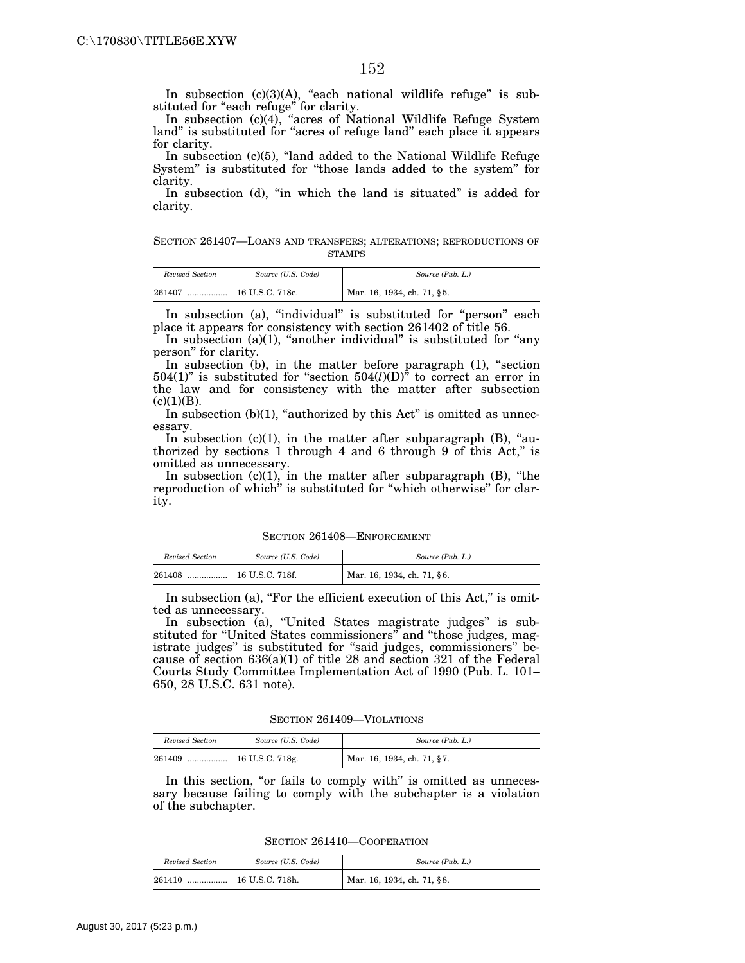In subsection  $(c)(3)(A)$ , "each national wildlife refuge" is substituted for "each refuge" for clarity.

In subsection (c)(4), "acres of National Wildlife Refuge System land'' is substituted for ''acres of refuge land'' each place it appears for clarity.

In subsection (c)(5), "land added to the National Wildlife Refuge System'' is substituted for ''those lands added to the system'' for clarity.

In subsection (d), "in which the land is situated" is added for clarity.

SECTION 261407—LOANS AND TRANSFERS; ALTERATIONS; REPRODUCTIONS OF STAMPS

| Revised Section | Source (U.S. Code) | Source (Pub. L.)           |
|-----------------|--------------------|----------------------------|
| 261407<br>      | 16 U.S.C. 718e.    | Mar. 16, 1934, ch. 71, §5. |

In subsection (a), "individual" is substituted for "person" each place it appears for consistency with section 261402 of title 56.

In subsection  $(a)(1)$ , "another individual" is substituted for "any person'' for clarity.

In subsection (b), in the matter before paragraph (1), "section 504(1)'' is substituted for ''section 504(*l*)(D)'' to correct an error in the law and for consistency with the matter after subsection  $(c)(1)(B).$ 

In subsection  $(b)(1)$ , "authorized by this Act" is omitted as unnecessary.

In subsection  $(c)(1)$ , in the matter after subparagraph  $(B)$ , "authorized by sections 1 through 4 and 6 through 9 of this Act,'' is omitted as unnecessary.

In subsection  $(c)(1)$ , in the matter after subparagraph  $(B)$ , "the reproduction of which'' is substituted for ''which otherwise'' for clarity.

SECTION 261408—ENFORCEMENT

| Revised Section | Source (U.S. Code) | Source (Pub. L.)           |
|-----------------|--------------------|----------------------------|
| 261408<br>      | 16 U.S.C. 718f.    | Mar. 16, 1934, ch. 71, §6. |

In subsection (a), "For the efficient execution of this Act," is omitted as unnecessary.

In subsection (a), "United States magistrate judges" is substituted for "United States commissioners" and "those judges, magistrate judges'' is substituted for ''said judges, commissioners'' because of section 636(a)(1) of title 28 and section 321 of the Federal Courts Study Committee Implementation Act of 1990 (Pub. L. 101– 650, 28 U.S.C. 631 note).

SECTION 261409—VIOLATIONS

| Revised Section | Source (U.S. Code)                  | Source (Pub. L.)           |
|-----------------|-------------------------------------|----------------------------|
| 261409          | $\ldots$ $\ldots$   16 U.S.C. 718g. | Mar. 16, 1934, ch. 71, §7. |

In this section, "or fails to comply with" is omitted as unnecessary because failing to comply with the subchapter is a violation of the subchapter.

SECTION 261410—COOPERATION

| Revised Section | Source (U.S. Code)      | Source (Pub. L.)           |
|-----------------|-------------------------|----------------------------|
| 261410<br>      | $\vert$ 16 U.S.C. 718h. | Mar. 16, 1934, ch. 71, §8. |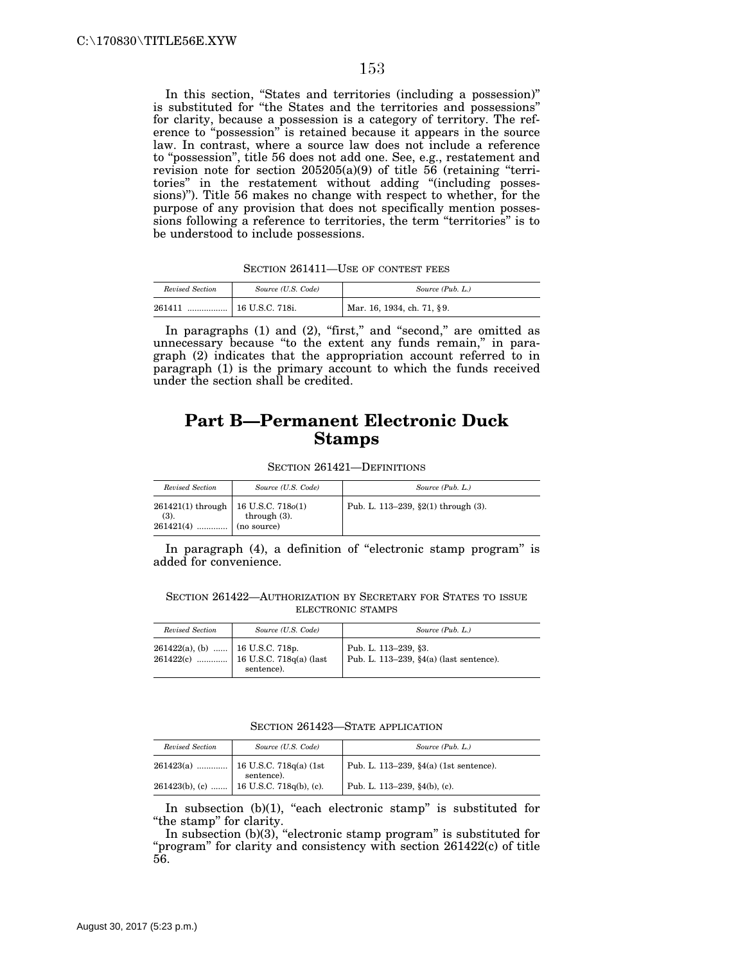In this section, ''States and territories (including a possession)'' is substituted for ''the States and the territories and possessions'' for clarity, because a possession is a category of territory. The reference to ''possession'' is retained because it appears in the source law. In contrast, where a source law does not include a reference to "possession", title 56 does not add one. See, e.g., restatement and revision note for section  $205205(a)(9)$  of title 56 (retaining "territories'' in the restatement without adding ''(including possessions)''). Title 56 makes no change with respect to whether, for the purpose of any provision that does not specifically mention possessions following a reference to territories, the term "territories" is to be understood to include possessions.

SECTION 261411—USE OF CONTEST FEES

| Revised Section | Source (U.S. Code) | Source (Pub. L.)           |
|-----------------|--------------------|----------------------------|
| 261411<br>      | 16 U.S.C. 718i.    | Mar. 16, 1934, ch. 71, §9. |

In paragraphs  $(1)$  and  $(2)$ , "first," and "second," are omitted as unnecessary because "to the extent any funds remain," in paragraph (2) indicates that the appropriation account referred to in paragraph (1) is the primary account to which the funds received under the section shall be credited.

## **Part B—Permanent Electronic Duck Stamps**

SECTION 261421—DEFINITIONS

| Revised Section                                                 | Source (U.S. Code)             | Source (Pub. L.)                    |
|-----------------------------------------------------------------|--------------------------------|-------------------------------------|
| $261421(1)$ through   16 U.S.C. 718 $o(1)$<br>(3).<br>261421(4) | through $(3)$ .<br>(no source) | Pub. L. 113-239, §2(1) through (3). |

In paragraph (4), a definition of ''electronic stamp program'' is added for convenience.

SECTION 261422—AUTHORIZATION BY SECRETARY FOR STATES TO ISSUE ELECTRONIC STAMPS

| Revised Section                    | Source (U.S. Code)                                | Source (Pub. L.)                                                   |
|------------------------------------|---------------------------------------------------|--------------------------------------------------------------------|
| $261422(a)$ , (b)  16 U.S.C. 718p. | $261422(c)$ 16 U.S.C. 718q(a) (last<br>sentence). | Pub. L. 113-239, §3.<br>Pub. L. 113-239, $\S4(a)$ (last sentence). |

SECTION 261423—STATE APPLICATION

| Revised Section |                                         | Source (Pub. L.)                       |
|-----------------|-----------------------------------------|----------------------------------------|
|                 | Source (U.S. Code)                      |                                        |
|                 | sentence).                              | Pub. L. 113-239, §4(a) (1st sentence). |
|                 | 261423(b), (c)  16 U.S.C. 718q(b), (c). | Pub. L. 113-239, §4(b), (c).           |

In subsection  $(b)(1)$ , "each electronic stamp" is substituted for "the stamp" for clarity.

In subsection  $(b)(3)$ , "electronic stamp program" is substituted for "program" for clarity and consistency with section 261422(c) of title 56.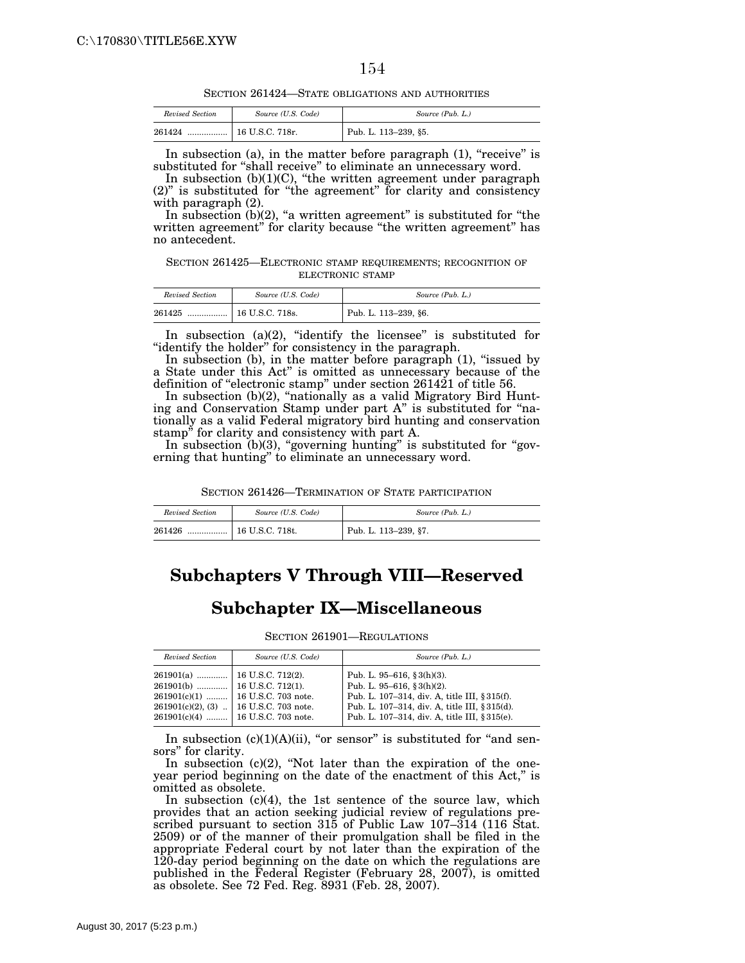SECTION 261424—STATE OBLIGATIONS AND AUTHORITIES

| Revised Section | Source (U.S. Code)           | Source (Pub. L.)     |
|-----------------|------------------------------|----------------------|
| 261424<br>      | <sup>1</sup> 16 U.S.C. 718r. | Pub. L. 113-239, §5. |

In subsection (a), in the matter before paragraph  $(1)$ , "receive" is substituted for ''shall receive'' to eliminate an unnecessary word.

In subsection (b)(1)(C), ''the written agreement under paragraph (2)'' is substituted for ''the agreement'' for clarity and consistency with paragraph (2).

In subsection  $(b)(2)$ , "a written agreement" is substituted for "the written agreement" for clarity because "the written agreement" has no antecedent.

SECTION 261425—ELECTRONIC STAMP REQUIREMENTS; RECOGNITION OF ELECTRONIC STAMP

| Revised Section | Source (U.S. Code) | Source (Pub. L.)     |
|-----------------|--------------------|----------------------|
| 261425<br>      | 16 U.S.C. 718s.    | Pub. L. 113-239, §6. |

In subsection  $(a)(2)$ , "identify the licensee" is substituted for ''identify the holder'' for consistency in the paragraph.

In subsection (b), in the matter before paragraph (1), "issued by a State under this Act'' is omitted as unnecessary because of the definition of ''electronic stamp'' under section 261421 of title 56.

In subsection (b)(2), "nationally as a valid Migratory Bird Hunting and Conservation Stamp under part A'' is substituted for ''nationally as a valid Federal migratory bird hunting and conservation stamp'' for clarity and consistency with part A.

In subsection (b)(3), "governing hunting" is substituted for "governing that hunting'' to eliminate an unnecessary word.

| Revised Section | Source (U.S. Code)    | Source (Pub. L.)     |
|-----------------|-----------------------|----------------------|
| 261426<br>      | $\pm 16$ U.S.C. 718t. | Pub. L. 113-239, §7. |

# **Subchapters V Through VIII—Reserved**

#### **Subchapter IX—Miscellaneous**

SECTION 261901—REGULATIONS

| Revised Section                                                 | Source (U.S. Code)                                                              | Source (Pub. L.)                                                                                                                                           |
|-----------------------------------------------------------------|---------------------------------------------------------------------------------|------------------------------------------------------------------------------------------------------------------------------------------------------------|
| 261901(a)    16 U.S.C. 712(2).<br>$261901(b)$ 16 U.S.C. 712(1). | $261901(c)(1)$ 16 U.S.C. 703 note.<br>$261901(c)(2), (3)$   16 U.S.C. 703 note. | Pub. L. 95-616, § 3(h)(3).<br>Pub. L. 95-616, § 3(h)(2).<br>Pub. L. 107-314, div. A, title III, § 315(f).<br>Pub. L. 107-314, div. A, title III, § 315(d). |
|                                                                 | 261901(c)(4)  16 U.S.C. 703 note.                                               | Pub. L. 107-314, div. A, title III, § 315(e).                                                                                                              |

In subsection  $(c)(1)(A)(ii)$ , "or sensor" is substituted for "and sensors'' for clarity.

In subsection  $(c)(2)$ , "Not later than the expiration of the oneyear period beginning on the date of the enactment of this Act,'' is omitted as obsolete.

In subsection (c)(4), the 1st sentence of the source law, which provides that an action seeking judicial review of regulations prescribed pursuant to section 315 of Public Law 107–314 (116 Stat. 2509) or of the manner of their promulgation shall be filed in the appropriate Federal court by not later than the expiration of the 120-day period beginning on the date on which the regulations are published in the Federal Register (February 28, 2007), is omitted as obsolete. See 72 Fed. Reg. 8931 (Feb. 28, 2007).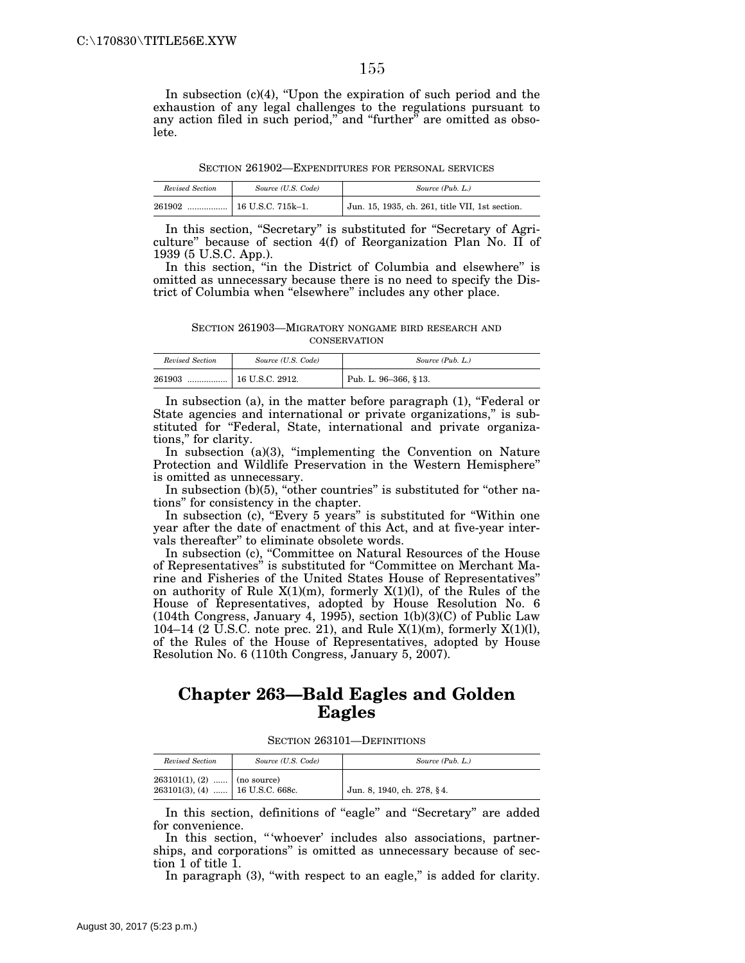In subsection  $(c)(4)$ , "Upon the expiration of such period and the exhaustion of any legal challenges to the regulations pursuant to any action filed in such period," and "further" are omitted as obsolete.

SECTION 261902—EXPENDITURES FOR PERSONAL SERVICES

| Revised Section | Source (U.S. Code) | Source (Pub. L.)                                |
|-----------------|--------------------|-------------------------------------------------|
| 261902<br>      | 16 U.S.C. 715k–1.  | Jun. 15, 1935, ch. 261, title VII, 1st section. |

In this section, ''Secretary'' is substituted for ''Secretary of Agriculture'' because of section 4(f) of Reorganization Plan No. II of 1939 (5 U.S.C. App.).

In this section, ''in the District of Columbia and elsewhere'' is omitted as unnecessary because there is no need to specify the District of Columbia when ''elsewhere'' includes any other place.

SECTION 261903—MIGRATORY NONGAME BIRD RESEARCH AND **CONSERVATION** 

| Revised Section | Source (U.S. Code) | Source (Pub. L.)     |
|-----------------|--------------------|----------------------|
| 261903<br>      | 16 U.S.C. 2912.    | Pub. L. 96-366, §13. |

In subsection (a), in the matter before paragraph (1), "Federal or State agencies and international or private organizations,'' is substituted for "Federal, State, international and private organizations,'' for clarity.

In subsection (a)(3), "implementing the Convention on Nature Protection and Wildlife Preservation in the Western Hemisphere'' is omitted as unnecessary.

In subsection (b)(5), "other countries" is substituted for "other nations'' for consistency in the chapter.

In subsection (c), ''Every 5 years'' is substituted for ''Within one year after the date of enactment of this Act, and at five-year intervals thereafter'' to eliminate obsolete words.

In subsection (c), ''Committee on Natural Resources of the House of Representatives'' is substituted for ''Committee on Merchant Marine and Fisheries of the United States House of Representatives'' on authority of Rule  $X(1)(m)$ , formerly  $X(1)(l)$ , of the Rules of the House of Representatives, adopted by House Resolution No. 6 (104th Congress, January 4, 1995), section 1(b)(3)(C) of Public Law 104–14 (2 U.S.C. note prec. 21), and Rule  $X(1)(m)$ , formerly  $X(1)(l)$ , of the Rules of the House of Representatives, adopted by House Resolution No. 6 (110th Congress, January 5, 2007).

#### **Chapter 263—Bald Eagles and Golden Eagles**

SECTION 263101—DEFINITIONS

| Revised Section                                                      | Source (U.S. Code) | Source (Pub. L.)           |
|----------------------------------------------------------------------|--------------------|----------------------------|
| $263101(1), (2)$   (no source)<br>$263101(3)$ , (4)  16 U.S.C. 668c. |                    | Jun. 8, 1940, ch. 278, §4. |

In this section, definitions of "eagle" and "Secretary" are added for convenience.

In this section, "'whoever' includes also associations, partnerships, and corporations'' is omitted as unnecessary because of section 1 of title 1.

In paragraph (3), "with respect to an eagle," is added for clarity.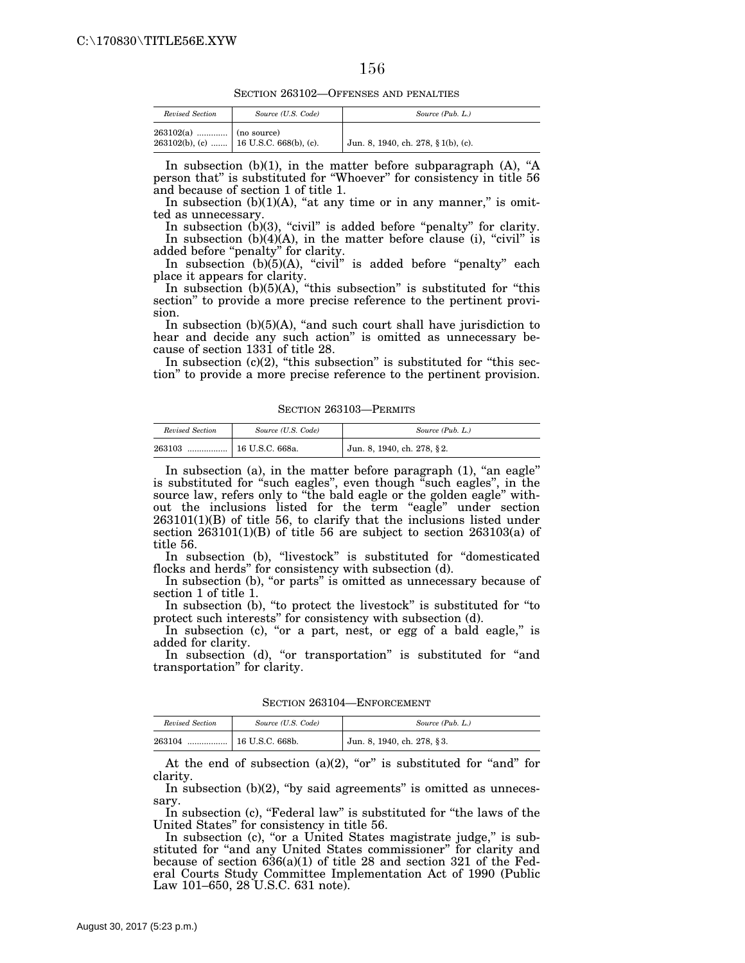SECTION 263102—OFFENSES AND PENALTIES

| Revised Section         | Source (U.S. Code)                       | Source (Pub. L.)                    |
|-------------------------|------------------------------------------|-------------------------------------|
| $263102(a)$ (no source) | 263102(b), (c)    16 U.S.C. 668(b), (c). | Jun. 8, 1940, ch. 278, § 1(b), (c). |

In subsection  $(b)(1)$ , in the matter before subparagraph  $(A)$ , "A person that'' is substituted for ''Whoever'' for consistency in title 56 and because of section 1 of title 1.

In subsection  $(b)(1)(A)$ , "at any time or in any manner," is omitted as unnecessary.

In subsection  $(b)(3)$ , "civil" is added before "penalty" for clarity. In subsection  $(b)(4)(A)$ , in the matter before clause (i), "civil" is added before ''penalty'' for clarity.

In subsection  $(b)(5)(A)$ , "civil" is added before "penalty" each place it appears for clarity.

In subsection  $(b)(5)(A)$ , "this subsection" is substituted for "this section'' to provide a more precise reference to the pertinent provision.

In subsection  $(b)(5)(A)$ , "and such court shall have jurisdiction to hear and decide any such action'' is omitted as unnecessary because of section 1331 of title 28.

In subsection  $(c)(2)$ , "this subsection" is substituted for "this section'' to provide a more precise reference to the pertinent provision.

SECTION 263103—PERMITS

| Revised Section | Source (U.S. Code) | Source (Pub. L.)           |
|-----------------|--------------------|----------------------------|
| 263103          |                    | Jun. 8, 1940, ch. 278, §2. |

In subsection (a), in the matter before paragraph  $(1)$ , "an eagle" is substituted for "such eagles", even though "such eagles", in the source law, refers only to "the bald eagle or the golden eagle" without the inclusions listed for the term ''eagle'' under section 263101(1)(B) of title 56, to clarify that the inclusions listed under section 263101(1)(B) of title 56 are subject to section 263103(a) of title 56.

In subsection (b), ''livestock'' is substituted for ''domesticated flocks and herds'' for consistency with subsection (d).

In subsection (b), "or parts" is omitted as unnecessary because of section 1 of title 1.

In subsection (b), "to protect the livestock" is substituted for "to protect such interests'' for consistency with subsection (d).

In subsection (c), "or a part, nest, or egg of a bald eagle," is added for clarity.

In subsection (d), "or transportation" is substituted for "and transportation'' for clarity.

SECTION 263104—ENFORCEMENT

| Revised Section | Source (U.S. Code) | Source (Pub. L.)           |
|-----------------|--------------------|----------------------------|
| 263104<br>      | 16 U.S.C. 668b.    | Jun. 8, 1940, ch. 278, §3. |

At the end of subsection  $(a)(2)$ , "or" is substituted for "and" for clarity.

In subsection  $(b)(2)$ , "by said agreements" is omitted as unnecessary.

In subsection (c), "Federal law" is substituted for "the laws of the United States'' for consistency in title 56.

In subsection (c), "or a United States magistrate judge," is substituted for "and any United States commissioner" for clarity and because of section  $636(a)(1)$  of title 28 and section 321 of the Federal Courts Study Committee Implementation Act of 1990 (Public Law 101–650, 28 U.S.C. 631 note).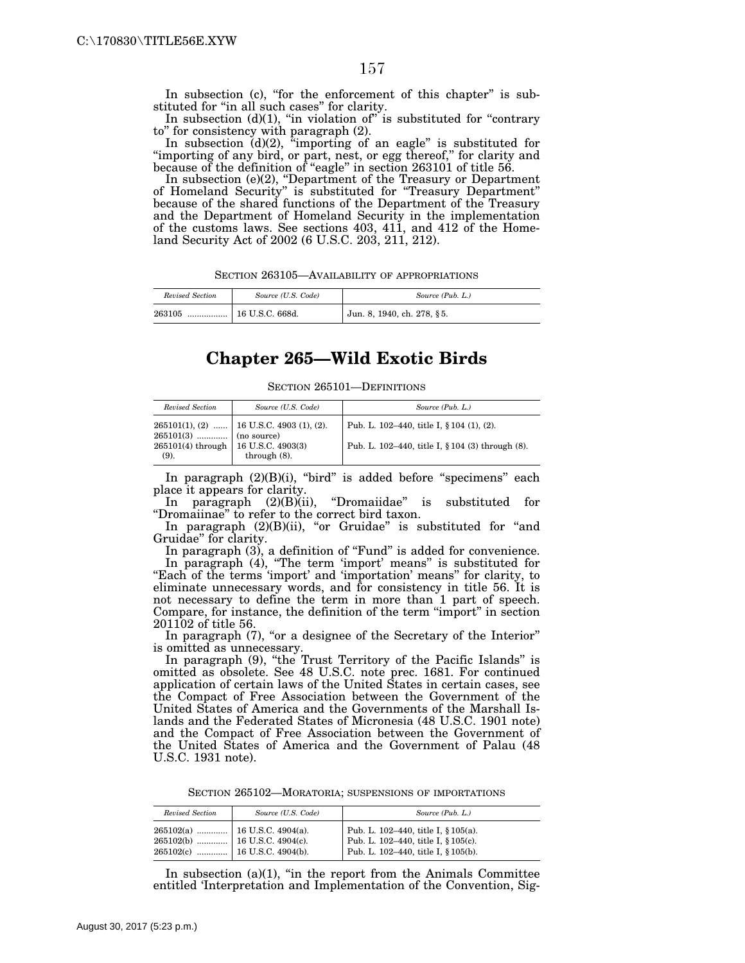In subsection (c), "for the enforcement of this chapter" is substituted for "in all such cases" for clarity.

In subsection  $(d)(1)$ , "in violation of" is substituted for "contrary to'' for consistency with paragraph (2).

In subsection  $(d)(2)$ , "importing of an eagle" is substituted for "importing of any bird, or part, nest, or egg thereof," for clarity and because of the definition of ''eagle'' in section 263101 of title 56.

In subsection (e)(2), ''Department of the Treasury or Department of Homeland Security'' is substituted for ''Treasury Department'' because of the shared functions of the Department of the Treasury and the Department of Homeland Security in the implementation of the customs laws. See sections 403, 411, and 412 of the Homeland Security Act of 2002 (6 U.S.C. 203, 211, 212).

SECTION 263105—AVAILABILITY OF APPROPRIATIONS

| Revised Section | Source (U.S. Code)           | Source (Pub. L.)           |
|-----------------|------------------------------|----------------------------|
| 263105<br>      | $^{\dagger}$ 16 U.S.C. 668d. | Jun. 8, 1940, ch. 278, §5. |

## **Chapter 265—Wild Exotic Birds**

SECTION 265101—DEFINITIONS

| Revised Section                                                            | Source (U.S. Code)                                             | Source (Pub. L.)                                                                              |
|----------------------------------------------------------------------------|----------------------------------------------------------------|-----------------------------------------------------------------------------------------------|
| $265101(3)$ (no source)<br>$265101(4)$ through   16 U.S.C. 4903(3)<br>(9). | $265101(1), (2)$   16 U.S.C. 4903 (1), (2).<br>through $(8)$ . | Pub. L. 102–440, title I, § 104 (1), (2).<br>Pub. L. 102-440, title I, § 104 (3) through (8). |

In paragraph  $(2)(B)(i)$ , "bird" is added before "specimens" each place it appears for clarity.<br>In paragraph (2)(B)(ii),

"Dromaiidae" is substituted for ''Dromaiinae'' to refer to the correct bird taxon.

In paragraph (2)(B)(ii), "or Gruidae" is substituted for "and Gruidae'' for clarity.

In paragraph (3), a definition of "Fund" is added for convenience. In paragraph (4), ''The term 'import' means'' is substituted for "Each of the terms 'import' and 'importation' means" for clarity, to eliminate unnecessary words, and for consistency in title 56. It is not necessary to define the term in more than 1 part of speech. Compare, for instance, the definition of the term ''import'' in section 201102 of title 56.

In paragraph (7), "or a designee of the Secretary of the Interior" is omitted as unnecessary.

In paragraph (9), "the Trust Territory of the Pacific Islands" is omitted as obsolete. See 48 U.S.C. note prec. 1681. For continued application of certain laws of the United States in certain cases, see the Compact of Free Association between the Government of the United States of America and the Governments of the Marshall Islands and the Federated States of Micronesia (48 U.S.C. 1901 note) and the Compact of Free Association between the Government of the United States of America and the Government of Palau (48 U.S.C. 1931 note).

SECTION 265102—MORATORIA; SUSPENSIONS OF IMPORTATIONS

| Revised Section | Source (U.S. Code) | Source (Pub. L.)                                                                                                  |
|-----------------|--------------------|-------------------------------------------------------------------------------------------------------------------|
|                 |                    | Pub. L. 102-440, title I, § 105(a).<br>Pub. L. 102-440, title I, § 105(c).<br>Pub. L. 102-440, title I, § 105(b). |

In subsection  $(a)(1)$ , "in the report from the Animals Committee entitled 'Interpretation and Implementation of the Convention, Sig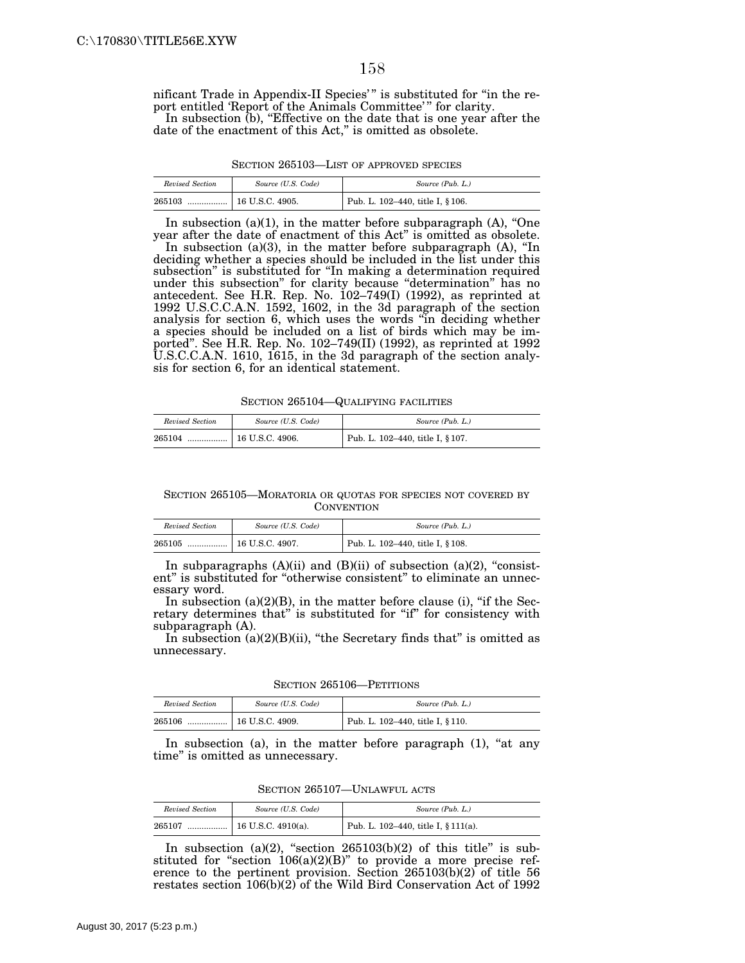nificant Trade in Appendix-II Species'" is substituted for "in the report entitled 'Report of the Animals Committee'" for clarity. In subsection (b), "Effective on the date that is one year after the

date of the enactment of this Act," is omitted as obsolete.

| SECTION 265103—LIST OF APPROVED SPECIES |
|-----------------------------------------|
|-----------------------------------------|

| Revised Section | Source (U.S. Code) | Source (Pub. L.)                 |
|-----------------|--------------------|----------------------------------|
| 265103          |                    | Pub. L. 102-440, title I, § 106. |

In subsection  $(a)(1)$ , in the matter before subparagraph  $(A)$ , "One year after the date of enactment of this Act'' is omitted as obsolete.

In subsection (a)(3), in the matter before subparagraph (A), ''In deciding whether a species should be included in the list under this subsection'' is substituted for ''In making a determination required under this subsection'' for clarity because ''determination'' has no antecedent. See H.R. Rep. No. 102–749(I) (1992), as reprinted at 1992 U.S.C.C.A.N. 1592, 1602, in the 3d paragraph of the section analysis for section 6, which uses the words ''in deciding whether a species should be included on a list of birds which may be imported''. See H.R. Rep. No. 102–749(II) (1992), as reprinted at 1992 U.S.C.C.A.N. 1610, 1615, in the 3d paragraph of the section analysis for section 6, for an identical statement.

SECTION 265104—QUALIFYING FACILITIES

| Revised Section | Source (U.S. Code)      | Source (Pub. L.)                 |
|-----------------|-------------------------|----------------------------------|
| 265104<br>      | $\vert$ 16 U.S.C. 4906. | Pub. L. 102-440, title I, § 107. |

SECTION 265105—MORATORIA OR QUOTAS FOR SPECIES NOT COVERED BY **CONVENTION** 

| Revised Section | Source (U.S. Code) | Source (Pub. L.)                 |
|-----------------|--------------------|----------------------------------|
| 265105<br>      | 16 U.S.C. 4907.    | Pub. L. 102-440, title I, § 108. |

In subparagraphs  $(A)(ii)$  and  $(B)(ii)$  of subsection  $(a)(2)$ , "consistent" is substituted for "otherwise consistent" to eliminate an unnecessary word.

In subsection  $(a)(2)(B)$ , in the matter before clause (i), "if the Secretary determines that" is substituted for "if" for consistency with subparagraph (A).

In subsection  $(a)(2)(B)(ii)$ , "the Secretary finds that" is omitted as unnecessary.

SECTION 265106—PETITIONS

| Revised Section | Source (U.S. Code) | Source (Pub. L.)                 |
|-----------------|--------------------|----------------------------------|
| 265106<br>      | $16$ U.S.C. 4909.  | Pub. L. 102-440, title I, § 110. |

In subsection (a), in the matter before paragraph  $(1)$ , "at any time'' is omitted as unnecessary.

SECTION 265107—UNLAWFUL ACTS

| Revised Section | Source (U.S. Code) | Source (Pub. L.)                    |
|-----------------|--------------------|-------------------------------------|
| 265107          |                    | Pub. L. 102-440, title I, § 111(a). |

In subsection (a)(2), "section  $265103(b)(2)$  of this title" is substituted for "section  $106(a)(2)(B)$ " to provide a more precise reference to the pertinent provision. Section 265103(b)(2) of title 56 restates section 106(b)(2) of the Wild Bird Conservation Act of 1992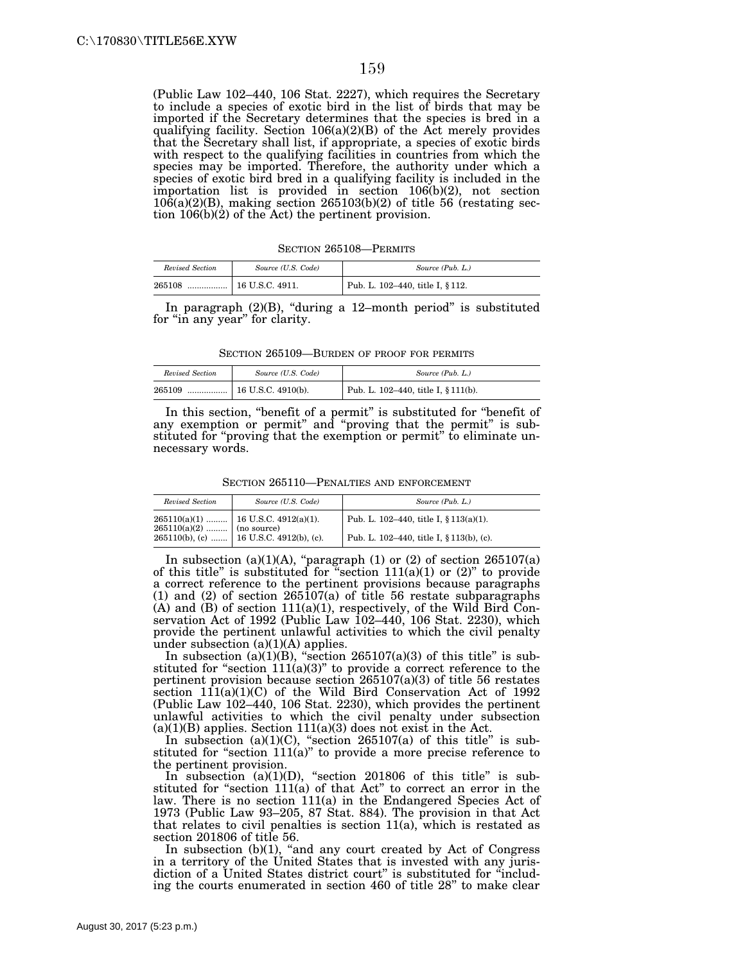(Public Law 102–440, 106 Stat. 2227), which requires the Secretary to include a species of exotic bird in the list of birds that may be imported if the Secretary determines that the species is bred in a qualifying facility. Section 106(a)(2)(B) of the Act merely provides that the Secretary shall list, if appropriate, a species of exotic birds with respect to the qualifying facilities in countries from which the species may be imported. Therefore, the authority under which a species of exotic bird bred in a qualifying facility is included in the importation list is provided in section 106(b)(2), not section  $10\bar{6}$ (a)(2)(B), making section 265103(b)(2) of title 56 (restating section 106(b)(2) of the Act) the pertinent provision.

SECTION 265108—PERMITS

| Revised Section | Source (U.S. Code) | Source (Pub. L.)                 |
|-----------------|--------------------|----------------------------------|
| 265108          |                    | Pub. L. 102-440, title I, § 112. |

In paragraph  $(2)(B)$ , "during a 12-month period" is substituted for "in any year" for clarity.

SECTION 265109—BURDEN OF PROOF FOR PERMITS

| Revised Section | Source (U.S. Code) | Source (Pub. L.)                                 |
|-----------------|--------------------|--------------------------------------------------|
| 265109<br>      | 16 U.S.C. 4910(b). | <sup>1</sup> Pub. L. 102-440, title I, § 111(b). |

In this section, "benefit of a permit" is substituted for "benefit of any exemption or permit" and "proving that the permit" is substituted for "proving that the exemption or permit" to eliminate unnecessary words.

SECTION 265110—PENALTIES AND ENFORCEMENT

| Revised Section | Source (U.S. Code)                                                                                                                         | Source (Pub. L.)                           |
|-----------------|--------------------------------------------------------------------------------------------------------------------------------------------|--------------------------------------------|
|                 | $265110(a)(1)$   16 U.S.C. 4912(a)(1).                                                                                                     | Pub. L. 102–440, title I, $\S 113(a)(1)$ . |
|                 | $\begin{array}{c c c c c} \hline 265110(a)(2) & \dots & \dots & \hline \end{array}$ (no source)<br>265110(b), (c)  16 U.S.C. 4912(b), (c). | Pub. L. 102–440, title I, § 113(b), (c).   |

In subsection (a)(1)(A), "paragraph (1) or (2) of section  $265107(a)$ of this title" is substituted for "section  $111(a)(1)$  or  $(2)$ " to provide a correct reference to the pertinent provisions because paragraphs (1) and (2) of section 265107(a) of title 56 restate subparagraphs (A) and (B) of section 111(a)(1), respectively, of the Wild Bird Conservation Act of 1992 (Public Law 102–440, 106 Stat. 2230), which provide the pertinent unlawful activities to which the civil penalty under subsection (a)(1)(A) applies.

In subsection (a)(1)(B), "section 265107(a)(3) of this title" is substituted for "section  $111(a)(3)$ " to provide a correct reference to the pertinent provision because section 265107(a)(3) of title 56 restates section  $111(a)(1)(C)$  of the Wild Bird Conservation Act of 1992 (Public Law 102–440, 106 Stat. 2230), which provides the pertinent unlawful activities to which the civil penalty under subsection  $(a)(1)(B)$  applies. Section  $111(a)(3)$  does not exist in the Act.

In subsection  $(a)(1)(C)$ , "section 265107(a) of this title" is substituted for "section  $111(a)$ " to provide a more precise reference to the pertinent provision.

In subsection (a)(1)(D), "section 201806 of this title" is substituted for ''section 111(a) of that Act'' to correct an error in the law. There is no section 111(a) in the Endangered Species Act of 1973 (Public Law 93–205, 87 Stat. 884). The provision in that Act that relates to civil penalties is section 11(a), which is restated as section 201806 of title 56.

In subsection  $(b)(1)$ , "and any court created by Act of Congress" in a territory of the United States that is invested with any jurisdiction of a United States district court'' is substituted for ''including the courts enumerated in section 460 of title 28'' to make clear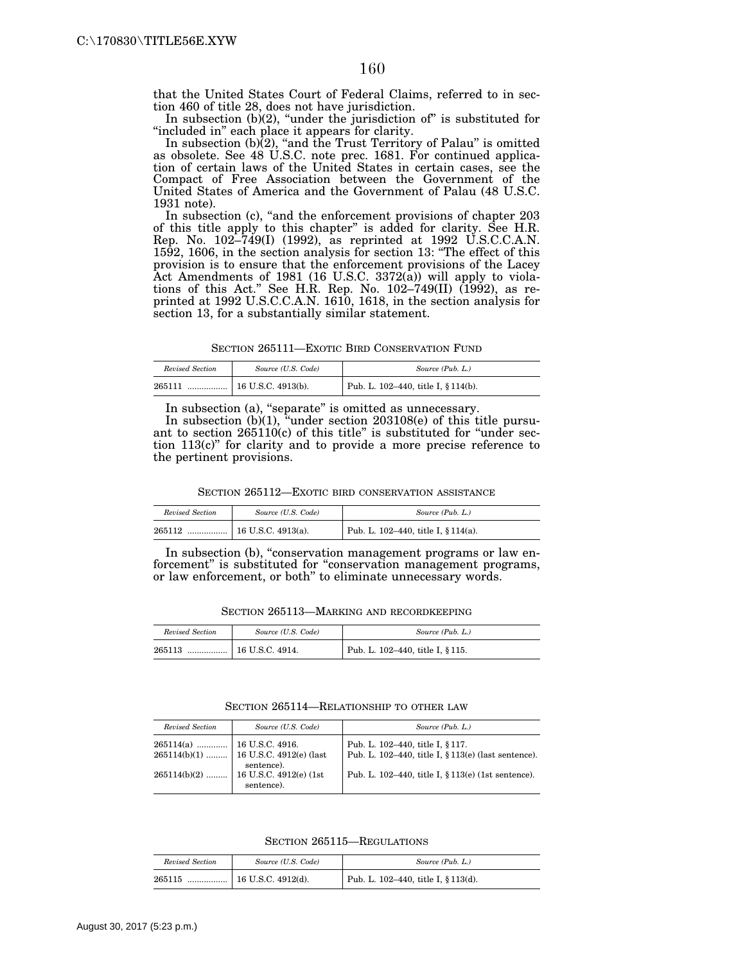that the United States Court of Federal Claims, referred to in section 460 of title 28, does not have jurisdiction.

In subsection  $(b)(2)$ , "under the jurisdiction of" is substituted for "included in" each place it appears for clarity.

In subsection (b)(2), "and the Trust Territory of Palau" is omitted as obsolete. See 48 U.S.C. note prec. 1681. For continued application of certain laws of the United States in certain cases, see the Compact of Free Association between the Government of the United States of America and the Government of Palau (48 U.S.C. 1931 note).

In subsection (c), "and the enforcement provisions of chapter 203 of this title apply to this chapter'' is added for clarity. See H.R. Rep. No. 102–749(I) (1992), as reprinted at 1992 U.S.C.C.A.N. 1592, 1606, in the section analysis for section 13: ''The effect of this provision is to ensure that the enforcement provisions of the Lacey Act Amendments of 1981 (16 U.S.C. 3372(a)) will apply to violations of this Act.'' See H.R. Rep. No. 102–749(II) (1992), as reprinted at 1992 U.S.C.C.A.N. 1610, 1618, in the section analysis for section 13, for a substantially similar statement.

SECTION 265111—EXOTIC BIRD CONSERVATION FUND

| Revised Section | Source (U.S. Code) | Source (Pub. L.)                                 |
|-----------------|--------------------|--------------------------------------------------|
| 265111<br>      | 16 U.S.C. 4913(b). | <sup>1</sup> Pub. L. 102–440, title I, § 114(b). |

In subsection (a), "separate" is omitted as unnecessary.

In subsection (b)(1), "under section 203108(e) of this title pursuant to section  $265110(c)$  of this title" is substituted for "under section 113(c)'' for clarity and to provide a more precise reference to the pertinent provisions.

SECTION 265112-EXOTIC BIRD CONSERVATION ASSISTANCE

| Revised Section | Source (U.S. Code) | Source (Pub. L.)                    |
|-----------------|--------------------|-------------------------------------|
| 265112          |                    | Pub. L. 102–440, title I, § 114(a). |

In subsection (b), "conservation management programs or law enforcement'' is substituted for ''conservation management programs, or law enforcement, or both'' to eliminate unnecessary words.

SECTION 265113—MARKING AND RECORDKEEPING

| Revised Section | Source (U.S. Code) | Source (Pub. L.)                 |
|-----------------|--------------------|----------------------------------|
| 265113<br>      | 16 U.S.C. 4914.    | Pub. L. 102-440, title I, § 115. |

SECTION 265114—RELATIONSHIP TO OTHER LAW

| Revised Section | Source (U.S. Code)                                                          | Source (Pub. L.)                                                                        |
|-----------------|-----------------------------------------------------------------------------|-----------------------------------------------------------------------------------------|
| $265114(a)$     | $16$ U.S.C. 4916.<br>$265114(b)(1)$   16 U.S.C. 4912(e) (last<br>sentence). | Pub. L. 102-440, title I, § 117.<br>Pub. L. 102-440, title I, § 113(e) (last sentence). |
| $265114(b)(2)$  | 16 U.S.C. 4912(e) (1st)<br>sentence).                                       | Pub. L. 102–440, title I, § 113(e) (1st sentence).                                      |

SECTION 265115—REGULATIONS

| Revised Section | Source (U.S. Code) | Source (Pub. L.)                    |
|-----------------|--------------------|-------------------------------------|
| 265115<br>      | 16 U.S.C. 4912(d). | Pub. L. 102–440, title I, § 113(d). |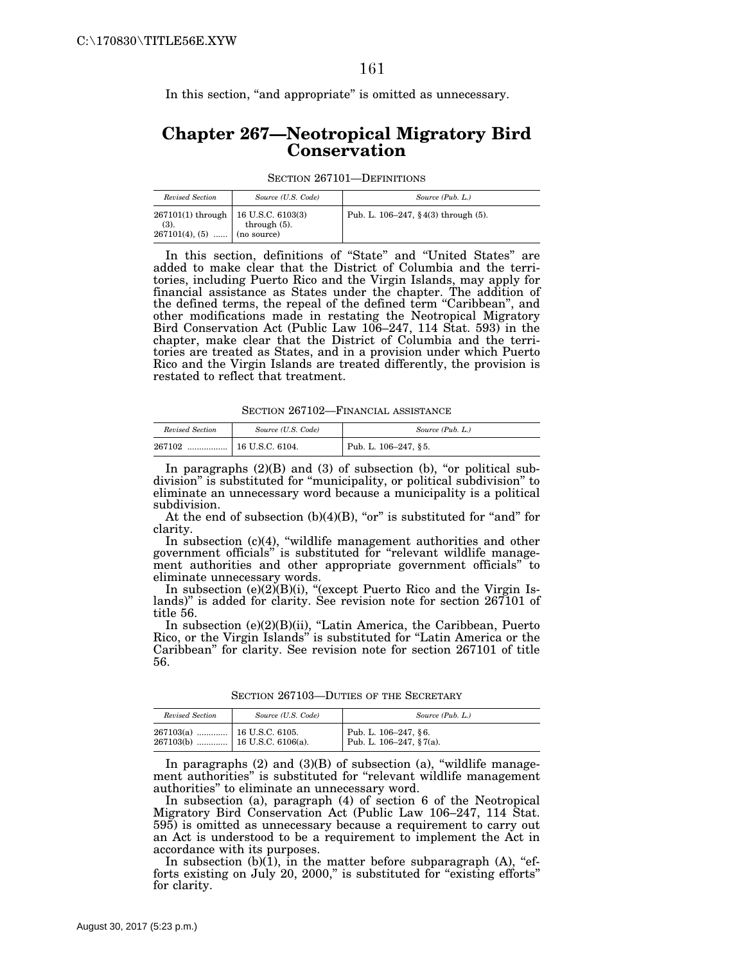In this section, "and appropriate" is omitted as unnecessary.

## **Chapter 267—Neotropical Migratory Bird Conservation**

SECTION 267101—DEFINITIONS

| Revised Section                                                                   | Source (U.S. Code) | Source (Pub. L.)                        |
|-----------------------------------------------------------------------------------|--------------------|-----------------------------------------|
| $267101(1)$ through   16 U.S.C. 6103(3)<br>(3).<br>$267101(4), (5)$   (no source) | through $(5)$ .    | Pub. L. $106-247$ , § 4(3) through (5). |

In this section, definitions of ''State'' and ''United States'' are added to make clear that the District of Columbia and the territories, including Puerto Rico and the Virgin Islands, may apply for financial assistance as States under the chapter. The addition of the defined terms, the repeal of the defined term ''Caribbean'', and other modifications made in restating the Neotropical Migratory Bird Conservation Act (Public Law 106–247, 114 Stat. 593) in the chapter, make clear that the District of Columbia and the territories are treated as States, and in a provision under which Puerto Rico and the Virgin Islands are treated differently, the provision is restated to reflect that treatment.

SECTION 267102—FINANCIAL ASSISTANCE

| Revised Section | Source (U.S. Code) | Source (Pub. L.)     |
|-----------------|--------------------|----------------------|
| 267102<br>      | 16 U.S.C. 6104.    | Pub. L. 106-247, §5. |

In paragraphs  $(2)(B)$  and  $(3)$  of subsection  $(b)$ , "or political subdivision'' is substituted for ''municipality, or political subdivision'' to eliminate an unnecessary word because a municipality is a political subdivision.

At the end of subsection  $(b)(4)(B)$ , "or" is substituted for "and" for clarity.

In subsection (c)(4), ''wildlife management authorities and other government officials'' is substituted for ''relevant wildlife management authorities and other appropriate government officials'' to eliminate unnecessary words.

In subsection (e)(2)(B)(i), ''(except Puerto Rico and the Virgin Islands)'' is added for clarity. See revision note for section 267101 of title 56.

In subsection (e)(2)(B)(ii), ''Latin America, the Caribbean, Puerto Rico, or the Virgin Islands'' is substituted for ''Latin America or the Caribbean'' for clarity. See revision note for section 267101 of title 56.

| SECTION 267103-DUTIES OF THE SECRETARY |
|----------------------------------------|
|----------------------------------------|

| Revised Section | Source (U.S. Code) | Source (Pub. L.)                                    |
|-----------------|--------------------|-----------------------------------------------------|
|                 |                    | Pub. L. 106-247, §6.<br>Pub. L. $106-247$ , § 7(a). |

In paragraphs  $(2)$  and  $(3)(B)$  of subsection  $(a)$ , "wildlife management authorities'' is substituted for ''relevant wildlife management authorities'' to eliminate an unnecessary word.

In subsection (a), paragraph (4) of section 6 of the Neotropical Migratory Bird Conservation Act (Public Law 106–247, 114 Stat. 595) is omitted as unnecessary because a requirement to carry out an Act is understood to be a requirement to implement the Act in accordance with its purposes.

In subsection  $(b)(1)$ , in the matter before subparagraph  $(A)$ , "efforts existing on July 20, 2000," is substituted for "existing efforts" for clarity.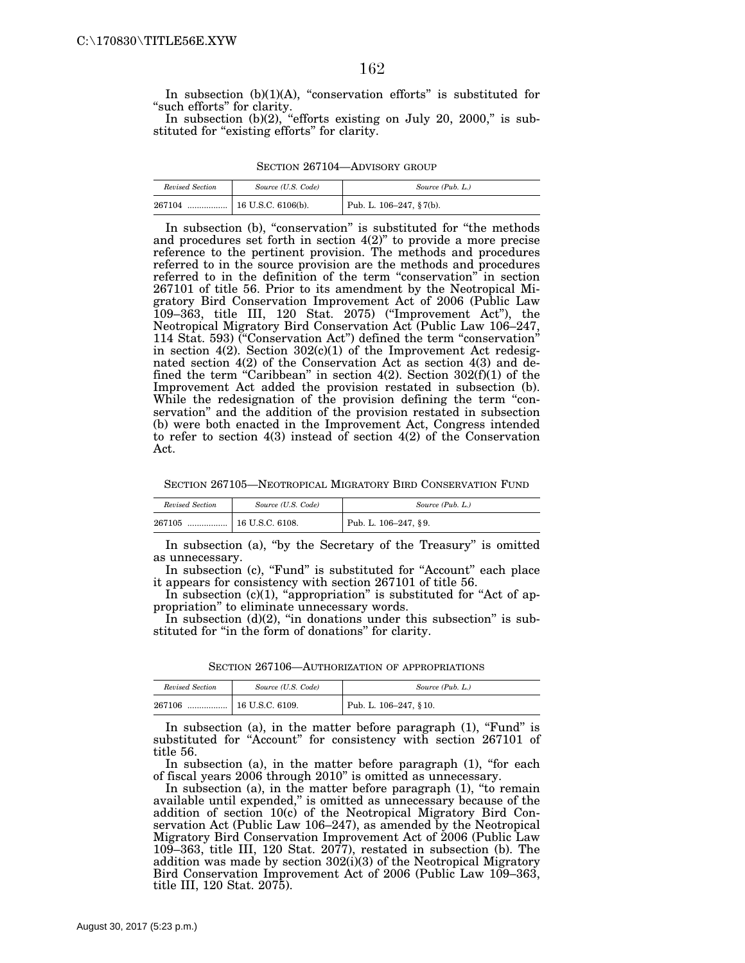In subsection  $(b)(1)(A)$ , "conservation efforts" is substituted for "such efforts" for clarity.

In subsection  $(b)(2)$ , "efforts existing on July 20, 2000," is substituted for "existing efforts" for clarity.

| SECTION 267104—ADVISORY GROUP |  |
|-------------------------------|--|
|-------------------------------|--|

| Revised Section | Source (U.S. Code) | Source (Pub. L.)            |
|-----------------|--------------------|-----------------------------|
| 267104          |                    | Pub. L. $106-247$ , § 7(b). |

In subsection (b), "conservation" is substituted for "the methods and procedures set forth in section  $4(2)$ " to provide a more precise reference to the pertinent provision. The methods and procedures referred to in the source provision are the methods and procedures referred to in the definition of the term ''conservation'' in section 267101 of title 56. Prior to its amendment by the Neotropical Migratory Bird Conservation Improvement Act of 2006 (Public Law 109–363, title III, 120 Stat. 2075) (''Improvement Act''), the Neotropical Migratory Bird Conservation Act (Public Law 106–247, 114 Stat. 593) (''Conservation Act'') defined the term ''conservation'' in section 4(2). Section 302(c)(1) of the Improvement Act redesignated section 4(2) of the Conservation Act as section 4(3) and defined the term "Caribbean" in section  $4(2)$ . Section  $302(f)(1)$  of the Improvement Act added the provision restated in subsection (b). While the redesignation of the provision defining the term "conservation'' and the addition of the provision restated in subsection (b) were both enacted in the Improvement Act, Congress intended to refer to section 4(3) instead of section 4(2) of the Conservation Act.

SECTION 267105—NEOTROPICAL MIGRATORY BIRD CONSERVATION FUND

| Revised Section | Source (U.S. Code) | Source (Pub. L.)        |
|-----------------|--------------------|-------------------------|
| 267105<br>      | 16 U.S.C. 6108.    | Pub. L. $106-247, §9$ . |

In subsection (a), "by the Secretary of the Treasury" is omitted as unnecessary.

In subsection (c), "Fund" is substituted for "Account" each place it appears for consistency with section 267101 of title 56.

In subsection (c)(1), "appropriation" is substituted for "Act of appropriation'' to eliminate unnecessary words.

In subsection  $(d)(2)$ , "in donations under this subsection" is substituted for ''in the form of donations'' for clarity.

SECTION 267106—AUTHORIZATION OF APPROPRIATIONS

| Revised Section | Source (U.S. Code) | Source (Pub. L.)          |
|-----------------|--------------------|---------------------------|
| 267106<br>      | 16 U.S.C. 6109.    | Pub. L. $106-247$ , § 10. |

In subsection (a), in the matter before paragraph  $(1)$ , "Fund" is substituted for "Account" for consistency with section 267101 of title 56.

In subsection (a), in the matter before paragraph (1), "for each of fiscal years 2006 through 2010'' is omitted as unnecessary.

In subsection (a), in the matter before paragraph (1), ''to remain available until expended,'' is omitted as unnecessary because of the addition of section 10(c) of the Neotropical Migratory Bird Conservation Act (Public Law 106–247), as amended by the Neotropical Migratory Bird Conservation Improvement Act of 2006 (Public Law 109–363, title III, 120 Stat. 2077), restated in subsection (b). The addition was made by section 302(i)(3) of the Neotropical Migratory Bird Conservation Improvement Act of 2006 (Public Law 109–363, title III, 120 Stat. 2075).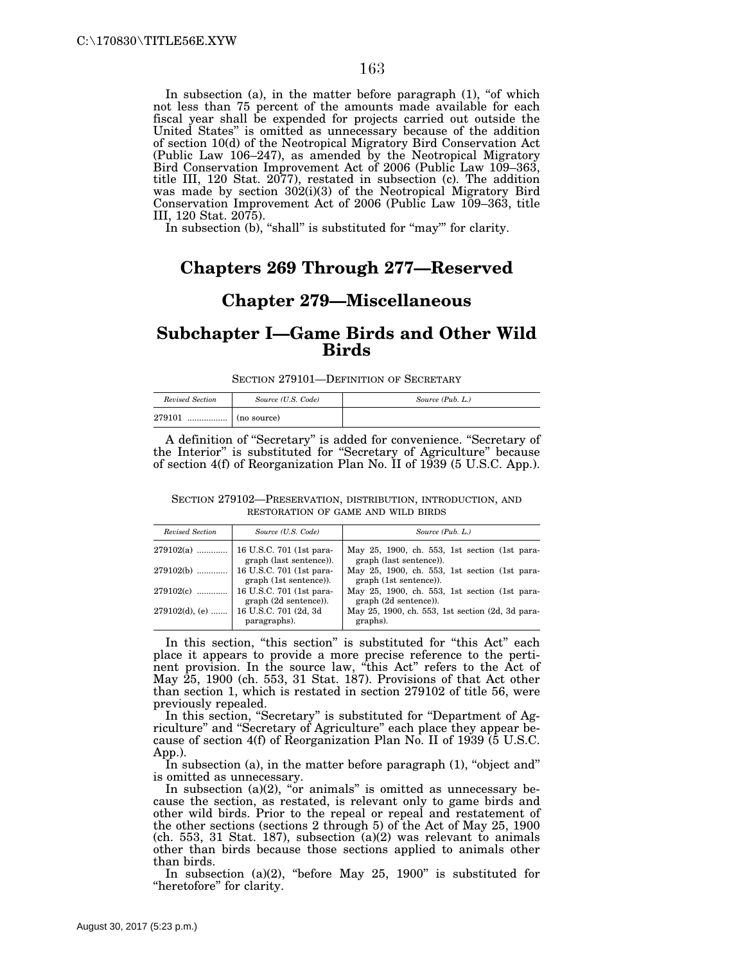In subsection (a), in the matter before paragraph  $(1)$ , "of which not less than 75 percent of the amounts made available for each fiscal year shall be expended for projects carried out outside the United States'' is omitted as unnecessary because of the addition of section 10(d) of the Neotropical Migratory Bird Conservation Act (Public Law 106–247), as amended by the Neotropical Migratory Bird Conservation Improvement Act of 2006 (Public Law 109–363, title III, 120 Stat. 2077), restated in subsection (c). The addition was made by section 302(i)(3) of the Neotropical Migratory Bird Conservation Improvement Act of 2006 (Public Law 109–363, title III, 120 Stat. 2075).

In subsection (b), "shall" is substituted for "may" for clarity.

## **Chapters 269 Through 277—Reserved**

#### **Chapter 279—Miscellaneous**

#### **Subchapter I—Game Birds and Other Wild Birds**

SECTION 279101—DEFINITION OF SECRETARY

| Revised Section | Source (U.S. Code) | Source (Pub. L.) |
|-----------------|--------------------|------------------|
| 279101<br>.     | (no source)        |                  |

A definition of ''Secretary'' is added for convenience. ''Secretary of the Interior'' is substituted for ''Secretary of Agriculture'' because of section 4(f) of Reorganization Plan No. II of 1939 (5 U.S.C. App.).

SECTION 279102—PRESERVATION, DISTRIBUTION, INTRODUCTION, AND RESTORATION OF GAME AND WILD BIRDS

| Revised Section   | Source (U.S. Code)                                  | Source (Pub. L.)                                                         |
|-------------------|-----------------------------------------------------|--------------------------------------------------------------------------|
| $279102(a)$       | 16 U.S.C. 701 (1st para-<br>graph (last sentence)). | May 25, 1900, ch. 553, 1st section (1st para-<br>graph (last sentence)). |
| 279102(b)         | 16 U.S.C. 701 (1st para-<br>graph (1st sentence)).  | May 25, 1900, ch. 553, 1st section (1st para-<br>graph (1st sentence)).  |
| $279102(c)$       | 16 U.S.C. 701 (1st para-<br>graph (2d sentence)).   | May 25, 1900, ch. 553, 1st section (1st para-<br>graph (2d sentence)).   |
| $279102(d)$ , (e) | 16 U.S.C. 701 (2d, 3d<br>paragraphs).               | May 25, 1900, ch. 553, 1st section (2d, 3d para-<br>graphs).             |

In this section, "this section" is substituted for "this Act" each place it appears to provide a more precise reference to the pertinent provision. In the source law, ''this Act'' refers to the Act of May 25, 1900 (ch. 553, 31 Stat. 187). Provisions of that Act other than section 1, which is restated in section 279102 of title 56, were previously repealed.

In this section, "Secretary" is substituted for "Department of Agriculture'' and ''Secretary of Agriculture'' each place they appear because of section  $4(f)$  of Reorganization Plan No. II of 1939 (5 U.S.C. App.).

In subsection (a), in the matter before paragraph (1), "object and" is omitted as unnecessary.

In subsection (a)(2), " $\sigma$ r animals" is omitted as unnecessary because the section, as restated, is relevant only to game birds and other wild birds. Prior to the repeal or repeal and restatement of the other sections (sections 2 through 5) of the Act of May 25, 1900 (ch. 553, 31 Stat. 187), subsection (a)(2) was relevant to animals other than birds because those sections applied to animals other than birds.

In subsection (a)(2), "before May  $25$ , 1900" is substituted for "heretofore" for clarity.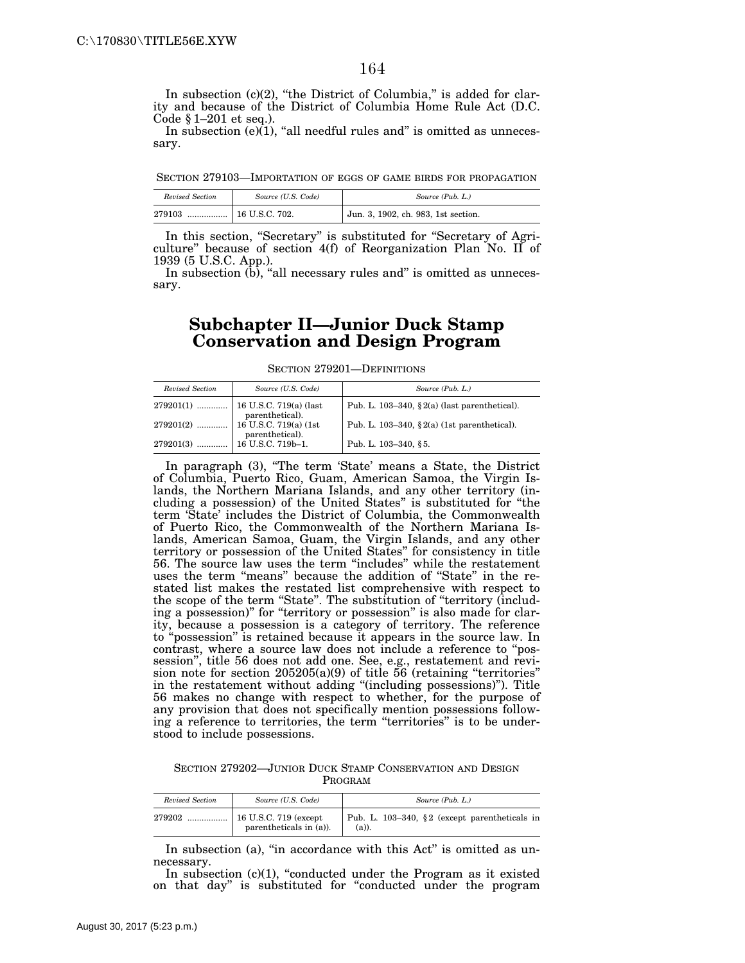In subsection  $(c)(2)$ , "the District of Columbia," is added for clarity and because of the District of Columbia Home Rule Act (D.C. Code  $§ 1-201$  et seq.).

In subsection  $(e)(1)$ , "all needful rules and" is omitted as unnecessary.

SECTION 279103—IMPORTATION OF EGGS OF GAME BIRDS FOR PROPAGATION

| Revised Section | Source (U.S. Code)   | Source (Pub. L.)                    |
|-----------------|----------------------|-------------------------------------|
| 279103<br>. 1   | $\pm 16$ U.S.C. 702. | Jun. 3, 1902, ch. 983, 1st section. |

In this section, "Secretary" is substituted for "Secretary of Agriculture'' because of section 4(f) of Reorganization Plan No. II of 1939 (5 U.S.C. App.).

In subsection  $(b)$ , "all necessary rules and" is omitted as unnecessary.

#### **Subchapter II—Junior Duck Stamp Conservation and Design Program**

SECTION 279201—DEFINITIONS

| Revised Section | Source (U.S. Code)        | Source (Pub. L.)                                 |
|-----------------|---------------------------|--------------------------------------------------|
|                 | parenthetical).           | Pub. L. 103-340, $\S$ 2(a) (last parenthetical). |
|                 | parenthetical).           | Pub. L. 103-340, $\S 2(a)$ (1st parenthetical).  |
| $279201(3)$     | $\vert$ 16 U.S.C. 719b-1. | Pub. L. 103-340, §5.                             |

In paragraph (3), ''The term 'State' means a State, the District of Columbia, Puerto Rico, Guam, American Samoa, the Virgin Islands, the Northern Mariana Islands, and any other territory (including a possession) of the United States'' is substituted for ''the term 'State' includes the District of Columbia, the Commonwealth of Puerto Rico, the Commonwealth of the Northern Mariana Islands, American Samoa, Guam, the Virgin Islands, and any other territory or possession of the United States'' for consistency in title 56. The source law uses the term ''includes'' while the restatement uses the term ''means'' because the addition of ''State'' in the restated list makes the restated list comprehensive with respect to the scope of the term ''State''. The substitution of ''territory (including a possession)" for "territory or possession" is also made for clarity, because a possession is a category of territory. The reference to ''possession'' is retained because it appears in the source law. In contrast, where a source law does not include a reference to ''possession'', title 56 does not add one. See, e.g., restatement and revision note for section 205205(a)(9) of title 56 (retaining ''territories'' in the restatement without adding "(including possessions)"). Title 56 makes no change with respect to whether, for the purpose of any provision that does not specifically mention possessions following a reference to territories, the term "territories" is to be understood to include possessions.

SECTION 279202—JUNIOR DUCK STAMP CONSERVATION AND DESIGN PROGRAM

| Revised Section | Source (U.S. Code)      | Source (Pub. L.)                                          |
|-----------------|-------------------------|-----------------------------------------------------------|
| 279202          | parentheticals in (a)). | Pub. L. 103-340, §2 (except parentheticals in<br>$(a)$ ). |

In subsection (a), "in accordance with this Act" is omitted as unnecessary.

In subsection  $(c)(1)$ , "conducted under the Program as it existed on that day'' is substituted for ''conducted under the program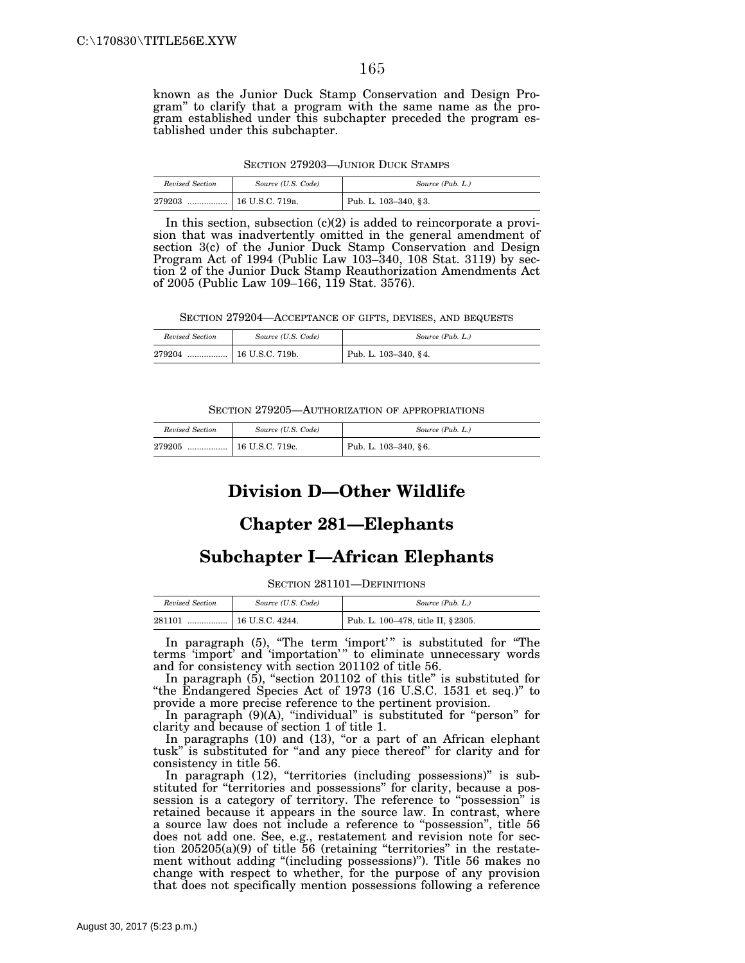known as the Junior Duck Stamp Conservation and Design Program'' to clarify that a program with the same name as the program established under this subchapter preceded the program established under this subchapter.

| Revised Section | Source (U.S. Code) | Source (Pub. L.)     |
|-----------------|--------------------|----------------------|
| 279203<br>      | 16 U.S.C. 719a.    | Pub. L. 103-340, §3. |

In this section, subsection  $(c)(2)$  is added to reincorporate a provision that was inadvertently omitted in the general amendment of section 3(c) of the Junior Duck Stamp Conservation and Design Program Act of 1994 (Public Law 103–340, 108 Stat. 3119) by section 2 of the Junior Duck Stamp Reauthorization Amendments Act of 2005 (Public Law 109–166, 119 Stat. 3576).

SECTION 279204—ACCEPTANCE OF GIFTS, DEVISES, AND BEQUESTS

| Revised Section | Source (U.S. Code) | Source (Pub. L.)     |
|-----------------|--------------------|----------------------|
|                 |                    | Pub. L. 103-340, §4. |

SECTION 279205—AUTHORIZATION OF APPROPRIATIONS

| Revised Section | Source (U.S. Code) | Source (Pub. L.)     |
|-----------------|--------------------|----------------------|
| 279205<br>      | 16 U.S.C. 719c.    | Pub. L. 103-340, §6. |

# **Division D—Other Wildlife**

#### **Chapter 281—Elephants**

#### **Subchapter I—African Elephants**

SECTION 281101—DEFINITIONS

| Revised Section | Source (U.S. Code) | Source (Pub. L.)                   |
|-----------------|--------------------|------------------------------------|
| 281101          |                    | Pub. L. 100-478, title II, § 2305. |

In paragraph (5), "The term 'import'" is substituted for "The terms 'import' and 'importation'" to eliminate unnecessary words and for consistency with section 201102 of title 56.

In paragraph (5), "section 201102 of this title" is substituted for ''the Endangered Species Act of 1973 (16 U.S.C. 1531 et seq.)'' to provide a more precise reference to the pertinent provision.

In paragraph (9)(A), ''individual'' is substituted for ''person'' for clarity and because of section 1 of title 1.

In paragraphs (10) and (13), "or a part of an African elephant tusk" is substituted for "and any piece thereof" for clarity and for consistency in title 56.

In paragraph (12), "territories (including possessions)" is substituted for "territories and possessions" for clarity, because a possession is a category of territory. The reference to ''possession'' is retained because it appears in the source law. In contrast, where a source law does not include a reference to ''possession'', title 56 does not add one. See, e.g., restatement and revision note for section 205205(a)(9) of title 56 (retaining ''territories'' in the restatement without adding "(including possessions)"). Title 56 makes no change with respect to whether, for the purpose of any provision that does not specifically mention possessions following a reference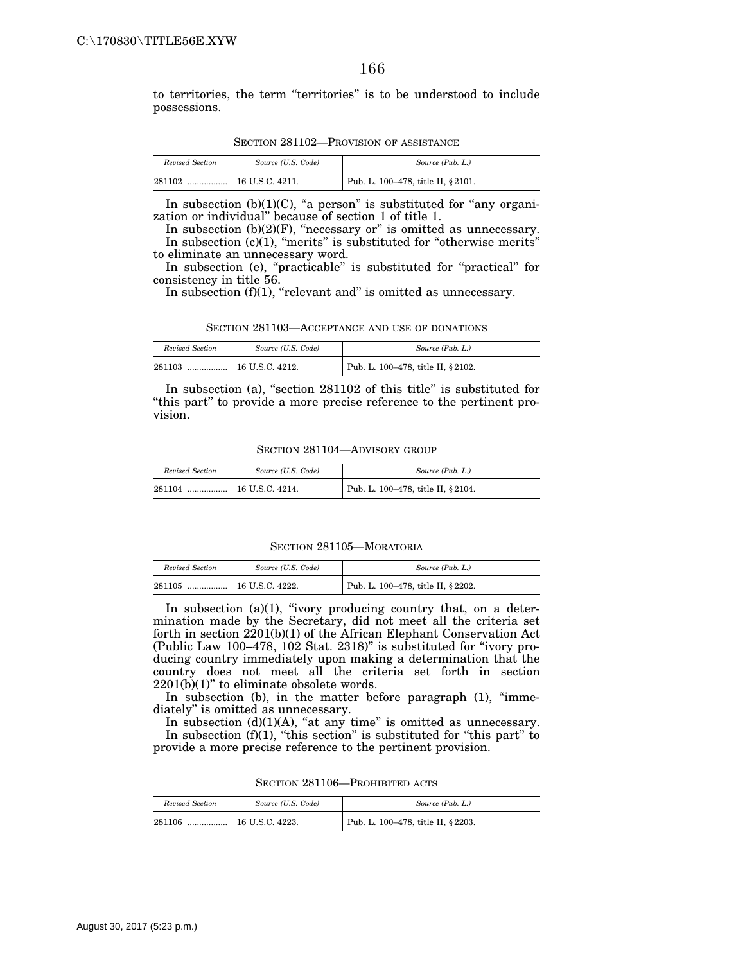to territories, the term ''territories'' is to be understood to include possessions.

| Revised Section | Source (U.S. Code) | Source (Pub. L.)                  |
|-----------------|--------------------|-----------------------------------|
| 281102<br>      | 16 U.S.C. 4211.    | Pub. L. 100-478, title II, §2101. |

SECTION 281102—PROVISION OF ASSISTANCE

In subsection  $(b)(1)(C)$ , "a person" is substituted for "any organization or individual'' because of section 1 of title 1.

In subsection  $(b)(2)(F)$ , "necessary or" is omitted as unnecessary. In subsection  $(c)(1)$ , "merits" is substituted for "otherwise merits" to eliminate an unnecessary word.

In subsection (e), "practicable" is substituted for "practical" for consistency in title 56.

In subsection  $(f)(1)$ , "relevant and" is omitted as unnecessary.

| Revised Section | Source (U.S. Code) | Source (Pub. L.)                   |
|-----------------|--------------------|------------------------------------|
| 281103          | $16$ U.S.C. 4212.  | Pub. L. 100-478, title II, § 2102. |

In subsection (a), "section 281102 of this title" is substituted for ''this part'' to provide a more precise reference to the pertinent provision.

SECTION 281104—ADVISORY GROUP

| Revised Section | Source (U.S. Code) | Source (Pub. L.)                  |
|-----------------|--------------------|-----------------------------------|
| 281104<br>      | 16 U.S.C. 4214.    | Pub. L. 100-478, title II, §2104. |

SECTION 281105—MORATORIA

| Revised Section | Source (U.S. Code) | Source (Pub. L.)                   |
|-----------------|--------------------|------------------------------------|
| 281105<br>      | 16 U.S.C. 4222.    | Pub. L. 100–478, title II, § 2202. |

In subsection (a)(1), "ivory producing country that, on a determination made by the Secretary, did not meet all the criteria set forth in section 2201(b)(1) of the African Elephant Conservation Act (Public Law 100–478, 102 Stat. 2318)'' is substituted for ''ivory producing country immediately upon making a determination that the country does not meet all the criteria set forth in section  $2201(b)(1)$ " to eliminate obsolete words.

In subsection (b), in the matter before paragraph (1), "immediately'' is omitted as unnecessary.

In subsection  $(d)(1)(A)$ , "at any time" is omitted as unnecessary. In subsection  $(f)(1)$ , "this section" is substituted for "this part" to provide a more precise reference to the pertinent provision.

| Revised Section | Source (U.S. Code) | Source (Pub. L.)                                |
|-----------------|--------------------|-------------------------------------------------|
| 281106<br>      | $16$ U.S.C. 4223.  | <sup>1</sup> Pub. L. 100–478, title II, § 2203. |

SECTION 281106—PROHIBITED ACTS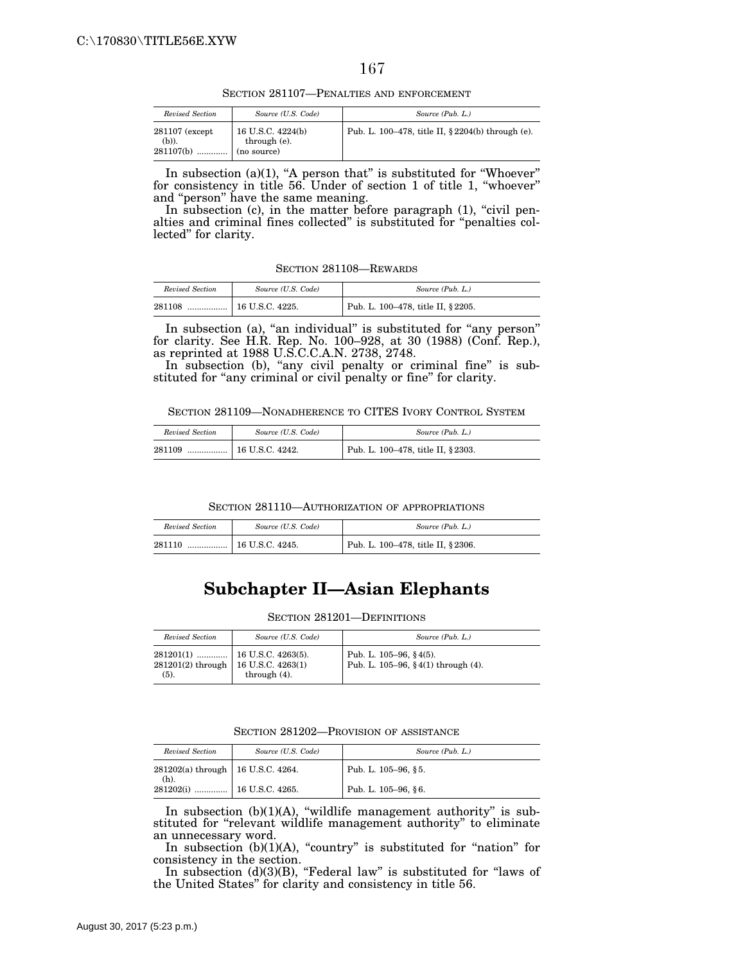SECTION 281107—PENALTIES AND ENFORCEMENT

| Revised Section                        | Source (U.S. Code)                               | Source (Pub. L.)                                     |
|----------------------------------------|--------------------------------------------------|------------------------------------------------------|
| $281107$ (except<br>(b)).<br>281107(b) | 16 U.S.C. 4224(b)<br>through (e).<br>(no source) | Pub. L. 100–478, title II, $\S 2204(b)$ through (e). |

In subsection (a)(1), "A person that" is substituted for "Whoever" for consistency in title 56. Under of section 1 of title 1, ''whoever'' and "person" have the same meaning.

In subsection (c), in the matter before paragraph (1), "civil penalties and criminal fines collected'' is substituted for ''penalties collected'' for clarity.

SECTION 281108—REWARDS

| Revised Section | Source (U.S. Code) | Source (Pub. L.)                   |
|-----------------|--------------------|------------------------------------|
| 281108<br>      | 16 U.S.C. 4225.    | Pub. L. 100-478, title II, § 2205. |

In subsection (a), "an individual" is substituted for "any person" for clarity. See H.R. Rep. No. 100–928, at 30 (1988) (Conf. Rep.), as reprinted at 1988 U.S.C.C.A.N. 2738, 2748.

In subsection (b), "any civil penalty or criminal fine" is substituted for "any criminal or civil penalty or fine" for clarity.

SECTION 281109—NONADHERENCE TO CITES IVORY CONTROL SYSTEM

| Revised Section | Source (U.S. Code) | Source (Pub. L.)                   |
|-----------------|--------------------|------------------------------------|
| 281109<br>. 1   | 16 U.S.C. 4242.    | Pub. L. 100-478, title II, § 2303. |

SECTION 281110—AUTHORIZATION OF APPROPRIATIONS

| Revised Section | Source (U.S. Code) | Source (Pub. L.)                   |
|-----------------|--------------------|------------------------------------|
| 281110<br>      | 16 U.S.C. 4245.    | Pub. L. 100–478, title II, § 2306. |

# **Subchapter II—Asian Elephants**

SECTION 281201—DEFINITIONS

| Revised Section                               | Source (U.S. Code) | Source (Pub. L.)                                                 |
|-----------------------------------------------|--------------------|------------------------------------------------------------------|
| 281201(2) through   16 U.S.C. 4263(1)<br>(5). | through $(4)$ .    | Pub. L. $105-96$ , § 4(5).<br>Pub. L. 105-96, §4(1) through (4). |

SECTION 281202—PROVISION OF ASSISTANCE

| Revised Section                                | Source (U.S. Code) | Source (Pub. L.)    |
|------------------------------------------------|--------------------|---------------------|
| 281202(a) through   16 U.S.C. 4264.<br>$(h)$ . |                    | Pub. L. 105-96, §5. |
| $281202(i)$                                    | $16$ U.S.C. 4265.  | Pub. L. 105-96, §6. |

In subsection  $(b)(1)(A)$ , "wildlife management authority" is substituted for "relevant wildlife management authority" to eliminate an unnecessary word.

In subsection (b)(1)(A), "country" is substituted for "nation" for consistency in the section.

In subsection (d)(3)(B), "Federal law" is substituted for "laws of the United States'' for clarity and consistency in title 56.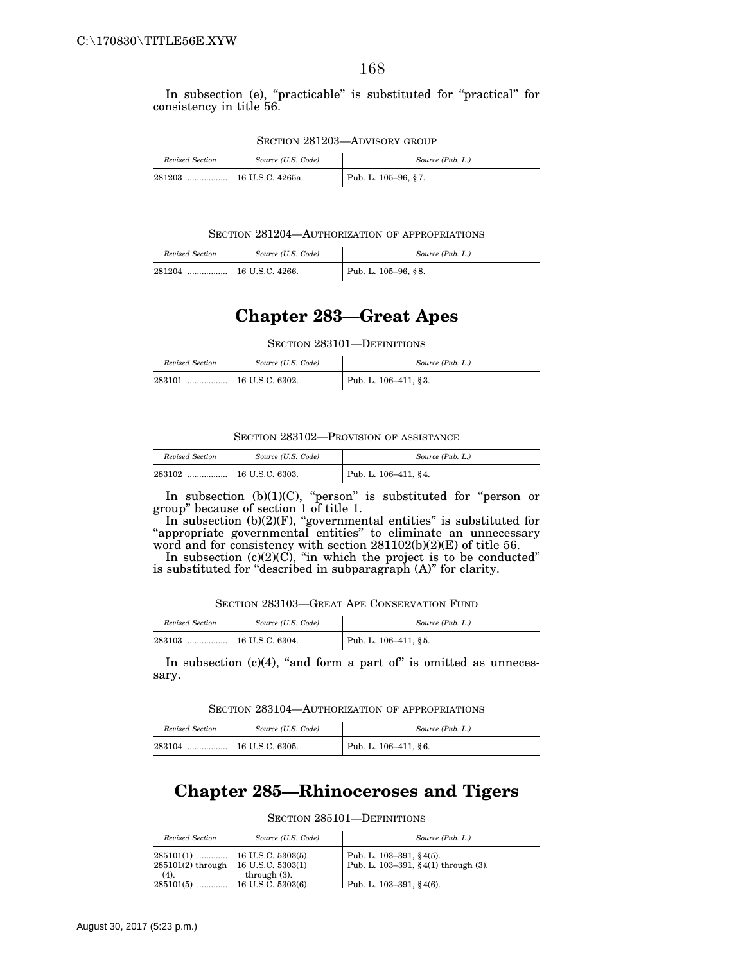In subsection (e), "practicable" is substituted for "practical" for consistency in title 56.

| Revised Section | Source (U.S. Code) | Source (Pub. L.)    |
|-----------------|--------------------|---------------------|
| 281203<br>      | 16 U.S.C. 4265a.   | Pub. L. 105-96, §7. |

SECTION 281204—AUTHORIZATION OF APPROPRIATIONS

| Revised Section | Source (U.S. Code)    | Source (Pub. L.)    |
|-----------------|-----------------------|---------------------|
| 281204<br>.     | $\pm 16$ U.S.C. 4266. | Pub. L. 105-96, §8. |

# **Chapter 283—Great Apes**

SECTION 283101—DEFINITIONS

| Revised Section | Source (U.S. Code)         | Source (Pub. L.)         |
|-----------------|----------------------------|--------------------------|
| 283101          | $\ldots$ = 16 U.S.C. 6302. | Pub. L. $106-411$ , § 3. |

| SECTION 283102—PROVISION OF ASSISTANCE |
|----------------------------------------|
|----------------------------------------|

| Revised Section | Source (U.S. Code)              | Source (Pub. L.)     |
|-----------------|---------------------------------|----------------------|
| 283102          | $\ldots$ $\mid$ 16 U.S.C. 6303. | Pub. L. 106-411, §4. |

In subsection (b)(1)(C), "person" is substituted for "person or group'' because of section 1 of title 1.

In subsection (b)(2)(F), "governmental entities" is substituted for ''appropriate governmental entities'' to eliminate an unnecessary word and for consistency with section 281102(b)(2)(E) of title 56.

In subsection  $(c)(2)(C)$ , "in which the project is to be conducted" is substituted for ''described in subparagraph (A)'' for clarity.

SECTION 283103—GREAT APE CONSERVATION FUND

| Revised Section | Source (U.S. Code)      | Source (Pub. L.)        |
|-----------------|-------------------------|-------------------------|
| 283103<br>      | $\vert$ 16 U.S.C. 6304. | Pub. L. $106-411$ , §5. |

In subsection  $(c)(4)$ , "and form a part of" is omitted as unnecessary.

SECTION 283104—AUTHORIZATION OF APPROPRIATIONS

| Revised Section | Source (U.S. Code) | Source (Pub. L.)        |
|-----------------|--------------------|-------------------------|
| 283104          |                    | Pub. L. $106-411$ , §6. |

# **Chapter 285—Rhinoceroses and Tigers**

SECTION 285101—DEFINITIONS

| Revised Section                                    | Source (U.S. Code) | Source (Pub. L.)                                                                                       |
|----------------------------------------------------|--------------------|--------------------------------------------------------------------------------------------------------|
| $285101(2)$ through   16 U.S.C. 5303(1)<br>$(4)$ . | through $(3)$ .    | Pub. L. $103-391, § 4(5)$ .<br>Pub. L. $103-391$ , § $4(1)$ through $(3)$ .<br>Pub. L. 103-391. §4(6). |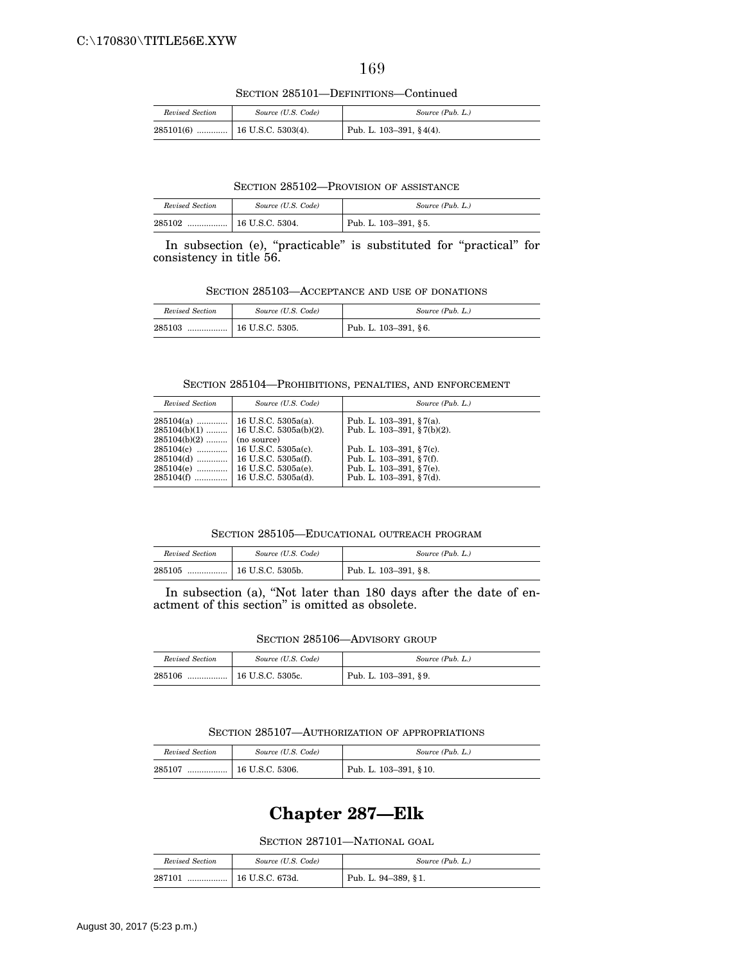SECTION 285101—DEFINITIONS—Continued

| Revised Section | Source (U.S. Code) | Source (Pub. L.)            |
|-----------------|--------------------|-----------------------------|
|                 |                    | Pub. L. $103-391, § 4(4)$ . |

SECTION 285102—PROVISION OF ASSISTANCE

| Revised Section | Source (U.S. Code) | Source (Pub. L.)     |
|-----------------|--------------------|----------------------|
| 285102<br>      | 16 U.S.C. 5304.    | Pub. L. 103-391, §5. |

In subsection (e), "practicable" is substituted for "practical" for consistency in title 56.

SECTION 285103—ACCEPTANCE AND USE OF DONATIONS

| Revised Section | Source (U.S. Code) | Source (Pub. L.)     |
|-----------------|--------------------|----------------------|
| 285103<br>      | 16 U.S.C. 5305.    | Pub. L. 103-391, §6. |

SECTION 285104—PROHIBITIONS, PENALTIES, AND ENFORCEMENT

| Revised Section                                             | Source (U.S. Code)                                                                                                               | Source (Pub. L.)                                                                                                                                                                 |
|-------------------------------------------------------------|----------------------------------------------------------------------------------------------------------------------------------|----------------------------------------------------------------------------------------------------------------------------------------------------------------------------------|
| $285104(a)$<br>$285104(b)(2)$<br>$285104(e)$<br>$285104(f)$ | 16 U.S.C. 5305a(a).<br>$285104(b)(1)$   16 U.S.C. 5305a(b)(2).<br>(no source)<br>16 U.S.C. 5305a(e).<br>  16 U.S.C. $5305a(d)$ . | Pub. L. $103-391$ , § 7(a).<br>Pub. L. $103-391$ , § $7(b)(2)$ .<br>Pub. L. $103-391$ , § 7(c).<br>Pub. L. 103-391, §7(f).<br>Pub. L. 103-391, §7(e).<br>Pub. L. 103-391, §7(d). |

SECTION 285105—EDUCATIONAL OUTREACH PROGRAM

| Revised Section | Source (U.S. Code) | Source (Pub. L.)     |
|-----------------|--------------------|----------------------|
| 285105          |                    | Pub. L. 103-391, §8. |

In subsection (a), "Not later than 180 days after the date of enactment of this section'' is omitted as obsolete.

SECTION 285106—ADVISORY GROUP

| Revised Section | Source (U.S. Code)     | Source (Pub. L.)     |
|-----------------|------------------------|----------------------|
| 285106<br>      | $\pm 16$ U.S.C. 5305c. | Pub. L. 103-391, §9. |

SECTION 285107—AUTHORIZATION OF APPROPRIATIONS

| Revised Section | Source (U.S. Code) | Source (Pub. L.)      |
|-----------------|--------------------|-----------------------|
| 285107<br>      | 16 U.S.C. 5306.    | Pub. L. 103-391, §10. |

# **Chapter 287—Elk**

SECTION 287101—NATIONAL GOAL

| Revised Section | Source (U.S. Code) | Source (Pub. L.)    |
|-----------------|--------------------|---------------------|
| 287101<br>      | 16 U.S.C. 673d.    | Pub. L. 94–389, §1. |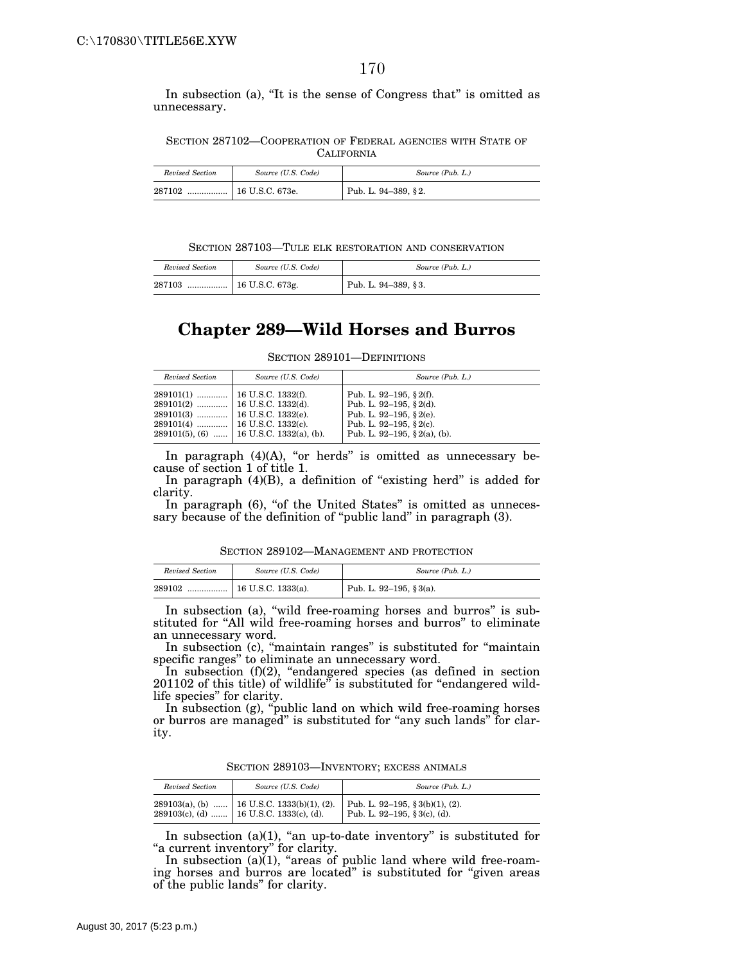In subsection (a), "It is the sense of Congress that" is omitted as unnecessary.

SECTION 287102—COOPERATION OF FEDERAL AGENCIES WITH STATE OF **CALIFORNIA** 

| Revised Section | Source (U.S. Code) | Source (Pub. L.)    |
|-----------------|--------------------|---------------------|
| 287102<br>      | 16 U.S.C. 673e.    | Pub. L. 94-389, §2. |

SECTION 287103—TULE ELK RESTORATION AND CONSERVATION

| Revised Section | Source (U.S. Code) | Source (Pub. L.)    |
|-----------------|--------------------|---------------------|
|                 |                    | Pub. L. 94–389, §3. |

## **Chapter 289—Wild Horses and Burros**

SECTION 289101—DEFINITIONS

| Revised Section | Source (U.S. Code)                           | Source (Pub. L.)                                                                                                                                  |
|-----------------|----------------------------------------------|---------------------------------------------------------------------------------------------------------------------------------------------------|
|                 | $289101(5)$ , (6)    16 U.S.C. 1332(a), (b). | Pub. L. 92-195, § 2(f).<br>Pub. L. 92-195, § 2(d).<br>Pub. L. 92-195, $\S$ 2(e).<br>Pub. L. 92-195, $\S$ 2(c).<br>Pub. L. 92-195, $\S$ 2(a), (b). |

In paragraph  $(4)(A)$ , "or herds" is omitted as unnecessary because of section 1 of title 1.

In paragraph  $(4)(B)$ , a definition of "existing herd" is added for clarity.

In paragraph (6), "of the United States" is omitted as unnecessary because of the definition of "public land" in paragraph (3).

SECTION 289102—MANAGEMENT AND PROTECTION

| Revised Section | Source (U.S. Code)         | Source (Pub. L.)        |
|-----------------|----------------------------|-------------------------|
| 289102<br>      | $\perp$ 16 U.S.C. 1333(a). | Pub. L. 92–195, § 3(a). |

In subsection (a), "wild free-roaming horses and burros" is substituted for "All wild free-roaming horses and burros" to eliminate an unnecessary word.

In subsection (c), "maintain ranges" is substituted for "maintain specific ranges'' to eliminate an unnecessary word.

In subsection (f)(2), "endangered species (as defined in section 201102 of this title) of wildlife" is substituted for "endangered wildlife species'' for clarity.

In subsection (g), ''public land on which wild free-roaming horses or burros are managed" is substituted for "any such lands" for clarity.

SECTION 289103—INVENTORY; EXCESS ANIMALS

| Revised Section | Source (U.S. Code)                                                                            | Source (Pub. L.)                                                |
|-----------------|-----------------------------------------------------------------------------------------------|-----------------------------------------------------------------|
|                 | $289103(a)$ , (b)    16 U.S.C. 1333(b)(1), (2).<br>$289103(c)$ , (d)  16 U.S.C. 1333(c), (d). | Pub. L. 92-195, § 3(b)(1), (2).<br>Pub. L. 92-195, § 3(c), (d). |

In subsection (a)(1), "an up-to-date inventory" is substituted for "a current inventory" for clarity.

In subsection (a)(1), "areas of public land where wild free-roaming horses and burros are located'' is substituted for ''given areas of the public lands'' for clarity.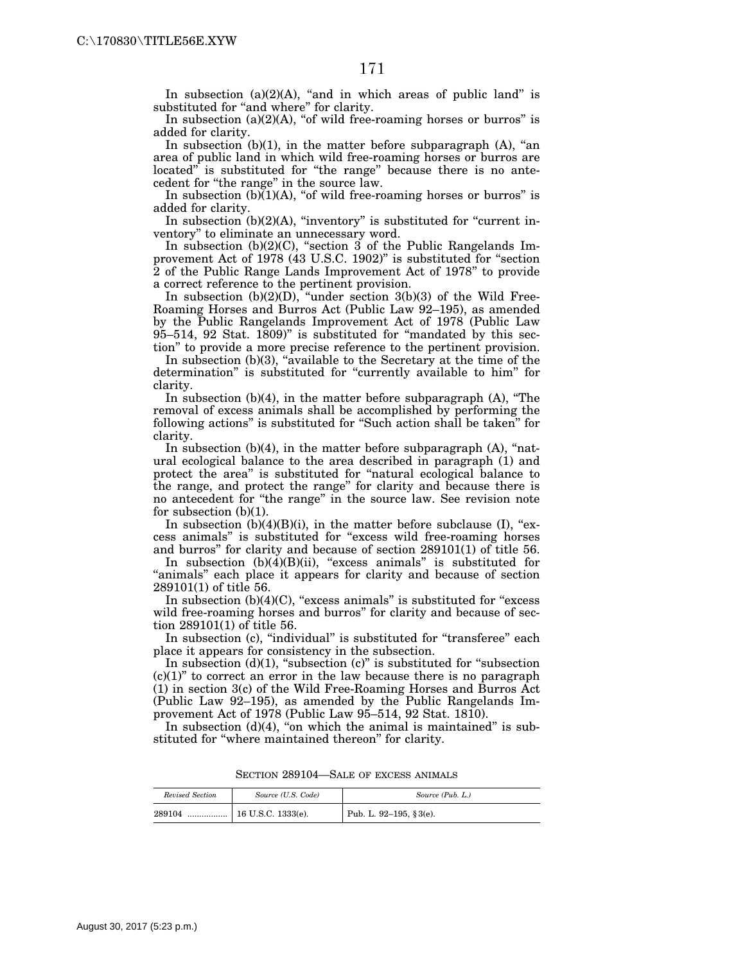In subsection  $(a)(2)(A)$ , "and in which areas of public land" is substituted for "and where" for clarity.

In subsection  $(a)(2)(A)$ , "of wild free-roaming horses or burros" is added for clarity.

In subsection  $(b)(1)$ , in the matter before subparagraph  $(A)$ , "an area of public land in which wild free-roaming horses or burros are located" is substituted for "the range" because there is no antecedent for ''the range'' in the source law.

In subsection  $(b)(1)(A)$ , "of wild free-roaming horses or burros" is added for clarity.

In subsection  $(b)(2)(A)$ , "inventory" is substituted for "current inventory'' to eliminate an unnecessary word.

In subsection  $(b)(2)(C)$ , "section 3 of the Public Rangelands Improvement Act of 1978 (43 U.S.C. 1902)'' is substituted for ''section 2 of the Public Range Lands Improvement Act of 1978'' to provide a correct reference to the pertinent provision.

In subsection  $(b)(2)(D)$ , "under section  $3(b)(3)$  of the Wild Free-Roaming Horses and Burros Act (Public Law 92–195), as amended by the Public Rangelands Improvement Act of 1978 (Public Law  $95-514$ ,  $92$  Stat.  $1809$ " is substituted for "mandated by this section'' to provide a more precise reference to the pertinent provision.

In subsection (b)(3), "available to the Secretary at the time of the determination" is substituted for "currently available to him" for clarity.

In subsection  $(b)(4)$ , in the matter before subparagraph  $(A)$ , "The removal of excess animals shall be accomplished by performing the following actions" is substituted for "Such action shall be taken" for clarity.

In subsection  $(b)(4)$ , in the matter before subparagraph  $(A)$ , "natural ecological balance to the area described in paragraph (1) and protect the area'' is substituted for ''natural ecological balance to the range, and protect the range'' for clarity and because there is no antecedent for ''the range'' in the source law. See revision note for subsection (b)(1).

In subsection  $(b)(4)(B)(i)$ , in the matter before subclause (I), "excess animals'' is substituted for ''excess wild free-roaming horses and burros'' for clarity and because of section 289101(1) of title 56.

In subsection  $(b)(4)(B)(ii)$ , "excess animals" is substituted for "animals" each place it appears for clarity and because of section 289101(1) of title 56.

In subsection  $(b)(4)(C)$ , "excess animals" is substituted for "excess wild free-roaming horses and burros" for clarity and because of section 289101(1) of title 56.

In subsection (c), "individual" is substituted for "transferee" each place it appears for consistency in the subsection.

In subsection  $(d)(1)$ , "subsection  $(c)$ " is substituted for "subsection"  $(c)(1)$ " to correct an error in the law because there is no paragraph (1) in section 3(c) of the Wild Free-Roaming Horses and Burros Act (Public Law 92–195), as amended by the Public Rangelands Improvement Act of 1978 (Public Law 95–514, 92 Stat. 1810).

In subsection  $(d)(4)$ , "on which the animal is maintained" is substituted for "where maintained thereon" for clarity.

| Revised Section | Source (U.S. Code)   | Source (Pub. L.)           |
|-----------------|----------------------|----------------------------|
| 289104<br>.     | $16$ U.S.C. 1333(e). | Pub. L. 92-195, $§ 3(e)$ . |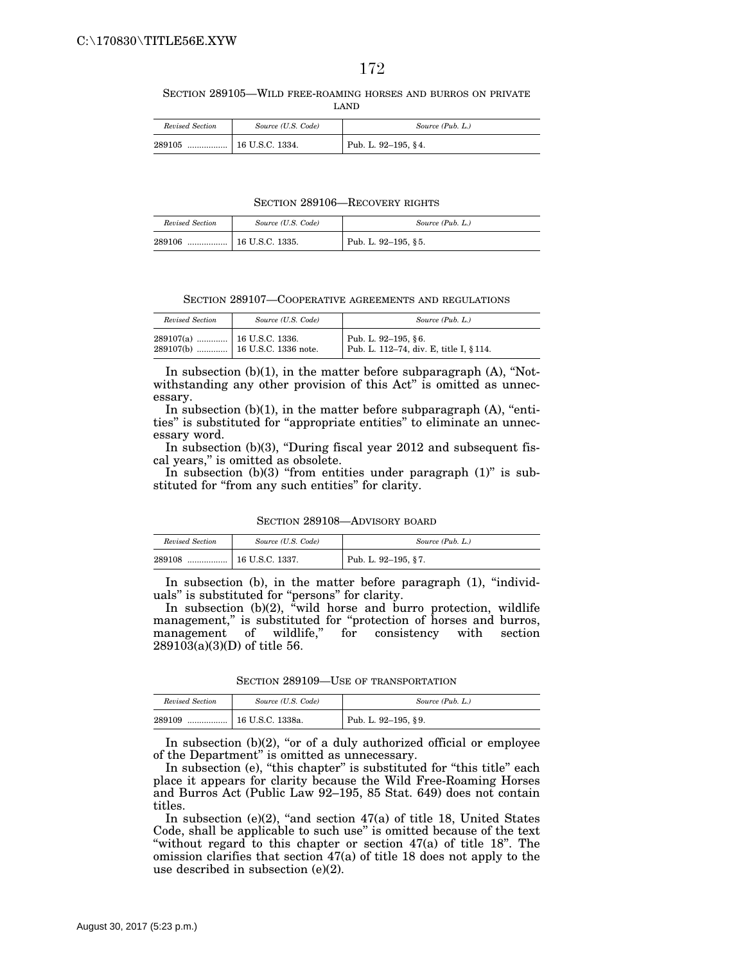SECTION 289105—WILD FREE-ROAMING HORSES AND BURROS ON PRIVATE LAND

| Revised Section | Source (U.S. Code) | Source (Pub. L.)    |
|-----------------|--------------------|---------------------|
| 289105<br>      | 16 U.S.C. 1334.    | Pub. L. 92-195, §4. |

SECTION 289106—RECOVERY RIGHTS

| Revised Section | Source (U.S. Code)         | Source (Pub. L.)    |
|-----------------|----------------------------|---------------------|
| 289106          | │ ………………   16 U.S.C. 1335. | Pub. L. 92-195, §5. |

SECTION 289107—COOPERATIVE AGREEMENTS AND REGULATIONS

| Revised Section | Source (U.S. Code) | Source (Pub. L.)                                               |
|-----------------|--------------------|----------------------------------------------------------------|
|                 |                    | Pub. L. 92-195, §6.<br>Pub. L. 112-74, div. E, title I, § 114. |

In subsection  $(b)(1)$ , in the matter before subparagraph  $(A)$ , "Notwithstanding any other provision of this Act" is omitted as unnecessary.

In subsection  $(b)(1)$ , in the matter before subparagraph  $(A)$ , "entities'' is substituted for ''appropriate entities'' to eliminate an unnecessary word.

In subsection  $(b)(3)$ , "During fiscal year 2012 and subsequent fiscal years,'' is omitted as obsolete.

In subsection  $(b)(3)$  "from entities under paragraph  $(1)$ " is substituted for "from any such entities" for clarity.

SECTION 289108—ADVISORY BOARD

| Revised Section | Source (U.S. Code) | Source (Pub. L.)    |
|-----------------|--------------------|---------------------|
| 289108<br>      | 16 U.S.C. 1337.    | Pub. L. 92-195, §7. |

In subsection (b), in the matter before paragraph (1), "individuals'' is substituted for ''persons'' for clarity.

In subsection (b)(2), "wild horse and burro protection, wildlife management," is substituted for "protection of horses and burros, management of wildlife,'' for consistency with section 289103(a)(3)(D) of title 56.

SECTION 289109-USE OF TRANSPORTATION

| Revised Section | Source (U.S. Code) | Source (Pub. L.)    |
|-----------------|--------------------|---------------------|
| 289109<br>      | 16 U.S.C. 1338a.   | Pub. L. 92-195, §9. |

In subsection  $(b)(2)$ , "or of a duly authorized official or employee of the Department'' is omitted as unnecessary.

In subsection (e), "this chapter" is substituted for "this title" each place it appears for clarity because the Wild Free-Roaming Horses and Burros Act (Public Law 92–195, 85 Stat. 649) does not contain titles.

In subsection (e) $(2)$ , "and section  $47(a)$  of title 18, United States Code, shall be applicable to such use'' is omitted because of the text ''without regard to this chapter or section 47(a) of title 18''. The omission clarifies that section 47(a) of title 18 does not apply to the use described in subsection (e)(2).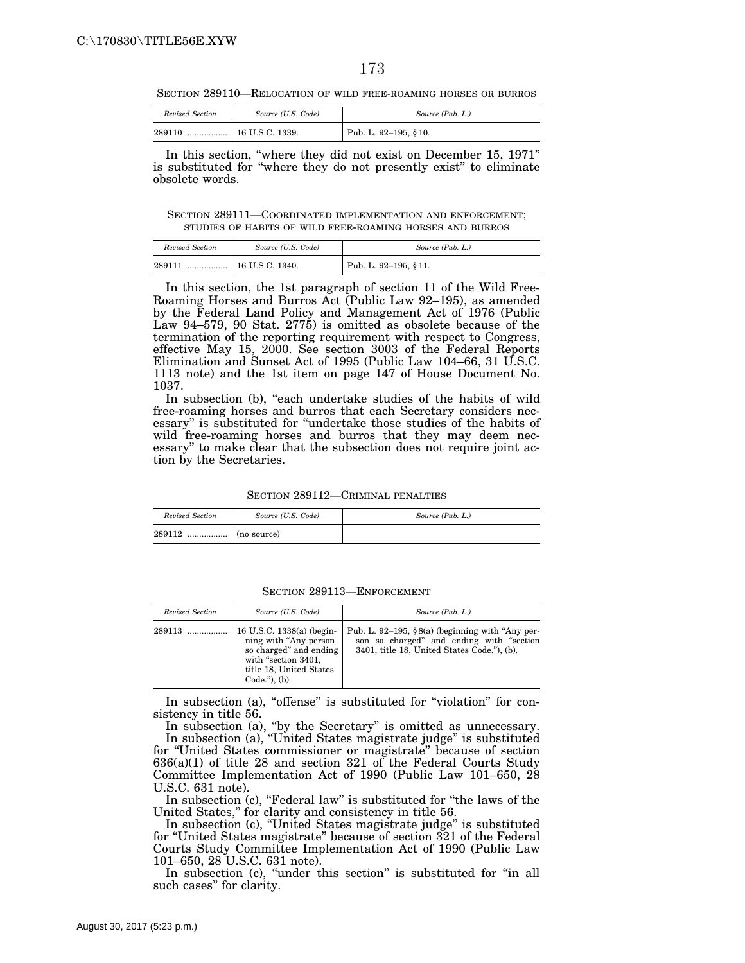SECTION 289110—RELOCATION OF WILD FREE-ROAMING HORSES OR BURROS

| Revised Section | Source (U.S. Code)         | Source (Pub. L.)     |
|-----------------|----------------------------|----------------------|
| 289110          | $\ldots$   16 U.S.C. 1339. | Pub. L. 92-195, §10. |

In this section, "where they did not exist on December 15, 1971" is substituted for ''where they do not presently exist'' to eliminate obsolete words.

SECTION 289111—COORDINATED IMPLEMENTATION AND ENFORCEMENT; STUDIES OF HABITS OF WILD FREE-ROAMING HORSES AND BURROS

| Revised Section | Source (U.S. Code) | Source (Pub. L.)      |
|-----------------|--------------------|-----------------------|
| 289111<br>      | 16 U.S.C. 1340.    | Pub. L. 92-195, § 11. |

In this section, the 1st paragraph of section 11 of the Wild Free-Roaming Horses and Burros Act (Public Law 92–195), as amended by the Federal Land Policy and Management Act of 1976 (Public Law 94–579, 90 Stat. 2775) is omitted as obsolete because of the termination of the reporting requirement with respect to Congress, effective May 15, 2000. See section 3003 of the Federal Reports Elimination and Sunset Act of 1995 (Public Law 104–66, 31 U.S.C. 1113 note) and the 1st item on page 147 of House Document No. 1037.

In subsection (b), "each undertake studies of the habits of wild free-roaming horses and burros that each Secretary considers necessary'' is substituted for ''undertake those studies of the habits of wild free-roaming horses and burros that they may deem necessary'' to make clear that the subsection does not require joint action by the Secretaries.

SECTION 289112—CRIMINAL PENALTIES

| Revised Section | Source (U.S. Code)                                                | Source (Pub. L.) |
|-----------------|-------------------------------------------------------------------|------------------|
| 289112          | $\ldots$ $\ldots$ $\ldots$ $\ldots$ $\ldots$ $\ldots$ (no source) |                  |

SECTION 289113—ENFORCEMENT

| Revised Section | Source (U.S. Code)                                                                                                                                     | Source (Pub. L.)                                                                                                                            |
|-----------------|--------------------------------------------------------------------------------------------------------------------------------------------------------|---------------------------------------------------------------------------------------------------------------------------------------------|
| 289113          | 16 U.S.C. 1338(a) (begin-<br>ning with "Any person"<br>so charged" and ending<br>with "section 3401,<br>title 18, United States<br>$Code.'$ ), $(b)$ . | Pub. L. 92–195, §8(a) (beginning with "Any per-<br>son so charged" and ending with "section"<br>3401, title 18, United States Code."), (b). |

In subsection (a), "offense" is substituted for "violation" for consistency in title 56.

In subsection (a), "by the Secretary" is omitted as unnecessary. In subsection (a), ''United States magistrate judge'' is substituted for ''United States commissioner or magistrate'' because of section 636(a)(1) of title 28 and section 321 of the Federal Courts Study Committee Implementation Act of 1990 (Public Law 101–650, 28 U.S.C. 631 note).

In subsection (c), "Federal law" is substituted for "the laws of the United States,'' for clarity and consistency in title 56.

In subsection (c), ''United States magistrate judge'' is substituted for ''United States magistrate'' because of section 321 of the Federal Courts Study Committee Implementation Act of 1990 (Public Law 101–650, 28 U.S.C. 631 note).

In subsection (c), "under this section" is substituted for "in all such cases'' for clarity.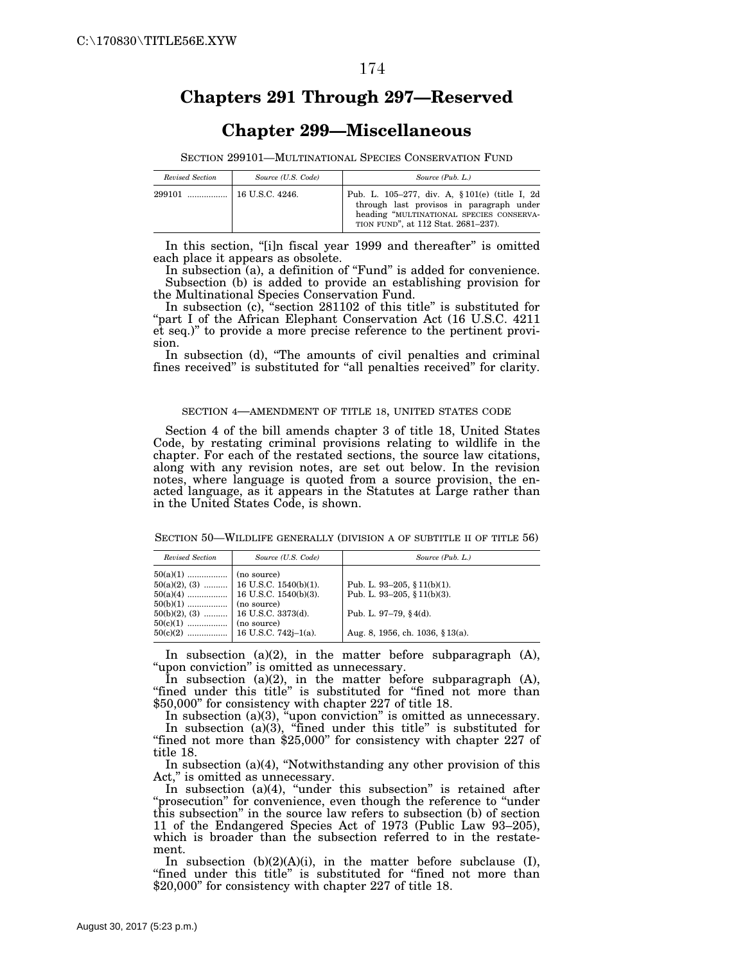## **Chapters 291 Through 297—Reserved**

## **Chapter 299—Miscellaneous**

SECTION 299101—MULTINATIONAL SPECIES CONSERVATION FUND

| Revised Section | Source (U.S. Code)    | Source (Pub. L.)                                                                                                                                                              |
|-----------------|-----------------------|-------------------------------------------------------------------------------------------------------------------------------------------------------------------------------|
| 299101          | $\pm$ 16 U.S.C. 4246. | Pub. L. 105-277, div. A, § 101(e) (title I, 2d<br>through last provisos in paragraph under<br>heading "MULTINATIONAL SPECIES CONSERVA-<br>TION FUND", at 112 Stat. 2681-237). |

In this section, "[i]n fiscal year 1999 and thereafter" is omitted each place it appears as obsolete.

In subsection (a), a definition of "Fund" is added for convenience. Subsection (b) is added to provide an establishing provision for the Multinational Species Conservation Fund.

In subsection (c), "section 281102 of this title" is substituted for "part I of the African Elephant Conservation Act (16 U.S.C. 4211 et seq.)'' to provide a more precise reference to the pertinent provision.

In subsection (d), "The amounts of civil penalties and criminal fines received" is substituted for "all penalties received" for clarity.

#### SECTION 4—AMENDMENT OF TITLE 18, UNITED STATES CODE

Section 4 of the bill amends chapter 3 of title 18, United States Code, by restating criminal provisions relating to wildlife in the chapter. For each of the restated sections, the source law citations, along with any revision notes, are set out below. In the revision notes, where language is quoted from a source provision, the enacted language, as it appears in the Statutes at Large rather than in the United States Code, is shown.

SECTION 50—WILDLIFE GENERALLY (DIVISION A OF SUBTITLE II OF TITLE 56)

| Revised Section | Source (U.S. Code)                                                              | Source (Pub. L.)                                                                                                           |
|-----------------|---------------------------------------------------------------------------------|----------------------------------------------------------------------------------------------------------------------------|
|                 | $50(a)(2), (3)$ 16 U.S.C. 1540(b)(1).<br>$50(b)(2)$ , (3)    16 U.S.C. 3373(d). | Pub. L. 93-205, § 11(b)(1).<br>Pub. L. 93-205, § 11(b)(3).<br>Pub. L. 97-79, $§$ 4(d).<br>Aug. 8, 1956, ch. 1036, § 13(a). |

In subsection (a)(2), in the matter before subparagraph (A), "upon conviction" is omitted as unnecessary.

In subsection (a)(2), in the matter before subparagraph (A), "fined under this title" is substituted for "fined not more than \$50,000'' for consistency with chapter 227 of title 18.

In subsection (a)(3), "upon conviction" is omitted as unnecessary. In subsection (a)(3), ''fined under this title'' is substituted for "fined not more than \$25,000" for consistency with chapter 227 of title 18.

In subsection  $(a)(4)$ , "Notwithstanding any other provision of this Act," is omitted as unnecessary.

In subsection (a)(4), ''under this subsection'' is retained after ''prosecution'' for convenience, even though the reference to ''under this subsection'' in the source law refers to subsection (b) of section 11 of the Endangered Species Act of 1973 (Public Law 93–205), which is broader than the subsection referred to in the restatement.

In subsection  $(b)(2)(A)(i)$ , in the matter before subclause  $(I)$ , "fined under this title" is substituted for "fined not more than \$20,000" for consistency with chapter 227 of title 18.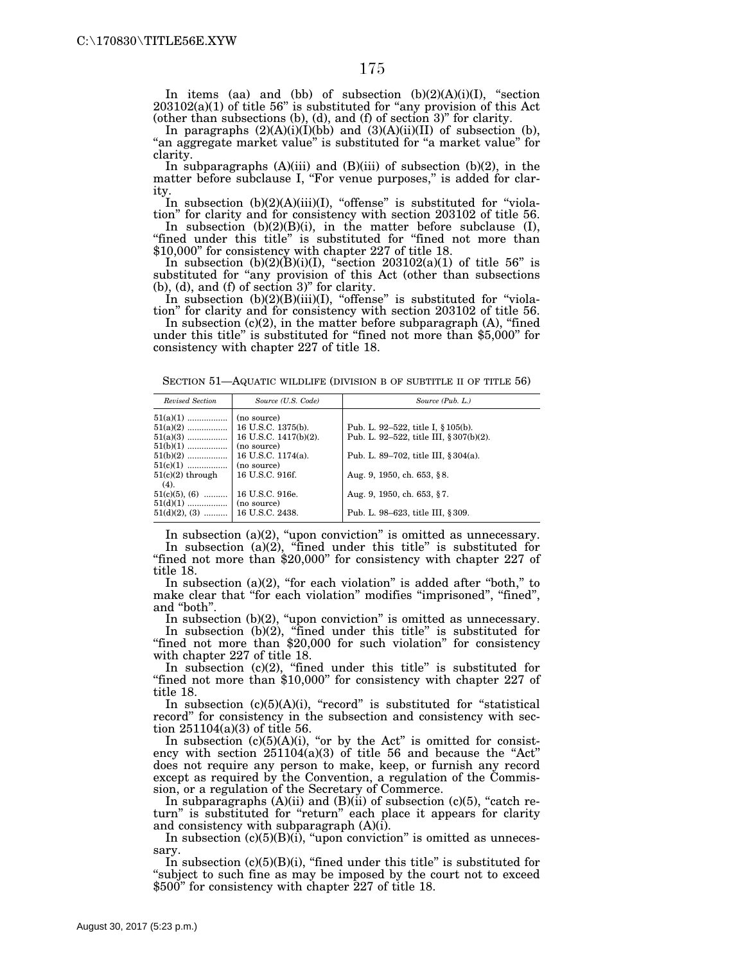In items (aa) and (bb) of subsection (b)(2)(A)(i)(I), ''section 203102(a)(1) of title 56'' is substituted for ''any provision of this Act (other than subsections (b), (d), and (f) of section 3)'' for clarity.

In paragraphs  $(2)(A)(i)(I)(bb)$  and  $(3)(A)(ii)(II)$  of subsection (b), "an aggregate market value" is substituted for "a market value" for clarity.

In subparagraphs  $(A)(iii)$  and  $(B)(iii)$  of subsection  $(b)(2)$ , in the matter before subclause I, "For venue purposes," is added for clarity.

In subsection  $(b)(2)(A)(iii)(I)$ , "offense" is substituted for "violation'' for clarity and for consistency with section 203102 of title 56.

In subsection  $(b)(2)(B)(i)$ , in the matter before subclause  $(I)$ , "fined under this title" is substituted for "fined not more than \$10,000'' for consistency with chapter 227 of title 18.

In subsection  $(b)(2)(B)(i)(I)$ , "section  $203102(a)(1)$  of title 56" is substituted for "any provision of this Act (other than subsections (b), (d), and (f) of section 3)'' for clarity.

In subsection  $(b)(2)(B)(iii)(I)$ , "offense" is substituted for "violation'' for clarity and for consistency with section 203102 of title 56.

In subsection  $(c)(2)$ , in the matter before subparagraph  $(A)$ , "fined under this title" is substituted for "fined not more than \$5,000" for consistency with chapter 227 of title 18.

SECTION 51-AQUATIC WILDLIFE (DIVISION B OF SUBTITLE II OF TITLE 56)

| Revised Section    | Source (U.S. Code)    | Source (Pub. L.)                        |
|--------------------|-----------------------|-----------------------------------------|
| $51(a)(1)$         | (no source)           |                                         |
| $51(a)(2)$         | 16 U.S.C. 1375(b).    | Pub. L. 92–522, title I, § 105(b).      |
| $51(a)(3)$         | 16 U.S.C. 1417(b)(2). | Pub. L. 92–522, title III, § 307(b)(2). |
| $51(b)(1)$         | (no source)           |                                         |
| $51(b)(2)$         | 16 U.S.C. 1174(a).    | Pub. L. 89–702, title III, § 304(a).    |
| $51(c)(1)$         | (no source)           |                                         |
| $51(c)(2)$ through | 16 U.S.C. 916f.       | Aug. 9, 1950, ch. 653, §8.              |
| (4).               |                       |                                         |
| $51(c)(5), (6)$    | 16 U.S.C. 916e.       | Aug. 9, 1950, ch. 653, §7.              |
| $51(d)(1)$         | (no source)           |                                         |
| $51(d)(2), (3)$    | $16$ U.S.C. 2438.     | Pub. L. 98–623, title III, § 309.       |

In subsection (a)(2), "upon conviction" is omitted as unnecessary. In subsection (a)(2), "fined under this title" is substituted for ''fined not more than \$20,000'' for consistency with chapter 227 of title 18.

In subsection  $(a)(2)$ , "for each violation" is added after "both," to make clear that "for each violation" modifies "imprisoned", "fined", and ''both''.

In subsection  $(b)(2)$ , "upon conviction" is omitted as unnecessary. In subsection (b)(2), "fined under this title" is substituted for "fined not more than \$20,000 for such violation" for consistency with chapter 227 of title 18.

In subsection (c)(2), "fined under this title" is substituted for ''fined not more than \$10,000'' for consistency with chapter 227 of title 18.

In subsection  $(c)(5)(A)(i)$ , "record" is substituted for "statistical record'' for consistency in the subsection and consistency with section 251104(a)(3) of title 56.

In subsection  $(c)(5)(A)(i)$ , "or by the Act" is omitted for consistency with section  $251104(a)(3)$  of title 56 and because the "Act" does not require any person to make, keep, or furnish any record except as required by the Convention, a regulation of the Commission, or a regulation of the Secretary of Commerce.

In subparagraphs  $(A)(ii)$  and  $(B)(ii)$  of subsection  $(c)(5)$ , "catch return" is substituted for "return" each place it appears for clarity and consistency with subparagraph  $(A)(i)$ .

In subsection  $(c)(5)(B)(i)$ , "upon conviction" is omitted as unnecessary.

In subsection  $(c)(5)(B)(i)$ , "fined under this title" is substituted for ''subject to such fine as may be imposed by the court not to exceed \$500'' for consistency with chapter 227 of title 18.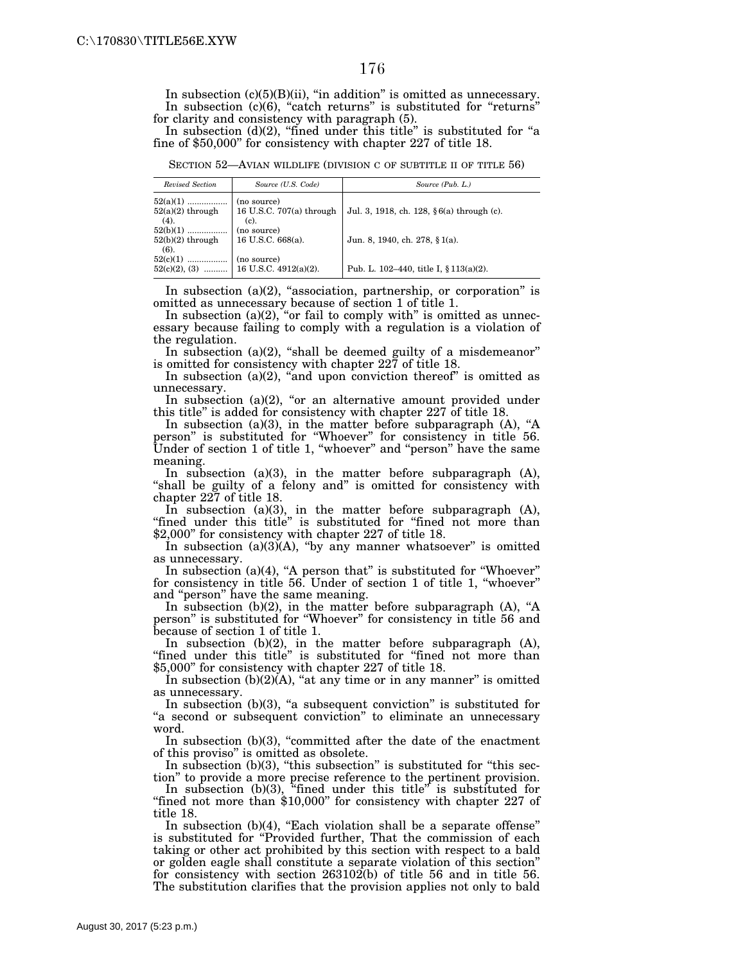In subsection (c)(5)(B)(ii), ''in addition'' is omitted as unnecessary. In subsection (c)(6), "catch returns" is substituted for "returns" for clarity and consistency with paragraph (5).

In subsection  $(d)(2)$ , "fined under this title" is substituted for "a fine of \$50,000'' for consistency with chapter 227 of title 18.

SECTION 52—AVIAN WILDLIFE (DIVISION C OF SUBTITLE II OF TITLE 56)

| Revised Section                             | Source (U.S. Code)                                 | Source (Pub. L.)                          |
|---------------------------------------------|----------------------------------------------------|-------------------------------------------|
| $52(a)(1)$<br>$52(a)(2)$ through<br>(4).    | (no source)<br>16 U.S.C. 707(a) through<br>$(c)$ . | Jul. 3, 1918, ch. 128, §6(a) through (c). |
| $52(b)(1)$<br>$52(b)(2)$ through<br>$(6)$ . | (no source)<br>16 U.S.C. 668(a).                   | Jun. 8, 1940, ch. 278, § 1(a).            |
| 52(c)(1)<br>$52(c)(2), (3)$                 | (no source)<br>  16 U.S.C. 4912(a)(2).             | Pub. L. 102–440, title I, $§ 113(a)(2)$ . |

In subsection  $(a)(2)$ , "association, partnership, or corporation" is omitted as unnecessary because of section 1 of title 1.

In subsection (a)(2), "or fail to comply with" is omitted as unnecessary because failing to comply with a regulation is a violation of the regulation.

In subsection  $(a)(2)$ , "shall be deemed guilty of a misdemeanor" is omitted for consistency with chapter 227 of title 18.

In subsection (a)(2), "and upon conviction thereof" is omitted as unnecessary.

In subsection  $(a)(2)$ , "or an alternative amount provided under this title'' is added for consistency with chapter 227 of title 18.

In subsection (a)(3), in the matter before subparagraph (A), "A person'' is substituted for ''Whoever'' for consistency in title 56. Under of section 1 of title 1, "whoever" and "person" have the same meaning.

In subsection (a)(3), in the matter before subparagraph (A), "shall be guilty of a felony and" is omitted for consistency with chapter 227 of title 18.

In subsection (a)(3), in the matter before subparagraph (A), "fined under this title" is substituted for "fined not more than \$2,000'' for consistency with chapter 227 of title 18.

In subsection  $(a)(3)$  $(A)$ , "by any manner whatsoever" is omitted as unnecessary.

In subsection (a)(4), "A person that" is substituted for "Whoever" for consistency in title 56. Under of section 1 of title 1, ''whoever'' and ''person'' have the same meaning.

In subsection  $(b)(2)$ , in the matter before subparagraph  $(A)$ , "A person'' is substituted for ''Whoever'' for consistency in title 56 and because of section 1 of title 1.

In subsection (b)(2), in the matter before subparagraph (A), "fined under this title" is substituted for "fined not more than \$5,000'' for consistency with chapter 227 of title 18.

In subsection  $(b)(2)(A)$ , "at any time or in any manner" is omitted as unnecessary.

In subsection (b)(3), "a subsequent conviction" is substituted for "a second or subsequent conviction" to eliminate an unnecessary word.

In subsection (b)(3), ''committed after the date of the enactment of this proviso'' is omitted as obsolete.

In subsection  $(b)(3)$ , "this subsection" is substituted for "this section'' to provide a more precise reference to the pertinent provision.

In subsection (b)(3), "fined under this title" is substituted for "fined not more than \$10,000" for consistency with chapter 227 of title 18.

In subsection  $(b)(4)$ , "Each violation shall be a separate offense" is substituted for ''Provided further, That the commission of each taking or other act prohibited by this section with respect to a bald or golden eagle shall constitute a separate violation of this section'' for consistency with section 263102(b) of title 56 and in title 56. The substitution clarifies that the provision applies not only to bald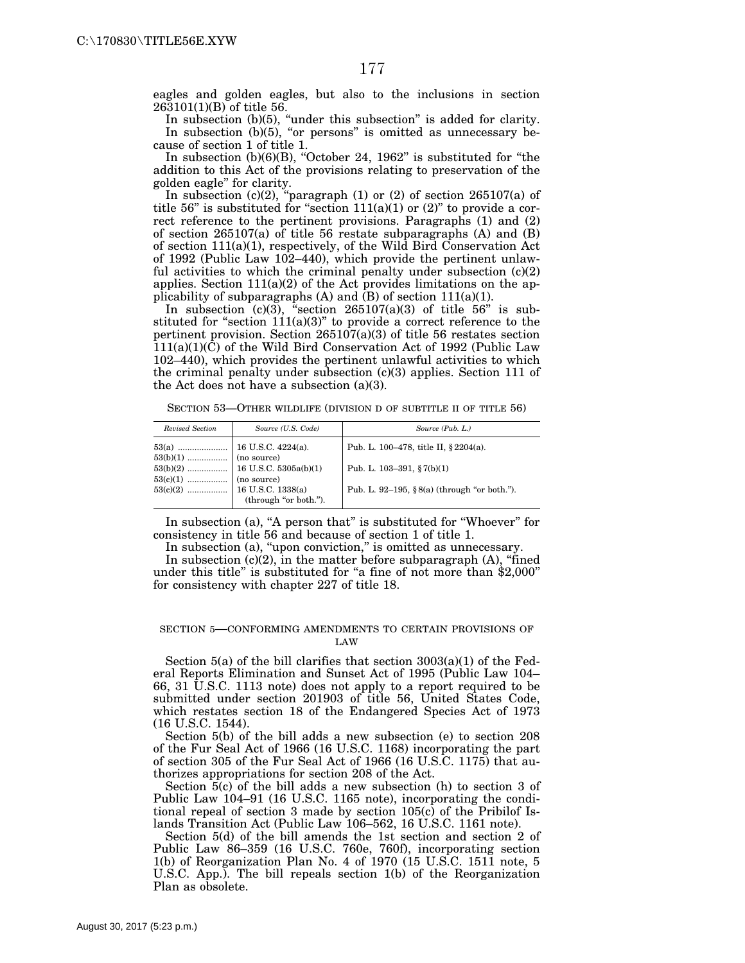eagles and golden eagles, but also to the inclusions in section 263101(1)(B) of title 56.

In subsection (b)(5), "under this subsection" is added for clarity. In subsection (b)(5), "or persons" is omitted as unnecessary because of section 1 of title 1.

In subsection  $(b)(6)(B)$ , "October 24, 1962" is substituted for "the addition to this Act of the provisions relating to preservation of the golden eagle'' for clarity.

In subsection  $(c)(2)$ , "paragraph  $(1)$  or  $(2)$  of section  $265107(a)$  of title 56" is substituted for "section  $111(a)(1)$  or  $(2)$ " to provide a correct reference to the pertinent provisions. Paragraphs (1) and (2) of section 265107(a) of title 56 restate subparagraphs (A) and (B) of section 111(a)(1), respectively, of the Wild Bird Conservation Act of 1992 (Public Law 102–440), which provide the pertinent unlawful activities to which the criminal penalty under subsection (c)(2) applies. Section  $111(a)(2)$  of the Act provides limitations on the applicability of subparagraphs  $(A)$  and  $(B)$  of section 111(a)(1).

In subsection  $(c)(3)$ , "section 265107(a)(3) of title 56" is substituted for "section  $111(a)(3)$ " to provide a correct reference to the pertinent provision. Section  $265107(a)(3)$  of title 56 restates section  $111(a)(1)(\overline{C})$  of the Wild Bird Conservation Act of 1992 (Public Law 102–440), which provides the pertinent unlawful activities to which the criminal penalty under subsection (c)(3) applies. Section 111 of the Act does not have a subsection (a)(3).

SECTION 53-OTHER WILDLIFE (DIVISION D OF SUBTITLE II OF TITLE 56)

| Revised Section | Source (U.S. Code)    | Source (Pub. L.)                                |
|-----------------|-----------------------|-------------------------------------------------|
|                 |                       | Pub. L. 100–478, title II, § 2204(a).           |
|                 |                       | Pub. L. $103-391$ , $\S 7(b)(1)$                |
|                 | (through "or both."). | Pub. L. 92–195, $\S 8(a)$ (through "or both."). |

In subsection (a), "A person that" is substituted for "Whoever" for consistency in title 56 and because of section 1 of title 1.

In subsection (a), "upon conviction," is omitted as unnecessary.

In subsection  $(c)(2)$ , in the matter before subparagraph  $(A)$ , "fined under this title" is substituted for "a fine of not more than \$2,000" for consistency with chapter 227 of title 18.

#### SECTION 5—CONFORMING AMENDMENTS TO CERTAIN PROVISIONS OF LAW

Section 5(a) of the bill clarifies that section 3003(a)(1) of the Federal Reports Elimination and Sunset Act of 1995 (Public Law 104– 66, 31 U.S.C. 1113 note) does not apply to a report required to be submitted under section 201903 of title 56, United States Code, which restates section 18 of the Endangered Species Act of 1973 (16 U.S.C. 1544).

Section 5(b) of the bill adds a new subsection (e) to section 208 of the Fur Seal Act of 1966 (16 U.S.C. 1168) incorporating the part of section 305 of the Fur Seal Act of 1966 (16 U.S.C. 1175) that authorizes appropriations for section 208 of the Act.

Section 5(c) of the bill adds a new subsection (h) to section 3 of Public Law 104–91 (16 U.S.C. 1165 note), incorporating the conditional repeal of section 3 made by section 105(c) of the Pribilof Islands Transition Act (Public Law 106–562, 16 U.S.C. 1161 note).

Section 5(d) of the bill amends the 1st section and section 2 of Public Law 86–359 (16 U.S.C. 760e, 760f), incorporating section 1(b) of Reorganization Plan No. 4 of 1970 (15 U.S.C. 1511 note, 5 U.S.C. App.). The bill repeals section 1(b) of the Reorganization Plan as obsolete.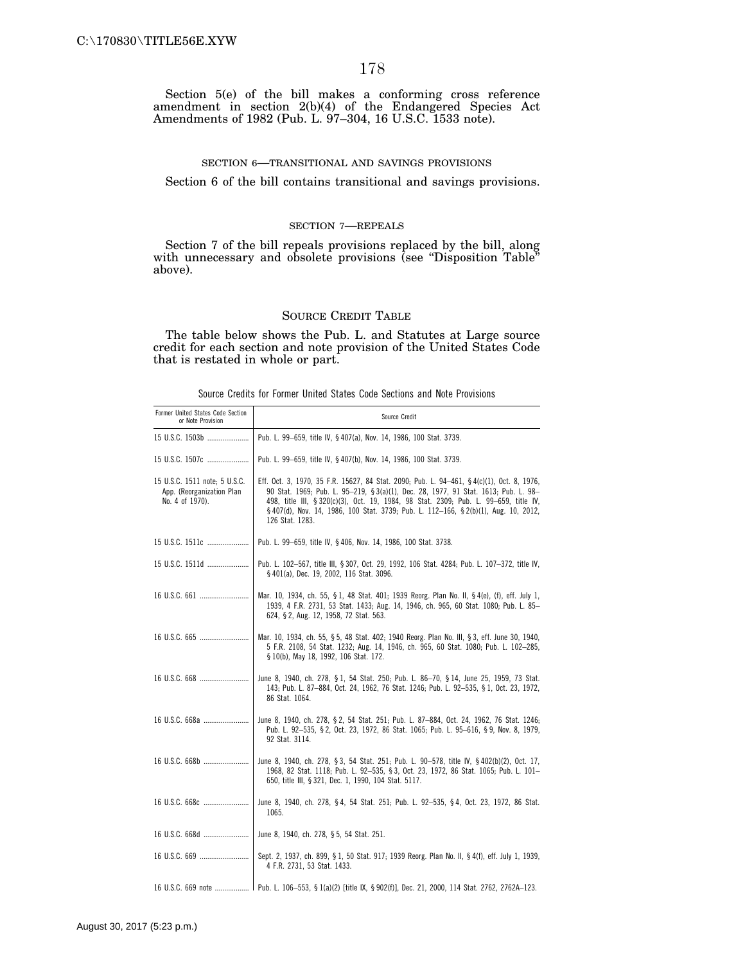Section 5(e) of the bill makes a conforming cross reference amendment in section 2(b)(4) of the Endangered Species Act Amendments of 1982 (Pub. L. 97–304, 16 U.S.C. 1533 note).

#### SECTION 6—TRANSITIONAL AND SAVINGS PROVISIONS

Section 6 of the bill contains transitional and savings provisions.

#### SECTION 7—REPEALS

Section 7 of the bill repeals provisions replaced by the bill, along with unnecessary and obsolete provisions (see "Disposition Table" above).

#### SOURCE CREDIT TABLE

The table below shows the Pub. L. and Statutes at Large source credit for each section and note provision of the United States Code that is restated in whole or part.

|  |  |  |  |  |  |  |  |  |  |  | Source Credits for Former United States Code Sections and Note Provisions |
|--|--|--|--|--|--|--|--|--|--|--|---------------------------------------------------------------------------|
|--|--|--|--|--|--|--|--|--|--|--|---------------------------------------------------------------------------|

| Former United States Code Section<br>or Note Provision                        | Source Credit                                                                                                                                                                                                                                                                                                                                                                     |
|-------------------------------------------------------------------------------|-----------------------------------------------------------------------------------------------------------------------------------------------------------------------------------------------------------------------------------------------------------------------------------------------------------------------------------------------------------------------------------|
| 15 U.S.C. 1503b                                                               | Pub. L. 99-659, title IV, § 407(a), Nov. 14, 1986, 100 Stat. 3739.                                                                                                                                                                                                                                                                                                                |
| 15 U.S.C. 1507c                                                               | Pub. L. 99-659, title IV, § 407(b), Nov. 14, 1986, 100 Stat. 3739.                                                                                                                                                                                                                                                                                                                |
| 15 U.S.C. 1511 note; 5 U.S.C.<br>App. (Reorganization Plan<br>No. 4 of 1970). | Eff. Oct. 3, 1970, 35 F.R. 15627, 84 Stat. 2090; Pub. L. 94—461, §4(c)(1), Oct. 8, 1976,<br>90 Stat. 1969; Pub. L. 95-219, § 3(a)(1), Dec. 28, 1977, 91 Stat. 1613; Pub. L. 98-<br>498, title III, § 320(c)(3), Oct. 19, 1984, 98 Stat. 2309; Pub. L. 99-659, title IV,<br>§ 407(d), Nov. 14, 1986, 100 Stat. 3739; Pub. L. 112-166, § 2(b)(1), Aug. 10, 2012,<br>126 Stat. 1283. |
| 15 U.S.C. 1511c                                                               | Pub. L. 99-659, title IV, § 406, Nov. 14, 1986, 100 Stat. 3738.                                                                                                                                                                                                                                                                                                                   |
| 15 U.S.C. 1511d                                                               | Pub. L. 102-567, title III, § 307, Oct. 29, 1992, 106 Stat. 4284; Pub. L. 107-372, title IV,<br>§ 401(a), Dec. 19, 2002, 116 Stat. 3096.                                                                                                                                                                                                                                          |
|                                                                               | Mar. 10, 1934, ch. 55, § 1, 48 Stat. 401; 1939 Reorg. Plan No. II, § 4(e), (f), eff. July 1,<br>1939, 4 F.R. 2731, 53 Stat. 1433; Aug. 14, 1946, ch. 965, 60 Stat. 1080; Pub. L. 85-<br>624, § 2, Aug. 12, 1958, 72 Stat. 563.                                                                                                                                                    |
|                                                                               | Mar. 10, 1934, ch. 55, § 5, 48 Stat. 402; 1940 Reorg. Plan No. III, § 3, eff. June 30, 1940,<br>5 F.R. 2108, 54 Stat. 1232; Aug. 14, 1946, ch. 965, 60 Stat. 1080; Pub. L. 102-285,<br>§ 10(b), May 18, 1992, 106 Stat. 172.                                                                                                                                                      |
|                                                                               | June 8, 1940, ch. 278, § 1, 54 Stat. 250; Pub. L. 86-70, § 14, June 25, 1959, 73 Stat.<br>143; Pub. L. 87-884, Oct. 24, 1962, 76 Stat. 1246; Pub. L. 92-535, § 1, Oct. 23, 1972,<br>86 Stat. 1064.                                                                                                                                                                                |
| 16 U.S.C. 668a                                                                | June 8, 1940, ch. 278, § 2, 54 Stat. 251; Pub. L. 87-884, Oct. 24, 1962, 76 Stat. 1246;<br>Pub. L. 92-535, § 2, Oct. 23, 1972, 86 Stat. 1065; Pub. L. 95-616, § 9, Nov. 8, 1979,<br>92 Stat. 3114.                                                                                                                                                                                |
| 16 U.S.C. 668b                                                                | June 8, 1940, ch. 278, § 3, 54 Stat. 251; Pub. L. 90-578, title IV, § 402(b)(2), Oct. 17,<br>1968, 82 Stat. 1118; Pub. L. 92-535, § 3, Oct. 23, 1972, 86 Stat. 1065; Pub. L. 101-<br>650, title III, § 321, Dec. 1, 1990, 104 Stat. 5117.                                                                                                                                         |
| 16 U.S.C. 668c                                                                | June 8, 1940, ch. 278, §4, 54 Stat. 251; Pub. L. 92-535, §4, Oct. 23, 1972, 86 Stat.<br>1065.                                                                                                                                                                                                                                                                                     |
| 16 U.S.C. 668d                                                                | June 8, 1940, ch. 278, § 5, 54 Stat. 251.                                                                                                                                                                                                                                                                                                                                         |
|                                                                               | Sept. 2, 1937, ch. 899, § 1, 50 Stat. 917; 1939 Reorg. Plan No. II, § 4(f), eff. July 1, 1939,<br>4 F.R. 2731, 53 Stat. 1433.                                                                                                                                                                                                                                                     |
| 16 U.S.C. 669 note                                                            | Pub. L. 106-553, § 1(a)(2) [title IX, § 902(f)], Dec. 21, 2000, 114 Stat. 2762, 2762A-123.                                                                                                                                                                                                                                                                                        |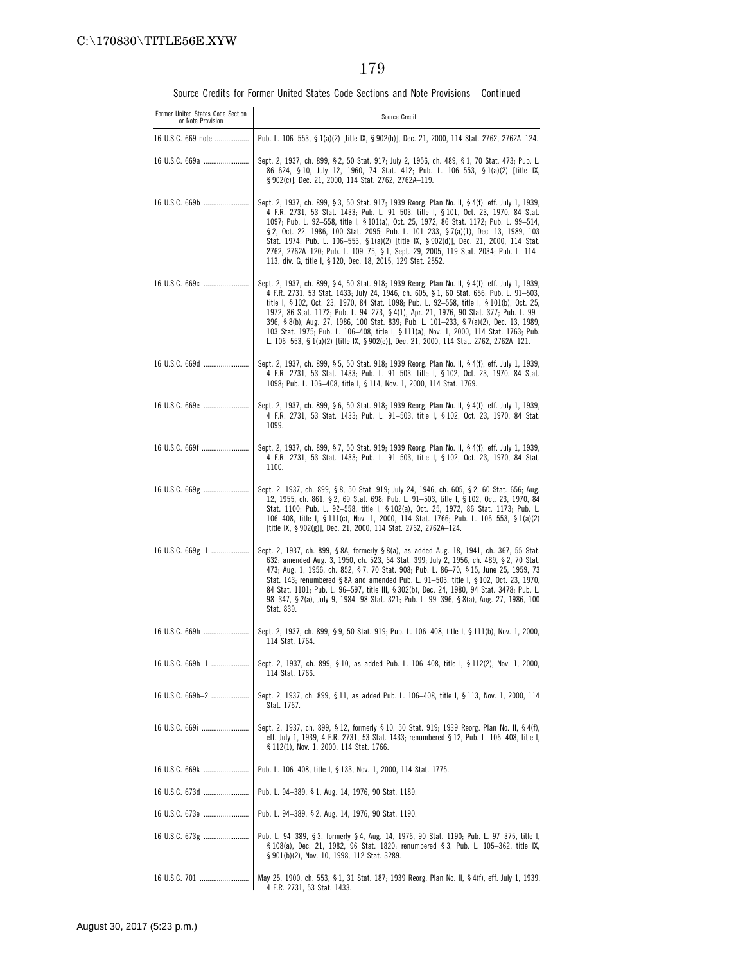Source Credits for Former United States Code Sections and Note Provisions—Continued

| Former United States Code Section<br>or Note Provision | Source Credit                                                                                                                                                                                                                                                                                                                                                                                                                                                                                                                                                                                                                                          |
|--------------------------------------------------------|--------------------------------------------------------------------------------------------------------------------------------------------------------------------------------------------------------------------------------------------------------------------------------------------------------------------------------------------------------------------------------------------------------------------------------------------------------------------------------------------------------------------------------------------------------------------------------------------------------------------------------------------------------|
| 16 U.S.C. 669 note                                     | Pub. L. 106–553, § 1(a)(2) [title IX, § 902(h)], Dec. 21, 2000, 114 Stat. 2762, 2762A–124.                                                                                                                                                                                                                                                                                                                                                                                                                                                                                                                                                             |
| 16 U.S.C. 669a                                         | Sept. 2, 1937, ch. 899, § 2, 50 Stat. 917; July 2, 1956, ch. 489, § 1, 70 Stat. 473; Pub. L.<br>86-624, §10, July 12, 1960, 74 Stat. 412; Pub. L. 106-553, §1(a)(2) [title IX,<br>§902(c)], Dec. 21, 2000, 114 Stat. 2762, 2762A-119.                                                                                                                                                                                                                                                                                                                                                                                                                  |
| 16 U.S.C. 669b                                         | Sept. 2, 1937, ch. 899, § 3, 50 Stat. 917; 1939 Reorg. Plan No. II, § 4(f), eff. July 1, 1939,<br>4 F.R. 2731, 53 Stat. 1433; Pub. L. 91—503, title I, §101, Oct. 23, 1970, 84 Stat.<br>1097; Pub. L. 92-558, title I, § 101(a), Oct. 25, 1972, 86 Stat. 1172; Pub. L. 99-514,<br>§ 2, Oct. 22, 1986, 100 Stat. 2095; Pub. L. 101-233, § 7(a)(1), Dec. 13, 1989, 103<br>Stat. 1974; Pub. L. 106-553, § 1(a)(2) [title IX, § 902(d)], Dec. 21, 2000, 114 Stat.<br>2762, 2762A-120; Pub. L. 109-75, § 1, Sept. 29, 2005, 119 Stat. 2034; Pub. L. 114-<br>113, div. G, title I, § 120, Dec. 18, 2015, 129 Stat. 2552.                                     |
| 16 U.S.C. 669c                                         | Sept. 2, 1937, ch. 899, §4, 50 Stat. 918; 1939 Reorg. Plan No. II, §4(f), eff. July 1, 1939,<br>4 F.R. 2731, 53 Stat. 1433; July 24, 1946, ch. 605, § 1, 60 Stat. 656; Pub. L. 91–503,<br>title I, § 102, Oct. 23, 1970, 84 Stat. 1098; Pub. L. 92-558, title I, § 101(b), Oct. 25,<br>1972, 86 Stat. 1172; Pub. L. 94-273, § 4(1), Apr. 21, 1976, 90 Stat. 377; Pub. L. 99-<br>396, §8(b), Aug. 27, 1986, 100 Stat. 839; Pub. L. 101-233, §7(a)(2), Dec. 13, 1989,<br>103 Stat. 1975; Pub. L. 106-408, title I, § 111(a), Nov. 1, 2000, 114 Stat. 1763; Pub.<br>L. 106-553, § 1(a)(2) [title IX, § 902(e)], Dec. 21, 2000, 114 Stat. 2762, 2762A-121. |
| 16 U.S.C. 669d                                         | Sept. 2, 1937, ch. 899, § 5, 50 Stat. 918; 1939 Reorg. Plan No. II, § 4(f), eff. July 1, 1939,<br>4 F.R. 2731, 53 Stat. 1433; Pub. L. 91–503, title I, § 102, Oct. 23, 1970, 84 Stat.<br>1098; Pub. L. 106-408, title I, § 114, Nov. 1, 2000, 114 Stat. 1769.                                                                                                                                                                                                                                                                                                                                                                                          |
| 16 U.S.C. 669e                                         | Sept. 2, 1937, ch. 899, § 6, 50 Stat. 918; 1939 Reorg. Plan No. II, § 4(f), eff. July 1, 1939,<br>4 F.R. 2731, 53 Stat. 1433; Pub. L. 91-503, title I, § 102, Oct. 23, 1970, 84 Stat.<br>1099.                                                                                                                                                                                                                                                                                                                                                                                                                                                         |
| 16 U.S.C. 669f                                         | Sept. 2, 1937, ch. 899, § 7, 50 Stat. 919; 1939 Reorg. Plan No. II, § 4(f), eff. July 1, 1939.<br>4 F.R. 2731, 53 Stat. 1433; Pub. L. 91-503, title I, § 102, Oct. 23, 1970, 84 Stat.<br>1100.                                                                                                                                                                                                                                                                                                                                                                                                                                                         |
| 16 U.S.C. 669g                                         | Sept. 2, 1937, ch. 899, §8, 50 Stat. 919; July 24, 1946, ch. 605, §2, 60 Stat. 656; Aug.<br>12, 1955, ch. 861, §2, 69 Stat. 698; Pub. L. 91-503, title I, §102, Oct. 23, 1970, 84<br>Stat. 1100; Pub. L. 92-558, title I, § 102(a), Oct. 25, 1972, 86 Stat. 1173; Pub. L.<br>106-408, title I, § 111(c), Nov. 1, 2000, 114 Stat. 1766; Pub. L. 106-553, § 1(a)(2)<br>[title IX, § 902(g)], Dec. 21, 2000, 114 Stat. 2762, 2762A-124.                                                                                                                                                                                                                   |
| 16 U.S.C. 669g-1                                       | Sept. 2, 1937, ch. 899, §8A, formerly §8(a), as added Aug. 18, 1941, ch. 367, 55 Stat.<br>632; amended Aug. 3, 1950, ch. 523, 64 Stat. 399; July 2, 1956, ch. 489, § 2, 70 Stat.<br>473; Aug. 1, 1956, ch. 852, §7, 70 Stat. 908; Pub. L. 86-70, §15, June 25, 1959, 73<br>Stat. 143; renumbered § 8A and amended Pub. L. 91-503, title I, § 102, Oct. 23, 1970,<br>84 Stat. 1101; Pub. L. 96-597, title III, § 302(b), Dec. 24, 1980, 94 Stat. 3478; Pub. L.<br>98-347, § 2(a), July 9, 1984, 98 Stat. 321; Pub. L. 99-396, § 8(a), Aug. 27, 1986, 100<br>Stat. 839.                                                                                  |
| 16 U.S.C. 669h                                         | Sept. 2, 1937, ch. 899, §9, 50 Stat. 919; Pub. L. 106–408, title I, § 111(b), Nov. 1, 2000,<br>114 Stat. 1764.                                                                                                                                                                                                                                                                                                                                                                                                                                                                                                                                         |
| 16 U.S.C. 669h-1                                       | Sept. 2, 1937, ch. 899, § 10, as added Pub. L. 106–408, title I, § 112(2), Nov. 1, 2000,<br>114 Stat. 1766.                                                                                                                                                                                                                                                                                                                                                                                                                                                                                                                                            |
| 16 U.S.C. 669h-2                                       | Sept. 2, 1937, ch. 899, § 11, as added Pub. L. 106-408, title I, § 113, Nov. 1, 2000, 114<br>Stat. 1767.                                                                                                                                                                                                                                                                                                                                                                                                                                                                                                                                               |
| 16 U.S.C. 669i                                         | Sept. 2, 1937, ch. 899, § 12, formerly § 10, 50 Stat. 919; 1939 Reorg. Plan No. II, § 4(f),<br>eff. July 1, 1939, 4 F.R. 2731, 53 Stat. 1433; renumbered § 12, Pub. L. 106—408, title I,<br>§ 112(1), Nov. 1, 2000, 114 Stat. 1766.                                                                                                                                                                                                                                                                                                                                                                                                                    |
| 16 U.S.C. 669k                                         | Pub. L. 106-408, title I, § 133, Nov. 1, 2000, 114 Stat. 1775.                                                                                                                                                                                                                                                                                                                                                                                                                                                                                                                                                                                         |
| 16 U.S.C. 673d                                         | Pub. L. 94-389, § 1, Aug. 14, 1976, 90 Stat. 1189.                                                                                                                                                                                                                                                                                                                                                                                                                                                                                                                                                                                                     |
| 16 U.S.C. 673e                                         | Pub. L. 94-389, § 2, Aug. 14, 1976, 90 Stat. 1190.                                                                                                                                                                                                                                                                                                                                                                                                                                                                                                                                                                                                     |
| 16 U.S.C. 673g                                         | Pub. L. 94–389, § 3, formerly § 4, Aug. 14, 1976, 90 Stat. 1190; Pub. L. 97–375, title I,<br>$$108(a)$ , Dec. 21, 1982, 96 Stat. 1820; renumbered $$3$ , Pub. L. 105-362, title IX,<br>§ 901(b)(2), Nov. 10, 1998, 112 Stat. 3289.                                                                                                                                                                                                                                                                                                                                                                                                                     |
| 16 U.S.C. 701                                          | May 25, 1900, ch. 553, § 1, 31 Stat. 187; 1939 Reorg. Plan No. II, § 4(f), eff. July 1, 1939,<br>4 F.R. 2731, 53 Stat. 1433.                                                                                                                                                                                                                                                                                                                                                                                                                                                                                                                           |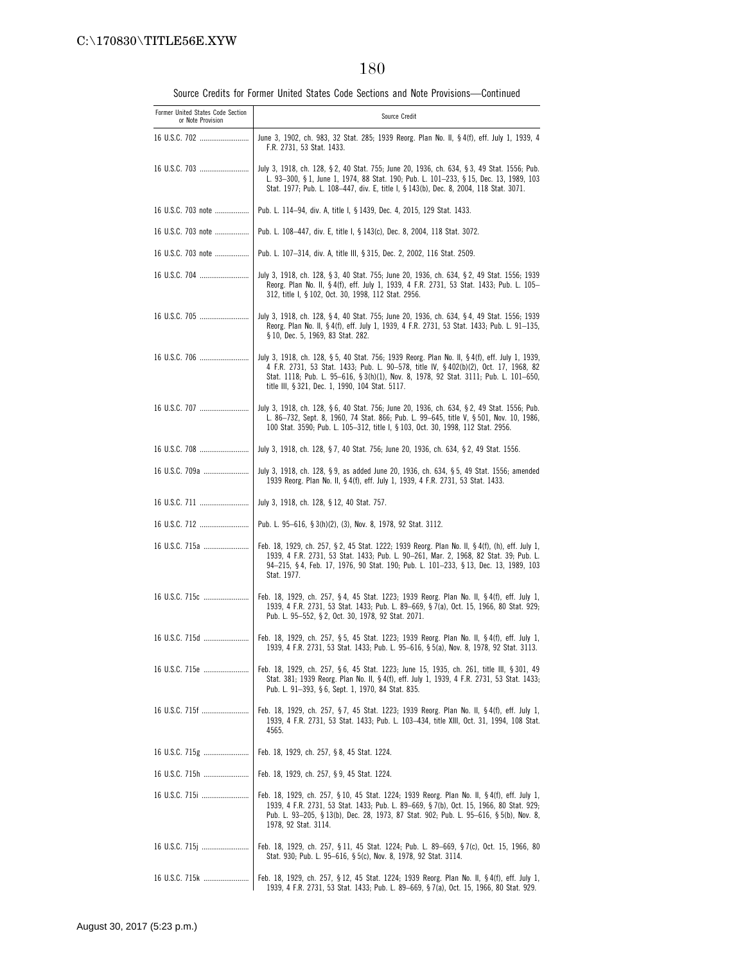Source Credits for Former United States Code Sections and Note Provisions—Continued

| Former United States Code Section<br>or Note Provision | Source Credit                                                                                                                                                                                                                                                                                                                    |
|--------------------------------------------------------|----------------------------------------------------------------------------------------------------------------------------------------------------------------------------------------------------------------------------------------------------------------------------------------------------------------------------------|
| 16 U.S.C. 702                                          | June 3, 1902, ch. 983, 32 Stat. 285; 1939 Reorg. Plan No. II, § 4(f), eff. July 1, 1939, 4<br>F.R. 2731, 53 Stat. 1433.                                                                                                                                                                                                          |
| 16 U.S.C. 703                                          | July 3, 1918, ch. 128, § 2, 40 Stat. 755; June 20, 1936, ch. 634, § 3, 49 Stat. 1556; Pub.<br>L. 93-300, § 1, June 1, 1974, 88 Stat. 190; Pub. L. 101-233, § 15, Dec. 13, 1989, 103<br>Stat. 1977; Pub. L. 108-447, div. E, title I, § 143(b), Dec. 8, 2004, 118 Stat. 3071.                                                     |
| 16 U.S.C. 703 note                                     | Pub. L. 114–94, div. A, title I, § 1439, Dec. 4, 2015, 129 Stat. 1433.                                                                                                                                                                                                                                                           |
| 16 U.S.C. 703 note                                     | Pub. L. 108–447, div. E, title I, § 143(c), Dec. 8, 2004, 118 Stat. 3072.                                                                                                                                                                                                                                                        |
| 16 U.S.C. 703 note                                     | Pub. L. 107-314, div. A, title III, § 315, Dec. 2, 2002, 116 Stat. 2509.                                                                                                                                                                                                                                                         |
|                                                        | July 3, 1918, ch. 128, § 3, 40 Stat. 755; June 20, 1936, ch. 634, § 2, 49 Stat. 1556; 1939<br>Reorg. Plan No. II, § 4(f), eff. July 1, 1939, 4 F.R. 2731, 53 Stat. 1433; Pub. L. 105-<br>312, title I, § 102, Oct. 30, 1998, 112 Stat. 2956.                                                                                     |
| 16 U.S.C. 705                                          | July 3, 1918, ch. 128, §4, 40 Stat. 755; June 20, 1936, ch. 634, §4, 49 Stat. 1556; 1939<br>Reorg. Plan No. II, § 4(f), eff. July 1, 1939, 4 F.R. 2731, 53 Stat. 1433; Pub. L. 91-135,<br>§ 10, Dec. 5, 1969, 83 Stat. 282.                                                                                                      |
| 16 U.S.C. 706                                          | July 3, 1918, ch. 128, § 5, 40 Stat. 756; 1939 Reorg. Plan No. II, § 4(f), eff. July 1, 1939,<br>4 F.R. 2731, 53 Stat. 1433; Pub. L. 90-578, title IV, § 402(b)(2), Oct. 17, 1968, 82<br>Stat. 1118; Pub. L. 95-616, § 3(h)(1), Nov. 8, 1978, 92 Stat. 3111; Pub. L. 101-650,<br>title III, § 321, Dec. 1, 1990, 104 Stat. 5117. |
|                                                        | July 3, 1918, ch. 128, § 6, 40 Stat. 756; June 20, 1936, ch. 634, § 2, 49 Stat. 1556; Pub.<br>L. 86-732, Sept. 8, 1960, 74 Stat. 866; Pub. L. 99-645, title V, § 501, Nov. 10, 1986,<br>100 Stat. 3590; Pub. L. 105-312, title I, § 103, Oct. 30, 1998, 112 Stat. 2956.                                                          |
| 16 U.S.C. 708                                          | July 3, 1918, ch. 128, §7, 40 Stat. 756; June 20, 1936, ch. 634, §2, 49 Stat. 1556.                                                                                                                                                                                                                                              |
| 16 U.S.C. 709a                                         | July 3, 1918, ch. 128, §9, as added June 20, 1936, ch. 634, §5, 49 Stat. 1556; amended<br>1939 Reorg. Plan No. II, § 4(f), eff. July 1, 1939, 4 F.R. 2731, 53 Stat. 1433.                                                                                                                                                        |
| 16 U.S.C. 711                                          | July 3, 1918, ch. 128, § 12, 40 Stat. 757.                                                                                                                                                                                                                                                                                       |
| 16 U.S.C. 712                                          | Pub. L. 95-616, § 3(h)(2), (3), Nov. 8, 1978, 92 Stat. 3112.                                                                                                                                                                                                                                                                     |
| 16 U.S.C. 715a                                         | Feb. 18, 1929, ch. 257, § 2, 45 Stat. 1222; 1939 Reorg. Plan No. II, § 4(f), (h), eff. July 1,<br>1939, 4 F.R. 2731, 53 Stat. 1433; Pub. L. 90-261, Mar. 2, 1968, 82 Stat. 39; Pub. L.<br>94-215, §4, Feb. 17, 1976, 90 Stat. 190; Pub. L. 101-233, §13, Dec. 13, 1989, 103<br>Stat. 1977.                                       |
|                                                        | Feb. 18, 1929, ch. 257, §4, 45 Stat. 1223; 1939 Reorg. Plan No. II, §4(f), eff. July 1,<br>1939, 4 F.R. 2731, 53 Stat. 1433; Pub. L. 89-669, § 7(a), Oct. 15, 1966, 80 Stat. 929;<br>Pub. L. 95-552, § 2, Oct. 30, 1978, 92 Stat. 2071.                                                                                          |
|                                                        | Feb. 18, 1929, ch. 257, § 5, 45 Stat. 1223; 1939 Reorg. Plan No. II, § 4(f), eff. July 1,<br>1939, 4 F.R. 2731, 53 Stat. 1433; Pub. L. 95—616, § 5(a), Nov. 8, 1978, 92 Stat. 3113.                                                                                                                                              |
| 16 U.S.C. 715e                                         | Feb. 18, 1929, ch. 257, §6, 45 Stat. 1223; June 15, 1935, ch. 261, title III, §301, 49<br>Stat. 381; 1939 Reorg. Plan No. II, § 4(f), eff. July 1, 1939, 4 F.R. 2731, 53 Stat. 1433;<br>Pub. L. 91-393, §6, Sept. 1, 1970, 84 Stat. 835.                                                                                         |
| 16 U.S.C. 715f                                         | Feb. 18, 1929, ch. 257, § 7, 45 Stat. 1223; 1939 Reorg. Plan No. II, § 4(f), eff. July 1,<br>1939, 4 F.R. 2731, 53 Stat. 1433; Pub. L. 103–434, title XIII, Oct. 31, 1994, 108 Stat.<br>4565.                                                                                                                                    |
| 16 U.S.C. 715g                                         | Feb. 18, 1929, ch. 257, §8, 45 Stat. 1224.                                                                                                                                                                                                                                                                                       |
| 16 U.S.C. 715h                                         | Feb. 18, 1929, ch. 257, § 9, 45 Stat. 1224.                                                                                                                                                                                                                                                                                      |
|                                                        | Feb. 18, 1929, ch. 257, § 10, 45 Stat. 1224; 1939 Reorg. Plan No. II, § 4(f), eff. July 1,<br>1939, 4 F.R. 2731, 53 Stat. 1433; Pub. L. 89-669, § 7(b), Oct. 15, 1966, 80 Stat. 929;<br>Pub. L. 93-205, § 13(b), Dec. 28, 1973, 87 Stat. 902; Pub. L. 95-616, § 5(b), Nov. 8,<br>1978, 92 Stat. 3114.                            |
| 16 U.S.C. 715j                                         | Feb. 18, 1929, ch. 257, § 11, 45 Stat. 1224; Pub. L. 89–669, § 7(c), Oct. 15, 1966, 80<br>Stat. 930; Pub. L. 95-616, § 5(c), Nov. 8, 1978, 92 Stat. 3114.                                                                                                                                                                        |
| 16 U.S.C. 715k                                         | Feb. 18, 1929, ch. 257, § 12, 45 Stat. 1224; 1939 Reorg. Plan No. II, § 4(f), eff. July 1,<br>1939, 4 F.R. 2731, 53 Stat. 1433; Pub. L. 89-669, § 7(a), Oct. 15, 1966, 80 Stat. 929.                                                                                                                                             |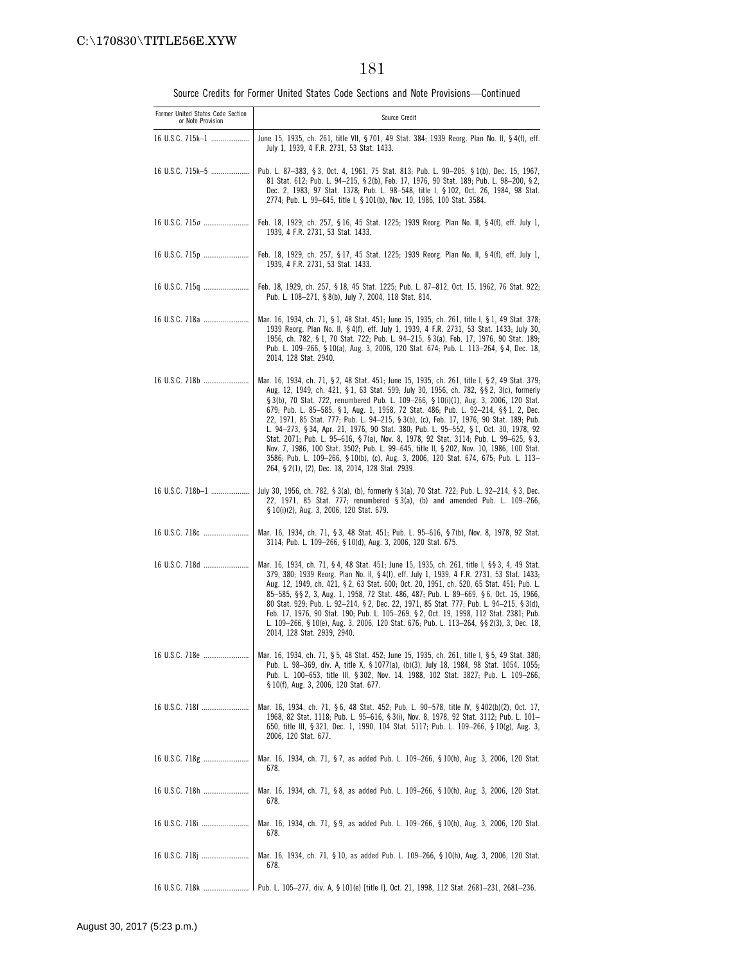| Former United States Code Section<br>or Note Provision | Source Credit                                                                                                                                                                                                                                                                                                                                                                                                                                                                                                                                                                                                                                                                                                                                                                                                                                                                              |
|--------------------------------------------------------|--------------------------------------------------------------------------------------------------------------------------------------------------------------------------------------------------------------------------------------------------------------------------------------------------------------------------------------------------------------------------------------------------------------------------------------------------------------------------------------------------------------------------------------------------------------------------------------------------------------------------------------------------------------------------------------------------------------------------------------------------------------------------------------------------------------------------------------------------------------------------------------------|
| 16 U.S.C. 715k-1                                       | June 15, 1935, ch. 261, title VII, § 701, 49 Stat. 384; 1939 Reorg. Plan No. II, § 4(f), eff.<br>July 1, 1939, 4 F.R. 2731, 53 Stat. 1433.                                                                                                                                                                                                                                                                                                                                                                                                                                                                                                                                                                                                                                                                                                                                                 |
| 16 U.S.C. 715k-5                                       | Pub. L. 87-383, §3, Oct. 4, 1961, 75 Stat. 813; Pub. L. 90-205, §1(b), Dec. 15, 1967,<br>81 Stat. 612; Pub. L. 94-215, § 2(b), Feb. 17, 1976, 90 Stat. 189; Pub. L. 98-200, § 2,<br>Dec. 2, 1983, 97 Stat. 1378; Pub. L. 98-548, title I, § 102, Oct. 26, 1984, 98 Stat.<br>2774; Pub. L. 99-645, title I, § 101(b), Nov. 10, 1986, 100 Stat. 3584.                                                                                                                                                                                                                                                                                                                                                                                                                                                                                                                                        |
| 16 U.S.C. 7150                                         | Feb. 18, 1929, ch. 257, § 16, 45 Stat. 1225; 1939 Reorg. Plan No. II, § 4(f), eff. July 1,<br>1939, 4 F.R. 2731, 53 Stat. 1433.                                                                                                                                                                                                                                                                                                                                                                                                                                                                                                                                                                                                                                                                                                                                                            |
| 16 U.S.C. 715p                                         | Feb. 18, 1929, ch. 257, § 17, 45 Stat. 1225; 1939 Reorg. Plan No. II, § 4(f), eff. July 1,<br>1939, 4 F.R. 2731, 53 Stat. 1433.                                                                                                                                                                                                                                                                                                                                                                                                                                                                                                                                                                                                                                                                                                                                                            |
|                                                        | Feb. 18, 1929, ch. 257, § 18, 45 Stat. 1225; Pub. L. 87–812, Oct. 15, 1962, 76 Stat. 922;<br>Pub. L. 108-271, § 8(b), July 7, 2004, 118 Stat. 814.                                                                                                                                                                                                                                                                                                                                                                                                                                                                                                                                                                                                                                                                                                                                         |
| 16 U.S.C. 718a                                         | Mar. 16, 1934, ch. 71, § 1, 48 Stat. 451; June 15, 1935, ch. 261, title I, § 1, 49 Stat. 378;<br>1939 Reorg. Plan No. II, § 4(f), eff. July 1, 1939, 4 F.R. 2731, 53 Stat. 1433; July 30,<br>1956, ch. 782, §1, 70 Stat. 722; Pub. L. 94-215, §3(a), Feb. 17, 1976, 90 Stat. 189;<br>Pub. L. 109-266, § 10(a), Aug. 3, 2006, 120 Stat. 674; Pub. L. 113-264, § 4, Dec. 18,<br>2014, 128 Stat. 2940.                                                                                                                                                                                                                                                                                                                                                                                                                                                                                        |
| 16 U.S.C. 718b                                         | Mar. 16, 1934, ch. 71, § 2, 48 Stat. 451; June 15, 1935, ch. 261, title I, § 2, 49 Stat. 379;<br>Aug. 12, 1949, ch. 421, § 1, 63 Stat. 599; July 30, 1956, ch. 782, § § 2, 3(c), formerly<br>§ 3(b), 70 Stat. 722, renumbered Pub. L. 109–266, § 10(i)(1), Aug. 3, 2006, 120 Stat.<br>679; Pub. L. 85-585, § 1, Aug. 1, 1958, 72 Stat. 486; Pub. L. 92-214, §§ 1, 2, Dec.<br>22, 1971, 85 Stat. 777; Pub. L. 94-215, § 3(b), (c), Feb. 17, 1976, 90 Stat. 189; Pub.<br>L. 94-273, § 34, Apr. 21, 1976, 90 Stat. 380; Pub. L. 95-552, § 1, Oct. 30, 1978, 92<br>Stat. 2071; Pub. L. 95-616, § 7(a), Nov. 8, 1978, 92 Stat. 3114; Pub. L. 99-625, § 3,<br>Nov. 7, 1986, 100 Stat. 3502; Pub. L. 99-645, title II, § 202, Nov. 10, 1986, 100 Stat.<br>3586; Pub. L. 109-266, § 10(b), (c), Aug. 3, 2006, 120 Stat. 674, 675; Pub. L. 113-<br>264, § 2(1), (2), Dec. 18, 2014, 128 Stat. 2939. |
| 16 U.S.C. 718b-1                                       | July 30, 1956, ch. 782, § 3(a), (b), formerly § 3(a), 70 Stat. 722; Pub. L. 92–214, § 3, Dec.<br>22, 1971, 85 Stat. 777; renumbered §3(a), (b) and amended Pub. L. 109-266,<br>§ 10(i)(2), Aug. 3, 2006, 120 Stat. 679.                                                                                                                                                                                                                                                                                                                                                                                                                                                                                                                                                                                                                                                                    |
| 16 U.S.C. 718c                                         | Mar. 16, 1934, ch. 71, §3, 48 Stat. 451; Pub. L. 95-616, §7(b), Nov. 8, 1978, 92 Stat.<br>3114; Pub. L. 109-266, § 10(d), Aug. 3, 2006, 120 Stat. 675.                                                                                                                                                                                                                                                                                                                                                                                                                                                                                                                                                                                                                                                                                                                                     |
| 16 U.S.C. 718d                                         | Mar. 16, 1934, ch. 71, § 4, 48 Stat. 451; June 15, 1935, ch. 261, title I, §§ 3, 4, 49 Stat.<br>379, 380; 1939 Reorg. Plan No. II, § 4(f), eff. July 1, 1939, 4 F.R. 2731, 53 Stat. 1433;<br>Aug. 12, 1949, ch. 421, § 2, 63 Stat. 600; Oct. 20, 1951, ch. 520, 65 Stat. 451; Pub. L.<br>85-585, §§ 2, 3, Aug. 1, 1958, 72 Stat. 486, 487; Pub. L. 89-669, § 6, Oct. 15, 1966,<br>80 Stat. 929; Pub. L. 92-214, § 2, Dec. 22, 1971, 85 Stat. 777; Pub. L. 94-215, § 3(d),<br>Feb. 17, 1976, 90 Stat. 190; Pub. L. 105-269, § 2, Oct. 19, 1998, 112 Stat. 2381; Pub.<br>L. 109-266, § 10(e), Aug. 3, 2006, 120 Stat. 676; Pub. L. 113-264, §§ 2(3), 3, Dec. 18,<br>2014, 128 Stat. 2939, 2940.                                                                                                                                                                                              |
| 16 U.S.C. 718e                                         | Mar. 16, 1934, ch. 71, § 5, 48 Stat. 452; June 15, 1935, ch. 261, title I, § 5, 49 Stat. 380;<br>Pub. L. 98-369, div. A, title X, § 1077(a), (b)(3), July 18, 1984, 98 Stat. 1054, 1055;<br>Pub. L. 100-653, title III, § 302, Nov. 14, 1988, 102 Stat. 3827; Pub. L. 109-266,<br>§ 10(f), Aug. 3, 2006, 120 Stat. 677.                                                                                                                                                                                                                                                                                                                                                                                                                                                                                                                                                                    |
| 16 U.S.C. 718f                                         | Mar. 16, 1934, ch. 71, §6, 48 Stat. 452; Pub. L. 90–578, title IV, §402(b)(2), Oct. 17,<br>1968, 82 Stat. 1118; Pub. L. 95-616, § 3(i), Nov. 8, 1978, 92 Stat. 3112; Pub. L. 101-<br>650, title III, § 321, Dec. 1, 1990, 104 Stat. 5117; Pub. L. 109-266, § 10(g), Aug. 3,<br>2006, 120 Stat. 677.                                                                                                                                                                                                                                                                                                                                                                                                                                                                                                                                                                                        |
| 16 U.S.C. 718g                                         | Mar. 16, 1934, ch. 71, §7, as added Pub. L. 109-266, §10(h), Aug. 3, 2006, 120 Stat.<br>678.                                                                                                                                                                                                                                                                                                                                                                                                                                                                                                                                                                                                                                                                                                                                                                                               |
| 16 U.S.C. 718h                                         | Mar. 16, 1934, ch. 71, §8, as added Pub. L. 109-266, § 10(h), Aug. 3, 2006, 120 Stat.<br>678.                                                                                                                                                                                                                                                                                                                                                                                                                                                                                                                                                                                                                                                                                                                                                                                              |
| 16 U.S.C. 718i                                         | Mar. 16, 1934, ch. 71, §9, as added Pub. L. 109-266, §10(h), Aug. 3, 2006, 120 Stat.<br>678.                                                                                                                                                                                                                                                                                                                                                                                                                                                                                                                                                                                                                                                                                                                                                                                               |
|                                                        | Mar. 16, 1934, ch. 71, § 10, as added Pub. L. 109-266, § 10(h), Aug. 3, 2006, 120 Stat.<br>678.                                                                                                                                                                                                                                                                                                                                                                                                                                                                                                                                                                                                                                                                                                                                                                                            |
| 16 U.S.C. 718k                                         | 1 Pub. L. 105—277, div. A, § 101(e) [title I], Oct. 21, 1998, 112 Stat. 2681—231, 2681—236.                                                                                                                                                                                                                                                                                                                                                                                                                                                                                                                                                                                                                                                                                                                                                                                                |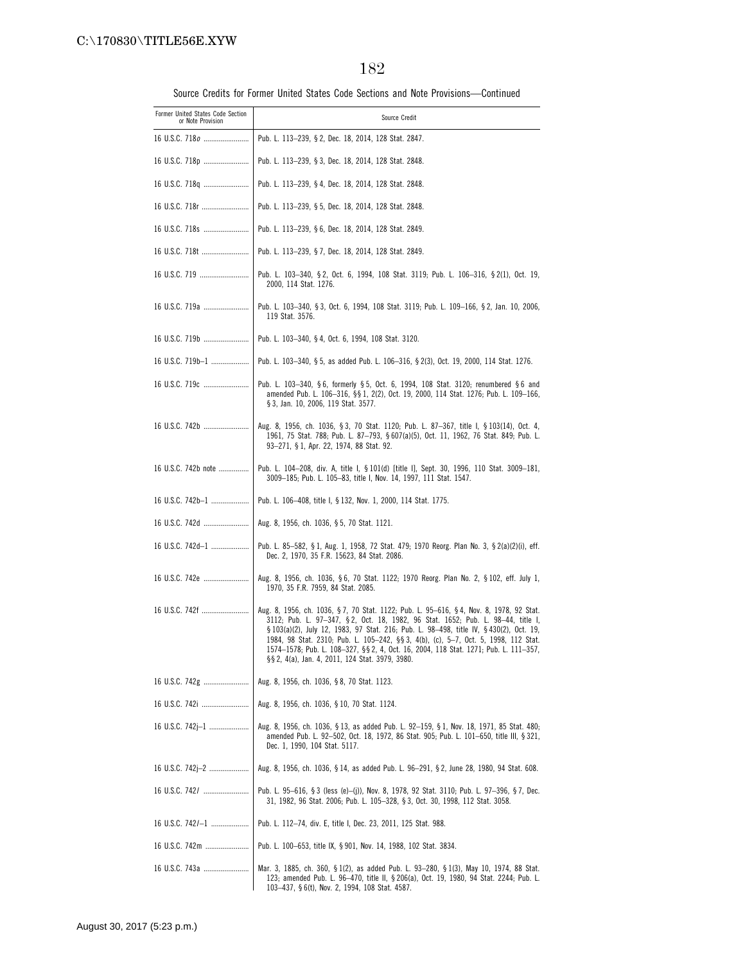| Former United States Code Section<br>or Note Provision | Source Credit                                                                                                                                                                                                                                                                                                                                                                                                                                                                                          |
|--------------------------------------------------------|--------------------------------------------------------------------------------------------------------------------------------------------------------------------------------------------------------------------------------------------------------------------------------------------------------------------------------------------------------------------------------------------------------------------------------------------------------------------------------------------------------|
|                                                        | Pub. L. 113–239, § 2, Dec. 18, 2014, 128 Stat. 2847.                                                                                                                                                                                                                                                                                                                                                                                                                                                   |
| 16 U.S.C. 718p                                         | Pub. L. 113-239, § 3, Dec. 18, 2014, 128 Stat. 2848.                                                                                                                                                                                                                                                                                                                                                                                                                                                   |
| 16 U.S.C. 718q                                         | Pub. L. 113-239, § 4, Dec. 18, 2014, 128 Stat. 2848.                                                                                                                                                                                                                                                                                                                                                                                                                                                   |
| 16 U.S.C. 718r                                         | Pub. L. 113-239, § 5, Dec. 18, 2014, 128 Stat. 2848.                                                                                                                                                                                                                                                                                                                                                                                                                                                   |
| 16 U.S.C. 718s                                         | Pub. L. 113-239, §6, Dec. 18, 2014, 128 Stat. 2849.                                                                                                                                                                                                                                                                                                                                                                                                                                                    |
| 16 U.S.C. 718t                                         | Pub. L. 113-239, § 7, Dec. 18, 2014, 128 Stat. 2849.                                                                                                                                                                                                                                                                                                                                                                                                                                                   |
| 16 U.S.C. 719                                          | Pub. L. 103-340, §2, Oct. 6, 1994, 108 Stat. 3119; Pub. L. 106-316, §2(1), Oct. 19,<br>2000, 114 Stat. 1276.                                                                                                                                                                                                                                                                                                                                                                                           |
| 16 U.S.C. 719a                                         | Pub. L. 103-340, § 3, Oct. 6, 1994, 108 Stat. 3119; Pub. L. 109-166, § 2, Jan. 10, 2006,<br>119 Stat. 3576.                                                                                                                                                                                                                                                                                                                                                                                            |
|                                                        | Pub. L. 103-340, §4, Oct. 6, 1994, 108 Stat. 3120.                                                                                                                                                                                                                                                                                                                                                                                                                                                     |
| 16 U.S.C. 719b-1                                       | Pub. L. 103-340, § 5, as added Pub. L. 106-316, § 2(3), Oct. 19, 2000, 114 Stat. 1276.                                                                                                                                                                                                                                                                                                                                                                                                                 |
| 16 U.S.C. 719c                                         | Pub. L. 103–340, §6, formerly §5, Oct. 6, 1994, 108 Stat. 3120; renumbered §6 and<br>amended Pub. L. 106-316, §§ 1, 2(2), Oct. 19, 2000, 114 Stat. 1276; Pub. L. 109-166,<br>§ 3, Jan. 10, 2006, 119 Stat. 3577.                                                                                                                                                                                                                                                                                       |
| 16 U.S.C. 742b                                         | Aug. 8, 1956, ch. 1036, §3, 70 Stat. 1120; Pub. L. 87-367, title I, §103(14), Oct. 4,<br>1961, 75 Stat. 788; Pub. L. 87-793, § 607(a)(5), Oct. 11, 1962, 76 Stat. 849; Pub. L.<br>93-271, § 1, Apr. 22, 1974, 88 Stat. 92.                                                                                                                                                                                                                                                                             |
| 16 U.S.C. 742b note                                    | Pub. L. 104–208, div. A, title I, § 101(d) [title I], Sept. 30, 1996, 110 Stat. 3009–181,<br>3009-185; Pub. L. 105-83, title I, Nov. 14, 1997, 111 Stat. 1547.                                                                                                                                                                                                                                                                                                                                         |
| 16 U.S.C. 742b-1                                       | Pub. L. 106-408, title I, § 132, Nov. 1, 2000, 114 Stat. 1775.                                                                                                                                                                                                                                                                                                                                                                                                                                         |
| 16 U.S.C. 742d                                         | Aug. 8, 1956, ch. 1036, §5, 70 Stat. 1121.                                                                                                                                                                                                                                                                                                                                                                                                                                                             |
| 16 U.S.C. 742d-1                                       | Pub. L. 85—582, § 1, Aug. 1, 1958, 72 Stat. 479; 1970 Reorg. Plan No. 3, § 2(a)(2)(i), eff.<br>Dec. 2, 1970, 35 F.R. 15623, 84 Stat. 2086.                                                                                                                                                                                                                                                                                                                                                             |
| 16 U.S.C. 742e                                         | Aug. 8, 1956, ch. 1036, §6, 70 Stat. 1122; 1970 Reorg. Plan No. 2, §102, eff. July 1,<br>1970, 35 F.R. 7959, 84 Stat. 2085.                                                                                                                                                                                                                                                                                                                                                                            |
| 16 U.S.C. 742f                                         | Aug. 8, 1956, ch. 1036, § 7, 70 Stat. 1122; Pub. L. 95-616, § 4, Nov. 8, 1978, 92 Stat.<br>3112; Pub. L. 97-347, §2, Oct. 18, 1982, 96 Stat. 1652; Pub. L. 98-44, title I,<br>§ 103(a)(2), July 12, 1983, 97 Stat. 216; Pub. L. 98-498, title IV, § 430(2), Oct. 19,<br>1984, 98 Stat. 2310; Pub. L. 105-242, §§ 3, 4(b), (c), 5-7, Oct. 5, 1998, 112 Stat.<br>1574-1578; Pub. L. 108-327, §§ 2, 4, Oct. 16, 2004, 118 Stat. 1271; Pub. L. 111-357,<br>§§ 2, 4(a), Jan. 4, 2011, 124 Stat. 3979, 3980. |
|                                                        | Aug. 8, 1956, ch. 1036, §8, 70 Stat. 1123.                                                                                                                                                                                                                                                                                                                                                                                                                                                             |
| 16 U.S.C. 742i                                         | Aug. 8, 1956, ch. 1036, § 10, 70 Stat. 1124.                                                                                                                                                                                                                                                                                                                                                                                                                                                           |
| 16 U.S.C. 742j-1                                       | Aug. 8, 1956, ch. 1036, § 13, as added Pub. L. 92-159, § 1, Nov. 18, 1971, 85 Stat. 480;<br>amended Pub. L. 92-502, Oct. 18, 1972, 86 Stat. 905; Pub. L. 101-650, title III, § 321,<br>Dec. 1, 1990, 104 Stat. 5117.                                                                                                                                                                                                                                                                                   |
| 16 U.S.C. 742j-2                                       | Aug. 8, 1956, ch. 1036, § 14, as added Pub. L. 96-291, § 2, June 28, 1980, 94 Stat. 608.                                                                                                                                                                                                                                                                                                                                                                                                               |
| 16 U.S.C. 742/                                         | Pub. L. 95—616, §3 (less (e)—(j)), Nov. 8, 1978, 92 Stat. 3110; Pub. L. 97—396, §7, Dec.<br>31, 1982, 96 Stat. 2006; Pub. L. 105-328, § 3, Oct. 30, 1998, 112 Stat. 3058.                                                                                                                                                                                                                                                                                                                              |
| 16 U.S.C. 742/-1                                       | Pub. L. 112–74, div. E, title I, Dec. 23, 2011, 125 Stat. 988.                                                                                                                                                                                                                                                                                                                                                                                                                                         |
| 16 U.S.C. 742m                                         | Pub. L. 100-653, title IX, § 901, Nov. 14, 1988, 102 Stat. 3834.                                                                                                                                                                                                                                                                                                                                                                                                                                       |
| 16 U.S.C. 743a                                         | Mar. 3, 1885, ch. 360, §1(2), as added Pub. L. 93–280, §1(3), May 10, 1974, 88 Stat.<br>123; amended Pub. L. 96–470, title II, § 206(a), Oct. 19, 1980, 94 Stat. 2244; Pub. L.<br>103-437, § 6(t), Nov. 2, 1994, 108 Stat. 4587.                                                                                                                                                                                                                                                                       |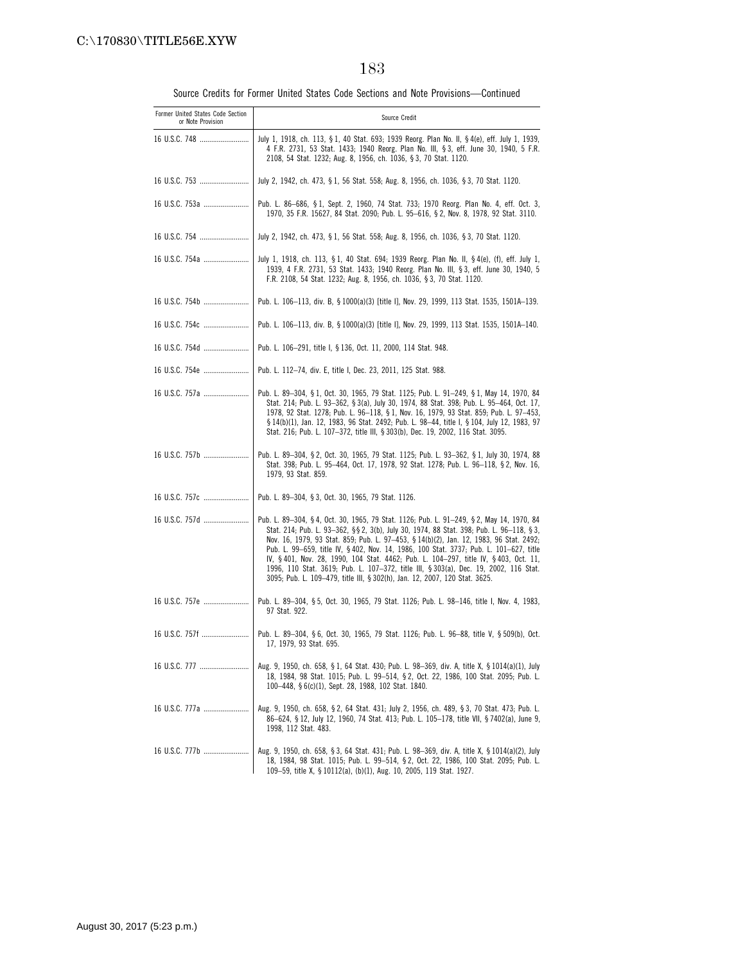| Former United States Code Section<br>or Note Provision | Source Credit                                                                                                                                                                                                                                                                                                                                                                                                                                                                                                                                                                                                                        |
|--------------------------------------------------------|--------------------------------------------------------------------------------------------------------------------------------------------------------------------------------------------------------------------------------------------------------------------------------------------------------------------------------------------------------------------------------------------------------------------------------------------------------------------------------------------------------------------------------------------------------------------------------------------------------------------------------------|
| 16 U.S.C. 748                                          | July 1, 1918, ch. 113, § 1, 40 Stat. 693; 1939 Reorg. Plan No. II, § 4(e), eff. July 1, 1939,<br>4 F.R. 2731, 53 Stat. 1433; 1940 Reorg. Plan No. III, §3, eff. June 30, 1940, 5 F.R.<br>2108, 54 Stat. 1232; Aug. 8, 1956, ch. 1036, § 3, 70 Stat. 1120.                                                                                                                                                                                                                                                                                                                                                                            |
|                                                        | July 2, 1942, ch. 473, §1, 56 Stat. 558; Aug. 8, 1956, ch. 1036, §3, 70 Stat. 1120.                                                                                                                                                                                                                                                                                                                                                                                                                                                                                                                                                  |
| 16 U.S.C. 753a                                         | Pub. L. 86–686, § 1, Sept. 2, 1960, 74 Stat. 733; 1970 Reorg. Plan No. 4, eff. Oct. 3,<br>1970, 35 F.R. 15627, 84 Stat. 2090; Pub. L. 95-616, § 2, Nov. 8, 1978, 92 Stat. 3110.                                                                                                                                                                                                                                                                                                                                                                                                                                                      |
|                                                        | July 2, 1942, ch. 473, § 1, 56 Stat. 558; Aug. 8, 1956, ch. 1036, § 3, 70 Stat. 1120.                                                                                                                                                                                                                                                                                                                                                                                                                                                                                                                                                |
| 16 U.S.C. 754a                                         | July 1, 1918, ch. 113, § 1, 40 Stat. 694; 1939 Reorg. Plan No. II, § 4(e), (f), eff. July 1,<br>1939, 4 F.R. 2731, 53 Stat. 1433; 1940 Reorg. Plan No. III, § 3, eff. June 30, 1940, 5<br>F.R. 2108, 54 Stat. 1232; Aug. 8, 1956, ch. 1036, § 3, 70 Stat. 1120.                                                                                                                                                                                                                                                                                                                                                                      |
| 16 U.S.C. 754b                                         | Pub. L. 106-113, div. B, § 1000(a)(3) [title I], Nov. 29, 1999, 113 Stat. 1535, 1501A-139.                                                                                                                                                                                                                                                                                                                                                                                                                                                                                                                                           |
| 16 U.S.C. 754c                                         | Pub. L. 106-113, div. B, § 1000(a)(3) [title I], Nov. 29, 1999, 113 Stat. 1535, 1501A-140.                                                                                                                                                                                                                                                                                                                                                                                                                                                                                                                                           |
| 16 U.S.C. 754d                                         | Pub. L. 106-291, title I, § 136, Oct. 11, 2000, 114 Stat. 948.                                                                                                                                                                                                                                                                                                                                                                                                                                                                                                                                                                       |
| 16 U.S.C. 754e                                         | Pub. L. 112-74, div. E, title I, Dec. 23, 2011, 125 Stat. 988.                                                                                                                                                                                                                                                                                                                                                                                                                                                                                                                                                                       |
| 16 U.S.C. 757a                                         | Pub. L. 89-304, § 1, Oct. 30, 1965, 79 Stat. 1125; Pub. L. 91-249, § 1, May 14, 1970, 84<br>Stat. 214; Pub. L. 93-362, § 3(a), July 30, 1974, 88 Stat. 398; Pub. L. 95-464, Oct. 17,<br>1978, 92 Stat. 1278; Pub. L. 96-118, § 1, Nov. 16, 1979, 93 Stat. 859; Pub. L. 97-453,<br>§ 14(b)(1), Jan. 12, 1983, 96 Stat. 2492; Pub. L. 98-44, title I, § 104, July 12, 1983, 97<br>Stat. 216; Pub. L. 107-372, title III, § 303(b), Dec. 19, 2002, 116 Stat. 3095.                                                                                                                                                                      |
| 16 U.S.C. 757b                                         | Pub. L. 89-304, § 2, Oct. 30, 1965, 79 Stat. 1125; Pub. L. 93-362, § 1, July 30, 1974, 88<br>Stat. 398; Pub. L. 95-464, Oct. 17, 1978, 92 Stat. 1278; Pub. L. 96-118, § 2, Nov. 16,<br>1979, 93 Stat. 859.                                                                                                                                                                                                                                                                                                                                                                                                                           |
|                                                        | Pub. L. 89-304, § 3, Oct. 30, 1965, 79 Stat. 1126.                                                                                                                                                                                                                                                                                                                                                                                                                                                                                                                                                                                   |
| 16 U.S.C. 757d                                         | Pub. L. 89-304, § 4, Oct. 30, 1965, 79 Stat. 1126; Pub. L. 91-249, § 2, May 14, 1970, 84<br>Stat. 214; Pub. L. 93-362, §§ 2, 3(b), July 30, 1974, 88 Stat. 398; Pub. L. 96-118, § 3,<br>Nov. 16, 1979, 93 Stat. 859; Pub. L. 97-453, § 14(b)(2), Jan. 12, 1983, 96 Stat. 2492;<br>Pub. L. 99-659, title IV, § 402, Nov. 14, 1986, 100 Stat. 3737; Pub. L. 101-627, title<br>IV, §401, Nov. 28, 1990, 104 Stat. 4462; Pub. L. 104-297, title IV, §403, Oct. 11,<br>1996, 110 Stat. 3619; Pub. L. 107-372, title III, § 303(a), Dec. 19, 2002, 116 Stat.<br>3095; Pub. L. 109-479, title III, § 302(h), Jan. 12, 2007, 120 Stat. 3625. |
| 16 U.S.C. 757e                                         | Pub. L. 89-304, § 5, Oct. 30, 1965, 79 Stat. 1126; Pub. L. 98-146, title I, Nov. 4, 1983,<br>97 Stat. 922.                                                                                                                                                                                                                                                                                                                                                                                                                                                                                                                           |
| 16 U.S.C. 757f                                         | Pub. L. 89-304, §6, Oct. 30, 1965, 79 Stat. 1126; Pub. L. 96-88, title V, § 509(b), Oct.<br>17, 1979, 93 Stat. 695.                                                                                                                                                                                                                                                                                                                                                                                                                                                                                                                  |
| 16 U.S.C. 777                                          | Aug. 9, 1950, ch. 658, § 1, 64 Stat. 430; Pub. L. 98-369, div. A, title X, § 1014(a)(1), July<br>18, 1984, 98 Stat. 1015; Pub. L. 99-514, § 2, Oct. 22, 1986, 100 Stat. 2095; Pub. L.<br>100-448, §6(c)(1), Sept. 28, 1988, 102 Stat. 1840.                                                                                                                                                                                                                                                                                                                                                                                          |
|                                                        | Aug. 9, 1950, ch. 658, § 2, 64 Stat. 431; July 2, 1956, ch. 489, § 3, 70 Stat. 473; Pub. L.<br>86-624, § 12, July 12, 1960, 74 Stat. 413; Pub. L. 105-178, title VII, § 7402(a), June 9,<br>1998, 112 Stat. 483.                                                                                                                                                                                                                                                                                                                                                                                                                     |
| 16 U.S.C. 777b                                         | Aug. 9, 1950, ch. 658, §3, 64 Stat. 431; Pub. L. 98-369, div. A, title X, §1014(a)(2), July<br>18, 1984, 98 Stat. 1015; Pub. L. 99-514, § 2, Oct. 22, 1986, 100 Stat. 2095; Pub. L.<br>109-59, title X, § 10112(a), (b)(1), Aug. 10, 2005, 119 Stat. 1927.                                                                                                                                                                                                                                                                                                                                                                           |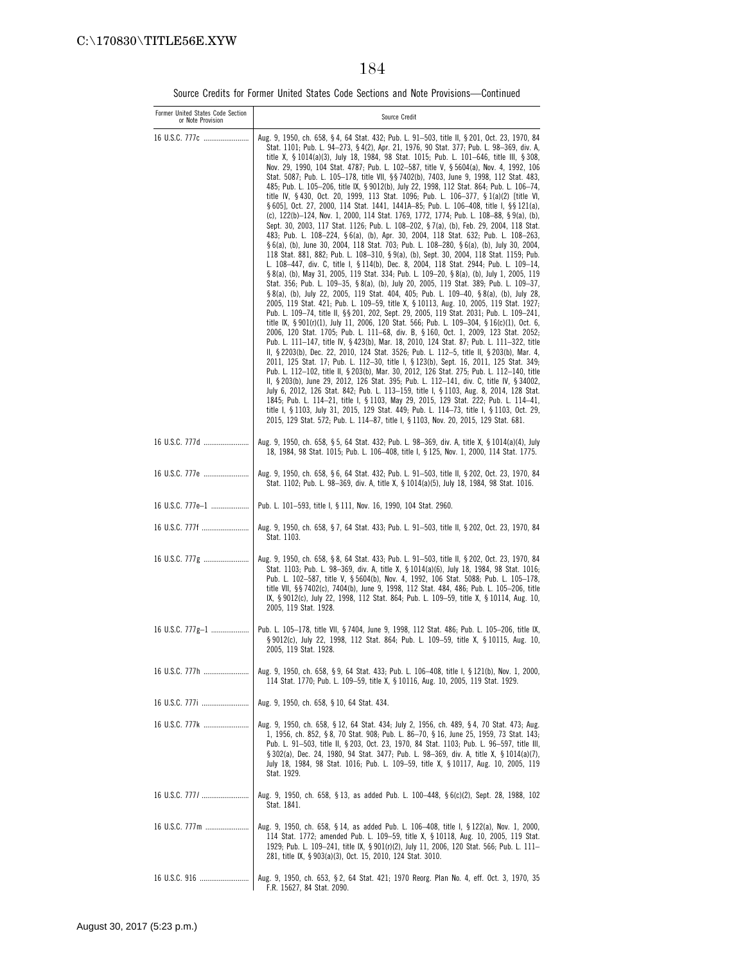| Former United States Code Section<br>or Note Provision | Source Credit                                                                                                                                                                                                                                                                                                                                                                                                                                                                                                                                                                                                                                                                                                                                                                                                                                                                                                                                                                                                                                                                                                                                                                                                                                                                                                                                                                                                                                                                                                                                                                                                                                                                                                                                                                                                                                                                                                                                                                                                                                                                                                                                                                                                                                                                                                                                                                                                                                                                                                                                                                                                                                                                                                                                                                                        |
|--------------------------------------------------------|------------------------------------------------------------------------------------------------------------------------------------------------------------------------------------------------------------------------------------------------------------------------------------------------------------------------------------------------------------------------------------------------------------------------------------------------------------------------------------------------------------------------------------------------------------------------------------------------------------------------------------------------------------------------------------------------------------------------------------------------------------------------------------------------------------------------------------------------------------------------------------------------------------------------------------------------------------------------------------------------------------------------------------------------------------------------------------------------------------------------------------------------------------------------------------------------------------------------------------------------------------------------------------------------------------------------------------------------------------------------------------------------------------------------------------------------------------------------------------------------------------------------------------------------------------------------------------------------------------------------------------------------------------------------------------------------------------------------------------------------------------------------------------------------------------------------------------------------------------------------------------------------------------------------------------------------------------------------------------------------------------------------------------------------------------------------------------------------------------------------------------------------------------------------------------------------------------------------------------------------------------------------------------------------------------------------------------------------------------------------------------------------------------------------------------------------------------------------------------------------------------------------------------------------------------------------------------------------------------------------------------------------------------------------------------------------------------------------------------------------------------------------------------------------------|
| 16 U.S.C. 777c                                         | Aug. 9, 1950, ch. 658, §4, 64 Stat. 432; Pub. L. 91–503, title II, §201, Oct. 23, 1970, 84<br>Stat. 1101; Pub. L. 94-273, § 4(2), Apr. 21, 1976, 90 Stat. 377; Pub. L. 98-369, div. A,<br>title X, § 1014(a)(3), July 18, 1984, 98 Stat. 1015; Pub. L. 101-646, title III, § 308,<br>Nov. 29, 1990, 104 Stat. 4787; Pub. L. 102-587, title V, § 5604(a), Nov. 4, 1992, 106<br>Stat. 5087; Pub. L. 105-178, title VII, §§ 7402(b), 7403, June 9, 1998, 112 Stat. 483,<br>485; Pub. L. 105-206, title IX, § 9012(b), July 22, 1998, 112 Stat. 864; Pub. L. 106-74,<br>title IV, §430, Oct. 20, 1999, 113 Stat. 1096; Pub. L. 106-377, §1(a)(2) [title VI,<br>§ 605], Oct. 27, 2000, 114 Stat. 1441, 1441A-85; Pub. L. 106-408, title I, §§ 121(a),<br>(c), 122(b)-124, Nov. 1, 2000, 114 Stat. 1769, 1772, 1774; Pub. L. 108-88, § 9(a), (b),<br>Sept. 30, 2003, 117 Stat. 1126; Pub. L. 108-202, § 7(a), (b), Feb. 29, 2004, 118 Stat.<br>483; Pub. L. 108-224, §6(a), (b), Apr. 30, 2004, 118 Stat. 632; Pub. L. 108-263,<br>§ 6(a), (b), June 30, 2004, 118 Stat. 703; Pub. L. 108-280, § 6(a), (b), July 30, 2004,<br>118 Stat. 881, 882; Pub. L. 108-310, § 9(a), (b), Sept. 30, 2004, 118 Stat. 1159; Pub.<br>L. 108-447, div. C, title I, § 114(b), Dec. 8, 2004, 118 Stat. 2944; Pub. L. 109-14,<br>§ 8(a), (b), May 31, 2005, 119 Stat. 334; Pub. L. 109-20, § 8(a), (b), July 1, 2005, 119<br>Stat. 356; Pub. L. 109-35, §8(a), (b), July 20, 2005, 119 Stat. 389; Pub. L. 109-37,<br>§ 8(a), (b), July 22, 2005, 119 Stat. 404, 405; Pub. L. 109-40, § 8(a), (b), July 28,<br>2005, 119 Stat. 421; Pub. L. 109-59, title X, § 10113, Aug. 10, 2005, 119 Stat. 1927;<br>Pub. L. 109-74, title II, §§ 201, 202, Sept. 29, 2005, 119 Stat. 2031; Pub. L. 109-241,<br>title IX, §901(r)(1), July 11, 2006, 120 Stat. 566; Pub. L. 109-304, §16(c)(1), Oct. 6,<br>2006, 120 Stat. 1705; Pub. L. 111-68, div. B, § 160, Oct. 1, 2009, 123 Stat. 2052;<br>Pub. L. 111-147, title IV, §423(b), Mar. 18, 2010, 124 Stat. 87; Pub. L. 111-322, title<br>II, § 2203(b), Dec. 22, 2010, 124 Stat. 3526; Pub. L. 112-5, title II, § 203(b), Mar. 4,<br>2011, 125 Stat. 17; Pub. L. 112-30, title I, § 123(b), Sept. 16, 2011, 125 Stat. 349;<br>Pub. L. 112-102, title II, § 203(b), Mar. 30, 2012, 126 Stat. 275; Pub. L. 112-140, title<br>II, § 203(b), June 29, 2012, 126 Stat. 395; Pub. L. 112-141, div. C, title IV, § 34002,<br>July 6, 2012, 126 Stat. 842; Pub. L. 113-159, title I, § 1103, Aug. 8, 2014, 128 Stat.<br>1845; Pub. L. 114-21, title I, § 1103, May 29, 2015, 129 Stat. 222; Pub. L. 114-41,<br>title I, § 1103, July 31, 2015, 129 Stat. 449; Pub. L. 114-73, title I, § 1103, Oct. 29,<br>2015, 129 Stat. 572; Pub. L. 114-87, title I, § 1103, Nov. 20, 2015, 129 Stat. 681. |
| 16 U.S.C. 777d                                         | Aug. 9, 1950, ch. 658, § 5, 64 Stat. 432; Pub. L. 98–369, div. A, title X, § 1014(a)(4), July<br>18, 1984, 98 Stat. 1015; Pub. L. 106-408, title I, § 125, Nov. 1, 2000, 114 Stat. 1775.                                                                                                                                                                                                                                                                                                                                                                                                                                                                                                                                                                                                                                                                                                                                                                                                                                                                                                                                                                                                                                                                                                                                                                                                                                                                                                                                                                                                                                                                                                                                                                                                                                                                                                                                                                                                                                                                                                                                                                                                                                                                                                                                                                                                                                                                                                                                                                                                                                                                                                                                                                                                             |
| 16 U.S.C. 777e                                         | Aug. 9, 1950, ch. 658, §6, 64 Stat. 432; Pub. L. 91–503, title II, § 202, Oct. 23, 1970, 84<br>Stat. 1102; Pub. L. 98-369, div. A, title X, § 1014(a)(5), July 18, 1984, 98 Stat. 1016.                                                                                                                                                                                                                                                                                                                                                                                                                                                                                                                                                                                                                                                                                                                                                                                                                                                                                                                                                                                                                                                                                                                                                                                                                                                                                                                                                                                                                                                                                                                                                                                                                                                                                                                                                                                                                                                                                                                                                                                                                                                                                                                                                                                                                                                                                                                                                                                                                                                                                                                                                                                                              |
| 16 U.S.C. 777e-1                                       | Pub. L. 101–593, title I, § 111, Nov. 16, 1990, 104 Stat. 2960.                                                                                                                                                                                                                                                                                                                                                                                                                                                                                                                                                                                                                                                                                                                                                                                                                                                                                                                                                                                                                                                                                                                                                                                                                                                                                                                                                                                                                                                                                                                                                                                                                                                                                                                                                                                                                                                                                                                                                                                                                                                                                                                                                                                                                                                                                                                                                                                                                                                                                                                                                                                                                                                                                                                                      |
| 16 U.S.C. 777f                                         | Aug. 9, 1950, ch. 658, § 7, 64 Stat. 433; Pub. L. 91–503, title II, § 202, Oct. 23, 1970, 84<br>Stat. 1103.                                                                                                                                                                                                                                                                                                                                                                                                                                                                                                                                                                                                                                                                                                                                                                                                                                                                                                                                                                                                                                                                                                                                                                                                                                                                                                                                                                                                                                                                                                                                                                                                                                                                                                                                                                                                                                                                                                                                                                                                                                                                                                                                                                                                                                                                                                                                                                                                                                                                                                                                                                                                                                                                                          |
|                                                        | Aug. 9, 1950, ch. 658, §8, 64 Stat. 433; Pub. L. 91–503, title II, §202, Oct. 23, 1970, 84<br>Stat. 1103; Pub. L. 98-369, div. A, title X, § 1014(a)(6), July 18, 1984, 98 Stat. 1016;<br>Pub. L. 102-587, title V, § 5604(b), Nov. 4, 1992, 106 Stat. 5088; Pub. L. 105-178,<br>title VII, §§ 7402(c), 7404(b), June 9, 1998, 112 Stat. 484, 486; Pub. L. 105-206, title<br>IX, § 9012(c), July 22, 1998, 112 Stat. 864; Pub. L. 109-59, title X, § 10114, Aug. 10,<br>2005, 119 Stat. 1928.                                                                                                                                                                                                                                                                                                                                                                                                                                                                                                                                                                                                                                                                                                                                                                                                                                                                                                                                                                                                                                                                                                                                                                                                                                                                                                                                                                                                                                                                                                                                                                                                                                                                                                                                                                                                                                                                                                                                                                                                                                                                                                                                                                                                                                                                                                        |
|                                                        | Pub. L. 105-178, title VII, § 7404, June 9, 1998, 112 Stat. 486; Pub. L. 105-206, title IX,<br>§ 9012(c), July 22, 1998, 112 Stat. 864; Pub. L. 109-59, title X, § 10115, Aug. 10,<br>2005, 119 Stat. 1928.                                                                                                                                                                                                                                                                                                                                                                                                                                                                                                                                                                                                                                                                                                                                                                                                                                                                                                                                                                                                                                                                                                                                                                                                                                                                                                                                                                                                                                                                                                                                                                                                                                                                                                                                                                                                                                                                                                                                                                                                                                                                                                                                                                                                                                                                                                                                                                                                                                                                                                                                                                                          |
| 16 U.S.C. 777h                                         | Aug. 9, 1950, ch. 658, §9, 64 Stat. 433; Pub. L. 106-408, title I, § 121(b), Nov. 1, 2000,<br>114 Stat. 1770; Pub. L. 109-59, title X, § 10116, Aug. 10, 2005, 119 Stat. 1929.                                                                                                                                                                                                                                                                                                                                                                                                                                                                                                                                                                                                                                                                                                                                                                                                                                                                                                                                                                                                                                                                                                                                                                                                                                                                                                                                                                                                                                                                                                                                                                                                                                                                                                                                                                                                                                                                                                                                                                                                                                                                                                                                                                                                                                                                                                                                                                                                                                                                                                                                                                                                                       |
|                                                        | Aug. 9, 1950, ch. 658, § 10, 64 Stat. 434.                                                                                                                                                                                                                                                                                                                                                                                                                                                                                                                                                                                                                                                                                                                                                                                                                                                                                                                                                                                                                                                                                                                                                                                                                                                                                                                                                                                                                                                                                                                                                                                                                                                                                                                                                                                                                                                                                                                                                                                                                                                                                                                                                                                                                                                                                                                                                                                                                                                                                                                                                                                                                                                                                                                                                           |
|                                                        | Aug. 9, 1950, ch. 658, § 12, 64 Stat. 434; July 2, 1956, ch. 489, § 4, 70 Stat. 473; Aug.<br>1, 1956, ch. 852, § 8, 70 Stat. 908; Pub. L. 86-70, § 16, June 25, 1959, 73 Stat. 143;<br>Pub. L. 91-503, title II, § 203, Oct. 23, 1970, 84 Stat. 1103; Pub. L. 96-597, title III,<br>§ 302(a), Dec. 24, 1980, 94 Stat. 3477; Pub. L. 98-369, div. A, title X, § 1014(a)(7),<br>July 18, 1984, 98 Stat. 1016; Pub. L. 109-59, title X, § 10117, Aug. 10, 2005, 119<br>Stat. 1929.                                                                                                                                                                                                                                                                                                                                                                                                                                                                                                                                                                                                                                                                                                                                                                                                                                                                                                                                                                                                                                                                                                                                                                                                                                                                                                                                                                                                                                                                                                                                                                                                                                                                                                                                                                                                                                                                                                                                                                                                                                                                                                                                                                                                                                                                                                                      |
|                                                        | Aug. 9, 1950, ch. 658, §13, as added Pub. L. 100-448, §6(c)(2), Sept. 28, 1988, 102<br>Stat. 1841.                                                                                                                                                                                                                                                                                                                                                                                                                                                                                                                                                                                                                                                                                                                                                                                                                                                                                                                                                                                                                                                                                                                                                                                                                                                                                                                                                                                                                                                                                                                                                                                                                                                                                                                                                                                                                                                                                                                                                                                                                                                                                                                                                                                                                                                                                                                                                                                                                                                                                                                                                                                                                                                                                                   |
| 16 U.S.C. 777m                                         | Aug. 9, 1950, ch. 658, § 14, as added Pub. L. 106-408, title I, § 122(a), Nov. 1, 2000,<br>114 Stat. 1772; amended Pub. L. 109-59, title X, § 10118, Aug. 10, 2005, 119 Stat.<br>1929; Pub. L. 109-241, title IX, § 901(r)(2), July 11, 2006, 120 Stat. 566; Pub. L. 111-<br>281, title IX, § 903(a)(3), Oct. 15, 2010, 124 Stat. 3010.                                                                                                                                                                                                                                                                                                                                                                                                                                                                                                                                                                                                                                                                                                                                                                                                                                                                                                                                                                                                                                                                                                                                                                                                                                                                                                                                                                                                                                                                                                                                                                                                                                                                                                                                                                                                                                                                                                                                                                                                                                                                                                                                                                                                                                                                                                                                                                                                                                                              |
| 16 U.S.C. 916                                          | Aug. 9, 1950, ch. 653, § 2, 64 Stat. 421, 1970 Reorg. Plan No. 4, eff. Oct. 3, 1970, 35<br>F.R. 15627, 84 Stat. 2090.                                                                                                                                                                                                                                                                                                                                                                                                                                                                                                                                                                                                                                                                                                                                                                                                                                                                                                                                                                                                                                                                                                                                                                                                                                                                                                                                                                                                                                                                                                                                                                                                                                                                                                                                                                                                                                                                                                                                                                                                                                                                                                                                                                                                                                                                                                                                                                                                                                                                                                                                                                                                                                                                                |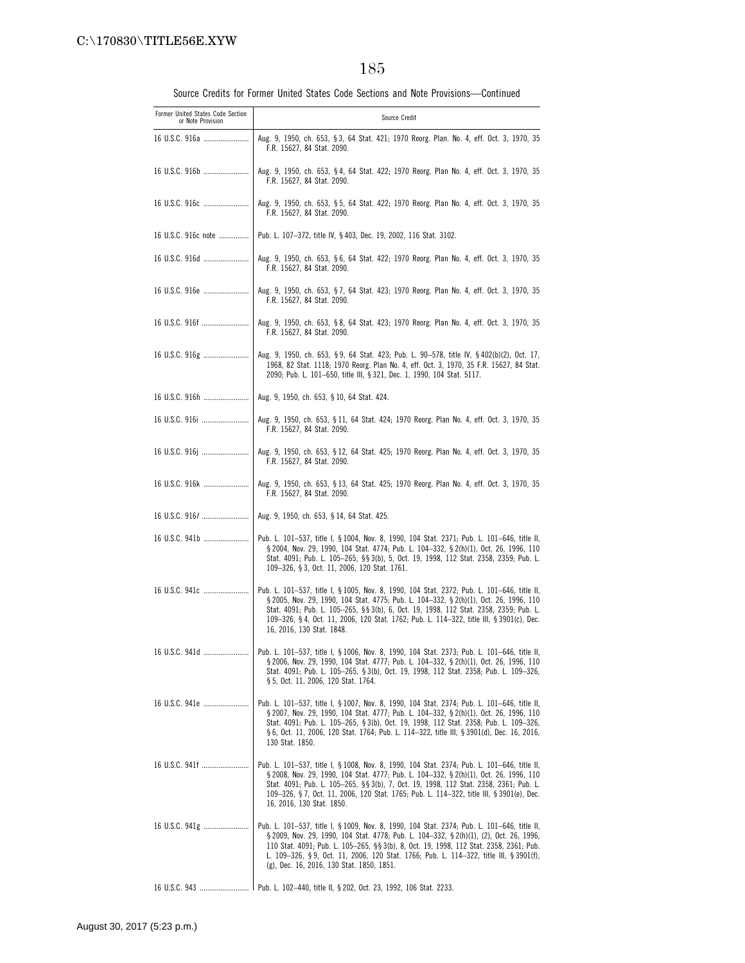| Former United States Code Section<br>or Note Provision | Source Credit                                                                                                                                                                                                                                                                                                                                                                                                                          |
|--------------------------------------------------------|----------------------------------------------------------------------------------------------------------------------------------------------------------------------------------------------------------------------------------------------------------------------------------------------------------------------------------------------------------------------------------------------------------------------------------------|
| 16 U.S.C. 916a                                         | Aug. 9, 1950, ch. 653, §3, 64 Stat. 421; 1970 Reorg. Plan. No. 4, eff. Oct. 3, 1970, 35<br>F.R. 15627, 84 Stat. 2090.                                                                                                                                                                                                                                                                                                                  |
| 16 U.S.C. 916b                                         | Aug. 9, 1950, ch. 653, §4, 64 Stat. 422; 1970 Reorg. Plan No. 4, eff. Oct. 3, 1970, 35<br>F.R. 15627, 84 Stat. 2090.                                                                                                                                                                                                                                                                                                                   |
|                                                        | Aug. 9, 1950, ch. 653, § 5, 64 Stat. 422; 1970 Reorg. Plan No. 4, eff. Oct. 3, 1970, 35<br>F.R. 15627, 84 Stat. 2090.                                                                                                                                                                                                                                                                                                                  |
| 16 U.S.C. 916c note                                    | Pub. L. 107-372, title IV, § 403, Dec. 19, 2002, 116 Stat. 3102.                                                                                                                                                                                                                                                                                                                                                                       |
| 16 U.S.C. 916d                                         | Aug. 9, 1950, ch. 653, §6, 64 Stat. 422; 1970 Reorg. Plan No. 4, eff. Oct. 3, 1970, 35<br>F.R. 15627, 84 Stat. 2090.                                                                                                                                                                                                                                                                                                                   |
| 16 U.S.C. 916e                                         | Aug. 9, 1950, ch. 653, § 7, 64 Stat. 423; 1970 Reorg. Plan No. 4, eff. Oct. 3, 1970, 35<br>F.R. 15627, 84 Stat. 2090.                                                                                                                                                                                                                                                                                                                  |
| 16 U.S.C. 916f                                         | Aug. 9, 1950, ch. 653, §8, 64 Stat. 423; 1970 Reorg. Plan No. 4, eff. Oct. 3, 1970, 35<br>F.R. 15627, 84 Stat. 2090.                                                                                                                                                                                                                                                                                                                   |
| 16 U.S.C. 916g                                         | Aug. 9, 1950, ch. 653, §9, 64 Stat. 423; Pub. L. 90–578, title IV, §402(b)(2), Oct. 17,<br>1968, 82 Stat. 1118; 1970 Reorg. Plan No. 4, eff. Oct. 3, 1970, 35 F.R. 15627, 84 Stat.<br>2090; Pub. L. 101-650, title III, § 321, Dec. 1, 1990, 104 Stat. 5117.                                                                                                                                                                           |
| 16 U.S.C. 916h                                         | Aug. 9, 1950, ch. 653, § 10, 64 Stat. 424.                                                                                                                                                                                                                                                                                                                                                                                             |
| 16 U.S.C. 916i                                         | Aug. 9, 1950, ch. 653, § 11, 64 Stat. 424; 1970 Reorg. Plan No. 4, eff. Oct. 3, 1970, 35<br>F.R. 15627, 84 Stat. 2090.                                                                                                                                                                                                                                                                                                                 |
| 16 U.S.C. 916j                                         | Aug. 9, 1950, ch. 653, § 12, 64 Stat. 425; 1970 Reorg. Plan No. 4, eff. Oct. 3, 1970, 35<br>F.R. 15627, 84 Stat. 2090.                                                                                                                                                                                                                                                                                                                 |
| 16 U.S.C. 916k                                         | Aug. 9, 1950, ch. 653, § 13, 64 Stat. 425; 1970 Reorg. Plan No. 4, eff. Oct. 3, 1970, 35<br>F.R. 15627, 84 Stat. 2090.                                                                                                                                                                                                                                                                                                                 |
|                                                        | Aug. 9, 1950, ch. 653, § 14, 64 Stat. 425.                                                                                                                                                                                                                                                                                                                                                                                             |
| 16 U.S.C. 941b                                         | Pub. L. 101-537, title I, § 1004, Nov. 8, 1990, 104 Stat. 2371; Pub. L. 101-646, title II,<br>§ 2004, Nov. 29, 1990, 104 Stat. 4774; Pub. L. 104-332, § 2(h)(1), Oct. 26, 1996, 110<br>Stat. 4091; Pub. L. 105-265, §§ 3(b), 5, Oct. 19, 1998, 112 Stat. 2358, 2359; Pub. L.<br>109-326, §3, Oct. 11, 2006, 120 Stat. 1761.                                                                                                            |
| 16 U.S.C. 941c                                         | Pub. L. 101-537, title I, § 1005, Nov. 8, 1990, 104 Stat. 2372; Pub. L. 101-646, title II,<br>§ 2005, Nov. 29, 1990, 104 Stat. 4775; Pub. L. 104-332, § 2(h)(1), Oct. 26, 1996, 110<br>Stat. 4091; Pub. L. 105-265, §§ 3(b), 6, Oct. 19, 1998, 112 Stat. 2358, 2359; Pub. L.<br>109-326, §4, Oct. 11, 2006, 120 Stat. 1762; Pub. L. 114-322, title III, § 3901(c), Dec.<br>16, 2016, 130 Stat. 1848.                                   |
| 16 U.S.C. 941d                                         | Pub. L. 101-537, title I, § 1006, Nov. 8, 1990, 104 Stat. 2373; Pub. L. 101-646, title II,<br>§ 2006, Nov. 29, 1990, 104 Stat. 4777; Pub. L. 104-332, § 2(h)(1), Oct. 26, 1996, 110<br>Stat. 4091; Pub. L. 105-265, § 3(b), Oct. 19, 1998, 112 Stat. 2358; Pub. L. 109-326,<br>§ 5, Oct. 11, 2006, 120 Stat. 1764.                                                                                                                     |
|                                                        | 16 U.S.C. 941e    Pub. L. 101-537, title I, § 1007, Nov. 8, 1990, 104 Stat. 2374; Pub. L. 101-646, title II,<br>§ 2007, Nov. 29, 1990, 104 Stat. 4777; Pub. L. 104-332, § 2(h)(1), Oct. 26, 1996, 110<br>Stat. 4091; Pub. L. 105-265, § 3(b), Oct. 19, 1998, 112 Stat. 2358; Pub. L. 109-326,<br>§6, Oct. 11, 2006, 120 Stat. 1764; Pub. L. 114-322, title III, § 3901(d), Dec. 16, 2016,<br>130 Stat. 1850.                           |
|                                                        | 16 U.S.C. 941f    Pub. L. 101–537, title I, § 1008, Nov. 8, 1990, 104 Stat. 2374; Pub. L. 101–646, title II,<br>§ 2008, Nov. 29, 1990, 104 Stat. 4777; Pub. L. 104-332, § 2(h)(1), Oct. 26, 1996, 110<br>Stat. 4091; Pub. L. 105-265, §§ 3(b), 7, Oct. 19, 1998, 112 Stat. 2358, 2361; Pub. L.<br>109-326, §7, Oct. 11, 2006, 120 Stat. 1765; Pub. L. 114-322, title III, § 3901(e), Dec.<br>16, 2016, 130 Stat. 1850.                 |
|                                                        | 16 U.S.C. 941g    Pub. L. 101-537, title I, § 1009, Nov. 8, 1990, 104 Stat. 2374; Pub. L. 101-646, title II,<br>§ 2009, Nov. 29, 1990, 104 Stat. 4778; Pub. L. 104-332, § 2(h)(1), (2), Oct. 26, 1996,<br>110 Stat. 4091; Pub. L. 105-265, §§ 3(b), 8, Oct. 19, 1998, 112 Stat. 2358, 2361; Pub.<br>L. 109-326, §9, Oct. 11, 2006, 120 Stat. 1766; Pub. L. 114-322, title III, § 3901(f),<br>(g), Dec. 16, 2016, 130 Stat. 1850, 1851. |
|                                                        |                                                                                                                                                                                                                                                                                                                                                                                                                                        |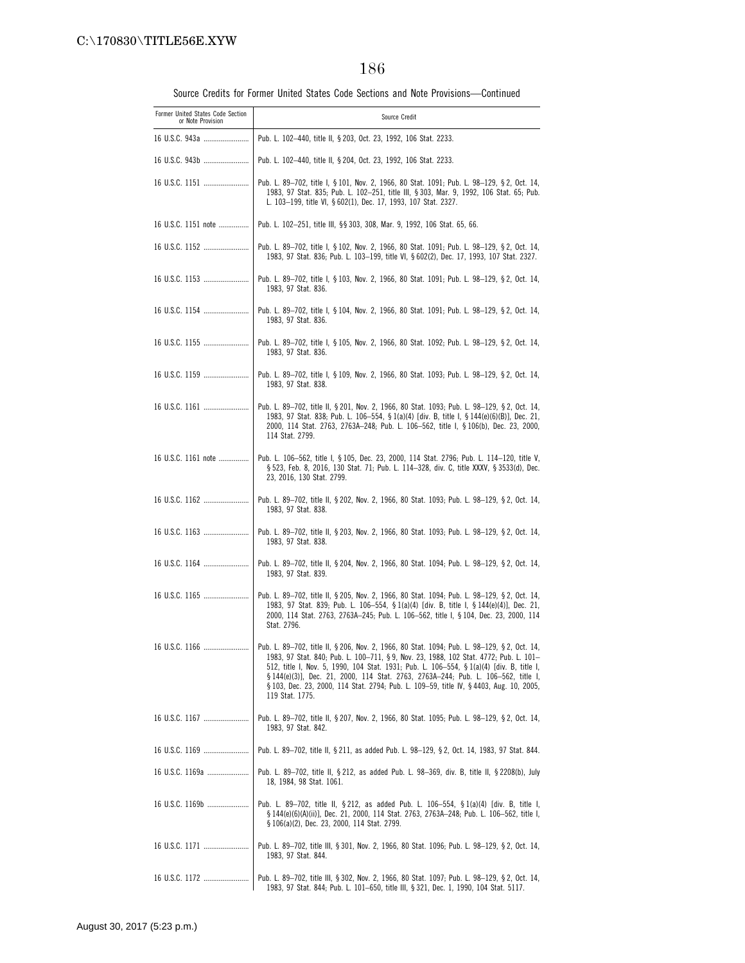| Former United States Code Section<br>or Note Provision | Source Credit                                                                                                                                                                                                                                                                                                                                                                                                                                                                     |
|--------------------------------------------------------|-----------------------------------------------------------------------------------------------------------------------------------------------------------------------------------------------------------------------------------------------------------------------------------------------------------------------------------------------------------------------------------------------------------------------------------------------------------------------------------|
| 16 U.S.C. 943a                                         | Pub. L. 102-440, title II, § 203, Oct. 23, 1992, 106 Stat. 2233.                                                                                                                                                                                                                                                                                                                                                                                                                  |
|                                                        | Pub. L. 102-440, title II, § 204, Oct. 23, 1992, 106 Stat. 2233.                                                                                                                                                                                                                                                                                                                                                                                                                  |
| 16 U.S.C. 1151                                         | Pub. L. 89-702, title I, § 101, Nov. 2, 1966, 80 Stat. 1091, Pub. L. 98-129, § 2, Oct. 14,<br>1983, 97 Stat. 835; Pub. L. 102-251, title III, § 303, Mar. 9, 1992, 106 Stat. 65; Pub.<br>L. 103-199, title VI, § 602(1), Dec. 17, 1993, 107 Stat. 2327.                                                                                                                                                                                                                           |
| 16 U.S.C. 1151 note                                    | Pub. L. 102-251, title III, §§ 303, 308, Mar. 9, 1992, 106 Stat. 65, 66.                                                                                                                                                                                                                                                                                                                                                                                                          |
| 16 U.S.C. 1152                                         | Pub. L. 89-702, title I, § 102, Nov. 2, 1966, 80 Stat. 1091; Pub. L. 98-129, § 2, Oct. 14,<br>1983, 97 Stat. 836; Pub. L. 103-199, title VI, § 602(2), Dec. 17, 1993, 107 Stat. 2327.                                                                                                                                                                                                                                                                                             |
|                                                        | Pub. L. 89-702, title I, § 103, Nov. 2, 1966, 80 Stat. 1091; Pub. L. 98-129, § 2, Oct. 14,<br>1983, 97 Stat. 836.                                                                                                                                                                                                                                                                                                                                                                 |
|                                                        | Pub. L. 89-702, title I, § 104, Nov. 2, 1966, 80 Stat. 1091; Pub. L. 98-129, § 2, Oct. 14,<br>1983, 97 Stat. 836.                                                                                                                                                                                                                                                                                                                                                                 |
|                                                        | Pub. L. 89–702, title I, § 105, Nov. 2, 1966, 80 Stat. 1092; Pub. L. 98–129, § 2, Oct. 14,<br>1983, 97 Stat. 836.                                                                                                                                                                                                                                                                                                                                                                 |
|                                                        | Pub. L. 89-702, title I, § 109, Nov. 2, 1966, 80 Stat. 1093; Pub. L. 98-129, § 2, Oct. 14,<br>1983, 97 Stat. 838.                                                                                                                                                                                                                                                                                                                                                                 |
|                                                        | Pub. L. 89-702, title II, § 201, Nov. 2, 1966, 80 Stat. 1093; Pub. L. 98-129, § 2, Oct. 14,<br>1983, 97 Stat. 838; Pub. L. 106-554, § 1(a)(4) [div. B, title I, § 144(e)(6)(B)], Dec. 21,<br>2000, 114 Stat. 2763, 2763A-248; Pub. L. 106-562, title I, § 106(b), Dec. 23, 2000,<br>114 Stat. 2799.                                                                                                                                                                               |
| 16 U.S.C. 1161 note                                    | Pub. L. 106-562, title I, § 105, Dec. 23, 2000, 114 Stat. 2796; Pub. L. 114-120, title V,<br>§ 523, Feb. 8, 2016, 130 Stat. 71; Pub. L. 114-328, div. C, title XXXV, § 3533(d), Dec.<br>23, 2016, 130 Stat. 2799.                                                                                                                                                                                                                                                                 |
|                                                        | Pub. L. 89-702, title II, § 202, Nov. 2, 1966, 80 Stat. 1093; Pub. L. 98-129, § 2, Oct. 14,<br>1983, 97 Stat. 838.                                                                                                                                                                                                                                                                                                                                                                |
|                                                        | Pub. L. 89-702, title II, § 203, Nov. 2, 1966, 80 Stat. 1093; Pub. L. 98-129, § 2, Oct. 14,<br>1983, 97 Stat. 838.                                                                                                                                                                                                                                                                                                                                                                |
|                                                        | Pub. L. 89–702, title II, § 204, Nov. 2, 1966, 80 Stat. 1094; Pub. L. 98–129, § 2, Oct. 14,<br>1983, 97 Stat. 839.                                                                                                                                                                                                                                                                                                                                                                |
| 16 U.S.C. 1165                                         | Pub. L. 89-702, title II, § 205, Nov. 2, 1966, 80 Stat. 1094; Pub. L. 98-129, § 2, Oct. 14,<br>1983, 97 Stat. 839; Pub. L. 106-554, § 1(a)(4) [div. B, title I, § 144(e)(4)], Dec. 21,<br>2000, 114 Stat. 2763, 2763A-245; Pub. L. 106-562, title I, § 104, Dec. 23, 2000, 114<br>Stat. 2796.                                                                                                                                                                                     |
| 16 U.S.C. 1166                                         | Pub. L. 89-702, title II, § 206, Nov. 2, 1966, 80 Stat. 1094; Pub. L. 98-129, § 2, Oct. 14,<br>1983, 97 Stat. 840; Pub. L. 100-711, §9, Nov. 23, 1988, 102 Stat. 4772; Pub. L. 101-<br>512, title I, Nov. 5, 1990, 104 Stat. 1931; Pub. L. 106-554, § 1(a)(4) [div. B, title I,<br>§ 144(e)(3)], Dec. 21, 2000, 114 Stat. 2763, 2763A-244; Pub. L. 106-562, title I,<br>§ 103, Dec. 23, 2000, 114 Stat. 2794; Pub. L. 109-59, title IV, § 4403, Aug. 10, 2005,<br>119 Stat. 1775. |
|                                                        | Pub. L. 89–702, title II, § 207, Nov. 2, 1966, 80 Stat. 1095; Pub. L. 98–129, § 2, Oct. 14,<br>1983, 97 Stat. 842.                                                                                                                                                                                                                                                                                                                                                                |
|                                                        | Pub. L. 89–702, title II, § 211, as added Pub. L. 98–129, § 2, Oct. 14, 1983, 97 Stat. 844.                                                                                                                                                                                                                                                                                                                                                                                       |
| 16 U.S.C. 1169a                                        | Pub. L. 89–702, title II, § 212, as added Pub. L. 98–369, div. B, title II, § 2208(b), July<br>18, 1984, 98 Stat. 1061.                                                                                                                                                                                                                                                                                                                                                           |
| 16 U.S.C. 1169b                                        | Pub. L. 89–702, title II, § 212, as added Pub. L. 106–554, § 1(a)(4) [div. B, title I,<br>§ 144(e)(6)(A)(ii)], Dec. 21, 2000, 114 Stat. 2763, 2763A—248; Pub. L. 106—562, title I,<br>§ 106(a)(2), Dec. 23, 2000, 114 Stat. 2799.                                                                                                                                                                                                                                                 |
|                                                        | Pub. L. 89–702, title III, § 301, Nov. 2, 1966, 80 Stat. 1096; Pub. L. 98–129, § 2, Oct. 14,<br>1983, 97 Stat. 844.                                                                                                                                                                                                                                                                                                                                                               |
| 16 U.S.C. 1172                                         | Pub. L. 89–702, title III, § 302, Nov. 2, 1966, 80 Stat. 1097; Pub. L. 98–129, § 2, Oct. 14,<br>1983, 97 Stat. 844; Pub. L. 101-650, title III, § 321, Dec. 1, 1990, 104 Stat. 5117.                                                                                                                                                                                                                                                                                              |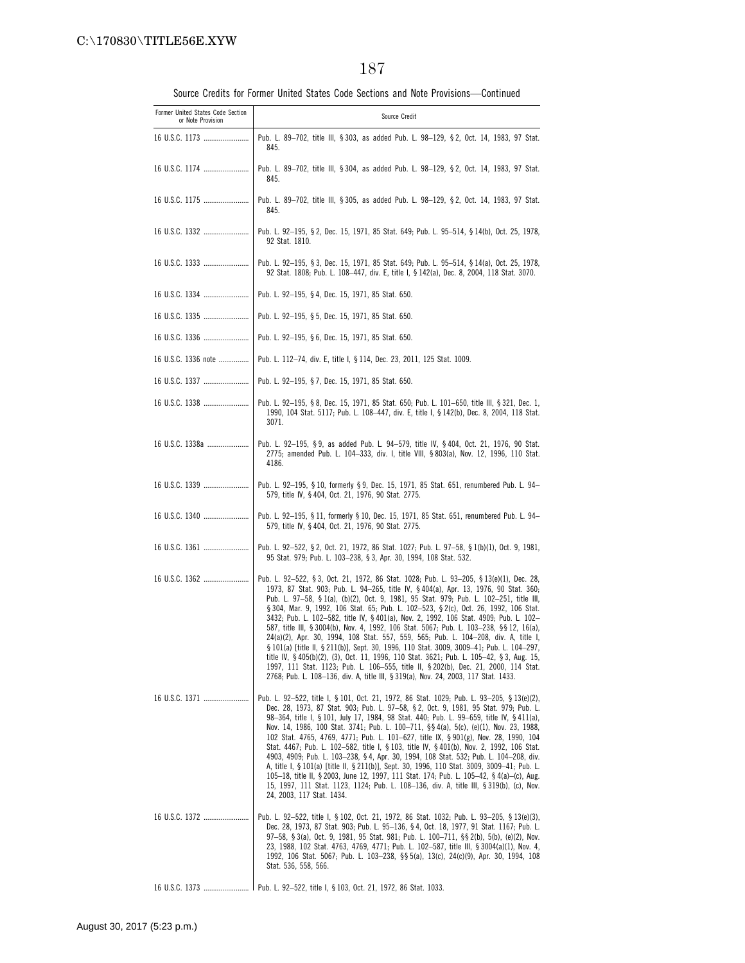| Former United States Code Section<br>or Note Provision | Source Credit                                                                                                                                                                                                                                                                                                                                                                                                                                                                                                                                                                                                                                                                                                                                                                                                                                                                                                                                                                                                  |
|--------------------------------------------------------|----------------------------------------------------------------------------------------------------------------------------------------------------------------------------------------------------------------------------------------------------------------------------------------------------------------------------------------------------------------------------------------------------------------------------------------------------------------------------------------------------------------------------------------------------------------------------------------------------------------------------------------------------------------------------------------------------------------------------------------------------------------------------------------------------------------------------------------------------------------------------------------------------------------------------------------------------------------------------------------------------------------|
| 16 U.S.C. 1173                                         | Pub. L. 89-702, title III, § 303, as added Pub. L. 98-129, § 2, Oct. 14, 1983, 97 Stat.<br>845.                                                                                                                                                                                                                                                                                                                                                                                                                                                                                                                                                                                                                                                                                                                                                                                                                                                                                                                |
|                                                        | Pub. L. 89–702, title III, § 304, as added Pub. L. 98–129, § 2, Oct. 14, 1983, 97 Stat.<br>845.                                                                                                                                                                                                                                                                                                                                                                                                                                                                                                                                                                                                                                                                                                                                                                                                                                                                                                                |
|                                                        | Pub. L. 89–702, title III, § 305, as added Pub. L. 98–129, § 2, Oct. 14, 1983, 97 Stat.<br>845.                                                                                                                                                                                                                                                                                                                                                                                                                                                                                                                                                                                                                                                                                                                                                                                                                                                                                                                |
|                                                        | Pub. L. 92-195, § 2, Dec. 15, 1971, 85 Stat. 649; Pub. L. 95-514, § 14(b), Oct. 25, 1978,<br>92 Stat. 1810.                                                                                                                                                                                                                                                                                                                                                                                                                                                                                                                                                                                                                                                                                                                                                                                                                                                                                                    |
|                                                        | Pub. L. 92-195, § 3, Dec. 15, 1971, 85 Stat. 649; Pub. L. 95-514, § 14(a), Oct. 25, 1978,<br>92 Stat. 1808; Pub. L. 108-447, div. E, title I, § 142(a), Dec. 8, 2004, 118 Stat. 3070.                                                                                                                                                                                                                                                                                                                                                                                                                                                                                                                                                                                                                                                                                                                                                                                                                          |
|                                                        | Pub. L. 92-195, § 4, Dec. 15, 1971, 85 Stat. 650.                                                                                                                                                                                                                                                                                                                                                                                                                                                                                                                                                                                                                                                                                                                                                                                                                                                                                                                                                              |
| 16 U.S.C. 1335                                         | Pub. L. 92-195, § 5, Dec. 15, 1971, 85 Stat. 650.                                                                                                                                                                                                                                                                                                                                                                                                                                                                                                                                                                                                                                                                                                                                                                                                                                                                                                                                                              |
|                                                        | Pub. L. 92-195, §6, Dec. 15, 1971, 85 Stat. 650.                                                                                                                                                                                                                                                                                                                                                                                                                                                                                                                                                                                                                                                                                                                                                                                                                                                                                                                                                               |
| 16 U.S.C. 1336 note                                    | Pub. L. 112–74, div. E, title I, § 114, Dec. 23, 2011, 125 Stat. 1009.                                                                                                                                                                                                                                                                                                                                                                                                                                                                                                                                                                                                                                                                                                                                                                                                                                                                                                                                         |
|                                                        | Pub. L. 92-195, § 7, Dec. 15, 1971, 85 Stat. 650.                                                                                                                                                                                                                                                                                                                                                                                                                                                                                                                                                                                                                                                                                                                                                                                                                                                                                                                                                              |
| 16 U.S.C. 1338                                         | Pub. L. 92-195, § 8, Dec. 15, 1971, 85 Stat. 650; Pub. L. 101-650, title III, § 321, Dec. 1,<br>1990, 104 Stat. 5117; Pub. L. 108-447, div. E, title I, § 142(b), Dec. 8, 2004, 118 Stat.<br>3071.                                                                                                                                                                                                                                                                                                                                                                                                                                                                                                                                                                                                                                                                                                                                                                                                             |
| 16 U.S.C. 1338a                                        | Pub. L. 92-195, §9, as added Pub. L. 94-579, title IV, §404, Oct. 21, 1976, 90 Stat.<br>2775; amended Pub. L. 104–333, div. I, title VIII, § 803(a), Nov. 12, 1996, 110 Stat.<br>4186.                                                                                                                                                                                                                                                                                                                                                                                                                                                                                                                                                                                                                                                                                                                                                                                                                         |
| 16 U.S.C. 1339                                         | Pub. L. 92-195, § 10, formerly § 9, Dec. 15, 1971, 85 Stat. 651, renumbered Pub. L. 94-<br>579, title IV, § 404, Oct. 21, 1976, 90 Stat. 2775.                                                                                                                                                                                                                                                                                                                                                                                                                                                                                                                                                                                                                                                                                                                                                                                                                                                                 |
| 16 U.S.C. 1340                                         | Pub. L. 92-195, § 11, formerly § 10, Dec. 15, 1971, 85 Stat. 651, renumbered Pub. L. 94-<br>579, title IV, §404, Oct. 21, 1976, 90 Stat. 2775.                                                                                                                                                                                                                                                                                                                                                                                                                                                                                                                                                                                                                                                                                                                                                                                                                                                                 |
|                                                        | Pub. L. 92-522, § 2, Oct. 21, 1972, 86 Stat. 1027; Pub. L. 97-58, § 1(b)(1), Oct. 9, 1981,<br>95 Stat. 979; Pub. L. 103-238, § 3, Apr. 30, 1994, 108 Stat. 532.                                                                                                                                                                                                                                                                                                                                                                                                                                                                                                                                                                                                                                                                                                                                                                                                                                                |
| 16 U.S.C. 1362                                         | Pub. L. 92-522, § 3, Oct. 21, 1972, 86 Stat. 1028; Pub. L. 93-205, § 13(e)(1), Dec. 28,<br>1973, 87 Stat. 903; Pub. L. 94-265, title IV, § 404(a), Apr. 13, 1976, 90 Stat. 360;<br>Pub. L. 97-58, § 1(a), (b)(2), Oct. 9, 1981, 95 Stat. 979; Pub. L. 102-251, title III,<br>§ 304, Mar. 9, 1992, 106 Stat. 65; Pub. L. 102-523, § 2(c), Oct. 26, 1992, 106 Stat.<br>3432; Pub. L. 102-582, title IV, §401(a), Nov. 2, 1992, 106 Stat. 4909; Pub. L. 102-<br>587, title III, § 3004(b), Nov. 4, 1992, 106 Stat. 5067; Pub. L. 103-238, §§ 12, 16(a),<br>24(a)(2), Apr. 30, 1994, 108 Stat. 557, 559, 565; Pub. L. 104-208, div. A, title I,<br>§ 101(a) [title II, § 211(b)], Sept. 30, 1996, 110 Stat. 3009, 3009-41; Pub. L. 104-297,<br>title IV, §405(b)(2), (3), Oct. 11, 1996, 110 Stat. 3621; Pub. L. 105–42, §3, Aug. 15,<br>1997, 111 Stat. 1123; Pub. L. 106-555, title II, § 202(b), Dec. 21, 2000, 114 Stat.<br>2768; Pub. L. 108-136, div. A, title III, § 319(a), Nov. 24, 2003, 117 Stat. 1433. |
| 16 U.S.C. 1371                                         | Pub. L. 92-522, title I, § 101, Oct. 21, 1972, 86 Stat. 1029; Pub. L. 93-205, § 13(e)(2),<br>Dec. 28, 1973, 87 Stat. 903; Pub. L. 97-58, § 2, Oct. 9, 1981, 95 Stat. 979; Pub. L.<br>98-364, title I, § 101, July 17, 1984, 98 Stat. 440; Pub. L. 99-659, title IV, § 411(a),<br>Nov. 14, 1986, 100 Stat. 3741; Pub. L. 100-711, §§ 4(a), 5(c), (e)(1), Nov. 23, 1988,<br>102 Stat. 4765, 4769, 4771; Pub. L. 101-627, title IX, § 901(g), Nov. 28, 1990, 104<br>Stat. 4467; Pub. L. 102-582, title I, § 103, title IV, § 401(b), Nov. 2, 1992, 106 Stat.<br>4903, 4909; Pub. L. 103-238, § 4, Apr. 30, 1994, 108 Stat. 532; Pub. L. 104-208, div.<br>A, title I, § 101(a) [title II, § 211(b)], Sept. 30, 1996, 110 Stat. 3009, 3009-41; Pub. L.<br>105-18, title II, § 2003, June 12, 1997, 111 Stat. 174; Pub. L. 105-42, § 4(a)-(c), Aug.<br>15, 1997, 111 Stat. 1123, 1124; Pub. L. 108-136, div. A, title III, § 319(b), (c), Nov.<br>24, 2003, 117 Stat. 1434.                                          |
| 16 U.S.C. 1372                                         | Pub. L. 92-522, title I, § 102, Oct. 21, 1972, 86 Stat. 1032; Pub. L. 93-205, § 13(e)(3),<br>Dec. 28, 1973, 87 Stat. 903; Pub. L. 95-136, §4, Oct. 18, 1977, 91 Stat. 1167; Pub. L.<br>97-58, §3(a), Oct. 9, 1981, 95 Stat. 981; Pub. L. 100-711, §§2(b), 5(b), (e)(2), Nov.<br>23, 1988, 102 Stat. 4763, 4769, 4771; Pub. L. 102-587, title III, § 3004(a)(1), Nov. 4,<br>1992, 106 Stat. 5067; Pub. L. 103-238, §§ 5(a), 13(c), 24(c)(9), Apr. 30, 1994, 108<br>Stat. 536, 558, 566.                                                                                                                                                                                                                                                                                                                                                                                                                                                                                                                         |
|                                                        |                                                                                                                                                                                                                                                                                                                                                                                                                                                                                                                                                                                                                                                                                                                                                                                                                                                                                                                                                                                                                |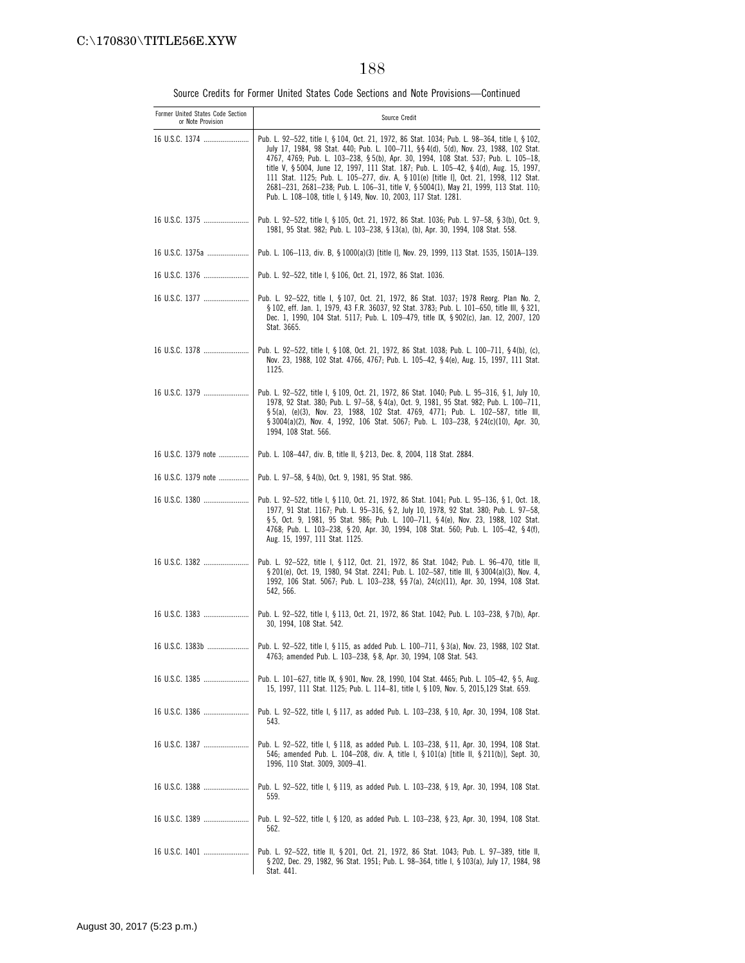| Former United States Code Section<br>or Note Provision | Source Credit                                                                                                                                                                                                                                                                                                                                                                                                                                                                                                                                                                                                             |
|--------------------------------------------------------|---------------------------------------------------------------------------------------------------------------------------------------------------------------------------------------------------------------------------------------------------------------------------------------------------------------------------------------------------------------------------------------------------------------------------------------------------------------------------------------------------------------------------------------------------------------------------------------------------------------------------|
| 16 U.S.C. 1374                                         | Pub. L. 92-522, title I, § 104, Oct. 21, 1972, 86 Stat. 1034; Pub. L. 98-364, title I, § 102,<br>July 17, 1984, 98 Stat. 440; Pub. L. 100-711, §§ 4(d), 5(d), Nov. 23, 1988, 102 Stat.<br>4767, 4769; Pub. L. 103-238, § 5(b), Apr. 30, 1994, 108 Stat. 537; Pub. L. 105-18,<br>title V, § 5004, June 12, 1997, 111 Stat. 187; Pub. L. 105-42, § 4(d), Aug. 15, 1997,<br>111 Stat. 1125; Pub. L. 105-277, div. A, § 101(e) [title I], Oct. 21, 1998, 112 Stat.<br>2681-231, 2681-238; Pub. L. 106-31, title V, § 5004(1), May 21, 1999, 113 Stat. 110;<br>Pub. L. 108-108, title I, § 149, Nov. 10, 2003, 117 Stat. 1281. |
|                                                        | Pub. L. 92–522, title I, § 105, Oct. 21, 1972, 86 Stat. 1036; Pub. L. 97–58, § 3(b), Oct. 9,<br>1981, 95 Stat. 982; Pub. L. 103-238, § 13(a), (b), Apr. 30, 1994, 108 Stat. 558.                                                                                                                                                                                                                                                                                                                                                                                                                                          |
| 16 U.S.C. 1375a                                        | Pub. L. 106-113, div. B, § 1000(a)(3) [title I], Nov. 29, 1999, 113 Stat. 1535, 1501A-139.                                                                                                                                                                                                                                                                                                                                                                                                                                                                                                                                |
|                                                        | Pub. L. 92-522, title I, § 106, Oct. 21, 1972, 86 Stat. 1036.                                                                                                                                                                                                                                                                                                                                                                                                                                                                                                                                                             |
| 16 U.S.C. 1377                                         | Pub. L. 92-522, title I, § 107, Oct. 21, 1972, 86 Stat. 1037; 1978 Reorg. Plan No. 2,<br>§ 102, eff. Jan. 1, 1979, 43 F.R. 36037, 92 Stat. 3783; Pub. L. 101-650, title III, § 321,<br>Dec. 1, 1990, 104 Stat. 5117; Pub. L. 109-479, title IX, § 902(c), Jan. 12, 2007, 120<br>Stat. 3665.                                                                                                                                                                                                                                                                                                                               |
| 16 U.S.C. 1378                                         | Pub. L. 92-522, title I, § 108, Oct. 21, 1972, 86 Stat. 1038; Pub. L. 100-711, § 4(b), (c),<br>Nov. 23, 1988, 102 Stat. 4766, 4767; Pub. L. 105-42, § 4(e), Aug. 15, 1997, 111 Stat.<br>1125.                                                                                                                                                                                                                                                                                                                                                                                                                             |
| 16 U.S.C. 1379                                         | Pub. L. 92-522, title I, § 109, Oct. 21, 1972, 86 Stat. 1040; Pub. L. 95-316, § 1, July 10,<br>1978, 92 Stat. 380; Pub. L. 97-58, § 4(a), Oct. 9, 1981, 95 Stat. 982; Pub. L. 100-711,<br>§ 5(a), (e)(3), Nov. 23, 1988, 102 Stat. 4769, 4771; Pub. L. 102-587, title III,<br>§ 3004(a)(2), Nov. 4, 1992, 106 Stat. 5067; Pub. L. 103-238, § 24(c)(10), Apr. 30,<br>1994, 108 Stat. 566.                                                                                                                                                                                                                                  |
| 16 U.S.C. 1379 note                                    | Pub. L. 108-447, div. B, title II, § 213, Dec. 8, 2004, 118 Stat. 2884.                                                                                                                                                                                                                                                                                                                                                                                                                                                                                                                                                   |
| 16 U.S.C. 1379 note                                    | Pub. L. 97-58, § 4(b), Oct. 9, 1981, 95 Stat. 986.                                                                                                                                                                                                                                                                                                                                                                                                                                                                                                                                                                        |
| 16 U.S.C. 1380                                         | Pub. L. 92-522, title I, § 110, Oct. 21, 1972, 86 Stat. 1041; Pub. L. 95-136, § 1, Oct. 18,<br>1977, 91 Stat. 1167; Pub. L. 95-316, § 2, July 10, 1978, 92 Stat. 380; Pub. L. 97-58,<br>§ 5, Oct. 9, 1981, 95 Stat. 986; Pub. L. 100-711, § 4(e), Nov. 23, 1988, 102 Stat.<br>4768; Pub. L. 103-238, § 20, Apr. 30, 1994, 108 Stat. 560; Pub. L. 105-42, § 4(f),<br>Aug. 15, 1997, 111 Stat. 1125.                                                                                                                                                                                                                        |
| 16 U.S.C. 1382                                         | Pub. L. 92-522, title I, § 112, Oct. 21, 1972, 86 Stat. 1042; Pub. L. 96-470, title II,<br>§ 201(e), Oct. 19, 1980, 94 Stat. 2241; Pub. L. 102-587, title III, § 3004(a)(3), Nov. 4,<br>1992, 106 Stat. 5067; Pub. L. 103-238, §§ 7(a), 24(c)(11), Apr. 30, 1994, 108 Stat.<br>542, 566.                                                                                                                                                                                                                                                                                                                                  |
|                                                        | Pub. L. 92-522, title I, § 113, Oct. 21, 1972, 86 Stat. 1042; Pub. L. 103-238, § 7(b), Apr.<br>30, 1994, 108 Stat. 542.                                                                                                                                                                                                                                                                                                                                                                                                                                                                                                   |
| 16 U.S.C. 1383b                                        | 92-522, title I, § 115, as added Pub. L. 100-711, § 3(a), Nov. 23, 1988, 102 Stat<br>Pub. L.<br>4763; amended Pub. L. 103-238, § 8, Apr. 30, 1994, 108 Stat. 543.                                                                                                                                                                                                                                                                                                                                                                                                                                                         |
| 16 U.S.C. 1385                                         | Pub. L. 101-627, title IX, § 901, Nov. 28, 1990, 104 Stat. 4465; Pub. L. 105-42, § 5, Aug.<br>15, 1997, 111 Stat. 1125; Pub. L. 114-81, title I, § 109, Nov. 5, 2015,129 Stat. 659.                                                                                                                                                                                                                                                                                                                                                                                                                                       |
| 16 U.S.C. 1386                                         | Pub. L. 92-522, title I, § 117, as added Pub. L. 103-238, § 10, Apr. 30, 1994, 108 Stat.<br>543.                                                                                                                                                                                                                                                                                                                                                                                                                                                                                                                          |
| 16 U.S.C. 1387                                         | Pub. L. 92-522, title I, § 118, as added Pub. L. 103-238, § 11, Apr. 30, 1994, 108 Stat.<br>546; amended Pub. L. 104-208, div. A, title I, § 101(a) [title II, § 211(b)], Sept. 30,<br>1996, 110 Stat. 3009, 3009-41.                                                                                                                                                                                                                                                                                                                                                                                                     |
| 16 U.S.C. 1388                                         | Pub. L. 92–522, title I, § 119, as added Pub. L. 103–238, § 19, Apr. 30, 1994, 108 Stat.<br>559.                                                                                                                                                                                                                                                                                                                                                                                                                                                                                                                          |
| 16 U.S.C. 1389                                         | Pub. L. 92-522, title I, § 120, as added Pub. L. 103-238, § 23, Apr. 30, 1994, 108 Stat.<br>562.                                                                                                                                                                                                                                                                                                                                                                                                                                                                                                                          |
| 16 U.S.C. 1401                                         | Pub. L. 92–522, title II, § 201, Oct. 21, 1972, 86 Stat. 1043; Pub. L. 97–389, title II,<br>§ 202, Dec. 29, 1982, 96 Stat. 1951; Pub. L. 98-364, title I, § 103(a), July 17, 1984, 98<br>Stat. 441.                                                                                                                                                                                                                                                                                                                                                                                                                       |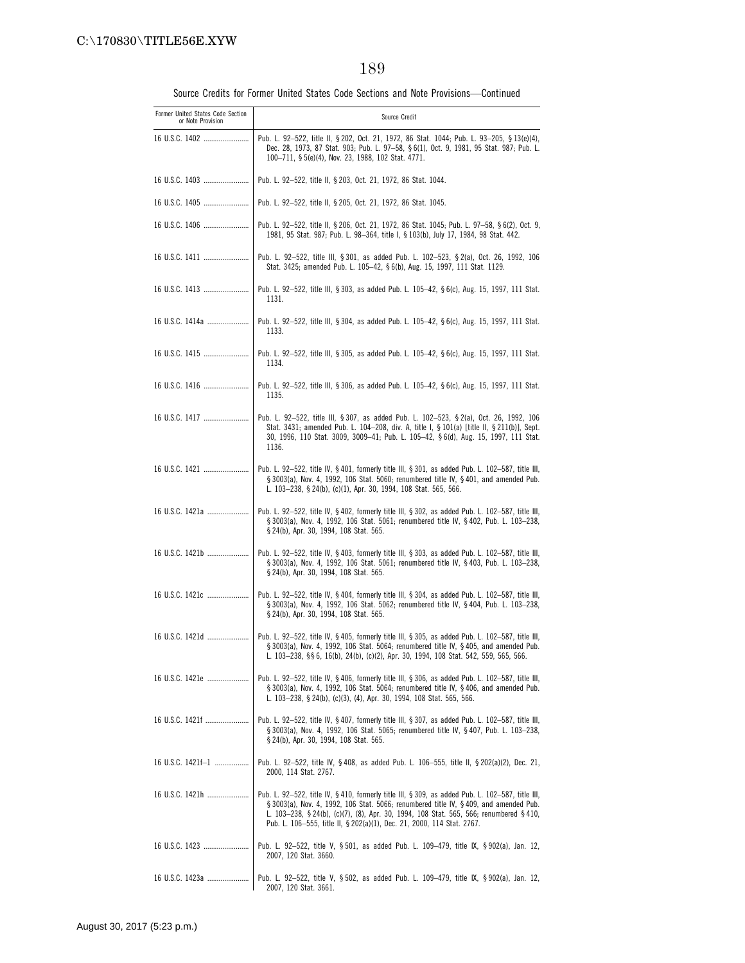| v. |  |
|----|--|
|----|--|

| Former United States Code Section<br>or Note Provision | Source Credit                                                                                                                                                                                                                                                                                                                                                 |
|--------------------------------------------------------|---------------------------------------------------------------------------------------------------------------------------------------------------------------------------------------------------------------------------------------------------------------------------------------------------------------------------------------------------------------|
| 16 U.S.C. 1402                                         | Pub. L. 92-522, title II, § 202, Oct. 21, 1972, 86 Stat. 1044; Pub. L. 93-205, § 13(e)(4),<br>Dec. 28, 1973, 87 Stat. 903; Pub. L. 97-58, § 6(1), Oct. 9, 1981, 95 Stat. 987; Pub. L.<br>100-711, § 5(e)(4), Nov. 23, 1988, 102 Stat. 4771.                                                                                                                   |
| 16 U.S.C. 1403                                         | Pub. L. 92-522, title II, § 203, Oct. 21, 1972, 86 Stat. 1044.                                                                                                                                                                                                                                                                                                |
|                                                        | Pub. L. 92-522, title II, § 205, Oct. 21, 1972, 86 Stat. 1045.                                                                                                                                                                                                                                                                                                |
| 16 U.S.C. 1406                                         | Pub. L. 92–522, title II, § 206, Oct. 21, 1972, 86 Stat. 1045; Pub. L. 97–58, § 6(2), Oct. 9,<br>1981, 95 Stat. 987; Pub. L. 98-364, title I, § 103(b), July 17, 1984, 98 Stat. 442.                                                                                                                                                                          |
|                                                        | Pub. L. 92-522, title III, § 301, as added Pub. L. 102-523, § 2(a), Oct. 26, 1992, 106<br>Stat. 3425; amended Pub. L. 105-42, § 6(b), Aug. 15, 1997, 111 Stat. 1129.                                                                                                                                                                                          |
| 16 U.S.C. 1413                                         | Pub. L. 92-522, title III, § 303, as added Pub. L. 105-42, § 6(c), Aug. 15, 1997, 111 Stat.<br>1131.                                                                                                                                                                                                                                                          |
| 16 U.S.C. 1414a                                        | Pub. L. 92–522, title III, § 304, as added Pub. L. 105–42, § 6(c), Aug. 15, 1997, 111 Stat.<br>1133.                                                                                                                                                                                                                                                          |
| 16 U.S.C. 1415                                         | Pub. L. 92-522, title III, § 305, as added Pub. L. 105-42, § 6(c), Aug. 15, 1997, 111 Stat.<br>1134.                                                                                                                                                                                                                                                          |
|                                                        | Pub. L. 92-522, title III, § 306, as added Pub. L. 105-42, § 6(c), Aug. 15, 1997, 111 Stat.<br>1135.                                                                                                                                                                                                                                                          |
| 16 U.S.C. 1417                                         | Pub. L. 92-522, title III, § 307, as added Pub. L. 102-523, § 2(a), Oct. 26, 1992, 106<br>Stat. 3431; amended Pub. L. 104-208, div. A, title I, § 101(a) [title II, § 211(b)], Sept.<br>30, 1996, 110 Stat. 3009, 3009-41; Pub. L. 105-42, §6(d), Aug. 15, 1997, 111 Stat.<br>1136.                                                                           |
|                                                        | Pub. L. 92-522, title IV, § 401, formerly title III, § 301, as added Pub. L. 102-587, title III,<br>§ 3003(a), Nov. 4, 1992, 106 Stat. 5060; renumbered title IV, § 401, and amended Pub.<br>L. 103-238, § 24(b), (c)(1), Apr. 30, 1994, 108 Stat. 565, 566.                                                                                                  |
| 16 U.S.C. 1421a                                        | Pub. L. 92-522, title IV, § 402, formerly title III, § 302, as added Pub. L. 102-587, title III,<br>§ 3003(a), Nov. 4, 1992, 106 Stat. 5061; renumbered title IV, § 402, Pub. L. 103-238,<br>§ 24(b), Apr. 30, 1994, 108 Stat. 565.                                                                                                                           |
| 16 U.S.C. 1421b                                        | Pub. L. 92-522, title IV, § 403, formerly title III, § 303, as added Pub. L. 102-587, title III,<br>§ 3003(a), Nov. 4, 1992, 106 Stat. 5061; renumbered title IV, § 403, Pub. L. 103-238,<br>§ 24(b), Apr. 30, 1994, 108 Stat. 565.                                                                                                                           |
| 16 U.S.C. 1421c                                        | Pub. L. 92-522, title IV, § 404, formerly title III, § 304, as added Pub. L. 102-587, title III,<br>§ 3003(a), Nov. 4, 1992, 106 Stat. 5062; renumbered title IV, § 404, Pub. L. 103-238,<br>§ 24(b), Apr. 30, 1994, 108 Stat. 565.                                                                                                                           |
|                                                        | Pub. L. 92-522, title IV, § 405, formerly title III, § 305, as added Pub. L. 102-587, title III,<br>§ 3003(a), Nov. 4, 1992, 106 Stat. 5064; renumbered title IV, § 405, and amended Pub.<br>L. 103-238, §§ 6, 16(b), 24(b), (c)(2), Apr. 30, 1994, 108 Stat. 542, 559, 565, 566.                                                                             |
| 16 U.S.C. 1421e                                        | Pub. L. 92-522, title IV, § 406, formerly title III, § 306, as added Pub. L. 102-587, title III,<br>§ 3003(a), Nov. 4, 1992, 106 Stat. 5064; renumbered title IV, § 406, and amended Pub.<br>L. 103-238, § 24(b), (c)(3), (4), Apr. 30, 1994, 108 Stat. 565, 566.                                                                                             |
| 16 U.S.C. 1421f                                        | Pub. L. 92–522, title IV, § 407, formerly title III, § 307, as added Pub. L. 102–587, title III,<br>§ 3003(a), Nov. 4, 1992, 106 Stat. 5065; renumbered title IV, § 407, Pub. L. 103-238,<br>§ 24(b), Apr. 30, 1994, 108 Stat. 565.                                                                                                                           |
| 16 U.S.C. 1421f-1                                      | Pub. L. 92–522, title IV, §408, as added Pub. L. 106–555, title II, §202(a)(2), Dec. 21,<br>2000, 114 Stat. 2767.                                                                                                                                                                                                                                             |
| 16 U.S.C. 1421h                                        | Pub. L. 92–522, title IV, § 410, formerly title III, § 309, as added Pub. L. 102–587, title III,<br>§ 3003(a), Nov. 4, 1992, 106 Stat. 5066; renumbered title IV, § 409, and amended Pub.<br>L. 103–238, § 24(b), (c)(7), (8), Apr. 30, 1994, 108 Stat. 565, 566; renumbered § 410,<br>Pub. L. 106-555, title II, § 202(a)(1), Dec. 21, 2000, 114 Stat. 2767. |
| 16 U.S.C. 1423                                         | Pub. L. 92–522, title V, § 501, as added Pub. L. 109–479, title IX, § 902(a), Jan. 12,<br>2007, 120 Stat. 3660.                                                                                                                                                                                                                                               |
| 16 U.S.C. 1423a                                        | Pub. L. 92–522, title V, § 502, as added Pub. L. 109–479, title IX, § 902(a), Jan. 12,<br>2007, 120 Stat. 3661.                                                                                                                                                                                                                                               |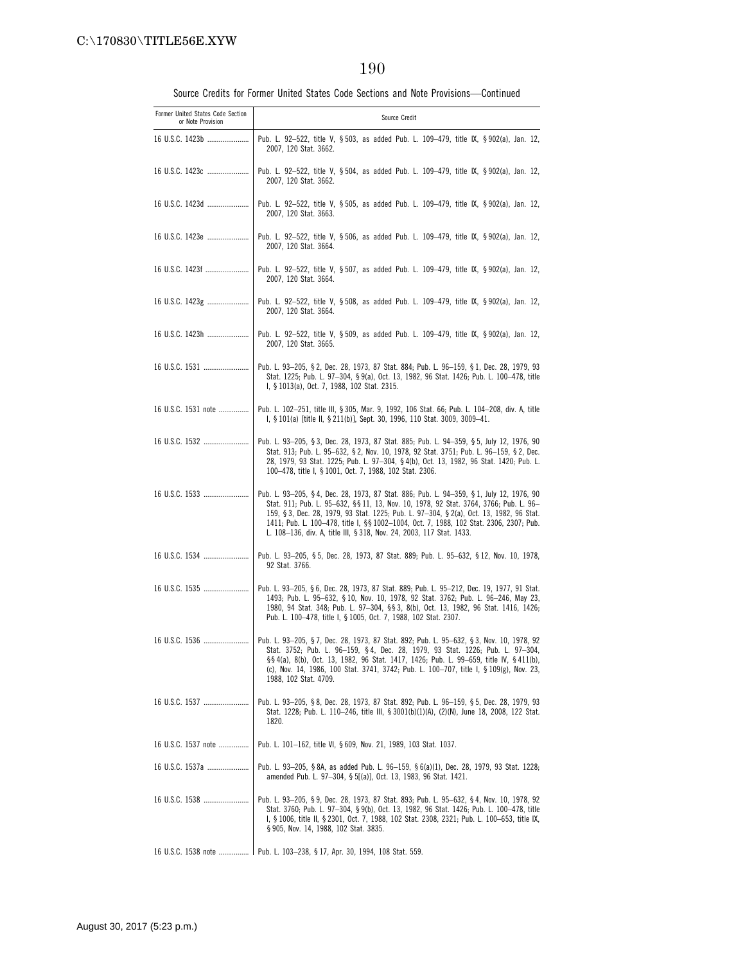| Former United States Code Section<br>or Note Provision | Source Credit                                                                                                                                                                                                                                                                                                                                                                                                                                  |
|--------------------------------------------------------|------------------------------------------------------------------------------------------------------------------------------------------------------------------------------------------------------------------------------------------------------------------------------------------------------------------------------------------------------------------------------------------------------------------------------------------------|
| 16 U.S.C. 1423b                                        | Pub. L. 92-522, title V, § 503, as added Pub. L. 109-479, title IX, § 902(a), Jan. 12,<br>2007, 120 Stat. 3662.                                                                                                                                                                                                                                                                                                                                |
| 16 U.S.C. 1423c                                        | Pub. L. 92-522, title V, § 504, as added Pub. L. 109-479, title IX, § 902(a), Jan. 12,<br>2007, 120 Stat. 3662.                                                                                                                                                                                                                                                                                                                                |
| 16 U.S.C. 1423d                                        | Pub. L. 92-522, title V, § 505, as added Pub. L. 109-479, title IX, § 902(a), Jan. 12,<br>2007, 120 Stat. 3663.                                                                                                                                                                                                                                                                                                                                |
| 16 U.S.C. 1423e                                        | Pub. L. 92–522, title V, § 506, as added Pub. L. 109–479, title IX, § 902(a), Jan. 12,<br>2007, 120 Stat. 3664.                                                                                                                                                                                                                                                                                                                                |
| 16 U.S.C. 1423f                                        | Pub. L. 92-522, title V, § 507, as added Pub. L. 109-479, title IX, § 902(a), Jan. 12,<br>2007, 120 Stat. 3664.                                                                                                                                                                                                                                                                                                                                |
| 16 U.S.C. 1423g                                        | Pub. L. 92-522, title V, § 508, as added Pub. L. 109-479, title IX, § 902(a), Jan. 12,<br>2007, 120 Stat. 3664.                                                                                                                                                                                                                                                                                                                                |
| 16 U.S.C. 1423h                                        | Pub. L. 92-522, title V, § 509, as added Pub. L. 109-479, title IX, § 902(a), Jan. 12,<br>2007, 120 Stat. 3665.                                                                                                                                                                                                                                                                                                                                |
|                                                        | Pub. L. 93-205, § 2, Dec. 28, 1973, 87 Stat. 884; Pub. L. 96-159, § 1, Dec. 28, 1979, 93<br>Stat. 1225; Pub. L. 97-304, § 9(a), Oct. 13, 1982, 96 Stat. 1426; Pub. L. 100-478, title<br>I, § 1013(a), Oct. 7, 1988, 102 Stat. 2315.                                                                                                                                                                                                            |
| 16 U.S.C. 1531 note                                    | Pub. L. 102-251, title III, § 305, Mar. 9, 1992, 106 Stat. 66; Pub. L. 104-208, div. A, title<br>I, § 101(a) [title II, § 211(b)], Sept. 30, 1996, 110 Stat. 3009, 3009-41.                                                                                                                                                                                                                                                                    |
| 16 U.S.C. 1532                                         | Pub. L. 93-205, § 3, Dec. 28, 1973, 87 Stat. 885; Pub. L. 94-359, § 5, July 12, 1976, 90<br>Stat. 913; Pub. L. 95-632, § 2, Nov. 10, 1978, 92 Stat. 3751; Pub. L. 96-159, § 2, Dec.<br>28, 1979, 93 Stat. 1225; Pub. L. 97-304, § 4(b), Oct. 13, 1982, 96 Stat. 1420; Pub. L.<br>100-478, title I, § 1001, Oct. 7, 1988, 102 Stat. 2306.                                                                                                       |
|                                                        | Pub. L. 93-205, § 4, Dec. 28, 1973, 87 Stat. 886; Pub. L. 94-359, § 1, July 12, 1976, 90<br>Stat. 911; Pub. L. 95-632, §§ 11, 13, Nov. 10, 1978, 92 Stat. 3764, 3766; Pub. L. 96-<br>159, § 3, Dec. 28, 1979, 93 Stat. 1225; Pub. L. 97-304, § 2(a), Oct. 13, 1982, 96 Stat.<br>1411; Pub. L. 100-478, title I, §§ 1002-1004, Oct. 7, 1988, 102 Stat. 2306, 2307; Pub.<br>L. 108-136, div. A, title III, § 318, Nov. 24, 2003, 117 Stat. 1433. |
| 16 U.S.C. 1534                                         | Pub. L. 93-205, §5, Dec. 28, 1973, 87 Stat. 889; Pub. L. 95-632, §12, Nov. 10, 1978,<br>92 Stat. 3766.                                                                                                                                                                                                                                                                                                                                         |
|                                                        | Pub. L. 93-205, §6, Dec. 28, 1973, 87 Stat. 889; Pub. L. 95-212, Dec. 19, 1977, 91 Stat.<br>1493; Pub. L. 95-632, § 10, Nov. 10, 1978, 92 Stat. 3762; Pub. L. 96-246, May 23,<br>1980, 94 Stat. 348; Pub. L. 97-304, §§ 3, 8(b), Oct. 13, 1982, 96 Stat. 1416, 1426;<br>Pub. L. 100-478, title I, § 1005, Oct. 7, 1988, 102 Stat. 2307.                                                                                                        |
| 16 U.S.C. 1536                                         | Pub. L. 93–205, § 7, Dec. 28, 1973, 87 Stat. 892; Pub. L. 95–632, § 3, Nov. 10, 1978, 92<br>Stat. 3752; Pub. L. 96-159, §4, Dec. 28, 1979, 93 Stat. 1226; Pub. L. 97-304,<br>§§4(a), 8(b), Oct. 13, 1982, 96 Stat. 1417, 1426; Pub. L. 99–659, title IV, §411(b),<br>(c), Nov. 14, 1986, 100 Stat. 3741, 3742; Pub. L. 100-707, title I, § 109(g), Nov. 23,<br>1988, 102 Stat. 4709.                                                           |
|                                                        | Pub. L. 93–205, § 8, Dec. 28, 1973, 87 Stat. 892; Pub. L. 96–159, § 5, Dec. 28, 1979, 93<br>Stat. 1228; Pub. L. 110-246, title III, § 3001(b)(1)(A), (2)(N), June 18, 2008, 122 Stat.<br>1820.                                                                                                                                                                                                                                                 |
| 16 U.S.C. 1537 note                                    | Pub. L. 101-162, title VI, § 609, Nov. 21, 1989, 103 Stat. 1037.                                                                                                                                                                                                                                                                                                                                                                               |
| 16 U.S.C. 1537a                                        | Pub. L. 93–205, §8A, as added Pub. L. 96–159, §6(a)(1), Dec. 28, 1979, 93 Stat. 1228;<br>amended Pub. L. 97-304, § 5[(a)], Oct. 13, 1983, 96 Stat. 1421.                                                                                                                                                                                                                                                                                       |
| 16 U.S.C. 1538                                         | Pub. L. 93-205, § 9, Dec. 28, 1973, 87 Stat. 893; Pub. L. 95-632, § 4, Nov. 10, 1978, 92<br>Stat. 3760; Pub. L. 97-304, § 9(b), Oct. 13, 1982, 96 Stat. 1426; Pub. L. 100-478, title<br>I, § 1006, title II, § 2301, Oct. 7, 1988, 102 Stat. 2308, 2321; Pub. L. 100-653, title IX,<br>§ 905, Nov. 14, 1988, 102 Stat. 3835.                                                                                                                   |
|                                                        | 16 U.S.C. 1538 note    Pub. L. 103-238, § 17, Apr. 30, 1994, 108 Stat. 559.                                                                                                                                                                                                                                                                                                                                                                    |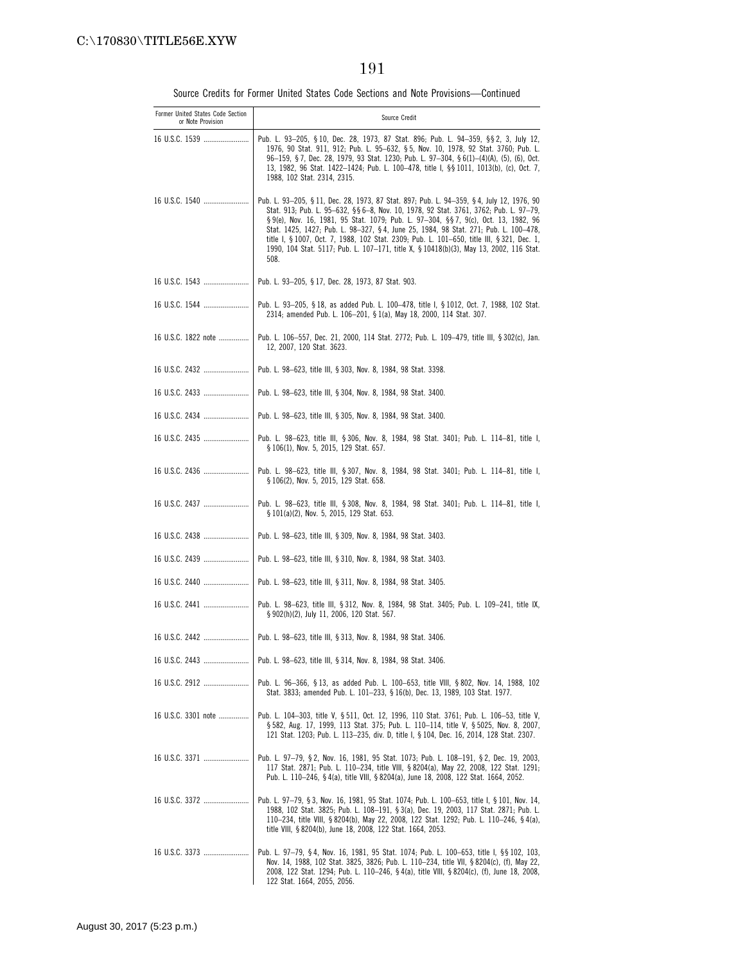| Former United States Code Section<br>or Note Provision | Source Credit                                                                                                                                                                                                                                                                                                                                                                                                                                                                                                                                                   |
|--------------------------------------------------------|-----------------------------------------------------------------------------------------------------------------------------------------------------------------------------------------------------------------------------------------------------------------------------------------------------------------------------------------------------------------------------------------------------------------------------------------------------------------------------------------------------------------------------------------------------------------|
| 16 U.S.C. 1539                                         | Pub. L. 93–205, § 10, Dec. 28, 1973, 87 Stat. 896; Pub. L. 94–359, §§ 2, 3, July 12,<br>1976, 90 Stat. 911, 912; Pub. L. 95-632, § 5, Nov. 10, 1978, 92 Stat. 3760; Pub. L.<br>96-159, §7, Dec. 28, 1979, 93 Stat. 1230; Pub. L. 97-304, §6(1)-(4)(A), (5), (6), Oct.<br>13, 1982, 96 Stat. 1422-1424; Pub. L. 100-478, title I, §§ 1011, 1013(b), (c), Oct. 7,<br>1988, 102 Stat. 2314, 2315.                                                                                                                                                                  |
| 16 U.S.C. 1540                                         | Pub. L. 93–205, § 11, Dec. 28, 1973, 87 Stat. 897; Pub. L. 94–359, § 4, July 12, 1976, 90<br>Stat. 913; Pub. L. 95-632, §§ 6-8, Nov. 10, 1978, 92 Stat. 3761, 3762; Pub. L. 97-79,<br>§ 9(e), Nov. 16, 1981, 95 Stat. 1079; Pub. L. 97-304, §§ 7, 9(c), Oct. 13, 1982, 96<br>Stat. 1425, 1427; Pub. L. 98-327, §4, June 25, 1984, 98 Stat. 271; Pub. L. 100-478,<br>title I, § 1007, Oct. 7, 1988, 102 Stat. 2309; Pub. L. 101-650, title III, § 321, Dec. 1,<br>1990, 104 Stat. 5117; Pub. L. 107-171, title X, § 10418(b)(3), May 13, 2002, 116 Stat.<br>508. |
| 16 U.S.C. 1543                                         | Pub. L. 93-205, § 17, Dec. 28, 1973, 87 Stat. 903.                                                                                                                                                                                                                                                                                                                                                                                                                                                                                                              |
|                                                        | Pub. L. 93–205, § 18, as added Pub. L. 100–478, title I, § 1012, Oct. 7, 1988, 102 Stat.<br>2314; amended Pub. L. 106-201, § 1(a), May 18, 2000, 114 Stat. 307.                                                                                                                                                                                                                                                                                                                                                                                                 |
| 16 U.S.C. 1822 note                                    | Pub. L. 106–557, Dec. 21, 2000, 114 Stat. 2772; Pub. L. 109–479, title III, § 302(c), Jan.<br>12, 2007, 120 Stat. 3623.                                                                                                                                                                                                                                                                                                                                                                                                                                         |
| 16 U.S.C. 2432                                         | Pub. L. 98-623, title III, § 303, Nov. 8, 1984, 98 Stat. 3398.                                                                                                                                                                                                                                                                                                                                                                                                                                                                                                  |
| 16 U.S.C. 2433                                         | Pub. L. 98-623, title III, § 304, Nov. 8, 1984, 98 Stat. 3400.                                                                                                                                                                                                                                                                                                                                                                                                                                                                                                  |
| 16 U.S.C. 2434                                         | Pub. L. 98-623, title III, § 305, Nov. 8, 1984, 98 Stat. 3400.                                                                                                                                                                                                                                                                                                                                                                                                                                                                                                  |
|                                                        | Pub. L. 98–623, title III, § 306, Nov. 8, 1984, 98 Stat. 3401; Pub. L. 114–81, title I,<br>§ 106(1), Nov. 5, 2015, 129 Stat. 657.                                                                                                                                                                                                                                                                                                                                                                                                                               |
|                                                        | Pub. L. 98–623, title III, § 307, Nov. 8, 1984, 98 Stat. 3401; Pub. L. 114–81, title I,<br>§ 106(2), Nov. 5, 2015, 129 Stat. 658.                                                                                                                                                                                                                                                                                                                                                                                                                               |
| 16 U.S.C. 2437                                         | Pub. L. 98–623, title III, §308, Nov. 8, 1984, 98 Stat. 3401; Pub. L. 114–81, title I,<br>§ 101(a)(2), Nov. 5, 2015, 129 Stat. 653.                                                                                                                                                                                                                                                                                                                                                                                                                             |
| 16 U.S.C. 2438                                         | Pub. L. 98-623, title III, § 309, Nov. 8, 1984, 98 Stat. 3403.                                                                                                                                                                                                                                                                                                                                                                                                                                                                                                  |
| 16 U.S.C. 2439                                         | Pub. L. 98-623, title III, § 310, Nov. 8, 1984, 98 Stat. 3403.                                                                                                                                                                                                                                                                                                                                                                                                                                                                                                  |
|                                                        | Pub. L. 98-623, title III, § 311, Nov. 8, 1984, 98 Stat. 3405.                                                                                                                                                                                                                                                                                                                                                                                                                                                                                                  |
|                                                        | Pub. L. 98–623, title III, § 312, Nov. 8, 1984, 98 Stat. 3405; Pub. L. 109–241, title IX,<br>§ 902(h)(2), July 11, 2006, 120 Stat. 567.                                                                                                                                                                                                                                                                                                                                                                                                                         |
| 16 U.S.C. 2442                                         | Pub. L. 98—623, title III, § 313, Nov. 8, 1984, 98 Stat. 3406.                                                                                                                                                                                                                                                                                                                                                                                                                                                                                                  |
| 16 U.S.C. 2443                                         | Pub. L. 98-623, title III, § 314, Nov. 8, 1984, 98 Stat. 3406.                                                                                                                                                                                                                                                                                                                                                                                                                                                                                                  |
| 16 U.S.C. 2912                                         | Pub. L. 96-366, § 13, as added Pub. L. 100-653, title VIII, § 802, Nov. 14, 1988, 102<br>Stat. 3833; amended Pub. L. 101–233, § 16(b), Dec. 13, 1989, 103 Stat. 1977.                                                                                                                                                                                                                                                                                                                                                                                           |
| 16 U.S.C. 3301 note                                    | Pub. L. 104-303, title V, § 511, Oct. 12, 1996, 110 Stat. 3761; Pub. L. 106-53, title V,<br>§ 582, Aug. 17, 1999, 113 Stat. 375; Pub. L. 110-114, title V, § 5025, Nov. 8, 2007,<br>121 Stat. 1203; Pub. L. 113-235, div. D, title I, § 104, Dec. 16, 2014, 128 Stat. 2307.                                                                                                                                                                                                                                                                                     |
| 16 U.S.C. 3371                                         | Pub. L. 97-79, § 2, Nov. 16, 1981, 95 Stat. 1073; Pub. L. 108-191, § 2, Dec. 19, 2003,<br>117 Stat. 2871; Pub. L. 110-234, title VIII, § 8204(a), May 22, 2008, 122 Stat. 1291;<br>Pub. L. 110—246, §4(a), title VIII, §8204(a), June 18, 2008, 122 Stat. 1664, 2052.                                                                                                                                                                                                                                                                                           |
| 16 U.S.C. 3372                                         | Pub. L. 97-79, § 3, Nov. 16, 1981, 95 Stat. 1074, Pub. L. 100-653, title I, § 101, Nov. 14,<br>1988, 102 Stat. 3825; Pub. L. 108-191, § 3(a), Dec. 19, 2003, 117 Stat. 2871; Pub. L.<br>110-234, title VIII, § 8204(b), May 22, 2008, 122 Stat. 1292; Pub. L. 110-246, § 4(a),<br>title VIII, § 8204(b), June 18, 2008, 122 Stat. 1664, 2053.                                                                                                                                                                                                                   |
| 16 U.S.C. 3373                                         | Pub. L. 97-79, §4, Nov. 16, 1981, 95 Stat. 1074; Pub. L. 100-653, title I, §§ 102, 103,<br>Nov. 14, 1988, 102 Stat. 3825, 3826; Pub. L. 110—234, title VII, § 8204(c), (f), May 22,<br>2008, 122 Stat. 1294; Pub. L. 110-246, §4(a), title VIII, §8204(c), (f), June 18, 2008,<br>122 Stat. 1664, 2055, 2056.                                                                                                                                                                                                                                                   |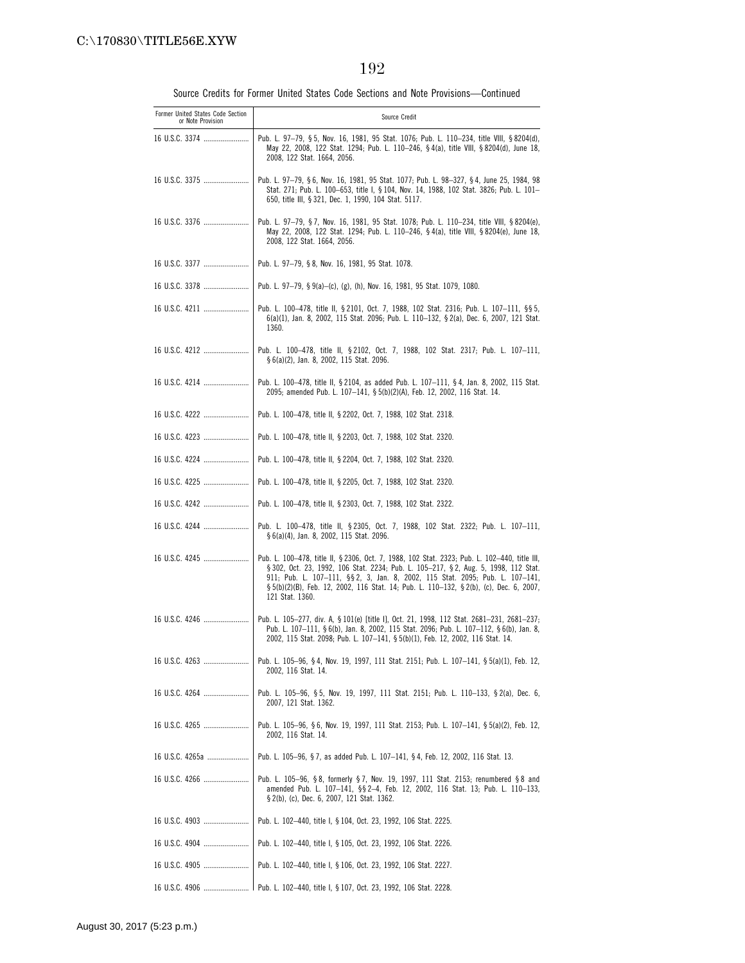| Former United States Code Section<br>or Note Provision | Source Credit                                                                                                                                                                                                                                                                                                                                                                     |
|--------------------------------------------------------|-----------------------------------------------------------------------------------------------------------------------------------------------------------------------------------------------------------------------------------------------------------------------------------------------------------------------------------------------------------------------------------|
| 16 U.S.C. 3374                                         | Pub. L. 97-79, §5, Nov. 16, 1981, 95 Stat. 1076; Pub. L. 110-234, title VIII, §8204(d),<br>May 22, 2008, 122 Stat. 1294; Pub. L. 110-246, §4(a), title VIII, §8204(d), June 18,<br>2008, 122 Stat. 1664, 2056.                                                                                                                                                                    |
| 16 U.S.C. 3375                                         | Pub. L. 97-79, § 6, Nov. 16, 1981, 95 Stat. 1077; Pub. L. 98-327, § 4, June 25, 1984, 98<br>Stat. 271; Pub. L. 100-653, title I, § 104, Nov. 14, 1988, 102 Stat. 3826; Pub. L. 101-<br>650, title III, § 321, Dec. 1, 1990, 104 Stat. 5117.                                                                                                                                       |
| 16 U.S.C. 3376                                         | Pub. L. 97-79, § 7, Nov. 16, 1981, 95 Stat. 1078; Pub. L. 110-234, title VIII, § 8204(e),<br>May 22, 2008, 122 Stat. 1294; Pub. L. 110-246, §4(a), title VIII, §8204(e), June 18,<br>2008, 122 Stat. 1664, 2056.                                                                                                                                                                  |
|                                                        | Pub. L. 97-79, §8, Nov. 16, 1981, 95 Stat. 1078.                                                                                                                                                                                                                                                                                                                                  |
| 16 U.S.C. 3378                                         | Pub. L. 97-79, § 9(a)-(c), (g), (h), Nov. 16, 1981, 95 Stat. 1079, 1080.                                                                                                                                                                                                                                                                                                          |
|                                                        | Pub. L. 100-478, title II, § 2101, Oct. 7, 1988, 102 Stat. 2316; Pub. L. 107-111, § § 5,<br>6(a)(1), Jan. 8, 2002, 115 Stat. 2096; Pub. L. 110-132, § 2(a), Dec. 6, 2007, 121 Stat.<br>1360.                                                                                                                                                                                      |
|                                                        | Pub. L. 100-478, title II, § 2102, Oct. 7, 1988, 102 Stat. 2317; Pub. L. 107-111,<br>§ 6(a)(2), Jan. 8, 2002, 115 Stat. 2096.                                                                                                                                                                                                                                                     |
|                                                        | Pub. L. 100-478, title II, § 2104, as added Pub. L. 107-111, § 4, Jan. 8, 2002, 115 Stat.<br>2095; amended Pub. L. 107-141, § 5(b)(2)(A), Feb. 12, 2002, 116 Stat. 14.                                                                                                                                                                                                            |
| 16 U.S.C. 4222                                         | Pub. L. 100-478, title II, § 2202, Oct. 7, 1988, 102 Stat. 2318.                                                                                                                                                                                                                                                                                                                  |
|                                                        | Pub. L. 100–478, title II, § 2203, Oct. 7, 1988, 102 Stat. 2320.                                                                                                                                                                                                                                                                                                                  |
| 16 U.S.C. 4224                                         | Pub. L. 100–478, title II, § 2204, Oct. 7, 1988, 102 Stat. 2320.                                                                                                                                                                                                                                                                                                                  |
|                                                        | Pub. L. 100–478, title II, § 2205, Oct. 7, 1988, 102 Stat. 2320.                                                                                                                                                                                                                                                                                                                  |
| 16 U.S.C. 4242                                         | Pub. L. 100–478, title II, § 2303, Oct. 7, 1988, 102 Stat. 2322.                                                                                                                                                                                                                                                                                                                  |
|                                                        | Pub. L. 100-478, title II, § 2305, Oct. 7, 1988, 102 Stat. 2322; Pub. L. 107-111,<br>§ 6(a)(4), Jan. 8, 2002, 115 Stat. 2096.                                                                                                                                                                                                                                                     |
| 16 U.S.C. 4245                                         | Pub. L. 100-478, title II, § 2306, Oct. 7, 1988, 102 Stat. 2323; Pub. L. 102-440, title III,<br>§ 302, Oct. 23, 1992, 106 Stat. 2234; Pub. L. 105-217, § 2, Aug. 5, 1998, 112 Stat.<br>911; Pub. L. 107-111, §§ 2, 3, Jan. 8, 2002, 115 Stat. 2095; Pub. L. 107-141,<br>§ 5(b)(2)(B), Feb. 12, 2002, 116 Stat. 14; Pub. L. 110-132, § 2(b), (c), Dec. 6, 2007,<br>121 Stat. 1360. |
| 16 U.S.C. 4246                                         | Pub. L. 105-277, div. A, § 101(e) [title I], Oct. 21, 1998, 112 Stat. 2681-231, 2681-237;<br>Pub. L. 107-111, § 6(b), Jan. 8, 2002, 115 Stat. 2096; Pub. L. 107-112, § 6(b), Jan. 8,<br>2002, 115 Stat. 2098; Pub. L. 107-141, § 5(b)(1), Feb. 12, 2002, 116 Stat. 14.                                                                                                            |
|                                                        | Pub. L. 105-96, §4, Nov. 19, 1997, 111 Stat. 2151; Pub. L. 107-141, §5(a)(1), Feb. 12,<br>2002, 116 Stat. 14.                                                                                                                                                                                                                                                                     |
| 16 U.S.C. 4264                                         | Pub. L. 105-96, § 5, Nov. 19, 1997, 111 Stat. 2151; Pub. L. 110-133, § 2(a), Dec. 6,<br>2007, 121 Stat. 1362.                                                                                                                                                                                                                                                                     |
| 16 U.S.C. 4265                                         | Pub. L. 105-96, §6, Nov. 19, 1997, 111 Stat. 2153; Pub. L. 107-141, §5(a)(2), Feb. 12,<br>2002, 116 Stat. 14.                                                                                                                                                                                                                                                                     |
| 16 U.S.C. 4265a                                        | Pub. L. 105-96, § 7, as added Pub. L. 107-141, § 4, Feb. 12, 2002, 116 Stat. 13.                                                                                                                                                                                                                                                                                                  |
| 16 U.S.C. 4266                                         | Pub. L. 105–96, §8, formerly §7, Nov. 19, 1997, 111 Stat. 2153; renumbered §8 and<br>amended Pub. L. 107-141, §§ 2-4, Feb. 12, 2002, 116 Stat. 13; Pub. L. 110-133,<br>§ 2(b), (c), Dec. 6, 2007, 121 Stat. 1362.                                                                                                                                                                 |
| 16 U.S.C. 4903                                         | Pub. L. 102-440, title I, § 104, Oct. 23, 1992, 106 Stat. 2225.                                                                                                                                                                                                                                                                                                                   |
| 16 U.S.C. 4904                                         | Pub. L. 102-440, title I, § 105, Oct. 23, 1992, 106 Stat. 2226.                                                                                                                                                                                                                                                                                                                   |
| 16 U.S.C. 4905                                         | Pub. L. 102-440, title I, § 106, Oct. 23, 1992, 106 Stat. 2227.                                                                                                                                                                                                                                                                                                                   |
| 16 U.S.C. 4906                                         | Pub. L. 102-440, title I, § 107, Oct. 23, 1992, 106 Stat. 2228.                                                                                                                                                                                                                                                                                                                   |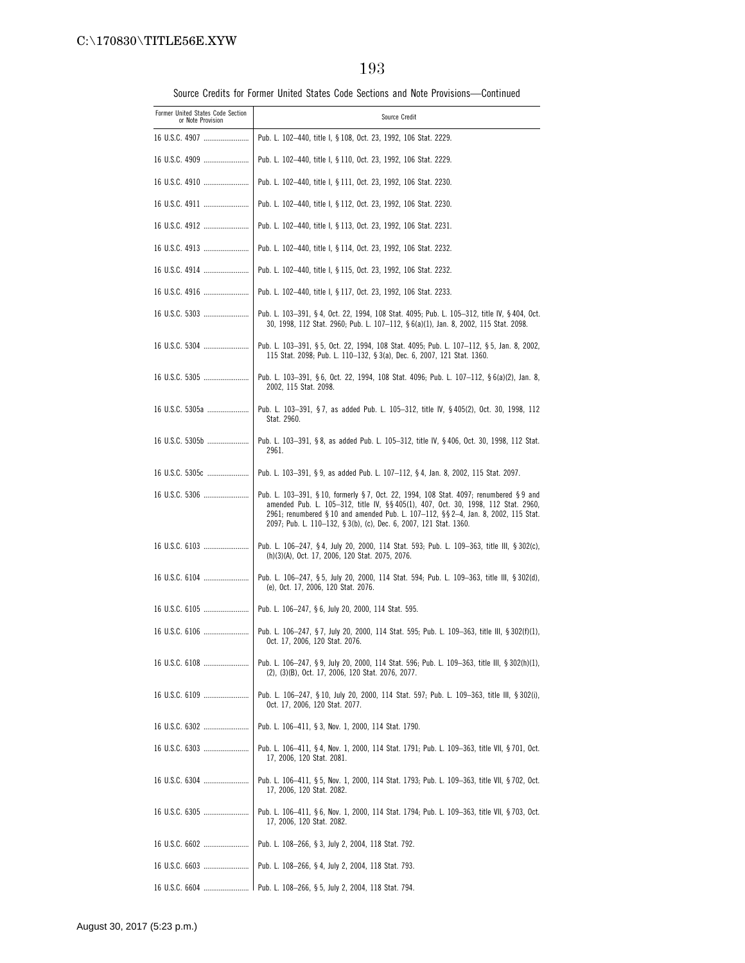| Former United States Code Section<br>or Note Provision | Source Credit                                                                                                                                                                                                                                                                                                                          |
|--------------------------------------------------------|----------------------------------------------------------------------------------------------------------------------------------------------------------------------------------------------------------------------------------------------------------------------------------------------------------------------------------------|
| 16 U.S.C. 4907                                         | Pub. L. 102-440, title I, § 108, Oct. 23, 1992, 106 Stat. 2229.                                                                                                                                                                                                                                                                        |
| 16 U.S.C. 4909                                         | Pub. L. 102-440, title I, § 110, Oct. 23, 1992, 106 Stat. 2229.                                                                                                                                                                                                                                                                        |
| 16 U.S.C. 4910                                         | Pub. L. 102-440, title I, § 111, Oct. 23, 1992, 106 Stat. 2230.                                                                                                                                                                                                                                                                        |
|                                                        | Pub. L. 102-440, title I, § 112, Oct. 23, 1992, 106 Stat. 2230.                                                                                                                                                                                                                                                                        |
| 16 U.S.C. 4912                                         | Pub. L. 102-440, title I, § 113, Oct. 23, 1992, 106 Stat. 2231.                                                                                                                                                                                                                                                                        |
|                                                        | Pub. L. 102-440, title I, § 114, Oct. 23, 1992, 106 Stat. 2232.                                                                                                                                                                                                                                                                        |
|                                                        | Pub. L. 102-440, title I, § 115, Oct. 23, 1992, 106 Stat. 2232.                                                                                                                                                                                                                                                                        |
|                                                        | Pub. L. 102-440, title I, § 117, Oct. 23, 1992, 106 Stat. 2233.                                                                                                                                                                                                                                                                        |
| 16 U.S.C. 5303                                         | Pub. L. 103-391, § 4, Oct. 22, 1994, 108 Stat. 4095; Pub. L. 105-312, title IV, § 404, Oct.<br>30, 1998, 112 Stat. 2960; Pub. L. 107-112, § 6(a)(1), Jan. 8, 2002, 115 Stat. 2098.                                                                                                                                                     |
| 16 U.S.C. 5304                                         | Pub. L. 103-391, § 5, Oct. 22, 1994, 108 Stat. 4095; Pub. L. 107-112, § 5, Jan. 8, 2002,<br>115 Stat. 2098; Pub. L. 110-132, § 3(a), Dec. 6, 2007, 121 Stat. 1360.                                                                                                                                                                     |
|                                                        | Pub. L. 103-391, §6, Oct. 22, 1994, 108 Stat. 4096; Pub. L. 107-112, §6(a)(2), Jan. 8,<br>2002, 115 Stat. 2098.                                                                                                                                                                                                                        |
| 16 U.S.C. 5305a                                        | Pub. L. 103-391, §7, as added Pub. L. 105-312, title IV, §405(2), Oct. 30, 1998, 112<br>Stat. 2960.                                                                                                                                                                                                                                    |
| 16 U.S.C. 5305b                                        | Pub. L. 103-391, § 8, as added Pub. L. 105-312, title IV, § 406, Oct. 30, 1998, 112 Stat.<br>2961.                                                                                                                                                                                                                                     |
| 16 U.S.C. 5305c                                        | Pub. L. 103-391, §9, as added Pub. L. 107-112, §4, Jan. 8, 2002, 115 Stat. 2097.                                                                                                                                                                                                                                                       |
| 16 U.S.C. 5306                                         | Pub. L. 103-391, § 10, formerly § 7, Oct. 22, 1994, 108 Stat. 4097; renumbered § 9 and<br>amended Pub. L. 105-312, title IV, §§ 405(1), 407, Oct. 30, 1998, 112 Stat. 2960,<br>2961; renumbered § 10 and amended Pub. L. 107-112, §§ 2-4, Jan. 8, 2002, 115 Stat.<br>2097; Pub. L. 110-132, § 3(b), (c), Dec. 6, 2007, 121 Stat. 1360. |
| 16 U.S.C. 6103                                         | Pub. L. 106–247, §4, July 20, 2000, 114 Stat. 593; Pub. L. 109–363, title III, §302(c),<br>(h)(3)(A), Oct. 17, 2006, 120 Stat. 2075, 2076.                                                                                                                                                                                             |
|                                                        | Pub. L. 106–247, § 5, July 20, 2000, 114 Stat. 594; Pub. L. 109–363, title III, § 302(d),<br>(e), Oct. 17, 2006, 120 Stat. 2076.                                                                                                                                                                                                       |
|                                                        | Pub. L. 106-247, §6, July 20, 2000, 114 Stat. 595.                                                                                                                                                                                                                                                                                     |
| 16 U.S.C. 6106                                         | Pub. L. 106-247, § 7, July 20, 2000, 114 Stat. 595; Pub. L. 109-363, title III, § 302(f)(1),<br>Oct. 17, 2006, 120 Stat. 2076.                                                                                                                                                                                                         |
| 16 U.S.C. 6108                                         | Pub. L. 106-247, §9, July 20, 2000, 114 Stat. 596; Pub. L. 109-363, title III, §302(h)(1),<br>(2), (3)(B), Oct. 17, 2006, 120 Stat. 2076, 2077.                                                                                                                                                                                        |
| 16 U.S.C. 6109                                         | Pub. L. 106-247, § 10, July 20, 2000, 114 Stat. 597; Pub. L. 109-363, title III, § 302(i),<br>Oct. 17, 2006, 120 Stat. 2077.                                                                                                                                                                                                           |
| 16 U.S.C. 6302                                         | Pub. L. 106-411, § 3, Nov. 1, 2000, 114 Stat. 1790.                                                                                                                                                                                                                                                                                    |
| 16 U.S.C. 6303                                         | Pub. L. 106-411, § 4, Nov. 1, 2000, 114 Stat. 1791; Pub. L. 109-363, title VII, § 701, Oct.<br>17, 2006, 120 Stat. 2081.                                                                                                                                                                                                               |
| 16 U.S.C. 6304                                         | Pub. L. 106-411, § 5, Nov. 1, 2000, 114 Stat. 1793; Pub. L. 109-363, title VII, § 702, Oct.<br>17, 2006, 120 Stat. 2082.                                                                                                                                                                                                               |
| 16 U.S.C. 6305                                         | Pub. L. 106-411, § 6, Nov. 1, 2000, 114 Stat. 1794; Pub. L. 109-363, title VII, § 703, Oct.<br>17, 2006, 120 Stat. 2082.                                                                                                                                                                                                               |
| 16 U.S.C. 6602                                         | Pub. L. 108-266, § 3, July 2, 2004, 118 Stat. 792.                                                                                                                                                                                                                                                                                     |
| 16 U.S.C. 6603                                         | Pub. L. 108-266, § 4, July 2, 2004, 118 Stat. 793.                                                                                                                                                                                                                                                                                     |
|                                                        | 1 Pub. L. 108—266, § 5, July 2, 2004, 118 Stat. 794.                                                                                                                                                                                                                                                                                   |